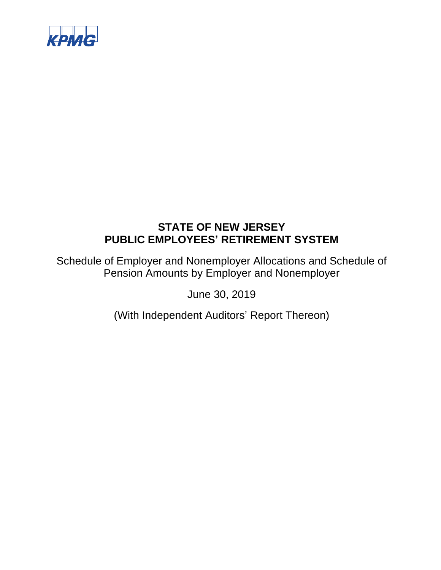

Schedule of Employer and Nonemployer Allocations and Schedule of Pension Amounts by Employer and Nonemployer

June 30, 2019

(With Independent Auditors' Report Thereon)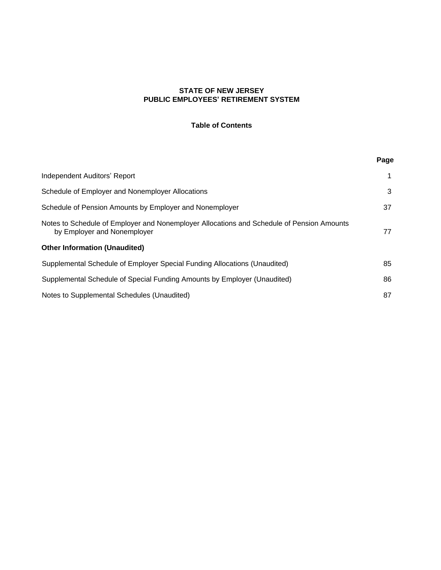# **Table of Contents**

|                                                                                                                          | Page |
|--------------------------------------------------------------------------------------------------------------------------|------|
| Independent Auditors' Report                                                                                             | 1    |
| Schedule of Employer and Nonemployer Allocations                                                                         | 3    |
| Schedule of Pension Amounts by Employer and Nonemployer                                                                  | 37   |
| Notes to Schedule of Employer and Nonemployer Allocations and Schedule of Pension Amounts<br>by Employer and Nonemployer | 77   |
| <b>Other Information (Unaudited)</b>                                                                                     |      |
| Supplemental Schedule of Employer Special Funding Allocations (Unaudited)                                                | 85   |
| Supplemental Schedule of Special Funding Amounts by Employer (Unaudited)                                                 | 86   |
| Notes to Supplemental Schedules (Unaudited)                                                                              | 87   |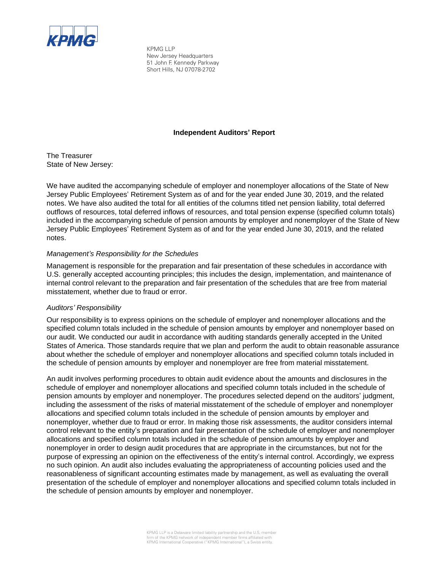

KPMG LLP New Jersey Headquarters 51 John F. Kennedy Parkway Short Hills, NJ 07078-2702

# **Independent Auditors' Report**

The Treasurer State of New Jersey:

We have audited the accompanying schedule of employer and nonemployer allocations of the State of New Jersey Public Employees' Retirement System as of and for the year ended June 30, 2019, and the related notes. We have also audited the total for all entities of the columns titled net pension liability, total deferred outflows of resources, total deferred inflows of resources, and total pension expense (specified column totals) included in the accompanying schedule of pension amounts by employer and nonemployer of the State of New Jersey Public Employees' Retirement System as of and for the year ended June 30, 2019, and the related notes.

# *Management's Responsibility for the Schedules*

Management is responsible for the preparation and fair presentation of these schedules in accordance with U.S. generally accepted accounting principles; this includes the design, implementation, and maintenance of internal control relevant to the preparation and fair presentation of the schedules that are free from material misstatement, whether due to fraud or error.

## *Auditors' Responsibility*

Our responsibility is to express opinions on the schedule of employer and nonemployer allocations and the specified column totals included in the schedule of pension amounts by employer and nonemployer based on our audit. We conducted our audit in accordance with auditing standards generally accepted in the United States of America. Those standards require that we plan and perform the audit to obtain reasonable assurance about whether the schedule of employer and nonemployer allocations and specified column totals included in the schedule of pension amounts by employer and nonemployer are free from material misstatement.

An audit involves performing procedures to obtain audit evidence about the amounts and disclosures in the schedule of employer and nonemployer allocations and specified column totals included in the schedule of pension amounts by employer and nonemployer. The procedures selected depend on the auditors' judgment, including the assessment of the risks of material misstatement of the schedule of employer and nonemployer allocations and specified column totals included in the schedule of pension amounts by employer and nonemployer, whether due to fraud or error. In making those risk assessments, the auditor considers internal control relevant to the entity's preparation and fair presentation of the schedule of employer and nonemployer allocations and specified column totals included in the schedule of pension amounts by employer and nonemployer in order to design audit procedures that are appropriate in the circumstances, but not for the purpose of expressing an opinion on the effectiveness of the entity's internal control. Accordingly, we express no such opinion. An audit also includes evaluating the appropriateness of accounting policies used and the reasonableness of significant accounting estimates made by management, as well as evaluating the overall presentation of the schedule of employer and nonemployer allocations and specified column totals included in the schedule of pension amounts by employer and nonemployer.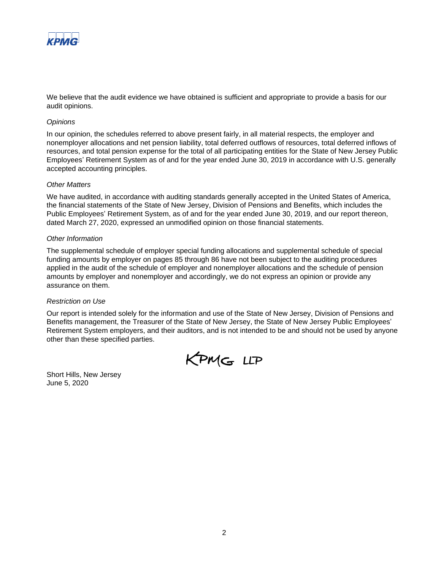

We believe that the audit evidence we have obtained is sufficient and appropriate to provide a basis for our audit opinions.

## *Opinions*

In our opinion, the schedules referred to above present fairly, in all material respects, the employer and nonemployer allocations and net pension liability, total deferred outflows of resources, total deferred inflows of resources, and total pension expense for the total of all participating entities for the State of New Jersey Public Employees' Retirement System as of and for the year ended June 30, 2019 in accordance with U.S. generally accepted accounting principles.

## *Other Matters*

We have audited, in accordance with auditing standards generally accepted in the United States of America, the financial statements of the State of New Jersey, Division of Pensions and Benefits, which includes the Public Employees' Retirement System, as of and for the year ended June 30, 2019, and our report thereon, dated March 27, 2020, expressed an unmodified opinion on those financial statements.

## *Other Information*

The supplemental schedule of employer special funding allocations and supplemental schedule of special funding amounts by employer on pages 85 through 86 have not been subject to the auditing procedures applied in the audit of the schedule of employer and nonemployer allocations and the schedule of pension amounts by employer and nonemployer and accordingly, we do not express an opinion or provide any assurance on them.

## *Restriction on Use*

Our report is intended solely for the information and use of the State of New Jersey, Division of Pensions and Benefits management, the Treasurer of the State of New Jersey, the State of New Jersey Public Employees' Retirement System employers, and their auditors, and is not intended to be and should not be used by anyone other than these specified parties.



Short Hills, New Jersey June 5, 2020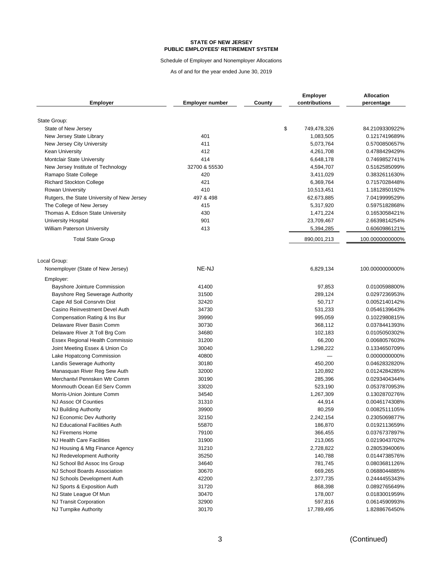Schedule of Employer and Nonemployer Allocations

| <b>Employer</b>                             | <b>Employer number</b> | County | <b>Employer</b><br>contributions | <b>Allocation</b><br>percentage |
|---------------------------------------------|------------------------|--------|----------------------------------|---------------------------------|
|                                             |                        |        |                                  |                                 |
| State Group:                                |                        | \$     |                                  |                                 |
| State of New Jersey                         |                        |        | 749,478,326                      | 84.2109330922%                  |
| New Jersey State Library                    | 401                    |        | 1,083,505                        | 0.1217419689%                   |
| New Jersey City University                  | 411                    |        | 5,073,764                        | 0.5700850657%                   |
| <b>Kean University</b>                      | 412                    |        | 4,261,708                        | 0.4788429429%                   |
| <b>Montclair State University</b>           | 414                    |        | 6,648,178                        | 0.7469852741%                   |
| New Jersey Institute of Technology          | 32700 & 55530          |        | 4,594,707                        | 0.5162585099%                   |
| Ramapo State College                        | 420                    |        | 3,411,029                        | 0.3832611630%                   |
| Richard Stockton College                    | 421                    |        | 6,369,764                        | 0.7157028448%                   |
| <b>Rowan University</b>                     | 410                    |        | 10,513,451                       | 1.1812850192%                   |
| Rutgers, the State University of New Jersey | 497 & 498              |        | 62,673,885                       | 7.0419999529%                   |
| The College of New Jersey                   | 415                    |        | 5,317,920                        | 0.5975182868%                   |
| Thomas A. Edison State University           | 430                    |        | 1,471,224                        | 0.1653058421%                   |
| <b>University Hospital</b>                  | 901                    |        | 23,709,467                       | 2.6639814254%                   |
| <b>William Paterson University</b>          | 413                    |        | 5,394,285                        | 0.6060986121%                   |
| <b>Total State Group</b>                    |                        |        | 890,001,213                      | 100.0000000000%                 |
| Local Group:                                |                        |        |                                  |                                 |
| Nonemployer (State of New Jersey)           | NE-NJ                  |        | 6,829,134                        | 100.0000000000%                 |
| Employer:                                   |                        |        |                                  |                                 |
| Bayshore Jointure Commission                | 41400                  |        | 97,853                           | 0.0100598800%                   |
| Bayshore Reg Sewerage Authority             | 31500                  |        | 289,124                          | 0.0297236953%                   |
| Cape Atl Soil Consrvtn Dist                 | 32420                  |        | 50,717                           | 0.0052140142%                   |
| Casino Reinvestment Devel Auth              | 34730                  |        | 531,233                          | 0.0546139643%                   |
| Compensation Rating & Ins Bur               | 39990                  |        | 995,059                          | 0.1022980815%                   |
| Delaware River Basin Comm                   | 30730                  |        | 368,112                          | 0.0378441393%                   |
| Delaware River Jt Toll Brg Com              | 34680                  |        | 102,183                          | 0.0105050302%                   |
| Essex Regional Health Commissio             | 31200                  |        | 66,200                           | 0.0068057603%                   |
| Joint Meeting Essex & Union Co              | 30040                  |        | 1,298,222                        | 0.1334650709%                   |
| Lake Hopatcong Commission                   | 40800                  |        |                                  | 0.0000000000%                   |
| Landis Sewerage Authority                   | 30180                  |        | 450,200                          | 0.0462832820%                   |
| Manasquan River Reg Sew Auth                | 32000                  |        | 120,892                          | 0.0124284285%                   |
| Merchantvl Pennsken Wtr Comm                | 30190                  |        | 285,396                          | 0.0293404344%                   |
| Monmouth Ocean Ed Serv Comm                 | 33020                  |        | 523,190                          | 0.0537870953%                   |
| Morris-Union Jointure Comm                  | 34540                  |        | 1,267,309                        | 0.1302870276%                   |
| NJ Assoc Of Counties                        | 31310                  |        | 44,914                           | 0.0046174308%                   |
| NJ Building Authority                       | 39900                  |        | 80,259                           | 0.0082511105%                   |
| NJ Economic Dev Authority                   | 32150                  |        | 2,242,154                        | 0.2305069877%                   |
| NJ Educational Facilities Auth              | 55870                  |        | 186,870                          | 0.0192113659%                   |
| <b>NJ Firemens Home</b>                     | 79100                  |        | 366,455                          | 0.0376737897%                   |
| NJ Health Care Facilities                   | 31900                  |        | 213,065                          | 0.0219043702%                   |
| NJ Housing & Mtg Finance Agency             | 31210                  |        | 2,728,822                        | 0.2805394006%                   |
| NJ Redevelopment Authority                  | 35250                  |        | 140,788                          | 0.0144738576%                   |
| NJ School Bd Assoc Ins Group                | 34640                  |        | 781,745                          | 0.0803681126%                   |
| NJ School Boards Association                | 30670                  |        | 669,265                          | 0.0688044885%                   |
| NJ Schools Development Auth                 | 42200                  |        | 2,377,735                        | 0.2444455343%                   |
| NJ Sports & Exposition Auth                 | 31720                  |        | 868,398                          | 0.0892765649%                   |
| NJ State League Of Mun                      | 30470                  |        | 178,007                          | 0.0183001959%                   |
| NJ Transit Corporation                      | 32900                  |        | 597,816                          | 0.0614590993%                   |
| NJ Turnpike Authority                       | 30170                  |        | 17,789,495                       | 1.8288676450%                   |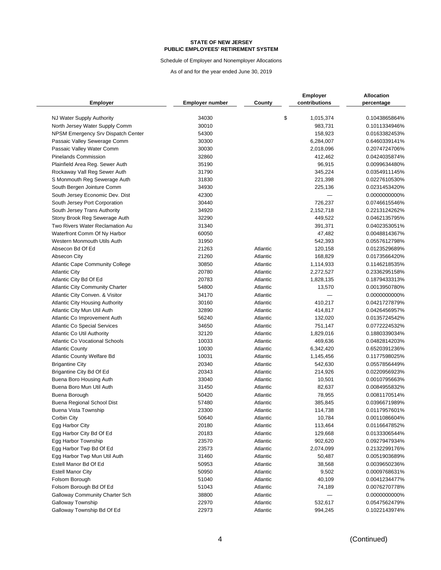Schedule of Employer and Nonemployer Allocations

|                                        |                        |          | <b>Employer</b> | Allocation    |
|----------------------------------------|------------------------|----------|-----------------|---------------|
| <b>Employer</b>                        | <b>Employer number</b> | County   | contributions   | percentage    |
| NJ Water Supply Authority              | 34030                  |          | \$<br>1,015,374 | 0.1043865864% |
| North Jersey Water Supply Comm         | 30010                  |          | 983,731         | 0.1011334946% |
| NPSM Emergency Srv Dispatch Center     | 54300                  |          | 158,923         | 0.0163382453% |
| Passaic Valley Sewerage Comm           | 30300                  |          | 6,284,007       | 0.6460339141% |
| Passaic Valley Water Comm              | 30030                  |          | 2,018,096       | 0.2074724706% |
| <b>Pinelands Commission</b>            | 32860                  |          | 412,462         | 0.0424035874% |
| Plainfield Area Reg. Sewer Auth        | 35190                  |          | 96,915          | 0.0099634480% |
| Rockaway Vall Reg Sewer Auth           | 31790                  |          | 345,224         | 0.0354911145% |
| S Monmouth Reg Sewerage Auth           | 31830                  |          | 221,398         | 0.0227610530% |
| South Bergen Jointure Comm             | 34930                  |          | 225,136         | 0.0231453420% |
| South Jersey Economic Dev. Dist        | 42300                  |          |                 | 0.0000000000% |
| South Jersey Port Corporation          | 30440                  |          | 726,237         | 0.0746615546% |
| South Jersey Trans Authority           | 34920                  |          | 2,152,718       | 0.2213124262% |
| Stony Brook Reg Sewerage Auth          | 32290                  |          | 449,522         | 0.0462135795% |
| Two Rivers Water Reclamation Au        | 31340                  |          | 391,371         | 0.0402353051% |
| Waterfront Comm Of Ny Harbor           | 60050                  |          | 47,482          | 0.0048814367% |
| Western Monmouth Utils Auth            | 31950                  |          | 542,393         | 0.0557612798% |
| Absecon Bd Of Ed                       | 21263                  | Atlantic | 120,158         | 0.0123529689% |
| Absecon City                           | 21260                  | Atlantic | 168,829         | 0.0173566420% |
| <b>Atlantic Cape Community College</b> | 30850                  | Atlantic | 1,114,933       | 0.1146218535% |
| <b>Atlantic City</b>                   | 20780                  | Atlantic | 2,272,527       | 0.2336295158% |
| Atlantic City Bd Of Ed                 | 20783                  | Atlantic | 1,828,135       | 0.1879433313% |
| <b>Atlantic City Community Charter</b> | 54800                  | Atlantic | 13,570          | 0.0013950780% |
| Atlantic City Conven. & Visitor        | 34170                  | Atlantic |                 | 0.0000000000% |
| <b>Atlantic City Housing Authority</b> | 30160                  | Atlantic | 410,217         | 0.0421727879% |
| Atlantic City Mun Util Auth            | 32890                  | Atlantic | 414,817         | 0.0426456957% |
| Atlantic Co Improvement Auth           | 56240                  | Atlantic | 132,020         | 0.0135724542% |
| <b>Atlantic Co Special Services</b>    | 34650                  | Atlantic | 751,147         | 0.0772224532% |
| <b>Atlantic Co Util Authority</b>      | 32120                  | Atlantic | 1,829,016       | 0.1880339034% |
| <b>Atlantic Co Vocational Schools</b>  | 10033                  | Atlantic | 469,636         | 0.0482814203% |
| <b>Atlantic County</b>                 | 10030                  | Atlantic | 6,342,420       | 0.6520391236% |
| <b>Atlantic County Welfare Bd</b>      | 10031                  | Atlantic | 1,145,456       | 0.1177598025% |
| <b>Brigantine City</b>                 | 20340                  | Atlantic | 542,630         | 0.0557856449% |
| Brigantine City Bd Of Ed               | 20343                  | Atlantic | 214,926         | 0.0220956923% |
| Buena Boro Housing Auth                | 33040                  | Atlantic | 10,501          | 0.0010795663% |
| Buena Boro Mun Util Auth               | 31450                  | Atlantic | 82,637          | 0.0084955832% |
| Buena Borough                          | 50420                  | Atlantic | 78,955          | 0.0081170514% |
| Buena Regional School Dist             | 57480                  | Atlantic | 385,845         | 0.0396671989% |
| <b>Buena Vista Township</b>            | 23300                  | Atlantic | 114,738         | 0.0117957601% |
| Corbin City                            | 50640                  | Atlantic | 10,784          | 0.0011086604% |
| Egg Harbor City                        | 20180                  | Atlantic | 113,464         | 0.0116647852% |
| Egg Harbor City Bd Of Ed               | 20183                  | Atlantic | 129,668         | 0.0133306544% |
| Egg Harbor Township                    | 23570                  | Atlantic | 902,620         | 0.0927947934% |
| Egg Harbor Twp Bd Of Ed                | 23573                  | Atlantic | 2,074,099       | 0.2132299176% |
| Egg Harbor Twp Mun Util Auth           | 31460                  | Atlantic | 50,487          | 0.0051903689% |
| Estell Manor Bd Of Ed                  | 50953                  | Atlantic | 38,568          | 0.0039650236% |
| <b>Estell Manor City</b>               | 50950                  | Atlantic | 9,502           | 0.0009768631% |
| Folsom Borough                         | 51040                  | Atlantic | 40,109          | 0.0041234477% |
| Folsom Borough Bd Of Ed                | 51043                  | Atlantic | 74,189          | 0.0076270778% |
| <b>Galloway Community Charter Sch</b>  | 38800                  | Atlantic |                 | 0.0000000000% |
| Galloway Township                      | 22970                  | Atlantic | 532,617         | 0.0547562479% |
| Galloway Township Bd Of Ed             | 22973                  | Atlantic | 994,245         | 0.1022143974% |
|                                        |                        |          |                 |               |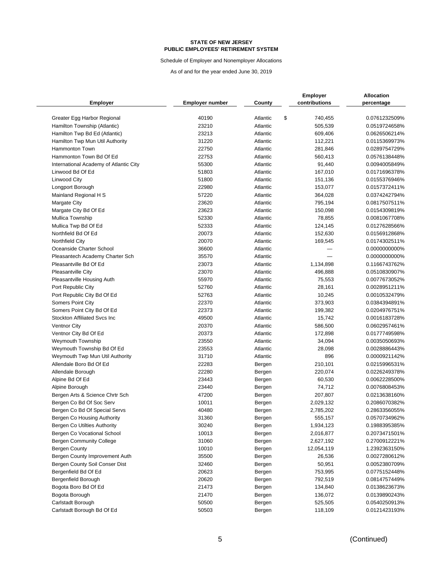Schedule of Employer and Nonemployer Allocations

|                                                             |                        |                  | <b>Employer</b>        | <b>Allocation</b>              |
|-------------------------------------------------------------|------------------------|------------------|------------------------|--------------------------------|
| <b>Employer</b>                                             | <b>Employer number</b> | County           | contributions          | percentage                     |
| Greater Egg Harbor Regional                                 | 40190                  | Atlantic         | \$<br>740,455          | 0.0761232509%                  |
| Hamilton Township (Atlantic)                                | 23210                  | Atlantic         | 505,539                | 0.0519724658%                  |
| Hamilton Twp Bd Ed (Atlantic)                               | 23213                  | Atlantic         | 609,406                | 0.0626506214%                  |
| Hamilton Twp Mun Util Authority                             | 31220                  | Atlantic         | 112,221                | 0.0115369973%                  |
| Hammonton Town                                              | 22750                  | Atlantic         | 281,846                | 0.0289754729%                  |
| Hammonton Town Bd Of Ed                                     | 22753                  | Atlantic         | 560,413                | 0.0576138448%                  |
| International Academy of Atlantic City                      | 55300                  | Atlantic         | 91,440                 | 0.0094005849%                  |
| Linwood Bd Of Ed                                            | 51803                  | Atlantic         | 167,010                | 0.0171696378%                  |
| Linwood City                                                | 51800                  | Atlantic         | 151,136                | 0.0155376946%                  |
| Longport Borough                                            | 22980                  | Atlantic         | 153,077                | 0.0157372411%                  |
| Mainland Regional H S                                       | 57220                  | Atlantic         | 364,028                | 0.0374242794%                  |
| <b>Margate City</b>                                         | 23620                  | Atlantic         | 795,194                | 0.0817507511%                  |
| Margate City Bd Of Ed                                       | 23623                  | Atlantic         | 150,098                | 0.0154309819%                  |
| Mullica Township                                            | 52330                  | Atlantic         | 78,855                 | 0.0081067708%                  |
| Mullica Twp Bd Of Ed                                        | 52333                  | Atlantic         | 124,145                | 0.0127628566%                  |
| Northfield Bd Of Ed                                         | 20073                  | Atlantic         | 152,630                | 0.0156912868%                  |
| Northfield City                                             | 20070                  | Atlantic         | 169,545                | 0.0174302511%                  |
| Oceanside Charter School                                    | 36600                  | Atlantic         |                        | 0.0000000000%                  |
| Pleasantech Academy Charter Sch                             | 35570                  | Atlantic         |                        | 0.0000000000%                  |
| Pleasantville Bd Of Ed                                      | 23073                  | Atlantic         | 1,134,898              | 0.1166743762%                  |
| Pleasantville City                                          | 23070                  | Atlantic         | 496,888                | 0.0510830907%                  |
| Pleasantville Housing Auth                                  | 55970                  | Atlantic         | 75,553                 | 0.0077673052%                  |
| Port Republic City                                          | 52760                  | Atlantic         | 28,161                 | 0.0028951211%                  |
| Port Republic City Bd Of Ed                                 | 52763                  | Atlantic         | 10,245                 | 0.0010532479%                  |
| <b>Somers Point City</b>                                    | 22370                  | Atlantic         | 373,903                | 0.0384394891%                  |
| Somers Point City Bd Of Ed                                  | 22373                  | Atlantic         | 199,382                | 0.0204976751%                  |
| Stockton Affiliated Svcs Inc                                | 49500                  | Atlantic         | 15,742                 | 0.0016183728%                  |
| <b>Ventnor City</b>                                         | 20370                  | Atlantic         | 586,500                | 0.0602957461%                  |
| Ventnor City Bd Of Ed                                       | 20373                  | Atlantic         | 172,898                | 0.0177749598%                  |
| <b>Weymouth Township</b>                                    | 23550                  | Atlantic         | 34,094                 | 0.0035050693%                  |
| Weymouth Township Bd Of Ed                                  | 23553                  | Atlantic         | 28,098                 | 0.0028886443%                  |
|                                                             | 31710                  | Atlantic         | 896                    | 0.0000921142%                  |
| Weymouth Twp Mun Util Authority<br>Allendale Boro Bd Of Ed  | 22283                  |                  | 210,101                | 0.0215996531%                  |
| Allendale Borough                                           | 22280                  | Bergen           | 220,074                | 0.0226249378%                  |
|                                                             | 23443                  | Bergen           |                        | 0.0062228500%                  |
| Alpine Bd Of Ed<br>Alpine Borough                           | 23440                  | Bergen           | 60,530                 | 0.0076808453%                  |
| Bergen Arts & Science Chrtr Sch                             | 47200                  | Bergen           | 74,712<br>207,807      | 0.0213638160%                  |
| Bergen Co Bd Of Soc Serv                                    | 10011                  | Bergen           |                        | 0.2086070382%                  |
|                                                             | 40480                  | Bergen           | 2,029,132              | 0.2863356055%                  |
| Bergen Co Bd Of Special Servs                               |                        | Bergen           | 2,785,202              |                                |
| Bergen Co Housing Authority<br>Bergen Co Utilties Authority | 31360<br>30240         | Bergen<br>Bergen | 555,157                | 0.0570734962%<br>0.1988395385% |
| Bergen Co Vocational School                                 | 10013                  |                  | 1,934,123<br>2,016,877 | 0.2073471501%                  |
| <b>Bergen Community College</b>                             | 31060                  | Bergen           |                        | 0.2700912221%                  |
|                                                             | 10010                  | Bergen           | 2,627,192              |                                |
| Bergen County<br>Bergen County Improvement Auth             | 35500                  | Bergen           | 12,054,119             | 1.2392363150%<br>0.0027280612% |
|                                                             |                        | Bergen           | 26,536                 |                                |
| Bergen County Soil Conser Dist<br>Bergenfield Bd Of Ed      | 32460                  | Bergen           | 50,951                 | 0.0052380709%                  |
|                                                             | 20623                  | Bergen           | 753,995                | 0.0775152448%                  |
| Bergenfield Borough                                         | 20620                  | Bergen           | 792,519                | 0.0814757449%                  |
| Bogota Boro Bd Of Ed                                        | 21473                  | Bergen           | 134,840                | 0.0138623673%                  |
| Bogota Borough                                              | 21470                  | Bergen           | 136,072                | 0.0139890243%                  |
| Carlstadt Borough                                           | 50500                  | Bergen           | 525,505                | 0.0540250913%                  |
| Carlstadt Borough Bd Of Ed                                  | 50503                  | Bergen           | 118,109                | 0.0121423193%                  |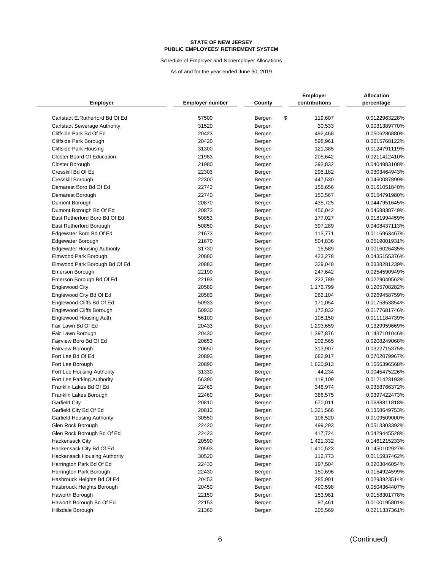Schedule of Employer and Nonemployer Allocations

| Employer                            | <b>Employer number</b> | County | <b>Employer</b><br>contributions | <b>Allocation</b><br>percentage |
|-------------------------------------|------------------------|--------|----------------------------------|---------------------------------|
| Carlstadt E.Rutherford Bd Of Ed     | 57500                  | Bergen | \$<br>119,607                    | 0.0122963228%                   |
| <b>Carlstadt Sewerage Authority</b> | 31520                  | Bergen | 30,533                           | 0.0031389770%                   |
| Cliffside Park Bd Of Ed             | 20423                  | Bergen | 492,468                          | 0.0506286880%                   |
| Cliffside Park Borough              | 20420                  | Bergen | 598,961                          | 0.0615768122%                   |
| Cliffside Park Housing              | 31300                  | Bergen | 121,385                          | 0.0124791119%                   |
| <b>Closter Board Of Education</b>   | 21983                  | Bergen | 205,642                          | 0.0211412410%                   |
| <b>Closter Borough</b>              | 21980                  | Bergen | 393,832                          | 0.0404883108%                   |
| Cresskill Bd Of Ed                  | 22303                  | Bergen | 295,182                          | 0.0303464943%                   |
| Cresskill Borough                   | 22300                  | Bergen | 447,530                          | 0.0460087899%                   |
| Demarest Boro Bd Of Ed              | 22743                  | Bergen | 156,656                          | 0.0161051840%                   |
| Demarest Borough                    | 22740                  | Bergen | 150,567                          | 0.0154791980%                   |
| Dumont Borough                      | 20870                  | Bergen | 435,725                          | 0.0447951645%                   |
| Dumont Borough Bd Of Ed             | 20873                  | Bergen | 456,042                          | 0.0468838749%                   |
| East Rutherford Boro Bd Of Ed       | 50853                  | Bergen | 177,027                          | 0.0181994459%                   |
| East Rutherford Borough             | 50850                  | Bergen | 397,289                          | 0.0408437113%                   |
| Edgewater Boro Bd Of Ed             | 21673                  | Bergen | 113,771                          | 0.0116963467%                   |
| Edgewater Borough                   | 21670                  | Bergen | 504,836                          | 0.0519001931%                   |
| <b>Edgewater Housing Authority</b>  | 31730                  | Bergen | 15,589                           | 0.0016026435%                   |
| Elmwood Park Borough                | 20880                  | Bergen | 423,278                          | 0.0435155376%                   |
| Elmwood Park Borough Bd Of Ed       | 20883                  | Bergen | 329,048                          | 0.0338281239%                   |
| Emerson Borough                     | 22190                  | Bergen | 247,642                          | 0.0254590949%                   |
| Emerson Borough Bd Of Ed            | 22193                  | Bergen | 222,789                          | 0.0229040562%                   |
| <b>Englewood City</b>               | 20580                  | Bergen | 1,172,799                        | 0.1205708282%                   |
| Englewood City Bd Of Ed             | 20583                  | Bergen | 262,104                          | 0.0269458759%                   |
| Englewood Cliffs Bd Of Ed           | 50933                  | Bergen | 171,054                          | 0.0175853854%                   |
| Englewood Cliffs Borough            | 50930                  | Bergen | 172,832                          | 0.0177681746%                   |
| <b>Englewood Housing Auth</b>       | 56100                  | Bergen | 108,150                          | 0.0111184739%                   |
| Fair Lawn Bd Of Ed                  | 20433                  | Bergen | 1,293,659                        | 0.1329959669%                   |
| Fair Lawn Borough                   | 20430                  | Bergen | 1,397,876                        | 0.1437101046%                   |
| Fairview Boro Bd Of Ed              | 20653                  | Bergen | 202,565                          | 0.0208249068%                   |
| <b>Fairview Borough</b>             | 20650                  | Bergen | 313,907                          | 0.0322715375%                   |
| Fort Lee Bd Of Ed                   | 20893                  | Bergen | 682,917                          | 0.0702079967%                   |
| Fort Lee Borough                    | 20890                  | Bergen | 1,620,913                        | 0.1666396568%                   |
| Fort Lee Housing Authority          | 31330                  | Bergen | 44,234                           | 0.0045475226%                   |
| Fort Lee Parking Authority          | 56390                  | Bergen | 118,109                          | 0.0121423193%                   |
| Franklin Lakes Bd Of Ed             | 22463                  | Bergen | 348,974                          | 0.0358766372%                   |
| Franklin Lakes Borough              | 22460                  | Bergen | 386,575                          | 0.0397422473%                   |
| <b>Garfield City</b>                | 20810                  | Bergen | 670,011                          | 0.0688811818%                   |
| Garfield City Bd Of Ed              | 20813                  | Bergen | 1,321,566                        | 0.1358649753%                   |
| Garfield Housing Authority          | 30550                  | Bergen | 106,520                          | 0.0109509000%                   |
| Glen Rock Borough                   | 22420                  | Bergen | 499,293                          | 0.0513303392%                   |
| Glen Rock Borough Bd Of Ed          | 22423                  | Bergen | 417,724                          | 0.0429445528%                   |
| <b>Hackensack City</b>              | 20590                  | Bergen | 1,421,332                        | 0.1461215233%                   |
| Hackensack City Bd Of Ed            | 20593                  | Bergen | 1,410,523                        | 0.1450102927%                   |
| Hackensack Housing Authority        | 30520                  | Bergen | 112,773                          | 0.0115937462%                   |
| Harrington Park Bd Of Ed            | 22433                  | Bergen | 197,504                          | 0.0203046054%                   |
| Harrington Park Borough             | 22430                  | Bergen | 150,696                          | 0.0154924599%                   |
| Hasbrouck Heights Bd Of Ed          | 20453                  | Bergen | 285,901                          | 0.0293923514%                   |
| Hasbrouck Heights Borough           | 20450                  | Bergen | 490,598                          | 0.0504364407%                   |
| Haworth Borough                     | 22150                  | Bergen | 153,981                          | 0.0158301778%                   |
| Haworth Borough Bd Of Ed            | 22153                  | Bergen | 97,461                           | 0.0100195801%                   |
| Hillsdale Borough                   | 21360                  | Bergen | 205,569                          | 0.0211337361%                   |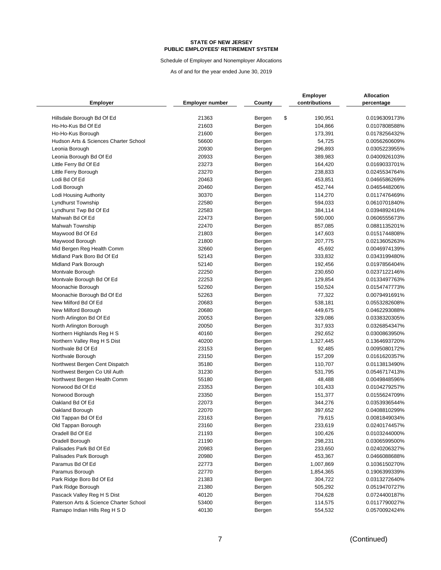Schedule of Employer and Nonemployer Allocations

|                                                  |                        |                  | <b>Employer</b>    | Allocation                     |
|--------------------------------------------------|------------------------|------------------|--------------------|--------------------------------|
| <b>Employer</b>                                  | <b>Employer number</b> | County           | contributions      | percentage                     |
|                                                  | 21363                  |                  | \$                 |                                |
| Hillsdale Borough Bd Of Ed<br>Ho-Ho-Kus Bd Of Ed | 21603                  | Bergen<br>Bergen | 190,951<br>104,866 | 0.0196309173%<br>0.0107808588% |
| Ho-Ho-Kus Borough                                | 21600                  |                  | 173,391            | 0.0178256432%                  |
| Hudson Arts & Sciences Charter School            | 56600                  | Bergen           | 54,725             | 0.0056260609%                  |
| Leonia Borough                                   | 20930                  | Bergen           | 296,893            | 0.0305223955%                  |
|                                                  | 20933                  | Bergen           | 389,983            | 0.0400926103%                  |
| Leonia Borough Bd Of Ed                          | 23273                  | Bergen           |                    |                                |
| Little Ferry Bd Of Ed                            | 23270                  | Bergen           | 164,420            | 0.0169033701%                  |
| Little Ferry Borough                             | 20463                  | Bergen           | 238,833            | 0.0245534764%                  |
| Lodi Bd Of Ed<br>Lodi Borough                    | 20460                  | Bergen           | 453,851<br>452,744 | 0.0466586269%<br>0.0465448206% |
|                                                  | 30370                  | Bergen           |                    |                                |
| Lodi Housing Authority                           | 22580                  | Bergen           | 114,270            | 0.0117476469%                  |
| Lyndhurst Township                               |                        | Bergen           | 594,033            | 0.0610701840%                  |
| Lyndhurst Twp Bd Of Ed<br>Mahwah Bd Of Ed        | 22583<br>22473         | Bergen           | 384,114            | 0.0394892416%<br>0.0606555673% |
|                                                  |                        | Bergen           | 590,000            |                                |
| <b>Mahwah Township</b>                           | 22470                  | Bergen           | 857,085            | 0.0881135201%<br>0.0151744808% |
| Maywood Bd Of Ed                                 | 21803                  | Bergen           | 147,603            |                                |
| Maywood Borough                                  | 21800                  | Bergen           | 207,775            | 0.0213605263%                  |
| Mid Bergen Reg Health Comm                       | 32660                  | Bergen           | 45,692             | 0.0046974139%                  |
| Midland Park Boro Bd Of Ed                       | 52143                  | Bergen           | 333,832            | 0.0343199480%                  |
| Midland Park Borough                             | 52140                  | Bergen           | 192,456            | 0.0197856404%                  |
| Montvale Borough                                 | 22250                  | Bergen           | 230,650            | 0.0237122146%                  |
| Montvale Borough Bd Of Ed                        | 22253                  | Bergen           | 129,854            | 0.0133497763%                  |
| Moonachie Borough                                | 52260                  | Bergen           | 150,524            | 0.0154747773%                  |
| Moonachie Borough Bd Of Ed                       | 52263                  | Bergen           | 77,322             | 0.0079491691%                  |
| New Milford Bd Of Ed                             | 20683                  | Bergen           | 538,181            | 0.0553282608%                  |
| New Milford Borough                              | 20680                  | Bergen           | 449,675            | 0.0462293088%                  |
| North Arlington Bd Of Ed                         | 20053                  | Bergen           | 329,086            | 0.0338320305%                  |
| North Arlington Borough                          | 20050                  | Bergen           | 317,933            | 0.0326854347%                  |
| Northern Highlands Reg H S                       | 40160                  | Bergen           | 292,652            | 0.0300863950%                  |
| Northern Valley Reg H S Dist                     | 40200                  | Bergen           | 1,327,445          | 0.1364693720%                  |
| Northvale Bd Of Ed                               | 23153                  | Bergen           | 92,485             | 0.0095080172%                  |
| Northvale Borough                                | 23150                  | Bergen           | 157,209            | 0.0161620357%                  |
| Northwest Bergen Cent Dispatch                   | 35180                  | Bergen           | 110,707            | 0.0113813490%                  |
| Northwest Bergen Co Util Auth                    | 31230                  | Bergen           | 531,795            | 0.0546717413%                  |
| Northwest Bergen Health Comm                     | 55180                  | Bergen           | 48,488             | 0.0049848596%                  |
| Norwood Bd Of Ed                                 | 23353                  | Bergen           | 101,433            | 0.0104279257%                  |
| Norwood Borough                                  | 23350                  | Bergen           | 151,377            | 0.0155624709%                  |
| Oakland Bd Of Ed                                 | 22073                  | Bergen           | 344,276            | 0.0353936544%                  |
| Oakland Borough                                  | 22070                  | Bergen           | 397,652            | 0.0408810299%                  |
| Old Tappan Bd Of Ed                              | 23163                  | Bergen           | 79,615             | 0.0081849034%                  |
| Old Tappan Borough                               | 23160                  | Bergen           | 233,619            | 0.0240174457%                  |
| Oradell Bd Of Ed                                 | 21193                  | Bergen           | 100,426            | 0.0103244000%                  |
| Oradell Borough                                  | 21190                  | Bergen           | 298,231            | 0.0306599500%                  |
| Palisades Park Bd Of Ed                          | 20983                  | Bergen           | 233,650            | 0.0240206327%                  |
| Palisades Park Borough                           | 20980                  | Bergen           | 453,367            | 0.0466088688%                  |
| Paramus Bd Of Ed                                 | 22773                  | Bergen           | 1,007,869          | 0.1036150270%                  |
| Paramus Borough                                  | 22770                  | Bergen           | 1,854,365          | 0.1906399339%                  |
| Park Ridge Boro Bd Of Ed                         | 21383                  | Bergen           | 304,722            | 0.0313272640%                  |
| Park Ridge Borough                               | 21380                  | Bergen           | 505,292            | 0.0519470727%                  |
| Pascack Valley Reg H S Dist                      | 40120                  | Bergen           | 704,628            | 0.0724400187%                  |
| Paterson Arts & Science Charter School           | 53400                  | Bergen           | 114,575            | 0.0117790027%                  |
| Ramapo Indian Hills Reg H S D                    | 40130                  | Bergen           | 554,532            | 0.0570092424%                  |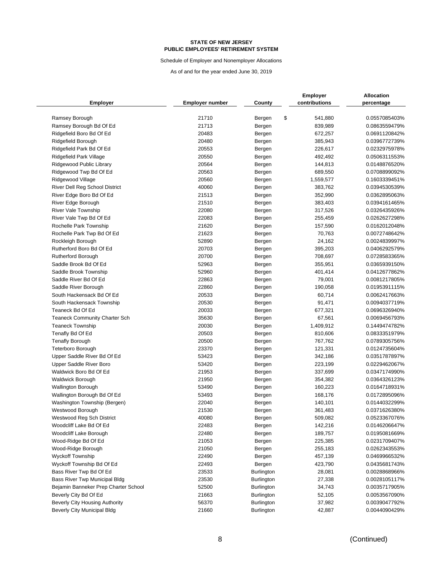Schedule of Employer and Nonemployer Allocations

|                                      |                        |                   | <b>Employer</b> | <b>Allocation</b> |
|--------------------------------------|------------------------|-------------------|-----------------|-------------------|
| Employer                             | <b>Employer number</b> | County            | contributions   | percentage        |
| Ramsey Borough                       | 21710                  | Bergen            | \$<br>541,880   | 0.0557085403%     |
| Ramsey Borough Bd Of Ed              | 21713                  | Bergen            | 839,989         | 0.0863559479%     |
| Ridgefield Boro Bd Of Ed             | 20483                  | Bergen            | 672,257         | 0.0691120842%     |
| Ridgefield Borough                   | 20480                  | Bergen            | 385,943         | 0.0396772739%     |
| Ridgefield Park Bd Of Ed             | 20553                  | Bergen            | 226,617         | 0.0232975978%     |
| Ridgefield Park Village              | 20550                  | Bergen            | 492,492         | 0.0506311553%     |
| Ridgewood Public Library             | 20564                  | Bergen            | 144,813         | 0.0148876520%     |
| Ridgewood Twp Bd Of Ed               | 20563                  | Bergen            | 689,550         | 0.0708899092%     |
| Ridgewood Village                    | 20560                  | Bergen            | 1,559,577       | 0.1603339451%     |
| River Dell Reg School District       | 40060                  | Bergen            | 383,762         | 0.0394530539%     |
| River Edge Boro Bd Of Ed             | 21513                  | Bergen            | 352,990         | 0.0362895063%     |
| River Edge Borough                   | 21510                  | Bergen            | 383,403         | 0.0394161465%     |
| <b>River Vale Township</b>           | 22080                  | Bergen            | 317,526         | 0.0326435926%     |
| River Vale Twp Bd Of Ed              | 22083                  | Bergen            | 255,459         | 0.0262627298%     |
| Rochelle Park Township               | 21620                  | Bergen            | 157,590         | 0.0162012048%     |
| Rochelle Park Twp Bd Of Ed           | 21623                  | Bergen            | 70,763          | 0.0072748642%     |
| Rockleigh Borough                    | 52890                  | Bergen            | 24,162          | 0.0024839997%     |
| Rutherford Boro Bd Of Ed             | 20703                  | Bergen            | 395,203         | 0.0406292579%     |
| <b>Rutherford Borough</b>            | 20700                  | Bergen            | 708,697         | 0.0728583365%     |
| Saddle Brook Bd Of Ed                | 52963                  | Bergen            | 355,951         | 0.0365939150%     |
| Saddle Brook Township                | 52960                  | Bergen            | 401,414         | 0.0412677862%     |
| Saddle River Bd Of Ed                | 22863                  | Bergen            | 79,001          | 0.0081217805%     |
| Saddle River Borough                 | 22860                  | Bergen            | 190,058         | 0.0195391115%     |
| South Hackensack Bd Of Ed            | 20533                  | Bergen            | 60,714          | 0.0062417663%     |
| South Hackensack Township            | 20530                  | Bergen            | 91,471          | 0.0094037719%     |
| Teaneck Bd Of Ed                     | 20033                  | Bergen            | 677,321         | 0.0696326940%     |
| <b>Teaneck Community Charter Sch</b> | 35630                  | Bergen            | 67,561          | 0.0069456793%     |
| <b>Teaneck Township</b>              | 20030                  | Bergen            | 1,409,912       | 0.1449474782%     |
| Tenafly Bd Of Ed                     | 20503                  | Bergen            | 810,606         | 0.0833351979%     |
| <b>Tenafly Borough</b>               | 20500                  | Bergen            | 767,762         | 0.0789305756%     |
| <b>Teterboro Borough</b>             | 23370                  | Bergen            | 121,331         | 0.0124735604%     |
| Upper Saddle River Bd Of Ed          | 53423                  | Bergen            | 342,186         | 0.0351787897%     |
| <b>Upper Saddle River Boro</b>       | 53420                  | Bergen            | 223,199         | 0.0229462067%     |
| Waldwick Boro Bd Of Ed               | 21953                  | Bergen            | 337,699         | 0.0347174990%     |
| <b>Waldwick Borough</b>              | 21950                  | Bergen            | 354,382         | 0.0364326123%     |
| <b>Wallington Borough</b>            | 53490                  | Bergen            | 160,223         | 0.0164718931%     |
| Wallington Borough Bd Of Ed          | 53493                  | Bergen            | 168,176         | 0.0172895096%     |
| Washington Township (Bergen)         | 22040                  | Bergen            | 140,101         | 0.0144032299%     |
| Westwood Borough                     | 21530                  | Bergen            | 361,483         | 0.0371626380%     |
| Westwood Reg Sch District            | 40080                  | Bergen            | 509,082         | 0.0523367076%     |
| Woodcliff Lake Bd Of Ed              | 22483                  | Bergen            | 142,216         | 0.0146206647%     |
| Woodcliff Lake Borough               | 22480                  | Bergen            | 189,757         | 0.0195081669%     |
| Wood-Ridge Bd Of Ed                  | 21053                  | Bergen            | 225,385         | 0.0231709407%     |
| Wood-Ridge Borough                   | 21050                  | Bergen            | 255,183         | 0.0262343553%     |
| <b>Wyckoff Township</b>              | 22490                  | Bergen            | 457,139         | 0.0469966532%     |
| Wyckoff Township Bd Of Ed            | 22493                  | Bergen            | 423,790         | 0.0435681743%     |
| Bass River Twp Bd Of Ed              | 23533                  | <b>Burlington</b> | 28,081          | 0.0028868966%     |
| Bass River Twp Municipal Bldg        | 23530                  | <b>Burlington</b> | 27,338          | 0.0028105117%     |
| Bejamin Banneker Prep Charter School | 52500                  | <b>Burlington</b> | 34,743          | 0.0035717905%     |
| Beverly City Bd Of Ed                | 21663                  | <b>Burlington</b> | 52,105          | 0.0053567090%     |
| Beverly City Housing Authority       | 56370                  | Burlington        | 37,982          | 0.0039047792%     |
| Beverly City Municipal Bldg          | 21660                  | Burlington        | 42,887          | 0.0044090429%     |
|                                      |                        |                   |                 |                   |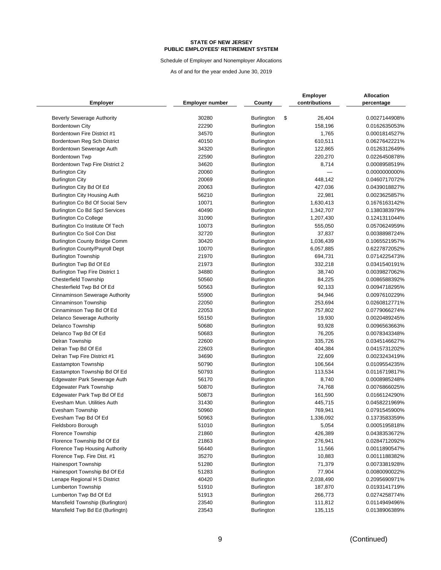Schedule of Employer and Nonemployer Allocations

|                                                             |                        |                          | <b>Employer</b>         | Allocation                     |
|-------------------------------------------------------------|------------------------|--------------------------|-------------------------|--------------------------------|
| <b>Employer</b>                                             | <b>Employer number</b> | County                   | contributions           | percentage                     |
|                                                             | 30280                  |                          |                         |                                |
| <b>Beverly Sewerage Authority</b><br><b>Bordentown City</b> | 22290                  | Burlington<br>Burlington | \$<br>26,404<br>158,196 | 0.0027144908%<br>0.0162635053% |
| Bordentown Fire District #1                                 | 34570                  |                          | 1,765                   | 0.0001814527%                  |
| Bordentown Reg Sch District                                 | 40150                  | Burlington               |                         | 0.0627642221%                  |
|                                                             |                        | Burlington               | 610,511                 |                                |
| Bordentown Sewerage Auth                                    | 34320<br>22590         | <b>Burlington</b>        | 122,865                 | 0.0126312649%                  |
| Bordentown Twp                                              | 34620                  | <b>Burlington</b>        | 220,270                 | 0.0226450878%                  |
| Bordentown Twp Fire District 2                              | 20060                  | Burlington               | 8,714                   | 0.0008958519%                  |
| <b>Burlington City</b>                                      | 20069                  | Burlington               |                         | 0.0000000000%                  |
| <b>Burlington City</b>                                      | 20063                  | <b>Burlington</b>        | 448,142                 | 0.0460717072%                  |
| Burlington City Bd Of Ed                                    |                        | Burlington               | 427,036                 | 0.0439018827%                  |
| Burlington City Housing Auth                                | 56210                  | <b>Burlington</b>        | 22,981                  | 0.0023625857%                  |
| Burlington Co Bd Of Social Serv                             | 10071                  | Burlington               | 1,630,413               | 0.1676163142%                  |
| Burlington Co Bd Spcl Services                              | 40490                  | Burlington               | 1,342,707               | 0.1380383979%                  |
| <b>Burlington Co College</b>                                | 31090                  | Burlington               | 1,207,430               | 0.1241311044%                  |
| Burlington Co Institute Of Tech                             | 10073                  | Burlington               | 555,050                 | 0.0570624959%                  |
| Burlington Co Soil Con Dist                                 | 32720                  | Burlington               | 37,837                  | 0.0038898724%                  |
| <b>Burlington County Bridge Comm</b>                        | 30420                  | <b>Burlington</b>        | 1,036,439               | 0.1065521957%                  |
| <b>Burlington County/Payroll Dept</b>                       | 10070                  | Burlington               | 6,057,885               | 0.6227872052%                  |
| <b>Burlington Township</b>                                  | 21970                  | <b>Burlington</b>        | 694,731                 | 0.0714225473%                  |
| Burlington Twp Bd Of Ed                                     | 21973                  | Burlington               | 332,218                 | 0.0341540191%                  |
| <b>Burlington Twp Fire District 1</b>                       | 34880                  | <b>Burlington</b>        | 38,740                  | 0.0039827062%                  |
| <b>Chesterfield Township</b>                                | 50560                  | <b>Burlington</b>        | 84,225                  | 0.0086588392%                  |
| Chesterfield Twp Bd Of Ed                                   | 50563                  | <b>Burlington</b>        | 92,133                  | 0.0094718295%                  |
| Cinnaminson Sewerage Authority                              | 55900                  | Burlington               | 94,946                  | 0.0097610229%                  |
| Cinnaminson Township                                        | 22050                  | <b>Burlington</b>        | 253,694                 | 0.0260812771%                  |
| Cinnaminson Twp Bd Of Ed                                    | 22053                  | <b>Burlington</b>        | 757,802                 | 0.0779066274%                  |
| Delanco Sewerage Authority                                  | 55150                  | <b>Burlington</b>        | 19,930                  | 0.0020489245%                  |
| Delanco Township                                            | 50680                  | Burlington               | 93,928                  | 0.0096563663%                  |
| Delanco Twp Bd Of Ed                                        | 50683                  | <b>Burlington</b>        | 76,205                  | 0.0078343348%                  |
| Delran Township                                             | 22600                  | Burlington               | 335,726                 | 0.0345146627%                  |
| Delran Twp Bd Of Ed                                         | 22603                  | <b>Burlington</b>        | 404,384                 | 0.0415731202%                  |
| Delran Twp Fire District #1                                 | 34690                  | <b>Burlington</b>        | 22,609                  | 0.0023243419%                  |
| Eastampton Township                                         | 50790                  | <b>Burlington</b>        | 106,564                 | 0.0109554235%                  |
| Eastampton Township Bd Of Ed                                | 50793                  | <b>Burlington</b>        | 113,534                 | 0.0116719817%                  |
| Edgewater Park Sewerage Auth                                | 56170                  | <b>Burlington</b>        | 8,740                   | 0.0008985248%                  |
| <b>Edgewater Park Township</b>                              | 50870                  | <b>Burlington</b>        | 74,768                  | 0.0076866025%                  |
| Edgewater Park Twp Bd Of Ed                                 | 50873                  | <b>Burlington</b>        | 161,590                 | 0.0166124290%                  |
| Evesham Mun. Utilities Auth                                 | 31430                  | <b>Burlington</b>        | 445,715                 | 0.0458221969%                  |
| Evesham Township                                            | 50960                  | <b>Burlington</b>        | 769,941                 | 0.0791545900%                  |
| Evesham Twp Bd Of Ed                                        | 50963                  | Burlington               | 1,336,092               | 0.1373583359%                  |
| Fieldsboro Borough                                          | 51010                  | <b>Burlington</b>        | 5,054                   | 0.0005195818%                  |
| <b>Florence Township</b>                                    | 21860                  | <b>Burlington</b>        | 426,389                 | 0.0438353672%                  |
| Florence Township Bd Of Ed                                  | 21863                  | <b>Burlington</b>        | 276,941                 | 0.0284712092%                  |
| Florence Twp Housing Authority                              | 56440                  | <b>Burlington</b>        | 11,566                  | 0.0011890547%                  |
| Florence Twp. Fire Dist. #1                                 | 35270                  | <b>Burlington</b>        | 10,883                  | 0.0011188382%                  |
| Hainesport Township                                         | 51280                  | <b>Burlington</b>        | 71,379                  | 0.0073381928%                  |
| Hainesport Township Bd Of Ed                                | 51283                  | <b>Burlington</b>        | 77,904                  | 0.0080090022%                  |
| Lenape Regional H S District                                | 40420                  | <b>Burlington</b>        | 2,038,490               | 0.2095690971%                  |
| Lumberton Township                                          | 51910                  | Burlington               | 187,870                 | 0.0193141719%                  |
| Lumberton Twp Bd Of Ed                                      | 51913                  | <b>Burlington</b>        | 266,773                 | 0.0274258774%                  |
| Mansfield Township (Burlington)                             | 23540                  | Burlington               | 111,812                 | 0.0114949496%                  |
| Mansfield Twp Bd Ed (Burlingtn)                             | 23543                  | <b>Burlington</b>        | 135,115                 | 0.0138906389%                  |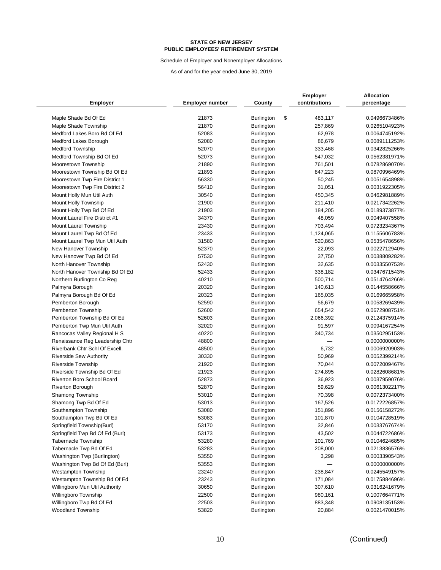Schedule of Employer and Nonemployer Allocations

| <b>Employer</b>                                        | <b>Employer number</b> | County                                 | <b>Employer</b><br>contributions | <b>Allocation</b><br>percentage |
|--------------------------------------------------------|------------------------|----------------------------------------|----------------------------------|---------------------------------|
| Maple Shade Bd Of Ed                                   | 21873                  | <b>Burlington</b>                      | \$<br>483,117                    | 0.0496673486%                   |
| Maple Shade Township                                   | 21870                  | <b>Burlington</b>                      | 257,869                          | 0.0265104923%                   |
| Medford Lakes Boro Bd Of Ed                            | 52083                  | Burlington                             | 62,978                           | 0.0064745192%                   |
| Medford Lakes Borough                                  | 52080                  | <b>Burlington</b>                      | 86,679                           | 0.0089111253%                   |
| <b>Medford Township</b>                                | 52070                  | Burlington                             | 333,468                          | 0.0342825266%                   |
| Medford Township Bd Of Ed                              | 52073                  | <b>Burlington</b>                      | 547,032                          | 0.0562381971%                   |
| Moorestown Township                                    | 21890                  | <b>Burlington</b>                      | 761,501                          | 0.0782869070%                   |
| Moorestown Township Bd Of Ed                           | 21893                  | <b>Burlington</b>                      | 847,223                          | 0.0870996469%                   |
| Moorestown Twp Fire District 1                         | 56330                  | Burlington                             | 50,245                           | 0.0051654898%                   |
| Moorestown Twp Fire District 2                         | 56410                  | <b>Burlington</b>                      | 31,051                           | 0.0031922305%                   |
| Mount Holly Mun Util Auth                              | 30540                  | Burlington                             | 450,345                          | 0.0462981889%                   |
| Mount Holly Township                                   | 21900                  | Burlington                             | 211,410                          | 0.0217342262%                   |
| Mount Holly Twp Bd Of Ed                               | 21903                  | <b>Burlington</b>                      | 184,205                          | 0.0189373877%                   |
| Mount Laurel Fire District #1                          | 34370                  | <b>Burlington</b>                      | 48,059                           | 0.0049407558%                   |
| <b>Mount Laurel Township</b>                           | 23430                  | <b>Burlington</b>                      | 703,494                          | 0.0723234367%                   |
| Mount Laurel Twp Bd Of Ed                              | 23433                  | Burlington                             | 1,124,065                        | 0.1155606783%                   |
| Mount Laurel Twp Mun Util Auth                         | 31580                  | <b>Burlington</b>                      | 520,863                          | 0.0535478656%                   |
| New Hanover Township                                   | 52370                  | Burlington                             | 22,093                           | 0.0022712940%                   |
| New Hanover Twp Bd Of Ed                               | 57530                  | <b>Burlington</b>                      | 37,750                           | 0.0038809282%                   |
| North Hanover Township                                 | 52430                  | Burlington                             | 32,635                           | 0.0033550753%                   |
| North Hanover Township Bd Of Ed                        | 52433                  | <b>Burlington</b>                      | 338,182                          | 0.0347671543%                   |
| Northern Burlington Co Reg                             | 40210                  | <b>Burlington</b>                      | 500,714                          | 0.0514764266%                   |
| Palmyra Borough                                        | 20320                  | <b>Burlington</b>                      | 140,613                          | 0.0144558666%                   |
|                                                        | 20323                  |                                        | 165,035                          | 0.0169665958%                   |
| Palmyra Borough Bd Of Ed<br>Pemberton Borough          | 52590                  | <b>Burlington</b><br><b>Burlington</b> | 56,679                           | 0.0058269439%                   |
| Pemberton Township                                     | 52600                  | <b>Burlington</b>                      | 654,542                          | 0.0672908751%                   |
| Pemberton Township Bd Of Ed                            | 52603                  | <b>Burlington</b>                      | 2,066,392                        | 0.2124375914%                   |
| Pemberton Twp Mun Util Auth                            | 32020                  | <b>Burlington</b>                      | 91,597                           | 0.0094167254%                   |
| Rancocas Valley Regional H S                           | 40220                  | <b>Burlington</b>                      | 340,734                          | 0.0350295153%                   |
| Renaissance Reg Leadership Chtr                        | 48800                  | <b>Burlington</b>                      |                                  | 0.0000000000%                   |
| Riverbank Chtr Schl Of Excell.                         | 48500                  | Burlington                             | 6,732                            | 0.0006920903%                   |
| <b>Riverside Sew Authority</b>                         | 30330                  | <b>Burlington</b>                      | 50,969                           | 0.0052399214%                   |
| <b>Riverside Township</b>                              | 21920                  | Burlington                             | 70,044                           | 0.0072009467%                   |
| Riverside Township Bd Of Ed                            | 21923                  | Burlington                             | 274,895                          | 0.0282608681%                   |
| Riverton Boro School Board                             | 52873                  | Burlington                             | 36,923                           | 0.0037959076%                   |
| <b>Riverton Borough</b>                                | 52870                  | Burlington                             | 59,629                           | 0.0061302217%                   |
| Shamong Township                                       | 53010                  | Burlington                             | 70,398                           | 0.0072373400%                   |
| Shamong Twp Bd Of Ed                                   | 53013                  | <b>Burlington</b>                      | 167,526                          | 0.0172226857%                   |
| Southampton Township                                   | 53080                  | Burlington                             | 151,896                          | 0.0156158272%                   |
|                                                        |                        |                                        |                                  |                                 |
| Southampton Twp Bd Of Ed<br>Springfield Township(Burl) | 53083<br>53170         | Burlington<br>Burlington               | 101,870<br>32,846                | 0.0104728519%<br>0.0033767674%  |
| Springfield Twp Bd Of Ed (Burl)                        | 53173                  | Burlington                             | 43,502                           | 0.0044722686%                   |
| <b>Tabernacle Township</b>                             | 53280                  | Burlington                             | 101,769                          | 0.0104624685%                   |
| Tabernacle Twp Bd Of Ed                                | 53283                  | Burlington                             | 208,000                          | 0.0213836576%                   |
| Washington Twp (Burlington)                            | 53550                  |                                        |                                  | 0.0003390543%                   |
| Washington Twp Bd Of Ed (Burl)                         |                        | Burlington                             | 3,298                            | 0.0000000000%                   |
| <b>Westampton Township</b>                             | 53553                  | <b>Burlington</b>                      |                                  |                                 |
|                                                        | 23240<br>23243         | <b>Burlington</b>                      | 238,847                          | 0.0245549157%                   |
| Westampton Township Bd Of Ed                           |                        | <b>Burlington</b>                      | 171,084                          | 0.0175884696%                   |
| Willingboro Mun Util Authority                         | 30650<br>22500         | <b>Burlington</b>                      | 307,610                          | 0.0316241679%                   |
| Willingboro Township                                   |                        | <b>Burlington</b>                      | 980,161                          | 0.1007664771%                   |
| Willingboro Twp Bd Of Ed                               | 22503                  | <b>Burlington</b>                      | 883,348                          | 0.0908135153%                   |
| Woodland Township                                      | 53820                  | <b>Burlington</b>                      | 20,884                           | 0.0021470015%                   |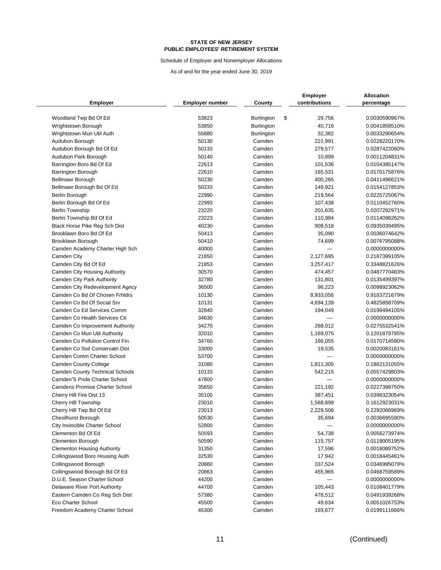Schedule of Employer and Nonemployer Allocations

|                                        |                        | County            | <b>Employer</b><br>contributions | <b>Allocation</b> |
|----------------------------------------|------------------------|-------------------|----------------------------------|-------------------|
| <b>Employer</b>                        | <b>Employer number</b> |                   |                                  | percentage        |
| Woodland Twp Bd Of Ed                  | 53823                  | <b>Burlington</b> | \$<br>29,756                     | 0.0030590967%     |
| Wrightstown Borough                    | 53850                  | <b>Burlington</b> | 40,716                           | 0.0041858510%     |
| Wrightstown Mun Util Auth              | 55880                  | <b>Burlington</b> | 32,382                           | 0.0033290654%     |
| Audubon Borough                        | 50130                  | Camden            | 221,991                          | 0.0228220170%     |
| Audubon Borough Bd Of Ed               | 50133                  | Camden            | 279,577                          | 0.0287422060%     |
| Audubon Park Borough                   | 50140                  | Camden            | 10,899                           | 0.0011204831%     |
| Barrington Boro Bd Of Ed               | 22613                  | Camden            | 101,536                          | 0.0104385147%     |
| Barrington Borough                     | 22610                  | Camden            | 165,531                          | 0.0170175876%     |
| <b>Bellmawr Borough</b>                | 50230                  | Camden            | 400,265                          | 0.0411496621%     |
| Bellmawr Borough Bd Of Ed              | 50233                  | Camden            | 149,921                          | 0.0154127853%     |
| Berlin Borough                         | 22990                  | Camden            | 219,564                          | 0.0225725067%     |
| Berlin Borough Bd Of Ed                | 22993                  | Camden            | 107,438                          | 0.0110452760%     |
| <b>Berlin Township</b>                 | 23220                  | Camden            | 201,635                          | 0.0207292971%     |
| Berlin Township Bd Of Ed               | 23223                  | Camden            | 110,984                          | 0.0114098262%     |
| Black Horse Pike Reg Sch Dist          | 40230                  | Camden            | 909,518                          | 0.0935039495%     |
| Brooklawn Boro Bd Of Ed                | 50413                  | Camden            | 35,090                           | 0.0036074642%     |
| Brooklawn Borough                      | 50410                  | Camden            | 74,699                           | 0.0076795088%     |
| Camden Academy Charter High Sch        | 40000                  | Camden            |                                  | 0.0000000000%     |
| Camden City                            | 21850                  | Camden            | 2,127,695                        | 0.2187399105%     |
| Camden City Bd Of Ed                   | 21853                  | Camden            | 3,257,417                        | 0.3348821626%     |
| Camden City Housing Authority          | 30570                  | Camden            | 474,457                          | 0.0487770483%     |
| Camden City Park Authority             | 32780                  | Camden            | 131,801                          | 0.0135499397%     |
| Camden City Redevelopment Agncy        | 36500                  | Camden            | 96,223                           | 0.0098923062%     |
| Camden Co Bd Of Chosen Frhidrs         | 10130                  | Camden            | 8,933,056                        | 0.9183721679%     |
| Camden Co Bd Of Social Srv             | 10131                  | Camden            | 4,694,139                        | 0.4825858709%     |
| Camden Co Ed Services Comm             | 32840                  | Camden            | 194,049                          | 0.0199494105%     |
| Camden Co Health Services Ctr          | 34630                  | Camden            |                                  | 0.0000000000%     |
| Camden Co Improvement Authority        | 34270                  | Camden            | 268,012                          | 0.0275532541%     |
| Camden Co Mun Util Authority           | 32010                  | Camden            | 1,169,075                        | 0.1201879785%     |
| Camden Co Pollution Control Fin        | 34760                  | Camden            | 166,055                          | 0.0170714580%     |
| Camden Co Soil Conservatn Dist         | 33000                  | Camden            | 19,535                           | 0.0020083161%     |
| Camden Comm Charter School             | 53700                  | Camden            |                                  | 0.0000000000%     |
| Camden County College                  | 31080                  | Camden            | 1,811,305                        | 0.1862131055%     |
| <b>Camden County Technical Schools</b> | 10133                  | Camden            | 542,215                          | 0.0557429803%     |
| Camden'S Pride Charter School          | 47800                  | Camden            |                                  | 0.0000000000%     |
| <b>Camdens Promise Charter School</b>  | 35650                  | Camden            | 221,192                          | 0.0227398750%     |
| Cherry Hill Fire Dist 13               | 35100                  | Camden            | 387,451                          | 0.0398323054%     |
| Cherry Hill Township                   | 23010                  | Camden            | 1,568,899                        | 0.1612923031%     |
| Cherry Hill Twp Bd Of Ed               | 23013                  | Camden            | 2,229,506                        | 0.2292066969%     |
| Chesilhurst Borough                    | 50530                  | Camden            | 35,694                           | 0.0036695590%     |
| City Invincible Charter School         | 52800                  | Camden            |                                  | 0.0000000000%     |
| Clementon Bd Of Ed                     | 50593                  | Camden            | 54,738                           | 0.0056273974%     |
| Clementon Borough                      | 50590                  | Camden            | 115,757                          | 0.0119005195%     |
| <b>Clementon Housing Authority</b>     | 31350                  | Camden            | 17,596                           | 0.0018089752%     |
| Collingswood Boro Housing Auth         | 32530                  | Camden            | 17,942                           | 0.0018445461%     |
| Collingswood Borough                   | 20860                  | Camden            | 337,524                          | 0.0346995079%     |
| Collingswood Borough Bd Of Ed          | 20863                  | Camden            | 455,965                          | 0.0468759589%     |
| D.U.E. Season Charter School           | 44200                  | Camden            |                                  | 0.0000000000%     |
| Delaware River Port Authority          | 44700                  | Camden            | 105,443                          | 0.0108401779%     |
| Eastern Camden Co Reg Sch Dist         | 57380                  | Camden            | 478,512                          | 0.0491939268%     |
| Eco Charter School                     | 45500                  | Camden            | 49,634                           | 0.0051026753%     |
| Freedom Academy Charter School         | 45300                  | Camden            | 193,677                          | 0.0199111666%     |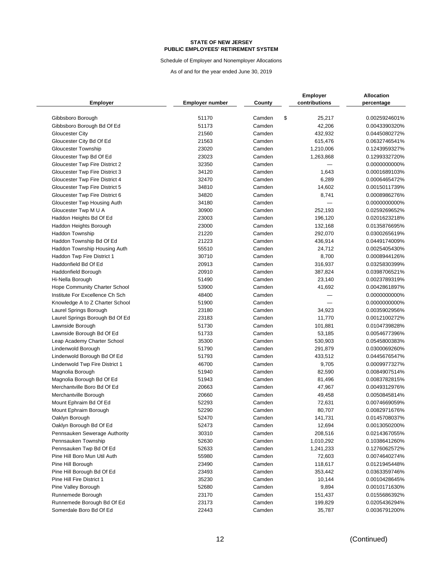Schedule of Employer and Nonemployer Allocations

|                                                 |                        |                  | <b>Employer</b>        | <b>Allocation</b>              |
|-------------------------------------------------|------------------------|------------------|------------------------|--------------------------------|
| <b>Employer</b>                                 | <b>Employer number</b> | County           | contributions          | percentage                     |
|                                                 |                        |                  |                        |                                |
| Gibbsboro Borough<br>Gibbsboro Borough Bd Of Ed | 51170<br>51173         | Camden<br>Camden | \$<br>25,217<br>42,206 | 0.0025924601%<br>0.0043390320% |
| <b>Gloucester City</b>                          | 21560                  | Camden           | 432,932                | 0.0445080272%                  |
|                                                 | 21563                  | Camden           | 615,476                | 0.0632746541%                  |
| Gloucester City Bd Of Ed                        | 23020                  | Camden           |                        | 0.1243959327%                  |
| Gloucester Township                             | 23023                  | Camden           | 1,210,006              | 0.1299332720%                  |
| Gloucester Twp Bd Of Ed                         | 32350                  | Camden           | 1,263,868              |                                |
| Gloucester Twp Fire District 2                  | 34120                  | Camden           |                        | 0.0000000000%<br>0.0001689103% |
| Gloucester Twp Fire District 3                  |                        |                  | 1,643                  |                                |
| Gloucester Twp Fire District 4                  | 32470<br>34810         | Camden<br>Camden | 6,289                  | 0.0006465472%                  |
| Gloucester Twp Fire District 5                  |                        | Camden           | 14,602                 | 0.0015011739%<br>0.0008986276% |
| Gloucester Twp Fire District 6                  | 34820                  |                  | 8,741                  |                                |
| Gloucester Twp Housing Auth                     | 34180                  | Camden           |                        | 0.0000000000%                  |
| Gloucester Twp M U A                            | 30900                  | Camden           | 252,193                | 0.0259269652%                  |
| Haddon Heights Bd Of Ed                         | 23003                  | Camden           | 196,120                | 0.0201623218%                  |
| Haddon Heights Borough                          | 23000                  | Camden           | 132,168                | 0.0135876695%                  |
| <b>Haddon Township</b>                          | 21220                  | Camden           | 292,070                | 0.0300265619%                  |
| Haddon Township Bd Of Ed                        | 21223                  | Camden           | 436,914                | 0.0449174009%                  |
| Haddon Township Housing Auth                    | 55510                  | Camden           | 24,712                 | 0.0025405430%                  |
| Haddon Twp Fire District 1                      | 30710                  | Camden           | 8,700                  | 0.0008944126%                  |
| Haddonfield Bd Of Ed                            | 20913                  | Camden           | 316,937                | 0.0325830399%                  |
| Haddonfield Borough                             | 20910                  | Camden           | 387,824                | 0.0398706521%                  |
| Hi-Nella Borough                                | 51490                  | Camden           | 23,140                 | 0.0023789319%                  |
| <b>Hope Community Charter School</b>            | 53900                  | Camden           | 41,692                 | 0.0042861897%                  |
| Institute For Excellence Ch Sch                 | 48400                  | Camden           |                        | 0.0000000000%                  |
| Knowledge A to Z Charter School                 | 51900                  | Camden           |                        | 0.0000000000%                  |
| Laurel Springs Borough                          | 23180                  | Camden           | 34,923                 | 0.0035902956%                  |
| Laurel Springs Borough Bd Of Ed                 | 23183                  | Camden           | 11,770                 | 0.0012100272%                  |
| Lawnside Borough                                | 51730                  | Camden           | 101,881                | 0.0104739828%                  |
| Lawnside Borough Bd Of Ed                       | 51733                  | Camden           | 53,185                 | 0.0054677396%                  |
| Leap Academy Charter School                     | 35300                  | Camden           | 530,903                | 0.0545800383%                  |
| Lindenwold Borough                              | 51790                  | Camden           | 291,879                | 0.0300069260%                  |
| Lindenwold Borough Bd Of Ed                     | 51793                  | Camden           | 433,512                | 0.0445676547%                  |
| Lindenwold Twp Fire District 1                  | 46700                  | Camden           | 9,705                  | 0.0009977327%                  |
| Magnolia Borough                                | 51940                  | Camden           | 82,590                 | 0.0084907514%                  |
| Magnolia Borough Bd Of Ed                       | 51943                  | Camden           | 81,496                 | 0.0083782815%                  |
| Merchantville Boro Bd Of Ed                     | 20663                  | Camden           | 47,967                 | 0.0049312976%                  |
| Merchantville Borough                           | 20660                  | Camden           | 49,458                 | 0.0050845814%                  |
| Mount Ephraim Bd Of Ed                          | 52293                  | Camden           | 72,631                 | 0.0074669059%                  |
| Mount Ephraim Borough                           | 52290                  | Camden           | 80,707                 | 0.0082971676%                  |
| Oaklyn Borough                                  | 52470                  | Camden           | 141,731                | 0.0145708037%                  |
| Oaklyn Borough Bd Of Ed                         | 52473                  | Camden           | 12,694                 | 0.0013050200%                  |
| Pennsauken Sewerage Authority                   | 30310                  | Camden           | 208,516                | 0.0214367055%                  |
| Pennsauken Township                             | 52630                  | Camden           | 1,010,292              | 0.1038641260%                  |
| Pennsauken Twp Bd Of Ed                         | 52633                  | Camden           | 1,241,233              | 0.1276062572%                  |
| Pine Hill Boro Mun Util Auth                    | 55980                  | Camden           | 72,603                 | 0.0074640274%                  |
| Pine Hill Borough                               | 23490                  | Camden           | 118,617                | 0.0121945448%                  |
| Pine Hill Borough Bd Of Ed                      | 23493                  | Camden           | 353,442                | 0.0363359746%                  |
| Pine Hill Fire District 1                       | 35230                  | Camden           | 10,144                 | 0.0010428645%                  |
| Pine Valley Borough                             | 52680                  | Camden           | 9,894                  | 0.0010171630%                  |
| Runnemede Borough                               | 23170                  | Camden           | 151,437                | 0.0155686392%                  |
| Runnemede Borough Bd Of Ed                      | 23173                  | Camden           | 199,829                | 0.0205436294%                  |
| Somerdale Boro Bd Of Ed                         | 22443                  | Camden           | 35,787                 | 0.0036791200%                  |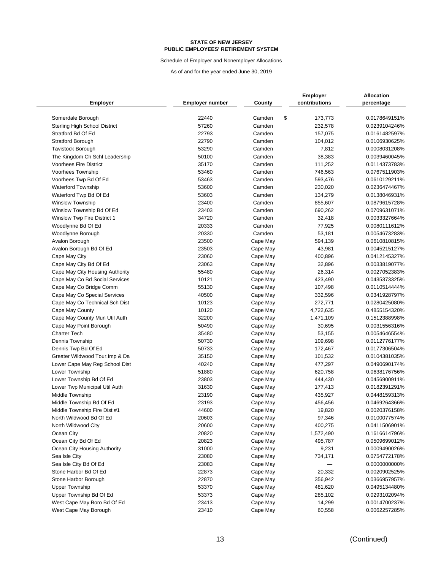Schedule of Employer and Nonemployer Allocations

|                                      |                        |          | <b>Employer</b> | Allocation                     |
|--------------------------------------|------------------------|----------|-----------------|--------------------------------|
| <b>Employer</b>                      | <b>Employer number</b> | County   | contributions   | percentage                     |
| Somerdale Borough                    | 22440                  | Camden   | \$<br>173,773   | 0.0178649151%                  |
| <b>Sterling High School District</b> | 57260                  | Camden   | 232,578         | 0.0239104246%                  |
| Stratford Bd Of Ed                   | 22793                  | Camden   | 157,075         | 0.0161482597%                  |
| <b>Stratford Borough</b>             | 22790                  | Camden   | 104,012         | 0.0106930625%                  |
| <b>Tavistock Borough</b>             | 53290                  | Camden   | 7,812           | 0.0008031208%                  |
| The Kingdom Ch Schl Leadership       | 50100                  | Camden   | 38,383          | 0.0039460045%                  |
| <b>Voorhees Fire District</b>        | 35170                  | Camden   | 111,252         | 0.0114373783%                  |
| Voorhees Township                    | 53460                  | Camden   | 746,563         | 0.0767511903%                  |
| Voorhees Twp Bd Of Ed                | 53463                  | Camden   | 593,476         | 0.0610129211%                  |
| <b>Waterford Township</b>            | 53600                  | Camden   | 230,020         | 0.0236474467%                  |
| Waterford Twp Bd Of Ed               | 53603                  | Camden   | 134,279         | 0.0138046931%                  |
| <b>Winslow Township</b>              | 23400                  | Camden   | 855,607         | 0.0879615728%                  |
| Winslow Township Bd Of Ed            | 23403                  | Camden   | 690,262         | 0.0709631071%                  |
|                                      | 34720                  | Camden   | 32,418          | 0.0033327664%                  |
| Winslow Twp Fire District 1          | 20333                  | Camden   |                 |                                |
| Woodlynne Bd Of Ed                   | 20330                  | Camden   | 77,925          | 0.0080111612%                  |
| Woodlynne Borough                    | 23500                  | Cape May | 53,181          | 0.0054673283%<br>0.0610810815% |
| Avalon Borough                       |                        |          | 594,139         |                                |
| Avalon Borough Bd Of Ed              | 23503                  | Cape May | 43,981          | 0.0045215127%                  |
| Cape May City                        | 23060                  | Cape May | 400,896         | 0.0412145327%                  |
| Cape May City Bd Of Ed               | 23063                  | Cape May | 32,896          | 0.0033819077%                  |
| Cape May City Housing Authority      | 55480                  | Cape May | 26,314          | 0.0027052383%                  |
| Cape May Co Bd Social Services       | 10121                  | Cape May | 423,490         | 0.0435373325%                  |
| Cape May Co Bridge Comm              | 55130                  | Cape May | 107,498         | 0.0110514444%                  |
| Cape May Co Special Services         | 40500                  | Cape May | 332,596         | 0.0341928797%                  |
| Cape May Co Technical Sch Dist       | 10123                  | Cape May | 272,771         | 0.0280425080%                  |
| Cape May County                      | 10120                  | Cape May | 4,722,635       | 0.4855154320%                  |
| Cape May County Mun Util Auth        | 32200                  | Cape May | 1,471,109       | 0.1512388998%                  |
| Cape May Point Borough               | 50490                  | Cape May | 30,695          | 0.0031556316%                  |
| <b>Charter Tech</b>                  | 35480                  | Cape May | 53,155          | 0.0054646554%                  |
| Dennis Township                      | 50730                  | Cape May | 109,698         | 0.0112776177%                  |
| Dennis Twp Bd Of Ed                  | 50733                  | Cape May | 172,467         | 0.0177306504%                  |
| Greater Wildwood Tour. Imp & Da      | 35150                  | Cape May | 101,532         | 0.0104381035%                  |
| Lower Cape May Reg School Dist       | 40240                  | Cape May | 477,297         | 0.0490690174%                  |
| Lower Township                       | 51880                  | Cape May | 620,758         | 0.0638176756%                  |
| Lower Township Bd Of Ed              | 23803                  | Cape May | 444,430         | 0.0456900911%                  |
| Lower Twp Municipal Util Auth        | 31630                  | Cape May | 177,413         | 0.0182391291%                  |
| Middle Township                      | 23190                  | Cape May | 435,927         | 0.0448159313%                  |
| Middle Township Bd Of Ed             | 23193                  | Cape May | 456,456         | 0.0469264366%                  |
| Middle Township Fire Dist #1         | 44600                  | Cape May | 19,820          | 0.0020376158%                  |
| North Wildwood Bd Of Ed              | 20603                  | Cape May | 97,346          | 0.0100077574%                  |
| North Wildwood City                  | 20600                  | Cape May | 400,275         | 0.0411506901%                  |
| Ocean City                           | 20820                  | Cape May | 1,572,490       | 0.1616614796%                  |
| Ocean City Bd Of Ed                  | 20823                  | Cape May | 495,787         | 0.0509699012%                  |
| Ocean City Housing Authority         | 31000                  | Cape May | 9,231           | 0.0009490026%                  |
| Sea Isle City                        | 23080                  | Cape May | 734,171         | 0.0754772178%                  |
| Sea Isle City Bd Of Ed               | 23083                  | Cape May |                 | 0.0000000000%                  |
| Stone Harbor Bd Of Ed                | 22873                  | Cape May | 20,332          | 0.0020902525%                  |
| Stone Harbor Borough                 | 22870                  | Cape May | 356,942         | 0.0366957957%                  |
| <b>Upper Township</b>                | 53370                  | Cape May | 481,620         | 0.0495134480%                  |
| Upper Township Bd Of Ed              | 53373                  | Cape May | 285,102         | 0.0293102094%                  |
| West Cape May Boro Bd Of Ed          | 23413                  | Cape May | 14,299          | 0.0014700237%                  |
| West Cape May Borough                | 23410                  | Cape May | 60,558          | 0.0062257285%                  |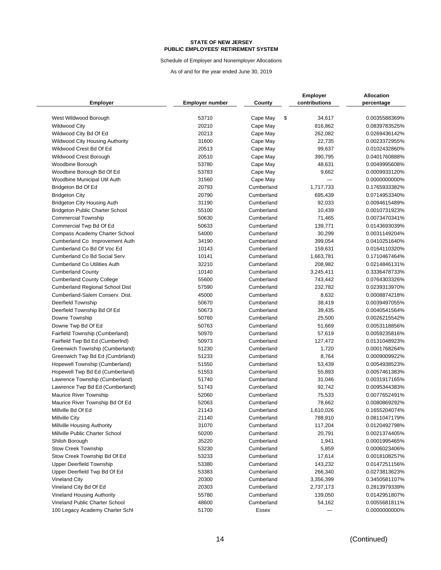Schedule of Employer and Nonemployer Allocations

|                                        |                        | County     | <b>Employer</b><br>contributions | <b>Allocation</b> |
|----------------------------------------|------------------------|------------|----------------------------------|-------------------|
| <b>Employer</b>                        | <b>Employer number</b> |            |                                  | percentage        |
| West Wildwood Borough                  | 53710                  | Cape May   | \$<br>34,617                     | 0.0035588369%     |
| <b>Wildwood City</b>                   | 20210                  | Cape May   | 816,862                          | 0.0839783525%     |
| Wildwood City Bd Of Ed                 | 20213                  | Cape May   | 262,082                          | 0.0269436142%     |
| <b>Wildwood City Housing Authority</b> | 31600                  | Cape May   | 22,735                           | 0.0023372955%     |
| Wildwood Crest Bd Of Ed                | 20513                  | Cape May   | 99,637                           | 0.0102432860%     |
| Wildwood Crest Borough                 | 20510                  | Cape May   | 390,795                          | 0.0401760888%     |
| Woodbine Borough                       | 53780                  | Cape May   | 48,631                           | 0.0049995608%     |
| Woodbine Borough Bd Of Ed              | 53783                  | Cape May   | 9,662                            | 0.0009933120%     |
| Woodbine Municipal Util Auth           | 31560                  | Cape May   |                                  | 0.0000000000%     |
| Bridgeton Bd Of Ed                     | 20793                  | Cumberland | 1,717,733                        | 0.1765933382%     |
| <b>Bridgeton City</b>                  | 20790                  | Cumberland | 695,439                          | 0.0714953340%     |
| <b>Bridgeton City Housing Auth</b>     | 31190                  | Cumberland | 92,033                           | 0.0094615489%     |
| <b>Bridgeton Public Charter School</b> | 55100                  | Cumberland | 10,439                           | 0.0010731923%     |
| <b>Commercial Township</b>             | 50630                  | Cumberland | 71,465                           | 0.0073470341%     |
| Commercial Twp Bd Of Ed                | 50633                  | Cumberland | 139,771                          | 0.0143693039%     |
| Compass Academy Charter School         | 54000                  | Cumberland | 30,299                           | 0.0031149204%     |
| Cumberland Co Improvement Auth         | 34190                  | Cumberland | 399,054                          | 0.0410251640%     |
| Cumberland Co Bd Of Voc Ed             | 10143                  | Cumberland | 159,631                          | 0.0164110320%     |
| Cumberland Co Bd Social Serv           | 10141                  | Cumberland | 1,663,781                        | 0.1710467464%     |
| <b>Cumberland Co Utilities Auth</b>    | 32210                  | Cumberland | 208,982                          | 0.0214846131%     |
| <b>Cumberland County</b>               | 10140                  | Cumberland | 3,245,411                        | 0.3336478733%     |
| <b>Cumberland County College</b>       | 55600                  | Cumberland | 743,442                          | 0.0764303326%     |
| <b>Cumberland Regional School Dist</b> | 57590                  | Cumberland | 232,782                          | 0.0239313970%     |
| Cumberland-Salem Conserv. Dist.        | 45000                  | Cumberland | 8,632                            | 0.0008874218%     |
| Deerfield Township                     | 50670                  | Cumberland | 38,419                           | 0.0039497055%     |
| Deerfield Township Bd Of Ed            | 50673                  | Cumberland | 39,435                           | 0.0040541564%     |
| Downe Township                         | 50760                  | Cumberland | 25,500                           | 0.0026215542%     |
| Downe Twp Bd Of Ed                     | 50763                  | Cumberland | 51,669                           | 0.0053118856%     |
| Fairfield Township (Cumberland)        | 50970                  | Cumberland | 57,619                           | 0.0059235816%     |
| Fairfield Twp Bd Ed (CumberInd)        | 50973                  | Cumberland | 127,472                          | 0.0131048923%     |
| Greenwich Township (Cumberland)        | 51230                  | Cumberland | 1,720                            | 0.0001768264%     |
| Greenwich Twp Bd Ed (Cumbrland)        | 51233                  | Cumberland | 8,764                            | 0.0009009922%     |
| Hopewell Township (Cumberland)         | 51550                  | Cumberland | 53,439                           | 0.0054938523%     |
| Hopewell Twp Bd Ed (Cumberland)        | 51553                  | Cumberland | 55,893                           | 0.0057461383%     |
| Lawrence Township (Cumberland)         | 51740                  | Cumberland | 31,046                           | 0.0031917165%     |
| Lawrence Twp Bd Ed (Cumberland)        | 51743                  | Cumberland | 92,742                           | 0.0095344383%     |
| <b>Maurice River Township</b>          | 52060                  | Cumberland | 75,533                           | 0.0077652491%     |
| Maurice River Township Bd Of Ed        | 52063                  | Cumberland | 78,662                           | 0.0080869292%     |
| Millville Bd Of Ed                     | 21143                  | Cumberland | 1,610,026                        | 0.1655204074%     |
| <b>Millville City</b>                  | 21140                  | Cumberland | 788,910                          | 0.0811047179%     |
| Millville Housing Authority            | 31070                  | Cumberland | 117,204                          | 0.0120492798%     |
| Millville Public Charter School        | 50200                  | Cumberland | 20,791                           | 0.0021374405%     |
| Shiloh Borough                         | 35220                  | Cumberland | 1,941                            | 0.0001995465%     |
| <b>Stow Creek Township</b>             | 53230                  | Cumberland | 5,859                            | 0.0006023406%     |
| Stow Creek Township Bd Of Ed           | 53233                  | Cumberland | 17,614                           | 0.0018108257%     |
| <b>Upper Deerfield Township</b>        | 53380                  | Cumberland | 143,232                          | 0.0147251156%     |
| Upper Deerfield Twp Bd Of Ed           | 53383                  | Cumberland | 266,340                          | 0.0273813623%     |
| <b>Vineland City</b>                   | 20300                  | Cumberland | 3,356,399                        | 0.3450581107%     |
| Vineland City Bd Of Ed                 | 20303                  | Cumberland | 2,737,173                        | 0.2813979339%     |
| <b>Vineland Housing Authority</b>      | 55780                  | Cumberland | 139,050                          | 0.0142951807%     |
| Vineland Public Charter School         | 48600                  | Cumberland | 54,162                           | 0.0055681811%     |
| 100 Legacy Academy Charter Schl        | 51700                  | Essex      |                                  | 0.0000000000%     |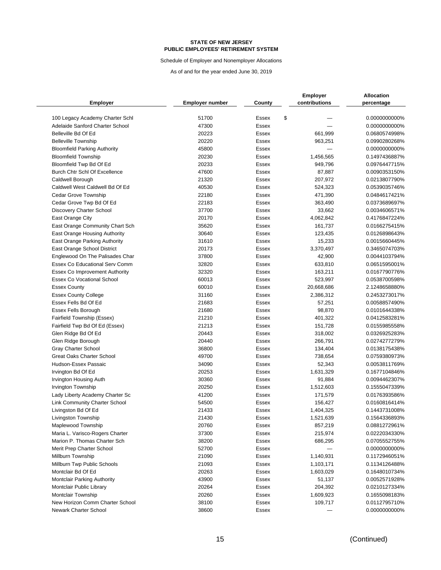Schedule of Employer and Nonemployer Allocations

|                                                                    |                        |                | Employer      | Allocation                     |
|--------------------------------------------------------------------|------------------------|----------------|---------------|--------------------------------|
| <b>Employer</b>                                                    | <b>Employer number</b> | County         | contributions | percentage                     |
|                                                                    |                        |                |               |                                |
| 100 Legacy Academy Charter Schl<br>Adelaide Sanford Charter School | 51700<br>47300         | Essex<br>Essex | \$            | 0.0000000000%<br>0.0000000000% |
| Belleville Bd Of Ed                                                | 20223                  | Essex          | 661,999       | 0.0680574998%                  |
| <b>Belleville Township</b>                                         | 20220                  | Essex          | 963,251       | 0.0990280268%                  |
|                                                                    | 45800                  | <b>Essex</b>   |               | 0.0000000000%                  |
| <b>Bloomfield Parking Authority</b>                                | 20230                  | Essex          |               | 0.1497436887%                  |
| <b>Bloomfield Township</b><br>Bloomfield Twp Bd Of Ed              | 20233                  | Essex          | 1,456,565     | 0.0976447715%                  |
| Burch Chtr Schl Of Excellence                                      | 47600                  | Essex          | 949,796       | 0.0090353150%                  |
|                                                                    |                        |                | 87,887        |                                |
| Caldwell Borough<br>Caldwell West Caldwell Bd Of Ed                | 21320<br>40530         | Essex          | 207,972       | 0.0213807790%                  |
|                                                                    |                        | Essex          | 524,323       | 0.0539035746%                  |
| <b>Cedar Grove Township</b>                                        | 22180                  | Essex          | 471,390       | 0.0484617421%                  |
| Cedar Grove Twp Bd Of Ed                                           | 22183                  | Essex          | 363,490       | 0.0373689697%                  |
| <b>Discovery Charter School</b>                                    | 37700                  | <b>Essex</b>   | 33,662        | 0.0034606571%                  |
| East Orange City                                                   | 20170                  | Essex          | 4,062,842     | 0.4176847224%                  |
| East Orange Community Chart Sch                                    | 35620                  | Essex          | 161,737       | 0.0166275415%                  |
| East Orange Housing Authority                                      | 30640                  | Essex          | 123,435       | 0.0126898643%                  |
| East Orange Parking Authority                                      | 31610                  | Essex          | 15,233        | 0.0015660445%                  |
| East Orange School District                                        | 20173                  | Essex          | 3,370,497     | 0.3465074703%                  |
| Englewood On The Palisades Char                                    | 37800                  | Essex          | 42,900        | 0.0044103794%                  |
| Essex Co Educational Serv Comm                                     | 32820                  | <b>Essex</b>   | 633,810       | 0.0651595001%                  |
| <b>Essex Co Improvement Authority</b>                              | 32320                  | Essex          | 163,211       | 0.0167790776%                  |
| Essex Co Vocational School                                         | 60013                  | Essex          | 523,997       | 0.0538700598%                  |
| <b>Essex County</b>                                                | 60010                  | Essex          | 20,668,686    | 2.1248658880%                  |
| <b>Essex County College</b>                                        | 31160                  | Essex          | 2,386,312     | 0.2453273017%                  |
| Essex Fells Bd Of Ed                                               | 21683                  | Essex          | 57,251        | 0.0058857490%                  |
| Essex Fells Borough                                                | 21680                  | Essex          | 98,870        | 0.0101644338%                  |
| Fairfield Township (Essex)                                         | 21210                  | Essex          | 401,322       | 0.0412583281%                  |
| Fairfield Twp Bd Of Ed (Essex)                                     | 21213                  | Essex          | 151,728       | 0.0155985558%                  |
| Glen Ridge Bd Of Ed                                                | 20443                  | Essex          | 318,002       | 0.0326925283%                  |
| Glen Ridge Borough                                                 | 20440                  | <b>Essex</b>   | 266,791       | 0.0274277279%                  |
| Gray Charter School                                                | 36800                  | Essex          | 134,404       | 0.0138175438%                  |
| <b>Great Oaks Charter School</b>                                   | 49700                  | <b>Essex</b>   | 738,654       | 0.0759380973%                  |
| Hudson-Essex Passaic                                               | 34090                  | Essex          | 52,343        | 0.0053811769%                  |
| Irvington Bd Of Ed                                                 | 20253                  | <b>Essex</b>   | 1,631,329     | 0.1677104846%                  |
| Irvington Housing Auth                                             | 30360                  | Essex          | 91,884        | 0.0094462307%                  |
| Irvington Township                                                 | 20250                  | <b>Essex</b>   | 1,512,603     | 0.1555047339%                  |
| Lady Liberty Academy Charter Sc                                    | 41200                  | Essex          | 171,579       | 0.0176393586%                  |
| <b>Link Community Charter School</b>                               | 54500                  | Essex          | 156,427       | 0.0160816414%                  |
| Livingston Bd Of Ed                                                | 21433                  | <b>Essex</b>   | 1,404,325     | 0.1443731008%                  |
| Livingston Township                                                | 21430                  | Essex          | 1,521,639     | 0.1564336893%                  |
| Maplewood Township                                                 | 20760                  | Essex          | 857,219       | 0.0881272961%                  |
| Maria L. Varisco-Rogers Charter                                    | 37300                  | Essex          | 215,974       | 0.0222034330%                  |
| Marion P. Thomas Charter Sch                                       | 38200                  | Essex          | 686,295       | 0.0705552755%                  |
| Merit Prep Charter School                                          | 52700                  | Essex          |               | 0.0000000000%                  |
| Millburn Township                                                  | 21090                  | Essex          | 1,140,931     | 0.1172946051%                  |
| Millburn Twp Public Schools                                        | 21093                  | Essex          | 1,103,171     | 0.1134126488%                  |
| Montclair Bd Of Ed                                                 | 20263                  | Essex          | 1,603,029     | 0.1648010734%                  |
| <b>Montclair Parking Authority</b>                                 | 43900                  | Essex          | 51,137        | 0.0052571928%                  |
| Montclair Public Library                                           | 20264                  | Essex          | 204,392       | 0.0210127334%                  |
| <b>Montclair Township</b>                                          | 20260                  | Essex          | 1,609,923     | 0.1655098183%                  |
| New Horizon Comm Charter School                                    | 38100                  | Essex          | 109,717       | 0.0112795710%                  |
| Newark Charter School                                              | 38600                  | Essex          |               | 0.0000000000%                  |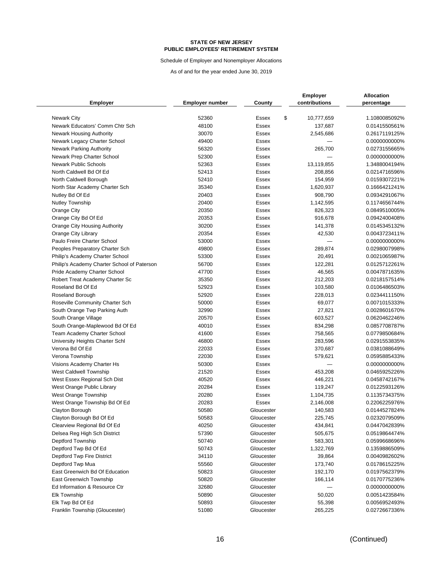Schedule of Employer and Nonemployer Allocations

| <b>Employer</b>                             | <b>Employer number</b> | County       | <b>Employer</b><br>contributions | <b>Allocation</b><br>percentage |
|---------------------------------------------|------------------------|--------------|----------------------------------|---------------------------------|
|                                             |                        |              |                                  |                                 |
| <b>Newark City</b>                          | 52360                  | Essex        | \$<br>10,777,659                 | 1.1080085092%                   |
| Newark Educators' Comm Chtr Sch             | 48100                  | Essex        | 137,687                          | 0.0141550561%                   |
| <b>Newark Housing Authority</b>             | 30070                  | Essex        | 2,545,686                        | 0.2617119125%                   |
| Newark Legacy Charter School                | 49400                  | <b>Essex</b> |                                  | 0.0000000000%                   |
| <b>Newark Parking Authority</b>             | 56320                  | Essex        | 265,700                          | 0.0273155665%                   |
| Newark Prep Charter School                  | 52300                  | <b>Essex</b> |                                  | 0.0000000000%                   |
| <b>Newark Public Schools</b>                | 52363                  | Essex        | 13,119,855                       | 1.3488004194%                   |
| North Caldwell Bd Of Ed                     | 52413                  | <b>Essex</b> | 208,856                          | 0.0214716596%                   |
| North Caldwell Borough                      | 52410                  | Essex        | 154,959                          | 0.0159307221%                   |
| North Star Academy Charter Sch              | 35340                  | <b>Essex</b> | 1,620,937                        | 0.1666421241%                   |
| Nutley Bd Of Ed                             | 20403                  | <b>Essex</b> | 908,790                          | 0.0934291067%                   |
| <b>Nutley Township</b>                      | 20400                  | <b>Essex</b> | 1,142,595                        | 0.1174656744%                   |
| Orange City                                 | 20350                  | <b>Essex</b> | 826,323                          | 0.0849510005%                   |
| Orange City Bd Of Ed                        | 20353                  | Essex        | 916,678                          | 0.0942400408%                   |
| Orange City Housing Authority               | 30200                  | Essex        | 141,378                          | 0.0145345132%                   |
| Orange City Library                         | 20354                  | Essex        | 42,530                           | 0.0043723411%                   |
| Paulo Freire Charter School                 | 53000                  | Essex        |                                  | 0.0000000000%                   |
| Peoples Preparatory Charter Sch             | 49800                  | Essex        | 289,874                          | 0.0298007998%                   |
| Philip's Academy Charter School             | 53300                  | <b>Essex</b> | 20,491                           | 0.0021065987%                   |
| Philip's Academy Charter School of Paterson | 56700                  | Essex        | 122,281                          | 0.0125712261%                   |
| Pride Academy Charter School                | 47700                  | <b>Essex</b> | 46,565                           | 0.0047871635%                   |
| Robert Treat Academy Charter Sc             | 35350                  | Essex        | 212,203                          | 0.0218157514%                   |
| Roseland Bd Of Ed                           | 52923                  | <b>Essex</b> | 103,580                          | 0.0106486503%                   |
| Roseland Borough                            | 52920                  | Essex        | 228,013                          | 0.0234411150%                   |
| Roseville Community Charter Sch             | 50000                  | Essex        | 69,077                           | 0.0071015333%                   |
| South Orange Twp Parking Auth               | 32990                  | Essex        | 27,821                           | 0.0028601670%                   |
| South Orange Village                        | 20570                  | Essex        | 603,527                          | 0.0620462246%                   |
| South Orange-Maplewood Bd Of Ed             | 40010                  | Essex        | 834,298                          | 0.0857708787%                   |
| Team Academy Charter School                 | 41600                  | <b>Essex</b> | 758,565                          | 0.0779850684%                   |
| University Heights Charter Schl             | 46800                  | Essex        | 283,596                          | 0.0291553835%                   |
| Verona Bd Of Ed                             | 22033                  | Essex        | 370,687                          | 0.0381088649%                   |
| Verona Township                             | 22030                  | Essex        | 579,621                          | 0.0595885433%                   |
| Visions Academy Charter Hs                  | 50300                  | Essex        |                                  | 0.0000000000%                   |
| West Caldwell Township                      | 21520                  | Essex        | 453,208                          | 0.0465925226%                   |
| West Essex Regional Sch Dist                | 40520                  | <b>Essex</b> | 446,221                          | 0.0458742167%                   |
| West Orange Public Library                  | 20284                  | Essex        | 119,247                          | 0.0122593126%                   |
| West Orange Township                        | 20280                  | Essex        | 1,104,735                        | 0.1135734375%                   |
| West Orange Township Bd Of Ed               | 20283                  | Essex        | 2,146,008                        | 0.2206225976%                   |
| Clayton Borough                             | 50580                  | Gloucester   | 140,583                          | 0.0144527824%                   |
| Clayton Borough Bd Of Ed                    | 50583                  | Gloucester   | 225,745                          | 0.0232079509%                   |
| Clearview Regional Bd Of Ed                 | 40250                  | Gloucester   | 434,841                          | 0.0447042839%                   |
| Delsea Reg High Sch District                | 57390                  | Gloucester   | 505,675                          | 0.0519864474%                   |
| Deptford Township                           | 50740                  | Gloucester   | 583,301                          | 0.0599668696%                   |
| Deptford Twp Bd Of Ed                       | 50743                  | Gloucester   | 1,322,769                        | 0.1359886509%                   |
| Deptford Twp Fire District                  | 34110                  | Gloucester   | 39,864                           | 0.0040982602%                   |
| Deptford Twp Mua                            | 55560                  | Gloucester   | 173,740                          | 0.0178615225%                   |
| East Greenwich Bd Of Education              | 50823                  | Gloucester   | 192,170                          | 0.0197562379%                   |
| East Greenwich Township                     | 50820                  | Gloucester   | 166,114                          | 0.0170775236%                   |
| Ed Information & Resource Ctr               | 32680                  | Gloucester   |                                  | 0.0000000000%                   |
| <b>Elk Township</b>                         | 50890                  | Gloucester   | 50,020                           | 0.0051423584%                   |
| Elk Twp Bd Of Ed                            | 50893                  | Gloucester   | 55,398                           | 0.0056952493%                   |
| Franklin Township (Gloucester)              | 51080                  | Gloucester   | 265,225                          | 0.0272667336%                   |
|                                             |                        |              |                                  |                                 |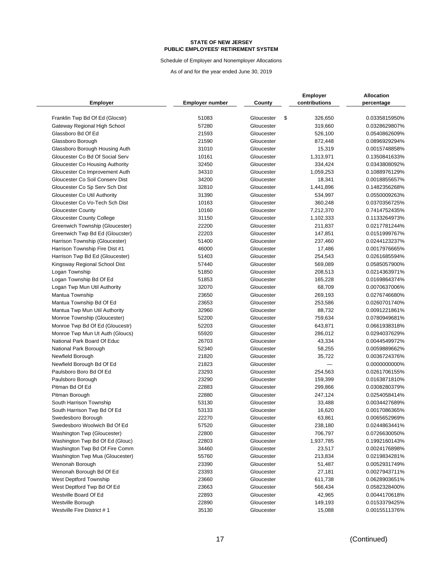Schedule of Employer and Nonemployer Allocations

|                                 |                 |                          | <b>Employer</b> | <b>Allocation</b>              |
|---------------------------------|-----------------|--------------------------|-----------------|--------------------------------|
| <b>Employer</b>                 | Employer number | County                   | contributions   | percentage                     |
|                                 |                 |                          |                 |                                |
| Franklin Twp Bd Of Ed (Glocstr) | 51083<br>57280  | Gloucester<br>Gloucester | \$<br>326,650   | 0.0335815950%<br>0.0328629807% |
| Gateway Regional High School    | 21593           |                          | 319,660         |                                |
| Glassboro Bd Of Ed              | 21590           | Gloucester<br>Gloucester | 526,100         | 0.0540862609%<br>0.0896929294% |
| Glassboro Borough               | 31010           |                          | 872,448         |                                |
| Glassboro Borough Housing Auth  |                 | Gloucester               | 15,319          | 0.0015748858%                  |
| Gloucester Co Bd Of Social Serv | 10161           | Gloucester               | 1,313,971       | 0.1350841633%                  |
| Gloucester Co Housing Authority | 32450           | Gloucester               | 334,424         | 0.0343808092%                  |
| Gloucester Co Improvement Auth  | 34310           | Gloucester               | 1,059,253       | 0.1088976129%                  |
| Gloucester Co Soil Consery Dist | 34200           | Gloucester               | 18,341          | 0.0018855657%                  |
| Gloucester Co Sp Serv Sch Dist  | 32810           | Gloucester               | 1,441,896       | 0.1482356268%                  |
| Gloucester Co Util Authority    | 31390           | Gloucester               | 534,997         | 0.0550009263%                  |
| Gloucester Co Vo-Tech Sch Dist  | 10163           | Gloucester               | 360,248         | 0.0370356725%                  |
| <b>Gloucester County</b>        | 10160           | Gloucester               | 7,212,370       | 0.7414752435%                  |
| Gloucester County College       | 31150           | Gloucester               | 1,102,333       | 0.1133264973%                  |
| Greenwich Township (Gloucester) | 22200           | Gloucester               | 211,837         | 0.0217781244%                  |
| Greenwich Twp Bd Ed (Gloucster) | 22203           | Gloucester               | 147,851         | 0.0151999767%                  |
| Harrison Township (Gloucester)  | 51400           | Gloucester               | 237,460         | 0.0244123237%                  |
| Harrison Township Fire Dist #1  | 46000           | Gloucester               | 17,486          | 0.0017976665%                  |
| Harrison Twp Bd Ed (Gloucester) | 51403           | Gloucester               | 254,543         | 0.0261685594%                  |
| Kingsway Regional School Dist   | 57440           | Gloucester               | 569,089         | 0.0585057900%                  |
| Logan Township                  | 51850           | Gloucester               | 208,513         | 0.0214363971%                  |
| Logan Township Bd Of Ed         | 51853           | Gloucester               | 165,228         | 0.0169864374%                  |
| Logan Twp Mun Util Authority    | 32070           | Gloucester               | 68,709          | 0.0070637006%                  |
| Mantua Township                 | 23650           | Gloucester               | 269,193         | 0.0276746680%                  |
| Mantua Township Bd Of Ed        | 23653           | Gloucester               | 253,586         | 0.0260701740%                  |
| Mantua Twp Mun Util Authority   | 32960           | Gloucester               | 88,732          | 0.0091221861%                  |
| Monroe Township (Gloucester)    | 52200           | Gloucester               | 759,634         | 0.0780949681%                  |
| Monroe Twp Bd Of Ed (Gloucestr) | 52203           | Gloucester               | 643,871         | 0.0661938318%                  |
| Monroe Twp Mun Ut Auth (Gloucs) | 55920           | Gloucester               | 286,012         | 0.0294037629%                  |
| National Park Board Of Educ     | 26703           | Gloucester               | 43,334          | 0.0044549972%                  |
| National Park Borough           | 52340           | Gloucester               | 58,255          | 0.0059889662%                  |
| Newfield Borough                | 21820           | Gloucester               | 35,722          | 0.0036724376%                  |
| Newfield Borough Bd Of Ed       | 21823           | Gloucester               |                 | 0.0000000000%                  |
| Paulsboro Boro Bd Of Ed         | 23293           | Gloucester               | 254,563         | 0.0261706155%                  |
| Paulsboro Borough               | 23290           | Gloucester               | 159,399         | 0.0163871810%                  |
| Pitman Bd Of Ed                 | 22883           | Gloucester               | 299,866         | 0.0308280379%                  |
| Pitman Borough                  | 22880           | Gloucester               | 247,124         | 0.0254058414%                  |
| South Harrison Township         | 53130           | Gloucester               | 33,488          | 0.0034427689%                  |
| South Harrison Twp Bd Of Ed     | 53133           | Gloucester               | 16,620          | 0.0017086365%                  |
| Swedesboro Borough              | 22270           | Gloucester               | 63,861          | 0.0065652969%                  |
| Swedesboro Woolwich Bd Of Ed    | 57520           | Gloucester               | 238,180         | 0.0244863441%                  |
| Washington Twp (Gloucester)     | 22800           | Gloucester               | 706,797         | 0.0726630050%                  |
| Washington Twp Bd Of Ed (Glouc) | 22803           | Gloucester               | 1,937,785       | 0.1992160143%                  |
| Washington Twp Bd Of Fire Comm  | 34460           | Gloucester               | 23,517          | 0.0024176898%                  |
| Washington Twp Mua (Gloucester) | 55760           | Gloucester               | 213,834         | 0.0219834281%                  |
| Wenonah Borough                 | 23390           | Gloucester               | 51,487          | 0.0052931749%                  |
| Wenonah Borough Bd Of Ed        | 23393           | Gloucester               | 27,181          | 0.0027943711%                  |
| West Deptford Township          | 23660           | Gloucester               | 611,738         | 0.0628903651%                  |
| West Deptford Twp Bd Of Ed      | 23663           | Gloucester               | 566,434         | 0.0582328400%                  |
| Westville Board Of Ed           | 22893           | Gloucester               | 42,965          | 0.0044170618%                  |
| Westville Borough               | 22890           | Gloucester               | 149,193         | 0.0153379425%                  |
| Westville Fire District #1      | 35130           | Gloucester               | 15,088          | 0.0015511376%                  |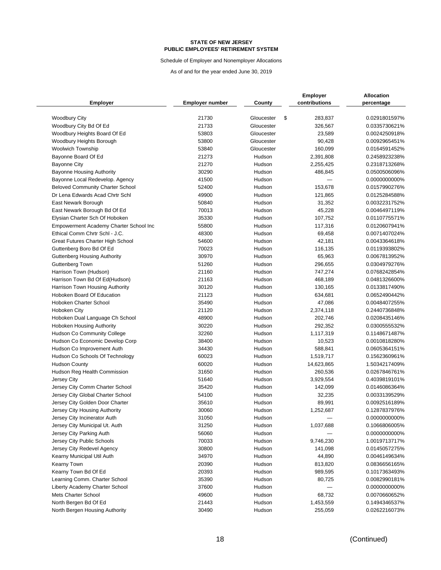Schedule of Employer and Nonemployer Allocations

|                                         |                        |            | <b>Employer</b> | <b>Allocation</b> |
|-----------------------------------------|------------------------|------------|-----------------|-------------------|
| <b>Employer</b>                         | <b>Employer number</b> | County     | contributions   | percentage        |
| <b>Woodbury City</b>                    | 21730                  | Gloucester | \$<br>283,837   | 0.0291801597%     |
| Woodbury City Bd Of Ed                  | 21733                  | Gloucester | 326,567         | 0.0335730621%     |
| Woodbury Heights Board Of Ed            | 53803                  | Gloucester | 23,589          | 0.0024250918%     |
| Woodbury Heights Borough                | 53800                  | Gloucester | 90,428          | 0.0092965451%     |
| <b>Woolwich Township</b>                | 53840                  | Gloucester | 160,099         | 0.0164591452%     |
| Bayonne Board Of Ed                     | 21273                  | Hudson     | 2,391,808       | 0.2458923238%     |
| <b>Bayonne City</b>                     | 21270                  | Hudson     | 2,255,425       | 0.2318713268%     |
| <b>Bayonne Housing Authority</b>        | 30290                  | Hudson     | 486,845         | 0.0500506096%     |
| Bayonne Local Redevelop. Agency         | 41500                  | Hudson     |                 | 0.0000000000%     |
| <b>Beloved Community Charter School</b> | 52400                  | Hudson     | 153,678         | 0.0157990276%     |
| Dr Lena Edwards Acad Chrtr Schl         | 49900                  | Hudson     |                 |                   |
|                                         | 50840                  | Hudson     | 121,865         | 0.0125284588%     |
| East Newark Borough                     |                        |            | 31,352          | 0.0032231752%     |
| East Newark Borough Bd Of Ed            | 70013                  | Hudson     | 45,228          | 0.0046497119%     |
| Elysian Charter Sch Of Hoboken          | 35330                  | Hudson     | 107,752         | 0.0110775571%     |
| Empowerment Academy Charter School Inc  | 55800                  | Hudson     | 117,316         | 0.0120607941%     |
| Ethical Comm Chrtr Schl - J.C.          | 48300                  | Hudson     | 69,458          | 0.0071407024%     |
| Great Futures Charter High School       | 54600                  | Hudson     | 42,181          | 0.0043364618%     |
| Guttenberg Boro Bd Of Ed                | 70023                  | Hudson     | 116,135         | 0.0119393802%     |
| <b>Guttenberg Housing Authority</b>     | 30970                  | Hudson     | 65,963          | 0.0067813952%     |
| Guttenberg Town                         | 51260                  | Hudson     | 296,655         | 0.0304979276%     |
| Harrison Town (Hudson)                  | 21160                  | Hudson     | 747,274         | 0.0768242854%     |
| Harrison Town Bd Of Ed(Hudson)          | 21163                  | Hudson     | 468,189         | 0.0481326600%     |
| Harrison Town Housing Authority         | 30120                  | Hudson     | 130,165         | 0.0133817490%     |
| Hoboken Board Of Education              | 21123                  | Hudson     | 634,681         | 0.0652490442%     |
| Hoboken Charter School                  | 35490                  | Hudson     | 47,086          | 0.0048407255%     |
| Hoboken City                            | 21120                  | Hudson     | 2,374,118       | 0.2440736848%     |
| Hoboken Dual Language Ch School         | 48900                  | Hudson     | 202,746         | 0.0208435146%     |
| Hoboken Housing Authority               | 30220                  | Hudson     | 292,352         | 0.0300555532%     |
| <b>Hudson Co Community College</b>      | 32260                  | Hudson     | 1,117,319       | 0.1148671487%     |
| Hudson Co Economic Develop Corp         | 38400                  | Hudson     | 10,523          | 0.0010818280%     |
| Hudson Co Improvement Auth              | 34430                  | Hudson     | 588,841         | 0.0605364151%     |
| Hudson Co Schools Of Technology         | 60023                  | Hudson     | 1,519,717       | 0.1562360961%     |
| <b>Hudson County</b>                    | 60020                  | Hudson     | 14,623,865      | 1.5034217409%     |
| Hudson Reg Health Commission            | 31650                  | Hudson     | 260,536         | 0.0267846761%     |
| Jersey City                             | 51640                  | Hudson     | 3,929,554       | 0.4039819101%     |
| Jersey City Comm Charter School         | 35420                  | Hudson     | 142,099         | 0.0146086364%     |
| Jersey City Global Charter School       | 54100                  | Hudson     | 32,235          | 0.0033139529%     |
| Jersey City Golden Door Charter         | 35610                  | Hudson     | 89,991          | 0.0092516189%     |
| Jersey City Housing Authority           | 30060                  | Hudson     | 1,252,687       | 0.1287837976%     |
| Jersey City Incinerator Auth            | 31050                  | Hudson     |                 | 0.0000000000%     |
| Jersey City Municipal Ut. Auth          | 31250                  | Hudson     | 1,037,688       | 0.1066806005%     |
| Jersey City Parking Auth                | 56060                  | Hudson     |                 | 0.0000000000%     |
| Jersey City Public Schools              | 70033                  | Hudson     | 9,746,230       | 1.0019713717%     |
| Jersey City Redevel Agency              | 30800                  | Hudson     | 141,098         | 0.0145057275%     |
| Kearny Municipal Util Auth              | 34970                  | Hudson     | 44,890          | 0.0046149634%     |
| Kearny Town                             | 20390                  | Hudson     | 813,820         | 0.0836656165%     |
| Kearny Town Bd Of Ed                    | 20393                  | Hudson     | 989,595         | 0.1017363493%     |
| Learning Comm. Charter School           | 35390                  | Hudson     | 80,725          | 0.0082990181%     |
| Liberty Academy Charter School          | 37600                  | Hudson     |                 | 0.0000000000%     |
| Mets Charter School                     | 49600                  | Hudson     | 68,732          | 0.0070660652%     |
| North Bergen Bd Of Ed                   | 21443                  | Hudson     | 1,453,559       | 0.1494346537%     |
| North Bergen Housing Authority          | 30490                  | Hudson     | 255,059         | 0.0262216073%     |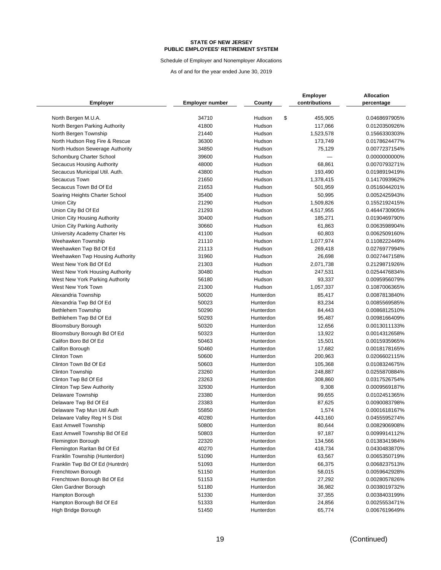Schedule of Employer and Nonemployer Allocations

|                                                     |                        |                  | <b>Employer</b>      | <b>Allocation</b> |
|-----------------------------------------------------|------------------------|------------------|----------------------|-------------------|
| <b>Employer</b>                                     | <b>Employer number</b> | County           | contributions        | percentage        |
| North Bergen M.U.A.                                 | 34710                  | Hudson           | \$<br>455,905        | 0.0468697905%     |
| North Bergen Parking Authority                      | 41800                  | Hudson           | 117,066              | 0.0120350926%     |
| North Bergen Township                               | 21440                  | Hudson           | 1,523,578            | 0.1566330303%     |
| North Hudson Reg Fire & Rescue                      | 36300                  | Hudson           | 173,749              | 0.0178624477%     |
| North Hudson Sewerage Authority                     | 34850                  | Hudson           | 75,129               | 0.0077237154%     |
| Schomburg Charter School                            | 39600                  | Hudson           |                      | 0.0000000000%     |
| Secaucus Housing Authority                          | 48000                  | Hudson           | 68,861               | 0.0070793271%     |
| Secaucus Municipal Util. Auth.                      | 43800                  | Hudson           | 193,490              | 0.0198919419%     |
| Secaucus Town                                       | 21650                  | Hudson           | 1,378,415            | 0.1417093962%     |
| Secaucus Town Bd Of Ed                              | 21653                  | Hudson           | 501,959              | 0.0516044201%     |
| Soaring Heights Charter School                      | 35400                  | Hudson           | 50,995               | 0.0052425943%     |
| Union City                                          | 21290                  | Hudson           | 1,509,826            | 0.1552192415%     |
| Union City Bd Of Ed                                 | 21293                  | Hudson           |                      | 0.4644730905%     |
|                                                     | 30400                  | Hudson           | 4,517,955<br>185,271 | 0.0190469790%     |
| Union City Housing Authority                        | 30660                  | Hudson           |                      |                   |
| Union City Parking Authority                        | 41100                  |                  | 61,863               | 0.0063598904%     |
| University Academy Charter Hs<br>Weehawken Township |                        | Hudson<br>Hudson | 60,803               | 0.0062509160%     |
|                                                     | 21110                  | Hudson           | 1,077,974            | 0.1108222449%     |
| Weehawken Twp Bd Of Ed                              | 21113                  |                  | 269,418              | 0.0276977994%     |
| Weehawken Twp Housing Authority                     | 31960                  | Hudson           | 26,698               | 0.0027447158%     |
| West New York Bd Of Ed                              | 21303                  | Hudson           | 2,071,738            | 0.2129871926%     |
| West New York Housing Authority                     | 30480                  | Hudson           | 247,531              | 0.0254476834%     |
| West New York Parking Authority                     | 56180                  | Hudson           | 93,337               | 0.0095956079%     |
| West New York Town                                  | 21300                  | Hudson           | 1,057,337            | 0.1087006365%     |
| Alexandria Township                                 | 50020                  | Hunterdon        | 85,417               | 0.0087813840%     |
| Alexandria Twp Bd Of Ed                             | 50023                  | Hunterdon        | 83,234               | 0.0085569585%     |
| <b>Bethlehem Township</b>                           | 50290                  | Hunterdon        | 84,443               | 0.0086812510%     |
| Bethlehem Twp Bd Of Ed                              | 50293                  | Hunterdon        | 95,487               | 0.0098166409%     |
| <b>Bloomsbury Borough</b>                           | 50320                  | Hunterdon        | 12,656               | 0.0013011133%     |
| Bloomsbury Borough Bd Of Ed                         | 50323                  | Hunterdon        | 13,922               | 0.0014312658%     |
| Califon Boro Bd Of Ed                               | 50463                  | Hunterdon        | 15,501               | 0.0015935965%     |
| Califon Borough                                     | 50460                  | Hunterdon        | 17,682               | 0.0018178165%     |
| <b>Clinton Town</b>                                 | 50600                  | Hunterdon        | 200,963              | 0.0206602115%     |
| Clinton Town Bd Of Ed                               | 50603                  | Hunterdon        | 105,368              | 0.0108324675%     |
| Clinton Township                                    | 23260                  | Hunterdon        | 248,887              | 0.0255870884%     |
| Clinton Twp Bd Of Ed                                | 23263                  | Hunterdon        | 308,860              | 0.0317526754%     |
| <b>Clinton Twp Sew Authority</b>                    | 32930                  | Hunterdon        | 9,308                | 0.0009569187%     |
| <b>Delaware Township</b>                            | 23380                  | Hunterdon        | 99,655               | 0.0102451365%     |
| Delaware Twp Bd Of Ed                               | 23383                  | Hunterdon        | 87,625               | 0.0090083798%     |
| Delaware Twp Mun Util Auth                          | 55850                  | Hunterdon        | 1,574                | 0.0001618167%     |
| Delaware Valley Reg H S Dist                        | 40280                  | Hunterdon        | 443,160              | 0.0455595274%     |
| East Amwell Township                                | 50800                  | Hunterdon        | 80,644               | 0.0082906908%     |
| East Amwell Township Bd Of Ed                       | 50803                  | Hunterdon        | 97,187               | 0.0099914112%     |
| Flemington Borough                                  | 22320                  | Hunterdon        | 134,566              | 0.0138341984%     |
| Flemington Raritan Bd Of Ed                         | 40270                  | Hunterdon        | 418,734              | 0.0430483870%     |
| Franklin Township (Hunterdon)                       | 51090                  | Hunterdon        | 63,567               | 0.0065350719%     |
| Franklin Twp Bd Of Ed (Huntrdn)                     | 51093                  | Hunterdon        | 66,375               | 0.0068237513%     |
| Frenchtown Borough                                  | 51150                  | Hunterdon        | 58,015               | 0.0059642928%     |
| Frenchtown Borough Bd Of Ed                         | 51153                  | Hunterdon        | 27,292               | 0.0028057826%     |
| Glen Gardner Borough                                | 51180                  | Hunterdon        | 36,982               | 0.0038019732%     |
| Hampton Borough                                     | 51330                  | Hunterdon        | 37,355               | 0.0038403199%     |
| Hampton Borough Bd Of Ed                            | 51333                  | Hunterdon        | 24,856               | 0.0025553471%     |
| High Bridge Borough                                 | 51450                  | Hunterdon        | 65,774               | 0.0067619649%     |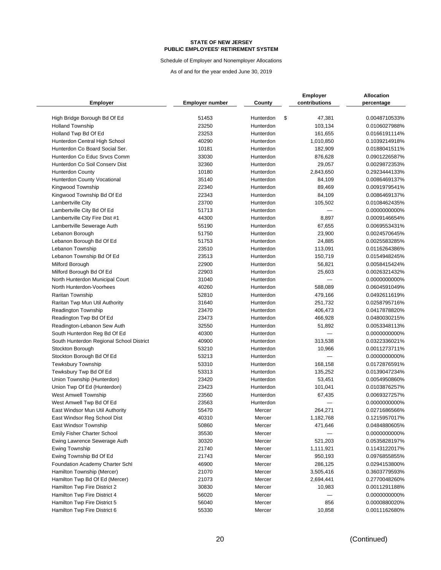Schedule of Employer and Nonemployer Allocations

|                                                         |                        |                        | <b>Employer</b>         | <b>Allocation</b>              |
|---------------------------------------------------------|------------------------|------------------------|-------------------------|--------------------------------|
| <b>Employer</b>                                         | <b>Employer number</b> | County                 | contributions           | percentage                     |
|                                                         |                        |                        |                         |                                |
| High Bridge Borough Bd Of Ed<br><b>Holland Township</b> | 51453<br>23250         | Hunterdon<br>Hunterdon | \$<br>47,381<br>103,134 | 0.0048710533%<br>0.0106027988% |
| Holland Twp Bd Of Ed                                    | 23253                  | Hunterdon              | 161,655                 | 0.0166191114%                  |
| Hunterdon Central High School                           | 40290                  | Hunterdon              | 1,010,850               | 0.1039214918%                  |
| Hunterdon Co Board Social Ser.                          | 10181                  | Hunterdon              | 182,909                 | 0.0188041511%                  |
| Hunterdon Co Educ Srvcs Comm                            | 33030                  | Hunterdon              |                         | 0.0901226587%                  |
| Hunterdon Co Soil Conserv Dist                          | 32360                  |                        | 876,628                 | 0.0029872353%                  |
|                                                         | 10180                  | Hunterdon<br>Hunterdon | 29,057                  |                                |
| <b>Hunterdon County</b>                                 |                        |                        | 2,843,650               | 0.2923444133%                  |
| Hunterdon County Vocational                             | 35140<br>22340         | Hunterdon<br>Hunterdon | 84,109                  | 0.0086469137%                  |
| Kingwood Township                                       |                        |                        | 89,469                  | 0.0091979541%                  |
| Kingwood Township Bd Of Ed                              | 22343                  | Hunterdon              | 84,109                  | 0.0086469137%                  |
| Lambertville City                                       | 23700                  | Hunterdon              | 105,502                 | 0.0108462435%                  |
| Lambertville City Bd Of Ed                              | 51713                  | Hunterdon              |                         | 0.0000000000%                  |
| Lambertville City Fire Dist #1                          | 44300                  | Hunterdon              | 8,897                   | 0.0009146654%                  |
| Lambertville Sewerage Auth                              | 55190                  | Hunterdon              | 67,655                  | 0.0069553431%                  |
| Lebanon Borough                                         | 51750                  | Hunterdon              | 23,900                  | 0.0024570645%                  |
| Lebanon Borough Bd Of Ed                                | 51753                  | Hunterdon              | 24,885                  | 0.0025583285%                  |
| Lebanon Township                                        | 23510                  | Hunterdon              | 113,091                 | 0.0116264386%                  |
| Lebanon Township Bd Of Ed                               | 23513                  | Hunterdon              | 150,719                 | 0.0154948245%                  |
| Milford Borough                                         | 22900                  | Hunterdon              | 56,821                  | 0.0058415424%                  |
| Milford Borough Bd Of Ed                                | 22903                  | Hunterdon              | 25,603                  | 0.0026321432%                  |
| North Hunterdon Municipal Court                         | 31040                  | Hunterdon              |                         | 0.0000000000%                  |
| North Hunterdon-Voorhees                                | 40260                  | Hunterdon              | 588,089                 | 0.0604591049%                  |
| Raritan Township                                        | 52810                  | Hunterdon              | 479,166                 | 0.0492611619%                  |
| Raritan Twp Mun Util Authority                          | 31640                  | Hunterdon              | 251,732                 | 0.0258795716%                  |
| <b>Readington Township</b>                              | 23470                  | Hunterdon              | 406,473                 | 0.0417878820%                  |
| Readington Twp Bd Of Ed                                 | 23473                  | Hunterdon              | 466,928                 | 0.0480030215%                  |
| Readington-Lebanon Sew Auth                             | 32550                  | Hunterdon              | 51,892                  | 0.0053348113%                  |
| South Hunterdon Reg Bd Of Ed                            | 40300                  | Hunterdon              |                         | 0.0000000000%                  |
| South Hunterdon Regional School District                | 40900                  | Hunterdon              | 313,538                 | 0.0322336021%                  |
| Stockton Borough                                        | 53210                  | Hunterdon              | 10,966                  | 0.0011273711%                  |
| Stockton Borough Bd Of Ed                               | 53213                  | Hunterdon              |                         | 0.0000000000%                  |
| <b>Tewksbury Township</b>                               | 53310                  | Hunterdon              | 168,158                 | 0.0172876591%                  |
| Tewksbury Twp Bd Of Ed                                  | 53313                  | Hunterdon              | 135,252                 | 0.0139047234%                  |
| Union Township (Hunterdon)                              | 23420                  | Hunterdon              | 53,451                  | 0.0054950860%                  |
| Union Twp Of Ed (Hunterdon)                             | 23423                  | Hunterdon              | 101,041                 | 0.0103876257%                  |
| <b>West Amwell Township</b>                             | 23560                  | Hunterdon              | 67,435                  | 0.0069327257%                  |
| West Amwell Twp Bd Of Ed                                | 23563                  | Hunterdon              |                         | 0.0000000000%                  |
| East Windsor Mun Util Authority                         | 55470                  | Mercer                 | 264,271                 | 0.0271686566%                  |
| East Windsor Reg School Dist                            | 40310                  | Mercer                 | 1,182,768               | 0.1215957017%                  |
| East Windsor Township                                   | 50860                  | Mercer                 | 471,646                 | 0.0484880605%                  |
| <b>Emily Fisher Charter School</b>                      | 35530                  | Mercer                 |                         | 0.0000000000%                  |
| Ewing Lawrence Sewerage Auth                            | 30320                  | Mercer                 | 521,203                 | 0.0535828197%                  |
| <b>Ewing Township</b>                                   | 21740                  | Mercer                 | 1,111,921               | 0.1143122017%                  |
| Ewing Township Bd Of Ed                                 | 21743                  | Mercer                 | 950,193                 | 0.0976855855%                  |
| Foundation Academy Charter Schl                         | 46900                  | Mercer                 | 286,125                 | 0.0294153800%                  |
| Hamilton Township (Mercer)                              | 21070                  | Mercer                 | 3,505,416               | 0.3603779593%                  |
| Hamilton Twp Bd Of Ed (Mercer)                          | 21073                  | Mercer                 | 2,694,441               | 0.2770048260%                  |
| Hamilton Twp Fire District 2                            | 30830                  | Mercer                 | 10,983                  | 0.0011291188%                  |
| Hamilton Twp Fire District 4                            | 56020                  | Mercer                 |                         | 0.0000000000%                  |
| Hamilton Twp Fire District 5                            | 56040                  | Mercer                 | 856                     | 0.0000880020%                  |
| Hamilton Twp Fire District 6                            | 55330                  | Mercer                 | 10,858                  | 0.0011162680%                  |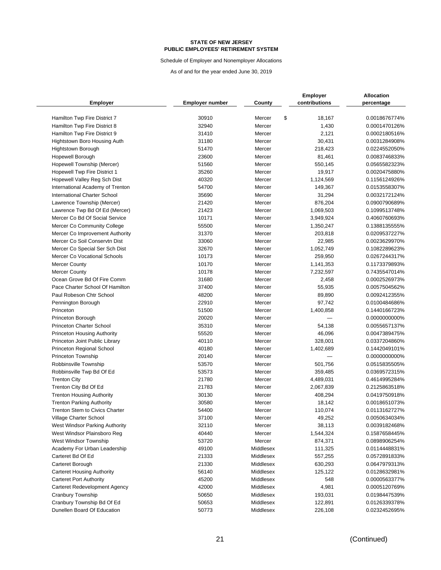Schedule of Employer and Nonemployer Allocations

|                                       |                        |           | <b>Employer</b> | <b>Allocation</b> |
|---------------------------------------|------------------------|-----------|-----------------|-------------------|
| <b>Employer</b>                       | <b>Employer number</b> | County    | contributions   | percentage        |
| Hamilton Twp Fire District 7          | 30910                  | Mercer    | \$<br>18,167    | 0.0018676774%     |
| Hamilton Twp Fire District 8          | 32940                  | Mercer    | 1,430           | 0.0001470126%     |
| Hamilton Twp Fire District 9          | 31410                  | Mercer    | 2,121           | 0.0002180516%     |
| Hightstown Boro Housing Auth          | 31180                  | Mercer    | 30,431          | 0.0031284908%     |
| <b>Hightstown Borough</b>             | 51470                  | Mercer    | 218,423         | 0.0224552050%     |
| <b>Hopewell Borough</b>               | 23600                  | Mercer    | 81,461          | 0.0083746833%     |
| Hopewell Township (Mercer)            | 51560                  | Mercer    | 550,145         | 0.0565582323%     |
| <b>Hopewell Twp Fire District 1</b>   | 35260                  | Mercer    | 19,917          | 0.0020475880%     |
| Hopewell Valley Reg Sch Dist          | 40320                  | Mercer    | 1,124,569       | 0.1156124926%     |
| International Academy of Trenton      | 54700                  | Mercer    | 149,367         | 0.0153558307%     |
| <b>International Charter School</b>   | 35690                  | Mercer    | 31,294          | 0.0032172124%     |
| Lawrence Township (Mercer)            | 21420                  | Mercer    | 876,204         | 0.0900790689%     |
| Lawrence Twp Bd Of Ed (Mercer)        | 21423                  | Mercer    | 1,069,503       | 0.1099513748%     |
| Mercer Co Bd Of Social Service        | 10171                  | Mercer    | 3,949,924       | 0.4060760693%     |
| Mercer Co Community College           | 55500                  | Mercer    | 1,350,247       | 0.1388135555%     |
| Mercer Co Improvement Authority       | 31370                  | Mercer    | 203,818         | 0.0209537227%     |
| Mercer Co Soil Conservtn Dist         | 33060                  | Mercer    | 22,985          | 0.0023629970%     |
| Mercer Co Special Ser Sch Dist        | 32670                  | Mercer    | 1,052,749       | 0.1082289623%     |
| Mercer Co Vocational Schools          | 10173                  | Mercer    | 259,950         | 0.0267244317%     |
| <b>Mercer County</b>                  | 10170                  | Mercer    | 1,141,353       | 0.1173379893%     |
| <b>Mercer County</b>                  | 10178                  | Mercer    | 7,232,597       | 0.7435547014%     |
| Ocean Grove Bd Of Fire Comm           | 31680                  | Mercer    | 2,458           | 0.0002526973%     |
| Pace Charter School Of Hamilton       | 37400                  | Mercer    | 55,935          | 0.0057504562%     |
| Paul Robeson Chtr School              | 48200                  | Mercer    | 89,890          | 0.0092412355%     |
| Pennington Borough                    | 22910                  | Mercer    | 97,742          | 0.0100484686%     |
| Princeton                             | 51500                  | Mercer    | 1,400,858       | 0.1440166723%     |
| Princeton Borough                     | 20020                  | Mercer    |                 | 0.0000000000%     |
| <b>Princeton Charter School</b>       | 35310                  | Mercer    | 54,138          | 0.0055657137%     |
| <b>Princeton Housing Authority</b>    | 55520                  | Mercer    | 46,096          | 0.0047389475%     |
| Princeton Joint Public Library        | 40110                  | Mercer    | 328,001         | 0.0337204860%     |
| Princeton Regional School             | 40180                  | Mercer    | 1,402,689       | 0.1442049101%     |
| Princeton Township                    | 20140                  | Mercer    |                 | 0.0000000000%     |
| Robbinsville Township                 | 53570                  | Mercer    | 501,756         | 0.0515835505%     |
| Robbinsville Twp Bd Of Ed             | 53573                  | Mercer    | 359,485         | 0.0369572315%     |
| <b>Trenton City</b>                   | 21780                  | Mercer    | 4,489,031       | 0.4614995284%     |
| Trenton City Bd Of Ed                 | 21783                  | Mercer    | 2,067,839       | 0.2125863518%     |
| <b>Trenton Housing Authority</b>      | 30130                  | Mercer    | 408,294         | 0.0419750918%     |
| <b>Trenton Parking Authority</b>      | 30580                  | Mercer    | 18,142          | 0.0018651073%     |
| <b>Trenton Stem to Civics Charter</b> | 54400                  | Mercer    | 110,074         | 0.0113162727%     |
| Village Charter School                | 37100                  | Mercer    | 49,252          | 0.0050634034%     |
| West Windsor Parking Authority        | 32110                  | Mercer    | 38,113          | 0.0039182468%     |
| West Windsor Plainsboro Reg           | 40440                  | Mercer    | 1,544,324       | 0.1587658445%     |
| West Windsor Township                 | 53720                  | Mercer    | 874,371         | 0.0898906254%     |
| Academy For Urban Leadership          | 49100                  | Middlesex | 111,325         | 0.0114448831%     |
| Carteret Bd Of Ed                     | 21333                  | Middlesex | 557,255         | 0.0572891833%     |
| Carteret Borough                      | 21330                  | Middlesex | 630,293         | 0.0647979313%     |
| <b>Carteret Housing Authority</b>     | 56140                  | Middlesex | 125,122         | 0.0128632981%     |
| <b>Carteret Port Authority</b>        | 45200                  | Middlesex | 548             | 0.0000563377%     |
| Carteret Redevelopment Agency         | 42000                  | Middlesex | 4,981           | 0.0005120769%     |
| Cranbury Township                     | 50650                  | Middlesex | 193,031         | 0.0198447539%     |
| Cranbury Township Bd Of Ed            | 50653                  | Middlesex | 122,891         | 0.0126339378%     |
| Dunellen Board Of Education           | 50773                  | Middlesex | 226,108         | 0.0232452695%     |
|                                       |                        |           |                 |                   |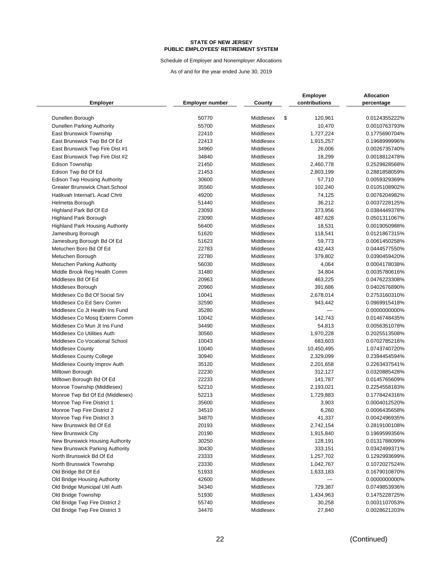Schedule of Employer and Nonemployer Allocations

|                                                                |                        |                        | <b>Employer</b>        | <b>Allocation</b>              |
|----------------------------------------------------------------|------------------------|------------------------|------------------------|--------------------------------|
| <b>Employer</b>                                                | <b>Employer number</b> | County                 | contributions          | percentage                     |
| Dunellen Borough                                               | 50770                  | Middlesex              | \$<br>120,961          | 0.0124355222%                  |
| Dunellen Parking Authority                                     | 55700                  | Middlesex              | 10,470                 | 0.0010763793%                  |
| East Brunswick Township                                        | 22410                  | Middlesex              | 1,727,224              | 0.1775690704%                  |
| East Brunswick Twp Bd Of Ed                                    | 22413                  | Middlesex              | 1,915,257              | 0.1968999996%                  |
| East Brunswick Twp Fire Dist #1                                | 34960                  | Middlesex              | 26,006                 | 0.0026735740%                  |
| East Brunswick Twp Fire Dist #2                                | 34840                  | Middlesex              | 18,299                 | 0.0018812478%                  |
| <b>Edison Township</b>                                         | 21450                  | Middlesex              | 2,460,778              | 0.2529828568%                  |
| Edison Twp Bd Of Ed                                            | 21453                  | Middlesex              | 2,803,199              | 0.2881858059%                  |
| <b>Edison Twp Housing Authority</b>                            | 30600                  | Middlesex              | 57,710                 | 0.0059329369%                  |
| Greater Brunswick Chart.School                                 | 35560                  | Middlesex              | 102,240                | 0.0105108902%                  |
| Hatikvah Internat'L Acad Chrtr                                 | 49200                  | Middlesex              | 74,125                 | 0.0076204982%                  |
| Helmetta Borough                                               | 51440                  | Middlesex              | 36,212                 | 0.0037228125%                  |
| Highland Park Bd Of Ed                                         | 23093                  | Middlesex              | 373,956                | 0.0384449378%                  |
| <b>Highland Park Borough</b>                                   | 23090                  | Middlesex              | 487,628                | 0.0501311067%                  |
| <b>Highland Park Housing Authority</b>                         | 56400                  | Middlesex              | 18,531                 | 0.0019050988%                  |
| Jamesburg Borough                                              | 51620                  | Middlesex              | 118,541                | 0.0121867315%                  |
| Jamesburg Borough Bd Of Ed                                     | 51623                  | Middlesex              | 59,773                 | 0.0061450258%                  |
| Metuchen Boro Bd Of Ed                                         | 22783                  | Middlesex              | 432,443                | 0.0444577550%                  |
| Metuchen Borough                                               | 22780                  | Middlesex              | 379,802                | 0.0390459420%                  |
|                                                                | 56030                  | Middlesex              | 4,064                  | 0.0004178038%                  |
| <b>Metuchen Parking Authority</b>                              | 31480                  | Middlesex              | 34,804                 | 0.0035780616%                  |
| Middle Brook Reg Health Comm<br>Middlesex Bd Of Ed             | 20963                  | Middlesex              | 463,225                | 0.0476223308%                  |
| Middlesex Borough                                              | 20960                  | Middlesex              | 391,686                | 0.0402676890%                  |
| Middlesex Co Bd Of Social Srv                                  | 10041                  | Middlesex              | 2,678,014              | 0.2753160310%                  |
| Middlesex Co Ed Serv Comm                                      | 32590                  | Middlesex              | 943,442                | 0.0969915418%                  |
| Middlesex Co Jt Health Ins Fund                                | 35280                  | Middlesex              |                        | 0.0000000000%                  |
| Middlesex Co Mosq Exterm Comm                                  | 10042                  | Middlesex              | 142,743                | 0.0146748435%                  |
| Middlesex Co Mun Jt Ins Fund                                   | 34490                  | Middlesex              |                        | 0.0056351078%                  |
| Middlesex Co Utilities Auth                                    | 30560                  | Middlesex              | 54,813<br>1,970,228    | 0.2025513508%                  |
| Middlesex Co Vocational School                                 | 10043                  | Middlesex              | 683,603                | 0.0702785216%                  |
| <b>Middlesex County</b>                                        | 10040                  | Middlesex              |                        | 1.0743740720%                  |
|                                                                | 30940                  | Middlesex              | 10,450,495             | 0.2394454594%                  |
| <b>Middlesex County College</b>                                | 35120                  | Middlesex              | 2,329,099              | 0.2263437541%                  |
| Middlesex County Improv Auth<br>Milltown Borough               | 22230                  | Middlesex              | 2,201,658<br>312,127   | 0.0320885428%                  |
|                                                                | 22233                  | Middlesex              | 141,787                | 0.0145765609%                  |
| Milltown Borough Bd Of Ed                                      | 52210                  | Middlesex              |                        | 0.2254558183%                  |
| Monroe Township (Middlesex)<br>Monroe Twp Bd Of Ed (Middlesex) | 52213                  | Middlesex              | 2,193,021<br>1,729,883 | 0.1778424316%                  |
| Monroe Twp Fire District 1                                     | 35600                  | Middlesex              | 3,903                  | 0.0004012520%                  |
| Monroe Twp Fire District 2                                     | 34510                  | Middlesex              | 6,260                  | 0.0006435658%                  |
|                                                                |                        |                        |                        |                                |
| Monroe Twp Fire District 3<br>New Brunswick Bd Of Ed           | 34870                  | Middlesex              | 41,337                 | 0.0042496935%                  |
| New Brunswick City                                             | 20193<br>20190         | Middlesex<br>Middlesex | 2,742,154              | 0.2819100108%                  |
| New Brunswick Housing Authority                                | 30250                  | Middlesex              | 1,915,840<br>128,191   | 0.1969599356%<br>0.0131788099% |
| New Brunswick Parking Authority                                | 30430                  | Middlesex              |                        |                                |
| North Brunswick Bd Of Ed                                       | 23333                  | Middlesex              | 333,151                | 0.0342499371%                  |
|                                                                | 23330                  | Middlesex              | 1,257,702              | 0.1292993699%                  |
| North Brunswick Township                                       |                        |                        | 1,042,767              | 0.1072027524%                  |
| Old Bridge Bd Of Ed                                            | 51933<br>42600         | Middlesex              | 1,633,183              | 0.1679010870%                  |
| Old Bridge Housing Authority                                   |                        | Middlesex              |                        | 0.0000000000%<br>0.0749853936% |
| Old Bridge Municipal Util Auth                                 | 34340                  | Middlesex              | 729,387                |                                |
| Old Bridge Township<br>Old Bridge Twp Fire District 2          | 51930                  | Middlesex              | 1,434,963              | 0.1475228725%                  |
|                                                                | 55740                  | Middlesex              | 30,258                 | 0.0031107053%                  |
| Old Bridge Twp Fire District 3                                 | 34470                  | Middlesex              | 27,840                 | 0.0028621203%                  |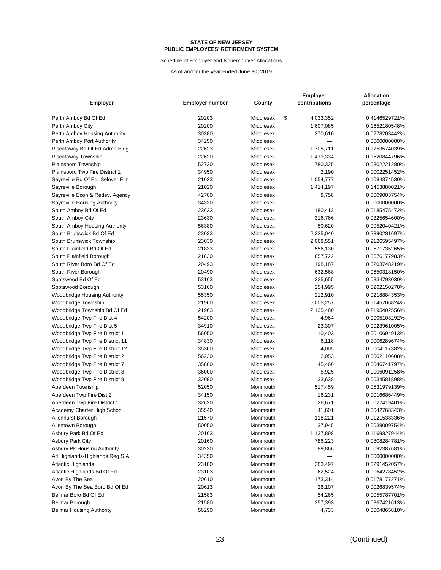Schedule of Employer and Nonemployer Allocations

|                                 |                        |           | <b>Employer</b> | Allocation    |
|---------------------------------|------------------------|-----------|-----------------|---------------|
| <b>Employer</b>                 | <b>Employer number</b> | County    | contributions   | percentage    |
| Perth Amboy Bd Of Ed            | 20203                  | Middlesex | \$<br>4,033,352 | 0.4146529721% |
| Perth Amboy City                | 20200                  | Middlesex | 1,607,085       | 0.1652180548% |
| Perth Amboy Housing Authority   | 30380                  | Middlesex | 270,610         | 0.0278203442% |
| Perth Amboy Port Authority      | 34250                  | Middlesex |                 | 0.0000000000% |
| Piscataway Bd Of Ed Admn Bldg   | 22623                  | Middlesex | 1,705,711       | 0.1753574039% |
| Piscataway Township             | 22620                  | Middlesex | 1,479,334       | 0.1520844796% |
| Plainsboro Township             | 52720                  | Middlesex | 780,325         | 0.0802221280% |
| Plainsboro Twp Fire District 1  | 34950                  | Middlesex | 2,190           | 0.0002251452% |
| Sayreville Bd Of Ed Selover Elm | 21023                  | Middlesex | 1,054,777       | 0.1084374530% |
| Sayreville Borough              | 21020                  | Middlesex | 1,414,197       | 0.1453880021% |
| Sayreville Econ & Redev. Agency | 42700                  | Middlesex | 8,758           | 0.0009003754% |
| Sayreville Housing Authority    | 34330                  | Middlesex |                 | 0.0000000000% |
| South Amboy Bd Of Ed            | 23633                  | Middlesex | 180,413         | 0.0185475472% |
| South Amboy City                | 23630                  | Middlesex | 316,766         | 0.0325654600% |
| South Amboy Housing Authority   | 56380                  | Middlesex | 50,620          | 0.0052040421% |
| South Brunswick Bd Of Ed        | 23033                  | Middlesex | 2,325,040       | 0.2390281697% |
| South Brunswick Township        | 23030                  | Middlesex | 2,068,551       | 0.2126595497% |
| South Plainfield Bd Of Ed       | 21833                  | Middlesex | 556,130         | 0.0571735265% |
| South Plainfield Borough        | 21830                  | Middlesex | 657,722         | 0.0676177983% |
| South River Boro Bd Of Ed       | 20493                  | Middlesex | 198,187         | 0.0203748219% |
| South River Borough             | 20490                  | Middlesex | 632,568         | 0.0650318150% |
| Spotswood Bd Of Ed              | 53163                  | Middlesex | 325,655         | 0.0334793030% |
| Spotswood Borough               | 53160                  | Middlesex | 254,995         | 0.0262150278% |
| Woodbridge Housing Authority    | 55350                  | Middlesex | 212,910         | 0.0218884353% |
| Woodbridge Township             | 21960                  | Middlesex | 5,005,257       | 0.5145706824% |
| Woodbridge Township Bd Of Ed    | 21963                  | Middlesex | 2,135,480       | 0.2195402556% |
| Woodbridge Twp Fire Dist 4      | 54200                  | Middlesex | 4,964           | 0.0005103292% |
| Woodbridge Twp Fire Dist 5      | 34910                  | Middlesex | 23,307          | 0.0023961005% |
| Woodbridge Twp Fire District 1  | 56050                  | Middlesex | 10,403          | 0.0010694913% |
| Woodbridge Twp Fire District 11 | 34830                  | Middlesex | 6,118           | 0.0006289674% |
| Woodbridge Twp Fire District 12 | 35360                  | Middlesex | 4,005           | 0.0004117382% |
| Woodbridge Twp Fire District 2  | 56230                  | Middlesex | 2,053           | 0.0002110608% |
| Woodbridge Twp Fire District 7  | 35800                  | Middlesex | 45,466          | 0.0046741797% |
| Woodbridge Twp Fire District 8  | 36000                  | Middlesex | 5,925           | 0.0006091258% |
| Woodbridge Twp Fire District 9  | 32090                  | Middlesex | 33,638          | 0.0034581898% |
| Aberdeen Township               | 52050                  | Monmouth  | 517,459         | 0.0531979139% |
| Aberdeen Twp Fire Dist 2        | 34150                  | Monmouth  | 16,231          | 0.0016686449% |
| Aberdeen Twp Fire District 1    | 32620                  | Monmouth  | 26,671          | 0.0027419401% |
| Academy Charter High School     | 35540                  | Monmouth  | 41,601          | 0.0042768343% |
| Allenhurst Borough              | 21570                  | Monmouth  | 118,221         | 0.0121538336% |
| Allentown Borough               | 50050                  | Monmouth  | 37,945          | 0.0039009754% |
| Asbury Park Bd Of Ed            | 20163                  | Monmouth  | 1,137,898       | 0.1169827944% |
| <b>Asbury Park City</b>         | 20160                  | Monmouth  | 786,223         | 0.0808284781% |
| Asbury Pk Housing Authority     | 30230                  | Monmouth  | 89,866          | 0.0092387681% |
| Atl Highlands-Highlands Reg S A | 34350                  | Monmouth  |                 | 0.0000000000% |
| <b>Atlantic Highlands</b>       | 23100                  | Monmouth  | 283,497         | 0.0291452057% |
| Atlantic Highlands Bd Of Ed     | 23103                  | Monmouth  | 62,524          | 0.0064278452% |
| Avon By The Sea                 | 20610                  | Monmouth  | 173,314         | 0.0178177271% |
| Avon By The Sea Boro Bd Of Ed   | 20613                  | Monmouth  | 26,107          | 0.0026839574% |
| Belmar Boro Bd Of Ed            | 21583                  | Monmouth  | 54,265          | 0.0055787701% |
| Belmar Borough                  | 21580                  | Monmouth  | 357,393         | 0.0367421613% |
| <b>Belmar Housing Authority</b> | 56290                  | Monmouth  | 4,733           | 0.0004865810% |
|                                 |                        |           |                 |               |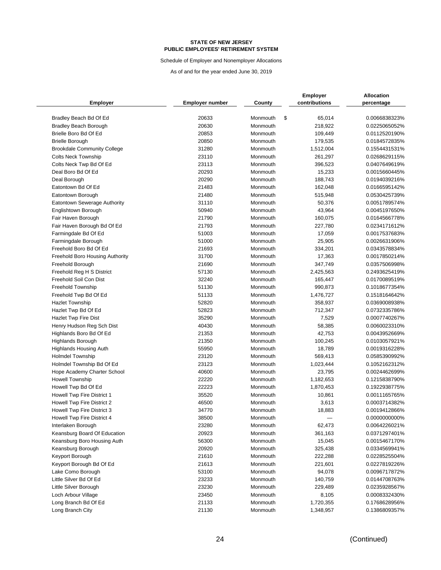Schedule of Employer and Nonemployer Allocations

|                                                        |                 |                      | <b>Employer</b>      | <b>Allocation</b>              |
|--------------------------------------------------------|-----------------|----------------------|----------------------|--------------------------------|
| Employer                                               | Employer number | County               | contributions        | percentage                     |
|                                                        | 20633           |                      | 65,014               | 0.0066838323%                  |
| Bradley Beach Bd Of Ed<br><b>Bradley Beach Borough</b> | 20630           | Monmouth<br>Monmouth | \$<br>218,922        | 0.0225065052%                  |
| Brielle Boro Bd Of Ed                                  | 20853           | Monmouth             |                      |                                |
|                                                        | 20850           | Monmouth             | 109,449              | 0.0112520190%<br>0.0184572835% |
| <b>Brielle Borough</b>                                 | 31280           | Monmouth             | 179,535              | 0.1554431531%                  |
| <b>Brookdale Community College</b>                     | 23110           | Monmouth             | 1,512,004<br>261,297 | 0.0268629115%                  |
| <b>Colts Neck Township</b>                             | 23113           |                      |                      |                                |
| Colts Neck Twp Bd Of Ed                                |                 | Monmouth             | 396,523              | 0.0407649619%                  |
| Deal Boro Bd Of Ed                                     | 20293           | Monmouth             | 15,233               | 0.0015660445%                  |
| Deal Borough                                           | 20290<br>21483  | Monmouth             | 188,743              | 0.0194039216%<br>0.0166595142% |
| Eatontown Bd Of Ed                                     |                 | Monmouth             | 162,048              |                                |
| Eatontown Borough                                      | 21480           | Monmouth             | 515,948              | 0.0530425739%                  |
| Eatontown Sewerage Authority                           | 31110           | Monmouth             | 50,376               | 0.0051789574%                  |
| Englishtown Borough                                    | 50940           | Monmouth             | 43,964               | 0.0045197650%                  |
| Fair Haven Borough                                     | 21790           | Monmouth             | 160,075              | 0.0164566778%                  |
| Fair Haven Borough Bd Of Ed                            | 21793           | Monmouth             | 227,780              | 0.0234171612%                  |
| Farmingdale Bd Of Ed                                   | 51003           | Monmouth             | 17,059               | 0.0017537683%                  |
| Farmingdale Borough                                    | 51000           | Monmouth             | 25,905               | 0.0026631906%                  |
| Freehold Boro Bd Of Ed                                 | 21693           | Monmouth             | 334,201              | 0.0343578834%                  |
| Freehold Boro Housing Authority                        | 31700           | Monmouth             | 17,363               | 0.0017850214%                  |
| Freehold Borough                                       | 21690           | Monmouth             | 347,749              | 0.0357506998%                  |
| Freehold Reg H S District                              | 57130           | Monmouth             | 2,425,563            | 0.2493625419%                  |
| Freehold Soil Con Dist                                 | 32240           | Monmouth             | 165,447              | 0.0170089519%                  |
| <b>Freehold Township</b>                               | 51130           | Monmouth             | 990,873              | 0.1018677354%                  |
| Freehold Twp Bd Of Ed                                  | 51133           | Monmouth             | 1,476,727            | 0.1518164642%                  |
| <b>Hazlet Township</b>                                 | 52820           | Monmouth             | 358,937              | 0.0369008938%                  |
| Hazlet Twp Bd Of Ed                                    | 52823           | Monmouth             | 712,347              | 0.0732335786%                  |
| Hazlet Twp Fire Dist                                   | 35290           | Monmouth             | 7,529                | 0.0007740267%                  |
| Henry Hudson Reg Sch Dist                              | 40430           | Monmouth             | 58,385               | 0.0060023310%                  |
| Highlands Boro Bd Of Ed                                | 21353           | Monmouth             | 42,753               | 0.0043952669%                  |
| Highlands Borough                                      | 21350           | Monmouth             | 100,245              | 0.0103057921%                  |
| Highlands Housing Auth                                 | 55950           | Monmouth             | 18,789               | 0.0019316228%                  |
| <b>Holmdel Township</b>                                | 23120           | Monmouth             | 569,413              | 0.0585390992%                  |
| Holmdel Township Bd Of Ed                              | 23123           | Monmouth             | 1,023,444            | 0.1052162312%                  |
| Hope Academy Charter School                            | 40600           | Monmouth             | 23,795               | 0.0024462699%                  |
| <b>Howell Township</b>                                 | 22220           | Monmouth             | 1,182,653            | 0.1215838790%                  |
| Howell Twp Bd Of Ed                                    | 22223           | Monmouth             | 1,870,453            | 0.1922938775%                  |
| Howell Twp Fire District 1                             | 35520           | Monmouth             | 10,861               | 0.0011165765%                  |
| Howell Twp Fire District 2                             | 46500           | Monmouth             | 3,613                | 0.0003714382%                  |
| Howell Twp Fire District 3                             | 34770           | Monmouth             | 18,883               | 0.0019412866%                  |
| Howell Twp Fire District 4                             | 38500           | Monmouth             |                      | 0.0000000000%                  |
| Interlaken Borough                                     | 23280           | Monmouth             | 62,473               | 0.0064226021%                  |
| Keansburg Board Of Education                           | 20923           | Monmouth             | 361,163              | 0.0371297401%                  |
| Keansburg Boro Housing Auth                            | 56300           | Monmouth             | 15,045               | 0.0015467170%                  |
| Keansburg Borough                                      | 20920           | Monmouth             | 325,438              | 0.0334569941%                  |
| Keyport Borough                                        | 21610           | Monmouth             | 222,288              | 0.0228525504%                  |
| Keyport Borough Bd Of Ed                               | 21613           | Monmouth             | 221,601              | 0.0227819226%                  |
| Lake Como Borough                                      | 53100           | Monmouth             | 94,078               | 0.0096717872%                  |
| Little Silver Bd Of Ed                                 | 23233           | Monmouth             | 140,759              | 0.0144708763%                  |
| Little Silver Borough                                  | 23230           | Monmouth             | 229,489              | 0.0235928567%                  |
| Loch Arbour Village                                    | 23450           | Monmouth             | 8,105                | 0.0008332430%                  |
| Long Branch Bd Of Ed                                   | 21133           | Monmouth             | 1,720,355            | 0.1768628956%                  |
| Long Branch City                                       | 21130           | Monmouth             | 1,348,957            | 0.1386809357%                  |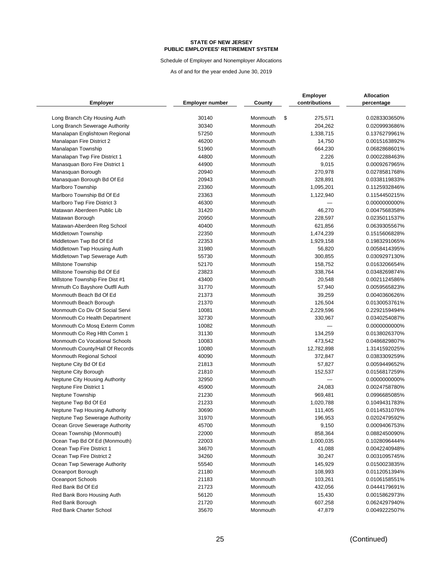Schedule of Employer and Nonemployer Allocations

|                                 |                 |          | <b>Employer</b> | <b>Allocation</b> |
|---------------------------------|-----------------|----------|-----------------|-------------------|
| <b>Employer</b>                 | Employer number | County   | contributions   | percentage        |
|                                 |                 |          |                 |                   |
| Long Branch City Housing Auth   | 30140           | Monmouth | \$<br>275,571   | 0.0283303650%     |
| Long Branch Sewerage Authority  | 30340           | Monmouth | 204,262         | 0.0209993686%     |
| Manalapan Englishtown Regional  | 57250           | Monmouth | 1,338,715       | 0.1376279961%     |
| Manalapan Fire District 2       | 46200           | Monmouth | 14,750          | 0.0015163892%     |
| Manalapan Township              | 51960           | Monmouth | 664,230         | 0.0682868601%     |
| Manalapan Twp Fire District 1   | 44800           | Monmouth | 2,226           | 0.0002288463%     |
| Manasquan Boro Fire District 1  | 44900           | Monmouth | 9,015           | 0.0009267965%     |
| Manasquan Borough               | 20940           | Monmouth | 270,978         | 0.0278581768%     |
| Manasquan Borough Bd Of Ed      | 20943           | Monmouth | 328,891         | 0.0338119833%     |
| Marlboro Township               | 23360           | Monmouth | 1,095,201       | 0.1125932846%     |
| Marlboro Township Bd Of Ed      | 23363           | Monmouth | 1,122,940       | 0.1154450215%     |
| Marlboro Twp Fire District 3    | 46300           | Monmouth |                 | 0.0000000000%     |
| Matawan Aberdeen Public Lib     | 31420           | Monmouth | 46,270          | 0.0047568358%     |
| Matawan Borough                 | 20950           | Monmouth | 228,597         | 0.0235011537%     |
| Matawan-Aberdeen Reg School     | 40400           | Monmouth | 621,856         | 0.0639305567%     |
| Middletown Township             | 22350           | Monmouth | 1,474,239       | 0.1515606828%     |
| Middletown Twp Bd Of Ed         | 22353           | Monmouth | 1,929,158       | 0.1983291065%     |
| Middletown Twp Housing Auth     | 31980           | Monmouth | 56,820          | 0.0058414395%     |
| Middletown Twp Sewerage Auth    | 55730           | Monmouth | 300,855         | 0.0309297130%     |
| Millstone Township              | 52170           | Monmouth | 158,752         | 0.0163206654%     |
| Millstone Township Bd Of Ed     | 23823           | Monmouth | 338,764         | 0.0348269874%     |
| Millstone Township Fire Dist #1 | 43400           | Monmouth | 20,548          | 0.0021124586%     |
| Mnmuth Co Bayshore Outfil Auth  | 31770           | Monmouth | 57,940          | 0.0059565823%     |
| Monmouth Beach Bd Of Ed         | 21373           | Monmouth | 39,259          | 0.0040360626%     |
| Monmouth Beach Borough          | 21370           | Monmouth | 126,504         | 0.0130053761%     |
| Monmouth Co Div Of Social Servi | 10081           | Monmouth | 2,229,596       | 0.2292159494%     |
| Monmouth Co Health Department   | 32730           | Monmouth | 330,967         | 0.0340254087%     |
| Monmouth Co Mosq Exterm Comm    | 10082           | Monmouth |                 | 0.0000000000%     |
| Monmouth Co Reg Hith Comm 1     | 31130           | Monmouth | 134,259         | 0.0138026370%     |
| Monmouth Co Vocational Schools  | 10083           | Monmouth | 473,542         | 0.0486829807%     |
| Monmouth County/Hall Of Records | 10080           | Monmouth | 12,782,898      | 1.3141592025%     |
| Monmouth Regional School        | 40090           | Monmouth | 372,847         | 0.0383309259%     |
| Neptune City Bd Of Ed           | 21813           | Monmouth | 57,827          | 0.0059449652%     |
| Neptune City Borough            | 21810           | Monmouth | 152,537         | 0.0156817259%     |
| Neptune City Housing Authority  | 32950           | Monmouth |                 | 0.0000000000%     |
| Neptune Fire District 1         | 45900           | Monmouth | 24,083          | 0.0024758780%     |
| Neptune Township                | 21230           | Monmouth | 969,481         | 0.0996685085%     |
| Neptune Twp Bd Of Ed            | 21233           | Monmouth | 1,020,788       | 0.1049431783%     |
| Neptune Twp Housing Authority   | 30690           | Monmouth | 111,405         | 0.0114531076%     |
| Neptune Twp Sewerage Authority  | 31970           | Monmouth | 196,953         | 0.0202479592%     |
| Ocean Grove Sewerage Authority  | 45700           | Monmouth | 9,150           | 0.0009406753%     |
| Ocean Township (Monmouth)       | 22000           | Monmouth | 858,364         | 0.0882450090%     |
| Ocean Twp Bd Of Ed (Monmouth)   | 22003           | Monmouth | 1,000,035       | 0.1028096444%     |
| Ocean Twp Fire District 1       | 34670           | Monmouth | 41,088          | 0.0042240948%     |
| Ocean Twp Fire District 2       | 34260           | Monmouth | 30,247          | 0.0031095745%     |
| Ocean Twp Sewerage Authority    | 55540           | Monmouth | 145,929         | 0.0150023835%     |
| Oceanport Borough               | 21180           | Monmouth | 108,993         | 0.0112051394%     |
| Oceanport Schools               | 21183           | Monmouth | 103,261         | 0.0106158551%     |
| Red Bank Bd Of Ed               | 21723           | Monmouth | 432,056         | 0.0444179691%     |
| Red Bank Boro Housing Auth      | 56120           | Monmouth | 15,430          | 0.0015862973%     |
| Red Bank Borough                | 21720           | Monmouth | 607,258         | 0.0624297940%     |
| Red Bank Charter School         | 35670           | Monmouth | 47,879          | 0.0049222507%     |
|                                 |                 |          |                 |                   |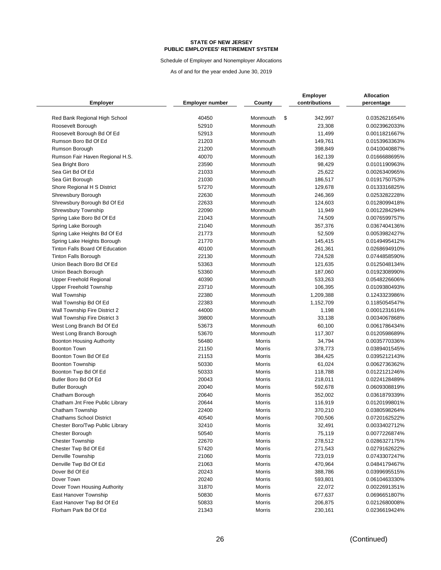Schedule of Employer and Nonemployer Allocations

| <b>Employer</b>                  | <b>Employer number</b> | County        | <b>Employer</b><br>contributions | <b>Allocation</b><br>percentage |
|----------------------------------|------------------------|---------------|----------------------------------|---------------------------------|
| Red Bank Regional High School    | 40450                  | Monmouth      | \$<br>342,997                    | 0.0352621654%                   |
| Roosevelt Borough                | 52910                  | Monmouth      | 23,308                           | 0.0023962033%                   |
| Roosevelt Borough Bd Of Ed       | 52913                  | Monmouth      | 11,499                           | 0.0011821667%                   |
| Rumson Boro Bd Of Ed             | 21203                  | Monmouth      | 149,761                          | 0.0153963363%                   |
| Rumson Borough                   | 21200                  | Monmouth      | 398,849                          | 0.0410040887%                   |
| Rumson Fair Haven Regional H.S.  | 40070                  | Monmouth      | 162,139                          | 0.0166688695%                   |
| Sea Bright Boro                  | 23590                  | Monmouth      | 98,429                           | 0.0101190963%                   |
| Sea Girt Bd Of Ed                | 21033                  | Monmouth      | 25,622                           | 0.0026340965%                   |
| Sea Girt Borough                 | 21030                  | Monmouth      | 186,517                          | 0.0191750753%                   |
| Shore Regional H S District      | 57270                  | Monmouth      | 129,678                          | 0.0133316825%                   |
| Shrewsbury Borough               | 22630                  | Monmouth      | 246,369                          | 0.0253282228%                   |
| Shrewsbury Borough Bd Of Ed      | 22633                  | Monmouth      | 124,603                          | 0.0128099418%                   |
| Shrewsbury Township              | 22090                  | Monmouth      | 11,949                           | 0.0012284294%                   |
| Spring Lake Boro Bd Of Ed        | 21043                  | Monmouth      | 74,509                           | 0.0076599757%                   |
| Spring Lake Borough              | 21040                  | Monmouth      | 357,376                          | 0.0367404136%                   |
| Spring Lake Heights Bd Of Ed     | 21773                  | Monmouth      | 52,509                           | 0.0053982427%                   |
| Spring Lake Heights Borough      | 21770                  | Monmouth      | 145,415                          | 0.0149495412%                   |
| Tinton Falls Board Of Education  | 40100                  | Monmouth      | 261,361                          | 0.0268694910%                   |
| <b>Tinton Falls Borough</b>      | 22130                  | Monmouth      | 724,528                          | 0.0744858590%                   |
| Union Beach Boro Bd Of Ed        | 53363                  | Monmouth      | 121,635                          | 0.0125048134%                   |
| Union Beach Borough              | 53360                  | Monmouth      | 187,060                          | 0.0192308990%                   |
| Upper Freehold Regional          | 40390                  | Monmouth      | 533,263                          | 0.0548226606%                   |
| <b>Upper Freehold Township</b>   | 23710                  | Monmouth      | 106,395                          | 0.0109380493%                   |
| <b>Wall Township</b>             | 22380                  | Monmouth      | 1,209,388                        | 0.1243323986%                   |
| Wall Township Bd Of Ed           | 22383                  | Monmouth      | 1,152,709                        | 0.1185054547%                   |
| Wall Township Fire District 2    | 44000                  | Monmouth      | 1,198                            | 0.0001231616%                   |
| Wall Township Fire District 3    | 39800                  | Monmouth      | 33,138                           | 0.0034067868%                   |
| West Long Branch Bd Of Ed        | 53673                  | Monmouth      | 60,100                           | 0.0061786434%                   |
| West Long Branch Borough         | 53670                  | Monmouth      | 117,307                          | 0.0120598689%                   |
| <b>Boonton Housing Authority</b> | 56480                  | <b>Morris</b> | 34,794                           | 0.0035770336%                   |
| <b>Boonton Town</b>              | 21150                  | <b>Morris</b> | 378,773                          | 0.0389401545%                   |
| Boonton Town Bd Of Ed            | 21153                  | <b>Morris</b> | 384,425                          | 0.0395212143%                   |
| <b>Boonton Township</b>          | 50330                  | Morris        | 61,024                           | 0.0062736362%                   |
| Boonton Twp Bd Of Ed             | 50333                  | Morris        | 118,788                          | 0.0122121246%                   |
| Butler Boro Bd Of Ed             | 20043                  | <b>Morris</b> | 218,011                          | 0.0224128489%                   |
| <b>Butler Borough</b>            | 20040                  | Morris        | 592,678                          | 0.0609308819%                   |
| Chatham Borough                  | 20640                  | <b>Morris</b> | 352,002                          | 0.0361879339%                   |
| Chatham Jnt Free Public Library  | 20644                  | Morris        | 116,919                          | 0.0120199801%                   |
| Chatham Township                 | 22400                  | Morris        | 370,210                          | 0.0380598264%                   |
| <b>Chathams School District</b>  | 40540                  | Morris        | 700,506                          | 0.0720162522%                   |
| Chester Boro/Twp Public Library  | 32410                  | Morris        | 32,491                           | 0.0033402712%                   |
| Chester Borough                  | 50540                  | Morris        | 75,119                           | 0.0077226874%                   |
| <b>Chester Township</b>          | 22670                  | Morris        | 278,512                          | 0.0286327175%                   |
| Chester Twp Bd Of Ed             | 57420                  | Morris        | 271,543                          | 0.0279162622%                   |
| Denville Township                | 21060                  | Morris        | 723,019                          | 0.0743307247%                   |
| Denville Twp Bd Of Ed            | 21063                  | Morris        | 470,964                          | 0.0484179467%                   |
| Dover Bd Of Ed                   | 20243                  | Morris        | 388,786                          | 0.0399695515%                   |
| Dover Town                       | 20240                  | Morris        | 593,801                          | 0.0610463330%                   |
| Dover Town Housing Authority     | 31870                  | Morris        | 22,072                           | 0.0022691351%                   |
| East Hanover Township            | 50830                  | Morris        | 677,637                          | 0.0696651807%                   |
| East Hanover Twp Bd Of Ed        | 50833                  | Morris        | 206,875                          | 0.0212680008%                   |
| Florham Park Bd Of Ed            | 21343                  | Morris        | 230,161                          | 0.0236619424%                   |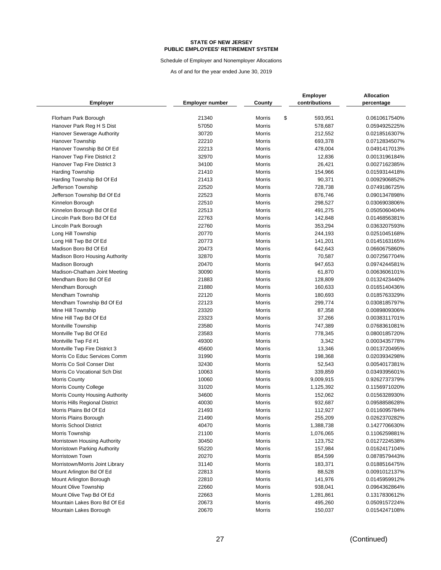Schedule of Employer and Nonemployer Allocations

| <b>Employer</b>                                        | <b>Employer number</b> | County           | <b>Employer</b><br>contributions | <b>Allocation</b><br>percentage |
|--------------------------------------------------------|------------------------|------------------|----------------------------------|---------------------------------|
| Florham Park Borough                                   | 21340                  | Morris           | \$<br>593,951                    | 0.0610617540%                   |
| Hanover Park Reg H S Dist                              | 57050                  | Morris           | 578,687                          | 0.0594925225%                   |
| <b>Hanover Sewerage Authority</b>                      | 30720                  | <b>Morris</b>    | 212,552                          | 0.0218516307%                   |
| Hanover Township                                       | 22210                  | Morris           | 693,378                          | 0.0712834507%                   |
| Hanover Township Bd Of Ed                              | 22213                  | Morris           | 478,004                          | 0.0491417013%                   |
| Hanover Twp Fire District 2                            | 32970                  | Morris           | 12,836                           | 0.0013196184%                   |
| Hanover Twp Fire District 3                            | 34100                  | Morris           | 26,421                           | 0.0027162385%                   |
| <b>Harding Township</b>                                | 21410                  | Morris           | 154,966                          | 0.0159314418%                   |
| Harding Township Bd Of Ed                              | 21413                  | Morris           | 90,371                           | 0.0092906852%                   |
| Jefferson Township                                     | 22520                  | Morris           | 728,738                          | 0.0749186725%                   |
| Jefferson Township Bd Of Ed                            | 22523                  | Morris           | 876,746                          | 0.0901347898%                   |
| Kinnelon Borough                                       | 22510                  | Morris           | 298,527                          | 0.0306903806%                   |
| Kinnelon Borough Bd Of Ed                              | 22513                  | Morris           | 491,275                          | 0.0505060404%                   |
| Lincoln Park Boro Bd Of Ed                             | 22763                  | Morris           | 142,848                          | 0.0146856381%                   |
| Lincoln Park Borough                                   | 22760                  | Morris           | 353,294                          | 0.0363207593%                   |
| Long Hill Township                                     | 20770                  | Morris           | 244,193                          | 0.0251045168%                   |
| Long Hill Twp Bd Of Ed                                 | 20773                  | Morris           | 141,201                          | 0.0145163165%                   |
| Madison Boro Bd Of Ed                                  | 20473                  | Morris           | 642,643                          | 0.0660675860%                   |
| <b>Madison Boro Housing Authority</b>                  | 32870                  | Morris           | 70,587                           | 0.0072567704%                   |
| <b>Madison Borough</b>                                 | 20470                  | Morris           | 947,653                          | 0.0974244581%                   |
| Madison-Chatham Joint Meeting                          | 30090                  | Morris           | 61,870                           | 0.0063606101%                   |
| Mendham Boro Bd Of Ed                                  | 21883                  | Morris           | 128,809                          | 0.0132423440%                   |
| Mendham Borough                                        | 21880                  | <b>Morris</b>    | 160,633                          | 0.0165140436%                   |
| <b>Mendham Township</b>                                | 22120                  | Morris           | 180,693                          | 0.0185763329%                   |
| Mendham Township Bd Of Ed                              | 22123                  | Morris           | 299,774                          | 0.0308185797%                   |
| Mine Hill Township                                     | 23320                  | Morris           | 87,358                           | 0.0089809306%                   |
| Mine Hill Twp Bd Of Ed                                 | 23323                  | Morris           | 37,266                           | 0.0038311701%                   |
| <b>Montville Township</b>                              | 23580                  | Morris           | 747,389                          | 0.0768361081%                   |
| Montville Twp Bd Of Ed                                 | 23583                  | Morris           | 778,345                          | 0.0800185720%                   |
| Montville Twp Fd #1                                    | 49300                  | Morris           | 3,342                            | 0.0003435778%                   |
| Montville Twp Fire District 3                          | 45600                  | Morris           | 13,346                           | 0.0013720495%                   |
| Morris Co Educ Services Comm                           | 31990                  | Morris           | 198,368                          | 0.0203934298%                   |
| Morris Co Soil Conser Dist                             | 32430                  | Morris           | 52,543                           | 0.0054017381%                   |
| Morris Co Vocational Sch Dist                          | 10063                  | Morris           | 339,859                          | 0.0349395601%                   |
| <b>Morris County</b>                                   | 10060                  | Morris           | 9,009,915                        | 0.9262737379%                   |
| <b>Morris County College</b>                           | 31020                  | Morris           | 1,125,392                        | 0.1156971020%                   |
| Morris County Housing Authority                        | 34600                  | Morris           | 152,062                          | 0.0156328930%                   |
| Morris Hills Regional District                         | 40030                  | <b>Morris</b>    | 932,687                          | 0.0958858628%                   |
| Morris Plains Bd Of Ed                                 | 21493                  | Morris           | 112,927                          | 0.0116095784%                   |
|                                                        |                        |                  |                                  |                                 |
| Morris Plains Borough<br><b>Morris School District</b> | 21490<br>40470         | Morris<br>Morris | 255,209<br>1,388,738             | 0.0262370282%<br>0.1427706630%  |
| Morris Township                                        | 21100                  | Morris           | 1,076,065                        | 0.1106259881%                   |
| Morristown Housing Authority                           | 30450                  | Morris           | 123,752                          | 0.0127224538%                   |
| Morristown Parking Authority                           | 55220                  | Morris           | 157,984                          | 0.0162417104%                   |
| Morristown Town                                        | 20270                  | Morris           | 854,599                          | 0.0878579443%                   |
| Morristown/Morris Joint Library                        | 31140                  | Morris           | 183,371                          | 0.0188516475%                   |
| Mount Arlington Bd Of Ed                               | 22813                  | Morris           | 88,528                           | 0.0091012137%                   |
| Mount Arlington Borough                                | 22810                  | Morris           | 141,976                          | 0.0145959912%                   |
| Mount Olive Township                                   | 22660                  | Morris           | 938,041                          | 0.0964362864%                   |
| Mount Olive Twp Bd Of Ed                               | 22663                  | Morris           | 1,281,861                        | 0.1317830612%                   |
| Mountain Lakes Boro Bd Of Ed                           | 20673                  | Morris           | 495,260                          | 0.0509157224%                   |
| Mountain Lakes Borough                                 | 20670                  | Morris           | 150,037                          | 0.0154247108%                   |
|                                                        |                        |                  |                                  |                                 |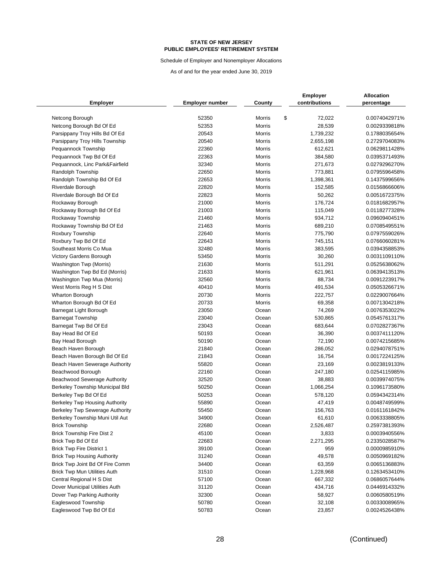Schedule of Employer and Nonemployer Allocations

|                                        |                 |                  | <b>Employer</b> | <b>Allocation</b> |
|----------------------------------------|-----------------|------------------|-----------------|-------------------|
| <b>Employer</b>                        | Employer number | County           | contributions   | percentage        |
| Netcong Borough                        | 52350           | Morris           | \$<br>72,022    | 0.0074042971%     |
| Netcong Borough Bd Of Ed               | 52353           | Morris           | 28,539          | 0.0029339818%     |
| Parsippany Troy Hills Bd Of Ed         | 20543           | Morris           | 1,739,232       | 0.1788035654%     |
| Parsippany Troy Hills Township         | 20540           | Morris           | 2,655,198       | 0.2729704083%     |
| Pequannock Township                    | 22360           | Morris           | 612,621         | 0.0629811428%     |
| Pequannock Twp Bd Of Ed                | 22363           | Morris           | 384,580         | 0.0395371493%     |
| Pequannock, Linc Park&Fairfield        | 32340           | Morris           | 271,673         | 0.0279296270%     |
| Randolph Township                      | 22650           | Morris           | 773,881         | 0.0795596458%     |
| Randolph Township Bd Of Ed             | 22653           | Morris           | 1,398,361       | 0.1437599656%     |
| Riverdale Borough                      | 22820           | Morris           | 152,585         | 0.0156866606%     |
| Riverdale Borough Bd Of Ed             | 22823           | Morris           | 50,262          | 0.0051672375%     |
| Rockaway Borough                       | 21000           | Morris           | 176,724         | 0.0181682957%     |
|                                        | 21003           | Morris           | 115,049         | 0.0118277328%     |
| Rockaway Borough Bd Of Ed              | 21460           | Morris           | 934,712         | 0.0960940451%     |
| Rockaway Township                      | 21463           |                  |                 |                   |
| Rockaway Township Bd Of Ed             | 22640           | Morris           | 689,210         | 0.0708549551%     |
| Roxbury Township                       | 22643           | Morris<br>Morris | 775,790         | 0.0797559026%     |
| Roxbury Twp Bd Of Ed                   |                 |                  | 745,151         | 0.0766060281%     |
| Southeast Morris Co Mua                | 32480           | Morris           | 383,595         | 0.0394358853%     |
| Victory Gardens Borough                | 53450           | Morris           | 30,260          | 0.0031109110%     |
| Washington Twp (Morris)                | 21630           | Morris           | 511,291         | 0.0525638062%     |
| Washington Twp Bd Ed (Morris)          | 21633           | Morris           | 621,961         | 0.0639413513%     |
| Washington Twp Mua (Morris)            | 32560           | Morris           | 88,734          | 0.0091223917%     |
| West Morris Reg H S Dist               | 40410           | Morris           | 491,534         | 0.0505326671%     |
| <b>Wharton Borough</b>                 | 20730           | Morris           | 222,757         | 0.0229007664%     |
| Wharton Borough Bd Of Ed               | 20733           | Morris           | 69,358          | 0.0071304218%     |
| Barnegat Light Borough                 | 23050           | Ocean            | 74,269          | 0.0076353022%     |
| <b>Barnegat Township</b>               | 23040           | Ocean            | 530,865         | 0.0545761317%     |
| Barnegat Twp Bd Of Ed                  | 23043           | Ocean            | 683,644         | 0.0702827367%     |
| Bay Head Bd Of Ed                      | 50193           | Ocean            | 36,390          | 0.0037411120%     |
| Bay Head Borough                       | 50190           | Ocean            | 72,190          | 0.0074215685%     |
| Beach Haven Borough                    | 21840           | Ocean            | 286,052         | 0.0294078751%     |
| Beach Haven Borough Bd Of Ed           | 21843           | Ocean            | 16,754          | 0.0017224125%     |
| Beach Haven Sewerage Authority         | 55820           | Ocean            | 23,169          | 0.0023819133%     |
| Beachwood Borough                      | 22160           | Ocean            | 247,180         | 0.0254115985%     |
| Beachwood Sewerage Authority           | 32520           | Ocean            | 38,883          | 0.0039974075%     |
| <b>Berkeley Township Municipal Bld</b> | 50250           | Ocean            | 1,066,254       | 0.1096173580%     |
| Berkeley Twp Bd Of Ed                  | 50253           | Ocean            | 578,120         | 0.0594342314%     |
| Berkeley Twp Housing Authority         | 55890           | Ocean            | 47,419          | 0.0048749599%     |
| Berkeley Twp Sewerage Authority        | 55450           | Ocean            | 156,763         | 0.0161161842%     |
| Berkeley Township Muni Util Aut        | 34900           | Ocean            | 61,610          | 0.0063338805%     |
| <b>Brick Township</b>                  | 22680           | Ocean            | 2,526,487       | 0.2597381393%     |
| <b>Brick Township Fire Dist 2</b>      | 45100           | Ocean            | 3,833           | 0.0003940556%     |
| Brick Twp Bd Of Ed                     | 22683           | Ocean            | 2,271,295       | 0.2335028587%     |
| <b>Brick Twp Fire District 1</b>       | 39100           | Ocean            | 959             | 0.0000985910%     |
| <b>Brick Twp Housing Authority</b>     | 31240           | Ocean            | 49,578          | 0.0050969182%     |
| Brick Twp Joint Bd Of Fire Comm        | 34400           | Ocean            | 63,359          | 0.0065136883%     |
| <b>Brick Twp Mun Utilities Auth</b>    | 31510           | Ocean            | 1,228,968       | 0.1263453410%     |
| Central Regional H S Dist              | 57100           | Ocean            | 667,332         | 0.0686057644%     |
| Dover Municipal Utilities Auth         | 31120           | Ocean            | 434,716         | 0.0446914332%     |
| Dover Twp Parking Authority            | 32300           | Ocean            | 58,927          | 0.0060580519%     |
| Eagleswood Township                    | 50780           | Ocean            | 32,108          | 0.0033008965%     |
| Eagleswood Twp Bd Of Ed                | 50783           | Ocean            | 23,857          | 0.0024526438%     |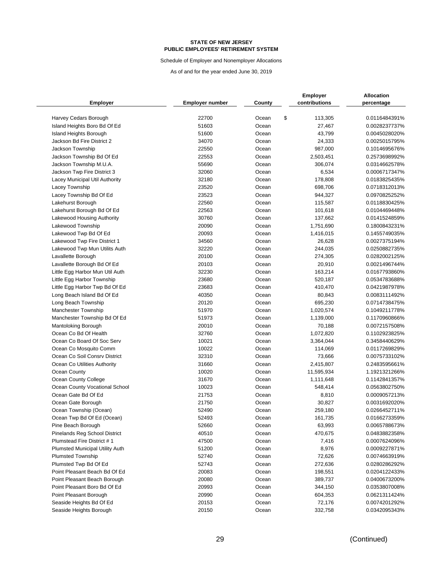Schedule of Employer and Nonemployer Allocations

| <b>Employer</b>                        | <b>Employer number</b> | County | <b>Employer</b><br>contributions | <b>Allocation</b><br>percentage |
|----------------------------------------|------------------------|--------|----------------------------------|---------------------------------|
| Harvey Cedars Borough                  | 22700                  | Ocean  | \$<br>113,305                    | 0.0116484391%                   |
| Island Heights Boro Bd Of Ed           | 51603                  | Ocean  | 27,467                           | 0.0028237737%                   |
| <b>Island Heights Borough</b>          | 51600                  | Ocean  | 43,799                           | 0.0045028020%                   |
| Jackson Bd Fire District 2             | 34070                  | Ocean  | 24,333                           | 0.0025015795%                   |
| Jackson Township                       | 22550                  | Ocean  | 987,000                          | 0.1014695676%                   |
| Jackson Township Bd Of Ed              | 22553                  | Ocean  | 2,503,451                        | 0.2573698992%                   |
| Jackson Township M.U.A.                | 55690                  | Ocean  | 306,074                          | 0.0314662578%                   |
| Jackson Twp Fire District 3            | 32060                  | Ocean  | 6,534                            | 0.0006717347%                   |
| Lacey Municipal Util Authority         | 32180                  | Ocean  | 178,808                          | 0.0183825435%                   |
| Lacey Township                         | 23520                  | Ocean  | 698,706                          | 0.0718312013%                   |
| Lacey Township Bd Of Ed                | 23523                  | Ocean  | 944,327                          | 0.0970825252%                   |
| Lakehurst Borough                      | 22560                  | Ocean  | 115,587                          | 0.0118830425%                   |
| Lakehurst Borough Bd Of Ed             | 22563                  | Ocean  | 101,618                          | 0.0104469448%                   |
| Lakewood Housing Authority             | 30760                  | Ocean  | 137,662                          | 0.0141524859%                   |
| Lakewood Township                      | 20090                  | Ocean  | 1,751,690                        | 0.1800843231%                   |
| Lakewood Twp Bd Of Ed                  | 20093                  | Ocean  | 1,416,015                        | 0.1455749035%                   |
| Lakewood Twp Fire District 1           | 34560                  | Ocean  | 26,628                           | 0.0027375194%                   |
| Lakewood Twp Mun Utilits Auth          | 32220                  | Ocean  | 244,035                          | 0.0250882735%                   |
| Lavallette Borough                     | 20100                  | Ocean  | 274,305                          | 0.0282002125%                   |
| Lavallette Borough Bd Of Ed            | 20103                  | Ocean  | 20,910                           | 0.0021496744%                   |
| Little Egg Harbor Mun Util Auth        | 32230                  | Ocean  | 163,214                          | 0.0167793860%                   |
| Little Egg Harbor Township             | 23680                  | Ocean  | 520,187                          | 0.0534783688%                   |
| Little Egg Harbor Twp Bd Of Ed         | 23683                  | Ocean  | 410,470                          | 0.0421987978%                   |
| Long Beach Island Bd Of Ed             | 40350                  | Ocean  | 80,843                           | 0.0083111492%                   |
| Long Beach Township                    | 20120                  | Ocean  | 695,230                          | 0.0714738475%                   |
| Manchester Township                    | 51970                  | Ocean  | 1,020,574                        | 0.1049211778%                   |
| Manchester Township Bd Of Ed           | 51973                  | Ocean  | 1,139,000                        | 0.1170960866%                   |
| <b>Mantoloking Borough</b>             | 20010                  | Ocean  | 70,188                           | 0.0072157508%                   |
| Ocean Co Bd Of Health                  | 32760                  | Ocean  | 1,072,820                        | 0.1102923825%                   |
| Ocean Co Board Of Soc Serv             | 10021                  | Ocean  | 3,364,044                        | 0.3458440629%                   |
| Ocean Co Mosquito Comm                 | 10022                  | Ocean  | 114,069                          | 0.0117269829%                   |
| Ocean Co Soil Consrv District          | 32310                  | Ocean  | 73,666                           | 0.0075733102%                   |
| Ocean Co Utilities Authority           | 31660                  | Ocean  | 2,415,807                        | 0.2483595661%                   |
| Ocean County                           | 10020                  | Ocean  | 11,595,934                       | 1.1921321266%                   |
| Ocean County College                   | 31670                  | Ocean  | 1,111,648                        | 0.1142841357%                   |
| Ocean County Vocational School         | 10023                  | Ocean  | 548,414                          | 0.0563802750%                   |
| Ocean Gate Bd Of Ed                    | 21753                  | Ocean  | 8,810                            | 0.0009057213%                   |
| Ocean Gate Borough                     | 21750                  | Ocean  | 30,827                           | 0.0031692020%                   |
| Ocean Township (Ocean)                 | 52490                  | Ocean  | 259,180                          | 0.0266452711%                   |
| Ocean Twp Bd Of Ed (Ocean)             | 52493                  | Ocean  | 161,735                          | 0.0166273359%                   |
| Pine Beach Borough                     | 52660                  | Ocean  | 63,993                           | 0.0065788673%                   |
| <b>Pinelands Reg School District</b>   | 40510                  | Ocean  | 470,675                          | 0.0483882358%                   |
| Plumstead Fire District #1             | 47500                  | Ocean  | 7,416                            | 0.0007624096%                   |
| <b>Plumsted Municipal Utility Auth</b> | 51200                  | Ocean  | 8,976                            | 0.0009227871%                   |
| <b>Plumsted Township</b>               | 52740                  | Ocean  | 72,626                           | 0.0074663919%                   |
| Plumsted Twp Bd Of Ed                  | 52743                  | Ocean  | 272,636                          | 0.0280286292%                   |
| Point Pleasant Beach Bd Of Ed          | 20083                  | Ocean  | 198,551                          | 0.0204122433%                   |
| Point Pleasant Beach Borough           | 20080                  | Ocean  | 389,737                          | 0.0400673200%                   |
| Point Pleasant Boro Bd Of Ed           | 20993                  | Ocean  | 344,150                          | 0.0353807008%                   |
| Point Pleasant Borough                 | 20990                  | Ocean  | 604,353                          | 0.0621311424%                   |
| Seaside Heights Bd Of Ed               | 20153                  | Ocean  | 72,176                           | 0.0074201292%                   |
| Seaside Heights Borough                | 20150                  | Ocean  | 332,758                          | 0.0342095343%                   |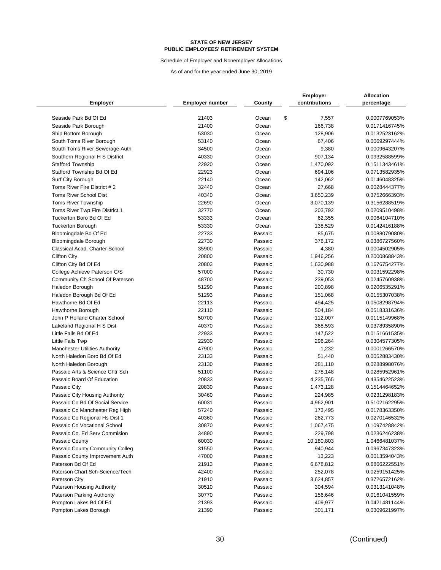Schedule of Employer and Nonemployer Allocations

|                                                               |                        |                    | <b>Employer</b>      | <b>Allocation</b>              |
|---------------------------------------------------------------|------------------------|--------------------|----------------------|--------------------------------|
| <b>Employer</b>                                               | <b>Employer number</b> | County             | contributions        | percentage                     |
| Seaside Park Bd Of Ed                                         | 21403                  | Ocean              | \$<br>7,557          | 0.0007769053%                  |
| Seaside Park Borough                                          | 21400                  | Ocean              | 166,738              | 0.0171416745%                  |
| Ship Bottom Borough                                           | 53030                  | Ocean              | 128,906              | 0.0132523162%                  |
| South Toms River Borough                                      | 53140                  | Ocean              | 67,406               | 0.0069297444%                  |
| South Toms River Sewerage Auth                                | 34500                  | Ocean              | 9,380                | 0.0009643207%                  |
| Southern Regional H S District                                | 40330                  | Ocean              | 907,134              | 0.0932588599%                  |
| <b>Stafford Township</b>                                      | 22920                  | Ocean              | 1,470,092            | 0.1511343461%                  |
| Stafford Township Bd Of Ed                                    | 22923                  | Ocean              | 694,106              | 0.0713582935%                  |
| Surf City Borough                                             | 22140                  | Ocean              | 142,062              | 0.0146048325%                  |
| Toms River Fire District #2                                   | 32440                  | Ocean              | 27,668               | 0.0028444377%                  |
| <b>Toms River School Dist</b>                                 | 40340                  | Ocean              | 3,650,239            | 0.3752666393%                  |
| <b>Toms River Township</b>                                    | 22690                  | Ocean              | 3,070,139            | 0.3156288519%                  |
| Toms River Twp Fire District 1                                | 32770                  | Ocean              | 203,792              | 0.0209510498%                  |
| Tuckerton Boro Bd Of Ed                                       | 53333                  | Ocean              | 62,355               | 0.0064104710%                  |
| <b>Tuckerton Borough</b>                                      | 53330                  | Ocean              | 138,529              | 0.0142416188%                  |
| Bloomingdale Bd Of Ed                                         | 22733                  | Passaic            | 85,675               | 0.0088079080%                  |
| Bloomingdale Borough                                          | 22730                  | Passaic            | 376,172              | 0.0386727560%                  |
| Classical Acad. Charter School                                | 35900                  | Passaic            | 4,380                | 0.0004502905%                  |
| <b>Clifton City</b>                                           | 20800                  | Passaic            | 1,946,256            | 0.2000868843%                  |
| Clifton City Bd Of Ed                                         | 20803                  | Passaic            | 1,630,988            | 0.1676754277%                  |
| College Achieve Paterson C/S                                  | 57000                  | Passaic            |                      | 0.0031592298%                  |
|                                                               | 48700                  | Passaic            | 30,730<br>239,053    | 0.0245760938%                  |
| Community Ch School Of Paterson<br>Haledon Borough            | 51290                  | Passaic            | 200,898              | 0.0206535291%                  |
|                                                               | 51293                  | Passaic            |                      | 0.0155307038%                  |
| Haledon Borough Bd Of Ed<br>Hawthorne Bd Of Ed                | 22113                  | Passaic            | 151,068<br>494,425   | 0.0508298794%                  |
| Hawthorne Borough                                             | 22110                  | Passaic            | 504,184              | 0.0518331636%                  |
| John P Holland Charter School                                 | 50700                  | Passaic            | 112,007              | 0.0115149968%                  |
|                                                               | 40370                  | Passaic            | 368,593              | 0.0378935890%                  |
| Lakeland Regional H S Dist<br>Little Falls Bd Of Ed           | 22933                  | Passaic            | 147,522              | 0.0151661535%                  |
| Little Falls Twp                                              | 22930                  | Passaic            | 296,264              | 0.0304577305%                  |
| <b>Manchester Utilities Authority</b>                         | 47900                  | Passaic            | 1,232                | 0.0001266570%                  |
| North Haledon Boro Bd Of Ed                                   | 23133                  | Passaic            | 51,440               | 0.0052883430%                  |
| North Haledon Borough                                         | 23130                  | Passaic            | 281,110              | 0.0288998076%                  |
| Passaic Arts & Science Chtr Sch                               | 51100                  | Passaic            | 278,148              | 0.0285952961%                  |
| Passaic Board Of Education                                    | 20833                  | Passaic            | 4,235,765            | 0.4354622523%                  |
| Passaic City                                                  | 20830                  | Passaic            | 1,473,128            | 0.1514464652%                  |
| Passaic City Housing Authority                                | 30460                  | Passaic            | 224,985              | 0.0231298183%                  |
| Passaic Co Bd Of Social Service                               | 60031                  | Passaic            | 4,962,901            | 0.5102162295%                  |
|                                                               | 57240                  | Passaic            |                      | 0.0178363350%                  |
| Passaic Co Manchester Reg High                                |                        |                    | 173,495              |                                |
| Passaic Co Regional Hs Dist 1<br>Passaic Co Vocational School | 40360<br>30870         | Passaic<br>Passaic | 262,773              | 0.0270146532%<br>0.1097428842% |
| Passaic Co. Ed Serv Commision                                 | 34890                  | Passaic            | 1,067,475<br>229,798 | 0.0236246238%                  |
| Passaic County                                                | 60030                  | Passaic            |                      | 1.0466481037%                  |
| Passaic County Community Colleg                               | 31550                  | Passaic            | 10,180,803           | 0.0967347323%                  |
| Passaic County Improvement Auth                               | 47000                  | Passaic            | 940,944              |                                |
| Paterson Bd Of Ed                                             |                        | Passaic            | 13,223               | 0.0013594043%                  |
| Paterson Chart Sch-Science/Tech                               | 21913                  | Passaic            | 6,678,812            | 0.6866222551%                  |
| Paterson City                                                 | 42400<br>21910         | Passaic            | 252,078              | 0.0259151425%                  |
|                                                               |                        |                    | 3,624,857            | 0.3726572162%                  |
| Paterson Housing Authority                                    | 30510<br>30770         | Passaic            | 304,594              | 0.0313141048%<br>0.0161041559% |
| Paterson Parking Authority                                    |                        | Passaic            | 156,646<br>409,977   |                                |
| Pompton Lakes Bd Of Ed                                        | 21393                  | Passaic            |                      | 0.0421481144%                  |
| Pompton Lakes Borough                                         | 21390                  | Passaic            | 301,171              | 0.0309621997%                  |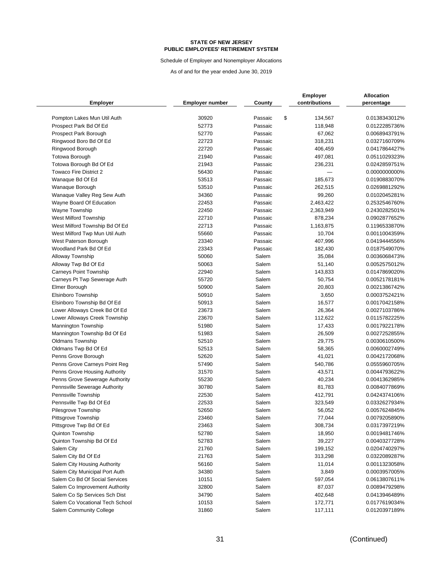Schedule of Employer and Nonemployer Allocations

| <b>Employer</b>                                | <b>Employer number</b> | County         | <b>Employer</b><br>contributions | <b>Allocation</b><br>percentage |
|------------------------------------------------|------------------------|----------------|----------------------------------|---------------------------------|
| Pompton Lakes Mun Util Auth                    | 30920                  | Passaic        | \$<br>134,567                    | 0.0138343012%                   |
| Prospect Park Bd Of Ed                         | 52773                  | Passaic        | 118,948                          | 0.0122285736%                   |
| Prospect Park Borough                          | 52770                  | Passaic        | 67,062                           | 0.0068943791%                   |
| Ringwood Boro Bd Of Ed                         | 22723                  | Passaic        | 318,231                          | 0.0327160709%                   |
| Ringwood Borough                               | 22720                  | Passaic        | 406,459                          | 0.0417864427%                   |
| Totowa Borough                                 | 21940                  | Passaic        | 497,081                          | 0.0511029323%                   |
| Totowa Borough Bd Of Ed                        | 21943                  | Passaic        | 236,231                          | 0.0242859751%                   |
| <b>Towaco Fire District 2</b>                  | 56430                  | Passaic        |                                  | 0.0000000000%                   |
| Wanaque Bd Of Ed                               | 53513                  | Passaic        | 185,673                          | 0.0190883070%                   |
| Wanaque Borough                                | 53510                  | Passaic        | 262,515                          | 0.0269881292%                   |
| Wanaque Valley Reg Sew Auth                    | 34360                  | Passaic        | 99,260                           | 0.0102045281%                   |
| Wayne Board Of Education                       | 22453                  | Passaic        | 2,463,422                        | 0.2532546760%                   |
| Wayne Township                                 | 22450                  | Passaic        | 2,363,949                        | 0.2430282501%                   |
| West Milford Township                          | 22710                  | Passaic        | 878,234                          | 0.0902877652%                   |
| West Milford Township Bd Of Ed                 | 22713                  | Passaic        | 1,163,875                        | 0.1196533870%                   |
| West Milford Twp Mun Util Auth                 | 55660                  | Passaic        | 10,704                           | 0.0011004359%                   |
| West Paterson Borough                          | 23340                  | Passaic        | 407,996                          | 0.0419444556%                   |
| Woodland Park Bd Of Ed                         | 23343                  | Passaic        | 182,430                          | 0.0187549070%                   |
| Alloway Township                               | 50060                  | Salem          | 35,084                           | 0.0036068473%                   |
| Alloway Twp Bd Of Ed                           | 50063                  | Salem          | 51,140                           | 0.0052575012%                   |
| <b>Carneys Point Township</b>                  | 22940                  | Salem          | 143,833                          | 0.0147869020%                   |
| Carneys Pt Twp Sewerage Auth                   | 55720                  | Salem          | 50,754                           | 0.0052178181%                   |
| Elmer Borough                                  | 50900                  | Salem          | 20,803                           | 0.0021386742%                   |
| Elsinboro Township                             | 50910                  | Salem          | 3,650                            | 0.0003752421%                   |
| Elsinboro Township Bd Of Ed                    | 50913                  | Salem          | 16,577                           | 0.0017042158%                   |
| Lower Alloways Creek Bd Of Ed                  | 23673                  | Salem          | 26,364                           | 0.0027103786%                   |
| Lower Alloways Creek Township                  | 23670                  | Salem          | 112,622                          | 0.0115782225%                   |
| Mannington Township                            | 51980                  | Salem          | 17,433                           | 0.0017922178%                   |
| Mannington Township Bd Of Ed                   | 51983                  | Salem          | 26,509                           | 0.0027252855%                   |
| <b>Oldmans Township</b>                        | 52510                  | Salem          | 29,775                           | 0.0030610500%                   |
| Oldmans Twp Bd Of Ed                           | 52513                  | Salem          | 58,365                           | 0.0060002749%                   |
| Penns Grove Borough                            | 52620                  | Salem          | 41,021                           | 0.0042172068%                   |
| Penns Grove Carneys Point Reg                  | 57490                  | Salem          | 540,786                          | 0.0555960705%                   |
| Penns Grove Housing Authority                  | 31570                  | Salem          | 43,571                           | 0.0044793622%                   |
| Penns Grove Sewerage Authority                 | 55230                  | Salem          | 40,234                           | 0.0041362985%                   |
| Pennsville Sewerage Authority                  | 30780                  | Salem          | 81,783                           | 0.0084077869%                   |
| Pennsville Township                            | 22530                  | Salem          | 412,791                          | 0.0424374106%                   |
| Pennsville Twp Bd Of Ed                        | 22533                  | Salem          | 323,549                          | 0.0332627934%                   |
| Pilesgrove Township                            | 52650                  | Salem          | 56,052                           | 0.0057624845%                   |
|                                                |                        |                |                                  |                                 |
| Pittsgrove Township<br>Pittsgrove Twp Bd Of Ed | 23460<br>23463         | Salem<br>Salem | 77,044<br>308,734                | 0.0079205890%<br>0.0317397219%  |
| Quinton Township                               | 52780                  | Salem          | 18,950                           | 0.0019481746%                   |
| Quinton Township Bd Of Ed                      | 52783                  | Salem          | 39,227                           | 0.0040327728%                   |
| Salem City                                     | 21760                  | Salem          | 199,152                          | 0.0204740297%                   |
| Salem City Bd Of Ed                            | 21763                  | Salem          | 313,298                          | 0.0322089287%                   |
| Salem City Housing Authority                   | 56160                  | Salem          | 11,014                           | 0.0011323058%                   |
| Salem City Municipal Port Auth                 | 34380                  | Salem          | 3,849                            | 0.0003957005%                   |
| Salem Co Bd Of Social Services                 | 10151                  | Salem          | 597,054                          | 0.0613807611%                   |
| Salem Co Improvement Authority                 | 32800                  | Salem          |                                  | 0.0089479298%                   |
| Salem Co Sp Services Sch Dist                  | 34790                  | Salem          | 87,037                           |                                 |
| Salem Co Vocational Tech School                |                        | Salem          | 402,648                          | 0.0413946489%                   |
| Salem Community College                        | 10153<br>31860         | Salem          | 172,771<br>117,111               | 0.0177619034%<br>0.0120397189%  |
|                                                |                        |                |                                  |                                 |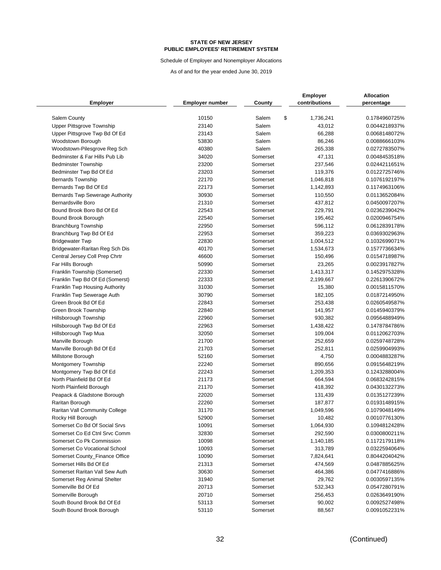Schedule of Employer and Nonemployer Allocations

| <b>Employer</b>                 | <b>Employer number</b> | County   | <b>Employer</b><br>contributions | <b>Allocation</b><br>percentage |
|---------------------------------|------------------------|----------|----------------------------------|---------------------------------|
|                                 |                        |          |                                  |                                 |
| Salem County                    | 10150                  | Salem    | \$<br>1,736,241                  | 0.1784960725%                   |
| Upper Pittsgrove Township       | 23140                  | Salem    | 43,012                           | 0.0044218937%                   |
| Upper Pittsgrove Twp Bd Of Ed   | 23143                  | Salem    | 66,288                           | 0.0068148072%                   |
| Woodstown Borough               | 53830                  | Salem    | 86,246                           | 0.0088666103%                   |
| Woodstown-Pilesgrove Reg Sch    | 40380                  | Salem    | 265,338                          | 0.0272783507%                   |
| Bedminster & Far Hills Pub Lib  | 34020                  | Somerset | 47,131                           | 0.0048453518%                   |
| <b>Bedminster Township</b>      | 23200                  | Somerset | 237,546                          | 0.0244211651%                   |
| Bedminster Twp Bd Of Ed         | 23203                  | Somerset | 119,376                          | 0.0122725746%                   |
| <b>Bernards Township</b>        | 22170                  | Somerset | 1,046,818                        | 0.1076192197%                   |
| Bernards Twp Bd Of Ed           | 22173                  | Somerset | 1,142,893                        | 0.1174963106%                   |
| Bernards Twp Sewerage Authority | 30930                  | Somerset | 110,550                          | 0.0113652084%                   |
| <b>Bernardsville Boro</b>       | 21310                  | Somerset | 437,812                          | 0.0450097207%                   |
| Bound Brook Boro Bd Of Ed       | 22543                  | Somerset | 229,791                          | 0.0236239042%                   |
| Bound Brook Borough             | 22540                  | Somerset | 195,462                          | 0.0200946754%                   |
| <b>Branchburg Township</b>      | 22950                  | Somerset | 596,112                          | 0.0612839178%                   |
| Branchburg Twp Bd Of Ed         | 22953                  | Somerset | 359,223                          | 0.0369302963%                   |
| <b>Bridgewater Twp</b>          | 22830                  | Somerset | 1,004,512                        | 0.1032699071%                   |
| Bridgewater-Raritan Reg Sch Dis | 40170                  | Somerset | 1,534,673                        | 0.1577736634%                   |
| Central Jersey Coll Prep Chrtr  | 46600                  | Somerset | 150,496                          | 0.0154718987%                   |
| Far Hills Borough               | 50990                  | Somerset | 23,265                           | 0.0023917827%                   |
| Franklin Township (Somerset)    | 22330                  | Somerset | 1,413,317                        | 0.1452975328%                   |
| Franklin Twp Bd Of Ed (Somerst) | 22333                  | Somerset | 2,199,667                        | 0.2261390672%                   |
| Franklin Twp Housing Authority  | 31030                  | Somerset | 15,380                           | 0.0015811570%                   |
| Franklin Twp Sewerage Auth      | 30790                  | Somerset | 182,105                          | 0.0187214950%                   |
| Green Brook Bd Of Ed            | 22843                  | Somerset | 253,438                          | 0.0260549587%                   |
| Green Brook Township            | 22840                  | Somerset | 141,957                          | 0.0145940379%                   |
| Hillsborough Township           | 22960                  | Somerset | 930,382                          | 0.0956488949%                   |
| Hillsborough Twp Bd Of Ed       | 22963                  | Somerset | 1,438,422                        | 0.1478784786%                   |
| Hillsborough Twp Mua            | 32050                  | Somerset | 109,004                          | 0.0112062703%                   |
| Manville Borough                | 21700                  | Somerset | 252,659                          | 0.0259748728%                   |
| Manville Borough Bd Of Ed       | 21703                  | Somerset | 252,811                          | 0.0259904993%                   |
| Millstone Borough               | 52160                  | Somerset | 4,750                            | 0.0004883287%                   |
| Montgomery Township             | 22240                  | Somerset | 890,656                          | 0.0915648219%                   |
| Montgomery Twp Bd Of Ed         | 22243                  | Somerset | 1,209,353                        | 0.1243288004%                   |
| North Plainfield Bd Of Ed       | 21173                  | Somerset | 664,594                          | 0.0683242815%                   |
| North Plainfield Borough        | 21170                  | Somerset | 418,392                          | 0.0430132273%                   |
| Peapack & Gladstone Borough     | 22020                  | Somerset | 131,439                          | 0.0135127239%                   |
| Raritan Borough                 | 22260                  | Somerset | 187,877                          | 0.0193148915%                   |
| Raritan Vall Community College  | 31170                  | Somerset | 1,049,596                        | 0.1079048149%                   |
| Rocky Hill Borough              | 52900                  | Somerset | 10,482                           | 0.0010776130%                   |
| Somerset Co Bd Of Social Srvs   | 10091                  | Somerset | 1,064,930                        | 0.1094812428%                   |
| Somerset Co Ed Ctnl Srvc Comm   | 32830                  | Somerset | 292,590                          | 0.0300800211%                   |
| Somerset Co Pk Commission       | 10098                  | Somerset | 1,140,185                        | 0.1172179118%                   |
| Somerset Co Vocational School   | 10093                  | Somerset | 313,789                          | 0.0322594064%                   |
| Somerset County_Finance Office  | 10090                  | Somerset | 7,824,641                        | 0.8044204042%                   |
| Somerset Hills Bd Of Ed         | 21313                  | Somerset | 474,569                          | 0.0487885625%                   |
| Somerset Raritan Vall Sew Auth  | 30630                  | Somerset | 464,386                          | 0.0477416886%                   |
| Somerset Reg Animal Shelter     | 31940                  | Somerset | 29,762                           | 0.0030597135%                   |
| Somerville Bd Of Ed             | 20713                  | Somerset | 532,343                          | 0.0547280791%                   |
| Somerville Borough              | 20710                  | Somerset | 256,453                          | 0.0263649190%                   |
| South Bound Brook Bd Of Ed      | 53113                  | Somerset | 90,002                           | 0.0092527498%                   |
| South Bound Brook Borough       | 53110                  | Somerset | 88,567                           | 0.0091052231%                   |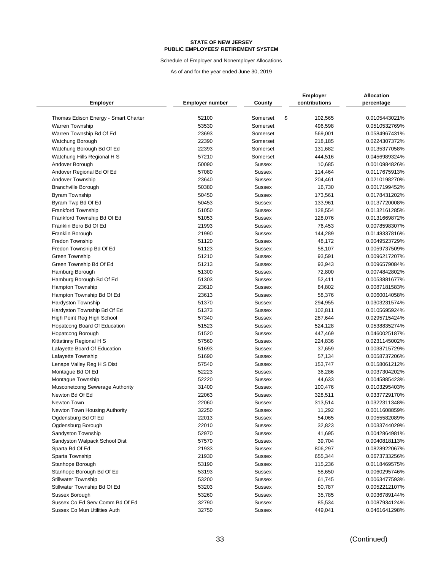Schedule of Employer and Nonemployer Allocations

|                                                |                        |                                | <b>Employer</b>    | <b>Allocation</b>              |
|------------------------------------------------|------------------------|--------------------------------|--------------------|--------------------------------|
| <b>Employer</b>                                | <b>Employer number</b> | County                         | contributions      | percentage                     |
| Thomas Edison Energy - Smart Charter           | 52100                  | Somerset                       | \$<br>102,565      | 0.0105443021%                  |
| Warren Township                                | 53530                  | Somerset                       | 496,598            | 0.0510532769%                  |
| Warren Township Bd Of Ed                       | 23693                  | Somerset                       | 569,001            | 0.0584967431%                  |
|                                                | 22390                  | Somerset                       | 218,185            | 0.0224307372%                  |
| Watchung Borough                               | 22393                  | Somerset                       |                    | 0.0135377058%                  |
| Watchung Borough Bd Of Ed                      | 57210                  | Somerset                       | 131,682<br>444,516 | 0.0456989324%                  |
| Watchung Hills Regional H S                    | 50090                  |                                |                    |                                |
| Andover Borough                                | 57080                  | <b>Sussex</b><br><b>Sussex</b> | 10,685<br>114,464  | 0.0010984826%<br>0.0117675913% |
| Andover Regional Bd Of Ed                      |                        |                                |                    |                                |
| Andover Township<br><b>Branchville Borough</b> | 23640                  | <b>Sussex</b><br><b>Sussex</b> | 204,461            | 0.0210198270%                  |
|                                                | 50380                  |                                | 16,730             | 0.0017199452%                  |
| <b>Byram Township</b>                          | 50450                  | <b>Sussex</b>                  | 173,561            | 0.0178431202%                  |
| Byram Twp Bd Of Ed                             | 50453                  | <b>Sussex</b>                  | 133,961            | 0.0137720008%                  |
| <b>Frankford Township</b>                      | 51050                  | <b>Sussex</b>                  | 128,554            | 0.0132161285%                  |
| Frankford Township Bd Of Ed                    | 51053                  | <b>Sussex</b>                  | 128,076            | 0.0131669872%                  |
| Franklin Boro Bd Of Ed                         | 21993                  | <b>Sussex</b>                  | 76,453             | 0.0078598307%                  |
| Franklin Borough                               | 21990                  | <b>Sussex</b>                  | 144,289            | 0.0148337816%                  |
| Fredon Township                                | 51120                  | <b>Sussex</b>                  | 48,172             | 0.0049523729%                  |
| Fredon Township Bd Of Ed                       | 51123                  | <b>Sussex</b>                  | 58,107             | 0.0059737509%                  |
| Green Township                                 | 51210                  | <b>Sussex</b>                  | 93,591             | 0.0096217207%                  |
| Green Township Bd Of Ed                        | 51213                  | <b>Sussex</b>                  | 93,943             | 0.0096579084%                  |
| Hamburg Borough                                | 51300                  | <b>Sussex</b>                  | 72,800             | 0.0074842802%                  |
| Hamburg Borough Bd Of Ed                       | 51303                  | <b>Sussex</b>                  | 52,411             | 0.0053881677%                  |
| <b>Hampton Township</b>                        | 23610                  | <b>Sussex</b>                  | 84,802             | 0.0087181583%                  |
| Hampton Township Bd Of Ed                      | 23613                  | <b>Sussex</b>                  | 58,376             | 0.0060014058%                  |
| Hardyston Township                             | 51370                  | <b>Sussex</b>                  | 294,955            | 0.0303231574%                  |
| Hardyston Township Bd Of Ed                    | 51373                  | <b>Sussex</b>                  | 102,811            | 0.0105695924%                  |
| High Point Reg High School                     | 57340                  | <b>Sussex</b>                  | 287,644            | 0.0295715424%                  |
| Hopatcong Board Of Education                   | 51523                  | <b>Sussex</b>                  | 524,128            | 0.0538835274%                  |
| <b>Hopatcong Borough</b>                       | 51520                  | <b>Sussex</b>                  | 447,469            | 0.0460025187%                  |
| Kittatinny Regional H S                        | 57560                  | <b>Sussex</b>                  | 224,836            | 0.0231145002%                  |
| Lafayette Board Of Education                   | 51693                  | <b>Sussex</b>                  | 37,659             | 0.0038715729%                  |
| Lafayette Township                             | 51690                  | <b>Sussex</b>                  | 57,134             | 0.0058737206%                  |
| Lenape Valley Reg H S Dist                     | 57540                  | <b>Sussex</b>                  | 153,747            | 0.0158061212%                  |
| Montague Bd Of Ed                              | 52223                  | <b>Sussex</b>                  | 36,286             | 0.0037304202%                  |
| Montague Township                              | 52220                  | <b>Sussex</b>                  | 44,633             | 0.0045885423%                  |
| Musconetcong Sewerage Authority                | 31400                  | <b>Sussex</b>                  | 100,476            | 0.0103295403%                  |
| Newton Bd Of Ed                                | 22063                  | <b>Sussex</b>                  | 328,511            | 0.0337729170%                  |
| Newton Town                                    | 22060                  | <b>Sussex</b>                  | 313,514            | 0.0322311348%                  |
| Newton Town Housing Authority                  | 32250                  | <b>Sussex</b>                  | 11,292             | 0.0011608859%                  |
| Ogdensburg Bd Of Ed                            | 22013                  | Sussex                         | 54,065             | 0.0055582089%                  |
| Ogdensburg Borough                             | 22010                  | Sussex                         | 32,823             | 0.0033744029%                  |
| Sandyston Township                             | 52970                  | Sussex                         | 41,695             | 0.0042864981%                  |
| Sandyston Walpack School Dist                  | 57570                  | Sussex                         | 39,704             | 0.0040818113%                  |
| Sparta Bd Of Ed                                | 21933                  | <b>Sussex</b>                  | 806,297            | 0.0828922067%                  |
| Sparta Township                                | 21930                  | <b>Sussex</b>                  | 655,344            | 0.0673733256%                  |
| Stanhope Borough                               | 53190                  | Sussex                         | 115,236            | 0.0118469575%                  |
| Stanhope Borough Bd Of Ed                      | 53193                  | <b>Sussex</b>                  | 58,650             | 0.0060295746%                  |
| <b>Stillwater Township</b>                     | 53200                  | Sussex                         | 61,745             | 0.0063477593%                  |
| Stillwater Township Bd Of Ed                   | 53203                  | Sussex                         | 50,787             | 0.0052212107%                  |
| Sussex Borough                                 | 53260                  | Sussex                         | 35,785             | 0.0036789144%                  |
| Sussex Co Ed Serv Comm Bd Of Ed                | 32790                  | Sussex                         | 85,534             | 0.0087934124%                  |
| Sussex Co Mun Utilities Auth                   | 32750                  | Sussex                         | 449,041            | 0.0461641298%                  |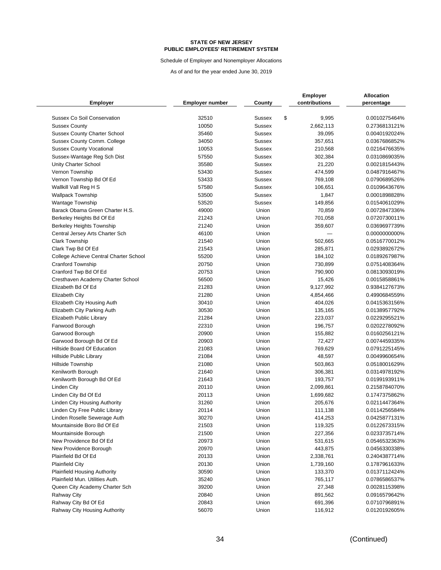Schedule of Employer and Nonemployer Allocations

|                                        |                        |               | <b>Employer</b> | <b>Allocation</b> |
|----------------------------------------|------------------------|---------------|-----------------|-------------------|
| <b>Employer</b>                        | <b>Employer number</b> | County        | contributions   | percentage        |
| <b>Sussex Co Soil Conservation</b>     | 32510                  | <b>Sussex</b> | \$<br>9,995     | 0.0010275464%     |
| <b>Sussex County</b>                   | 10050                  | <b>Sussex</b> | 2,662,113       | 0.2736813121%     |
| <b>Sussex County Charter School</b>    | 35460                  | <b>Sussex</b> | 39,095          | 0.0040192024%     |
| Sussex County Comm. College            | 34050                  | <b>Sussex</b> | 357,651         | 0.0367686852%     |
| <b>Sussex County Vocational</b>        | 10053                  | <b>Sussex</b> | 210,568         | 0.0216476635%     |
| Sussex-Wantage Reg Sch Dist            | 57550                  | <b>Sussex</b> | 302,384         | 0.0310869035%     |
| Unity Charter School                   | 35580                  | <b>Sussex</b> | 21,220          | 0.0021815443%     |
| Vernon Township                        | 53430                  | <b>Sussex</b> | 474,599         | 0.0487916467%     |
| Vernon Township Bd Of Ed               | 53433                  | <b>Sussex</b> | 769,108         | 0.0790689526%     |
| Wallkill Vall Reg H S                  | 57580                  | <b>Sussex</b> | 106,651         | 0.0109643676%     |
| <b>Wallpack Township</b>               | 53500                  | <b>Sussex</b> | 1,847           | 0.0001898828%     |
| <b>Wantage Township</b>                | 53520                  | <b>Sussex</b> | 149,856         | 0.0154061029%     |
| Barack Obama Green Charter H.S.        | 49000                  | Union         | 70,859          | 0.0072847336%     |
| Berkeley Heights Bd Of Ed              | 21243                  | Union         | 701,058         | 0.0720730011%     |
| <b>Berkeley Heights Township</b>       | 21240                  | Union         | 359,607         | 0.0369697739%     |
| Central Jersey Arts Charter Sch        | 46100                  | Union         |                 | 0.0000000000%     |
| <b>Clark Township</b>                  | 21540                  | Union         | 502,665         | 0.0516770012%     |
| Clark Twp Bd Of Ed                     | 21543                  | Union         | 285,871         | 0.0293892672%     |
| College Achieve Central Charter School | 55200                  | Union         | 184,102         | 0.0189267987%     |
| <b>Cranford Township</b>               | 20750                  | Union         | 730,899         | 0.0751408364%     |
| Cranford Twp Bd Of Ed                  | 20753                  | Union         | 790,900         | 0.0813093019%     |
| Cresthaven Academy Charter School      | 56500                  | Union         | 15,426          | 0.0015858861%     |
| Elizabeth Bd Of Ed                     | 21283                  | Union         | 9,127,992       | 0.9384127673%     |
| Elizabeth City                         | 21280                  | Union         | 4,854,466       | 0.4990684559%     |
| Elizabeth City Housing Auth            | 30410                  | Union         | 404,026         | 0.0415363156%     |
| Elizabeth City Parking Auth            | 30530                  | Union         | 135,165         | 0.0138957792%     |
| Elizabeth Public Library               | 21284                  | Union         | 223,037         | 0.0229295521%     |
| Fanwood Borough                        | 22310                  | Union         | 196,757         | 0.0202278092%     |
| Garwood Borough                        | 20900                  | Union         | 155,882         | 0.0160256121%     |
| Garwood Borough Bd Of Ed               | 20903                  | Union         | 72,427          | 0.0074459335%     |
| Hillside Board Of Education            | 21083                  | Union         | 769,629         | 0.0791225145%     |
| <b>Hillside Public Library</b>         | 21084                  | Union         | 48,597          | 0.0049960654%     |
| <b>Hillside Township</b>               | 21080                  | Union         | 503,863         | 0.0518001629%     |
| Kenilworth Borough                     | 21640                  | Union         | 306,381         | 0.0314978192%     |
| Kenilworth Borough Bd Of Ed            | 21643                  | Union         | 193,757         | 0.0199193911%     |
| Linden City                            | 20110                  | Union         | 2,099,861       | 0.2158784070%     |
| Linden City Bd Of Ed                   | 20113                  | Union         | 1,699,682       | 0.1747375862%     |
| Linden City Housing Authority          | 31260                  | Union         | 205,676         | 0.0211447364%     |
| Linden Cty Free Public Library         | 20114                  | Union         | 111,138         | 0.0114256584%     |
| Linden Roselle Sewerage Auth           | 30270                  | Union         | 414,253         | 0.0425877131%     |
| Mountainside Boro Bd Of Ed             | 21503                  | Union         | 119,325         | 0.0122673315%     |
| Mountainside Borough                   | 21500                  | Union         | 227,356         | 0.0233735714%     |
| New Providence Bd Of Ed                | 20973                  | Union         | 531,615         | 0.0546532363%     |
| New Providence Borough                 | 20970                  | Union         | 443,875         | 0.0456330338%     |
| Plainfield Bd Of Ed                    | 20133                  | Union         | 2,338,761       | 0.2404387714%     |
| <b>Plainfield City</b>                 | 20130                  | Union         | 1,739,160       | 0.1787961633%     |
| <b>Plainfield Housing Authority</b>    | 30590                  | Union         | 133,370         | 0.0137112424%     |
| Plainfield Mun. Utilities Auth.        | 35240                  | Union         | 765,117         | 0.0786586537%     |
| Queen City Academy Charter Sch         | 39200                  | Union         | 27,348          | 0.0028115398%     |
| <b>Rahway City</b>                     | 20840                  | Union         | 891,562         | 0.0916579642%     |
| Rahway City Bd Of Ed                   | 20843                  | Union         | 691,396         | 0.0710796891%     |
| Rahway City Housing Authority          | 56070                  | Union         | 116,912         | 0.0120192605%     |
|                                        |                        |               |                 |                   |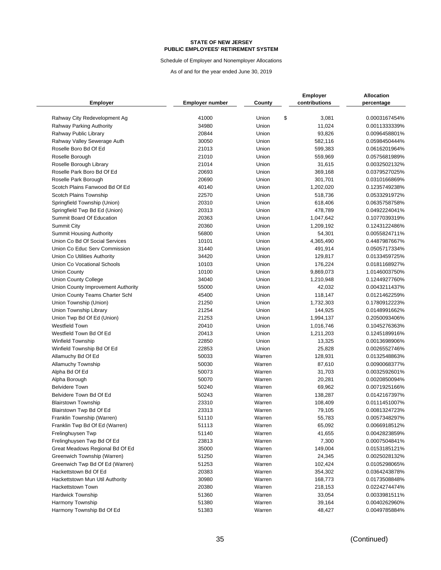Schedule of Employer and Nonemployer Allocations

|                                                                   |                        |        | <b>Employer</b>        | <b>Allocation</b>              |
|-------------------------------------------------------------------|------------------------|--------|------------------------|--------------------------------|
| <b>Employer</b>                                                   | <b>Employer number</b> | County | contributions          | percentage                     |
|                                                                   | 41000                  | Union  | \$                     |                                |
| Rahway City Redevelopment Ag<br>Rahway Parking Authority          | 34980                  | Union  | 3,081<br>11,024        | 0.0003167454%<br>0.0011333339% |
| Rahway Public Library                                             | 20844                  | Union  | 93,826                 | 0.0096458801%                  |
|                                                                   | 30050                  | Union  | 582,116                | 0.0598450444%                  |
| Rahway Valley Sewerage Auth<br>Roselle Boro Bd Of Ed              | 21013                  | Union  | 599,383                | 0.0616201964%                  |
| Roselle Borough                                                   | 21010                  | Union  | 559,969                | 0.0575681989%                  |
|                                                                   | 21014                  | Union  |                        |                                |
| Roselle Borough Library<br>Roselle Park Boro Bd Of Ed             | 20693                  | Union  | 31,615                 | 0.0032502132%<br>0.0379527025% |
| Roselle Park Borough                                              | 20690                  | Union  | 369,168                |                                |
| Scotch Plains Fanwood Bd Of Ed                                    | 40140                  | Union  | 301,701<br>1,202,020   | 0.0310166869%<br>0.1235749238% |
| Scotch Plains Township                                            | 22570                  | Union  | 518,736                | 0.0533291972%                  |
|                                                                   | 20310                  | Union  | 618,406                | 0.0635758758%                  |
| Springfield Township (Union)<br>Springfield Twp Bd Ed (Union)     | 20313                  | Union  | 478,789                | 0.0492224041%                  |
| Summit Board Of Education                                         | 20363                  | Union  | 1,047,642              | 0.1077039319%                  |
|                                                                   | 20360                  | Union  | 1,209,192              | 0.1243122486%                  |
| <b>Summit City</b>                                                | 56800                  | Union  | 54,301                 | 0.0055824711%                  |
| <b>Summit Housing Authority</b><br>Union Co Bd Of Social Services | 10101                  | Union  | 4,365,490              | 0.4487987667%                  |
| Union Co Educ Serv Commission                                     | 31440                  | Union  |                        |                                |
| Union Co Utilities Authority                                      | 34420                  | Union  | 491,914<br>129,817     | 0.0505717334%<br>0.0133459725% |
| Union Co Vocational Schools                                       | 10103                  | Union  | 176,224                | 0.0181168927%                  |
| <b>Union County</b>                                               | 10100                  | Union  | 9,869,073              | 1.0146003750%                  |
|                                                                   | 34040                  | Union  | 1,210,948              | 0.1244927760%                  |
| Union County College                                              | 55000                  | Union  | 42,032                 | 0.0043211437%                  |
| Union County Improvement Authority                                | 45400                  | Union  | 118,147                | 0.0121462259%                  |
| Union County Teams Charter Schl<br>Union Township (Union)         | 21250                  | Union  | 1,732,303              | 0.1780912223%                  |
|                                                                   | 21254                  | Union  |                        | 0.0148991662%                  |
| Union Township Library                                            | 21253                  | Union  | 144,925<br>1,994,137   | 0.2050093406%                  |
| Union Twp Bd Of Ed (Union)<br><b>Westfield Town</b>               | 20410                  | Union  |                        | 0.1045276363%                  |
| Westfield Town Bd Of Ed                                           | 20413                  | Union  | 1,016,746<br>1,211,203 | 0.1245189916%                  |
| <b>Winfield Township</b>                                          | 22850                  | Union  | 13,325                 | 0.0013698906%                  |
| Winfield Township Bd Of Ed                                        | 22853                  | Union  | 25,828                 | 0.0026552746%                  |
| Allamuchy Bd Of Ed                                                | 50033                  | Warren | 128,931                | 0.0132548863%                  |
| Allamuchy Township                                                | 50030                  | Warren | 87,610                 | 0.0090068377%                  |
| Alpha Bd Of Ed                                                    | 50073                  | Warren | 31,703                 | 0.0032592601%                  |
| Alpha Borough                                                     | 50070                  | Warren | 20,281                 | 0.0020850094%                  |
| <b>Belvidere Town</b>                                             | 50240                  | Warren | 69,962                 | 0.0071925166%                  |
| Belvidere Town Bd Of Ed                                           | 50243                  | Warren | 138,287                | 0.0142167397%                  |
| <b>Blairstown Township</b>                                        | 23310                  | Warren | 108,409                | 0.0111451007%                  |
| Blairstown Twp Bd Of Ed                                           | 23313                  | Warren | 79,105                 | 0.0081324723%                  |
| Franklin Township (Warren)                                        | 51110                  | Warren | 55,783                 | 0.0057348297%                  |
| Franklin Twp Bd Of Ed (Warren)                                    | 51113                  | Warren | 65,092                 | 0.0066918512%                  |
| Frelinghuysen Twp                                                 | 51140                  | Warren | 41,655                 | 0.0042823859%                  |
| Frelinghuysen Twp Bd Of Ed                                        | 23813                  | Warren | 7,300                  | 0.0007504841%                  |
| Great Meadows Regional Bd Of Ed                                   | 35000                  | Warren | 149,004                | 0.0153185121%                  |
| Greenwich Township (Warren)                                       | 51250                  | Warren | 24,345                 | 0.0025028132%                  |
| Greenwich Twp Bd Of Ed (Warren)                                   | 51253                  | Warren | 102,424                | 0.0105298065%                  |
| Hackettstown Bd Of Ed                                             | 20383                  | Warren | 354,302                | 0.0364243878%                  |
| Hackettstown Mun Util Authority                                   | 30980                  | Warren | 168,773                | 0.0173508848%                  |
| Hackettstown Town                                                 | 20380                  | Warren | 218,153                | 0.0224274474%                  |
| <b>Hardwick Township</b>                                          | 51360                  | Warren | 33,054                 | 0.0033981511%                  |
| Harmony Township                                                  | 51380                  | Warren | 39,164                 | 0.0040262960%                  |
| Harmony Township Bd Of Ed                                         | 51383                  | Warren | 48,427                 | 0.0049785884%                  |
|                                                                   |                        |        |                        |                                |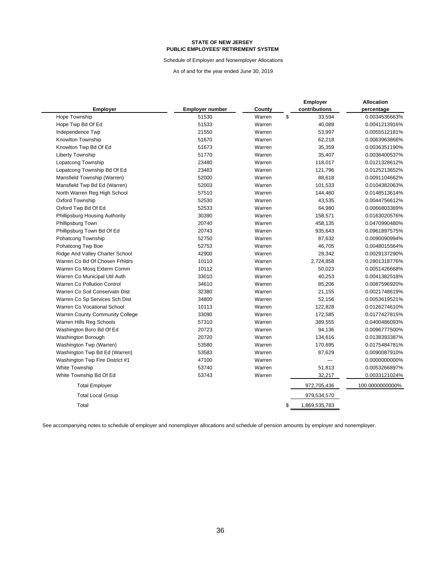Schedule of Employer and Nonemployer Allocations

As of and for the year ended June 30, 2019

|                                        |                        |        | <b>Employer</b>     | Allocation      |
|----------------------------------------|------------------------|--------|---------------------|-----------------|
| <b>Employer</b>                        | <b>Employer number</b> | County | contributions       | percentage      |
| Hope Township                          | 51530                  | Warren | \$<br>33,594        | 0.0034536663%   |
| Hope Twp Bd Of Ed                      | 51533                  | Warren | 40,089              | 0.0041213916%   |
| Independence Twp                       | 21550                  | Warren | 53,997              | 0.0055512181%   |
| Knowlton Township                      | 51670                  | Warren | 62,218              | 0.0063963866%   |
| Knowlton Twp Bd Of Ed                  | 51673                  | Warren | 35,359              | 0.0036351190%   |
| <b>Liberty Township</b>                | 51770                  | Warren | 35,407              | 0.0036400537%   |
| Lopatcong Township                     | 23480                  | Warren | 118,017             | 0.0121328612%   |
| Lopatcong Township Bd Of Ed            | 23483                  | Warren | 121,796             | 0.0125213652%   |
| Mansfield Township (Warren)            | 52000                  | Warren | 88,618              | 0.0091104662%   |
| Mansfield Twp Bd Ed (Warren)           | 52003                  | Warren | 101,533             | 0.0104382063%   |
| North Warren Reg High School           | 57510                  | Warren | 144,460             | 0.0148513614%   |
| Oxford Township                        | 52530                  | Warren | 43,535              | 0.0044756612%   |
| Oxford Twp Bd Of Ed                    | 52533                  | Warren | 64,980              | 0.0066803369%   |
| Phillipsburg Housing Authority         | 30390                  | Warren | 158,571             | 0.0163020576%   |
| Phillipsburg Town                      | 20740                  | Warren | 458,135             | 0.0470990480%   |
| Phillipsburg Town Bd Of Ed             | 20743                  | Warren | 935,643             | 0.0961897575%   |
| Pohatcong Township                     | 52750                  | Warren | 87,632              | 0.0090090994%   |
| Pohatcong Twp Boe                      | 52753                  | Warren | 46,705              | 0.0048015564%   |
| Ridge And Valley Charter School        | 42900                  | Warren | 28,342              | 0.0029137290%   |
| Warren Co Bd Of Chosen Frhidrs         | 10110                  | Warren | 2,724,858           | 0.2801318776%   |
| Warren Co Mosq Exterm Comm             | 10112                  | Warren | 50,023              | 0.0051426668%   |
| Warren Co Municipal Util Auth          | 33010                  | Warren | 40,253              | 0.0041382518%   |
| Warren Co Pollution Control            | 34610                  | Warren | 85,206              | 0.0087596920%   |
| Warren Co Soil Conservatn Dist         | 32380                  | Warren | 21,155              | 0.0021748619%   |
| Warren Co Sp Services Sch Dist         | 34800                  | Warren | 52,156              | 0.0053619521%   |
| Warren Co Vocational School            | 10113                  | Warren | 122,828             | 0.0126274610%   |
| <b>Warren County Community College</b> | 33090                  | Warren | 172,585             | 0.0177427815%   |
| Warren Hills Reg Schools               | 57310                  | Warren | 389,555             | 0.0400486093%   |
| Washington Boro Bd Of Ed               | 20723                  | Warren | 94,136              | 0.0096777500%   |
| Washington Borough                     | 20720                  | Warren | 134,616             | 0.0138393387%   |
| Washington Twp (Warren)                | 53580                  | Warren | 170,695             | 0.0175484781%   |
| Washington Twp Bd Ed (Warren)          | 53583                  | Warren | 87,629              | 0.0090087910%   |
| Washington Twp Fire District #1        | 47100                  | Warren |                     | 0.0000000000%   |
| White Township                         | 53740                  | Warren | 51,813              | 0.0053266897%   |
| White Township Bd Of Ed                | 53743                  | Warren | 32,217              | 0.0033121024%   |
| <b>Total Employer</b>                  |                        |        | 972,705,436         | 100.0000000000% |
| <b>Total Local Group</b>               |                        |        | 979,534,570         |                 |
| Total                                  |                        |        | \$<br>1,869,535,783 |                 |
|                                        |                        |        |                     |                 |

See accompanying notes to schedule of employer and nonemployer allocations and schedule of pension amounts by employer and nonemployer.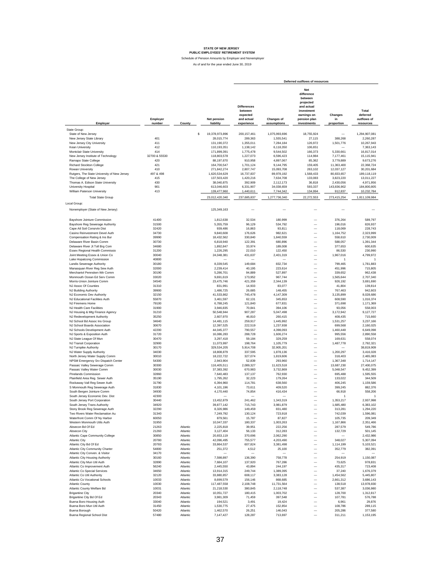|                                                                    |                    |                      |                           |                                                                       |                                  | Deferred outflows of resources                                                                                      |                             |                                               |
|--------------------------------------------------------------------|--------------------|----------------------|---------------------------|-----------------------------------------------------------------------|----------------------------------|---------------------------------------------------------------------------------------------------------------------|-----------------------------|-----------------------------------------------|
| Employer                                                           | Employer<br>number | County               | Net pension<br>liability  | <b>Differences</b><br>between<br>expected<br>and actual<br>experience | <b>Changes of</b><br>assumptions | Net<br>difference<br>between<br>projected<br>and actual<br>investment<br>earnings on<br>pension plan<br>investments | Changes<br>in<br>proportion | Total<br>deferred<br>outflows of<br>resources |
| State Group:                                                       |                    |                      |                           |                                                                       |                                  |                                                                                                                     |                             |                                               |
| State of New Jersey                                                |                    |                      | s<br>19,378,973,896       | 200, 157, 461                                                         | 1,075,993,696                    | 18,755,924                                                                                                          |                             | 1,294,907,081                                 |
| New Jersey State Library                                           | 401                |                      | 28,015,774                | 289,363                                                               | 1,555,541                        | 27,115                                                                                                              | 388,268                     | 2,260,287                                     |
| New Jersey City University                                         | 411                |                      | 131,190,372               | 1,355,011                                                             | 7,284,184                        | 126,972                                                                                                             | 1,501,776                   | 10,267,943                                    |
| Kean University                                                    | 412                |                      | 110,193,351               | 1,138,142                                                             | 6,118,350                        | 106,651                                                                                                             |                             | 7,363,143                                     |
| Montclair State University                                         | 414                |                      | 171,899,391               | 1,775,478                                                             | 9,544,502                        | 166,373                                                                                                             | 5,330,661                   | 16,817,014                                    |
| New Jersey Institute of Technology                                 | 32700 & 55530      |                      | 118,803,578               | 1,227,073                                                             | 6,596,423                        | 114,984                                                                                                             | 7,177,461                   | 15,115,941                                    |
| Ramapo State College                                               | 420                |                      | 88,197,670                | 910,958                                                               | 4,897,067                        | 85,362                                                                                                              | 3,779,889                   | 9,673,276                                     |
| <b>Richard Stockton College</b>                                    | 421                |                      | 164,700,547               | 1,701,124                                                             | 9,144,795                        | 159,405                                                                                                             | 11,363,400                  | 22,368,724                                    |
| Rowan University                                                   | 410                |                      | 271,842,274               | 2,807,747                                                             | 15,093,708                       | 263,102                                                                                                             | 12,037,127                  | 30,201,684                                    |
| Rutgers, The State University of New Jersey                        | 497 & 498          |                      | 1,620,534,629             | 16,737,837                                                            | 89,978,192                       | 1,568,433                                                                                                           | 80,833,657                  | 189,118,119                                   |
| The College of New Jersey<br>Thomas A. Edison State University     | 415<br>430         |                      | 137,503,420<br>38,040,875 | 1,420,216<br>392,909                                                  | 7,634,708<br>2,112,173           | 133,083<br>36,818                                                                                                   | 3,823,220<br>2,430,056      | 13,011,227<br>4,971,956                       |
| University Hospital                                                | 901                |                      | 613,046,603               | 6,331,907                                                             | 34,038,659                       | 593,337                                                                                                             | 143,836,902                 | 184,800,805                                   |
| William Paterson University                                        | 413                |                      | 139,477,960               | 1,440,611                                                             | 7,744,342                        | 134,994                                                                                                             | 912,837                     | 10,232,784                                    |
| <b>Total State Group</b>                                           |                    |                      |                           | 237,685,837                                                           |                                  | 22,272,553                                                                                                          |                             | 1,811,109,984                                 |
|                                                                    |                    |                      | 23,012,420,340            |                                                                       | 1,277,736,340                    |                                                                                                                     | 273,415,254                 |                                               |
| Local Group:                                                       |                    |                      |                           |                                                                       |                                  |                                                                                                                     |                             |                                               |
| Nonemployer (State of New Jersey)                                  |                    |                      | 125,349,163               |                                                                       |                                  |                                                                                                                     |                             |                                               |
|                                                                    |                    |                      |                           |                                                                       |                                  |                                                                                                                     |                             |                                               |
| Bayshore Jointure Commission                                       | 41400              |                      | 1,812,638                 | 32,534                                                                | 180,999                          |                                                                                                                     | 376,264                     | 589,797                                       |
| Bayshore Reg Sewerage Authority                                    | 31500              |                      | 5,355,759                 | 96,129                                                                | 534.792                          |                                                                                                                     | 196,016                     | 826,937                                       |
| Cape Atl Soil Consrvtn Dist                                        | 32420              |                      | 939,486                   | 16,863                                                                | 93,811                           | $\overline{\phantom{0}}$                                                                                            | 118,069                     | 228,743                                       |
| Casino Reinvestment Devel Auth                                     | 34730              |                      | 9,840,608                 | 176,626                                                               | 982,621                          | $\overline{\phantom{0}}$                                                                                            | 1,164,752                   | 2.323.999                                     |
| Compensation Rating & Ins Bur                                      | 39990              |                      | 18,432,562                | 330,840                                                               | 1,840,559                        | $\overline{\phantom{0}}$                                                                                            | 558,610                     | 2,730,009                                     |
| Delaware River Basin Comm                                          | 30730              |                      | 6,818,940                 | 122,391                                                               | 680.896                          | $\overline{\phantom{0}}$                                                                                            | 588,057                     | 1,391,344                                     |
| Delaware River Jt Toll Brg Com<br>Essex Regional Health Commissio  | 34680<br>31200     |                      | 1,892,847<br>1,226,295    | 33,974<br>22,010                                                      | 189,008<br>122,450               | $\qquad \qquad -$                                                                                                   | 377,653<br>86,530           | 600,635<br>230,990                            |
| Joint Meeting Essex & Union Co                                     | 30040              |                      | 24,048,381                | 431,637                                                               | 2,401,319                        | -<br>$\qquad \qquad -$                                                                                              | 1,967,016                   | 4,799,972                                     |
| Lake Hopatcong Commission                                          | 40800              |                      |                           |                                                                       |                                  | $\overline{\phantom{0}}$                                                                                            | -1                          | -1                                            |
| Landis Sewerage Authority                                          | 30180              |                      | 8,339,545                 | 149,684                                                               | 832,734                          | $\overline{\phantom{0}}$                                                                                            | 799,465                     | 1,781,883                                     |
| Manasquan River Reg Sew Auth                                       | 32000              |                      | 2,239,414                 | 40,195                                                                | 223.614                          | $\overline{\phantom{0}}$                                                                                            | 451,996                     | 715,805                                       |
| Merchantvl Pennsken Wtr Comm                                       | 30190              |                      | 5,286,701                 | 94,889                                                                | 527,897                          |                                                                                                                     | 339,652                     | 962,438                                       |
| Monmouth Ocean Ed Serv Comm                                        | 33020              |                      | 9,691,619                 | 173,952                                                               | 967,744                          | $\overline{\phantom{0}}$                                                                                            | 1,565,644                   | 2,707,340                                     |
| Morris-Union Jointure Comm                                         | 34540              |                      | 23,475,746                | 421,359                                                               | 2,344,139                        | $\overline{\phantom{0}}$                                                                                            | 926,192                     | 3,691,690                                     |
| NJ Assoc Of Counties                                               | 31310              |                      | 831,991                   | 14,933                                                                | 83,077                           | $\overline{\phantom{0}}$                                                                                            | 41,804                      | 139,814                                       |
| NJ Building Authority                                              | 39900              |                      | 1,486,725                 | 26,685                                                                | 148,455                          | $\overline{\phantom{0}}$                                                                                            | 767,463                     | 942,603                                       |
| NJ Economic Dev Authority                                          | 32150              |                      | 41,533,862                | 745,478                                                               | 4,147,309                        | $\overline{\phantom{0}}$                                                                                            | 3,135,899                   | 8,028,686                                     |
| NJ Educational Facilities Auth                                     | 55870              |                      | 3,461,597                 | 62,131                                                                | 345,653                          | $\overline{\phantom{0}}$                                                                                            | 608,590                     | 1,016,374                                     |
| NJ Firemens Home                                                   | 79100              |                      | 6,788,245                 | 121,840                                                               | 677,831                          | $\overline{\phantom{0}}$                                                                                            | 371,698                     | 1,171,369                                     |
| NJ Health Care Facilities                                          | 31900              |                      | 3,946,835                 | 70.841                                                                | 394,106                          | $\overline{\phantom{0}}$                                                                                            | 93,056                      | 558,003                                       |
| NJ Housing & Mtg Finance Agency                                    | 31210              |                      | 50,548,944                | 907,287                                                               | 5,047,498                        | $\overline{\phantom{0}}$                                                                                            | 3,172,942                   | 9,127,727                                     |
| NJ Redevelopment Authority                                         | 35250<br>34640     |                      | 2,607,970                 | 46,810<br>259.917                                                     | 260,415                          | -<br>$\overline{\phantom{0}}$                                                                                       | 408,435                     | 715,660                                       |
| NJ School Bd Assoc Ins Group<br>NJ School Boards Association       | 30670              |                      | 14,481,115<br>12,397,525  | 222,519                                                               | 1,445,992<br>1,237,938           | -                                                                                                                   | 1,531,257<br>699,568        | 3,237,166<br>2,160,025                        |
| NJ Schools Development Auth                                        | 42200              |                      | 44,045,377                | 790,557                                                               | 4,398,093                        | -                                                                                                                   | 1,460,448                   | 6,649,098                                     |
| NJ Sports & Exposition Auth                                        | 31720              |                      | 16,086,283                | 288,728                                                               | 1,606,274                        | -                                                                                                                   | 995,556                     | 2,890,558                                     |
| NJ State League Of Mun                                             | 30470              |                      | 3,297,418                 | 59,184                                                                | 329,259                          | $\overline{\phantom{0}}$                                                                                            | 169,631                     | 558,074                                       |
| NJ Transit Corporation                                             | 32900              |                      | 11,073,997                | 198,764                                                               | 1.105.779                        | $\overline{\phantom{0}}$                                                                                            | 1,487,778                   | 2,792,321                                     |
| NJ Turnpike Authority                                              | 30170              |                      | 329,534,205               | 5,914,708                                                             | 32.905.201                       | $\overline{\phantom{0}}$                                                                                            |                             | 38,819,909                                    |
| NJ Water Supply Authority                                          | 34030              |                      | 18,808,879                | 337,595                                                               | 1,878,136                        | $\overline{\phantom{0}}$                                                                                            | 1,200,297                   | 3,416,028                                     |
| North Jersey Water Supply Comm                                     | 30010              |                      | 18,222,722                | 327,074                                                               | 1,819,606                        | -                                                                                                                   | 318,403                     | 2,465,083                                     |
| NPSM Emergency Srv Dispatch Center<br>Passaic Valley Sewerage Comm | 54300              |                      | 2,943,904                 | 52,839                                                                | 293,960                          | $\overline{\phantom{0}}$                                                                                            | 1,367,348                   | 1,714,147                                     |
| Passaic Valley Water Comm                                          | 30300<br>30030     |                      | 116,405,511<br>37,383,392 | 2,089,327<br>670,983                                                  | 11,623,518<br>3,732,869          | -<br>$\overline{\phantom{0}}$                                                                                       | 13,687,230<br>5,048,547     | 27,400,075<br>9,452,399                       |
| Pinelands Commission                                               | 32860              |                      | 7,640,483                 | 137,137                                                               | 762,930                          | $\overline{\phantom{0}}$                                                                                            | 695,488                     | 1,595,555                                     |
| Plainfield Area Reg. Sewer Auth                                    | 35190              |                      | 1,795,262                 | 32.223                                                                | 179.264                          | $\overline{\phantom{0}}$                                                                                            | 133,022                     | 344,509                                       |
| Rockaway Vall Reg Sewer Auth                                       | 31790              |                      | 6,394,960                 | 114,781                                                               | 638,560                          | $\overline{\phantom{0}}$                                                                                            | 406,245                     | 1,159,586                                     |
| S Monmouth Reg Sewerage Auth                                       | 31830              |                      | 4,101,196                 | 73,611                                                                | 409,520                          |                                                                                                                     | 399,245                     | 882,376                                       |
| South Bergen Jointure Comm                                         | 34930              |                      | 4,170,440                 | 74,854                                                                | 416,434                          | $\overline{\phantom{0}}$                                                                                            | 66,918                      | 558,206                                       |
| South Jersey Economic Dev. Dist                                    | 42300              |                      |                           |                                                                       |                                  |                                                                                                                     |                             |                                               |
| South Jersey Port Corporation                                      | 30440              |                      | 13,452,879                | 241,462                                                               | 1,343,319                        |                                                                                                                     | 1,353,217                   | 2,937,998                                     |
| South Jersey Trans Authority                                       | 34920              |                      | 39,877,142                | 715,743                                                               | 3,981,879                        |                                                                                                                     | 1,685,480                   | 6,383,102                                     |
| Stony Brook Reg Sewerage Auth                                      | 32290              |                      | 8,326,986                 | 149,459                                                               | 831,480                          | $\overline{\phantom{0}}$                                                                                            | 313,281                     | 1,294,220                                     |
| Two Rivers Water Reclamation Au<br>Waterfront Comm Of Ny Harbor    | 31340<br>60050     |                      | 7,249,792                 | 130,124                                                               | 723,918                          | $\overline{\phantom{0}}$<br>$\overline{\phantom{0}}$                                                                | 742,039                     | 1,596,081                                     |
| Western Monmouth Utils Auth                                        | 31950              |                      | 879,561<br>10,047,337     | 15,787<br>180,337                                                     | 87,827<br>1,003,263              | $\overline{\phantom{0}}$                                                                                            | 105,735<br>1,167,866        | 209,349<br>2,351,466                          |
| Absecon Bd Of Ed                                                   | 21263              | Atlantic             | 2,225,818                 | 39,951                                                                | 222,256                          | $\overline{\phantom{0}}$                                                                                            | 287,579                     | 549,786                                       |
| Absecon City                                                       | 21260              | Atlantic             | 3,127,404                 | 56,133                                                                | 312,283                          | $\overline{\phantom{0}}$                                                                                            | 132,729                     | 501,145                                       |
| Atlantic Cape Community College                                    | 30850              | Atlantic             | 20,653,119                | 370,696                                                               | 2,062,290                        | $\overline{\phantom{0}}$                                                                                            |                             | 2,432,986                                     |
| <b>Atlantic City</b>                                               | 20780              | Atlantic             | 42,096,495                | 755,577                                                               | 4,203,490                        | $\qquad \qquad -$                                                                                                   | 348,027                     | 5,307,094                                     |
| Atlantic City Bd Of Ed                                             | 20783              | Atlantic             | 33,864,537                | 607,824                                                               | 3,381,498                        | -                                                                                                                   | 1,114,199                   | 5,103,521                                     |
| Atlantic City Community Charter                                    | 54800              | Atlantic             | 251,372                   | 4,512                                                                 | 25,100                           | $\qquad \qquad -$                                                                                                   | 352,779                     | 382,391                                       |
| Atlantic City Conven. & Visitor                                    | 34170              | Atlantic             |                           |                                                                       |                                  | $\overline{\phantom{0}}$                                                                                            |                             |                                               |
| Atlantic City Housing Authority                                    | 30160              | Atlantic             | 7,598,897                 | 136,390                                                               | 758,778                          | $\overline{\phantom{0}}$                                                                                            | 254,919                     | 1,150,087                                     |
| Atlantic City Mun Util Auth                                        | 32890              | Atlantic             | 7,684,107                 | 137,920                                                               | 767,286                          | $\overline{\phantom{0}}$                                                                                            | 73,625                      | 978,831                                       |
| Atlantic Co Improvement Auth                                       | 56240              | Atlantic             | 2,445,550                 | 43,894                                                                | 244,197                          | $\qquad \qquad -$                                                                                                   | 435,317                     | 723,408                                       |
| Atlantic Co Special Services                                       | 34650              | Atlantic             | 13,914,315                | 249.744                                                               | 1,389,395<br>3.383.128           | $\qquad \qquad -$                                                                                                   | 37,240                      | 1,676,379                                     |
| Atlantic Co Util Authority                                         | 32120              | Atlantic             | 33,880,857                | 608,117                                                               |                                  | $\qquad \qquad -$<br>$\overline{\phantom{0}}$                                                                       | 1,454,562                   | 5,445,807                                     |
| Atlantic Co Vocational Schools<br><b>Atlantic County</b>           | 10033<br>10030     | Atlantic<br>Atlantic | 8,699,579<br>117,487,558  | 156,146<br>2,108,748                                                  | 868,685<br>11,731,564            | $\overline{\phantom{0}}$                                                                                            | 2,661,312<br>138,518        | 3,686,143<br>13,978,830                       |
| Atlantic County Welfare Bd                                         | 10031              | Atlantic             | 21,218,530                | 380,845                                                               | 2,118,748                        | $\overline{\phantom{0}}$                                                                                            | 537,387                     | 3,036,980                                     |
| <b>Brigantine City</b>                                             | 20340              | Atlantic             | 10,051,727                | 180,415                                                               | 1,003,702                        | -                                                                                                                   | 128,700                     | 1,312,817                                     |
| Brigantine City Bd Of Ed                                           | 20343              | Atlantic             | 3,981,309                 | 71,459                                                                | 397,548                          |                                                                                                                     | 107,781                     | 576,788                                       |
| Buena Boro Housing Auth                                            | 33040              | Atlantic             | 194,521                   | 3,491                                                                 | 19,424                           | -                                                                                                                   | 6,961                       | 29,876                                        |
| Buena Boro Mun Util Auth                                           | 31450              | Atlantic             | 1,530,775                 | 27,475                                                                | 152,854                          | $\overline{\phantom{0}}$                                                                                            | 108,786                     | 289,115                                       |
| Buena Borough                                                      | 50420              | Atlantic             | 1,462,570                 | 26,251                                                                | 146,043                          |                                                                                                                     | 205,286                     | 377,580                                       |
| Buena Regional School Dist                                         | 57480              | Atlantic             | 7,147,427                 | 128,287                                                               | 713,697                          |                                                                                                                     | 311,211                     | 1,153,195                                     |
|                                                                    |                    |                      |                           |                                                                       |                                  |                                                                                                                     |                             |                                               |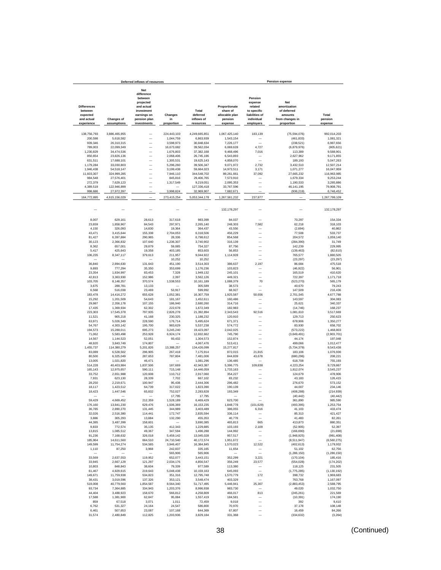|                         |                           | Deferred inflows of resources                        |                         |                           |                           |                                                      | <b>Pension expense</b>     |                            |
|-------------------------|---------------------------|------------------------------------------------------|-------------------------|---------------------------|---------------------------|------------------------------------------------------|----------------------------|----------------------------|
|                         |                           | <b>Net</b><br>difference<br>between                  |                         |                           |                           | Pension                                              |                            |                            |
| <b>Differences</b>      |                           | projected<br>and actual                              |                         |                           | Proportionate             | expense<br>related                                   | Net<br>amortization        |                            |
| between                 |                           | investment                                           |                         | Total                     | share of                  | to specific                                          | of deferred                |                            |
| expected<br>and actual  | <b>Changes of</b>         | earnings on<br>pension plan                          | Changes<br>in           | deferred<br>inflows of    | allocable plan<br>pension | liabilities of<br>individual                         | amounts<br>from changes in | Total<br>pension           |
| experience              | assumptions               | investments                                          | proportion              | resources                 | expense                   | employers                                            | proportion                 | expense                    |
| 138,756,793             | 3,886,465,955             |                                                      | 224,443,103             | 4,249,665,851             | 1,067,425,140             | 183,139                                              | (75, 594, 076)             | 992,014,203                |
| 200,598                 | 5,618,582                 |                                                      | 1,044,759               | 6,863,939                 | 1,543,154                 |                                                      | (461, 833)                 | 1,081,321                  |
| 939,346                 | 26,310,315                | -                                                    | 3,598,973               | 30,848,634                | 7,226,177                 |                                                      | (238, 521)                 | 6,987,656                  |
| 789,003<br>1,230,829    | 22,099,349<br>34,474,536  | $\overline{\phantom{0}}$<br>$\overline{\phantom{0}}$ | 16,673,682<br>1,676,803 | 39.562.034<br>37,382,168  | 6.069.628<br>9,468,496    | 4,727<br>7,016                                       | (6,879,976)<br>113,389     | (805, 621)<br>9,588,901    |
| 850,654                 | 23,826,136                | Ē,                                                   | 2,068,406               | 26,745,196                | 6,543,893                 |                                                      | 2,627,962                  | 9,171,855                  |
| 631,511                 | 17,688,101                | Ē,                                                   | 1,305,531               | 19,625,143                | 4,858,070                 | $\overline{\phantom{0}}$                             | 189,193                    | 5,047,263                  |
| 1,179,284               | 33,030,803                | Ē,                                                   | 5,296,260               | 39,506,347                | 9,071,972                 | 2,732                                                | 3,432,510                  | 12,507,214                 |
| 1,946,438<br>11,603,307 | 54,518,147<br>324,999,285 | -<br>$\overline{\phantom{0}}$                        | 3,199,438<br>7,946,110  | 59,664,023<br>344,548,702 | 14,973,511<br>89,261,661  | 3,171<br>37,092                                      | 1,071,277<br>27,665,232    | 16,047,959<br>116,963,985  |
| 984,548                 | 27,576,401                | -                                                    | 845,816                 | 29,406,765                | 7,573,910                 |                                                      | 1,679,334                  | 9,253,244                  |
| 272,379                 | 7,629,123                 |                                                      | 1,317,549               | 9,219,051                 | 2,095,353                 |                                                      | 1,190,533                  | 3,285,886                  |
| 4,389,519<br>998,686    | 122,946,899<br>27,972,397 |                                                      | 3,998,824               | 127,336,418<br>32,969,907 | 33,767,596<br>7,682,671   |                                                      | 46, 141, 195<br>(936, 219) | 79,908,791<br>6,746,452    |
| 164,772,895             | 4,615,156,029             |                                                      | 273,415,254             | 5,053,344,178             | 1,267,561,232             | 237,877                                              |                            | 1,267,799,109              |
|                         |                           |                                                      |                         |                           | 132,178,297               |                                                      |                            | 132, 178, 297              |
|                         |                           |                                                      |                         |                           |                           |                                                      |                            |                            |
| 8.007<br>23,659         | 629.161<br>1,858,967      | 28,613<br>84,543                                     | 317,618<br>297,971      | 983.399<br>2,265,140      | 84,037<br>248,303         | 7.582                                                | 70.297<br>62,218           | 154,334<br>318,103         |
| 4,150                   | 326,093                   | 14,830                                               | 19,364                  | 364,437                   | 43,556                    |                                                      | (2,694)                    | 40,862                     |
| 43,471                  | 3,415,644                 | 155,338                                              | 2,704,053               | 6,318,506                 | 456,229                   |                                                      | 77,508                     | 533,737                    |
| 81,427                  | 6,397,884                 | 290,965                                              | 28,336                  | 6,798,612                 | 854,568                   |                                                      | 204,572                    | 1,059,140                  |
| 30,123                  | 2,366,832                 | 107,640<br>29,879                                    | 1,236,307               | 3,740,902                 | 316,139                   |                                                      | (284, 390)                 | 31,749<br>229,995          |
| 8,362<br>5,417          | 657,001<br>425,643        | 19,358                                               | 59,085<br>403,185       | 754,327<br>853,603        | 87,756<br>56,853          |                                                      | 142,239<br>(139, 463)      | (82, 610)                  |
| 106,235                 | 8,347,117                 | 379,613                                              | 211,957                 | 9,044,922                 | 1,114,928                 |                                                      | 765,577                    | 1,880,505                  |
|                         |                           |                                                      | 10,252                  | 10.252                    |                           |                                                      | (23, 297)                  | (23, 297)                  |
| 36.840<br>9.893         | 2.894.630<br>777,294      | 131,643<br>35,350                                    | 451,190<br>353,699      | 3,514,303<br>1,176,236    | 386,637<br>103.823        | 2,197                                                | 86,684<br>(46, 922)        | 475,518<br>56,901          |
| 23,354                  | 1,834,997                 | 83,453                                               | 7,328                   | 1,949,132                 | 245,101                   | $\overline{\phantom{0}}$                             | 165,519                    | 410,620                    |
| 42,813                  | 3,363,930                 | 152,986                                              | 2,397                   | 3,562,126                 | 449,321                   | $\overline{\phantom{a}}$                             | 722,397                    | 1,171,718                  |
| 103,705                 | 8,148,357                 | 370,574                                              | 1,538,553               | 10,161,189                | 1,088,379                 | 70                                                   | (523, 270)                 | 565,179                    |
| 3,675                   | 288,781                   | 13,133                                               |                         | 305,589                   | 38,573                    |                                                      | 40,670                     | 79,243                     |
| 6,568<br>183,478        | 516,038<br>14,416,272     | 23,469<br>655,628                                    | 53,917<br>1,052,381     | 599,992<br>16,307,759     | 68,927<br>1,925,587       | 50,656                                               | 147,509<br>2,701,545       | 216,436<br>4,677,788       |
| 15,292                  | 1,201,509                 | 54,643                                               | 181,167                 | 1,452,611                 | 160,486                   |                                                      | 143,597                    | 304,083                    |
| 29,987                  | 2,356,178                 | 107,155                                              | 186,940                 | 2.680.260                 | 314,716                   | $\overline{\phantom{0}}$                             | 25,621                     | 340.337                    |
| 17,435<br>223,303       | 1,369,934<br>17,545,378   | 62,302<br>797,935                                    | 222,678<br>2,826,278    | 1,672,349<br>21,392,894   | 182,983<br>2,343,543      | 92,516                                               | (14, 746)                  | 168,237                    |
| 11,521                  | 905,218                   | 41,168                                               | 230,325                 | 1,188,232                 | 120,910                   |                                                      | 1,081,610<br>129.713       | 3,517,669<br>250.623       |
| 63,971                  | 5,026,349                 | 228,590                                              | 176,714                 | 5,495,624                 | 671,371                   |                                                      | 678,906                    | 1,350,277                  |
| 54,767                  | 4,303,142                 | 195,700                                              | 983,629                 | 5,537,238                 | 574,772                   |                                                      | 83,930                     | 658,702                    |
| 194,573<br>71,062       | 15,288,011<br>5,583,498   | 695,273<br>253,928                                   | 3,245,240<br>6,924,174  | 19,423,097<br>12,832,662  | 2,042,025<br>745,790      | $\overline{\phantom{a}}$<br>$\overline{\phantom{0}}$ | (573, 222)<br>(3,649,491)  | 1,468,803<br>(2,903,701)   |
| 14,567                  | 1,144,523                 | 52,051                                               | 93,432                  | 1,304,573                 | 152,874                   | $\overline{\phantom{a}}$                             | 44,174                     | 197,048                    |
| 48,920                  | 3,843,749                 | 174,807                                              |                         | 4,067,476                 | 513,411                   | -                                                    | 499,066                    | 1,012,477                  |
| 1,455,737               | 114,380,279               | 5,201,826                                            | 13,388,257              | 134,426,099               | 15,277,817                |                                                      | (5,734,379)                | 9,543,438                  |
| 83,089<br>80,500        | 6,528,502<br>6,325,049    | 296,905<br>287,653                                   | 267,418<br>787,804      | 7,175,914<br>7,481,006    | 872,015<br>844,839        | 21,815<br>43,678                                     | 183,106<br>(680, 296)      | 1,076,936<br>208,221       |
| 13,005                  | 1,021,820                 | 46,471                                               |                         | 1,081,296                 | 136,485                   |                                                      | 618,708                    | 755,193                    |
| 514,228                 | 40,403,984                | 1,837,506                                            | 187,669                 | 42,943,387                | 5,396,775                 | 109,838                                              | 4,223,254                  | 9,729,867                  |
| 165,143                 | 12,975,657                | 590.111                                              | 715,148                 | 14,446,059                | 1,733,163                 |                                                      | 1,812,074                  | 3,545,237                  |
| 33,752<br>7,931         | 2.651.988<br>623.130      | 120,608<br>28,339                                    | 110,712<br>7,702        | 2.917.060<br>667.102      | 354,227<br>83,232         |                                                      | 124.679<br>43,183          | 478,906<br>126,415         |
| 28.250                  | 2,219,671                 | 100,947                                              | 95,438                  | 2,444,306                 | 296.482                   |                                                      | 276,670                    | 573,152                    |
| 18.117                  | 1,423,512                 | 64,739                                               | 317,022                 | 1,823,390                 | 190,139                   |                                                      | 44.007                     | 234.146                    |
| 18,423                  | 1,447,546                 | 65,832                                               | 752.027                 | 2,283,828                 | 193,349                   |                                                      | (408, 288)                 | (214, 939)                 |
| 59.429                  | 4,669,452                 | 212.359                                              | 17,795<br>1,528,189     | 17,795<br>6,469,429       | 623,700                   |                                                      | (40, 442)<br>361,890       | (40, 442)<br>985,590       |
| 176,160                 | 13,841,230                | 629,476                                              | 1,506,369               | 16, 153, 235              | 1,848,778                 | (101, 629)                                           | (493, 395)                 | 1,253,754                  |
| 36,785                  | 2,890,270                 | 131,445                                              | 344,989                 | 3,403,489                 | 386,055                   | 6,316                                                | 41,103                     | 433.474                    |
| 32,026                  | 2,516,380                 | 114,441                                              | 172,747                 | 2,835,594                 | 336,114                   |                                                      | 85,313                     | 421,427                    |
| 3,886<br>44,385         | 305,293<br>3,487,399      | 13,884<br>158,601                                    | 132,290                 | 455,353<br>3,690,385      | 40,778<br>465,813         | 665                                                  | 41,483<br>413,873          | 82.261<br>880,351          |
| 9,833                   | 772,574                   | 35,135                                               | 412.343                 | 1,229,885                 | 103.193                   | 2,109                                                | (52, 905)                  | 52,397                     |
| 13,815                  | 1,085,512                 | 49.367                                               | 347,594                 | 1,496,288                 | 144,992                   | -                                                    | (166, 690)                 | (21, 698)                  |
| 91,236                  | 7,168,632                 | 326,018                                              | 5,459,142               | 13,045,028                | 957,517                   | -                                                    | (1,948,925)                | (991, 408)                 |
| 185,964<br>149,599      | 14,611,560<br>11,754,274  | 664,510<br>534,565                                   | 24,710,540<br>3,946,407 | 40,172,574<br>16,384,845  | 1,951,672<br>1,570,023    | 12,522                                               | (8,511,947)<br>(402, 613)  | (6, 560, 275)<br>1,179,932 |
| 1,110                   | 87,250                    | 3,968                                                | 242,837                 | 335,165                   | 11,654                    |                                                      | 51,102                     | 62,756                     |
|                         |                           |                                                      | 565,906                 | 565,906                   |                           | $\overline{\phantom{0}}$                             | (1, 286, 150)              | (1,286,150)                |
| 33,569                  | 2,637,553                 | 119,952                                              | 652,077                 | 3,443,151                 | 352,299                   | 3,221                                                | (170, 104)                 | 185,416                    |
| 33,945<br>10,803        | 2,667,129<br>848,843      | 121,297<br>38,604                                    | 2,034,176<br>79,339     | 4,856,547<br>977,589      | 356,249<br>113,380        | 23,577                                               | (554, 028)<br>118,125      | (174, 202)<br>231,505      |
| 61,467                  | 4,829,615                 | 219,643                                              | 5,048,438               | 10,159,163                | 645,093                   |                                                      | (1,775,285)                | (1, 130, 192)              |
| 149,671                 | 11,759,938                | 534,823                                              | 351,316                 | 12,795,748                | 1,570,779                 | 172                                                  | 398,732                    | 1,969,683                  |
| 38,431                  | 3.019.596                 | 137,326                                              | 353,121                 | 3.548.474                 | 403,329                   |                                                      | 763,768                    | 1,167,097                  |
| 519,008<br>93,734       | 40,779,560<br>7,364,885   | 1,854,587<br>334,943                                 | 8,564,340<br>1,203,376  | 51,717,495<br>8,996,938   | 5,446,941<br>983,730      | 25,307                                               | (2,883,453)<br>49,020      | 2,588,795<br>1,032,750     |
| 44,404                  | 3,488,923                 | 158,670                                              | 566,812                 | 4,258,809                 | 466,017                   | 813                                                  | (245, 261)                 | 221,569                    |
| 17,588                  | 1,381,900                 | 62,847                                               | 95,084                  | 1,557,419                 | 184,581                   |                                                      | (10, 391)                  | 174,190                    |
| 859                     | 67,518                    | 3,071                                                | 1,011                   | 72,459                    | 9,018                     |                                                      | 392                        | 9,410                      |
| 6,762                   | 531,327                   | 24,164                                               | 24,547                  | 586,800                   | 70,970                    |                                                      | 37,178                     | 108,148                    |
| 6,461<br>31,574         | 507,653<br>2,480,849      | 23,087<br>112,825                                    | 107,168<br>1,203,936    | 644,369<br>3,829,184      | 67,807<br>331,368         |                                                      | 16,459<br>(334, 632)       | 84,266<br>(3, 264)         |
|                         |                           |                                                      |                         |                           |                           |                                                      |                            |                            |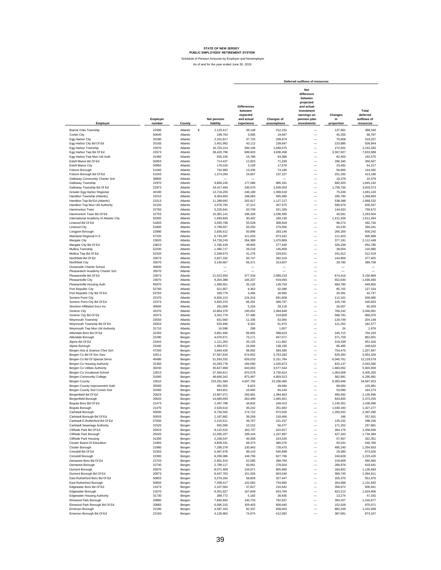Schedule of Pension Amounts by Employer and Nonemployer

|                                                               |                    |                      |                                 |                                                                       |                           | Deferred outflows of resources                                                                                      |                             |                                               |
|---------------------------------------------------------------|--------------------|----------------------|---------------------------------|-----------------------------------------------------------------------|---------------------------|---------------------------------------------------------------------------------------------------------------------|-----------------------------|-----------------------------------------------|
| Employer                                                      | Employer<br>number | County               | <b>Net pension</b><br>liability | <b>Differences</b><br>between<br>expected<br>and actual<br>experience | Changes of<br>assumptions | Net<br>difference<br>between<br>projected<br>and actual<br>investment<br>earnings on<br>pension plan<br>investments | Changes<br>in<br>proportion | Total<br>deferred<br>outflows of<br>resources |
| Buena Vista Township                                          | 23300              | Atlantic             | \$<br>2,125,417                 | 38,148                                                                | 212,231                   |                                                                                                                     | 137,961                     | 388,340                                       |
| Corbin City                                                   | 50640              | Atlantic             | 199,764                         | 3,585                                                                 | 19,947                    | $\overline{\phantom{0}}$                                                                                            | 45,255                      | 68,787                                        |
| Egg Harbor City                                               | 20180              | Atlantic             | 2,101,817                       | 37,725                                                                | 209,874                   | $\overline{\phantom{0}}$                                                                                            | 70,608                      | 318,207                                       |
| Egg Harbor City Bd Of Ed                                      | 20183              | Atlantic             | 2,401,982                       | 43,112                                                                | 239,847                   | $\overline{\phantom{0}}$                                                                                            | 223,885                     | 506,844                                       |
| Egg Harbor Township                                           | 23570              | Atlantic             | 16,720,214                      | 300,106                                                               | 1,669,575                 | $\overline{\phantom{0}}$                                                                                            | 272,601                     | 2,242,282                                     |
| Egg Harbor Twp Bd Of Ed                                       | 23573              | Atlantic             | 38,420,796                      | 689,603                                                               | 3,836,458                 | $\overline{\phantom{0}}$                                                                                            | 3,307,927                   | 7,833,988                                     |
| Egg Harbor Twp Mun Util Auth<br>Estell Manor Bd Of Ed         | 31460<br>50953     | Atlantic<br>Atlantic | 935,226<br>714,437              | 16,786<br>12,823                                                      | 93,386<br>71,339          | $\overline{\phantom{0}}$<br>$\overline{\phantom{0}}$                                                                | 82,403<br>266,345           | 192,575<br>350,507                            |
| <b>Estell Manor City</b>                                      | 50950              | Atlantic             | 176,016                         | 3,159                                                                 | 17,576                    | $\overline{\phantom{0}}$                                                                                            | 33,482                      | 54,217                                        |
| Folsom Borough                                                | 51040              | Atlantic             | 742,983                         | 13,336                                                                | 74,190                    | $\overline{\phantom{0}}$                                                                                            | 56,866                      | 144,392                                       |
| Folsom Borough Bd Of Ed                                       | 51043              | Atlantic             | 1,374,284                       | 24,667                                                                | 137,227                   | $\overline{\phantom{0}}$                                                                                            | 251,292                     | 413,186                                       |
| Galloway Community Charter Sch<br>Galloway Township           | 38800<br>22970     | Atlantic<br>Atlantic | 9,866,245                       | 177,086                                                               | 985,181                   | $\overline{\phantom{0}}$<br>$\overline{\phantom{0}}$                                                                | 10,379<br>682,925           | 10,379<br>1,845,192                           |
| Galloway Township Bd Of Ed                                    | 22973              | Atlantic             | 18,417,484                      | 330,570                                                               | 1,839,053                 | $\overline{\phantom{0}}$                                                                                            | 1,759,750                   | 3,929,373                                     |
| Greater Egg Harbor Regional                                   | 40190              | Atlantic             | 13,716,255                      | 246,189                                                               | 1,369,618                 | $\overline{\phantom{0}}$                                                                                            | 75,436                      | 1,691,243                                     |
| Hamilton Township (Atlantic)                                  | 23210              | Atlantic             | 9,364,650                       | 168,083                                                               | 935,095                   | $\equiv$                                                                                                            | 265.785                     | 1,368,963                                     |
| Hamilton Twp Bd Ed (Atlantic)                                 | 23213              | Atlantic             | 11,288,692                      | 202,617                                                               | 1,127,217                 | $\equiv$                                                                                                            | 538,398                     | 1,868,232                                     |
| Hamilton Twp Mun Util Authority                               | 31220              | Atlantic             | 2,078,792                       | 37,312                                                                | 207,575                   | $\equiv$                                                                                                            | 590,670                     | 835,557                                       |
| Hammonton Town<br>Hammonton Town Bd Of Ed                     | 22750<br>22753     | Atlantic<br>Atlantic | 5,220,941<br>10,381,141         | 93,709<br>186,328                                                     | 521,330<br>1,036,595      | $\overline{\phantom{0}}$<br>-                                                                                       | 144,633<br>40,581           | 759,672<br>1,263,504                          |
| International Academy of Atlantic City                        | 55300              | Atlantic             | 1,693,843                       | 30,402                                                                | 169,136                   | $\overline{\phantom{0}}$                                                                                            | 1,411,926                   | 1,611,464                                     |
| Linwood Bd Of Ed                                              | 51803              | Atlantic             | 3,093,708                       | 55,528                                                                | 308,918                   | -                                                                                                                   | 98,274                      | 462,720                                       |
| Linwood City                                                  | 51800              | Atlantic             | 2,799,657                       | 50,250                                                                | 279,556                   | $\overline{\phantom{0}}$                                                                                            | 64,235                      | 394.041                                       |
| Longport Borough                                              | 22980              | Atlantic             | 2,835,612                       | 50,896                                                                | 283,146                   | $\overline{\phantom{0}}$                                                                                            | 266,200                     | 600,242                                       |
| Mainland Regional H S<br>Margate City                         | 57220<br>23620     | Atlantic<br>Atlantic | 6,743,287<br>14,730,245         | 121,033<br>264,389                                                    | 673,342<br>1,470,869      | $\overline{\phantom{0}}$<br>$\overline{\phantom{0}}$                                                                | 111,623<br>377,191          | 905,998<br>2,112,449                          |
| Margate City Bd Of Ed                                         | 23623              | Atlantic             | 2,780,429                       | 49,905                                                                | 277,636                   | $\overline{\phantom{0}}$                                                                                            | 326,239                     | 653,780                                       |
| Mullica Township                                              | 52330              | Atlantic             | 1,460,717                       | 26,218                                                                | 145,858                   | $\overline{\phantom{0}}$                                                                                            | 38,004                      | 210,080                                       |
| Mullica Twp Bd Of Ed                                          | 52333              | Atlantic             | 2,299,673                       | 41,276                                                                | 229,631                   | $\overline{\phantom{0}}$                                                                                            | 241,612                     | 512,519                                       |
| Northfield Bd Of Ed                                           | 20073              | Atlantic             | 2,827,332                       | 50,747                                                                | 282,319                   | $\overline{\phantom{0}}$                                                                                            | 144,859                     | 477,925                                       |
| Northfield City                                               | 20070              | Atlantic             | 3,140,667                       | 56,371                                                                | 313,607                   | $\overline{\phantom{0}}$<br>$\overline{\phantom{0}}$                                                                | 29,780                      | 399,758                                       |
| Oceanside Charter School<br>Pleasantech Academy Charter Sch   | 36600<br>35570     | Atlantic<br>Atlantic | $\overline{\phantom{0}}$        | $\overline{\phantom{a}}$                                              | $\overline{\phantom{0}}$  | $\overline{\phantom{0}}$                                                                                            | $\overline{\phantom{0}}$    |                                               |
| Pleasantville Bd Of Ed                                        | 23073              | Atlantic             | 21,022,953                      | 377,334                                                               | 2,099,219                 | -                                                                                                                   | 674,416                     | 3,150,969                                     |
| Pleasantville City                                            | 23070              | Atlantic             | 9,204,398                       | 165,207                                                               | 919,093                   | $\overline{\phantom{0}}$                                                                                            | 552,630                     | 1,636,930                                     |
| Pleasantville Housing Auth                                    | 55970              | Atlantic             | 1,399,551                       | 25,120                                                                | 139,750                   | $\overline{\phantom{0}}$                                                                                            | 484,780                     | 649,650                                       |
| Port Republic City                                            | 52760              | Atlantic             | 521,657                         | 9,363                                                                 | 52,089                    | $\overline{\phantom{0}}$                                                                                            | 65,702                      | 127,154                                       |
| Port Republic City Bd Of Ed<br>Somers Point City              | 52763<br>22370     | Atlantic<br>Atlantic | 189,779<br>6,926,213            | 3,406<br>124,316                                                      | 18,950<br>691,608         | $\overline{\phantom{0}}$<br>$\overline{\phantom{0}}$                                                                | 20,391<br>112,161           | 42,747<br>928,085                             |
| Somers Point City Bd Of Ed                                    | 22373              | Atlantic             | 3,693,370                       | 66,291                                                                | 368,797                   | $\qquad \qquad -$                                                                                                   | 105,745                     | 540,833                                       |
| Stockton Affiliated Svcs Inc                                  | 49500              | Atlantic             | 291,606                         | 5,234                                                                 | 29,118                    | $\overline{\phantom{0}}$                                                                                            | 26,007                      | 60,359                                        |
| Ventnor City                                                  | 20370              | Atlantic             | 10,864,379                      | 195,001                                                               | 1,084,848                 | $\qquad \qquad -$                                                                                                   | 766.242                     | 2,046,091                                     |
| Ventnor City Bd Of Ed                                         | 20373              | Atlantic             | 3,202,778                       | 57,486                                                                | 319,809                   | $\overline{\phantom{0}}$                                                                                            | 588.781                     | 966,076                                       |
| Weymouth Township                                             | 23550              | Atlantic             | 631,560                         | 11,336                                                                | 63,064                    | $\overline{\phantom{0}}$                                                                                            | 129,749                     | 204,149                                       |
| Weymouth Township Bd Of Ed<br>Weymouth Twp Mun Util Authority | 23553<br>31710     | Atlantic<br>Atlantic | 520,490<br>16,598               | 9,342<br>298                                                          | 51,973<br>1,657           | $\overline{\phantom{0}}$<br>$\qquad \qquad -$                                                                       | 121,262<br>24               | 182,577<br>1,979                              |
| Allendale Boro Bd Of Ed                                       | 22283              | Bergen               | 3,891,930                       | 69,855                                                                | 388,623                   | $\overline{\phantom{0}}$                                                                                            | 245,715                     | 704,193                                       |
| Allendale Borough                                             | 22280              | Bergen               | 4,076,671                       | 73,171                                                                | 407,071                   | $\overline{\phantom{0}}$                                                                                            | 371,759                     | 852,001                                       |
| Alpine Bd Of Ed                                               | 23443              | Bergen               | 1,121,263                       | 20,125                                                                | 111,962                   | $\overline{\phantom{0}}$                                                                                            | 319,339                     | 451,426                                       |
| Alpine Borough                                                | 23440<br>47200     | Bergen               | 1,383,972<br>3,849,436          | 24,840<br>69,092                                                      | 138,195<br>384,380        | $\overline{\phantom{0}}$<br>$\overline{\phantom{0}}$                                                                | 85,485<br>754,475           | 248,520<br>1,207,947                          |
| Bergen Arts & Science Chrtr Sch<br>Bergen Co Bd Of Soc Serv   | 10011              | Bergen<br>Bergen     | 37,587,824                      | 674,652                                                               | 3,753,282                 | $\overline{\phantom{0}}$                                                                                            | 626,392                     | 5,054,326                                     |
| Bergen Co Bd Of Special Servs                                 | 40480              | Bergen               | 51,593,332                      | 926,033                                                               | 5,151,784                 | $\overline{\phantom{0}}$                                                                                            | 6.040.761                   | 12,118,578                                    |
| Bergen Co Housing Authority                                   | 31360              | Bergen               | 10,283,778                      | 184,580                                                               | 1,026,873                 | $\overline{\phantom{0}}$                                                                                            | 832,137                     | 2,043,590                                     |
| Bergen Co Utilties Authority                                  | 30240              | Bergen               | 35,827,868                      | 643,063                                                               | 3,577,544                 | $\overline{\phantom{0}}$                                                                                            | 1,683,052                   | 5,903,659                                     |
| Bergen Co Vocational School                                   | 10013              | Bergen               | 37,360,811                      | 670,578                                                               | 3,730,614                 | $\overline{\phantom{0}}$                                                                                            | 1,004,008                   | 5,405,200                                     |
| Bergen Community College<br>Bergen County                     | 31060<br>10010     | Bergen<br>Bergen     | 48,666,341<br>223,291,584       | 873,497<br>4,007,792                                                  | 4,859,513<br>22,296,485   | $\overline{\phantom{0}}$<br>$\overline{\phantom{0}}$                                                                | 562,981<br>8,393,646        | 6,295,991<br>34,697,923                       |
| Bergen County Improvement Auth                                | 35500              | Bergen               | 491,555                         | 8,823                                                                 | 49,084                    |                                                                                                                     | 68,084                      | 125,991                                       |
| Bergen County Soil Conser Dist                                | 32460              | Bergen               | 943,821                         | 16,940                                                                | 94,244                    | -                                                                                                                   | 53,090                      | 164,274                                       |
| Bergenfield Bd Of Ed                                          | 20623              | Bergen               | 13,967,071                      | 250,691                                                               | 1,394,663                 |                                                                                                                     | 490,592                     | 2,135,946                                     |
| <b>Bergenfield Borough</b>                                    | 20620              | Bergen               | 14.680.693                      | 263.499                                                               | 1.465.921                 |                                                                                                                     | 643.835                     | 2.373.255                                     |
| Bogota Boro Bd Of Ed<br>Bogota Borough                        | 21473<br>21470     | Bergen<br>Bergen     | 2,497,788<br>2,520,610          | 44,832<br>45,242                                                      | 249,413<br>251,692        | -<br>$\overline{\phantom{0}}$                                                                                       | 1,145,351<br>1,030,343      | 1,439,596<br>1,327,277                        |
| Carlstadt Borough                                             | 50500              | Bergen               | 9,734,502                       | 174,722                                                               | 972,026                   | $\overline{\phantom{0}}$                                                                                            | 1,250,532                   | 2,397,280                                     |
| Carlstadt Borough Bd Of Ed                                    | 50503              | Bergen               | 2,187,862                       | 39,269                                                                | 218,466                   |                                                                                                                     | 196                         | 257,931                                       |
| Carlstadt E.Rutherford Bd Of Ed                               | 57500              | Bergen               | 2,215,611                       | 39,767                                                                | 221,237                   | $\equiv$                                                                                                            | 135,232                     | 396,236                                       |
| Carlstadt Sewerage Authority                                  | 31520              | Bergen               | 565,596                         | 10,152                                                                | 56,477                    | $\overline{\phantom{0}}$                                                                                            | 171,252                     | 237,881                                       |
| Cliffside Park Bd Of Ed<br>Cliffside Park Borough             | 20423              | Bergen               | 9,122,522                       | 163,737                                                               | 910,917                   | $\overline{\phantom{0}}$                                                                                            | 284,176                     | 1,358,830                                     |
| <b>Cliffside Park Housing</b>                                 | 20420<br>31300     | Bergen<br>Bergen     | 11,095,207<br>2,248,547         | 199,144<br>40,358                                                     | 1,107,897<br>224,526      | $\qquad \qquad -$<br>$\overline{\phantom{0}}$                                                                       | 427,343<br>57,467           | 1,734,384<br>322,351                          |
| Closter Board Of Education                                    | 21983              | Bergen               | 3,809,331                       | 68,373                                                                | 380,376                   | $\overline{\phantom{0}}$                                                                                            | 92,031                      | 540,780                                       |
| Closter Borough                                               | 21980              | Bergen               | 7,295,379                       | 130,943                                                               | 728,470                   | $\overline{\phantom{0}}$                                                                                            | 495,240                     | 1,354,653                                     |
| Cresskill Bd Of Ed                                            | 22303              | Bergen               | 5,467,978                       | 98,143                                                                | 545,998                   | $\overline{\phantom{0}}$                                                                                            | 29,385                      | 673,526                                       |
| Cresskill Borough                                             | 22300              | Bergen               | 8,290,086                       | 148,796                                                               | 827,796                   | $\overline{\phantom{0}}$                                                                                            | 246,828                     | 1,223,420                                     |
| Demarest Boro Bd Of Ed<br>Demarest Borough                    | 22743<br>22740     | Bergen<br>Bergen     | 2,901,910<br>2,789,117          | 52,085<br>50,061                                                      | 289,766<br>278,504        | $\overline{\phantom{0}}$<br>$\overline{\phantom{0}}$                                                                | 218,609<br>289,876          | 560.460<br>618,441                            |
| Dumont Borough                                                | 20870              | Bergen               | 8,071,409                       | 144,871                                                               | 805,960                   | $\overline{\phantom{0}}$                                                                                            | 184,832                     | 1,135,663                                     |
| Dumont Borough Bd Of Ed                                       | 20873              | Bergen               | 8,447,763                       | 151,626                                                               | 843,540                   | $\overline{\phantom{0}}$                                                                                            | 369,745                     | 1,364,911                                     |
| East Rutherford Boro Bd Of Ed                                 | 50853              | Bergen               | 3,279,264                       | 58,859                                                                | 327,447                   | $\overline{\phantom{0}}$                                                                                            | 165,370                     | 551,676                                       |
| East Rutherford Borough                                       | 50850              | Bergen               | 7,359,417                       | 132,092                                                               | 734,865                   | $\overline{\phantom{0}}$                                                                                            | 264,698                     | 1,131,655                                     |
| Edgewater Boro Bd Of Ed                                       | 21673              | Bergen               | 2,107,504                       | 37,827                                                                | 210,442                   | $\overline{\phantom{0}}$                                                                                            | 358,672                     | 606,941                                       |
| Edgewater Borough<br><b>Edgewater Housing Authority</b>       | 21670<br>31730     | Bergen<br>Bergen     | 9,351,627<br>288,772            | 167,849<br>5,183                                                      | 933,794<br>28,835         | $\overline{\phantom{0}}$<br>$\overline{\phantom{0}}$                                                                | 823,213<br>13,274           | 1,924,856<br>47,292                           |
| Elmwood Park Borough                                          | 20880              | Bergen               | 7,840,840                       | 140,733                                                               | 782,937                   | -                                                                                                                   | 393,207                     | 1,316,877                                     |
| Elmwood Park Borough Bd Of Ed                                 | 20883              | Bergen               | 6,095,315                       | 109,403                                                               | 608,640                   | $\overline{\phantom{0}}$                                                                                            | 152,028                     | 870,071                                       |
| Emerson Borough                                               | 22190              | Bergen               | 4,587,343                       | 82,337                                                                | 458,063                   | -                                                                                                                   | 882,209                     | 1,422,609                                     |
| Emerson Borough Bd Of Ed                                      | 22193              | Bergen               | 4,126,963                       | 74,074                                                                | 412,092                   |                                                                                                                     | 387,081                     | 873,247                                       |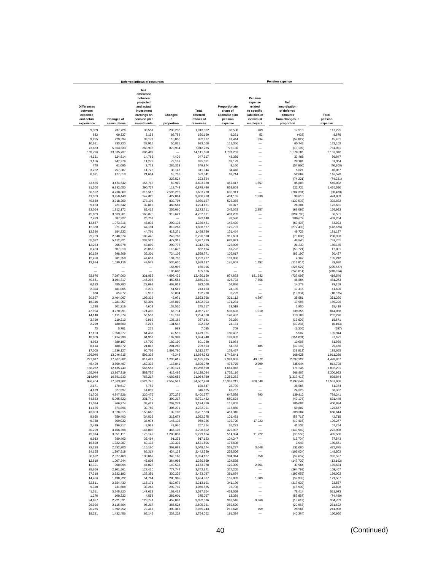|                                                         |                          | Deferred inflows of resources                                                                               |                      |                                 |                                                        |                                                                              | <b>Pension expense</b>                                           |                        |
|---------------------------------------------------------|--------------------------|-------------------------------------------------------------------------------------------------------------|----------------------|---------------------------------|--------------------------------------------------------|------------------------------------------------------------------------------|------------------------------------------------------------------|------------------------|
| <b>Differences</b><br>between<br>expected<br>and actual | <b>Changes of</b>        | <b>Net</b><br>difference<br>between<br>projected<br>and actual<br>investment<br>earnings on<br>pension plan | Changes<br>in        | Total<br>deferred<br>inflows of | Proportionate<br>share of<br>allocable plan<br>pension | Pension<br>expense<br>related<br>to specific<br>liabilities of<br>individual | Net<br>amortization<br>of deferred<br>amounts<br>from changes in | Total<br>pension       |
| experience                                              | assumptions              | investments                                                                                                 | proportion           | resources                       | expense                                                | employers                                                                    | proportion                                                       | expense                |
| 9,389                                                   | 737,726                  | 33,551                                                                                                      | 233,236              | 1,013,902                       | 98,538                                                 | 769                                                                          | 17,918                                                           | 117,225                |
| 882                                                     | 69,337                   | 3,153                                                                                                       | 86,788               | 160,160                         | 9,261                                                  | 53                                                                           | (438)                                                            | 8,876                  |
| 9,285                                                   | 729,534                  | 33,178                                                                                                      | 110,830              | 882,827                         | 97,444                                                 | 834                                                                          | (52, 827)                                                        | 45,451                 |
| 10,611<br>73,863                                        | 833,720<br>5,803,533     | 37,916<br>263,935                                                                                           | 50,821<br>870,934    | 933,068<br>7,012,265            | 111,360<br>775,180                                     |                                                                              | 60,742<br>(13, 199)                                              | 172,102<br>761,981     |
| 169,726                                                 | 13,335,737               | 606,487                                                                                                     |                      | 14,111,950                      | 1,781,259                                              |                                                                              | 1.378.681                                                        | 3,159,940              |
| 4,131                                                   | 324,614                  | 14,763                                                                                                      | 4,409                | 347,917                         | 43,359                                                 |                                                                              | 23.488                                                           | 66.847                 |
| 3,156                                                   | 247.979                  | 11,278                                                                                                      | 73,168               | 335,581                         | 33,123                                                 | L.                                                                           | 28.181                                                           | 61.304                 |
| 778                                                     | 61,095                   | 2,778                                                                                                       | 285,323              | 349,974                         | 8,160                                                  | L.                                                                           | (54,960)                                                         | (46, 800)              |
| 3,282                                                   | 257,887                  | 11,728<br>21,694                                                                                            | 38,147<br>18,766     | 311,044<br>523,541              | 34,446<br>63,714                                       | L.<br>÷,                                                                     | 5,621<br>52,864                                                  | 40,067<br>116,578      |
| 6,071                                                   | 477,010                  |                                                                                                             | 223,524              | 223,524                         |                                                        |                                                                              | (74, 221)                                                        | (74, 221)              |
| 43,585                                                  | 3,424,542                | 155,743                                                                                                     | 69,910               | 3,693,780                       | 457,417                                                | 1,857                                                                        | 85,808                                                           | 545,082                |
| 81,360                                                  | 6,392,650                | 290,727                                                                                                     | 113,743              | 6,878,480                       | 853,869                                                |                                                                              | 622,721                                                          | 1,476,590              |
| 60,592                                                  | 4,760,869                | 216,516                                                                                                     | 2,595,293            | 7,633,270                       | 635,911                                                | $\overline{\phantom{a}}$                                                     | (704, 391)                                                       | (68, 480)              |
| 41,369                                                  | 3,250,440                | 147,825                                                                                                     | 427,094              | 3,866,728                       | 434,163                                                | 1,830                                                                        | 38,810                                                           | 474,803                |
| 49.868                                                  | 3,918,269                | 178,196                                                                                                     | 833.794              | 4,980,127                       | 523,365                                                |                                                                              | (130, 533)                                                       | 392.832                |
| 9,183<br>23,064                                         | 721,542<br>1,812,172     | 32,815<br>82,415                                                                                            | 460,581<br>256,060   | 1,224,121<br>2,173,711          | 96,377<br>242,052                                      | 2,957                                                                        | 26,304<br>(68,086)                                               | 122,681<br>176,923     |
| 45,859                                                  | 3,603,261                | 163,870                                                                                                     | 919,621              | 4,732,611                       | 481,289                                                | -                                                                            | (394, 788)                                                       | 86,501                 |
| 7,483                                                   | 587,927                  | 26,738                                                                                                      |                      | 622,148                         | 78,530                                                 | -                                                                            | 380,674                                                          | 459,204                |
| 13,667                                                  | 1.073.816                | 48,835                                                                                                      | 200,133              | 1.336.451                       | 143,430                                                |                                                                              | (60, 407)                                                        | 83,023                 |
| 12,368                                                  | 971,752                  | 44,194                                                                                                      | 810,263              | 1,838,577                       | 129.797                                                |                                                                              | (272, 433)                                                       | (142, 636)             |
| 12,526                                                  | 984,232                  | 44,761                                                                                                      | 418,271              | 1,459,790                       | 131,464                                                |                                                                              | 49,723                                                           | 181,187                |
| 29,789                                                  | 2,340,574                | 106,445                                                                                                     | 243,782              | 2,720,590                       | 312,631                                                | ÷                                                                            | (73, 698)                                                        | 238,933                |
| 65,072<br>12,283                                        | 5,112,821<br>965,078     | 232,523<br>43,890                                                                                           | 477,313<br>290,775   | 5,887,729<br>1,312,026          | 682,921<br>128,906                                     | L.                                                                           | 48,840<br>21,239                                                 | 731,761<br>150,145     |
| 6,453                                                   | 507,010                  | 23,058                                                                                                      | 115,673              | 652,194                         | 67,722                                                 |                                                                              | (50, 721)                                                        | 17,001                 |
| 10,159                                                  | 798,209                  | 36,301                                                                                                      | 724,102              | 1,568,771                       | 106,617                                                |                                                                              | (86, 190)                                                        | 20,427                 |
| 12,490                                                  | 981,358                  | 44,631                                                                                                      | 194,798              | 1,233,277                       | 131,080                                                |                                                                              | 4,162                                                            | 135,242                |
| 13,874                                                  | 1,090,116                | 49,577                                                                                                      | 535,630              | 1.689.197                       | 145,607                                                | 1,197                                                                        | (116.814)                                                        | 29,990                 |
|                                                         |                          |                                                                                                             | 156,996              | 156,996                         |                                                        |                                                                              | (225, 527)                                                       | (225.527)              |
| 92.870                                                  | 7,297,000                | 331,855                                                                                                     | 105,606<br>4,698,435 | 105,606<br>12,420,160           | 974.663                                                | 181,982                                                                      | (240, 014)<br>(737, 099)                                         | (240, 014)<br>419,546  |
| 40,661                                                  | 3,194,817                | 145,295                                                                                                     | 469.558              | 3,850,331                       | 426,733                                                | 7,656                                                                        | 46,884                                                           | 481,273                |
| 6,183                                                   | 485,780                  | 22,092                                                                                                      | 409,013              | 923,068                         | 64,886                                                 |                                                                              | 14,273                                                           | 79,159                 |
| 2,304                                                   | 181,065                  | 8,235                                                                                                       | 51,549               | 243,153                         | 24,185                                                 |                                                                              | 17,415                                                           | 41,600                 |
| 838                                                     | 65,872                   | 2,996                                                                                                       | 53,084               | 122,790                         | 8,799                                                  |                                                                              | (19, 334)                                                        | (10, 535)              |
| 30,597                                                  | 2,404,067                | 109,333                                                                                                     | 49,971               | 2,593,968                       | 321,112                                                | 4,597                                                                        | 25,581                                                           | 351,290                |
| 16,316<br>1,288                                         | 1,281,957<br>101.216     | 58,301<br>4,603                                                                                             | 145,819<br>138,510   | 1,502,393<br>245.617            | 171,231<br>13,519                                      |                                                                              | 17,995<br>1,900                                                  | 189,226<br>15,419      |
| 47,994                                                  | 3,770,991                | 171,498                                                                                                     | 66,734               | 4.057.217                       | 503,693                                                | 1,010                                                                        | 339,355                                                          | 844,058                |
| 14,148                                                  | 1,111,674                | 50,557                                                                                                      | 118,181              | 1,294,560                       | 148,487                                                |                                                                              | 113,789                                                          | 262,276                |
| 2,790                                                   | 219,213                  | 9,969                                                                                                       | 135,169              | 367.141                         | 29,280                                                 | -                                                                            | (13.609)                                                         | 15.671                 |
| 2,299                                                   | 180,660                  | 8,216                                                                                                       | 131,547              | 322,722                         | 24,131                                                 |                                                                              | (30.234)                                                         | (6, 103)               |
| 73                                                      | 5,761                    | 262                                                                                                         | 989                  | 7,085                           | 769                                                    | -                                                                            | (1, 366)                                                         | (597)                  |
| 17.193                                                  | 1,350,877                | 61,436<br>64,352                                                                                            | 49,555<br>197,388    | 1,479,061                       | 180,437<br>189,002                                     | -<br>-                                                                       | 5,507                                                            | 185,944                |
| 18,009<br>4,953                                         | 1,414,999<br>389,187     | 17,700                                                                                                      | 189,190              | 1,694,748<br>601,030            | 51,984                                                 | -                                                                            | (151, 031)<br>10,005                                             | 37,971<br>61,989       |
| 6,114                                                   | 480,372                  | 21,847                                                                                                      | 201,260              | 709,593                         | 64,163                                                 | 485                                                                          | (39, 182)                                                        | 25,466                 |
| 17,005                                                  | 1,336,127                | 60,765                                                                                                      | 1,898,780            | 3,312,677                       | 178,467                                                |                                                                              | (39, 812)                                                        | 138,655                |
| 166,046                                                 | 13,046,615               | 593,338                                                                                                     | 48,343               | 13,854,342                      | 1,742,641                                              | $\overline{\phantom{0}}$                                                     | 168,628                                                          | 1,911,269              |
| 227,917                                                 | 17,907,882               | 814,421                                                                                                     | 1,235,615            | 20,185,835                      | 2,391,963                                              | 49,572                                                                       | 2,037,322                                                        | 4,478,857              |
| 45,429                                                  | 3,569,467                | 162,333                                                                                                     | 118,841              | 3,896,070                       | 476,775                                                | 2,909                                                                        | 335,044                                                          | 814,728                |
| 158,272<br>165,044                                      | 12,435,740<br>12,967,819 | 565,557<br>589,755                                                                                          | 2,109,121<br>415,466 | 15,268,690<br>14,138,084        | 1,661,046<br>1,732,116                                 | ۰                                                                            | 171,245<br>568,807                                               | 1,832,291<br>2,300,923 |
| 214,986                                                 | 16,891,933               | 768,217                                                                                                     | 4,089,653            | 21.964.789                      | 2,256,262                                              |                                                                              | (1, 317, 418)                                                    | 938,844                |
| 986,404                                                 | 77,503,802               | 3,524,745                                                                                                   | 2.552.529            | 84,567,480                      | 10,352,212                                             | 208,048                                                                      | 2,997,648                                                        | 13,557,908             |
| 2,171                                                   | 170,617                  | 7,759                                                                                                       |                      | 180,547                         | 22,789                                                 |                                                                              | 28,585                                                           | 51,374                 |
| 4,169                                                   | 327,597                  | 14,899                                                                                                      |                      | 346,665                         | 43,757                                                 | ÷                                                                            | 24,625                                                           | 68,382                 |
| 61,700                                                  | 4,847,926<br>5,095,622   | 220.476<br>231,740                                                                                          | 270.275<br>399.217   | 5,400,377                       | 647,539<br>680.624                                     | 790                                                                          | 139,912                                                          | 788,241                |
| 64,853<br>11,034                                        | 866,974                  | 39,429                                                                                                      | 207,273              | 5,791,432<br>1,124,710          | 115,802                                                |                                                                              | (49, 176)<br>285,082                                             | 631,448<br>400,884     |
| 11,135                                                  | 874,896                  | 39,789                                                                                                      | 306,271              | 1,232,091                       | 116,860                                                |                                                                              | 59,807                                                           | 176,667                |
| 43,003                                                  | 3,378,815                | 153,663                                                                                                     | 132,102              | 3,707,583                       | 451,310                                                | -                                                                            | 209,304                                                          | 660,614                |
| 9,665                                                   | 759,400                  | 34,536                                                                                                      | 218,674              | 1.022.275                       | 101,433                                                |                                                                              | (58, 718)                                                        | 42,715                 |
| 9,788                                                   | 769,032                  | 34,974                                                                                                      | 146,132              | 959,926                         | 102,720                                                | 17,023                                                                       | (10, 466)                                                        | 109,277                |
| 2,499                                                   | 196,317                  | 8,928                                                                                                       | 49,970               | 257,714                         | 26,222                                                 | -                                                                            | 41,532                                                           | 67,754                 |
| 40,299<br>49,014                                        | 3,166,398<br>3,851,111   | 144,003<br>175,142                                                                                          | 446,102<br>1,203,837 | 3,796,802<br>5,279,104          | 422,937<br>514,394                                     | 11,722                                                                       | (149, 949)<br>(30, 560)                                          | 272,988<br>495,556     |
| 9,933                                                   | 780,463                  | 35,494                                                                                                      | 91,233               | 917,123                         | 104,247                                                | $\overline{\phantom{0}}$                                                     | (16, 704)                                                        | 87,543                 |
| 16,828                                                  | 1,322,207                | 60,132                                                                                                      | 132,339              | 1,531,506                       | 176,608                                                |                                                                              | 3,943                                                            | 180,551                |
| 32,228                                                  | 2,532,203                | 115,160                                                                                                     | 369,083              | 3,048,674                       | 338,227                                                | 3,648                                                                        | 131,000                                                          | 472,875                |
| 24,155                                                  | 1,897,918                | 86,314                                                                                                      | 434,133              | 2,442,520                       | 253,506                                                |                                                                              | (105, 004)                                                       | 148,502                |
| 36,622                                                  | 2,877,463                | 130,862                                                                                                     | 349,160              | 3,394,107                       | 384,344                                                | 850                                                                          | (32, 667)                                                        | 352,527                |
| 12,819                                                  | 1,007,244                | 45,808                                                                                                      | 264,998              | 1,330,869                       | 134,538                                                |                                                                              | (147, 730)                                                       | (13, 192)              |
| 12,321                                                  | 968,094<br>2,801,561     | 44,027                                                                                                      | 149,536              | 1,173,978<br>3,742,371          | 129,309                                                | 2,361                                                                        | 37,964                                                           | 169,634                |
| 35,656<br>37,318                                        | 2,932,192                | 127,410<br>133,351                                                                                          | 777,744<br>330,226   | 3,433,087                       | 374,205<br>391,654                                     | $\overline{\phantom{0}}$                                                     | (264, 798)<br>(192, 652)                                         | 109,407<br>199,002     |
| 14,486                                                  | 1,138,222                | 51,764                                                                                                      | 280,365              | 1,484,837                       | 152,033                                                | 1,809                                                                        | (32, 335)                                                        | 121,507                |
| 32,511                                                  | 2,554,430                | 116,171                                                                                                     | 610,079              | 3,313,191                       | 341.196                                                |                                                                              | (317, 639)                                                       | 23.557                 |
| 9,310                                                   | 731,508                  | 33,268                                                                                                      | 292,749              | 1,066,835                       | 97,708                                                 | L.                                                                           | (18,900)                                                         | 78,808                 |
| 41.311                                                  | 3,245,920                | 147,619                                                                                                     | 102,414              | 3,537,264                       | 433.559                                                | $\overline{\phantom{0}}$                                                     | 78.414                                                           | 511,973                |
| 1,276                                                   | 100,232                  | 4,558                                                                                                       | 269,001              | 375,067                         | 13,388                                                 |                                                                              | (87, 887)                                                        | (74, 499)              |
| 34,637                                                  | 2,721,531                | 123,771                                                                                                     | 452,097              | 3,332,036                       | 363,516                                                | 9,860                                                                        | (18, 613)                                                        | 354,763                |
| 26,926<br>20,265                                        | 2,115,664<br>1,592,252   | 96,217<br>72,413                                                                                            | 366,524<br>390,313   | 2,605,331<br>2,075,243          | 282,590<br>212,678                                     | 759                                                                          | (20, 968)<br>28,561                                              | 261,622<br>241,998     |
| 18,231                                                  | 1,432,456                | 65,146                                                                                                      | 238,229              | 1,754,062                       | 191,334                                                |                                                                              | (40, 384)                                                        | 150,950                |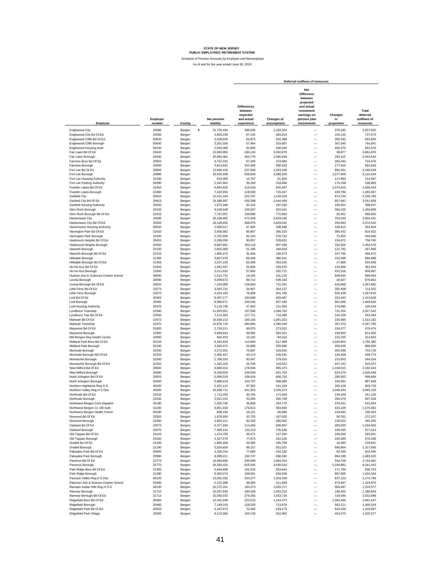|                                              |                    |        |                          |                                                                       |                           | Deferred outflows of resources                                                                                      |                             |                                               |
|----------------------------------------------|--------------------|--------|--------------------------|-----------------------------------------------------------------------|---------------------------|---------------------------------------------------------------------------------------------------------------------|-----------------------------|-----------------------------------------------|
| Employer                                     | Employer<br>number | County | Net pension<br>liability | <b>Differences</b><br>between<br>expected<br>and actual<br>experience | Changes of<br>assumptions | Net<br>difference<br>between<br>projected<br>and actual<br>investment<br>earnings on<br>pension plan<br>investments | Changes<br>in<br>proportion | Total<br>deferred<br>outflows of<br>resources |
| <b>Englewood City</b>                        | 20580              | Bergen | \$<br>21,725,034         | 389,936                                                               | 2,169,324                 |                                                                                                                     | 378,245                     | 2,937,505                                     |
| Englewood City Bd Of Ed                      | 20583              | Bergen | 4,855,238                | 87,145                                                                | 484,813                   |                                                                                                                     | 155,115                     | 727,073                                       |
| Englewood Cliffs Bd Of Ed                    | 50933              |        | 3,168,620                | 56,873                                                                | 316,398                   | $\overline{\phantom{0}}$                                                                                            | 290,332                     | 663,603                                       |
| Englewood Cliffs Borough                     | 50930              | Bergen | 3,201,556                | 57,464                                                                |                           | $\overline{\phantom{0}}$                                                                                            | 367,540                     | 744,691                                       |
|                                              | 56100              | Bergen |                          | 35,958                                                                | 319,687                   | $\overline{\phantom{0}}$                                                                                            |                             |                                               |
| Englewood Housing Auth<br>Fair Lawn Bd Of Ed |                    | Bergen | 2,003,380                |                                                                       | 200,045                   |                                                                                                                     | 455,575                     | 691,578                                       |
|                                              | 20433              | Bergen | 23,963,856               | 430,120                                                               | 2,392,879                 | $\overline{\phantom{0}}$                                                                                            | 38,877                      | 2,861,876                                     |
| Fair Lawn Borough<br>Fairview Boro Bd Of Ed  | 20430              | Bergen | 25,894,381               | 464,770                                                               | 2,585,649                 | $\overline{\phantom{0}}$                                                                                            | 293,115                     | 3,343,534                                     |
|                                              | 20653              | Bergen | 3.752.332                | 67,349                                                                | 374,684                   | $\overline{\phantom{0}}$                                                                                            | 282,443                     | 724,476                                       |
| Fairview Borough                             | 20650              | Bergen | 5,814,841                | 104,369                                                               | 580,633                   | $\overline{\phantom{0}}$                                                                                            | 177,816                     | 862,818                                       |
| Fort Lee Bd Of Ed                            | 20893              | Bergen | 12,650,416               | 227,058                                                               | 1,263,190                 | $\overline{\phantom{0}}$                                                                                            | 856,291                     | 2,346,539                                     |
| Fort Lee Borough                             | 20890              | Bergen | 30,025,938               | 538,926                                                               | 2,998,200                 | $\overline{\phantom{0}}$                                                                                            | 1,577,908                   | 5,115,034                                     |
| Fort Lee Housing Authority                   | 31330              | Bergen | 819,395                  | 14,707                                                                | 81,820                    | $\frac{1}{1}$                                                                                                       | 117,860                     | 214,387                                       |
| Fort Lee Parking Authority                   | 56390              | Bergen | 2,187,862                | 39,269                                                                | 218,466                   |                                                                                                                     | 179,158                     | 436,893                                       |
| Franklin Lakes Bd Of Ed                      | 22463              | Bergen | 6,464,426                | 116,028                                                               | 645,497                   |                                                                                                                     | 1,073,918                   | 1,835,443                                     |
| Franklin Lakes Borough                       | 22460              | Bergen | 7,160,950                | 128,530                                                               | 715,047                   |                                                                                                                     | 439,790                     | 1,283,367                                     |
| Garfield City                                | 20810              | Bergen | 12,411,344               | 222,767                                                               | 1,239,318                 | $\overline{\phantom{0}}$                                                                                            | 874,704                     | 2,336,789                                     |
| Garfield City Bd Of Ed                       | 20813              | Bergen | 24,480,807               | 439,398                                                               | 2,444,499                 | $\overline{\phantom{0}}$                                                                                            | 657,942                     | 3,541,839                                     |
| <b>Garfield Housing Authority</b>            | 30550              | Bergen | 1,973,186                | 35,416                                                                | 197,030                   | $\overline{\phantom{0}}$                                                                                            | 165,601                     | 398.047                                       |
| Glen Rock Borough                            | 22420              | Bergen | 9,248,948                | 166,007                                                               | 923,541                   | $\overline{\phantom{0}}$                                                                                            | 366,320                     | 1,455,868                                     |
| Glen Rock Borough Bd Of Ed                   | 22423              | Bergen | 7,737,957                | 138,886                                                               | 772,663                   | $\overline{\phantom{0}}$                                                                                            | 35,051                      | 946,600                                       |
| Hackensack City                              | 20590              | Bergen | 26,328,882               | 472,569                                                               | 2,629,036                 | $\overline{\phantom{0}}$                                                                                            | 702,546                     | 3,804,151                                     |
| Hackensack City Bd Of Ed                     | 20593              | Bergen | 26,128,655               | 468,975                                                               | 2,609,042                 | $\overline{\phantom{0}}$                                                                                            | 294,893                     | 3,372,910                                     |
| <b>Hackensack Housing Authority</b>          | 30520              | Bergen | 2,089,017                | 37,495                                                                | 208,596                   | $\overline{\phantom{0}}$                                                                                            | 108,513                     | 354,604                                       |
| Harrington Park Bd Of Ed                     | 22433              | Bergen | 3,658,582                | 65,667                                                                | 365,323                   | $\overline{\phantom{0}}$                                                                                            | 385,432                     | 816,422                                       |
| Harrington Park Borough                      | 22430              | Bergen | 2,791,506                | 50,104                                                                | 278,742                   | $\overline{\phantom{0}}$                                                                                            | 75,820                      | 404,666                                       |
| Hasbrouck Heights Bd Of Ed                   | 20453              | Bergen | 5,296,056                | 95,057                                                                | 528,831                   | $\overline{\phantom{0}}$                                                                                            | 134,872                     | 758,760                                       |
| Hasbrouck Heights Borough                    | 20450              | Bergen | 9,087,881                | 163,116                                                               | 907,458                   | $\overline{\phantom{0}}$                                                                                            | 332,004                     | 1,402,578                                     |
| Haworth Borough                              | 22150              | Bergen | 2,852,358                | 51,196                                                                | 284,818                   | $\overline{\phantom{0}}$                                                                                            | 121,792                     | 457,806                                       |
| Haworth Borough Bd Of Ed                     | 22153              | Bergen | 1,805,376                | 32,404                                                                | 180,273                   | $\overline{\phantom{0}}$                                                                                            | 247,795                     | 460,472                                       |
| Hillsdale Borough                            | 21360              | Bergen | 3,807,979                | 68,348                                                                | 380,241                   | $\overline{\phantom{0}}$                                                                                            | 432,099                     | 880,688                                       |
| Hillsdale Borough Bd Of Ed                   | 21363              | Bergen | 3,537,193                | 63,488                                                                | 353,202                   | $\overline{\phantom{0}}$                                                                                            | 17,868                      | 434,558                                       |
| Ho-Ho-Kus Bd Of Ed                           | 21603              | Bergen | 1,942,547                | 34,866                                                                | 193,970                   | $\overline{\phantom{0}}$                                                                                            | 133,668                     | 362,504                                       |
| Ho-Ho-Kus Borough                            | 21600              | Bergen | 3,211,910                | 57,650                                                                | 320,721                   | $\overline{\phantom{0}}$                                                                                            | 431,516                     | 809,887                                       |
| Hudson Arts & Sciences Charter School        | 56600              | Bergen | 1,013,731                | 18,195                                                                | 101,225                   |                                                                                                                     | 849,644                     | 969.064                                       |
| Leonia Borough                               | 20930              | Bergen | 5,499,673                | 98,712                                                                | 549.163                   |                                                                                                                     | 28,927                      | 676,802                                       |
| Leonia Borough Bd Of Ed                      | 20933              | Bergen | 7,224,080                | 129,663                                                               | 721,351                   |                                                                                                                     | 416,868                     | 1,267,882                                     |
|                                              | 23273              |        |                          |                                                                       |                           |                                                                                                                     |                             |                                               |
| Little Ferry Bd Of Ed                        |                    | Bergen | 3,045,731                | 54,667                                                                | 304,127                   |                                                                                                                     | 355,408                     | 714,202                                       |
| Little Ferry Borough                         | 23270              | Bergen | 4,424,164                | 79,408                                                                | 441,769                   |                                                                                                                     | 526,439                     | 1,047,616                                     |
| Lodi Bd Of Ed                                | 20463              | Bergen | 8,407,177                | 150,898                                                               | 839,487                   |                                                                                                                     | 223,443                     | 1,213,828                                     |
| Lodi Borough                                 | 20460              | Bergen | 8,386,671                | 150,530                                                               | 837,440                   |                                                                                                                     | 861,656                     | 1,849,626                                     |
| Lodi Housing Authority                       | 30370              | Bergen | 2,116,748                | 37,993                                                                | 211,365                   | $\overline{\phantom{0}}$                                                                                            | 176,685                     | 426.043                                       |
| Lyndhurst Township                           | 22580              | Bergen | 11,003,921               | 197,506                                                               | 1,098,782                 | $\overline{\phantom{0}}$                                                                                            | 731,254                     | 2,027,542                                     |
| Lyndhurst Twp Bd Of Ed                       | 22583              | Bergen | 7,115,362                | 127,711                                                               | 710,495                   | $\overline{\phantom{0}}$                                                                                            | 104,258                     | 942,464                                       |
| Mahwah Bd Of Ed                              | 22473              | Bergen | 10,929,213               | 196,165                                                               | 1,091,322                 | $\overline{\phantom{0}}$                                                                                            | 225,695                     | 1,513,182                                     |
| Mahwah Township                              | 22470              | Bergen | 15,876,720               | 284,966                                                               | 1,585,349                 | $\overline{\phantom{0}}$                                                                                            | 397,470                     | 2,267,785                                     |
| Maywood Bd Of Ed                             | 21803              | Bergen | 2,734,211                | 49,076                                                                | 273,021                   | $\overline{\phantom{0}}$                                                                                            | 154,377                     | 476,474                                       |
| Maywood Borough                              | 21800              | Bergen | 3,848,843                | 69,082                                                                | 384,321                   | $\overline{\phantom{0}}$                                                                                            | 159,902                     | 613,305                                       |
| Mid Bergen Reg Health Comm                   | 32660              | Bergen | 846,403                  | 15,192                                                                | 84,516                    | $\overline{\phantom{0}}$                                                                                            | 215,235                     | 314,943                                       |
| Midland Park Boro Bd Of Ed                   | 52143              | Bergen | 6,183,934                | 110,994                                                               | 617,489                   | $\overline{\phantom{0}}$                                                                                            | 1,026,902                   | 1,755,385                                     |
| Midland Park Borough                         | 52140              | Bergen | 3,565,072                | 63,988                                                                | 355,986                   | $\overline{\phantom{0}}$                                                                                            | 466,626                     | 886,600                                       |
| Montvale Borough                             | 22250              | Bergen | 4,272,581                | 76,687                                                                | 426,633                   | $\overline{\phantom{0}}$                                                                                            | 200,399                     | 703,719                                       |
| Montvale Borough Bd Of Ed                    | 22253              | Bergen | 2,405,427                | 43,174                                                                | 240,191                   | $\overline{\phantom{0}}$                                                                                            | 126,408                     | 409,773                                       |
| Moonachie Borough                            | 52260              | Bergen | 2,788,320                | 50,047                                                                | 278,424                   | $\overline{\phantom{0}}$                                                                                            | 215,853                     | 544,324                                       |
| Moonachie Borough Bd Of Ed                   | 52263              | Bergen | 1,432,320                | 25,708                                                                | 143,022                   | $\overline{\phantom{0}}$                                                                                            | 447,242                     | 615,972                                       |
| New Milford Bd Of Ed                         | 20683              | Bergen | 9,969,313                | 178,936                                                               | 995,473                   | $\overline{\phantom{0}}$                                                                                            | 1,158,015                   | 2,332,424                                     |
| New Milford Borough                          | 20680              | Bergen | 8,329,820                | 149,509                                                               | 831,763                   | $\overline{\phantom{0}}$                                                                                            | 624,376                     | 1,605,648                                     |
| North Arlington Bd Of Ed                     | 20053              | Bergen | 6,096,019                | 109,416                                                               | 608,710                   | $\overline{\phantom{0}}$                                                                                            | 280,563                     | 998,689                                       |
| North Arlington Borough                      | 20050              | Bergen | 5,889,419                | 105,707                                                               | 588,080                   | $\overline{\phantom{0}}$                                                                                            | 194,061                     | 887,848                                       |
| Northern Highlands Reg H S                   | 40160              | Bergen | 5,421,112                | 97,302                                                                | 541,318                   | $\overline{\phantom{0}}$                                                                                            | 265,108                     | 903,728                                       |
| Northern Valley Reg H S Dist                 | 40200              | Bergen | 24,589,711               | 441,353                                                               | 2,455,373                 | Ē,                                                                                                                  | 1,048,433                   | 3,945,159                                     |
| Northvale Bd Of Ed                           | 23153              | Bergen | 1,713,200                | 30.750                                                                | 171,069                   | $\overline{\phantom{0}}$                                                                                            | 139.339                     | 341,158                                       |
| Northvale Borough                            | 23150              | Bergen | 2,912,154                | 52,269                                                                | 290,789                   |                                                                                                                     | 264.276                     | 607,334                                       |
| Northwest Bergen Cent Dispatcl               | 35180              | perger | 2,050,746                | 36,808                                                                | 204,775                   |                                                                                                                     | 379,421                     | 621,004                                       |
| Northwest Bergen Co Util Auth                | 31230              | Bergen | 9,851,018                | 176,813                                                               | 983,660                   |                                                                                                                     | 415,109                     | 1,575,582                                     |
| Northwest Bergen Health Comm                 | 55180              | Bergen | 898,196                  | 16,121                                                                | 89,688                    | $\overline{\phantom{0}}$                                                                                            | 124,645                     | 230,454                                       |
| Norwood Bd Of Ed                             | 23353              | Bergen | 1,878,954                | 33,725                                                                | 187,620                   | $\overline{\phantom{0}}$                                                                                            | 50,762                      | 272,107                                       |
| Norwood Borough                              | 23350              | Bergen | 2,804,121                | 50,330                                                                | 280,002                   | $\overline{\phantom{0}}$                                                                                            | 135,023                     | 465,355                                       |
| Oakland Bd Of Ed                             | 22073              | Bergen | 6,377,400                | 114,466                                                               | 636,807                   | $\overline{\phantom{0}}$                                                                                            | 283,559                     | 1,034,832                                     |
| Oakland Borough                              | 22070              | Bergen | 7,366,141                | 132,213                                                               | 735,536                   | $\overline{\phantom{0}}$                                                                                            | 109,265                     | 977,014                                       |
| Old Tappan Bd Of Ed                          | 23163              | Bergen | 1,474,795                | 26,471                                                                | 147,264                   | $\qquad \qquad -$                                                                                                   | 109,266                     | 283,001                                       |
| Old Tappan Borough                           | 23160              | Bergen | 4,327,579                | 77,674                                                                | 432,125                   | $\qquad \qquad -$                                                                                                   | 160,389                     | 670,188                                       |
| Oradell Bd Of Ed                             | 21193              |        | 1,860,300                | 33,390                                                                | 185,758                   | $\overline{\phantom{0}}$                                                                                            | 10,693                      | 229,841                                       |
|                                              |                    | Bergen |                          |                                                                       |                           | $\overline{\phantom{0}}$                                                                                            |                             |                                               |
| Oradell Borough                              | 21190              | Bergen | 5,524,458                | 99,157                                                                | 551,637                   |                                                                                                                     | 666,864                     | 1,317,658                                     |
| Palisades Park Bd Of Ed                      | 20983              | Bergen | 4,328,154                | 77,685                                                                | 432,182                   | $\overline{\phantom{0}}$                                                                                            | 92,539                      | 602,406                                       |
| Palisades Park Borough                       | 20980              | Bergen | 8,398,211                | 150,737                                                               | 838,592                   | $\overline{\phantom{0}}$                                                                                            | 894,196                     | 1,883,525                                     |
| Paramus Bd Of Ed                             | 22773              | Bergen | 18,669,856               | 335,099                                                               | 1,864,254                 | $\overline{\phantom{0}}$                                                                                            | 544,709                     | 2,744,062                                     |
| Paramus Borough                              | 22770              | Bergen | 34,350,424               | 616,545                                                               | 3,430,016                 | $\overline{\phantom{0}}$                                                                                            | 5,194,881                   | 9,241,442                                     |
| Park Ridge Boro Bd Of Ed                     | 21383              | Bergen | 5,644,698                | 101,315                                                               | 563,644                   | $\overline{\phantom{0}}$                                                                                            | 171,794                     | 836,753                                       |
| Park Ridge Borough                           | 21380              | Bergen | 9,360,074                | 168,001                                                               | 934,638                   | $\overline{\phantom{0}}$                                                                                            | 807,905                     | 1,910,544                                     |
| Pascack Valley Reg H S Dist                  | 40120              | Bergen | 13,052,592               | 234,277                                                               | 1,303,349                 | $\overline{\phantom{0}}$                                                                                            | 637,123                     | 2,174,749                                     |
| Paterson Arts & Science Charter School       | 53400              | Bergen | 2,122,398                | 38,094                                                                | 211,929                   | $\overline{\phantom{0}}$                                                                                            | 973,947                     | 1,223,970                                     |
| Ramapo Indian Hills Reg H S D                | 40130              | Bergen | 10,272,201               | 184,373                                                               | 1,025,717                 | $\qquad \qquad -$                                                                                                   | 309,487                     | 1,519,577                                     |
| Ramsey Borough                               | 21710              | Bergen | 10,037,834               | 180,166                                                               | 1,002,315                 | $\qquad \qquad -$                                                                                                   | 198,452                     | 1,380,933                                     |
| Ramsey Borough Bd Of Ed                      | 21713              | Bergen | 15,560,032               | 279,282                                                               | 1,553,726                 | $\overline{\phantom{0}}$                                                                                            | 719,590                     | 2,552,598                                     |
| Ridgefield Boro Bd Of Ed                     | 20483              | Bergen | 12,452,949               | 223,514                                                               | 1,243,473                 | $\overline{\phantom{0}}$                                                                                            | 1,394,460                   | 2,861,447                                     |
| Ridgefield Borough                           | 20480              | Bergen | 7,149,243                | 128,320                                                               | 713,878                   | $\overline{\phantom{0}}$                                                                                            | 563,121                     | 1,405,319                                     |
| Ridgefield Park Bd Of Ed                     | 20553              | Bergen | 4,197,874                | 75,346                                                                | 419,173                   | $\overline{\phantom{0}}$                                                                                            | 524,428                     | 1,018,947                                     |
| Ridgefield Park Village                      | 20550              | Bergen | 9,122,966                | 163,745                                                               | 910,962                   |                                                                                                                     | 454,670                     | 1,529,377                                     |
|                                              |                    |        |                          |                                                                       |                           |                                                                                                                     |                             |                                               |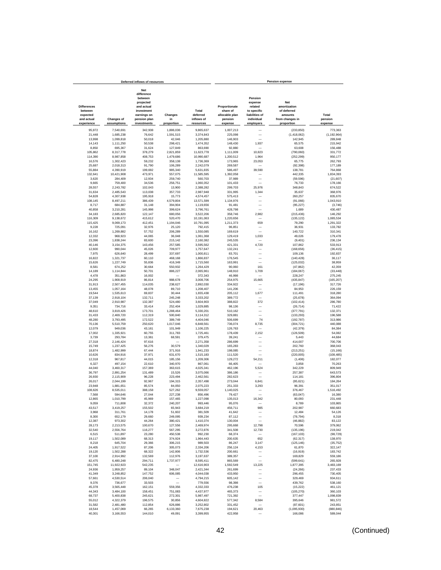|                                                         |                         | Deferred inflows of resources                                                                               |                      |                                 |                                                        |                                                                              | <b>Pension expense</b>                                                  |                       |
|---------------------------------------------------------|-------------------------|-------------------------------------------------------------------------------------------------------------|----------------------|---------------------------------|--------------------------------------------------------|------------------------------------------------------------------------------|-------------------------------------------------------------------------|-----------------------|
| <b>Differences</b><br>between<br>expected<br>and actual | <b>Changes of</b>       | <b>Net</b><br>difference<br>between<br>projected<br>and actual<br>investment<br>earnings on<br>pension plan | Changes<br>in        | Total<br>deferred<br>inflows of | Proportionate<br>share of<br>allocable plan<br>pension | Pension<br>expense<br>related<br>to specific<br>liabilities of<br>individual | <b>Net</b><br>amortization<br>of deferred<br>amounts<br>from changes in | Total<br>pension      |
| experience                                              | assumptions             | investments                                                                                                 | proportion           | resources                       | expense                                                | employers                                                                    | proportion                                                              | expense               |
| 95.972                                                  | 7,540,691               | 342,938                                                                                                     | 1,886,036            | 9,865,637                       | 1,007,213                                              |                                                                              | (233, 850)                                                              | 773,363               |
| 21,448                                                  | 1,685,238               | 76,642                                                                                                      | 1,591,515            | 3,374,843                       | 225,098                                                | -                                                                            | (1,418,062)                                                             | (1, 192, 964)         |
| 13,998                                                  | 1,099,818               | 50,018                                                                                                      | 42,046               | 1,205,880                       | 146,903                                                |                                                                              | 142,945                                                                 | 289,848               |
| 14,143                                                  | 1,111,250               | 50,538                                                                                                      | 298,421              | 1,474,352                       | 148,430                                                | 1,937                                                                        | 65,575                                                                  | 215,942               |
| 8,850                                                   | 695,367                 | 31,624                                                                                                      | 127,849              | 863,690                         | 92,880                                                 |                                                                              | 63,608                                                                  | 156,488               |
| 105,862                                                 | 8,317,778               | 378,279                                                                                                     | 2.821.859            | 11,623,778                      | 1,111,009                                              | 10,823                                                                       | (790,060)                                                               | 331.772               |
| 114.390                                                 | 8,987,858               | 408.753<br>59,232                                                                                           | 1,479,686<br>358.138 | 10,990,687<br>1,736,369         | 1,200,512                                              | 1,964<br>23,053                                                              | (252, 299)                                                              | 950.177<br>262,793    |
| 16,576<br>25,687                                        | 1,302,423<br>2,018,313  | 91,790                                                                                                      | 106,289              | 2,242,079                       | 173,965<br>269,587                                     |                                                                              | 65,775<br>(92, 398)                                                     | 177,189               |
| 55,884                                                  | 4,390,919               | 199,692                                                                                                     | 985,340              | 5,631,835                       | 586,497                                                | 39,590                                                                       | 138,781                                                                 | 764,868               |
| 132,641                                                 | 10,421,908              | 473,971                                                                                                     | 557,075              | 11,585,595                      | 1,392,058                                              |                                                                              | 442,335                                                                 | 1.834.393             |
| 3,620                                                   | 284,409                 | 12,934                                                                                                      | 259,740              | 560,703                         | 37,989                                                 |                                                                              | (59, 596)                                                               | (21, 607)             |
| 9,665                                                   | 759,400                 | 34,536                                                                                                      | 256,751              | 1,060,352                       | 101,433                                                |                                                                              | 76,733                                                                  | 178,166               |
| 28,557                                                  | 2,243,782               | 102,043                                                                                                     | 13,900               | 2,388,282                       | 299,703                                                | 25,976                                                                       | 348,843                                                                 | 674,522               |
| 31,634                                                  | 2,485,543               | 113,038                                                                                                     | 357,733              | 2,987,948                       | 331,995                                                | 1,344                                                                        | 35,637                                                                  | 368,976               |
| 54,828                                                  | 4,307,938               | 195,918<br>386,439                                                                                          | 15,773<br>4,579,804  | 4,574,457                       | 575,413                                                |                                                                              | 260,257                                                                 | 835,670               |
| 108,145<br>8,717                                        | 8,497,211<br>684,887    | 31,148                                                                                                      | 394,904              | 13,571,599<br>1,119,656         | 1,134,976<br>91,481                                    |                                                                              | (91,066)<br>(95, 227)                                                   | 1,043,910<br>(3,746)  |
| 40,858                                                  | 3,210,281               | 145,998                                                                                                     | 399,624              | 3,796,761                       | 428,798                                                |                                                                              | 1,689                                                                   | 430,487               |
| 34.183                                                  | 2,685,820               | 122,147                                                                                                     | 680,056              | 3,522,206                       | 358,746                                                | 2,982                                                                        | (215.436)                                                               | 146,292               |
| 116,309                                                 | 9,138,672               | 415,612                                                                                                     | 520,470              | 10,191,063                      | 1,220,656                                              |                                                                              | (135, 122)                                                              | 1,085,534             |
| 115,425                                                 | 9,069,173               | 412,451                                                                                                     | 1,194,046            | 10,791,095                      | 1,211,373                                              | 659                                                                          | 79,290                                                                  | 1,291,322             |
| 9,228                                                   | 725,091                 | 32,976                                                                                                      | 25,120               | 792.415                         | 96,851                                                 |                                                                              | 36,931                                                                  | 133,782               |
| 16,162                                                  | 1,269,882               | 57,752                                                                                                      | 206,289              | 1,550,085                       | 169,619                                                |                                                                              | 140,722                                                                 | 310,341               |
| 12,332                                                  | 968,923                 | 44,065                                                                                                      | 36,048               | 1,061,368                       | 129,419                                                | 1,033                                                                        | 49,026                                                                  | 179,478               |
| 23,396                                                  | 1,838,244               | 83,600                                                                                                      | 215,142              | 2,160,382                       | 245,535                                                |                                                                              | (9, 401)                                                                | 236,134               |
| 40,146<br>12,600                                        | 3,154,375<br>990,044    | 143,456<br>45,026                                                                                           | 257,585<br>709,977   | 3,595,562<br>1,757,647          | 421,331<br>132,241                                     | 4,720                                                                        | 107,862<br>(168, 656)                                                   | 533,913<br>(36, 415)  |
| 7,975                                                   | 626,640                 | 28,499                                                                                                      | 337,697              | 1,000,811                       | 83,701                                                 |                                                                              | 109,136                                                                 | 192,837               |
| 16,822                                                  | 1,321,737               | 60,110                                                                                                      | 468,168              | 1,866,837                       | 176,545                                                |                                                                              | (140, 428)                                                              | 36,117                |
| 15,626                                                  | 1,227,749               | 55,836                                                                                                      | 416,349              | 1,715,560                       | 163,991                                                |                                                                              | (125, 032)                                                              | 38,959                |
| 8.581                                                   | 674,252                 | 30,664                                                                                                      | 550,932              | 1.264.429                       | 90,060                                                 | 161                                                                          | (47, 862)                                                               | 42,359                |
| 14.189                                                  | 1,114,844               | 50,701                                                                                                      | 886,227              | 2,065,961                       | 148,910                                                | 1,709                                                                        | (184, 067)                                                              | (33, 448)             |
| 4.478                                                   | 351,863                 | 16.002                                                                                                      |                      | 372,343                         | 46,998                                                 | $\overline{\phantom{a}}$                                                     | 228,247                                                                 | 275.245               |
| 24,295                                                  | 1,908,919               | 86,814                                                                                                      | 988,678              | 3,008,706                       | 254,975                                                | 15,665                                                                       | (435, 847)                                                              | (165, 207)            |
| 31.913                                                  | 2,507,455               | 114,035                                                                                                     | 238.627              | 2,892,030                       | 334,922                                                |                                                                              | (17, 196)                                                               | 317,726               |
| 13,455                                                  | 1,057,164               | 48,078                                                                                                      | 89,710               | 1,208,407                       | 141,206                                                |                                                                              | 84,953                                                                  | 226,159               |
| 19,544<br>37,139                                        | 1,535,613<br>2,918,104  | 69,837<br>132,711                                                                                           | 30,444<br>245,248    | 1,655,438<br>3,333,202          | 205,112<br>389,772                                     | 1,677                                                                        | 111,491<br>(25, 678)                                                    | 318,280<br>364,094    |
| 37,049                                                  | 2,910,987               | 132,387                                                                                                     | 524,480              | 3,604,903                       | 388,822                                                | 372                                                                          | (102, 414)                                                              | 286,780               |
| 9,351                                                   | 734,716                 | 33,414                                                                                                      | 252,404              | 1,029,885                       | 98,136                                                 |                                                                              | (26, 714)                                                               | 71,422                |
| 48,610                                                  | 3,819,426               | 173,701                                                                                                     | 1,288,464            | 5,330,201                       | 510,162                                                |                                                                              | (377, 791)                                                              | 132,371               |
| 31,433                                                  | 2,469,720               | 112,319                                                                                                     | 500,840              | 3,114,312                       | 329,881                                                |                                                                              | (133, 293)                                                              | 196,588               |
| 48,280                                                  | 3,793,495               | 172,522                                                                                                     | 389,749              | 4,404,046                       | 506,699                                                | 74                                                                           | (192, 787)                                                              | 313,986               |
| 70,136                                                  | 5,510,759               | 250,620                                                                                                     | 1,017,046            | 6,848,561                       | 736,074                                                | 8,735                                                                        | (304, 721)                                                              | 440,088               |
| 12,079                                                  | 949,036                 | 43,161                                                                                                      | 101,949<br>311.783   | 1,106,225                       | 126,763                                                | 2,152                                                                        | (42, 379)                                                               | 84,384                |
| 17,002<br>3,739                                         | 1,335,921<br>293,784    | 60,755<br>13,361                                                                                            | 68,591               | 1,725,461<br>379,475            | 178,439<br>39,241                                      |                                                                              | (126, 509)<br>5,443                                                     | 54,082<br>44,684      |
| 27,318                                                  | 2,146,424               | 97,616                                                                                                      |                      | 2,271,358                       | 286,699                                                |                                                                              | 414,007                                                                 | 700,706               |
| 15,749                                                  | 1,237,425               | 56,276                                                                                                      | 30,579               | 1,340,029                       | 165,283                                                |                                                                              | 202,760                                                                 | 368,043               |
| 18,874                                                  | 1,482,999               | 67,444                                                                                                      | 371,916              | 1,941,233                       | 198,085                                                | -                                                                            | (213, 251)                                                              | (15, 166)             |
| 10,626                                                  | 834,916                 | 37,971                                                                                                      | 631,670              | 1,515,183                       | 111,520                                                |                                                                              | (220, 005)                                                              | (108, 485)            |
| 12,318                                                  | 967,817                 | 44,015                                                                                                      | 185,156              | 1,209,306                       | 129,272                                                | 54,211                                                                       | (1, 406)                                                                | 182,077               |
| 6,327                                                   | 497,154                 | 22,610                                                                                                      | 340,970              | 867,061                         | 66,405                                                 |                                                                              | 3,858                                                                   | 70,263                |
| 44,040                                                  | 3,460,317               | 157,369                                                                                                     | 363,615              | 4,025,341                       | 462,196                                                | 5,524                                                                        | 342,229                                                                 | 809,949               |
| 36,797<br>26,930                                        | 2,891,254<br>2.115.909  | 131,489<br>96,228                                                                                           | 15,526<br>223,494    | 3,075,066<br>2.462.561          | 386,186<br>282,623                                     |                                                                              | 257,387<br>114,181                                                      | 643.573<br>396,804    |
| 26,017                                                  | 2,044,199               | 92,967                                                                                                      | 194,315              | 2,357,498                       | 273,044                                                | 6,841                                                                        | (95, 621)                                                               | 184.264               |
| 23,948                                                  | 1,881,651               | 85,574                                                                                                      | 84,050               | 2,075,223                       | 251,333                                                | 3,293                                                                        | 96,391                                                                  | 351,017               |
| 108,626                                                 | 8,535,011               | 388,158                                                                                                     | 527,262              | 9,559,057                       | 1,140,025                                              |                                                                              | 376,467                                                                 | 1,516,492             |
| 7.568                                                   | 594,646                 | 27.044                                                                                                      | 227.238              | 856.496                         | 79.427                                                 | ÷                                                                            | (63, 047)                                                               | 16.380                |
| 12.865                                                  | 1,010,799               | 45.969                                                                                                      | 157.465              | 1,227,098                       | 135.013                                                | 16.342                                                                       | 80,093                                                                  | 231.448               |
| 9,059                                                   | 711,808                 | 32,372                                                                                                      | 240,207              | 993,446                         | 95,076                                                 |                                                                              | 8,789                                                                   |                       |
| 43,517                                                  | 3,419,257               | 155,502                                                                                                     | 65,943               | 3,684,219                       | 456,711                                                | 985                                                                          | 202,987                                                                 | 660,683               |
| 3,968                                                   | 311,761                 | 14,178                                                                                                      | 51,602               | 381,509<br>939,234              | 41,642                                                 |                                                                              | 12,484                                                                  | 54,126                |
| 8,300<br>12,387                                         | 652,179<br>973,302      | 29,660<br>44,264                                                                                            | 249,095<br>380,421   | 1,410,374                       | 87,112<br>130,004                                      | $\overline{\phantom{0}}$                                                     | (78, 794)<br>(46, 882)                                                  | 8,318<br>83,122       |
| 28,173                                                  | 2,213,575               | 100,670                                                                                                     | 127,556              | 2,469,974                       | 295,668                                                | 12.798                                                                       | 70,596                                                                  | 379,062               |
| 32,540                                                  | 2.556.764               | 116,277                                                                                                     | 567,295              | 3,272,876                       | 341,508                                                | 12,730                                                                       | (135, 196)                                                              | 219,042               |
| 6,515                                                   | 511,897                 | 23,280                                                                                                      | 450,538              | 992,230                         | 68,374                                                 |                                                                              | (167, 103)                                                              | (98, 729)             |
| 19,117                                                  | 1,502,089               | 68,313                                                                                                      | 374,924              | 1,964,443                       | 200,635                                                | 652                                                                          | (62, 317)                                                               | 138,970               |
| 8,218                                                   | 645,704                 | 29,366                                                                                                      | 306,215              | 989,503                         | 86,247                                                 | 3,147                                                                        | (125, 146)                                                              | (35, 752)             |
| 24,405                                                  | 1,917,522               | 87,206                                                                                                      | 305,073              | 2,334,206                       | 256,124                                                | 4,153                                                                        | 61,870                                                                  | 322,147               |
| 19,120                                                  | 1,502,288               | 68,322                                                                                                      | 142,806              | 1,732,536                       | 200,661                                                | -                                                                            | (16, 919)                                                               | 183.742               |
| 37,100                                                  | 2,914,992               | 132,569                                                                                                     | 112,976              | 3,197,637                       | 389,357                                                | $\overline{\phantom{0}}$                                                     | 169,829                                                                 | 559,186               |
| 82,475<br>151,745                                       | 6,480,248<br>11,922,923 | 294,711<br>542,235                                                                                          | 1,737,977            | 8,595,411<br>12,616,903         | 865,569<br>1,592,549                                   | 13,225                                                                       | (599, 641)<br>1,877,395                                                 | 265,928<br>3,483,169  |
| 24,936                                                  | 1,959,257               | 89,104                                                                                                      | 348,047              | 2,421,344                       | 261,699                                                |                                                                              | (24, 266)                                                               | 237,433               |
| 41,349                                                  | 3,248,852               | 147,752                                                                                                     | 606,085              | 4,044,038                       | 433,950                                                |                                                                              | 296,455                                                                 | 730,405               |
| 57,661                                                  | 4,530,514               | 206,040                                                                                                     |                      | 4,794,215                       | 605,142                                                |                                                                              | 329,469                                                                 | 934,611               |
| 9,376                                                   | 736,677                 | 33.503                                                                                                      | L.                   | 779,556                         | 98,398                                                 |                                                                              | 439,762                                                                 | 538,160               |
| 45.378                                                  | 3,565,448               | 162,151                                                                                                     | 559,356              | 4.332.333                       | 476,238                                                | 105                                                                          | (15, 222)                                                               | 461.121               |
| 44,343                                                  | 3,484,100               | 158,451                                                                                                     | 751,083              | 4,437,977                       | 465,373                                                |                                                                              | (105, 270)                                                              | 360.103               |
| 68,737                                                  | 5,400,838               | 245,621                                                                                                     | 272,301              | 5,987,497                       | 721,392                                                |                                                                              | 377,447                                                                 | 1,098,839             |
| 55,012                                                  | 4,322,379               | 196,575                                                                                                     | 30,856               | 4,604,822                       | 577,342                                                | 8,584                                                                        | 395,646                                                                 | 981,572               |
| 31,582<br>18,544                                        | 2,481,480<br>1,457,069  | 112,854<br>66,265                                                                                           | 626,886<br>6,133,360 | 3,252,802<br>7,675,238          | 331,452<br>194,621                                     | 20,463                                                                       | (87, 601)<br>(1,095,930)                                                | 243,851<br>(880, 846) |
| 40,301                                                  | 3,166,553               | 144,010                                                                                                     | 49,091               | 3,399,955                       | 422,958                                                |                                                                              | 166,086                                                                 | 589,044               |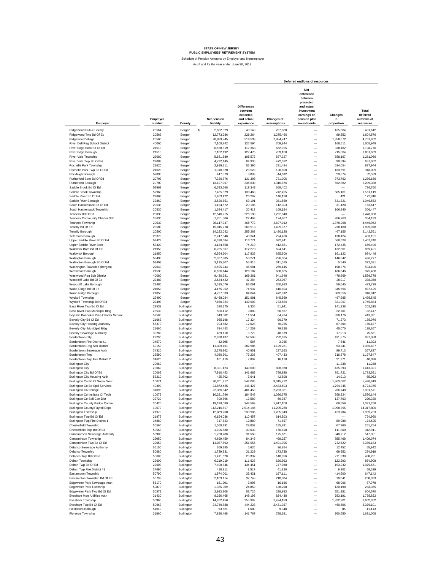|                                                                  |                    |                          |                               |                                                                       |                           | Deferred outflows of resources                                                                                      |                             |                                               |
|------------------------------------------------------------------|--------------------|--------------------------|-------------------------------|-----------------------------------------------------------------------|---------------------------|---------------------------------------------------------------------------------------------------------------------|-----------------------------|-----------------------------------------------|
| Employer                                                         | Employer<br>number | County                   | Net pension<br>liability      | <b>Differences</b><br>between<br>expected<br>and actual<br>experience | Changes of<br>assumptions | Net<br>difference<br>between<br>projected<br>and actual<br>investment<br>earnings on<br>pension plan<br>investments | Changes<br>in<br>proportion | Total<br>deferred<br>outflows of<br>resources |
| Ridgewood Public Library                                         | 20564              |                          |                               |                                                                       |                           |                                                                                                                     |                             |                                               |
| Ridgewood Twp Bd Of Ed                                           | 20563              | Bergen<br>Bergen         | \$<br>2,682,529<br>12,773,286 | 48,148<br>229,264                                                     | 267,860<br>1,275,460      |                                                                                                                     | 165,604<br>99,852           | 481,612<br>1,604,576                          |
| Ridgewood Village                                                | 20560              | Bergen                   | 28,889,745                    | 518,533                                                               | 2,884,747                 | $\overline{\phantom{0}}$                                                                                            | 1,358,672                   | 4,761,952                                     |
| River Dell Reg School District                                   | 40060              | Bergen                   | 7,108,842                     | 127,594                                                               | 709,844                   | $\overline{\phantom{0}}$                                                                                            | 168,511                     | 1,005,949                                     |
| River Edge Boro Bd Of Ed                                         | 21513              | Bergen                   | 6,538,819                     | 117,363                                                               | 652,925                   | $\overline{\phantom{0}}$                                                                                            | 338,482                     | 1,108,770                                     |
| River Edge Borough                                               | 21510              | Bergen                   | 7,102,192                     | 127,475                                                               | 709,180                   | $\overline{\phantom{0}}$                                                                                            | 215,004                     | 1,051,659                                     |
| River Vale Township                                              | 22080              | Bergen                   | 5,881,880                     | 105,572                                                               | 587,327                   | $\overline{\phantom{0}}$                                                                                            | 558,167                     | 1,251,066                                     |
| River Vale Twp Bd Of Ed                                          | 22083              | Bergen                   | 4,732,145                     | 84,936                                                                | 472,522                   | $\overline{\phantom{0}}$                                                                                            | 99,594                      | 657,052                                       |
| Rochelle Park Township                                           | 21620              | Bergen                   | 2,919,211                     | 52,396                                                                | 291.494                   | $\overline{\phantom{0}}$                                                                                            | 534,054                     | 877,944                                       |
| Rochelle Park Twp Bd Of Ed                                       | 21623              | Bergen                   | 1,310,820                     | 23,528                                                                | 130,890                   | $\equiv$                                                                                                            | 163,591                     | 318,009                                       |
| Rockleigh Borough<br>Rutherford Boro Bd Of Ed                    | 52890<br>20703     | Bergen<br>Bergen         | 447,579<br>7,320,776          | 8,033<br>131,398                                                      | 44,692<br>731,006         |                                                                                                                     | 29,874<br>373,762           | 82,599<br>1,236,166                           |
| Rutherford Borough                                               | 20700              | Bergen                   | 13,127,967                    | 235,630                                                               | 1,310,876                 | $\frac{1}{1}$                                                                                                       | 662,882                     | 2,209,388                                     |
| Saddle Brook Bd Of Ed                                            | 52963              | Bergen                   | 6,593,668                     | 118,348                                                               | 658,402                   |                                                                                                                     |                             | 776,750                                       |
| Saddle Brook Township                                            | 52960              | Bergen                   | 7,435,829                     | 133,463                                                               | 742,495                   |                                                                                                                     | 685,161                     | 1,561,119                                     |
| Saddle River Bd Of Ed                                            | 22863              | Bergen                   | 1,463,422                     | 26,267                                                                | 146,128                   | $\overline{\phantom{0}}$                                                                                            | 421                         | 172,816                                       |
| Saddle River Borough                                             | 22860              | Bergen                   | 3,520,651                     | 63,191                                                                | 351,550                   | $\overline{\phantom{0}}$                                                                                            | 631,821                     | 1,046,562                                     |
| South Hackensack Bd Of Ed                                        | 20533              | Bergen                   | 1,124,672                     | 20,186                                                                | 112,303                   | $\overline{\phantom{0}}$                                                                                            | 31,128                      | 163,617                                       |
| South Hackensack Township                                        | 20530              | Bergen                   | 1,694,417                     | 30,413                                                                | 169,194                   | $\overline{\phantom{0}}$                                                                                            | 106,840                     | 306,447                                       |
| Teaneck Bd Of Ed<br>Teaneck Community Charter Sch                | 20033<br>35630     | Bergen                   | 12,546,755<br>1,251,506       | 225,198<br>22,463                                                     | 1,252,840<br>124,967      | $\overline{\phantom{0}}$<br>$\overline{\phantom{0}}$                                                                | 206,763                     | 1,478,038<br>354,193                          |
| Teaneck Township                                                 | 20030              | Bergen                   | 26,117,337                    | 468,772                                                               | 2,607,912                 | $\overline{\phantom{0}}$                                                                                            | 1,370,268                   | 4,446,952                                     |
| Tenafly Bd Of Ed                                                 | 20503              | Bergen<br>Bergen         | 15,015,738                    | 269,513                                                               | 1,499,377                 | $\overline{\phantom{0}}$                                                                                            | 230,188                     | 1,999,078                                     |
| Tenafly Borough                                                  | 20500              | Bergen                   | 14,222,092                    | 255,268                                                               | 1,420,128                 | $\overline{\phantom{0}}$                                                                                            | 467,155                     | 2,142,551                                     |
| Teterboro Borough                                                | 23370              | Bergen                   | 2,247,546                     | 40,341                                                                | 224,426                   | $\overline{\phantom{0}}$                                                                                            | 138,424                     | 403,191                                       |
| Upper Saddle River Bd Of Ed                                      | 53423              | Bergen                   | 6,338,684                     | 113,771                                                               | 632,941                   | $\overline{\phantom{0}}$                                                                                            | 660,528                     | 1,407,240                                     |
| Upper Saddle River Boro                                          | 53420              | Bergen                   | 4,134,558                     | 74,210                                                                | 412,851                   | $\overline{\phantom{0}}$                                                                                            | 172,435                     | 659,496                                       |
| Waldwick Boro Bd Of Ed                                           | 21953              | Bergen                   | 6,255,567                     | 112,279                                                               | 624,641                   | $\overline{\phantom{0}}$                                                                                            | 132,501                     | 869,421                                       |
| Waldwick Borough                                                 | 21950              | Bergen                   | 6,564,604                     | 117,826                                                               | 655,500                   | $\overline{\phantom{0}}$                                                                                            | 161,122                     | 934,448                                       |
| Wallington Borough                                               | 53490              | Bergen                   | 2,967,985                     | 53,271                                                                | 296,364                   | $\overline{\phantom{0}}$                                                                                            | 146,642                     | 496,277                                       |
| Wallington Borough Bd Of Ed                                      | 53493              | Bergen                   | 3.115.307                     | 55,916                                                                | 311,075                   | $\overline{\phantom{0}}$                                                                                            | 5,540                       | 372,531                                       |
| Washington Township (Bergen)                                     | 22040              | Bergen                   | 2,595,244                     | 46,581                                                                | 259,145                   | $\overline{\phantom{0}}$                                                                                            | 198,374                     | 504,100                                       |
| Westwood Borough                                                 | 21530              | Bergen                   | 6.696.144                     | 120,187                                                               | 668,635                   | $\overline{\phantom{0}}$                                                                                            | 186,646                     | 975,468                                       |
| Westwood Reg Sch District<br>Woodcliff Lake Bd Of Ed             | 40080<br>22483     | Bergen<br>Bergen         | 9,430,281<br>2,634,422        | 169,261<br>47,284                                                     | 941.648<br>263.057        |                                                                                                                     | 478,869<br>28.017           | 1,589,778<br>338,358                          |
| Woodcliff Lake Borough                                           | 22480              | Bergen                   | 3,515,076                     | 63,091                                                                | 350,993                   |                                                                                                                     | 59,645                      | 473,729                                       |
| Wood-Ridge Bd Of Ed                                              | 21053              | Bergen                   | 4,175,052                     | 74,937                                                                | 416,894                   |                                                                                                                     | 345,594                     | 837,425                                       |
| Wood-Ridge Borough                                               | 21050              | Bergen                   | 4,727,033                     | 84,844                                                                | 472,012                   |                                                                                                                     | 383,956                     | 940,812                                       |
| Wyckoff Township                                                 | 22490              | Bergen                   | 8,468,084                     | 151,991                                                               | 845,569                   |                                                                                                                     | 497,985                     | 1,495,545                                     |
| Wyckoff Township Bd Of Ed                                        | 22493              | Bergen                   | 7,850,324                     | 140,903                                                               | 783,884                   |                                                                                                                     | 821,097                     | 1,745,884                                     |
| Bass River Twp Bd Of Ed                                          | 23533              | Burlington               | 520,175                       | 9,336                                                                 | 51,941                    | $\overline{\phantom{0}}$                                                                                            | 141,238                     | 202,515                                       |
| Bass River Twp Municipal Bldg                                    | 23530              | Burlington               | 506,412                       | 9,089                                                                 | 50,567                    | $\overline{\phantom{0}}$                                                                                            | 22,761                      | 82,417                                        |
| Bejamin Banneker Prep Charter School                             | 52500              | Burlington               | 643,582                       | 11,551                                                                | 64,264                    | $\overline{\phantom{0}}$                                                                                            | 338,176                     | 413,991                                       |
| Beverly City Bd Of Ed                                            | 21663              | Burlington               | 965,198                       | 17,324                                                                | 96,379                    | $\overline{\phantom{0}}$                                                                                            | 71,373                      | 185,076                                       |
| Beverly City Housing Authority                                   | 56370<br>21660     | Burlington               | 703,582<br>794,443            | 12,628<br>14,259                                                      | 70,255<br>79,328          | $\overline{\phantom{0}}$<br>$\overline{\phantom{0}}$                                                                | 67,304<br>45,070            | 150,187<br>138,657                            |
| Beverly City_Municipal Bldg<br><b>Beverly Sewerage Authority</b> | 30280              | Burlington<br>Burlington | 489,110                       | 8,779                                                                 | 48,839                    | $\overline{\phantom{0}}$                                                                                            | 17,913                      | 75,531                                        |
| Bordentown City                                                  | 22290              | Burlington               | 2,930,437                     | 52,598                                                                | 292,615                   | $\overline{\phantom{0}}$                                                                                            | 491,875                     | 837,088                                       |
| Bordentown Fire District #1                                      | 34570              | Burlington               | 32,695                        | 587                                                                   | 3,265                     | $\overline{\phantom{0}}$                                                                                            | 7,541                       | 11,393                                        |
| Bordentown Reg Sch District                                      | 40150              | Burlington               | 11,309,161                    | 202,985                                                               | 1,129,261                 | $\overline{\phantom{0}}$                                                                                            | 53,241                      | 1,385,487                                     |
| Bordentown Sewerage Auth                                         | 34320              | Burlington               | 2,275,962                     | 40,851                                                                | 227,263                   | $\overline{\phantom{0}}$                                                                                            | 99,713                      | 367,827                                       |
| Bordentown Twp                                                   | 22590              | Burlington               | 4,080,301                     | 73,236                                                                | 407,433                   | $\overline{\phantom{0}}$                                                                                            | 716,878                     | 1,197,547                                     |
| Bordentown Twp Fire District 2                                   | 34620              | Burlington               | 161,419                       | 2,897                                                                 | 16,118                    | $\overline{\phantom{0}}$                                                                                            | 21,371                      | 40,386                                        |
| <b>Burlington City</b>                                           | 20069              | Burlington               |                               |                                                                       |                           | $\overline{\phantom{0}}$                                                                                            | 11,238                      | 11,238                                        |
| <b>Burlington City</b>                                           | 20060              | Burlington               | 8,301,423                     | 149,000                                                               | 828,928                   | $\overline{\phantom{0}}$                                                                                            | 435,393                     | 1,413,321                                     |
| Burlington City Bd Of Ed<br>Burlington City Housing Auth         | 20063<br>56210     | Burlington<br>Burlington | 7,910,453<br>425,702          | 141,982<br>7,641                                                      | 789,888<br>42,508         | $\overline{\phantom{0}}$<br>$\overline{\phantom{0}}$                                                                | 851,721<br>14,913           | 1,783,591<br>65,062                           |
| Burlington Co Bd Of Social Serv                                  | 10071              | Burlington               | 30,201,917                    | 542,085                                                               | 3,015,772                 | $\overline{\phantom{0}}$                                                                                            | 1,863,062                   | 5,420,919                                     |
| Burlington Co Bd Spcl Services                                   | 40490              | Burlington               | 24,872,425                    | 446,427                                                               | 2,483,603                 | L,                                                                                                                  | 1,794,345                   | 4,724,375                                     |
| <b>Burlington Co College</b>                                     | 31090              | Burlington               | 22,366,542                    | 401,450                                                               | 2,233,381                 | L,                                                                                                                  | 266,740                     | 2,901,571                                     |
| Burlington Co Institute Of Tech                                  | 10073              | Burlington               | 10,281,796                    | 184.545                                                               | 1,026,675                 | Ē,                                                                                                                  | 358,924                     | 1,570,144                                     |
| Burlington Co Soil Con Dist                                      | 32720              | Burlington               | 700,896                       | 12,580                                                                | 69.987                    |                                                                                                                     | 137.763                     | 220,330                                       |
| Burlington County Bridge Comm                                    | 30420              | punngton                 | 19,199,089                    | 344,599                                                               | 1.917.100                 |                                                                                                                     | 69,559                      | 2,331,258                                     |
| Burlington County/Payroll Dept                                   | 10070              | Burlington               | 112,216,807                   | 2,014,145                                                             | 11,205,260                |                                                                                                                     | 1,098,395                   | 14,317,800                                    |
| <b>Burlington Township</b>                                       | 21970              | Burlington               | 12,869,260                    | 230,986                                                               | 1,285,043                 | -                                                                                                                   | 423,704                     | 1,939,733                                     |
| Burlington Twp Bd Of Ed                                          | 21973              | Burlington               | 6,154,036                     | 110,457                                                               | 614,503                   |                                                                                                                     |                             | 724,960                                       |
| Burlington Twp Fire District 1                                   | 34880              | Burlington               | 717,623                       | 12,880                                                                | 71,657                    |                                                                                                                     | 89,988                      | 174,525                                       |
| Chesterfield Township<br>Chesterfield Twp Bd Of Ed               | 50560<br>50563     | Burlington<br>Burlington | 1,560,191<br>1,706,680        | 28,003<br>30,633                                                      | 155,791<br>170,418        | $\overline{\phantom{0}}$                                                                                            | 67,960<br>111,860           | 251,754<br>312,911                            |
| Cinnaminson Sewerage Authority                                   | 55900              | Burlington               | 1,758,788                     | 31,568                                                                | 175,621                   | $\qquad \qquad -$                                                                                                   | 340,712                     | 547,901                                       |
| Cinnaminson Township                                             | 22050              | Burlington               | 4,699,450                     | 84,349                                                                | 469,257                   | $\overline{\phantom{0}}$                                                                                            | 855,468                     | 1,409,074                                     |
| Cinnaminson Twp Bd Of Ed                                         | 22053              | Burlington               | 14,037,592                    | 251,956                                                               | 1,401,705                 | $\overline{\phantom{0}}$                                                                                            | 732,522                     | 2,386,183                                     |
| Delanco Sewerage Authority                                       | 55150              | Burlington               | 369,185                       | 6,626                                                                 | 36,864                    | $\overline{\phantom{0}}$                                                                                            | 12,452                      | 55,942                                        |
| Delanco Township                                                 | 50680              | Burlington               | 1,739,931                     | 31,229                                                                | 173,738                   | $\overline{\phantom{0}}$                                                                                            | 69,952                      | 274,919                                       |
| Delanco Twp Bd Of Ed                                             | 50683              | Burlington               | 1,411,628                     | 25,337                                                                | 140,956                   | $\overline{\phantom{0}}$                                                                                            | 271,938                     | 438,231                                       |
| Delran Township                                                  | 22600              | Burlington               | 6,219,019                     | 111,623                                                               | 620,992                   | $\overline{\phantom{0}}$                                                                                            | 122,293                     | 854,908                                       |
| Delran Twp Bd Of Ed                                              | 22603              | Burlington               | 7,490,846                     | 134,451                                                               | 747,988                   | $\overline{\phantom{0}}$                                                                                            | 193,232                     | 1,075,671                                     |
| Delran Twp Fire District #1                                      | 34690              | Burlington               | 418,811                       | 7,517                                                                 | 41,820                    | $\overline{\phantom{0}}$                                                                                            | 9,302                       | 58,639                                        |
| Eastampton Township                                              | 50790              | Burlington               | 1,974,001                     | 35,431                                                                | 197,111                   | $\overline{\phantom{0}}$                                                                                            | 414,600                     | 647,142                                       |
| Eastampton Township Bd Of Ed<br>Edgewater Park Sewerage Auth     | 50793              | Burlington               | 2,103,114                     | 37,748                                                                | 210,004                   | $\overline{\phantom{0}}$                                                                                            | 10,641                      | 258,393                                       |
| <b>Edgewater Park Township</b>                                   | 56170<br>50870     | Burlington<br>Burlington | 161,901<br>1,385,009          | 2,906<br>24,859                                                       | 16,166<br>138,298         | $\overline{\phantom{0}}$<br>$\overline{\phantom{0}}$                                                                | 68,006<br>120,198           | 87,078<br>283.355                             |
| Edgewater Park Twp Bd Of Ed                                      | 50873              | Burlington               | 2,993,308                     | 53,726                                                                | 298,893                   | $\qquad \qquad -$                                                                                                   | 251,951                     | 604,570                                       |
| Evesham Mun. Utilities Auth                                      | 31430              | Burlington               | 8,256,465                     | 148,193                                                               | 824,438                   | $\overline{\phantom{0}}$                                                                                            | 783,191                     | 1,755,822                                     |
| Evesham Township                                                 | 50960              | Burlington               | 14,262,456                    | 255,992                                                               | 1,424,159                 | $\overline{\phantom{0}}$                                                                                            | 1,922,201                   | 3,602,352                                     |
| Evesham Twp Bd Of Ed                                             | 50963              | Burlington               | 24,749,888                    | 444,228                                                               | 2,471,367                 | $\overline{\phantom{0}}$                                                                                            | 460,506                     | 3,376,101                                     |
| Fieldsboro Borough                                               | 51010              | Burlington               | 93,621                        | 1,680                                                                 | 9,348                     | L,                                                                                                                  | 85                          | 11,113                                        |
| Florence Township                                                | 21860              | Burlington               | 7,898,468                     | 141,767                                                               | 788,691                   |                                                                                                                     | 760,550                     | 1,691,008                                     |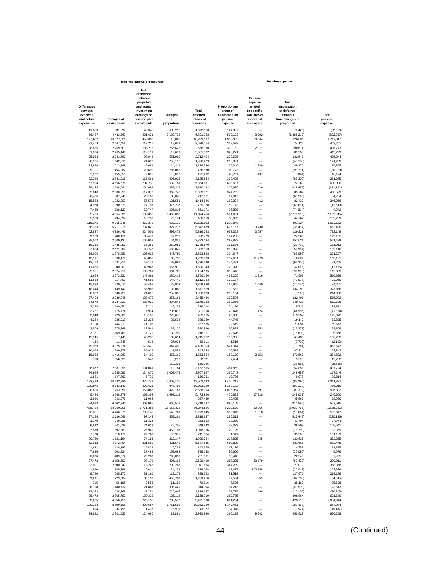|                                                         |                        | Deferred inflows of resources                                                                               |                      |                                 |                                                        |                                                                              | <b>Pension expense</b>                                           |                       |
|---------------------------------------------------------|------------------------|-------------------------------------------------------------------------------------------------------------|----------------------|---------------------------------|--------------------------------------------------------|------------------------------------------------------------------------------|------------------------------------------------------------------|-----------------------|
| <b>Differences</b><br>between<br>expected<br>and actual | <b>Changes of</b>      | <b>Net</b><br>difference<br>between<br>projected<br>and actual<br>investment<br>earnings on<br>pension plan | Changes<br>in        | Total<br>deferred<br>inflows of | Proportionate<br>share of<br>allocable plan<br>pension | Pension<br>expense<br>related<br>to specific<br>liabilities of<br>individual | Net<br>amortization<br>of deferred<br>amounts<br>from changes in | Total<br>pension      |
| experience                                              | assumptions            | investments                                                                                                 | proportion           | resources                       | expense                                                | employers                                                                    | proportion                                                       | expense               |
| 11,850                                                  | 931,097                | 42,345                                                                                                      | 688,218              | 1,673,510                       | 124,367                                                |                                                                              | (176, 426)                                                       | (52,059)              |
| 56,427                                                  | 4,433,567              | 201,631                                                                                                     | 2,109,733            | 6,801,358                       | 592,193                                                | 3,992                                                                        | (1,488,212)                                                      | (892, 027)            |
| 127,622                                                 | 10,027,539             | 456,036                                                                                                     | 118,000              | 10,729,197                      | 1,339,382                                              | 50,804                                                                       | 326,831                                                          | 1,717,017             |
| 31,404                                                  | 2,467,456              | 112,216                                                                                                     | 18,638               | 2,629,714                       | 329,579                                                |                                                                              | 74,122                                                           | 403,701               |
| 28,886<br>31,374                                        | 2,269,603<br>2,465,148 | 103,218<br>112,111                                                                                          | 256,623<br>12,699    | 2,658,330<br>2,621,332          | 303,152<br>329,271                                     | 2,977                                                                        | 190,614<br>89,958                                                | 496,743<br>419.229    |
| 25,984                                                  | 2,041,582              | 92,848                                                                                                      | 551,990              | 2.712.404                       | 272,695                                                | $\overline{\phantom{0}}$                                                     | 132,549                                                          | 405.244               |
| 20,905                                                  | 1,642,513              | 74,699                                                                                                      | 258,112              | 1,996,229                       | 219,391                                                |                                                                              | (48, 138)                                                        | 171,253               |
| 12,896                                                  | 1,013,249              | 46,081                                                                                                      | 114,314              | 1,186,540                       | 135,340                                                | 1,349                                                                        | 49,176                                                           | 185,865               |
| 5,791                                                   | 454,982                | 20,692                                                                                                      | 285,065              | 766,530                         | 60.772                                                 |                                                                              | (90, 791)                                                        | (30,019)              |
| 1,977                                                   | 155,353                | 7,065                                                                                                       | 6,897                | 171,292                         | 20,751                                                 | 497                                                                          | (5,074)                                                          | 16,174                |
| 32,340                                                  | 2,541,018              | 115,561                                                                                                     | 496,925              | 3,185,844                       | 339,405                                                |                                                                              | (88, 330)                                                        | 251,075               |
| 57,994                                                  | 4,556,676              | 207,230                                                                                                     | 532,781              | 5,354,681                       | 608,637                                                |                                                                              | 22,263                                                           | 630,900               |
| 29,128<br>32,848                                        | 2,288,641<br>2,580,953 | 104,084<br>117,377                                                                                          | 388,329<br>362,743   | 2,810,182<br>3,093,921          | 305,695<br>344,739                                     | 1,626                                                                        | (418, 482)<br>85,784                                             | (111, 161)<br>430,523 |
| 6,465                                                   | 507,949                | 23,101                                                                                                      | 180,046              | 717,561                         | 67,847                                                 |                                                                              | (63, 563)                                                        | 4,284                 |
| 15,553                                                  | 1,222,007              | 55,575                                                                                                      | 121,551              | 1,414,686                       | 163,224                                                | 412                                                                          | 82,430                                                           | 246,066               |
| 4,968                                                   | 390,370                | 17,753                                                                                                      | 376,237              | 789,328                         | 52,142                                                 |                                                                              | (63, 691)                                                        | (11, 549)             |
| 7,485                                                   | 588,127                | 26,747                                                                                                      | 208,812              | 831,171                         | 78,556                                                 | -                                                                            | (74, 514)                                                        | 4,042                 |
| 55,426                                                  | 4,354,939              | 198,055                                                                                                     | 6,466,036            | 11,074,456                      | 581,691                                                |                                                                              | (2,773,536)                                                      | (2, 191, 845)         |
| 5,529                                                   | 434,394                | 19,756                                                                                                      | 29,174               | 488,853                         | 58,022                                                 | -                                                                            | 44,767                                                           | 102,789               |
| 115,375                                                 | 9,065,245              | 412,272                                                                                                     | 532,110              | 10,125,002                      | 1,210,848                                              |                                                                              | 401,324                                                          | 1,612,172             |
| 66,333                                                  | 5,211,915              | 237,029                                                                                                     | 327,212              | 5,842,489                       | 696,157                                                | 3,730                                                                        | (36, 457)                                                        | 663,430               |
| 62,827                                                  | 4,936,443              | 224,501                                                                                                     | 592,472              | 5,816,243                       | 659,363                                                | 3,557                                                                        | 129,229                                                          | 792,149               |
| 9,929                                                   | 780,116                | 35,478                                                                                                      | 97,256               | 922,779                         | 104,200                                                |                                                                              | 24,965                                                           | 129,165               |
| 28,002                                                  | 2,200,137              | 100,059                                                                                                     | 64,836               | 2,393,034                       | 293,873                                                |                                                                              | 257,626                                                          | 551,499               |
| 18,265                                                  | 1,435,092<br>2,171,287 | 65,266<br>98,747                                                                                            | 269,956              | 1,788,579                       | 191,686                                                |                                                                              | (29, 773)                                                        | 161,913               |
| 27,634<br>29,000                                        | 2,278,553              | 103,625                                                                                                     | 565,845<br>442,790   | 2,863,513<br>2,853,968          | 290,020<br>304,347                                     |                                                                              | (157, 904)<br>(83,090)                                           | 132,116<br>221,257    |
| 13,111                                                  | 1,030,178              | 46,851                                                                                                      | 133,753              | 1,223,893                       | 137,601                                                | 11,473                                                                       | 16,027                                                           | 165,101               |
| 13,762                                                  | 1,081,313              | 49,176                                                                                                      | 132,089              | 1,276,340                       | 144,431                                                |                                                                              | (63.226)                                                         | 81.205                |
| 11.465                                                  | 900,801                | 40,967                                                                                                      | 566,910              | 1.520.143                       | 120,320                                                |                                                                              | (132, 085)                                                       | (11, 765)             |
| 29.581                                                  | 2,324,210              | 105,701                                                                                                     | 664,703              | 3,124,195                       | 310.446                                                |                                                                              | (198, 383)                                                       | 112.063               |
| 41,659                                                  | 3,273,221              | 148,861                                                                                                     | 286,419              | 3,750,160                       | 437.205                                                | 1,916                                                                        | 71,507                                                           | 510,628               |
| 11,638                                                  | 914,400                | 41,585                                                                                                      | 144,740              | 1,112,363                       | 122,137                                                |                                                                              | (49,077)                                                         | 73,060                |
| 15,528                                                  | 1,220,072              | 55,487                                                                                                      | 78,903               | 1,369,990                       | 162,965                                                | 1,440                                                                        | (70, 144)                                                        | 94,261                |
| 18,444                                                  | 1,449,147              | 65,905                                                                                                      | 138,063              | 1,671,559                       | 193,563                                                |                                                                              | 134,293                                                          | 327,856               |
| 20,882                                                  | 1,640,738              | 74,618                                                                                                      | 252,395              | 1,988,633                       | 219,154                                                | $\overline{\phantom{0}}$<br>-                                                | (5, 116)                                                         | 214,038               |
| 37,408<br>34,679                                        | 2,939,245<br>2,724,823 | 133,672<br>123,920                                                                                          | 355,161<br>294,846   | 3,465,486<br>3,178,268          | 392,596<br>363,956                                     | -                                                                            | 122,406<br>248,730                                               | 515,002<br>612,686    |
| 2,298                                                   | 180,551                | 8,211                                                                                                       | 45,154               | 236,214                         | 24,116                                                 |                                                                              | 15,715                                                           | 39,831                |
| 2,237                                                   | 175,774                | 7,994                                                                                                       | 205,013              | 391,018                         | 23,478                                                 | 124                                                                          | (64, 956)                                                        | (41, 354)             |
| 2,843                                                   | 223,385                | 10,159                                                                                                      | 226,678              | 463,065                         | 29,838                                                 |                                                                              | 119,234                                                          | 149,072               |
| 4,264                                                   | 335,017                | 15,236                                                                                                      | 33,503               | 388,020                         | 44,748                                                 | -                                                                            | 19.147                                                           | 63,895                |
| 3,108                                                   | 244,211                | 11,106                                                                                                      | 9.110                | 267,535                         | 32,619                                                 |                                                                              | 27,054                                                           | 59.673                |
| 3,509                                                   | 275,749                | 12,541                                                                                                      | 39,127               | 330,926                         | 36,832                                                 | 353                                                                          | (13, 377)                                                        | 23,808                |
| 2,161                                                   | 169,769                | 7,721                                                                                                       | 39,260               | 218,911                         | 22,676                                                 | -                                                                            | (16, 810)                                                        | 5,866                 |
| 12,945                                                  | 1,017,145              | 46,258                                                                                                      | 139,614              | 1,215,962                       | 135,860                                                | -                                                                            | 47,433                                                           | 183,293               |
| 144                                                     | 11,348                 | 516                                                                                                         | 27,003               | 39,011                          | 1,516                                                  | -<br>-                                                                       | (3,709)                                                          | (2, 193)              |
| 49,959<br>10,054                                        | 3,925,374<br>789,979   | 178,520<br>35,927                                                                                           | 344,450<br>7,588     | 4,498,303<br>843,548            | 524,314<br>105,518                                     | $\overline{\phantom{a}}$                                                     | (70, 741)<br>47,324                                              | 453,573<br>152,842    |
| 18,025                                                  | 1,416,260              | 64,409                                                                                                      | 355,160              | 1,853,854                       | 189,170                                                | 2,153                                                                        | 173,569                                                          | 364,892               |
| 713                                                     | 56,028                 | 2,548                                                                                                       | 3,232                | 62,521                          | 7,484                                                  |                                                                              | 5,298                                                            | 12,782                |
|                                                         |                        |                                                                                                             | 159,326              | 159,326                         |                                                        |                                                                              | (38, 665)                                                        | (38, 665)             |
| 36,672                                                  | 2,881,398              | 131,041                                                                                                     | 113,784              | 3,162,895                       | 384,869                                                |                                                                              | 52,855                                                           | 437,724               |
| 34,945                                                  | 2,745,693              | 124,870                                                                                                     | 1,002,479            | 3,907,987                       | 366,743                                                |                                                                              | (249, 499)                                                       | 117.244               |
| 1.881                                                   | 147,760                | 6,720                                                                                                       |                      | 156,361                         | 19,736                                                 |                                                                              | 9,078                                                            | 28.814                |
| 133.419                                                 | 10,482,990             | 476,749                                                                                                     | 2,409,135            | 13,502,293                      | 1,400,217                                              | -                                                                            | (88, 390)                                                        | 1,311,827             |
| 109,875                                                 | 8,633,140              | 392,621                                                                                                     | 947,493              | 10,083,129                      | 1,153,132                                              | $\overline{\phantom{a}}$<br>697                                              | (397, 122)                                                       | 756,010               |
| 98,806<br>45,420                                        | 7,763,356<br>3,568,779 | 353,065<br>162,302                                                                                          | 422,787<br>1,697,319 | 8,638,014<br>5,473,820          | 1,036,954<br>476,683                                   | 17,918                                                                       | (101, 319)<br>(249,001)                                          | 936,332<br>245.600    |
| 3,096                                                   | 243.279                | 11,064                                                                                                      |                      | 257.439                         | 32.495                                                 |                                                                              | 45,565                                                           | 78,060                |
| 84,813                                                  | 6,663,943              | 303.065                                                                                                     | 666,576              | 7,718,397                       | 890,105                                                |                                                                              | (312, 590)                                                       | 577,515               |
| 495,724                                                 | 38,950,098             | 1,771,386                                                                                                   | 15,057,318           | 56,274,526                      | 5,202,579                                              | 50,966                                                                       | (6,931,796)                                                      | (1,678,251)           |
| 56,851                                                  | 4,466,879              | 203,146                                                                                                     | 546,769              | 5,273,645                       | 596,643                                                | 1,618                                                                        | (15, 614)                                                        | 582,647               |
| 27,186                                                  | 2,136,046              | 97,144                                                                                                      | 559,261              | 2,819,637                       | 285,313                                                |                                                                              | (515, 449)                                                       | (230, 136)            |
| 3,170                                                   | 249,085                | 11,328                                                                                                      |                      | 263,583                         | 33,270                                                 | $\overline{\phantom{0}}$                                                     | 41,704                                                           | 74,974                |
| 6,892                                                   | 541,538                | 24,628                                                                                                      | 76,785               | 649,843                         | 72,333                                                 |                                                                              | 36,208                                                           | 108,541               |
| 7,539                                                   | 592,383                | 26,941                                                                                                      | 452,103              | 1,078,966                       | 79,125                                                 | -                                                                            | (76, 760)                                                        | 2,365                 |
| 7,770                                                   | 610,470                | 27,763<br>74.183                                                                                            | 95,981               | 741,984                         | 81,541                                                 | 745                                                                          | 99.588                                                           | 181.129               |
| 20,760                                                  | 1,631,164              | 221,589                                                                                                     | 210,147<br>431,540   | 1,936,254                       | 217,875<br>650,809                                     | -                                                                            | 133,635                                                          | 352,255               |
| 62,012<br>1,631                                         | 4,872,404<br>128,143   | 5,828                                                                                                       | 6,763                | 5,587,545<br>142,365            | 17,116                                                 | -                                                                            | 331,666<br>4,759                                                 | 982,475<br>21,875     |
| 7,686                                                   | 603,924                | 27,465                                                                                                      | 159,083              | 798,158                         | 80,666                                                 | -                                                                            | (35,090)                                                         | 45,576                |
| 6,236                                                   | 489,972                | 22,283                                                                                                      | 263,090              | 781,581                         | 65,446                                                 | -                                                                            | 22,549                                                           | 87,995                |
| 27,473                                                  | 2,158,602              | 98,170                                                                                                      | 406,165              | 2,690,410                       | 288,325                                                | 23,179                                                                       | (82, 493)                                                        | 229,011               |
| 33,091                                                  | 2,600,049              | 118,246                                                                                                     | 290,248              | 3,041,634                       | 347,289                                                |                                                                              | 21,079                                                           | 368,368               |
| 1,850                                                   | 145,368                | 6,611                                                                                                       | 24,239               | 178,068                         | 19,417                                                 | 103,958                                                                      | (20, 049)                                                        | 103,326               |
| 8,720                                                   | 685,170                | 31,160                                                                                                      | 113,273              | 838,323                         | 91,518                                                 |                                                                              | 127,670                                                          | 219,188               |
| 9,291                                                   | 729,984                | 33,198                                                                                                      | 455,783              | 1,228,256                       | 97,504                                                 | 659                                                                          | (182, 708)                                                       | (84, 545)             |
| 715                                                     | 56.195                 | 2.556                                                                                                       | 11.150               | 70.616                          | 7,506                                                  | -                                                                            | 28.192                                                           | 35,698                |
| 6.118                                                   | 480.732                | 21,863                                                                                                      | 305.441              | 814.154                         | 64.212                                                 | L.                                                                           | (40, 599)                                                        | 23.613                |
| 13.223                                                  | 1.038.968              | 47.251                                                                                                      | 716,905              | 1.816.347                       | 138,775                                                | 596                                                                          | (210, 176)                                                       | (70.805)              |
| 36.473                                                  | 2,865,793              | 130,332                                                                                                     | 126.112              | 3,158,710                       | 382,785                                                | $\overline{\phantom{0}}$                                                     | 308,864                                                          | 691,649               |
| 63,005<br>109,334                                       | 4,950,453<br>8,590,608 | 225,138<br>390,687                                                                                          | 232,572<br>1,761,591 | 5,471,168<br>10,852,220         | 661,234<br>1,147,451                                   | $\overline{\phantom{0}}$                                                     | 423,710                                                          | 1,084,944<br>964,044  |
| 414                                                     | 32,495                 | 1,478                                                                                                       | 8,935                | 43,322                          | 4,340                                                  | $\overline{\phantom{0}}$                                                     | (183, 407)<br>(9,527)                                            | (5, 187)              |
| 34,892                                                  | 2,741,533              | 124,680                                                                                                     | 19,881               | 2,920,986                       | 366,188                                                | 9,242                                                                        | 250,829                                                          | 626,259               |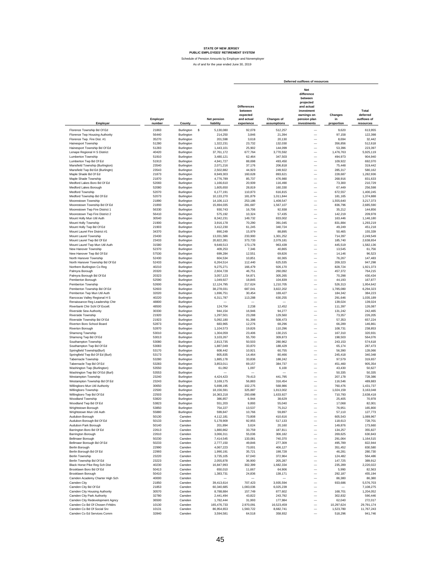|                                                                  |                    |                          |   |                          |                                                                       |                           | Deferred outflows of resources                                                                                             |                             |                                               |
|------------------------------------------------------------------|--------------------|--------------------------|---|--------------------------|-----------------------------------------------------------------------|---------------------------|----------------------------------------------------------------------------------------------------------------------------|-----------------------------|-----------------------------------------------|
| Employer                                                         | Employer<br>number | County                   |   | Net pension<br>liability | <b>Differences</b><br>between<br>expected<br>and actual<br>experience | Changes of<br>assumptions | <b>Net</b><br>difference<br>between<br>projected<br>and actual<br>investment<br>earnings on<br>pension plan<br>investments | Changes<br>in<br>proportion | Total<br>deferred<br>outflows of<br>resources |
|                                                                  |                    |                          |   |                          |                                                                       |                           |                                                                                                                            |                             |                                               |
| Florence Township Bd Of Ed                                       | 21863              | Burlington               | s | 5,130,080                | 92,078                                                                | 512,257                   | -                                                                                                                          | 9,620                       | 613,955                                       |
| Florence Twp Housing Authority                                   | 56440              | Burlington               |   | 214,250                  | 3,846                                                                 | 21,394                    | $\overline{\phantom{0}}$                                                                                                   | 97,158                      | 122,398                                       |
| Florence Twp. Fire Dist. #1                                      | 35270              | Burlington               |   | 201,598<br>1,322,231     | 3,618                                                                 | 20,130                    | $\overline{\phantom{0}}$<br>$\overline{\phantom{0}}$                                                                       | 8,694                       | 32,442                                        |
| Hainesport Township<br>Hainesport Township Bd Of Ed              | 51280<br>51283     | Burlington<br>Burlington |   | 1,443,101                | 23,732<br>25,902                                                      | 132,030<br>144,099        | $\overline{\phantom{0}}$                                                                                                   | 356,856<br>53,396           | 512,618<br>223,397                            |
| Lenape Regional H S District                                     | 40420              | Burlington               |   | 37,761,172               | 677,764                                                               | 3,770,592                 | $\overline{\phantom{0}}$                                                                                                   | 1,476,763                   | 5,925,119                                     |
| Lumberton Township                                               | 51910              | Burlington               |   | 3,480,121                | 62,464                                                                | 347,503                   | $\overline{\phantom{0}}$                                                                                                   | 494,973                     | 904,940                                       |
| Lumberton Twp Bd Of Ed                                           | 51913              | Burlington               |   | 4,941,727                | 88,698                                                                | 493,450                   | $\overline{\phantom{0}}$                                                                                                   | 109,922                     | 692,070                                       |
| Mansfield Township (Burlington)                                  | 23540              | Burlington               |   | 2,071,216                | 37,176                                                                | 206,818                   | $\overline{\phantom{0}}$                                                                                                   | 75,448                      | 319,442                                       |
| Mansfield Twp Bd Ed (Burlingtn)                                  | 23543              | Burlington               |   | 2,502,882                | 44,923                                                                | 249,922                   | $\overline{\phantom{0}}$                                                                                                   | 285,317                     | 580,162                                       |
| Maple Shade Bd Of Ed                                             | 21873              | Burlington               |   | 8,949,303                | 160,628                                                               | 893,621                   | $\overline{\phantom{0}}$                                                                                                   | 228,687                     | 1,282,936                                     |
| Maple Shade Township                                             | 21870              | Burlington               |   | 4.776.789                | 85,737                                                                | 476,980                   |                                                                                                                            | 268,916                     | 831,633                                       |
| Medford Lakes Boro Bd Of Ed                                      | 52083              | Burlington               |   | 1.166.610                | 20,939                                                                | 116,490                   |                                                                                                                            | 73,300                      | 210,729                                       |
| Medford Lakes Borough                                            | 52080              | Burlington               |   | 1,605,650                | 28,819                                                                | 160,330                   |                                                                                                                            | 67,449                      | 256,598                                       |
| Medford Township<br>Medford Township Bd Of Ed                    | 52070<br>52073     | Burlington<br>Burlington |   | 6,177,191<br>10,133,270  | 110,873<br>181.879                                                    | 616,815                   |                                                                                                                            | 672,557<br>181,165          | 1,400,245<br>1,374,888                        |
| Moorestown Township                                              | 21890              | Burlington               |   | 14,106,113               | 253,186                                                               | 1,011,844<br>1,408,547    |                                                                                                                            | 1,555,640                   | 3,217,373                                     |
| Moorestown Township Bd Of Ed                                     | 21893              | Burlington               |   | 15,694,035               | 281,687                                                               | 1,567,107                 | $\overline{\phantom{0}}$                                                                                                   | 836,796                     | 2,685,590                                     |
| Moorestown Twp Fire District 1                                   | 56330              | Burlington               |   | 930,743                  | 16,706                                                                | 92,938                    | $\overline{\phantom{0}}$                                                                                                   | 35,212                      | 144,856                                       |
| Moorestown Twp Fire District 2                                   | 56410              | Burlington               |   | 575,192                  | 10,324                                                                | 57,435                    | $\overline{\phantom{0}}$                                                                                                   | 142,219                     | 209,978                                       |
| Mount Holly Mun Util Auth                                        | 30540              | Burlington               |   | 8,342,231                | 149,732                                                               | 833,002                   | $\overline{\phantom{0}}$                                                                                                   | 163,446                     | 1,146,180                                     |
| Mount Holly Township                                             | 21900              | Burlington               |   | 3,916,178                | 70,290                                                                | 391,045                   | $\overline{\phantom{0}}$                                                                                                   | 831,884                     | 1,293,219                                     |
| Mount Holly Twp Bd Of Ed                                         | 21903              | Burlington               |   | 3,412,230                | 61,245                                                                | 340,724                   | $\overline{\phantom{0}}$                                                                                                   | 49,249                      | 451,218                                       |
| Mount Laurel Fire District #1                                    | 34370              | Burlington               |   | 890,249                  | 15,979                                                                | 88,895                    | $\overline{\phantom{0}}$                                                                                                   | 50,465                      | 155,339                                       |
| Mount Laurel Township                                            | 23430              | Burlington               |   | 13.031.586               | 233,900                                                               | 1,301,252                 | $\overline{\phantom{0}}$                                                                                                   | 714,397                     | 2.249.549                                     |
| Mount Laurel Twp Bd Of Ed                                        | 23433              | Burlington               |   | 20,822,281               | 373,733                                                               | 2,079,181                 | $\overline{\phantom{0}}$                                                                                                   | 185,740                     | 2,638,654                                     |
| Mount Laurel Twp Mun Util Auth                                   | 31580              | Burlington               |   | 9,648,513                | 173,178                                                               | 963,439                   | $\overline{\phantom{0}}$                                                                                                   | 445,519                     | 1.582.136                                     |
| New Hanover Township<br>New Hanover Twp Bd Of Ed                 | 52370<br>57530     | Burlington               |   | 409,253<br>699.284       | 7,346<br>12,551                                                       | 40,865<br>69,826          | $\overline{\phantom{0}}$<br>$\overline{\phantom{0}}$                                                                       | 13,545<br>14,146            | 61,756<br>96,523                              |
| North Hanover Township                                           | 52430              | Burlington<br>Burlington |   | 604,534                  | 10,851                                                                | 60,365                    | $\overline{\phantom{0}}$                                                                                                   | 76,267                      | 147,483                                       |
| North Hanover Township Bd Of Ed                                  | 52433              | Burlington               |   | 6,264,514                | 112,440                                                               | 625,535                   | L.                                                                                                                         | 209,323                     | 947,298                                       |
| Northern Burlington Co Reg                                       | 40210              | Burlington               |   | 9,275,271                | 166,479                                                               | 926,170                   | $\overline{\phantom{0}}$                                                                                                   | 828,724                     | 1,921,373                                     |
| Palmyra Borough                                                  | 20320              | Burlington               |   | 2,604,728                | 46,751                                                                | 260,092                   | $\overline{\phantom{0}}$                                                                                                   | 457,372                     | 764,215                                       |
| Palmyra Borough Bd Of Ed                                         | 20323              | Burlington               |   | 3,057,123                | 54,871                                                                | 305,265                   | $\overline{\phantom{0}}$                                                                                                   | 70,298                      | 430,434                                       |
| Pemberton Borough                                                | 52590              | Burlington               |   | 1,049,927                | 18,845                                                                | 104,839                   | $\overline{\phantom{0}}$                                                                                                   | 44,193                      | 167,877                                       |
| Pemberton Township                                               | 52600              | Burlington               |   | 12,124,795               | 217,624                                                               | 1,210,705                 | $\overline{\phantom{0}}$                                                                                                   | 526,313                     | 1,954,642                                     |
| Pemberton Township Bd Of Ed                                      | 52603              | Burlington               |   | 38,278,031               | 687,041                                                               | 3.822.202                 |                                                                                                                            | 1.785.080                   | 6.294.323                                     |
| Pemberton Twp Mun Util Auth                                      | 32020              | Burlington               |   | 1.696.751                | 30,454                                                                | 169,427                   |                                                                                                                            | 184,342                     | 384,223                                       |
| Rancocas Valley Regional H S                                     | 40220              | Burlington               |   | 6,311,787                | 113,288                                                               | 630,255                   |                                                                                                                            | 291,646                     | 1,035,189                                     |
| Renaissance Reg Leadership Chtr                                  | 48800              | Burlington               |   |                          | 2,238                                                                 |                           | $\overline{\phantom{0}}$                                                                                                   | 139,024                     | 139,024                                       |
| Riverbank Chtr Schl Of Excell.<br><b>Riverside Sew Authority</b> | 48500<br>30330     | Burlington<br>Burlington |   | 124,704<br>944.154       | 16,946                                                                | 12,452<br>94.277          | $\overline{\phantom{0}}$                                                                                                   | 111,397<br>131.242          | 126,087<br>242,465                            |
| Riverside Township                                               | 21920              | Burlington               |   | 1,297,501                | 23,288                                                                | 129,560                   | $\overline{\phantom{0}}$                                                                                                   | 73,357                      | 226,205                                       |
| Riverside Township Bd Of Ed                                      | 21923              | Burlington               |   | 5,092,180                | 91,398                                                                | 508,473                   |                                                                                                                            | 57,353                      | 657,224                                       |
| Riverton Boro School Board                                       | 52873              | Burlington               |   | 683,965                  | 12,276                                                                | 68,296                    | $\frac{1}{1}$                                                                                                              | 66,289                      | 146,861                                       |
| Riverton Borough                                                 | 52870              | Burlington               |   | 1,104,573                | 19,826                                                                | 110,296                   |                                                                                                                            | 108,731                     | 238,853                                       |
| Shamong Township                                                 | 53010              | Burlington               |   | 1,304,059                | 23,406                                                                | 130,215                   | $\overline{\phantom{0}}$                                                                                                   | 167,310                     | 320,931                                       |
| Shamong Twp Bd Of Ed                                             | 53013              | Burlington               |   | 3,103,267                | 55,700                                                                | 309,873                   | $\overline{\phantom{0}}$                                                                                                   | 198,503                     | 564,076                                       |
| Southampton Township                                             | 53080              | Burlington               |   | 2,813,735                | 50,503                                                                | 280,962                   | $\overline{\phantom{0}}$                                                                                                   | 243,153                     | 574,618                                       |
| Southampton Twp Bd Of Ed                                         | 53083              | Burlington               |   | 1,887,049                | 33,870                                                                | 188,429                   |                                                                                                                            | 65,174                      | 287,473                                       |
| Springfield Township(Burl)<br>Springfield Twp Bd Of Ed (Burl)    | 53170<br>53173     | Burlington<br>Burlington |   | 608,442<br>805,835       | 10,921<br>14,464                                                      | 60,755<br>80,466          | $\qquad \qquad -$<br>$\qquad \qquad -$                                                                                     | 56,390<br>245,418           | 128,066<br>340,348                            |
| Tabernacle Township                                              | 53280              | Burlington               |   | 1,885,178                | 33,836                                                                | 188,242                   | $\overline{\phantom{0}}$                                                                                                   | 97,579                      | 319,657                                       |
| Tabernacle Twp Bd Of Ed                                          | 53283              | Burlington               |   | 3,853,011                | 69,157                                                                | 384,737                   | $\overline{\phantom{0}}$                                                                                                   | 451,460                     | 905,354                                       |
| Washington Twp (Burlington)                                      | 53550              | Burlington               |   | 61,092                   | 1,097                                                                 | 6,100                     | $\overline{\phantom{0}}$                                                                                                   | 43,430                      | 50,627                                        |
| Washington Twp Bd Of Ed (Burl)                                   | 53553              | Burlington               |   |                          |                                                                       |                           | $\overline{\phantom{0}}$                                                                                                   | 50,335                      | 50,335                                        |
| Westampton Township                                              | 23240              | Burlington               |   | 4,424,423                | 79,413                                                                | 441,795                   | $\overline{\phantom{0}}$                                                                                                   | 207,178                     | 728,386                                       |
| Westampton Township Bd Of Ed                                     | 23243              | Burlington               |   | 3,169,175                | 56,883                                                                | 316,454                   | L.                                                                                                                         | 116,546                     | 489,883                                       |
| Willingboro Mun Util Authority                                   | 30650              | Burlington               |   | 5,698,195                | 102,275                                                               | 568,986                   | -                                                                                                                          | 760,476                     | 1,431,737                                     |
| Willingboro Township                                             | 22500              | Burlington               |   | 18,156,591               | 325,887<br>293.698                                                    | 1,813,002                 | $\overline{\phantom{0}}$                                                                                                   | 1,024,159                   | 3,163,048                                     |
| Willingboro Twp Bd Of Ed                                         | 22503<br>53820     | Burlington               |   | 16,363,218               |                                                                       | 1,633,927                 | $\overline{\phantom{0}}$                                                                                                   | 710,793                     | 2,638,418<br>70,978                           |
| Woodland Township<br>Woodland Two Bd Of Ed                       | 53823              | Burlington<br>Burlington |   | 386,857<br>551.203       | 6,944<br>9.893                                                        | 38,629<br>55.040          |                                                                                                                            | 25,405<br>17.068            | 82.001                                        |
| Wrightstown Borough                                              | 53850              | Burlington               |   | 754,227                  | 13,537                                                                | 75,312                    | -                                                                                                                          | 76,951                      | 165,800                                       |
| Wrightstown Mun Util Auth                                        | 55880              | Burlington               |   | 599,847                  | 10,766                                                                | 59,897                    |                                                                                                                            | 57,110                      | 127,773                                       |
| Audubon Borough                                                  | 50130              | Camden                   |   | 4,112,181                | 73,808                                                                | 410,616                   |                                                                                                                            | 605,543                     | 1,089,967                                     |
| Audubon Borough Bd Of Ed                                         | 50133              | Camden                   |   | 5,178,909                | 92,955                                                                | 517,133                   | $\overline{\phantom{0}}$                                                                                                   | 118,613                     | 728,701                                       |
| Audubon Park Borough                                             | 50140              | Camden                   |   | 201,894                  | 3,624                                                                 | 20,160                    | i,                                                                                                                         | 149,876                     | 173,660                                       |
| Barrington Boro Bd Of Ed                                         | 22613              | Camden                   |   | 1,880,862                | 33,759                                                                | 187,811                   | $\overline{\phantom{0}}$                                                                                                   | 134,257                     | 355,827                                       |
| Barrington Borough                                               | 22610              | Camden                   |   | 3,066,311                | 55,036                                                                | 306,182                   | $\overline{a}$                                                                                                             | 269,625                     | 630,843                                       |
| Bellmawr Borough                                                 | 50230              | Camden                   |   | 7,414,545                | 133,081                                                               | 740,370                   | $\overline{a}$                                                                                                             | 291,064                     | 1,164,515                                     |
| Bellmawr Borough Bd Of Ed                                        | 50233              | Camden                   |   | 2,777,150                | 49,846                                                                | 277,309                   | $\overline{\phantom{0}}$                                                                                                   | 495,789                     | 822.944                                       |
| Berlin Borough                                                   | 22990<br>22993     | Camden<br>Camden         |   | 4,067,223<br>1,990,191   | 73,001                                                                | 406,127                   | $\overline{\phantom{0}}$                                                                                                   | 351,452                     | 830,580                                       |
| Berlin Borough Bd Of Ed<br>Berlin Township                       | 23220              | Camden                   |   | 3,735,105                | 35,721<br>67,040                                                      | 198,728<br>372,964        | $\overline{\phantom{0}}$<br>$\overline{\phantom{0}}$                                                                       | 46,281<br>124,482           | 280,730<br>564.486                            |
| Berlin Township Bd Of Ed                                         | 23223              | Camden                   |   | 2,055,878                | 36,900                                                                | 205,287                   | $\overline{\phantom{0}}$                                                                                                   | 147,725                     | 389,912                                       |
| Black Horse Pike Reg Sch Dist                                    | 40230              | Camden                   |   | 16,847,993               | 302,399                                                               | 1,682,334                 | $\qquad \qquad -$                                                                                                          | 235,289                     | 2,220,022                                     |
| Brooklawn Boro Bd Of Ed                                          | 50413              | Camden                   |   | 650,010                  | 11,667                                                                | 64,906                    | $\overline{\phantom{0}}$                                                                                                   | 5,990                       | 82,563                                        |
| Brooklawn Borough                                                | 50410              | Camden                   |   | 1,383,731                | 24,836                                                                | 138,171                   | $\overline{\phantom{0}}$                                                                                                   | 292,187                     | 455,194                                       |
| Camden Academy Charter High Sch                                  | 40000              | Camden                   |   |                          |                                                                       |                           | $\overline{\phantom{0}}$                                                                                                   | 86,380                      | 86,380                                        |
| Camden City                                                      | 21850              | Camden                   |   | 39,413,614               | 707,423                                                               | 3,935,594                 | $\overline{\phantom{0}}$                                                                                                   | 933,686                     | 5,576,703                                     |
| Camden City Bd Of Ed                                             | 21853              | Camden                   |   | 60,340,685               | 1,083,036                                                             | 6,025,239                 | $\overline{\phantom{0}}$                                                                                                   |                             | 7,108,275                                     |
| Camden City Housing Authority                                    | 30570              | Camden                   |   | 8,788,884                | 157,749                                                               | 877,602                   | $\overline{\phantom{0}}$                                                                                                   | 168,701                     | 1,204,052                                     |
| Camden City Park Authority                                       | 32780              | Camden                   |   | 2,441,494                | 43,822                                                                | 243,792                   | $\overline{\phantom{0}}$                                                                                                   | 302,832                     | 590,446                                       |
| Camden City Redevelopment Agncy                                  | 36500              | Camden                   |   | 1,782,444                | 31,993                                                                | 177,984                   | $\overline{\phantom{0}}$                                                                                                   | 62,040                      | 272,017                                       |
| Camden Co Bd Of Chosen Frhidrs                                   | 10130              | Camden                   |   | 165,476,733              | 2,970,091                                                             | 16,523,459                | $\overline{\phantom{0}}$<br>$\overline{\phantom{0}}$                                                                       | 10,297,624                  | 29,791,174                                    |
| Camden Co Bd Of Social Srv<br>Camden Co Ed Services Comm         | 10131<br>32840     | Camden<br>Camden         |   | 86,954,653<br>3,594,581  | 1,560,722<br>64,518                                                   | 8,682,741<br>358,932      |                                                                                                                            | 1,523,780<br>518,296        | 11,767,243<br>941,746                         |
|                                                                  |                    |                          |   |                          |                                                                       |                           |                                                                                                                            |                             |                                               |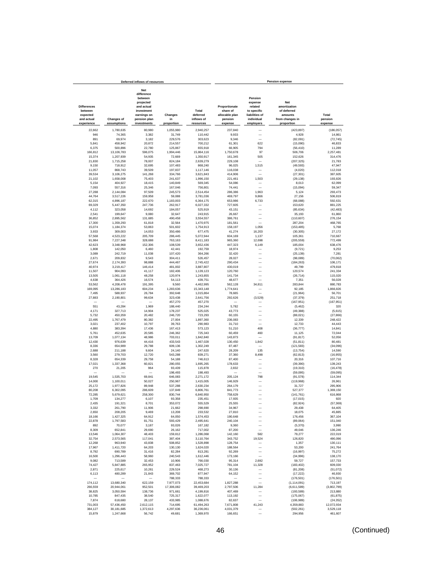|                                                                       |                                  | Deferred inflows of resources                                                                                       |                             |                                              |                                                                   |                                                                                           | <b>Pension expense</b>                                                                |                             |
|-----------------------------------------------------------------------|----------------------------------|---------------------------------------------------------------------------------------------------------------------|-----------------------------|----------------------------------------------|-------------------------------------------------------------------|-------------------------------------------------------------------------------------------|---------------------------------------------------------------------------------------|-----------------------------|
| <b>Differences</b><br>between<br>expected<br>and actual<br>experience | <b>Changes of</b><br>assumptions | Net<br>difference<br>between<br>projected<br>and actual<br>investment<br>earnings on<br>pension plan<br>investments | Changes<br>in<br>proportion | Total<br>deferred<br>inflows of<br>resources | Proportionate<br>share of<br>allocable plan<br>pension<br>expense | Pension<br>expense<br>related<br>to specific<br>liabilities of<br>individual<br>employers | <b>Net</b><br>amortization<br>of deferred<br>amounts<br>from changes in<br>proportion | Total<br>pension<br>expense |
| 22.662                                                                | 1,780,635                        | 80,980                                                                                                              | 1,055,980                   | 2,940,257                                    | 237,840                                                           |                                                                                           | (423, 897)                                                                            | (186, 057)                  |
| 946                                                                   | 74,365                           | 3,382                                                                                                               | 31,749                      | 110,442                                      | 9,933                                                             | $\overline{\phantom{0}}$                                                                  | 4,928                                                                                 | 14,861                      |
| 891                                                                   | 69,974                           | 3,182                                                                                                               | 229,576                     | 303,623                                      | 9,346                                                             |                                                                                           | (82,091)                                                                              | (72, 745)                   |
| 5,841                                                                 | 458,942                          | 20,872                                                                                                              | 214,557                     | 700,212                                      | 61,301                                                            | 622                                                                                       | (15,090)                                                                              | 46,833                      |
| 6,375<br>166.812                                                      | 500,896<br>13,106,783            | 22,780<br>596.075                                                                                                   | 125,867<br>1,994,446        | 655,918<br>15.864.116                        | 66,905<br>1,750,678                                               | 794<br>97                                                                                 | (56, 410)<br>506.706                                                                  | 11,289<br>2.257.481         |
| 15,374                                                                | 1.207.939                        | 54,935                                                                                                              | 72,669                      | 1,350,917                                    | 161,345                                                           | 505                                                                                       | 152.626                                                                               | 314,476                     |
| 21,830                                                                | 1,715,258                        | 78,007                                                                                                              | 824,184                     | 2,639,279                                    | 229,108                                                           |                                                                                           | (207, 325)                                                                            | 21,783                      |
| 9,150                                                                 | 718,912                          | 32,695                                                                                                              | 107,483                     | 868,240                                      | 96,025                                                            | 1,515                                                                                     | (49, 593)                                                                             | 47,947                      |
| 11,057<br>39,534                                                      | 868,743<br>3,106,275             | 39,509<br>141,268                                                                                                   | 197,837<br>334,766          | 1,117,146<br>3,621,843                       | 116,038<br>414,906                                                | -<br>$\overline{\phantom{0}}$                                                             | (4,020)<br>(27, 301)                                                                  | 112,018<br>387,605          |
| 21,102                                                                | 1,658,008                        | 75,403                                                                                                              | 241,637                     | 1,996,150                                    | 221,461                                                           | 1,503                                                                                     | (29, 138)                                                                             | 193,826                     |
| 5,154                                                                 | 404,927                          | 18,415                                                                                                              | 140,849                     | 569,345                                      | 54,086                                                            |                                                                                           | 8,013                                                                                 | 62,099                      |
| 7,093                                                                 | 557,316                          | 25,346                                                                                                              | 167,046                     | 756,801                                      | 74,441                                                            | $\overline{\phantom{0}}$                                                                  | (15,094)                                                                              | 59,347                      |
| 27,288<br>44,764                                                      | 2,144,084<br>3,517,226           | 97,509<br>159,958                                                                                                   | 245,573<br>59,088           | 2,514,454<br>3,781,036                       | 286,386<br>469,797                                                | 1,963<br>9,866                                                                            | 5,124<br>27,156                                                                       | 293,473<br>506,819          |
| 62,315                                                                | 4,896,187                        | 222,670                                                                                                             | 1,183,003                   | 6,364,175                                    | 653,986                                                           | 6,733                                                                                     | (68,088)                                                                              | 592,631                     |
| 69,329                                                                | 5,447,350                        | 247,736                                                                                                             | 262,917                     | 6,027,332                                    | 727,605                                                           |                                                                                           | 153,620                                                                               | 881,225                     |
| 4,112                                                                 | 323,058                          | 14,692                                                                                                              | 184,057                     | 525,919                                      | 43,151                                                            |                                                                                           | (85, 634)                                                                             | (42, 483)                   |
| 2,541<br>36,852                                                       | 199,647<br>2,895,562             | 9,080<br>131,685                                                                                                    | 32,647<br>490,458           | 243,915<br>3,554,557                         | 26,667<br>386,761                                                 | ÷,                                                                                        | 35,193<br>(110, 607)                                                                  | 61,860<br>276,154           |
| 17,300                                                                | 1,359,293                        | 61,818                                                                                                              | 32,564                      | 1,470,975                                    | 181,561                                                           |                                                                                           | 287,204                                                                               | 468,765                     |
| 15,074                                                                | 1,184,374                        | 53,863                                                                                                              | 501,602                     | 1,754,913                                    | 158,197                                                           | 1,056                                                                                     | (153, 485)                                                                            | 5,768                       |
| 3,933                                                                 | 309,003                          | 14,053                                                                                                              | 350,486                     | 677,475                                      | 41,274                                                            | 16,203                                                                                    | (30, 305)                                                                             | 27,172                      |
| 57,568                                                                | 4,523,222                        | 205,709                                                                                                             | 286,445                     | 5,072,944                                    | 604,169                                                           | 1,137                                                                                     | 105,361                                                                               | 710,667                     |
| 91,984<br>42,623                                                      | 7,227,348<br>3,348,968           | 328,688<br>152,306                                                                                                  | 763,163<br>108,539          | 8,411,183<br>3,652,436                       | 965,360<br>447,323                                                | 12,698<br>6,149                                                                           | (205, 559)<br>185,004                                                                 | 772,499<br>638,476          |
| 1,808                                                                 | 142,050                          | 6,460                                                                                                               | 42,441                      | 192.759                                      | 18,974                                                            |                                                                                           | (9, 721)                                                                              | 9,253                       |
| 3,089                                                                 | 242,719                          | 11,038                                                                                                              | 107,420                     | 364.266                                      | 32,420                                                            |                                                                                           | (25, 139)                                                                             | 7,281                       |
| 2,671                                                                 | 209,832                          | 9,543                                                                                                               | 304,411                     | 526,457                                      | 28,027                                                            |                                                                                           | (98,089)                                                                              | (70, 062)                   |
| 27.674<br>40,974                                                      | 2,174,393<br>3,219,417           | 98,888<br>146,414                                                                                                   | 444,467<br>481.002          | 2,745,422<br>3.887.807                       | 290,434<br>430,019                                                | -                                                                                         | (184, 263)<br>49,799                                                                  | 106.171<br>479,818          |
| 11,507                                                                | 904,093                          | 41,117                                                                                                              | 182,406                     | 1,139,123                                    | 120,760                                                           | -                                                                                         | 120,574                                                                               | 241,334                     |
| 13,505                                                                | 1,061,118                        | 48,258                                                                                                              | 120,974                     | 1,243,855                                    | 141,734                                                           | $\overline{\phantom{0}}$                                                                  | (26, 714)                                                                             | 115,020                     |
| 4,638                                                                 | 364,426                          | 16,574                                                                                                              | 54,113                      | 439,751                                      | 48.677                                                            |                                                                                           | 7,351                                                                                 | 56,028                      |
| 53,562                                                                | 4,208,478<br>13,286,183          | 191,395                                                                                                             | 9,560                       | 4,462,995                                    | 562,128                                                           | 34,811<br>-                                                                               | 283,844                                                                               | 880,783                     |
| 169,095<br>7,495                                                      | 588,937                          | 604,234<br>26,784                                                                                                   | 1,283,636<br>392,648        | 15,343,148<br>1,015,864                      | 1,774,641<br>78,665                                               |                                                                                           | 92,185<br>(21, 964)                                                                   | 1,866,826<br>56,701         |
| 27,883                                                                | 2,190,801                        | 99,634                                                                                                              | 323,438                     | 2,641,756                                    | 292,626                                                           | (3, 529)                                                                                  | (37, 379)                                                                             | 251,718                     |
|                                                                       |                                  |                                                                                                                     | 457,270                     | 457,270                                      |                                                                   |                                                                                           | (167, 951)                                                                            | (167, 951)                  |
| 551                                                                   | 43,284                           | 1,969                                                                                                               | 188,440                     | 234,244                                      | 5,782                                                             |                                                                                           | (5, 462)                                                                              | 320                         |
| 4,171<br>5,732                                                        | 327,713<br>450,359               | 14,904<br>20,482                                                                                                    | 178,237<br>246,720          | 525,025<br>723,293                           | 43,773<br>60,155                                                  |                                                                                           | (49, 388)<br>(88, 021)                                                                | (5,615)<br>(27, 866)        |
| 22,495                                                                | 1,767,479                        | 80,382                                                                                                              | 27,004                      | 1,897,360                                    | 236,083                                                           |                                                                                           | 12,339                                                                                | 248,422                     |
| 3,021                                                                 | 237,402                          | 10,797                                                                                                              | 39,763                      | 290,983                                      | 31,710                                                            |                                                                                           | 12.733                                                                                | 44,443                      |
| 4,880<br>5,761                                                        | 383,394<br>452.635               | 17,436<br>20,585                                                                                                    | 167,413<br>246,362          | 573.123<br>725.343                           | 51,210<br>60,459                                                  | 408<br>460                                                                                | (36, 777)<br>11,125                                                                   | 14,841<br>72.044            |
| 13.709                                                                | 1,077,134                        | 48,986                                                                                                              | 703,011                     | 1,842,840                                    | 143,873                                                           |                                                                                           | (91, 817)                                                                             | 52.056                      |
| 12,430                                                                | 976,639                          | 44,416                                                                                                              | 433,543                     | 1,467,028                                    | 130,450                                                           | 1,842                                                                                     | (51, 811)                                                                             | 80,481                      |
| 8,336                                                                 | 654,989                          | 29,788                                                                                                              | 609,136                     | 1,302,249                                    | 87,487                                                            |                                                                                           | (121, 583)                                                                            | (34, 096)                   |
| 2,688<br>3,560                                                        | 211,188<br>279,703               | 9,604<br>12,720                                                                                                     | 24,140<br>543,288           | 247,620<br>839,271                           | 28,209<br>37,360                                                  | 135<br>8,498                                                                              | (13, 754)<br>(62, 813)                                                                | 14,590<br>(16, 955)         |
| 8,328                                                                 | 654,339                          | 29,758                                                                                                              | 54,188                      | 746.613                                      | 87,400                                                            |                                                                                           | 20,316                                                                                | 107,716                     |
| 17,021                                                                | 1,337,368                        | 60,821                                                                                                              | 280,055                     | 1,695,265                                    | 178.633                                                           |                                                                                           | (39, 390)                                                                             | 139,243                     |
| 270                                                                   | 21,205                           | 964                                                                                                                 | 93,439                      | 115,878                                      | 2,832                                                             |                                                                                           | (19, 310)                                                                             | (16, 478)                   |
| 19,545                                                                | 1.535.703                        | -<br>69,841                                                                                                         | 198,493<br>646,083          | 198,493<br>2.271.172                         | 205,124                                                           | 798                                                                                       | (59.095)<br>(91, 578)                                                                 | (59,095)<br>114,344         |
| 14,000                                                                | 1,100,011                        | 50,027                                                                                                              | 250,967                     | 1,415,005                                    | 146.929                                                           |                                                                                           | (119, 968)                                                                            | 26,961                      |
| 25,172                                                                | 1,977,826                        | 89,948                                                                                                              | 537,288                     | 2,630,234                                    | 264,179                                                           |                                                                                           | 31,727                                                                                | 295,906                     |
| 80,208                                                                | 6,302,095                        | 286,609                                                                                                             | 137,849                     | 6,806,761                                    | 841,773                                                           |                                                                                           | 527,377                                                                               | 1,369,150                   |
| 72,285<br>1,709                                                       | 5,679,621<br>134,277             | 258,300<br>6,107                                                                                                    | 830,744<br>93,358           | 6,840,950<br>235,451                         | 758,629<br>17,935                                                 | $\overline{\phantom{0}}$                                                                  | (141, 761)<br>(17, 015)                                                               | 616,868<br>920              |
| 2,435                                                                 | 191,321                          | 8,701                                                                                                               | 353,072                     | 555,529                                      | 25,555                                                            |                                                                                           | (82, 924)                                                                             | (57, 369)                   |
| 3,332                                                                 | 261,790                          | 11,906                                                                                                              | 21,662                      | 298,690                                      | 34,967                                                            | —                                                                                         | 29,438                                                                                | 64,405                      |
| 2,650                                                                 | 208,205                          | 9,469                                                                                                               | 13,208                      | 233,532                                      | 27,810                                                            | -                                                                                         | 18,075                                                                                | 45,885                      |
| 18,166<br>22,878                                                      | 1,427,325<br>1,797,583           | 64,912<br>81,751                                                                                                    | 64,050<br>593,429           | 1,574,453<br>2,495,641                       | 190,648<br>240,104                                                |                                                                                           | 176,456<br>(89,064)                                                                   | 367,104<br>151,040          |
| 892                                                                   | 70,077                           | 3,187                                                                                                               | 93,026                      | 167,182                                      | 9,360                                                             | $\overline{\phantom{0}}$                                                                  | (5,370)                                                                               | 3,990                       |
| 8,309                                                                 | 652,841                          | 29,690                                                                                                              | 26.162                      | 717,002                                      | 87,200                                                            |                                                                                           | 49,046                                                                                | 136,246                     |
| 13,546                                                                | 1,064,307                        | 48,403                                                                                                              | 159,812                     | 1,286,068<br>3,110,764                       | 142,160                                                           | 582                                                                                       | 79,277                                                                                | 222,019                     |
| 32,754<br>12,268                                                      | 2,573,565<br>963,940             | 117,041<br>43,838                                                                                                   | 387,404<br>508,852          | 1,528,898                                    | 343,752<br>128,754                                                | 19,524                                                                                    | 126,820<br>1,357                                                                      | 490,096<br>130,111          |
| 17,967                                                                | 1,411,720                        | 64,203                                                                                                              | 130.130                     | 1,624,020                                    | 188,564                                                           | $\overline{\phantom{0}}$                                                                  | 53,200                                                                                | 241,764                     |
| 8,792                                                                 | 690,789                          | 31,416                                                                                                              | 82,284                      | 813,281                                      | 92,269                                                            | -                                                                                         | (16, 997)                                                                             | 75,272                      |
| 16,500                                                                | 1,296,443                        | 58,960                                                                                                              | 240,543                     | 1,612,446                                    | 173,166                                                           |                                                                                           | (34, 996)                                                                             | 138,170                     |
| 9,082<br>74,427                                                       | 713,589<br>5,847,885             | 32,453<br>265,952                                                                                                   | 10,906<br>837,463           | 766,030<br>7,025,727                         | 95,314<br>781,104                                                 | 2,692<br>11,328                                                                           | 59,727<br>(183, 402)                                                                  | 157,733<br>609,030          |
| 2,871                                                                 | 225,617                          | 10,261                                                                                                              | 229,524                     | 468,273                                      | 30,136                                                            | -                                                                                         | (81, 208)                                                                             | (51, 072)                   |
| 6,113                                                                 | 480,289                          | 21,843                                                                                                              | 369,702                     | 877,947                                      | 64,152                                                            | -                                                                                         | (17, 222)                                                                             | 46,930                      |
|                                                                       |                                  | 622.159                                                                                                             | 788,333                     | 788,333                                      |                                                                   | -                                                                                         | (176, 501)                                                                            | (176, 501)                  |
| 174,112<br>266,559                                                    | 13,680,340<br>20,944,061         | 952.501                                                                                                             | 7,977,073<br>17,306,082     | 22,453,684<br>39,469,203                     | 1,827,288<br>2,797,506                                            | 11,284                                                                                    | (1, 114, 091)<br>(6,611,589)                                                          | 713.197<br>(3,802,799)      |
| 38,825                                                                | 3,050,594                        | 138,736                                                                                                             | 971,661                     | 4,199,816                                    | 407,469                                                           |                                                                                           | (193, 589)                                                                            | 213,880                     |
| 10,785                                                                | 847,435                          | 38,540                                                                                                              | 725,317                     | 1,622,077                                    | 113,192                                                           | -                                                                                         | (175,067)                                                                             | (61, 875)                   |
| 7,874                                                                 | 618,680                          | 28,137                                                                                                              | 433,985                     | 1,088,676                                    | 82,637                                                            |                                                                                           | (106, 989)                                                                            | (24, 352)                   |
| 731,003<br>384,127                                                    | 57,436,450<br>30, 181, 685       | 2,612,115<br>1,372,613                                                                                              | 714,695<br>4,297,636        | 61,494,263<br>36,236,061                     | 7,671,808<br>4,031,379                                            | 41,243                                                                                    | 4,359,883<br>(502, 261)                                                               | 12,072,934<br>3,529,118     |
| 15,879                                                                | 1,247,668                        | 56,742                                                                                                              | 49,681                      | 1,369,970                                    | 166,651                                                           |                                                                                           | 294,956                                                                               | 461,607                     |
|                                                                       |                                  |                                                                                                                     |                             |                                              |                                                                   |                                                                                           |                                                                                       |                             |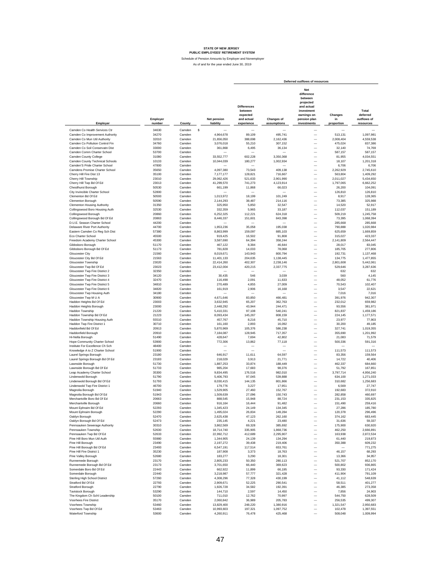dule of Pension Amounts by Employer and Nonemploye As of and for the year ended June 30, 2019

**Net difference between projected Differences and actual between investment Total** expected earnings on Changes deferred<br>and actual Changes of persion plan<br>experience assumptions investments proportion resources<br>experience assumptions investments proportion resources **Employer Net pension and actual Changes of pension plan in outflows of Employer number County liability experience assumptions investments proportion resources Deferred outflows of resources** Camden Co Health Services Ctr 34630 Camden \$ — — — — — — Camden Colmprovement Authority 34270 Camden 4,964,678 89,109 495,741 — 513,131 1,097,981<br>Camden Co Mun Util Authority 4,559,538 Camden Co Pollution Control Fin State of the State of Camden and the State of State of the State of State of St<br>Camden Co Soil Conservatn Dist 33000 Camden 3,076,018 5495 5,210 307,152 — 475,024 74,769<br>Camden Conny College Camden Co Soil Conservatn Dist 33000 Camden 361,868 6,495 36,134 — 32,140 74,769 Camden Comm Charter School 53700 Camden — — — — 587,157 587,157 Camden County College 31080 Camden 33,552,777 602,228 3,350,368 — 81,955 4,034,551 Camden County Technical Schools 10133 Camden 10,044,039 180,277 1,002,934 — 18,107 1,201,318 Camden'S Pride Charter School 47800 Camden — — — — 6,706 6,706 Camden County Technical Schools<br>
Camdens Promise Charter School 35650 Camden 4,097,380 73,543 409,138 — 1,002,934 — 1,1,1,1,1,1,1,1<br>
Camdens Promise Charter School 35650 Camden 4,097,380 73,543 409,138 — 2,262,929 2,745,61 Cherry Hill Fire Dist 13 35100 Camden 7,177,177 128,821 716,667 — 563,804 1,409,292 Cherry Hill Township 23010 Camden 29,062,426 521,633 2,901,990 — 2,011,027 5,434,650 Cherry Hill Twp Bd Of Ed 23013 Camden 41,299,570 741,273 4,123,914 — 1,797,065 6,662,252 Chesilhurst Borough 50530 Comden 661,199 11,868 66,023 — 26,803 104,091 11,868 — 26,200 104,091<br>City Invincible Charter School 126,810 Camden — — — — — 12,810 126,810 126,810 Clementon Bd Of Ed 50593 Camden 1,013,972 18,199 101,249 — 8,917 128,365 Clementon Borough 50590 Camden 2,144,293 38,487 214,116 — 73,385 325,988 Clementon Housing Authority 31350 Camden 325,950 5,850 32,547 — 14,520 52,917 Collingswood Boro Housing Auth 32530 Camden 332,359 5,965 33,187 — 112,037 151,189 Collingswood Borough 2008 - 20860 Camden - 6,252,325 112,221 624,318 - 509,219 1,245,758<br>Collingswood Borough Blot data - 20863 - Camden - 8,446,397 151,601 - 843,398 - 73,395 1,068,394<br>D.U.E. Season Charter School - 285,6 Collingswood Borough Bd Of Ed 20863 Camden 8,446,337 151,601 843,398 — 73,395 1,068,394 D.U.E. Season Charter School 44200 Camden — — — — 285,668 285,668 Delaware River Port Authority 44700 Camden 1,953,236 35,058 195,038 — 790,888 1,020,984 Eastern Camden Co Reg Sch Dist 67380 Camden 8,863,999 159,097 885,103 — 625,659 1,669,859<br>Eco Charter School - 45500 Camden 919,425 16,502 91,808 — 315,027 423,337 Eco Charter School 45500 Camden 919,425 16,502 91,808 — 315,027 423,337 Freedom Academy Charter School 45300 Camden 3,587,690 64,394 358,244 — 2,141,809 2,564,447<br>
Gibbsboro Borough Bd Of Ed 51170 Camden 467,122 8,334 46,644 — 28,017 83,045<br>
Gibucester City Bd Of Ed 21560 Camden 8,019,671 143 Gibbsboro Borough 51170 Camden - 467,122 8,384 46,644 — 28,017 83,045 — 28,017 8,036<br>Gibbsboro Borough Bd Of Ed 277,806 1173 Camden - 781,828 14,033 78,068 — 185,705 277,806 Gloucester City 21560 Camden 8,019,671 143,943 800,794 — 192,731 1,137,468 Gloucester City Bd Of Ed 21563 Camden 11,401,133 204,635 1,138,445 — 134,775 1,477,855 Gloucester Township 23020 Camden 22,414,260 402,307 2,238,146 — 2,801,608 5,442,061 Gloucester Twp Bd Of Ed 23023 Camden 23,412,004 420,215 2,337,775 — 529,646 3,287,636<br>Gloucester Twp Fire District 2 32350 Camden — — — 23,412,004 420,215 2,337,775 — 629,646 3,287,636<br>Gloucester Twp Fire District 3 34120 Gloucester Twp Fire District 2 32350 Camden — — — — 632 632 Gloucester Twp Fire District 3 34120 Camden 30,435 546 3,039 — 560 4,145 Gloucester Twp Fire District 2 32350 Camden 30,435 546 3,0039 - 1 2632 632<br>
Gloucester Twp Fire District 4 34270 Camden 30470 Camden 116,498 2,091 11,633 - 560 41,456<br>
Gloucester Twp Fire District 5 34810 Camden 270,489 4, Gloucester Twp Fire District 5 34810 Camden 270,489 4,855 27,009 — 70,543 102,407 Gloucester Twp The District 6 34820 Camden – Christopher – 2007<br>Gloucester Twp Fire District 6 34820 Camden – 161,919 2,906 16,168 – 3,547 2,2,621<br>Gloucester Twp Housing Auth 161,016 34180 Camden – – – – 7,016 7,016 Gloucester Twp Housing Auth 34180 Camden — — — — 7,016 7,016 GloucesterTwp M U A 30900 Camden 4,671,646 83,850 466,481 — 391,976 942,307<br>Haddon Heights Bd Of Ed 659,982 Camden 3,632,945 65,207 362,763 — 232,012 659,982 Haddon Heights Borough 23000 Camden 2,448,292 43,944 244,471 — 93,556 381,971 Haddon Township 21220 Camden 5,410,331 97,108 540,241 — 821,837 1,459,186 Haddon Township Bd Of Ed 21223 Camden 8,093,434 145,267 808,159 — 224,145 1,177,571 Haddon Township Housing Auth 55510 Camden 457,767 8,216 45,710 — 23,977 77,903 Haddon Twp Fire District 1 30710 Camden 161,160 2,893 16,092 — 30,200 149,185 16,185<br>Haddonfield District 1,019,355 20913 Camden 5,870,969 105,376 586,238 — 327,741 1,019,355 Haddonfield Borough 20910 Camden 7,184,087 128,945 717,357 — 355,690 1,201,992 Hi-Nella Borough 51490 Camden 428,647 7,694 42,802 — 21,083 71,579 Hope Community Charter School 53900 Camden 772,306 13,862 77,118 — 500,336 591,316 Institute For Excellence Ch Sch 48400 Camden — — — — — — Knowledge A to Z Charter School 51900 Camden — — — — 111,573 111,573 Laurel Springs Borough 23180 Camden 646,917 11,611 64,597 — 83,356 159,564 Laurel Springs Borough Bd Of Ed 23183 Camden 218,029 3,913 21,771 — 14,722 40,406 Lawnside Borough 51730 Camden 1,887,253 33,874 188,449 — 462,337 684,660 Lawnside Borough Bd Of Ed 51733 Camden 985,204 17,683 98,376 — 51,792 167,851 p.<br>Leap Academy Charter School 35300 Camden 9,834,495 176,516 982,010 — 3,797,714 4,956,240 Lindenwold Borough 51790 Camden 5,406,793 97,045 539,888 — 634,100 1,271,033 Lindenwold Borough Bd Of Ed 51793 Camden 8,030,415 144,135 801,866 — 310,682 1,25682 1,256,683 1,256,683 1,256<br>Lindenwold Twp Fire District 1 46700 Camden 179,776 3,227 17,951 — 6,569 27,747 Magnolia Borough 51940 Camden 1,529,905 27,460 152,767 — 192,683 372,910 Magnolia Borough Bd Of Ed 51943 Camden 1,509,639 27,096 150,743 — 282,858 460,697 Merchantville Boro Bd Of Ed 20663 Camden 888,545 15,948 88,724 — 231,153 335,825 Merchantville Borough 20660 Camden 916,164 16,444 91,482 — 151,490 259,416 Mount Ephraim Bd Of Ed 56,7803 Camden 1,345,423 24,149 134,345 — 27,286 185,780 1<br>Mount Ephraim Borough S2290 Camden 1,495,024 26,834 149,284 — 120,378 296,496 Oaklyn Borough 52470 Camden 2,625,438 47,123 262,160 — 374,162 683,445 Oaklyn Borough Bd Of Ed 52473 Camden 235,145 4,221 23,480 — 31,636 59,337 Pennsauken Sewerage Authority 30310 Camden 3,862,569 69,328 385,692 — 175,900 630,920 Pennsauken Township 52630 Camden 18,714,740 335,905 1,868,736 — 462,250 2,666,891 Pennsauken Twp Bd Of Ed 52633 Camden 22,992,712 412,689 2,295,907 — 163,938 2,872,534 "Pine Hill Boro Munu1Util Auth 1,59980 Camden 1,344,905 1,24594 – 1,2094 – 1,2094<br>Pine Hill Boro Munu1Util 2010 23490 Camden 2,1972 3,9438 219,406 – 51,440 219,573<br>Pine Hill Borough Bd Df Edition 2,23493 Camden 6,547,191 Pine Hill Borough 23490 Camden 2,197,272 39,438 219,406 — 350,388 609,232 Pine Hill Borough Bd Of Ed 23493 Camden 6,547,191 117,514 653,761 — — 771,275 Pine Hill Fire District 1 35230 Camden 187,908 18,763 46,157 68,293 Pine Valley Borough 52680 Camden 183,277 3,290 18,301 — 13,366 34,957 Runnemede Borough 23170 Camden 2,805,233 50,350 280,113 — 521,707 852,170 Runnemede Borough Bd Of Ed 23173 Camden 3,701,650 66,440 369,623 — 500,802 936,865 Somerdale Boro Bd Of Ed 22443 Camden 662,922 11,899 66,195 — 93,330 171,424 Somerdale Borough 22440 Camden 3,218,987 57,777 321,428 — 411,904 791,109 Sterling High School District 57260 Camden 4,308,296 77,328 430,199 — 41,112 548,639 Stratford Bd Of Ed 22793 Camden 2,909,671 52,225 290,541 — 58,511 401,277 Stratford Borough 22790 Camden 1,926,728 34,582 192,391 — 46,385 273,358 Tavistock Borough 53290 - 53290 - 53200 - 544,710 - 2,597 - 14,450 - 7,856 - 24,903<br>The Kingdom Ch Schl Leadership - 54,509 - 628,509 - 54,760 - 54,760 - 544,750 - 628,509 Voorhees Fire District 35170 Camden 2,060,842 36,989 205,783 — 256,535 499,307 Voorhees Township 53460 Camden 13,829,400 248,220 1,380,916 — 1,321,547 2,950,683 Voorhees Twp Bd Of Ed 53463 – ستيست ستيست ستيست ستيست ستيست المصدر المستشفى المستشفى المستشفى المستشفى المستشفى<br>Voorhees Twp Bd Of Ed 53463 Camden 10,993,603 1,97,321 1,097,752 – 102,478 1,397,478 1,397,548 – 102,478 1,09 Waterford Township 53600 Camden 4,260,911 76,478 425,468 — 508,048 1,009,994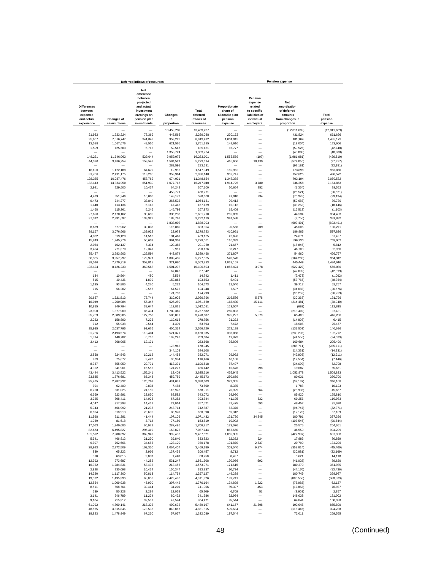|                                                                       | Deferred inflows of resources    |                                                                                                                            |                             |                                              |                                                                   | Pension expense                                                                           |                                                                                |                             |  |  |  |
|-----------------------------------------------------------------------|----------------------------------|----------------------------------------------------------------------------------------------------------------------------|-----------------------------|----------------------------------------------|-------------------------------------------------------------------|-------------------------------------------------------------------------------------------|--------------------------------------------------------------------------------|-----------------------------|--|--|--|
| <b>Differences</b><br>between<br>expected<br>and actual<br>experience | <b>Changes of</b><br>assumptions | <b>Net</b><br>difference<br>between<br>projected<br>and actual<br>investment<br>earnings on<br>pension plan<br>investments | Changes<br>in<br>proportion | Total<br>deferred<br>inflows of<br>resources | Proportionate<br>share of<br>allocable plan<br>pension<br>expense | Pension<br>expense<br>related<br>to specific<br>liabilities of<br>individual<br>employers | Net<br>amortization<br>of deferred<br>amounts<br>from changes in<br>proportion | Total<br>pension<br>expense |  |  |  |
|                                                                       |                                  |                                                                                                                            | 13,459,237                  | 13.459.237                                   |                                                                   |                                                                                           | (12, 811, 639)                                                                 | (12, 811, 639)              |  |  |  |
| 21,932                                                                | 1,723,224                        | 78,369                                                                                                                     | 445,563                     | 2,269,088                                    | 230,172                                                           | $\overline{\phantom{0}}$                                                                  | 431,524                                                                        | 661,696                     |  |  |  |
| 95,667                                                                | 7,516,747                        | 341,849                                                                                                                    | 959,229                     | 8,913,492                                    | 1,004,015                                                         |                                                                                           | 481,164                                                                        | 1,485,179                   |  |  |  |
| 13,588                                                                | 1,067,676                        | 48,556                                                                                                                     | 621,565                     | 1,751,385                                    | 142,610                                                           |                                                                                           | (19,004)                                                                       | 123,606                     |  |  |  |
| 1,599                                                                 | 125,603                          | 5,712                                                                                                                      | 52,547<br>1,353,724         | 185,461<br>1,353,724                         | 16,777                                                            |                                                                                           | (59, 525)<br>(40, 888)                                                         | (42, 748)<br>(40, 888)      |  |  |  |
| 148,221                                                               | 11,646,063                       | 529,644                                                                                                                    | 3,959,073                   | 16,283,001                                   | 1,555,569                                                         | (107)                                                                                     | (1,981,981)                                                                    | (426, 519)                  |  |  |  |
| 44,370                                                                | 3,486,254                        | 158,549                                                                                                                    | 1,584,521                   | 5,273,694                                    | 465,660                                                           | 10,439                                                                                    | (574, 056)                                                                     | (97, 957)                   |  |  |  |
|                                                                       |                                  |                                                                                                                            | 283,591                     | 283,591                                      |                                                                   |                                                                                           | (92, 181)                                                                      | (92, 181)                   |  |  |  |
| 18,100<br>31,706                                                      | 1,422,188<br>2,491,175           | 64,679<br>113,295                                                                                                          | 12,982<br>359,964           | 1,517,949<br>2,996,140                       | 189,962<br>332,747                                                | L,                                                                                        | 773,898<br>157,825                                                             | 963.860<br>490,572          |  |  |  |
| 128,385                                                               | 10,087,476                       | 458,762                                                                                                                    | 674,031                     | 11,348,654                                   | 1,347,388                                                         | ÷                                                                                         | 703,194                                                                        | 2,050,582                   |  |  |  |
| 182,443                                                               | 14,334,950                       | 651,930                                                                                                                    | 1,077,717                   | 16,247,040                                   | 1,914,725                                                         | 3,780                                                                                     | 236,358                                                                        | 2,154,863                   |  |  |  |
| 2,921                                                                 | 229,500                          | 10,437                                                                                                                     | 64,242                      | 307,100                                      | 30,654                                                            | 252                                                                                       | (1, 354)                                                                       | 29,552                      |  |  |  |
|                                                                       |                                  |                                                                                                                            | 458,771                     | 458,771                                      |                                                                   |                                                                                           | (26, 521)                                                                      | (26, 521)                   |  |  |  |
| 4,479<br>9,473                                                        | 351,946<br>744,277               | 16,006<br>33,849                                                                                                           | 148,177<br>266,532          | 520,608<br>1,054,131                         | 47,010<br>99,413                                                  | 234                                                                                       | (76, 378)<br>(59, 683)                                                         | (29, 134)<br>39,730         |  |  |  |
| 1,440                                                                 | 113,136                          | 5,145                                                                                                                      | 47,418                      | 167,139                                      | 15,112                                                            | -                                                                                         | (33, 258)                                                                      | (18, 146)                   |  |  |  |
| 1,468                                                                 | 115,361                          | 5,246                                                                                                                      | 145,798                     | 267,873                                      | 15,409                                                            |                                                                                           | (16, 512)                                                                      | (1, 103)                    |  |  |  |
| 27,620                                                                | 2,170,162                        | 98,695                                                                                                                     | 335,233                     | 2,631,710                                    | 289,869                                                           |                                                                                           | 44,534                                                                         | 334,403                     |  |  |  |
| 37,312                                                                | 2,931,697                        | 133,329                                                                                                                    | 189,791                     | 3,292,129                                    | 391,588                                                           |                                                                                           | (9,756)                                                                        | 381,832                     |  |  |  |
| 8,629                                                                 | 677.962                          | 30,833                                                                                                                     | 1,838,003<br>115,880        | 1,838,003<br>833,304                         | 90,556                                                            | 709                                                                                       | (603, 491)<br>45,006                                                           | (603.491)<br>136,271        |  |  |  |
| 39,157                                                                | 3,076,666                        | 139,922                                                                                                                    | 22,978                      | 3,278,723                                    | 410,951                                                           | -                                                                                         | 186,885                                                                        | 597,836                     |  |  |  |
| 4,062                                                                 | 319,129                          | 14,513                                                                                                                     | 131,461                     | 469,165                                      | 42,626                                                            | -                                                                                         | 24,871                                                                         | 67,497                      |  |  |  |
| 15,849                                                                | 1,245,276                        | 56,633                                                                                                                     | 961,303                     | 2,279,061                                    | 166,332                                                           | -                                                                                         | 596,730                                                                        | 763,062                     |  |  |  |
| 2,064                                                                 | 162,137                          | 7,374                                                                                                                      | 120,385                     | 291,960                                      | 21,657                                                            | -                                                                                         | (15, 845)                                                                      | 5,812                       |  |  |  |
| 3,454<br>35,427                                                       | 271,370<br>2,783,603             | 12,341<br>126,594                                                                                                          | 2,961<br>443,874            | 290,126<br>3,389,498                         | 36,247<br>371,807                                                 |                                                                                           | 46,703<br>54,960                                                               | 82,950<br>426,767           |  |  |  |
| 50,365                                                                | 3,957,297                        | 179,971                                                                                                                    | 1,089,432                   | 5,277,065                                    | 528,578                                                           | -                                                                                         | (164, 236)                                                                     | 364,342                     |  |  |  |
| 99,016                                                                | 7,779,919                        | 353,818                                                                                                                    | 321,080                     | 8,553,833                                    | 1,039,167                                                         |                                                                                           | 445,449                                                                        | 1,484,616                   |  |  |  |
| 103,424                                                               | 8,126,233                        | 369,568                                                                                                                    | 1,501,278                   | 10,100,503                                   | 1,085,424                                                         | 3,078                                                                                     | (522, 422)                                                                     | 566,080                     |  |  |  |
|                                                                       |                                  |                                                                                                                            | 67,842                      | 67,842                                       |                                                                   |                                                                                           | (42, 099)                                                                      | (42, 099)                   |  |  |  |
| 134<br>515                                                            | 10,564<br>40,436                 | 480<br>1,839                                                                                                               | 3,564<br>150,863            | 14,742<br>193,653                            | 1,411<br>5,401                                                    | L.                                                                                        | (2, 473)<br>(53, 765)                                                          | (1,062)<br>(48, 364)        |  |  |  |
| 1.195                                                                 | 93,886                           | 4,270                                                                                                                      | 5,222                       | 104,573                                      | 12,540                                                            |                                                                                           | 39.717                                                                         | 52.257                      |  |  |  |
| 715                                                                   | 56,202                           | 2,556                                                                                                                      | 64,575                      | 124,048                                      | 7,507                                                             | -                                                                                         | (34, 083)                                                                      | (26, 576)                   |  |  |  |
|                                                                       |                                  |                                                                                                                            | 174,793                     | 174,793                                      |                                                                   | $\overline{\phantom{0}}$                                                                  | (96, 259)                                                                      | (96, 259)                   |  |  |  |
| 20,637<br>16,049                                                      | 1,621,513<br>1,260,984           | 73,744<br>57,347                                                                                                           | 310,902<br>627,280          | 2,026,796<br>1,961,660                       | 216,586<br>168,430                                                | 5,578<br>15,111                                                                           | (30, 368)<br>(214, 481)                                                        | 191,796<br>(30, 940)        |  |  |  |
| 10,815                                                                | 849,794                          | 38,647                                                                                                                     | 112,825                     | 1,012,081                                    | 113,507                                                           |                                                                                           | (692)                                                                          | 112,815                     |  |  |  |
| 23,900                                                                | 1,877,909                        | 85,404                                                                                                                     | 1,780,369                   | 3,767,582                                    | 250,833                                                           | $\overline{\phantom{a}}$                                                                  | (213, 402)                                                                     | 37,431                      |  |  |  |
| 35,753                                                                | 2,809,205                        | 127,758                                                                                                                    | 505,891                     | 3,478,607                                    | 375,227                                                           | 5,579                                                                                     | 65,400                                                                         | 446,206                     |  |  |  |
| 2,022<br>712                                                          | 158,890<br>55,938                | 7,226<br>2,544                                                                                                             | 110,618<br>4,399            | 278,756<br>63,593                            | 21,223<br>7,472                                                   |                                                                                           | (14, 808)<br>18,005                                                            | 6,415<br>25,477             |  |  |  |
| 25,935                                                                | 2,037,795                        | 92,676                                                                                                                     | 400,314                     | 2,556,720                                    | 272,189                                                           |                                                                                           | (131, 503)                                                                     | 140,686                     |  |  |  |
| 31,736                                                                | 2,493,574                        | 113,404                                                                                                                    | 521,321                     | 3,160,035                                    | 333,068                                                           | $\overline{\phantom{0}}$                                                                  | (230, 296)                                                                     | 102,772                     |  |  |  |
| 1,894                                                                 | 148,782                          | 6,766                                                                                                                      | 102,242                     | 259,684                                      | 19,873                                                            | $\overline{\phantom{0}}$                                                                  | (44, 556)                                                                      | (24, 683)                   |  |  |  |
| 3,412                                                                 | 268,065                          | 12,191                                                                                                                     | 178,945                     | 283,668<br>178,945                           | 35,806                                                            | $\overline{\phantom{0}}$<br><u>.</u>                                                      | 169,684                                                                        | 205,490                     |  |  |  |
|                                                                       |                                  | -                                                                                                                          | 344,108                     | 344,108                                      |                                                                   | <u>.</u>                                                                                  | (285, 711)<br>(14, 331)                                                        | (285, 711)<br>(14, 331)     |  |  |  |
| 2,858                                                                 | 224,543                          | 10,212                                                                                                                     | 144,458                     | 382,071                                      | 29,992                                                            | $\overline{\phantom{0}}$                                                                  | (42, 903)                                                                      | (12, 911)                   |  |  |  |
| 963                                                                   | 75,677                           | 3,442                                                                                                                      | 36,384                      | 116,466                                      | 10,108                                                            | $\overline{\phantom{0}}$                                                                  | (17, 554)                                                                      | (7, 446)                    |  |  |  |
| 8,337                                                                 | 655,059                          | 29,791                                                                                                                     | 413,331                     | 1,106,518                                    | 87,497                                                            | $\equiv$                                                                                  | (34, 699)                                                                      | 52,798                      |  |  |  |
| 4,352<br>43,444                                                       | 341,961<br>3,413,522             | 15,552<br>155,241                                                                                                          | 124,277<br>13,409           | 486,142<br>3,625,616                         | 45,676<br>455,945                                                 | 298                                                                                       | 19,687<br>1,052,878                                                            | 65,661<br>1,508,823         |  |  |  |
| 23,885                                                                | 1,876,681                        | 85,348                                                                                                                     | 459,759                     | 2,445,673                                    | 250,669                                                           | ÷,                                                                                        | 80,031                                                                         | 330,700                     |  |  |  |
| 35,475                                                                | 2,787,332                        | 126,763                                                                                                                    | 431,033                     | 3,380,603                                    | 372,305                                                           |                                                                                           | (32, 137)                                                                      | 340,168                     |  |  |  |
| 794                                                                   | 62,400                           | 2,838                                                                                                                      | 7,468                       | 73,500                                       | 8,335                                                             |                                                                                           | 1,788                                                                          | 10,123                      |  |  |  |
| 6.758<br>6,669                                                        | 531.025<br>523,991               | 24,150<br>23,830                                                                                                           | 116,978<br>88,582           | 678,911<br>643,072                           | 70,929<br>69,990                                                  | 664                                                                                       | (25, 936)<br>85,820                                                            | 45.657<br>155,810           |  |  |  |
| 3,925                                                                 | 308,411                          | 14,026                                                                                                                     | 67,382                      | 393,744                                      | 41,195                                                            | 532                                                                                       | 69,256                                                                         | 110,983                     |  |  |  |
| 4,047                                                                 | 317,998                          | 14,462                                                                                                                     | 21,014                      | 357.521                                      | 42,475                                                            | 693                                                                                       | 48,452                                                                         | 91.620                      |  |  |  |
| 5,943                                                                 | 466,992                          | 21,238                                                                                                                     | 248.714                     | 742,887                                      | 62,376                                                            | $\qquad \qquad -$                                                                         | (94, 747)                                                                      | (32, 371)                   |  |  |  |
| 6,604                                                                 | 518,918                          | 23,600                                                                                                                     | 80,976                      | 630,098                                      | 69,312                                                            | $\overline{\phantom{a}}$                                                                  | (12, 123)                                                                      | 57,189                      |  |  |  |
| 11,598<br>1,039                                                       | 911,281<br>81,618                | 41,444<br>3,712                                                                                                            | 107,109<br>77,150           | 1,071,432<br>163,519                         | 121,720<br>10,902                                                 | 34,845                                                                                    | 180,791<br>(107, 546)                                                          | 337,356<br>(96, 644)        |  |  |  |
| 17,063                                                                | 1,340,686                        | 60,972                                                                                                                     | 287,496                     | 1,706,217                                    | 179,076                                                           | -                                                                                         | 25,575                                                                         | 204,651                     |  |  |  |
| 82,673                                                                | 6,495,827                        | 295,419                                                                                                                    | 163,825                     | 7,037,744                                    | 867,650                                                           | -                                                                                         | 36,559                                                                         | 904,209                     |  |  |  |
| 101,572                                                               | 7,980,697                        | 362,949                                                                                                                    | 992.403                     | 9,437,621                                    | 1,065,985                                                         |                                                                                           | (427, 997)                                                                     | 637,988                     |  |  |  |
| 5,941                                                                 | 466,812                          | 21,230                                                                                                                     | 39,840                      | 533,823                                      | 62,352                                                            | 624                                                                                       | 17,883                                                                         | 80,859                      |  |  |  |
| 9,707<br>28,923                                                       | 762,666<br>2,272,509             | 34,685<br>103,350                                                                                                          | 123.120<br>1,064,407        | 930,178<br>3,469,189                         | 101.870<br>303,540                                                | 2,537<br>9,874                                                                            | 29,799<br>(358, 814)                                                           | 134,206<br>(45, 400)        |  |  |  |
| 830                                                                   | 65,222                           | 2,966                                                                                                                      | 137,439                     | 206,457                                      | 8,712                                                             | $\qquad \qquad -$                                                                         | (30, 881)                                                                      | (22, 169)                   |  |  |  |
| 810                                                                   | 63,615                           | 2,893                                                                                                                      | 1,440                       | 68,758                                       | 8,497                                                             | $\overline{\phantom{a}}$                                                                  | 5,621                                                                          | 14,118                      |  |  |  |
| 12,392                                                                | 973,687                          | 44,282                                                                                                                     | 531,247                     | 1,561,608                                    | 130,056                                                           | 592                                                                                       | (41, 028)                                                                      | 89,620                      |  |  |  |
| 16,352<br>2,928                                                       | 1,284,831<br>230,098             | 58,432<br>10,464                                                                                                           | 213,456<br>150,347          | 1,573,071<br>393,837                         | 171,615<br>30,734                                                 | -<br>-                                                                                    | 180,370<br>(44, 170)                                                           | 351,985<br>(13, 436)        |  |  |  |
| 14,220                                                                | 1,117,300                        | 50,813                                                                                                                     | 114,794                     | 1,297,127                                    | 149,238                                                           | —                                                                                         | 180,749                                                                        | 329,987                     |  |  |  |
| 19,032                                                                | 1,495,396                        | 68,008                                                                                                                     | 2,429,490                   | 4,011,926                                    | 199,741                                                           | -                                                                                         | (880, 550)                                                                     | (680, 809)                  |  |  |  |
| 12,854                                                                | 1,009,938                        | 45,930                                                                                                                     | 307,442                     | 1,376,164                                    | 134,898                                                           | 1,222                                                                                     | (73,983)                                                                       | 62,137                      |  |  |  |
| 8,511                                                                 | 668,761                          | 30,414                                                                                                                     | 34,270                      | 741,956                                      | 89,327                                                            | 453                                                                                       | (12, 853)                                                                      | 76,927                      |  |  |  |
| 639<br>3,141                                                          | 50,228<br>246,789                | 2,284<br>11,224                                                                                                            | 12,058<br>80,432            | 65,209<br>341,586                            | 6,709<br>32,964                                                   | 51                                                                                        | (3,903)<br>148,038                                                             | 2,857<br>181,002            |  |  |  |
| 9,104                                                                 | 715,312                          | 32,531                                                                                                                     | 47,524                      | 804.471                                      | 95,544                                                            |                                                                                           | 64,844                                                                         | 160,388                     |  |  |  |
| 61,092                                                                | 4,800,141                        | 218,302                                                                                                                    | 409,632                     | 5.489.167                                    | 641,157                                                           | 21,598                                                                                    | 193,045                                                                        | 855,800                     |  |  |  |
| 48,565                                                                | 3,815,845                        | 173,538                                                                                                                    | 843,867                     | 4,881,815                                    | 509,684                                                           |                                                                                           | (115, 446)                                                                     | 394,238                     |  |  |  |
| 18,823                                                                | 1,478,949                        | 67,260                                                                                                                     | 57,057                      | 1,622,089                                    | 197,544                                                           |                                                                                           | 72,011                                                                         | 269,555                     |  |  |  |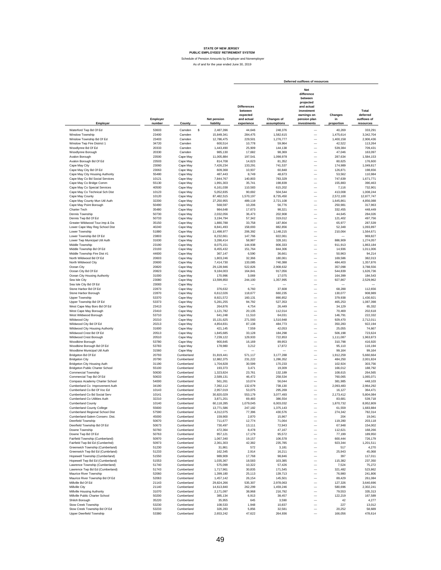Schedule of Pension Amounts by Employer and Nonemployer

|                                                                   |                    |                          |                                 |                                                                       |                           | Deferred outflows of resources                                                                                             |                             |                                               |
|-------------------------------------------------------------------|--------------------|--------------------------|---------------------------------|-----------------------------------------------------------------------|---------------------------|----------------------------------------------------------------------------------------------------------------------------|-----------------------------|-----------------------------------------------|
| Employer                                                          | Employer<br>number | County                   | <b>Net pension</b><br>liability | <b>Differences</b><br>between<br>expected<br>and actual<br>experience | Changes of<br>assumptions | <b>Net</b><br>difference<br>between<br>projected<br>and actual<br>investment<br>earnings on<br>pension plan<br>investments | Changes<br>in<br>proportion | Total<br>deferred<br>outflows of<br>resources |
| Waterford Twp Bd Of Ed                                            | 53603              | s<br>Camden              | 2.487.396                       | 44,646                                                                | 248,376                   |                                                                                                                            | 40,269                      | 333,291                                       |
| Winslow Township                                                  | 23400              | Camden                   | 15,849,341                      | 284,475                                                               | 1,582,615                 | $\overline{\phantom{0}}$                                                                                                   | 1,475,614                   | 3,342,704                                     |
| Winslow Township Bd Of Ed                                         | 23403              | Camden                   | 12,786,475                      | 229,501                                                               | 1,276,777                 | $\overline{\phantom{0}}$                                                                                                   | 1,400,158                   | 2,906,436                                     |
| Winslow Twp Fire District 1                                       | 34720              | Camden                   | 600,514                         | 10,778                                                                | 59,964                    | $\overline{\phantom{0}}$                                                                                                   | 42,522                      | 113,264                                       |
| Woodlynne Bd Of Ed                                                | 20333              | Camden                   | 1,443,490                       | 25,909                                                                | 144,138                   | L.                                                                                                                         | 539,384                     | 709,431                                       |
| Woodlynne Borough                                                 | 20330              | Camden                   | 985,130                         | 17,682                                                                | 98,369                    | -                                                                                                                          | 47,046                      | 163,097                                       |
| Avalon Borough                                                    | 23500              | Cape May                 | 11,005,884                      | 197,541                                                               | 1,098,978                 | $\overline{\phantom{0}}$                                                                                                   | 287,634                     | 1,584,153                                     |
| Avalon Borough Bd Of Ed                                           | 23503              | Cape May                 | 814,708                         | 14,623                                                                | 81,352                    | $\overline{\phantom{0}}$                                                                                                   | 80,625                      | 176,600                                       |
| Cape May City                                                     | 23060              | Cape May                 | 7,426,234                       | 133,291                                                               | 741,537                   | -                                                                                                                          | 174,989                     | 1,049,817                                     |
| Cape May City Bd Of Ed                                            | 23063              | Cape May                 | 609,368                         | 10,937                                                                | 60,848                    | -                                                                                                                          | 126,871                     | 198,656                                       |
| Cape May City Housing Authority<br>Cape May Co Bd Social Services | 55480<br>10121     | Cape May<br>Cape May     | 487,443<br>7.844.767            | 8,749<br>140,803                                                      | 48,673<br>783,329         | -<br>$\overline{\phantom{0}}$                                                                                              | 53,562<br>747,639           | 110,984<br>1,671,771                          |
| Cape May Co Bridge Comm                                           | 55130              | Cape May                 | 1,991,303                       | 35,741                                                                | 198,839                   | $\overline{\phantom{0}}$                                                                                                   | 155,883                     | 390,463                                       |
| Cape May Co Special Services                                      | 40500              | Cape May                 | 6,161,038                       | 110,583                                                               | 615,202                   | $\overline{\phantom{0}}$                                                                                                   | 7,116                       | 732,901                                       |
| Cape May Co Technical Sch Dist                                    | 10123              | Cape May                 | 5,052,835                       | 90,692                                                                | 504,544                   | $\overline{\phantom{0}}$                                                                                                   | 413,008                     | 1,008,244                                     |
| Cape May County                                                   | 10120              | Cape May                 | 87,482,515                      | 1,570,197                                                             | 8,735,450                 | $\overline{\phantom{0}}$                                                                                                   | 2,572,100                   | 12,877,747                                    |
| Cape May County Mun Util Auth                                     | 32200              | Cape May                 | 27,250,955                      | 489,119                                                               | 2,721,108                 | $\overline{\phantom{0}}$                                                                                                   | 1,645,861                   | 4,856,088                                     |
| Cape May Point Borough                                            | 50490              | Cape May                 | 568,597                         | 10,206                                                                | 56,776                    | $\overline{\phantom{0}}$                                                                                                   | 250,981                     | 317,963                                       |
| Charter Tech                                                      | 35480              | Cape May                 | 984,648                         | 17,673                                                                | 98,321                    | $\overline{\phantom{0}}$                                                                                                   | 332,455                     | 448,449                                       |
| Dennis Township                                                   | 50730              | Cape May                 | 2,032,056                       | 36,473                                                                | 202,908                   | $\overline{\phantom{0}}$                                                                                                   | 44,645                      | 284,026                                       |
| Dennis Twp Bd Of Ed                                               | 50733              | Cape May                 | 3,194,794                       | 57,342                                                                | 319,012                   | $\overline{\phantom{0}}$                                                                                                   | 121,402                     | 497,756                                       |
| Greater Wildwood Tour.Imp & Da                                    | 35150              | Cape May                 | 1,880,788                       | 33,758                                                                | 187,804                   | -                                                                                                                          | 65,977                      | 287,539                                       |
| Lower Cape May Reg School Dist                                    | 40240<br>51880     | Cape May                 | 8,841,493                       | 158,693<br>206,392                                                    | 882,856                   | $\overline{\phantom{0}}$<br>$\overline{\phantom{0}}$                                                                       | 52,348<br>210,064           | 1,093,897                                     |
| Lower Township<br>Lower Township Bd Of Ed                         | 23803              | Cape May<br>Cape May     | 11,498,977<br>8,232,661         | 147,766                                                               | 1,148,215<br>822,061      | $\overline{\phantom{0}}$                                                                                                   |                             | 1,564,671<br>969,827                          |
| Lower Twp Municipal Util Auth                                     | 31630              | Cape May                 | 3,286,414                       | 58,987                                                                | 328,161                   | $\overline{\phantom{0}}$                                                                                                   | 886,909                     | 1.274.057                                     |
| Middle Township                                                   | 23190              | Cape May                 | 8,075,151                       | 144,938                                                               | 806,333                   | $\overline{\phantom{0}}$                                                                                                   | 911,913                     | 1,863,184                                     |
| Middle Township Bd Of Ed                                          | 23193              | Cape May                 | 8,455,432                       | 151,764                                                               | 844,306                   | $\overline{\phantom{0}}$                                                                                                   | 14,936                      | 1,011,006                                     |
| Middle Township Fire Dist #1                                      | 44600              | Cape May                 | 367,147                         | 6,590                                                                 | 36,661                    | $\overline{\phantom{0}}$                                                                                                   | 50,963                      | 94,214                                        |
| North Wildwood Bd Of Ed                                           | 20603              | Cape May                 | 1,803,246                       | 32,366                                                                | 180,061                   | $\overline{\phantom{0}}$                                                                                                   | 169,586                     | 382,013                                       |
| North Wildwood City                                               | 20600              | Cape May                 | 7,414,730                       | 133,085                                                               | 740,388                   | L.                                                                                                                         | 484,403                     | 1,357,876                                     |
| Ocean City                                                        | 20820              | Cape May                 | 29,128,946                      | 522,826                                                               | 2,908,632                 | L.                                                                                                                         | 357,098                     | 3,788,556                                     |
| Ocean City Bd Of Ed                                               | 20823              | Cape May                 | 9,184,003                       | 164,841                                                               | 917,056                   | L.                                                                                                                         | 544,839                     | 1,626,736                                     |
| Ocean City Housing Authority                                      | 31000              | Cape May                 | 170,996                         | 3,069                                                                 | 17,075                    | -                                                                                                                          | 164,399                     | 184,543                                       |
| Sea Isle City                                                     | 23080              | Cape May                 | 13,599,850                      | 244,100                                                               | 1,357,995                 | $\overline{\phantom{0}}$                                                                                                   | 927,867                     | 2,529,962                                     |
| Sea Isle City Bd Of Ed                                            | 23083              | Cape May                 |                                 |                                                                       |                           | $\overline{\phantom{0}}$                                                                                                   |                             |                                               |
| Stone Harbor Bd Of Ed                                             | 22873              | Cape May                 | 376,632                         | 6,760                                                                 | 37,608                    | $\overline{\phantom{0}}$                                                                                                   | 68,288                      | 112,656                                       |
| Stone Harbor Borough                                              | 22870<br>53370     | Cape May                 | 6,612,026                       | 118,677<br>160,131                                                    | 660,235<br>890,852        | $\overline{\phantom{0}}$<br>$\overline{\phantom{0}}$                                                                       | 130,077<br>379,938          | 908,989                                       |
| Upper Township<br>Upper Township Bd Of Ed                         | 53373              | Cape May                 | 8,921,572                       | 94,792                                                                |                           | $\overline{\phantom{0}}$                                                                                                   | 465,253                     | 1,430,921<br>1,087,398                        |
| West Cape May Boro Bd Of Ed                                       | 23413              | Cape May<br>Cape May     | 5,281,255<br>264,876            | 4,754                                                                 | 527,353<br>26,449         | $\overline{a}$                                                                                                             | 34,129                      | 65,332                                        |
| West Cape May Borough                                             | 23410              | Cape May                 | 1,121,782                       | 20,135                                                                | 112,014                   | $\overline{a}$                                                                                                             | 70,469                      | 202,618                                       |
| West Wildwood Borough                                             | 53710              | Cape May                 | 641,248                         | 11,510                                                                | 64,031                    | $\overline{a}$                                                                                                             | 146,791                     | 222,332                                       |
| Wildwood City                                                     | 20210              | Cape May                 | 15, 131, 625                    | 271,593                                                               | 1,510,948                 |                                                                                                                            | 929.470                     | 2,712,011                                     |
| Wildwood City Bd Of Ed                                            | 20213              | Cape May                 | 4,854,831                       | 87,138                                                                | 484,773                   | $\frac{1}{1}$                                                                                                              | 350,283                     | 922,194                                       |
| Wildwood City Housing Authority                                   | 31600              | Cape May                 | 421,145                         | 7,559                                                                 | 42,053                    |                                                                                                                            | 25,055                      | 74,667                                        |
| Wildwood Crest Bd Of Ed                                           | 20513              | Cape May                 | 1,845,685                       | 33,128                                                                | 184,298                   | -                                                                                                                          | 506,198                     | 723,624                                       |
| Wildwood Crest Borough                                            | 20510              | Cape May                 | 7,239,122                       | 129,933                                                               | 722,853                   | $\overline{\phantom{0}}$                                                                                                   | 1,111,087                   | 1,963,873                                     |
| Woodbine Borough                                                  | 53780              | Cape May                 | 900,845                         | 16,169                                                                | 89,953                    | -                                                                                                                          | 310,798                     | 416,920                                       |
| Woodbine Borough Bd Of Ed<br>Woodbine Municipal Util Auth         | 53783<br>31560     | Cape May<br>Cape May     | 178,980                         | 3,212                                                                 | 17,872                    | $\overline{\phantom{0}}$<br>$\overline{\phantom{0}}$                                                                       | 95,110<br>99,164            | 116,194<br>99,164                             |
| Bridgeton Bd Of Ed                                                | 20793              | Cumberland               | 31,819,441                      | 571,117                                                               | -<br>3,177,288            | $\overline{\phantom{0}}$                                                                                                   | 1,912,259                   | 5,660,664                                     |
| <b>Bridgeton City</b>                                             | 20790              | Cumberland               | 12,882,375                      | 231,222                                                               | 1,286,352                 | L.                                                                                                                         | 484,250                     | 2,001,824                                     |
| <b>Bridgeton City Housing Auth</b>                                | 31190              | Cumberland               | 1,704,828                       | 30,599                                                                | 170,233                   | L.                                                                                                                         | 102,924                     | 303,756                                       |
| Bridgeton Public Charter School                                   | 55100              | Cumberland               | 193,373                         | 3,471                                                                 | 19,309                    | L.                                                                                                                         | 166,012                     | 188,792                                       |
| <b>Commercial Township</b>                                        | 50630              | Cumberland               | 1,323,824                       | 23,761                                                                | 132,189                   | -                                                                                                                          | 108,615                     | 264,565                                       |
| Commercial Twp Bd Of Ed                                           | 50633              | Cumberland               | 2,589,131                       | 46,472                                                                | 258,534                   | $\overline{\phantom{0}}$                                                                                                   | 760,065                     | 1,065,071                                     |
| Compass Academy Charter School                                    | 54000              | Cumberland               | 561,261                         | 10,074                                                                | 56,044                    | -                                                                                                                          | 381,985                     | 448,103                                       |
| Cumberland Co Improvement Auth                                    | 34190              | Cumberland               | 7,392,112                       | 132,679                                                               | 738,130                   | -                                                                                                                          | 2,093,483                   | 2,964,292                                     |
| Cumberland Co Bd Of Voc Ed                                        | 10143              | Cumberland               | 2,957,019                       | 53,075                                                                | 295,269                   | -                                                                                                                          | 16,127                      | 364,471                                       |
| Cumberland Co Bd Social Serv                                      | 10141              | Cumberland               | 30,820,029                      | 553,179                                                               | 3,077,493                 | -                                                                                                                          | 2,173,412                   | 5,804,084                                     |
| Cumberland Co Utilities Auth<br>Cumberland County                 | 32210<br>10140     | Cumberland<br>Cumberland | 3,871,201<br>60.118.285         | 69,483<br>079.045                                                     | 386,554<br>6.003.032      |                                                                                                                            | 83,681<br>870.732           | 539.718<br>8.952.809                          |
| <b>Cumberland County College</b>                                  | 55600              | Cumberland               | 13,771,586                      | 247,182                                                               | 1,375,143                 |                                                                                                                            | 61,559                      | 1,683,884                                     |
| Cumberland Regional School Dist                                   | 57590              | Cumberland               | 4,312,075                       | 77,396                                                                | 430,576                   | $\overline{\phantom{0}}$                                                                                                   | 274,342                     | 782,314                                       |
| Cumberland-Salem Conserv. Dist.                                   | 45000              | Cumberland               | 159,900                         | 2,870                                                                 | 15,967                    | $\overline{\phantom{0}}$                                                                                                   | 204                         | 19,041                                        |
| Deerfield Township                                                | 50670              | Cumberland               | 711,677                         | 12,774                                                                | 71,064                    | $\overline{\phantom{0}}$                                                                                                   | 119,280                     | 203,118                                       |
| Deerfield Township Bd Of Ed                                       | 50673              | Cumberland               | 730,497                         | 13,111                                                                | 72,943                    | $\overline{\phantom{0}}$                                                                                                   | 67,948                      | 154,002                                       |
| Downe Township                                                    | 50760              | Cumberland               | 472,364                         | 8,478                                                                 | 47,167                    | $\overline{\phantom{0}}$                                                                                                   | 112,621                     | 168,266                                       |
| Downe Twp Bd Of Ed                                                | 50763              | Cumberland               | 957,121                         | 17,179                                                                | 95,572                    | $\overline{\phantom{0}}$                                                                                                   | 77,199                      | 189,950                                       |
| Fairfield Township (Cumberland)                                   | 50970              | Cumberland               | 1,067,340                       | 19,157                                                                | 106,578                   | $\overline{\phantom{0}}$                                                                                                   | 600,444                     | 726,179                                       |
| Fairfield Twp Bd Ed (CumberInd)                                   | 50973              | Cumberland               | 2,361,303                       | 42,382                                                                | 235,785                   | -                                                                                                                          | 923,344                     | 1,201,511                                     |
| Greenwich Township (Cumberland)                                   | 51230              | Cumberland               | 31,861                          | 572                                                                   | 3,181                     | -                                                                                                                          | 517                         | 4,270                                         |
| Greenwich Twp Bd Ed (Cumbrland)                                   | 51233              | Cumberland               | 162,345                         | 2,914                                                                 | 16,211                    | -                                                                                                                          | 25,943                      | 45,068                                        |
| Hopewell Township (Cumberland)                                    | 51550              | Cumberland               | 989,909                         | 17,768                                                                | 98,846                    | $\overline{\phantom{0}}$                                                                                                   | 397                         | 117,011                                       |
| Hopewell Twp Bd Ed (Cumberland)                                   | 51553              | Cumberland               | 1.035.367                       | 18,583                                                                | 103,385                   | $\overline{\phantom{0}}$                                                                                                   | 115,382                     | 237,350                                       |
| Lawrence Township (Cumberland)                                    | 51740              | Cumberland               | 575,099                         | 10,322                                                                | 57,426                    | $\overline{\phantom{0}}$                                                                                                   | 7,524                       | 75,272                                        |
| Lawrence Twp Bd Ed (Cumberland)                                   | 51743              | Cumberland               | 1,717,961                       | 30,835                                                                | 171,545                   | $\overline{\phantom{0}}$<br>$\overline{\phantom{0}}$                                                                       | 321,482                     | 523,862                                       |
| Maurice River Township<br>Maurice River Township Bd Of Ed         | 52060<br>52063     | Cumberland<br>Cumberland | 1,399,180<br>1,457,142          | 25,113<br>26,154                                                      | 139,713<br>145,501        | $\overline{\phantom{0}}$                                                                                                   | 76,980<br>89,429            | 241,806<br>261,084                            |
| Millville Bd Of Ed                                                | 21143              | Cumberland               | 29,824,266                      | 535,307                                                               | 2,978,063                 | -                                                                                                                          | 127,326                     | 3,640,696                                     |
| Millville City                                                    | 21140              | Cumberland               | 14,613,840                      | 262,299                                                               | 1,459,246                 | $\overline{\phantom{0}}$                                                                                                   | 580,696                     | 2,302,241                                     |
| Millville Housing Authority                                       | 31070              | Cumberland               | 2,171,097                       | 38,968                                                                | 216,792                   | L.                                                                                                                         | 79,553                      | 335,313                                       |
| Millville Public Charter School                                   | 50200              | Cumberland               | 385,134                         | 6,913                                                                 | 38,457                    | -                                                                                                                          | 122,219                     | 167,589                                       |
| Shiloh Borough                                                    | 35220              | Cumberland               | 35,955                          | 645                                                                   | 3,590                     | -                                                                                                                          | 42                          | 4,277                                         |
| Stow Creek Township                                               | 53230              | Cumberland               | 108,533                         | 1,948                                                                 | 10,837                    | -                                                                                                                          | 227                         | 13,012                                        |
| Stow Creek Township Bd Of Ed                                      | 53233              | Cumberland               | 326,283                         | 5,856                                                                 | 32,581                    | -                                                                                                                          | 20,252                      | 58,689                                        |
| <b>Upper Deerfield Township</b>                                   | 53380              | Cumberland               | 2,653,242                       | 47,622                                                                | 264,936                   |                                                                                                                            | 166,056                     | 478,614                                       |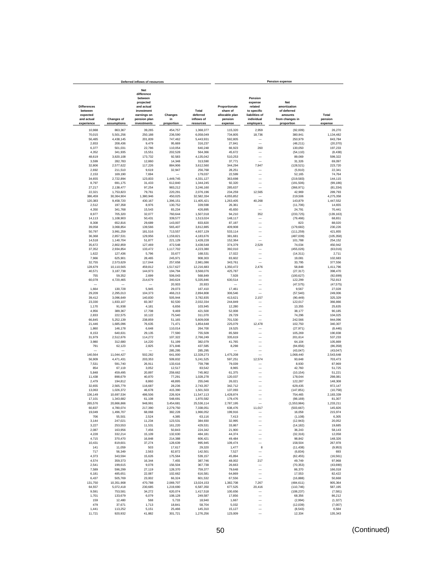| Deferred inflows of resources                           |                         |                                                                                                             |                      |                                 | <b>Pension expense</b>                                 |                                                                              |                                                                  |                     |  |  |
|---------------------------------------------------------|-------------------------|-------------------------------------------------------------------------------------------------------------|----------------------|---------------------------------|--------------------------------------------------------|------------------------------------------------------------------------------|------------------------------------------------------------------|---------------------|--|--|
| <b>Differences</b><br>between<br>expected<br>and actual | <b>Changes of</b>       | <b>Net</b><br>difference<br>between<br>projected<br>and actual<br>investment<br>earnings on<br>pension plan | Changes<br>in        | Total<br>deferred<br>inflows of | Proportionate<br>share of<br>allocable plan<br>pension | Pension<br>expense<br>related<br>to specific<br>liabilities of<br>individual | Net<br>amortization<br>of deferred<br>amounts<br>from changes in | Total<br>pension    |  |  |
| experience                                              | assumptions             | investments                                                                                                 | proportion           | resources                       | expense                                                | employers                                                                    | proportion                                                       | expense             |  |  |
| 10,988                                                  | 863,367                 | 39,265                                                                                                      | 454,757              | 1,368,377                       | 115,320                                                | 2.959                                                                        | (92,009)                                                         | 26,270              |  |  |
| 70,015                                                  | 5,501,256               | 250,188                                                                                                     | 236,590              | 6,058,049                       | 734,805                                                | 18,736                                                                       | 380,941                                                          | 1,134,482           |  |  |
| 56,485                                                  | 4,438,145               | 201,839                                                                                                     | 747,462              | 5,443,931                       | 592,805                                                |                                                                              | 250,979                                                          | 843,784             |  |  |
| 2,653                                                   | 208,436                 | 9,479                                                                                                       | 95,669               | 316,237                         | 27,841                                                 |                                                                              | (48, 211)                                                        | (20, 370)           |  |  |
| 6,377                                                   | 501,031                 | 22,786                                                                                                      | 110,054              | 640,248                         | 66,923                                                 | 260                                                                          | 130,050                                                          | 197,233             |  |  |
| 4,352                                                   | 341,935                 | 15,551                                                                                                      | 202,528              | 564,366                         | 45,672                                                 |                                                                              | (54, 110)                                                        | (8, 438)            |  |  |
| 48,619<br>3,599                                         | 3,820,108<br>282,783    | 173,732<br>12,860                                                                                           | 92,583<br>14,348     | 4,135,042<br>313,590            | 510,253<br>37,771                                      | ÷,                                                                           | 89.069                                                           | 599,322<br>69.097   |  |  |
| 32,806                                                  | 2,577,622               | 117,226                                                                                                     | 884,906              | 3,612,560                       | 344.294                                                | 7,947                                                                        | 31,326<br>(128, 521)                                             | 223,720             |  |  |
| 2,692                                                   | 211,510                 | 9,619                                                                                                       | 32,947               | 256,768                         | 28,251                                                 |                                                                              | (5,910)                                                          | 22,341              |  |  |
| 2,153                                                   | 169,190                 | 7,694                                                                                                       |                      | 179,037                         | 22,599                                                 | $\overline{\phantom{a}}$                                                     | 52,165                                                           | 74,764              |  |  |
| 34,655                                                  | 2,722,894               | 123,833                                                                                                     | 1,449,745            | 4,331,127                       | 363,698                                                |                                                                              | (219, 583)                                                       | 144,115             |  |  |
| 8,797                                                   | 691,175                 | 31,433                                                                                                      | 612,840              | 1,344,245                       | 92,320                                                 | -                                                                            | (191, 506)                                                       | (99, 186)           |  |  |
| 27,217                                                  | 2,138,477               | 97,254                                                                                                      | 983,212              | 3,246,160                       | 285,637                                                |                                                                              | (366, 971)                                                       | (81, 334)           |  |  |
| 22,321                                                  | 1,753,823               | 79,761                                                                                                      | 220,291              | 2,076,196                       | 234,259                                                | 12,565                                                                       | 42,969                                                           | 289,793             |  |  |
| 386,459                                                 | 30,364,904              | 1,380,946<br>430,167                                                                                        | 450,025              | 32,582,334<br>11,405,421        | 4,055,852<br>1,263,405                                 | 40,268                                                                       | 219,506                                                          | 4,275,358           |  |  |
| 120,383<br>2,512                                        | 9,458,720<br>197,358    | 8,976                                                                                                       | 1,396,151<br>130,752 | 339,598                         | 26,361                                                 |                                                                              | 143,879<br>(11,706)                                              | 1,447,552<br>14,655 |  |  |
| 4,350                                                   | 341,768                 | 15,543                                                                                                      | 65,234               | 426,895                         | 45,650                                                 |                                                                              | 24.791                                                           | 70,441              |  |  |
| 8,977                                                   | 705,320                 | 32,077                                                                                                      | 760,644              | 1,507,018                       | 94,210                                                 | 352                                                                          | (233, 725)                                                       | (139, 163)          |  |  |
| 14.113                                                  | 1,108,903               | 50,431                                                                                                      | 339,577              | 1,513,024                       | 148,117                                                |                                                                              | (79, 466)                                                        | 68.651              |  |  |
| 8,308                                                   | 652.816                 | 29,689                                                                                                      | 143,007              | 833.820                         | 87,197                                                 | -                                                                            | 823                                                              | 88,020              |  |  |
| 39,058                                                  | 3.068.854               | 139,566                                                                                                     | 565,407              | 3,812,885                       | 409,908                                                |                                                                              | (179, 682)                                                       | 230,226             |  |  |
| 50,797                                                  | 3,991,259               | 181,516                                                                                                     | 713,557              | 4,937,129                       | 533,114                                                |                                                                              | (111, 259)                                                       | 421,855             |  |  |
| 36,368                                                  | 2,857,531               | 129,956                                                                                                     | 1,159,821            | 4,183,676                       | 381,681                                                | -                                                                            | (487, 039)                                                       | (105, 358)          |  |  |
| 14,518                                                  | 1,140,704               | 51,877                                                                                                      | 221,129              | 1,428,228<br>3,438,548          | 152,364                                                |                                                                              | 101,788                                                          | 254,152             |  |  |
| 35,672<br>37,352                                        | 2,802,859<br>2,934,854  | 127,469<br>133,472                                                                                          | 472,548<br>1,117,702 | 4,223,380                       | 374,379<br>392,010                                     | 2,529                                                                        | 74,034<br>(455, 026)                                             | 450,942<br>(63,016) |  |  |
| 1,622                                                   | 127,436                 | 5,796                                                                                                       | 33,677               | 168,531                         | 17,022                                                 |                                                                              | (14, 311)                                                        | 2,711               |  |  |
| 7,966                                                   | 625,901                 | 28,465                                                                                                      | 245,971              | 908,303                         | 83,602                                                 |                                                                              | 19,081                                                           | 102,683             |  |  |
| 32,755                                                  | 2,573,629               | 117,044                                                                                                     | 257,658              | 2,981,086                       | 343,761                                                |                                                                              | 33,795                                                           | 377,556             |  |  |
| 128,679                                                 | 10,110,565              | 459.812                                                                                                     | 1,517,627            | 12,216,683                      | 1,350,472                                              | 2,476                                                                        | 58.848                                                           | 1.411.796           |  |  |
| 40,571                                                  | 3,187,738               | 144,973                                                                                                     | 194,794              | 3,568,076                       | 425.787                                                |                                                                              | (27, 317)                                                        | 398.470             |  |  |
| 755                                                     | 59,352                  | 2,699                                                                                                       | 506.043              | 568.849                         | 7,928                                                  | -                                                                            | (100, 627)                                                       | (92, 699)           |  |  |
| 60,078                                                  | 4,720,465               | 214,679                                                                                                     | 340,624              | 5,335,846                       | 630,514                                                | -                                                                            | 122,299                                                          | 752,813             |  |  |
|                                                         |                         |                                                                                                             | 20,933               | 20,933                          |                                                        | -                                                                            | (47, 575)                                                        | (47, 575)           |  |  |
| 1,664<br>29,209                                         | 130,728<br>2,295,013    | 5,945<br>104,373                                                                                            | 29,073<br>466,213    | 167,410<br>2,894,808            | 17,461<br>306,546                                      | ÷                                                                            | 9,567<br>(57, 540)                                               | 27,028<br>249,006   |  |  |
| 39,412                                                  | 3,096,649               | 140,830                                                                                                     | 505,944              | 3,782,835                       | 413,621                                                | 2,157                                                                        | (90, 449)                                                        | 325,329             |  |  |
| 23,330                                                  | 1,833,107               | 83,367                                                                                                      | 92,530               | 2,032,334                       | 244,849                                                |                                                                              | 122,017                                                          | 366,866             |  |  |
| 1,170                                                   | 91,938                  | 4,181                                                                                                       | 6,656                | 103.945                         | 12,280                                                 |                                                                              | 13,355                                                           | 25.635              |  |  |
| 4,956                                                   | 389,367                 | 17,708                                                                                                      | 9,469                | 421.500                         | 52,008                                                 |                                                                              | 38.177                                                           | 90,185              |  |  |
| 2,833                                                   | 222,575                 | 10,122                                                                                                      | 75,540               | 311,070                         | 29,729                                                 |                                                                              | 74,296                                                           | 104,025             |  |  |
| 66,845<br>21,446                                        | 5,252,139<br>1,685,096  | 238,859<br>76,635                                                                                           | 51,165<br>71,471     | 5,609,008<br>1,854,648          | 701,530<br>225,079                                     | 12,478                                                                       | 242,566<br>102,750                                               | 944,096<br>340,307  |  |  |
| 1,860                                                   | 146,178                 | 6,648                                                                                                       | 110,014              | 264,700                         | 19,525                                                 | -                                                                            | (27, 971)                                                        | (8, 446)            |  |  |
| 8,153                                                   | 640,631                 | 29,135                                                                                                      | 77,590               | 755,509                         | 85,569                                                 | -                                                                            | 105,269                                                          | 190,838             |  |  |
| 31,979                                                  | 2,512,676               | 114,272                                                                                                     | 107.322              | 2,766,249                       | 335,619                                                | -                                                                            | 201,614                                                          | 537,233             |  |  |
| 3,980                                                   | 312,680                 | 14,220                                                                                                      | 51,199               | 382,079                         | 41,765                                                 | -                                                                            | 64,104                                                           | 105,869             |  |  |
| 791                                                     | 62,123                  | 2,825                                                                                                       | 371,846              | 437,585                         | 8,298                                                  |                                                                              | (94, 656)                                                        | (86, 358)           |  |  |
|                                                         |                         |                                                                                                             | 285,295              | 285,295                         |                                                        | -                                                                            | (43, 047)                                                        | (43, 047)           |  |  |
| 140,564                                                 | 11,044,427              | 502,282                                                                                                     | 641,000              | 12,328,273                      | 1,475,208                                              | L.                                                                           | 1,068,440                                                        | 2,543,648           |  |  |
| 56,909                                                  | 4,471,431               | 203,353                                                                                                     | 509,832              | 5,241,525                       | 597,251                                                | 12,574                                                                       | 93,648                                                           | 703,473             |  |  |
| 7,531<br>854                                            | 591,740<br>67,119       | 26,911<br>3,052                                                                                             | 133,616<br>12,517    | 759,798<br>83,542               | 79,039<br>8,965                                        |                                                                              | 8,930<br>42,760                                                  | 87,969<br>51,725    |  |  |
| 5.848                                                   | 459,495                 | 20,897                                                                                                      | 259,662              | 745,902                         | 61,375                                                 |                                                                              | (10, 154)                                                        | 51.221              |  |  |
| 11,438                                                  | 898,679                 | 40,870                                                                                                      | 77,291               | 1,028,278                       | 120,037                                                |                                                                              | 178,044                                                          | 298,081             |  |  |
| 2,479                                                   | 194,812                 | 8,860                                                                                                       | 48,895               | 255,046                         | 26.021                                                 |                                                                              | 122.287                                                          | 148,308             |  |  |
| 32,655                                                  | 2,565,779               | 116,687                                                                                                     | 28,236               | 2,743,357                       | 342,712                                                |                                                                              | 629,435                                                          | 972,147             |  |  |
| 13,063                                                  | 1,026,372               | 46,678                                                                                                      | 415,390              | 1,501,503                       | 137,093                                                |                                                                              | (147, 851)                                                       | (10, 758)           |  |  |
| 136.149<br>17.101                                       | 10,697,534<br>1,343,682 | 486,506<br>61,108                                                                                           | 226.924<br>548.691   | 11,547,113<br>1,970,582         | 1,428,874<br>179,476                                   |                                                                              | 754,465<br>(98, 169)                                             | 2,183,339<br>81,307 |  |  |
| 265,576                                                 | 20,866,866              | 948,991                                                                                                     | 3,454,681            | 25.536.114                      | 2.787.195                                              |                                                                              | (1,553,984)                                                      | 1,233,211           |  |  |
| 60,837                                                  | 4,780,074               | 217,390                                                                                                     | 2,279,750            | 7,338,051                       | 638,476                                                | 11,017                                                                       | (503, 667)                                                       | 145,826             |  |  |
| 19,049                                                  | 1,496,707               | 68,068                                                                                                      | 382,228              | 1,966,052                       | 199,916                                                |                                                                              | 16,058                                                           | 215,974             |  |  |
| 706                                                     | 55,501                  | 2,524                                                                                                       | 4,385                | 63,116                          | 7,413                                                  | -                                                                            | (1, 108)                                                         | 6,305               |  |  |
| 3,144                                                   | 247,021                 | 11,234                                                                                                      | 123,531              | 384,930                         | 32,995                                                 |                                                                              | (12, 943)                                                        | 20,052              |  |  |
| 3,227                                                   | 253,553                 | 11,531                                                                                                      | 161,220              | 429,531                         | 33,867                                                 |                                                                              | (14, 182)                                                        | 19,685              |  |  |
| 2,087                                                   | 163,956                 | 7,456                                                                                                       | 50,843               | 224,342                         | 21,900                                                 | -                                                                            | 36,243                                                           | 58,143              |  |  |
| 4,228<br>4,715                                          | 332,214<br>370,470      | 15.109<br>16,848                                                                                            | 132,630<br>214,388   | 484,181<br>606,421              | 44,374<br>49,484                                       | -<br>-                                                                       | (32, 316)<br>98,842                                              | 12,058<br>148,326   |  |  |
| 10,431                                                  | 819,601                 | 37,274                                                                                                      | 128,639              | 995,945                         | 109,474                                                | -                                                                            | 158,504                                                          | 267,978             |  |  |
| 141                                                     | 11,059                  | 503                                                                                                         | 17,617               | 29,320                          | 1,477                                                  | 8                                                                            | (11, 438)                                                        | (9,953)             |  |  |
| 717                                                     | 56,349                  | 2,563                                                                                                       | 82,872               | 142,501                         | 7,527                                                  | $\overline{\phantom{0}}$                                                     | (6, 834)                                                         | 693                 |  |  |
| 4,373                                                   | 343,594                 | 15,626                                                                                                      | 175,564              | 539,157                         | 45,894                                                 | -                                                                            | (62, 455)                                                        | (16, 561)           |  |  |
| 4,574                                                   | 359,373                 | 16,344                                                                                                      | 7,455                | 387,746                         | 48,002                                                 | 217                                                                          | 49,749                                                           | 97,968              |  |  |
| 2,541                                                   | 199,615                 | 9,078                                                                                                       | 156,504              | 367,738                         | 26,663                                                 |                                                                              | (70, 353)                                                        | (43, 690)           |  |  |
| 7,589                                                   | 596,299                 | 27,119                                                                                                      | 128,370              | 759,377                         | 79,648                                                 |                                                                              | 86,370                                                           | 166,018             |  |  |
| 6,181<br>6,437                                          | 485,651<br>505,769      | 22,087<br>23,002                                                                                            | 102,662<br>66,324    | 616,581<br>601,532              | 64,869<br>67,556                                       |                                                                              | 17,553<br>(16, 888)                                              | 82,422<br>50,668    |  |  |
| 131,750                                                 | 10,351,908              | 470,788                                                                                                     | 2,069,707            | 13.024.153                      | 1,382,708                                              | 7,267                                                                        | (484, 611)                                                       | 905,364             |  |  |
| 64,557                                                  | 5,072,418               | 230,685                                                                                                     | 1,219,690            | 6,587,350                       | 677,525                                                | 20,416                                                                       | (110, 746)                                                       | 587,195             |  |  |
| 9,591                                                   | 753,581                 | 34,272                                                                                                      | 620,074              | 1,417,518                       | 100,656                                                |                                                                              | (108, 237)                                                       | (7,581)             |  |  |
| 1,701                                                   | 133,679                 | 6,079                                                                                                       | 108,128              | 249,587                         | 17,856                                                 |                                                                              | 68,356                                                           | 86,212              |  |  |
| 159                                                     | 12,480                  | 568                                                                                                         | 5,733                | 18,940                          | 1,667                                                  |                                                                              | (2,994)                                                          | (1, 327)            |  |  |
| 479                                                     | 37,671                  | 1,713                                                                                                       | 18,841               | 58,704                          | 5,032                                                  |                                                                              | (12, 039)                                                        | (7,007)             |  |  |
| 1,441                                                   | 113,252                 | 5,151                                                                                                       | 25,466               | 145,310                         | 15,127                                                 |                                                                              | (8, 543)                                                         | 6,584               |  |  |
| 11,721                                                  | 920,932                 | 41,882                                                                                                      | 301,721              | 1,276,256                       | 123,009                                                |                                                                              | 12,334                                                           | 135,343             |  |  |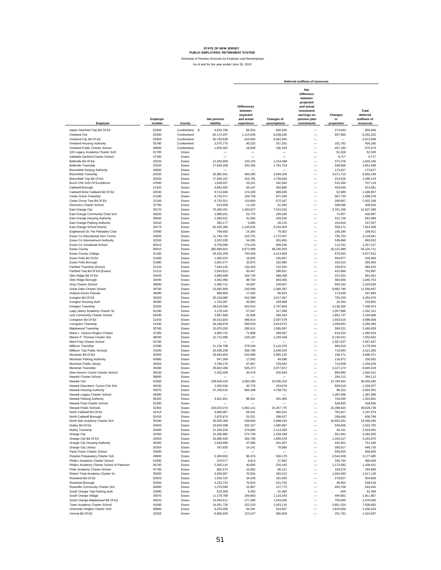Schedule of Pension Amounts by Employer and Nonemployer

|                                                                 |                    |                |                                 |                                                                       |                           | Deferred outflows of resources                                                                                      |                             |                                               |
|-----------------------------------------------------------------|--------------------|----------------|---------------------------------|-----------------------------------------------------------------------|---------------------------|---------------------------------------------------------------------------------------------------------------------|-----------------------------|-----------------------------------------------|
| Employer                                                        | Employer<br>number | County         | <b>Net pension</b><br>liability | <b>Differences</b><br>between<br>expected<br>and actual<br>experience | Changes of<br>assumptions | Net<br>difference<br>between<br>projected<br>and actual<br>investment<br>earnings on<br>pension plan<br>investments | Changes<br>in<br>proportion | Total<br>deferred<br>outflows of<br>resources |
| Upper Deerfield Twp Bd Of Ed                                    | 53383              | Cumberland \$  | 4,933,706                       | 88,554                                                                | 492,649                   | -                                                                                                                   | 274,643                     | 855,846                                       |
| Vineland City                                                   | 20300              | Cumberland     | 62,174,237                      | 1,115,946                                                             | 6,208,326                 | -                                                                                                                   | 937,960                     | 8,262,232                                     |
| Vineland City Bd Of Ed                                          | 20303              | Cumberland     | 50,703,639                      | 910,064                                                               | 5,062,945                 | $\overline{\phantom{0}}$                                                                                            | -                           | 5,973,009                                     |
| Vineland Housing Authority                                      | 55780              | Cumberland     | 2,575,775                       | 46,232                                                                | 257,201                   | $\overline{\phantom{0}}$                                                                                            | 101.762                     | 405,195                                       |
| Vineland Public Charter School                                  | 48600              | Cumberland     | 1,003,302                       | 18,008                                                                | 100,183                   | $\overline{\phantom{0}}$                                                                                            | 457,183                     | 575,374                                       |
| 100 Legacy Academy Charter Schl                                 | 51700              | Essex          |                                 |                                                                       |                           | $\overline{\phantom{0}}$                                                                                            | 52,328                      | 52,328                                        |
| Adelaide Sanford Charter School                                 | 47300              | Essex          |                                 |                                                                       |                           | $\overline{\phantom{0}}$                                                                                            | 9,717                       | 9,717                                         |
| Belleville Bd Of Ed                                             | 20223              | Essex          | 12,262,929                      | 220,104                                                               | 1,224,498                 | $\overline{\phantom{0}}$                                                                                            | 371,578                     | 1,816,180                                     |
| <b>Belleville Township</b>                                      | 20220              | Essex          | 17,843,348                      | 320,265                                                               | 1,781,724                 | $\overline{\phantom{0}}$                                                                                            | 549,959                     | 2,651,948                                     |
| <b>Bloomfield Parking Authority</b>                             | 45800              | Essex          |                                 |                                                                       |                           | $\overline{\phantom{0}}$                                                                                            | 173,627                     | 173,627                                       |
| <b>Bloomfield Township</b>                                      | 20230              | Essex          | 26,981,541                      | 484,283                                                               | 2,694,206                 | $\overline{\phantom{0}}$                                                                                            | 3,471,710                   | 6,650,199                                     |
| Bloomfield Twp Bd Of Ed                                         | 20233              | Essex          | 17,594,107                      | 315,791                                                               | 1.756.836                 | $\overline{\phantom{0}}$                                                                                            | 223,526                     | 2,296,153                                     |
| Burch Chtr Schl Of Excellence<br>Caldwell Borough               | 47600<br>21320     | Essex<br>Essex | 1,628,027<br>3.852.492          | 29,221<br>69,147                                                      | 162.564<br>384.685        | $\overline{\phantom{0}}$<br>$\overline{\phantom{0}}$                                                                | 515,334<br>459,649          | 707,119<br>913.481                            |
| Caldwell West Caldwell Bd Of Ed                                 | 40530              | Essex          | 9,712,606                       | 174,329                                                               | 969.839                   | $\overline{\phantom{0}}$                                                                                            | 52.689                      | 1,196,857                                     |
| Cedar Grove Township                                            | 22180              | Essex          | 8,732,071                       | 156,729                                                               | 871,929                   | $\qquad \qquad -$                                                                                                   | 567,720                     | 1,596,378                                     |
| Cedar Grove Twp Bd Of Ed                                        | 22183              | Essex          | 6,733,321                       | 120,854                                                               | 672,347                   | $\qquad \qquad -$                                                                                                   | 208,967                     | 1,002,168                                     |
| Discovery Charter School                                        | 37700              | Essex          | 623,558                         | 11,192                                                                | 62,265                    | $\overline{\phantom{0}}$                                                                                            | 336.046                     | 409,503                                       |
| East Orange City                                                | 20170              | Essex          | 75,260,451                      | 1,350,827                                                             | 7,515,032                 | $\overline{\phantom{0}}$                                                                                            | 3,761,236                   | 12,627,095                                    |
| East Orange Community Chart Sch                                 | 35620              | Essex          | 2,996,031                       | 53,775                                                                | 299,165                   | $\overline{\phantom{0}}$                                                                                            | 74,057                      | 426,997                                       |
| East Orange Housing Authority                                   | 30640              | Essex          | 2,286,521                       | 41,040                                                                | 228,318                   | $\qquad \qquad -$                                                                                                   | 421,726                     | 691,084                                       |
| East Orange Parking Authority                                   | 31610              | Essex          | 282.177                         | 5,065                                                                 | 28,176                    | $\overline{\phantom{0}}$                                                                                            | 103,816                     | 137,057                                       |
| East Orange School District                                     | 20173              | Essex          | 62,435,390                      | 1,120,634                                                             | 6,234,403                 | $\overline{\phantom{0}}$                                                                                            | 559,171                     | 7,914,208                                     |
| Englewood On The Palisades Char                                 | 37800              | Essex          | 794,683                         | 14,264                                                                | 79,352                    | $\overline{\phantom{0}}$                                                                                            | 106,295                     | 199,911                                       |
| Essex Co Educational Serv Comm                                  | 32820              | Essex          | 11,740,753                      | 210,731                                                               | 1.172.357                 | $\overline{\phantom{0}}$                                                                                            | 735,753                     | 2.118.841                                     |
| Essex Co Improvement Authority                                  | 32320              | Essex          | 3,023,335                       | 54,265                                                                | 301,891                   | $\overline{\phantom{0}}$                                                                                            | 536,896                     | 893,052                                       |
| Essex Co Vocational School                                      | 60013              | Essex          | 9,706,568                       | 174,220                                                               | 969,236                   | $\overline{\phantom{0}}$                                                                                            | 113,761                     | 1,257,217                                     |
| <b>Essex County</b>                                             | 60010              | Essex          | 382,868,601                     | 6,871,989                                                             | 38,230,833                | $\overline{\phantom{0}}$                                                                                            | 10,121,889                  | 55,224,711                                    |
| <b>Essex County College</b>                                     | 31160              | Essex          | 44,204,258                      | 793,409                                                               | 4,413,958                 | $\overline{\phantom{0}}$                                                                                            | 670,545                     | 5,877,912                                     |
| Essex Fells Bd Of Ed                                            | 21683              | Essex          | 1,060,523                       | 19,035                                                                | 105,897                   | L.<br>L.                                                                                                            | 504,977                     | 629,909                                       |
| Essex Fells Borough<br>Fairfield Township (Essex)               | 21680<br>21210     | Essex<br>Essex | 1,831,477<br>7,434,125          | 32,873<br>133,433                                                     | 182,880<br>742,325        | L.                                                                                                                  | 150,210<br>109,874          | 365,963<br>985,632                            |
| Fairfield Twp Bd Of Ed (Essex)                                  | 21213              | Essex          | 2,810,623                       | 50,447                                                                | 280,651                   | L.                                                                                                                  | 422,869                     | 753,967                                       |
| Glen Ridge Bd Of Ed                                             | 20443              | Essex          | 5,890,698                       | 105,730                                                               | 588,208                   | -                                                                                                                   | 197,623                     | 891,561                                       |
| Glen Ridge Borough                                              | 20440              | Essex          | 4,942,060                       | 88,704                                                                | 493,483                   | $\overline{\phantom{0}}$                                                                                            | 464,566                     | 1,046,753                                     |
| Gray Charter School                                             | 36800              | Essex          | 2,489,712                       | 44,687                                                                | 248,607                   | -                                                                                                                   | 940,332                     | 1,233,626                                     |
| Great Oaks Charter School                                       | 49700              | Essex          | 13,682,893                      | 245,590                                                               | 1,366,287                 | $\overline{\phantom{0}}$                                                                                            | 9,982,790                   | 11,594,667                                    |
| Hudson-Essex Passaic                                            | 34090              | Essex          | 969,606                         | 17,403                                                                | 96.819                    | $\overline{\phantom{0}}$                                                                                            | 173,638                     | 287,860                                       |
| Irvington Bd Of Ed                                              | 20253              | Essex          | 30.218.885                      | 542,389                                                               | 3,017,467                 | $\overline{\phantom{0}}$                                                                                            | 704,220                     | 4,264,076                                     |
| <b>Irvington Housing Auth</b>                                   | 30360              | Essex          | 1,702,067                       | 30,550                                                                | 169,958                   | $\overline{\phantom{0}}$                                                                                            | 25.294                      | 225,802                                       |
| Irvington Township                                              | 20250              | Essex          | 28,019,594                      | 502,915                                                               | 2,797,859                 | $\overline{\phantom{0}}$                                                                                            | 4,136,200                   | 7,436,974                                     |
| Lady Liberty Academy Charter Sc                                 | 41200              | Essex          | 3,178,345                       | 57,047                                                                | 317,369                   | $\overline{a}$                                                                                                      | 1,057,896                   | 1,432,312                                     |
| Link Community Charter School                                   | 54500              | Essex          | 2,897,668                       | 52,009                                                                | 289,343                   | $\equiv$                                                                                                            | 1,852,737                   | 2,194,089                                     |
| Livingston Bd Of Ed                                             | 21433              | Essex          | 26,013,843                      | 466,914                                                               | 2,597,578                 | $\frac{1}{1}$                                                                                                       | 1,933,516                   | 4,998,008                                     |
| Livingston Township                                             | 21430              | Essex          | 28,186,978                      | 505,919                                                               | 2,814,573                 |                                                                                                                     | 1,038,991                   | 4,359,483                                     |
| Maplewood Township                                              | 20760<br>37300     | Essex<br>Essex | 15,879,202<br>4.000.722         | 285,011<br>71,808                                                     | 1,585,597<br>399.487      | $\overline{\phantom{0}}$                                                                                            | 599,321<br>814,524          | 2,469,929<br>1,285,819                        |
| Maria L. Varisco-Rogers Charter<br>Marion P. Thomas Charter Sch | 38200              | Essex          | 12,712,990                      | 228,182                                                               | 1,269,439                 | $\overline{\phantom{0}}$                                                                                            | 6,135,031                   | 7,632,652                                     |
| Merit Prep Charter School                                       | 52700              | Essex          |                                 |                                                                       |                           | $\overline{\phantom{0}}$                                                                                            | 2,557,637                   | 2,557,637                                     |
| Millburn Township                                               | 21090              | Essex          | 21,134,708                      | 379,340                                                               | 2,110,378                 | $\qquad \qquad -$                                                                                                   | 686,916                     | 3,176,634                                     |
| Millburn Twp Public Schools                                     | 21093              | Essex          | 20.435.239                      | 366,786                                                               | 2,040,534                 | $\qquad \qquad -$                                                                                                   | 713,940                     | 3,121,260                                     |
| Montclair Bd Of Ed                                              | 20263              | Essex          | 29,694,653                      | 532,980                                                               | 2,965,120                 | $\overline{\phantom{0}}$                                                                                            | 108,271                     | 3,606,371                                     |
| Montclair Parking Authority                                     | 43900              | Essex          | 947,266                         | 17,002                                                                | 94,588                    | $\overline{\phantom{0}}$                                                                                            | 118,972                     | 230,562                                       |
| Montclair Public Library                                        | 20264              | Essex          | 3,786,176                       | 67,957                                                                | 378,064                   | $\overline{\phantom{0}}$                                                                                            | 713,008                     | 1,159,029                                     |
| Montclair Township                                              | 20260              | Essex          | 29,822,358                      | 535,272                                                               | 2,977,872                 | $\overline{\phantom{0}}$                                                                                            | 3,127,174                   | 6,640,318                                     |
| New Horizon Comm Charter School                                 | 38100              | Essex          | 2,032,408                       | 36,479                                                                | 202,943                   | $\overline{\phantom{0}}$                                                                                            | 800,890                     | 1,040,312                                     |
| Newark Charter School                                           | 38600              | Essex          |                                 |                                                                       |                           | $\overline{\phantom{0}}$                                                                                            | 294,112                     | 294,112                                       |
| Newark City                                                     | 52360              | Essex          | 199,646,325                     | 3,583,390                                                             | 19,935,419                | L.                                                                                                                  | 12,784,651                  | 36,303,460                                    |
| Newark Educators' Comm Chtr Sch                                 | 48100              | Essex          | 2,550,526                       | 45.779                                                                | 254,679                   | ۰                                                                                                                   | 929,519                     | 1,229,977                                     |
| Newark Housing Authority                                        | 30070              | Essex          | 47,156,516                      | 846,398                                                               | 4,708,751                 |                                                                                                                     | 99,152                      | 5,654,301                                     |
| Newark Legacy Charter School                                    | 49400<br>56320     | Essex<br>Essex |                                 | 88,341                                                                |                           |                                                                                                                     | 1,497,096                   | 1,497,096                                     |
| Newark Parking Authority<br>Newark Prep Charter School          | 52300              | Essex          | 4,921,851                       |                                                                       | 491,465                   |                                                                                                                     | 744,035<br>528.835          | 1,323,841<br>528.835                          |
| Newark Public Schools                                           | 52363              | Essex          | 243.033.374                     | 4,362,131                                                             | 24,267,775                | -                                                                                                                   | 10,399,823                  | 39,029,729                                    |
| North Caldwell Bd Of Ed                                         | 52413              | Essex          | 3,868,867                       | 69,441                                                                | 386,321                   | $\overline{\phantom{0}}$                                                                                            | 781,817                     | 1,237,579                                     |
| North Caldwell Borough                                          | 52410              | Essex          | 2,870,474                       | 51,521                                                                | 286,627                   | Ē,                                                                                                                  | 268,648                     | 606,796                                       |
| North Star Academy Charter Sch                                  | 35340              | Essex          | 30,026,383                      | 538,934                                                               | 2,998,245                 | $\qquad \qquad -$                                                                                                   | 10,823,451                  | 14,360,630                                    |
| Nutley Bd Of Ed                                                 | 20403              | Essex          | 16,834,508                      | 302,157                                                               | 1,680,987                 | $\overline{\phantom{0}}$                                                                                            | 549,606                     | 2,532,750                                     |
| Nutley Township                                                 | 20400              | Essex          | 21,165,533                      | 379,894                                                               | 2,113,456                 | $\overline{\phantom{0}}$                                                                                            | 40,141                      | 2,533,491                                     |
| Orange City                                                     | 20350              | Essex          | 15,306,882                      | 274,738                                                               | 1,528,448                 | -                                                                                                                   | 661,844                     | 2,465,030                                     |
| Orange City Bd Of Ed                                            | 20353              | Essex          | 16,980,626                      | 304,780                                                               | 1,695,578                 | -                                                                                                                   | 1,244,517                   | 3,244,875                                     |
| Orange City Housing Authority                                   | 30200              | Essex          | 2,618,899                       | 47,006                                                                | 261,507                   | $\overline{\phantom{0}}$                                                                                            | 432,651                     | 741,164                                       |
| Orange City Library                                             | 20354              | Essex          | 787,830                         | 14,141                                                                | 78,668                    | $\overline{\phantom{0}}$                                                                                            | 356,917                     | 449,726                                       |
| Paulo Freire Charter School                                     | 53000              | Essex          |                                 |                                                                       |                           | $\overline{\phantom{0}}$                                                                                            | 936,955                     | 936,955                                       |
| Peoples Preparatory Charter Sch                                 | 49800              | Essex          | 5,369,652                       | 96,378                                                                | 536,179                   |                                                                                                                     | 2.544.928                   | 3,177,485                                     |
| Philip's Academy Charter School                                 | 53300              | Essex          | 379,577                         | 6,813                                                                 | 37,902                    |                                                                                                                     | 335,794                     | 380.509                                       |
| Philip's Academy Charter School of Paterson                     | 56700              | Essex          | 2,265,144                       | 40,656                                                                | 226,183                   |                                                                                                                     | 1,172,582                   | 1,439,421                                     |
| Pride Academy Charter School                                    | 47700              | Essex          | 862,574                         | 15,482                                                                | 86,131                    | $\overline{\phantom{0}}$                                                                                            | 193,076                     | 294,689                                       |
| Robert Treat Academy Charter Sc<br>Roseland Bd Of Ed            | 35350<br>52923     | Essex          | 3,930,867                       | 70,554                                                                | 392,512                   | $\overline{\phantom{0}}$<br>$\overline{\phantom{0}}$                                                                | 1,054,060                   | 1,517,126                                     |
| Roseland Borough                                                |                    | Essex          | 1,918,725                       | 34,439                                                                | 191,592                   | $\overline{\phantom{0}}$                                                                                            | 278,827                     | 504,858                                       |
| Roseville Community Charter Sch                                 | 52920              | Essex          | 4,223,733<br>1,279,589          | 75,810                                                                | 421,755                   | $\overline{\phantom{0}}$                                                                                            | 40,953                      | 538,518                                       |
|                                                                 | 50000              | Essex          |                                 | 22,967                                                                | 127,772                   | $\overline{\phantom{0}}$                                                                                            | 493,706                     | 644,445                                       |
| South Orange Twp Parking Auth<br>South Orange Village           | 32990<br>20570     | Essex<br>Essex | 515,359<br>11,179,788           | 9,250<br>200,663                                                      | 51,460<br>1,116,343       | $\overline{\phantom{0}}$                                                                                            | 659<br>494,861              | 61,369<br>1,811,867                           |
| South Orange-Maplewood Bd Of Ed                                 | 40010              | Essex          | 15,454,611                      | 277,390                                                               | 1,543,200                 | -                                                                                                                   | 750,060                     | 2,570,650                                     |
| Team Academy Charter School                                     | 41600              | Essex          | 14,051,726                      | 252,210                                                               | 1,403,116                 | -                                                                                                                   | 5,851,324                   | 7,506,650                                     |
| University Heights Charter Schl                                 | 46800              | Essex          | 5,253,358                       | 94,291                                                                | 524,567                   | -                                                                                                                   | 1,816,566                   | 2,435,424                                     |
| Verona Bd Of Ed                                                 | 22033              | Essex          | 6.866.639                       | 123,247                                                               | 685,659                   |                                                                                                                     | 201,791                     | 1,010,697                                     |
|                                                                 |                    |                |                                 |                                                                       |                           |                                                                                                                     |                             |                                               |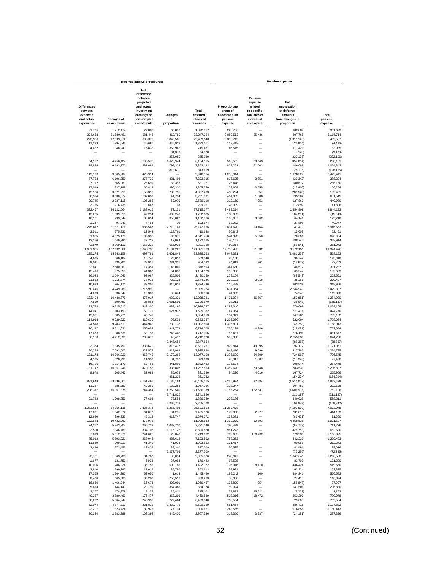|                                                                       |                                  | Deferred inflows of resources                                                                                              |                             |                                              |                                                                   |                                                                                           | <b>Pension expense</b>                                                                |                             |
|-----------------------------------------------------------------------|----------------------------------|----------------------------------------------------------------------------------------------------------------------------|-----------------------------|----------------------------------------------|-------------------------------------------------------------------|-------------------------------------------------------------------------------------------|---------------------------------------------------------------------------------------|-----------------------------|
| <b>Differences</b><br>between<br>expected<br>and actual<br>experience | <b>Changes of</b><br>assumptions | <b>Net</b><br>difference<br>between<br>projected<br>and actual<br>investment<br>earnings on<br>pension plan<br>investments | Changes<br>in<br>proportion | Total<br>deferred<br>inflows of<br>resources | Proportionate<br>share of<br>allocable plan<br>pension<br>expense | Pension<br>expense<br>related<br>to specific<br>liabilities of<br>individual<br>employers | <b>Net</b><br>amortization<br>of deferred<br>amounts<br>from changes in<br>proportion | Total<br>pension<br>expense |
|                                                                       |                                  |                                                                                                                            |                             |                                              |                                                                   |                                                                                           |                                                                                       |                             |
| 21.795                                                                | 1,712,474                        | 77,880                                                                                                                     | 60,808                      | 1,872,957                                    | 228,736                                                           |                                                                                           | 102,887                                                                               | 331,623                     |
| 274,658<br>223,986                                                    | 21,580,481<br>17,599,072         | 981,445<br>800,377                                                                                                         | 410,780<br>3,846,505        | 23,247,364<br>22,469,940                     | 2,882,513<br>2,350,715                                            | 25,436                                                                                    | 207,765<br>(1, 911, 128)                                                              | 3,115,714<br>439,587        |
| 11,379                                                                | 894,043                          | 40,660                                                                                                                     | 445,929                     | 1,392,011                                    | 119,418                                                           |                                                                                           | (123, 904)                                                                            | (4, 486)                    |
| 4,432                                                                 | 348,243                          | 15,838                                                                                                                     | 350,968                     | 719,481                                      | 46,515                                                            |                                                                                           | 117,420                                                                               | 163,935                     |
|                                                                       |                                  |                                                                                                                            | 94,370                      | 94,370                                       |                                                                   |                                                                                           | (9, 173)                                                                              | (9, 173)                    |
|                                                                       |                                  | ÷                                                                                                                          | 255,080                     | 255,080                                      |                                                                   |                                                                                           | (332, 196)                                                                            | (332, 196)                  |
| 54,172                                                                | 4,256,424                        | 193,575                                                                                                                    | 1,679,944                   | 6,184,115                                    | 568.532                                                           | 78,643<br>51,003                                                                          | (357, 014)                                                                            | 290,161                     |
| 78,824                                                                | 6,193,370                        | 281,664                                                                                                                    | 799,334<br>813,619          | 7,353,192<br>813,619                         | 827,251                                                           |                                                                                           | 146,088<br>(128, 115)                                                                 | 1,024,342<br>(128, 115)     |
| 119,193                                                               | 9,365,207                        | 425.914                                                                                                                    |                             | 9,910,314                                    | 1,250,914                                                         | L.                                                                                        | 1,178,527                                                                             | 2,429,441                   |
| 77,723                                                                | 6,106,859                        | 277,730                                                                                                                    | 831,403                     | 7,293,715                                    | 815,695                                                           | 2,851                                                                                     | (430, 342)                                                                            | 388,204                     |
| 7,192                                                                 | 565,083                          | 25,699                                                                                                                     | 83,353                      | 681,327                                      | 75,478                                                            |                                                                                           | 180,672                                                                               | 256,150                     |
| 17,019<br>42,906                                                      | 1,337,188<br>3,371,215           | 60,813<br>153,317                                                                                                          | 390,330<br>789,795          | 1,805,350<br>4,357,233                       | 178,609<br>450,294                                                | 3,555<br>657                                                                              | (15, 910)<br>(281, 520)                                                               | 166,254<br>169,431          |
| 38,574                                                                | 3,030,874                        | 137,839                                                                                                                    | 44,704                      | 3,251,991                                    | 404,835                                                           | 1,508                                                                                     | 195,202                                                                               | 601,545                     |
| 29,745                                                                | 2,337,115                        | 106,288                                                                                                                    | 62,970                      | 2,536,118                                    | 312,169                                                           | 951                                                                                       | 127,860                                                                               | 440,980                     |
| 2,755                                                                 | 216,435                          | 9,843                                                                                                                      | 18                          | 229,051                                      | 28,909                                                            |                                                                                           | 112,897                                                                               | 141,806                     |
| 332,467                                                               | 26,122,664                       | 1,188,015                                                                                                                  | 72,131                      | 27,715,277                                   | 3,489,214                                                         | -                                                                                         | 1,354,909                                                                             | 4,844,123                   |
| 13.235                                                                | 1,039,913                        | 47,294                                                                                                                     | 602,243                     | 1,702,685                                    | 138,902                                                           |                                                                                           | (184, 251)                                                                            | (45, 349)                   |
| 10,101<br>1.247                                                       | 793,644<br>97,943                | 36,094<br>4.454                                                                                                            | 353,027<br>30               | 1,192,866<br>103,674                         | 106,007<br>13,082                                                 | 9,562                                                                                     | 64.141<br>27,895                                                                      | 179.710<br>40.977           |
| 275,812                                                               | 21,671,126                       | 985,567                                                                                                                    | 2,210,161                   | 25,142,666                                   | 2,894,620                                                         | 10,464                                                                                    | 41,479                                                                                | 2,946,563                   |
| 3,511                                                                 | 275,832                          | 12,544                                                                                                                     | 118,761                     | 410,648                                      | 36,843                                                            |                                                                                           | 15,608                                                                                | 52,451                      |
| 51,865                                                                | 4,075,178                        | 185,332                                                                                                                    | 199,375                     | 4,511,750                                    | 544,323                                                           | 5,950                                                                                     | 76,661                                                                                | 626,934                     |
| 13,356                                                                | 1,049,390                        | 47,725                                                                                                                     | 12,094                      | 1,122,565                                    | 140,167                                                           |                                                                                           | 188,747                                                                               | 328,914                     |
| 42,879                                                                | 3,369,119                        | 153,222                                                                                                                    | 655,938                     | 4,221,158                                    | 450,014                                                           | $\overline{\phantom{0}}$                                                                  | (88, 941)                                                                             | 361,073                     |
| 1,691,335<br>195,275                                                  | 132,892,502<br>15,343,158        | 6,043,735<br>697,781                                                                                                       | 1,194,227<br>7,601,849      | 141,821,799<br>23,838,063                    | 17,750,493<br>2,049,391                                           | 51,832                                                                                    | 3,572,151<br>(1,481,238)                                                              | 21,374,476<br>568,153       |
| 4,685                                                                 | 368,104                          | 16,741                                                                                                                     | 179,810                     | 569,340                                      | 49,168                                                            | L.                                                                                        | 96,742                                                                                | 145,910                     |
| 8,091                                                                 | 635,700                          | 28,911                                                                                                                     | 231,331                     | 904,033                                      | 84,911                                                            | 961                                                                                       | (13.609)                                                                              | 72,263                      |
| 32.841                                                                | 2,580,361                        | 117,351                                                                                                                    | 148,040                     | 2,878,593                                    | 344,660                                                           |                                                                                           | 46,577                                                                                | 391,237                     |
| 12,416                                                                | 975,558                          | 44,367                                                                                                                     | 151,838                     | 1,184,179                                    | 130,306                                                           |                                                                                           | 65.347                                                                                | 195.653                     |
| 26,023                                                                | 2,044,643                        | 92.987                                                                                                                     | 326,506                     | 2,490,159                                    | 273,104                                                           | ÷                                                                                         | (69, 543)                                                                             | 203.561                     |
| 21.832<br>10,998                                                      | 1,715,374<br>864,171             | 78.012<br>39,301                                                                                                           | 729,128<br>410,026          | 2,544,346<br>1,324,496                       | 229.123<br>115,428                                                | 3,018                                                                                     | 38,266<br>203,538                                                                     | 270.407<br>318,966          |
| 60,445                                                                | 4,749,289                        | 215,990                                                                                                                    |                             | 5,025,724                                    | 634,364                                                           |                                                                                           | 2,844,943                                                                             | 3,479,307                   |
| 4,283                                                                 | 336,547                          | 15,306                                                                                                                     | 30,674                      | 386,810                                      | 44,953                                                            |                                                                                           | 74,945                                                                                | 119,898                     |
| 133,494                                                               | 10,488,879                       | 477,017                                                                                                                    | 939,331                     | 12,038,721                                   | 1,401,004                                                         | 36,867                                                                                    | (152, 881)                                                                            | 1,284,990                   |
| 7,519                                                                 | 590,782                          | 26,868                                                                                                                     | 2,081,501                   | 2,706,670                                    | 78,911                                                            |                                                                                           | (738, 048)                                                                            | (659, 137)                  |
| 123,778                                                               | 9,725,512                        | 442,300                                                                                                                    | 688,197                     | 10,979,787                                   | 1,299,040                                                         |                                                                                           | 770,068                                                                               | 2,069,108                   |
| 14,041<br>12,801                                                      | 1,103,193<br>1,005,771           | 50,171<br>45,741                                                                                                           | 527,977                     | 1,695,382<br>1,064,313                       | 147,354<br>134,341                                                |                                                                                           | 277,416<br>647,761                                                                    | 424,770<br>782,102          |
| 114,918                                                               | 9,029,322                        | 410,639                                                                                                                    | 98,508                      | 9,653,387                                    | 1,206,050                                                         | -                                                                                         | 522,004                                                                               | 1,728,054                   |
| 124,518                                                               | 9,783,611                        | 444,942                                                                                                                    | 739,737                     | 11,092,808                                   | 1,306,801                                                         |                                                                                           | (148, 788)                                                                            | 1.158.013                   |
| 70.147                                                                | 5,511,621                        | 250,659                                                                                                                    | 941,778                     | 6,774,205                                    | 736.189                                                           | 4,946                                                                                     | (18,081)                                                                              | 723,054                     |
| 17,673                                                                | 1.388.638                        | 63,153                                                                                                                     | 243,442                     | 1,712,906                                    | 185.481                                                           | -                                                                                         | 276,196                                                                               | 461,677                     |
| 56,160<br>$\overline{\phantom{a}}$                                    | 4,412,639                        | 200,679                                                                                                                    | 43,492<br>3,847,654         | 4,712,970<br>3,847,654                       | 589,398                                                           | $\overline{\phantom{0}}$<br>$\overline{\phantom{a}}$                                      | 2,055,338<br>(88, 367)                                                                | 2,644,736<br>(88, 367)      |
| 93,364                                                                | 7,335,790                        | 333,620                                                                                                                    | 818,477                     | 8,581,251                                    | 979,844                                                           | 49,095                                                                                    | 92,112                                                                                | 1,121,051                   |
| 90,274                                                                | 7,093,007                        | 322,578                                                                                                                    | 419,969                     | 7,925,828                                    | 947,416                                                           | 9,596                                                                                     | 317,783                                                                               | 1,274,795                   |
| 131,178                                                               | 10,306,920                       | 468,742                                                                                                                    | 2,170,268                   | 13,077,108                                   | 1,376,699                                                         | 54,809                                                                                    | (724, 963)                                                                            | 706,545                     |
| 4,185                                                                 | 328,793                          | 14,953                                                                                                                     | 31,762                      | 379,693                                      | 43,917                                                            | 1,887                                                                                     | (18, 376)                                                                             | 27,428                      |
| 16,726                                                                | 1,314,170                        | 59,766                                                                                                                     | 441,801<br>333,807          | 1,832,463                                    | 175,534                                                           |                                                                                           | 108,944<br>783,539                                                                    | 284,478                     |
| 131,742<br>8,978                                                      | 10,351,246<br>705,442            | 470,758<br>32,082                                                                                                          | 85,078                      | 11,287,553<br>831,580                        | 1,382,620<br>94,226                                               | 70,648<br>4,016                                                                           | 167,724                                                                               | 2,236,807<br>265.966        |
|                                                                       |                                  |                                                                                                                            | 861,232                     | 861,232                                      |                                                                   |                                                                                           | (154, 294)                                                                            | (154, 294)                  |
| 881,949                                                               | 69,296,607                       | 3,151,495                                                                                                                  | 7,135,164                   | 80,465,215                                   | 9,255,974                                                         | 87,584                                                                                    | (1,511,079)                                                                           | 7,832,479                   |
| 11,267                                                                | 885.280                          | 40.261                                                                                                                     | 130,258                     | 1,067,066                                    | 118,247                                                           |                                                                                           | 104,451                                                                               | 222,698                     |
| 208,317                                                               | 16,367,878                       | 744,384                                                                                                                    | 4,259,560                   | 21,580,139                                   | 2,186,264                                                         | 182,847                                                                                   | (1,606,915)                                                                           | 762,196                     |
| 21,743                                                                | 1.708.359                        | 77.693                                                                                                                     | 3,741,826<br>78.554         | 3,741,826<br>1,886,349                       | 228.186                                                           | ÷                                                                                         | (211, 197)<br>340,025                                                                 | (211, 197)<br>568.211       |
|                                                                       |                                  |                                                                                                                            | ,265,778                    | 2,265,778                                    |                                                                   |                                                                                           | (108, 842)                                                                            | (108, 842)                  |
| 1,073,614                                                             | 84,356,115                       | 3,836,376                                                                                                                  | 6,255,408                   | 95,521,513                                   | 11,267,478                                                        |                                                                                           | (4, 193, 500)                                                                         | 7,073,978                   |
| 17,091                                                                | 1,342,872                        | 61,072                                                                                                                     | 34,285                      | 1,455,320                                    | 179,368                                                           | 2,977                                                                                     | 231,818                                                                               | 414,163                     |
| 12,680                                                                | 996,333                          | 45,312                                                                                                                     | 619,747                     | 1,674,072                                    | 133,081                                                           |                                                                                           | (61, 421)                                                                             | 71,660                      |
| 132,643                                                               | 10,422,062                       | 473,978                                                                                                                    |                             | 11,028,683                                   | 1,392,079                                                         | 50,893                                                                                    | 4,458,535                                                                             | 5,901,507                   |
| 74,367<br>93,500                                                      | 5,843,204<br>7,346,489           | 265,739<br>334,106                                                                                                         | 1,037,730<br>1,116,725      | 7,221,040<br>8,890,820                       | 780,479<br>981,273                                                |                                                                                           | (68, 753)<br>(328, 753)                                                               | 711,726<br>652,520          |
| 67,619                                                                | 5.312.970                        | 241,625                                                                                                                    | 126,848                     | 5,749,062                                    | 709,655                                                           | 183,432                                                                                   | 273,238                                                                               | 1,166,325                   |
| 75,013                                                                | 5,893,921                        | 268,046                                                                                                                    | 886.612                     | 7,123,592                                    | 787,253                                                           | -                                                                                         | 442,230                                                                               | 1,229,483                   |
| 11,569                                                                | 909,011                          | 41,340                                                                                                                     | 41,933                      | 1,003,853                                    | 121,417                                                           | $\overline{\phantom{0}}$                                                                  | 90,956                                                                                | 212,373                     |
| 3,480                                                                 | 273,453                          | 12,436                                                                                                                     | 88,340                      | 377,709                                      | 36,525                                                            | $\overline{\phantom{0}}$                                                                  | 41,491                                                                                | 78,016                      |
| -                                                                     |                                  |                                                                                                                            | 2,277,709                   | 2,277,709                                    |                                                                   | $\overline{\phantom{0}}$                                                                  | (72, 235)                                                                             | (72, 235)                   |
| 23,721<br>1,677                                                       | 1,863,789<br>131,750             | 84,762<br>5,992                                                                                                            | 83,054<br>37,064            | 2,055,326<br>176,483                         | 248,947<br>17,598                                                 | $\overline{\phantom{0}}$<br>$\overline{\phantom{0}}$                                      | 1,047,641<br>83,702                                                                   | 1,296,588<br>101,300        |
| 10,006                                                                | 786,224                          | 35,756                                                                                                                     | 590,186                     | 1,422,172                                    | 105,016                                                           | 8,110                                                                                     | 436,424                                                                               | 549,550                     |
| 3,810                                                                 | 299,397                          | 13,616                                                                                                                     | 35,790                      | 352,613                                      | 39,991                                                            |                                                                                           | 63,334                                                                                | 103,325                     |
| 17,365                                                                | 1,364,392                        | 62,050                                                                                                                     | 1,613                       | 1,445,420                                    | 182,242                                                           | 100                                                                                       | 384,241                                                                               | 566,583                     |
| 8,476                                                                 | 665,983                          | 30,288                                                                                                                     | 253,516                     | 958,263                                      | 88,956                                                            |                                                                                           | 27,418                                                                                | 116,374                     |
| 18.659                                                                | 1.466.044                        | 66.673                                                                                                                     | 408,091                     | 1.959.467                                    | 195,820                                                           | 954                                                                                       | (158.847)                                                                             | 37,927                      |
| 5.653                                                                 | 444,141                          | 20.199                                                                                                                     | 364,385                     | 834.378                                      | 59.324                                                            |                                                                                           | 147,506                                                                               | 206,830                     |
| 2,277<br>49,387                                                       | 178,879<br>3,880,469             | 8,135<br>176,477                                                                                                           | 25,811<br>363.206           | 215,102<br>4,469,539                         | 23.893<br>518,316                                                 | 25,522<br>18,472                                                                          | (8, 263)<br>253,290                                                                   | 41,152<br>790,078           |
| 68,272                                                                | 5,364,247                        | 243,957                                                                                                                    | 777,464                     | 6,453,940                                    | 716,504                                                           | -                                                                                         | 23,060                                                                                | 739,564                     |
| 62,074                                                                | 4,877,310                        | 221,812                                                                                                                    | 3,439,773                   | 8,600,969                                    | 651,464                                                           | $\overline{\phantom{0}}$                                                                  | 486,418                                                                               | 1,137,882                   |
| 23,207                                                                | 1,823,424                        | 82,926                                                                                                                     | 77,104                      | 2,006,661                                    | 243,555                                                           | $\overline{\phantom{0}}$                                                                  | 916,858                                                                               | 1,160,413                   |
| 30,334                                                                | 2,383,389                        | 108,393                                                                                                                    | 445,430                     | 2,967,546                                    | 318,350                                                           | 3,237                                                                                     | (24, 191)                                                                             | 297,396                     |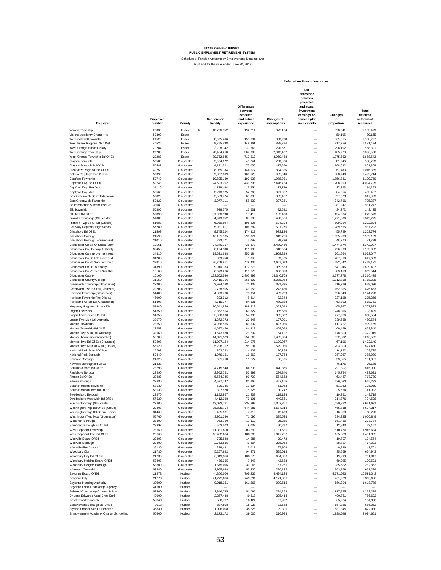|                                                                     |                              |                          |                                 |                    |                                                                                                    | Deferred outflows of resources                       |                             |                                               |
|---------------------------------------------------------------------|------------------------------|--------------------------|---------------------------------|--------------------|----------------------------------------------------------------------------------------------------|------------------------------------------------------|-----------------------------|-----------------------------------------------|
| Employer                                                            | Employer<br>number<br>County |                          | <b>Net pension</b><br>liability |                    | <b>Differences</b><br>between<br>expected<br>and actual<br>Changes of<br>experience<br>assumptions |                                                      | Changes<br>in<br>proportion | Total<br>deferred<br>outflows of<br>resources |
| Verona Township                                                     | 22030                        | Essex<br>\$              | 10,736,952                      | 192,714            | 1,072,124                                                                                          | -                                                    | 598,641                     | 1,863,479                                     |
| Visions Academy Charter Hs                                          | 50300                        | Essex                    |                                 |                    |                                                                                                    | $\overline{\phantom{0}}$                             | 80,165                      | 80,165                                        |
| West Caldwell Township                                              | 21520                        | Essex                    | 8,395,266                       | 150,684            | 838,298                                                                                            | -                                                    | 569,315                     | 1,558,297                                     |
| West Essex Regional Sch Dist                                        | 40520                        | Essex                    | 8.265.838                       | 148,361            | 825.374                                                                                            | ۰                                                    | 717,759                     | 1,691,494                                     |
| West Orange Public Library<br>West Orange Township                  | 20284<br>20280               | Essex<br>Essex           | 2,208,942<br>20.464.210         | 39,648<br>367,306  | 220,571<br>2,043,427                                                                               | ۰<br>-                                               | 298,102<br>485,773          | 558,321<br>2,896,506                          |
| West Orange Township Bd Of Ed                                       | 20283                        | Essex                    | 39.752.845                      | 713,512            | 3,969,468                                                                                          | -                                                    | 1,975,563                   | 6,658,543                                     |
| Clayton Borough                                                     | 50580                        | Gloucester               | 2,604,172                       | 46,741             | 260,036                                                                                            | -                                                    | 81,946                      | 388,723                                       |
| Clayton Borough Bd Of Ed                                            | 50583                        | Gloucester               | 4,181,721                       | 75,056             | 417.560                                                                                            | -                                                    | 168,692                     | 661,308                                       |
| Clearview Regional Bd Of Ed                                         | 40250                        | Gloucester               | 8,055,034                       | 144,577            | 804,325                                                                                            | -                                                    | 67,483                      | 1,016,385                                     |
| Delsea Reg High Sch District                                        | 57390                        | Gloucester               | 9,367,169                       | 168,128            | 935,346                                                                                            | -                                                    | 388,740                     | 1,492,214                                     |
| Deptford Township<br>Deptford Twp Bd Of Ed                          | 50740<br>50743               | Gloucester<br>Gloucester | 10,805,120<br>24,503,092        | 193,938<br>439,798 | 1,078,931<br>2,446,724                                                                             | L.<br>-                                              | 1,856,881<br>1,208,203      | 3,129,750<br>4,094,725                        |
| Deptford Twp Fire District                                          | 34110                        | Gloucester               | 738,444                         | 13,254             | 73,736                                                                                             | L.                                                   | 27,263                      | 114,253                                       |
| Deptford Twp Mua                                                    | 55560                        | Gloucester               | 3,218,375                       | 57,766             | 321,367                                                                                            | L.                                                   | 84,354                      | 463,487                                       |
| East Greenwich Bd Of Education                                      | 50823                        | Gloucester               | 3,559,774                       | 63,893             | 355,457                                                                                            | ٠                                                    | 397,673                     | 817,023                                       |
| East Greenwich Township                                             | 50820<br>32680               | Gloucester<br>Gloucester | 3,077,111                       | 55,230             | 307,261                                                                                            | ÷<br>۰                                               | 342,796                     | 705,287                                       |
| Ed Information & Resource Ctr<br><b>Elk Township</b>                | 50890                        | Gloucester               | 926,575                         | 16,631             | 92,522                                                                                             | L,                                                   | 981,247<br>34,272           | 981,247<br>143,425                            |
| Elk Twp Bd Of Ed                                                    | 50893                        | Gloucester               | 1.026.198                       | 18,419             | 102,470                                                                                            | -                                                    | 154,684                     | 275,573                                       |
| Franklin Township (Gloucester)                                      | 51080                        | Gloucester               | 4.913.052                       | 88,183             | 490,586                                                                                            | $\overline{\phantom{0}}$                             | 1,271,006                   | 1,849,775                                     |
| Franklin Twp Bd Of Ed (Glocstr)                                     | 51083                        | Gloucester               | 6,050,894                       | 108,606            | 604,204                                                                                            | L.                                                   | 509.994                     | 1.222.804                                     |
| Gateway Regional High School                                        | 57280                        | Gloucester               | 5,921,411                       | 106,282            | 591,275                                                                                            | L,<br>L.                                             | 289.665                     | 987.222                                       |
| Glassboro Bd Of Ed<br>Glassboro Borough                             | 21593<br>21590               | Gloucester<br>Gloucester | 9,745,524<br>16, 161, 305       | 174,919<br>290.074 | 973,126<br>1,613,766                                                                               | $\overline{\phantom{0}}$                             | 55,729<br>1,055,289         | 1,203,774<br>2,959,129                        |
| Glassboro Borough Housing Auth                                      | 31010                        | Gloucester               | 283,771                         | 5,093              | 28,336                                                                                             | -                                                    | 48,370                      | 81,799                                        |
| Gloucester Co Bd Of Social Serv                                     | 10161                        | Gloucester               | 24,340,117                      | 436,873            | 2,430,450                                                                                          | $\overline{\phantom{0}}$                             | 1,474,774                   | 4,342,097                                     |
| Gloucester Co Housing Authority                                     | 32450                        | Gloucester               | 6,194,900                       | 111,190            | 618,584                                                                                            | ÷                                                    | 426,208                     | 1.155.982                                     |
| Gloucester Co Improvement Auth                                      | 34310                        | Gloucester               | 19,621,698                      | 352,184            | 1,959,299                                                                                          | $\overline{\phantom{0}}$                             | 761.564                     | 3.073.047                                     |
| Gloucester Co Soil Conserv Dist<br>Gloucester Co Sp Serv Sch Dist   | 34200<br>32810               | Gloucester<br>Gloucester | 339,750<br>26.709.811           | 6,098<br>479,406   | 33,925<br>2,667,073                                                                                | -                                                    | 207,660<br>282,642          | 247.683<br>3,429,121                          |
| Gloucester Co Util Authority                                        | 31390                        | Gloucester               | 9,910,333                       | 177,878            | 989,583                                                                                            | -<br>-                                               | 641,946                     | 1,809,407                                     |
| Gloucester Co Vo-Tech Sch Dist                                      | 10163                        | Gloucester               | 6.673.266                       | 119,776            | 666,350                                                                                            | -                                                    | 83,418                      | 869,544                                       |
| Gloucester County                                                   | 10160                        | Gloucester               | 133,602,590                     | 2,397,992          | 13,340,709                                                                                         | $\overline{\phantom{0}}$                             | 3.577.778                   | 19.316.479                                    |
| Gloucester County College                                           | 31150                        | Gloucester               | 20,419,716                      | 366,507            | 2,038,984                                                                                          | $\overline{\phantom{0}}$                             | 1,312,818                   | 3,718,309                                     |
| Greenwich Township (Gloucester)                                     | 22200                        | Gloucester               | 3,924,088                       | 70,432             | 391,835                                                                                            | -                                                    | 216,769                     | 679,036                                       |
| Greenwich Twp Bd Ed (Gloucster)<br>Harrison Township (Gloucester)   | 22203<br>51400               | Gloucester<br>Gloucester | 2,738,805<br>4,398,730          | 49,158<br>78,951   | 273,480<br>439,229                                                                                 | L.<br>۰                                              | 152,815<br>626,548          | 475,453<br>1,144,728                          |
| Harrison Township Fire Dist #1                                      | 46000                        | Gloucester               | 323,912                         | 5,814              | 32,344                                                                                             | L.                                                   | 237,198                     | 275,356                                       |
| Harrison Twp Bd Ed (Gloucester)                                     | 51403                        | Gloucester               | 4,715,177                       | 84,631             | 470,828                                                                                            | L.                                                   | 63,302                      | 618,761                                       |
| Kingsway Regional School Dist                                       | 57440                        | Gloucester               | 10,541,856                      | 189,213            | 1,052,643                                                                                          | -                                                    | 465,967                     | 1,707,823                                     |
| Logan Township                                                      | 51850                        | Gloucester               | 3,862,514                       | 69,327             | 385,686                                                                                            | -                                                    | 248,396                     | 703,409                                       |
| Logan Township Bd Of Ed                                             | 51853                        | Gloucester               | 3,060,698                       | 54,936             | 305,622                                                                                            | -                                                    | 477,976                     | 838,534                                       |
| Logan Twp Mun Util Authority<br>Mantua Township                     | 32070<br>23650               | Gloucester<br>Gloucester | 1,272,772<br>4.986.555          | 22,845<br>89,502   | 127,091<br>497,926                                                                                 | $\overline{\phantom{0}}$<br>-                        | 339,638<br>411,727          | 489,574<br>999,155                            |
| Mantua Township Bd Of Ed                                            | 23653                        | Gloucester               | 4.697.450                       | 84,313             | 469,058                                                                                            | $\overline{\phantom{0}}$                             | 69,469                      | 622,840                                       |
| Mantua Twp Mun Util Authority                                       | 32960                        | Gloucester               | 1,643,680                       | 29,502             | 164,127                                                                                            | L.                                                   | 178,390                     | 372,019                                       |
| Monroe Township (Gloucester)                                        | 52200                        | Gloucester               | 14,071,529                      | 252,566            | 1,405,094                                                                                          | L,                                                   | 552,892                     | 2,210,552                                     |
| Monroe Twp Bd Of Ed (Gloucestr)                                     | 52203                        | Gloucester               | 11,927,124                      | 214,076            | 1,190,967                                                                                          | L.                                                   | 67.106                      | 1,472,149                                     |
| Monroe Twp Mun Ut Auth (Gloucs)                                     | 55920                        | Gloucester               | 5,298,112                       | 95,094             | 529,036                                                                                            | -                                                    | 203,300                     | 827,430                                       |
| National Park Board Of Educ<br>National Park Borough                | 26703<br>52340               | Gloucester<br>Gloucester | 802,723<br>1,079,121            | 14,408<br>19,369   | 80,155<br>107,754                                                                                  | $\overline{\phantom{0}}$<br>$\overline{\phantom{0}}$ | 14,162<br>257,957           | 108,725<br>385,080                            |
| Newfield Borough                                                    | 21820                        | Gloucester               | 661,718                         | 11,877             | 66,075                                                                                             | ÷                                                    | 53,355                      | 131,307                                       |
| Newfield Borough Bd Of Ed                                           | 21823                        | Gloucester               |                                 |                    |                                                                                                    | -                                                    | 76.176                      | 76,176                                        |
| Paulsboro Boro Bd Of Ed                                             | 23293                        | Gloucester               | 4,715,548                       | 84,638             | 470,865                                                                                            | -                                                    | 291,397                     | 846,900                                       |
| Paulsboro Borough                                                   | 23290                        | Gloucester               | 2,952,721                       | 52,997             | 294,840                                                                                            | -                                                    | 145,784                     | 493,621                                       |
| Pitman Bd Of Ed<br>Pitman Borough                                   | 22883<br>22880               | Gloucester<br>Gloucester | 5,554,745<br>4,577,747          | 99,700<br>82,165   | 554,662<br>457,105                                                                                 | -<br>-                                               | 63,427<br>426,023           | 717,789<br>965,293                            |
| South Harrison Township                                             | 53130                        | Gloucester               | 620,335                         | 11,134             | 61,943                                                                                             | ۰                                                    | 51,982                      | 125,059                                       |
| South Harrison Twp Bd Of Ed                                         | 53133                        | Gloucester               | 307,870                         | 5,526              | 30,742                                                                                             | -                                                    | 5.664                       | 41,932                                        |
| Swedesboro Borough                                                  | 22270                        | Gloucester               | 1.182.967                       | 21,233             | 118.124                                                                                            | ۰                                                    | 10.361                      | 149,718                                       |
| Swedesboro Woolwich Bd Of Ed                                        | 57520                        | Gloucester               | 4.412.068                       | 79.191             | 440,561                                                                                            |                                                      | 214,776                     | 734,528                                       |
| Washington Twp (Gloucester)<br>Washington Twp Bd Of Ed (Glouc)      | 22800<br>22803               | Glouceste<br>Gloucester  | 13,092,771<br>35,895,704        | 234,998<br>644,281 | 1,307,36<br>3,584,318                                                                              | —                                                    | 1,089,272<br>465,718        | 2.631.631<br>4,694,317                        |
| Washington Twp Bd Of Fire Comm                                      | 34460                        | Gloucester               | 435,631                         | 7,819              | 43,499                                                                                             | -                                                    | 16,978                      | 68,296                                        |
| Washington Twp Mua (Gloucester)                                     | 55760                        | Gloucester               | 3,961,080                       | 71,096             | 395,528                                                                                            | -                                                    | 534,225                     | 1,000,849                                     |
| Wenonah Borough                                                     | 23390                        | Gloucester               | 953,750                         | 17,119             | 95,235                                                                                             | $\overline{\phantom{0}}$                             | 161,430                     | 273,784                                       |
| Wenonah Borough Bd Of Ed<br>West Deptford Township                  | 23393<br>23660               | Gloucester<br>Gloucester | 503,503<br>11,331,890           | 9,037<br>203,393   | 50,277                                                                                             | -<br>$\overline{\phantom{0}}$                        | 12,843<br>610,760           | 72,157                                        |
| West Deptford Twp Bd Of Ed                                          | 23663                        | Gloucester               | 10,492,674                      | 188,330            | 1,131,531<br>1,047,732                                                                             | $\overline{\phantom{0}}$                             | 165,323                     | 1,945,684<br>1,401,385                        |
| Westville Board Of Ed                                               | 22893                        | Gloucester               | 795,888                         | 14,285             | 79,472                                                                                             | $\overline{\phantom{0}}$                             | 10,797                      | 104,554                                       |
| Westville Borough                                                   | 22890                        | Gloucester               | 2,763,665                       | 49,604             | 275,962                                                                                            | -                                                    | 88,727                      | 414,293                                       |
| Westville Fire District #1                                          | 35130                        | Gloucester               | 279,491                         | 5,017              | 27,908                                                                                             | $\overline{\phantom{0}}$                             | 9,836                       | 42,761                                        |
| Woodbury City                                                       | 21730                        | Gloucester               | 5,257,822                       | 94,371             | 525,013                                                                                            | $\overline{\phantom{0}}$                             | 35,559                      | 654,943                                       |
| Woodbury City Bd Of Ed<br>Woodbury Heights Board Of Ed              | 21733<br>53803               | Gloucester<br>Gloucester | 6,049,356<br>436,965            | 108,578<br>7,843   | 604,050<br>43,633                                                                                  | $\overline{\phantom{0}}$<br>-                        | 19,219<br>69,025            | 731,847<br>120,501                            |
| Woodbury Heights Borough                                            | 53800                        | Gloucester               | 1,675,096                       | 30,066             | 167,265                                                                                            | $\overline{\phantom{0}}$                             | 85,522                      | 282,853                                       |
| Woolwich Township                                                   | 53840                        | Gloucester               | 2,965,688                       | 53,230             | 296,135                                                                                            | $\overline{\phantom{0}}$                             | 303,859                     | 653,224                                       |
| Bayonne Board Of Ed                                                 | 21273                        | Hudson                   | 44,306,066                      | 795,236            | 4,424,123                                                                                          | $\overline{\phantom{0}}$                             | 5,371,683                   | 10,591,042                                    |
| <b>Bayonne City</b>                                                 | 21270                        | Hudson                   | 41,779,696                      | 749,891            | 4,171,856                                                                                          | $\overline{\phantom{0}}$                             | 461,939                     | 5,383,686                                     |
| <b>Bayonne Housing Authority</b><br>Bavonne Local Redevelop, Agency | 30290<br>41500               | Hudson<br>Hudson         | 9,018,361                       | 161,868<br>-       | 900,516                                                                                            | $\overline{\phantom{0}}$<br>$\overline{\phantom{0}}$ | 556,394                     | 1,618,778                                     |
| Beloved Community Charter School                                    | 52400                        | Hudson                   | 2,846,745                       | 51,095             | 284,258                                                                                            | $\overline{\phantom{0}}$                             | 917,885                     | 1.253.238                                     |
| Dr Lena Edwards Acad Chrtr Schl                                     | 49900                        | Hudson                   | 2,257,438                       | 40,518             | 225,413                                                                                            | $\overline{\phantom{0}}$                             | 490,761                     | 756,692                                       |
| East Newark Borough                                                 | 50840                        | Hudson                   | 580,767                         | 10,424             | 57,992                                                                                             | $\overline{\phantom{0}}$                             | 85,934                      | 154,350                                       |
| East Newark Borough Bd Of Ed                                        | 70013                        | Hudson                   | 837,808                         | 15,038             | 83,658                                                                                             | -                                                    | 557,356                     | 656,052                                       |
| Elysian Charter Sch Of Hoboken                                      | 35330                        | Hudson                   | 1,996,008                       | 35,826             | 199,309                                                                                            | -                                                    | 587,845                     | 822,980                                       |
| Empowerment Academy Charter School Inc                              | 55800                        | Hudson                   | 2,173,172                       | 39,006             | 216,999                                                                                            |                                                      | 1,828,646                   | 2,084,651                                     |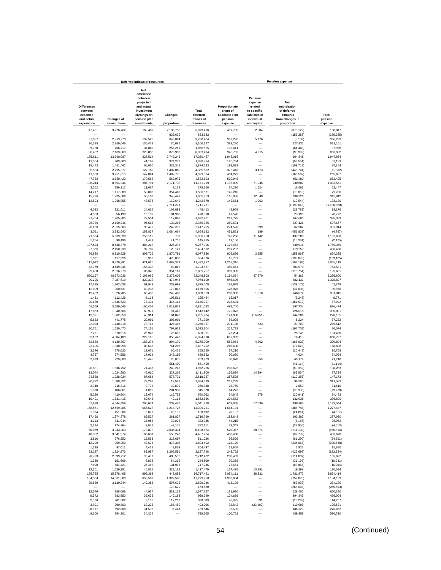| Deferred inflows of resources                           |                               |                                                                                                             |                             |                                 | <b>Pension expense</b>                                 |                                                                              |                                                                         |                              |  |  |
|---------------------------------------------------------|-------------------------------|-------------------------------------------------------------------------------------------------------------|-----------------------------|---------------------------------|--------------------------------------------------------|------------------------------------------------------------------------------|-------------------------------------------------------------------------|------------------------------|--|--|
| <b>Differences</b><br>between<br>expected<br>and actual | <b>Changes of</b>             | <b>Net</b><br>difference<br>between<br>projected<br>and actual<br>investment<br>earnings on<br>pension plan | Changes<br>in               | Total<br>deferred<br>inflows of | Proportionate<br>share of<br>allocable plan<br>pension | Pension<br>expense<br>related<br>to specific<br>liabilities of<br>individual | <b>Net</b><br>amortization<br>of deferred<br>amounts<br>from changes in | Total<br>pension             |  |  |
| experience                                              | assumptions                   | investments                                                                                                 | proportion                  | resources                       | expense                                                | employers                                                                    | proportion                                                              | expense                      |  |  |
| 47,431                                                  | 3,726,762                     | 169,487                                                                                                     | 2.135.736<br>833,632        | 6,079,416<br>833.632            | 497,785                                                | 2,384                                                                        | (370.122)                                                               | 130.047                      |  |  |
| 37,087                                                  | 2,913,970                     | 132,523                                                                                                     | 646.824                     | 3,730,404                       | 389,220                                                | 5,176                                                                        | (156, 285)<br>(8, 103)                                                  | (156, 285)<br>386,293        |  |  |
| 36,515                                                  | 2,869,046                     | 130.479                                                                                                     | 70,087                      | 3,106,127                       | 383.220                                                |                                                                              | 127,931                                                                 | 511,151                      |  |  |
| 9,758                                                   | 766,717                       | 34,869                                                                                                      | 255,211                     | 1,066,555                       | 102,411                                                | L.                                                                           | (64, 443)                                                               | 37,968                       |  |  |
| 90,402                                                  | 7,103,063<br>13,798,087       | 323,036                                                                                                     | 876,993<br>2,749,245        | 8,393,494                       | 948,759                                                | 4,215                                                                        | (98, 992)                                                               | 853,982                      |  |  |
| 175,611<br>11,504                                       | 903,900                       | 627,514<br>41,108                                                                                           | 374,272                     | 17,350,457<br>1,330,784         | 1,843,016<br>120,734                                   | -                                                                            | 104,848<br>(53, 551)                                                    | 1,947,864<br>67,183          |  |  |
| 18,473                                                  | 1,451,462                     | 66,010                                                                                                      | 338,348                     | 1,874,293                       | 193.872                                                |                                                                              | (109, 718)                                                              | 84,154                       |  |  |
| 35,584                                                  | 2,795,877                     | 127,152                                                                                                     | 1,407,069                   | 4,365,682                       | 373,446                                                | 3,413                                                                        | (448, 741)                                                              | (71, 882)                    |  |  |
| 41,380<br>47,732                                        | 3,251,315<br>3,750,423        | 147,864<br>170.563                                                                                          | 1,482,775<br>563,975        | 4,923,334<br>4,532,693          | 434,279<br>500,945                                     |                                                                              | (168, 582)<br>451.480                                                   | 265,697<br>952.425           |  |  |
| 108,244                                                 | 8,504,946                     | 386,791                                                                                                     | 2.171.738                   | 11,171,719                      | 1,136,009                                              | 71,945                                                                       | 230,607                                                                 | 1,438,561                    |  |  |
| 3.262                                                   | 256,312                       | 11,657                                                                                                      | 7,129                       | 278,360                         | 34.236                                                 | 1,524                                                                        | 16,687                                                                  | 52.447                       |  |  |
| 14.217<br>15.726                                        | 1,117,088<br>1,235,586        | 50,803<br>56.192                                                                                            | 354,463<br>348,449          | 1,536,571<br>1,655,953          | 149.210<br>165,038                                     | 12.548                                                                       | (70, 010)<br>138,226                                                    | 79,200<br>315,812            |  |  |
| 13,593                                                  | 1,068,055                     | 48,573                                                                                                      | 112,649                     | 1,242,870                       | 142,661                                                | 1,063                                                                        | (10, 544)                                                               | 133,180                      |  |  |
|                                                         |                               |                                                                                                             | 7,711,271                   | 7,711,271                       |                                                        |                                                                              | (1, 190, 068)                                                           | (1, 190, 068)                |  |  |
| 4,093                                                   | 321,611                       | 14,626                                                                                                      | 108,083                     | 448,413                         | 42,958                                                 |                                                                              | (23, 782)                                                               | 19,176                       |  |  |
| 4,533<br>21,704                                         | 356,190<br>1,705,305          | 16,199<br>77,554                                                                                            | 101,988<br>117,898          | 478,910<br>1,922,461            | 47,576<br>227,778                                      |                                                                              | 23,196<br>167,605                                                       | 70,772<br>395,383            |  |  |
| 26,730                                                  | 2,100,246                     | 95,516                                                                                                      | 133,293                     | 2,355,785                       | 280,531                                                |                                                                              | 227,126                                                                 | 507,657                      |  |  |
| 26,158                                                  | 2,055,303                     | 93,472                                                                                                      | 242,272                     | 2,417,205                       | 274,528                                                | 399                                                                          | 62,987                                                                  | 337,914                      |  |  |
| 43,051                                                  | 3,382,640                     | 153,837                                                                                                     | 1,084,664                   | 4,664,192                       | 451,821                                                | 189                                                                          | (456, 807)                                                              | (4, 797)                     |  |  |
| 71,394<br>1.254                                         | 5,609,538<br>98.496           | 255,112<br>4,479                                                                                            | 706<br>41,706               | 5,936,750<br>145.935            | 749,268<br>13.156                                      | 11.142                                                                       | 437.288<br>(15, 331)                                                    | 1,197,698<br>(2, 175)        |  |  |
| 107.524                                                 | 8.448.378                     | 384,218                                                                                                     | 327,276                     | 9,267,396                       | 1,128,453                                              |                                                                              | 630.916                                                                 | 1,759,369                    |  |  |
| 27,366                                                  | 2,150,230                     | 97,789                                                                                                      | 129,127                     | 2.404.512                       | 287.207                                                |                                                                              | 119,259                                                                 | 406.466                      |  |  |
| 86,680                                                  | 6,810,629                     | 309.736                                                                                                     | 1,870,791                   | 9,077,836                       | 909,698                                                | 3.655                                                                        | (258, 968)                                                              | 654.385                      |  |  |
| 1,501<br>117,992                                        | 117,926<br>9,270,891          | 5,363<br>421,625                                                                                            | 470,036<br>1,682,379        | 594,826<br>11,492,887           | 15,751<br>1,238,316                                    |                                                                              | (138, 876)<br>(193, 198)                                                | (123, 125)<br>1,045,118      |  |  |
| 43,779                                                  | 3,439,845                     | 156,438                                                                                                     | 83,815                      | 3,723,877                       | 459,461                                                |                                                                              | 304,070                                                                 | 763,531                      |  |  |
| 29,480                                                  | 2,316,270                     | 105,340                                                                                                     | 354,167                     | 2,805,257                       | 309,385                                                |                                                                              | (113, 754)                                                              | 195,631                      |  |  |
| 590.197                                                 | 46,373,036                    | 2,108,969<br>322,333                                                                                        | 3,276,606                   | 52.348.808                      | 6,194,064<br>946.696                                   | 47,370                                                                       | 54,166                                                                  | 6,295,600<br>1,328,827       |  |  |
| 90,205<br>17,335                                        | 7,087,619<br>1,362,038        | 61,943                                                                                                      | 473,943<br>233,693          | 7,974,100<br>1,675,009          | 181,928                                                |                                                                              | 382,131<br>(139, 179)                                                   | 42,749                       |  |  |
| 12,099                                                  | 950,631                       | 43,233                                                                                                      | 173,843                     | 1.179.806                       | 126,976                                                |                                                                              | (37,006)                                                                | 89,970                       |  |  |
| 19,432                                                  | 1,526,785                     | 69,436                                                                                                      | 242,400                     | 1.858.053                       | 203,933                                                | 1,810                                                                        | 146.072                                                                 | 351,815                      |  |  |
| 1,431<br>20,830                                         | 112,429<br>1,636,623          | 5,113<br>74,431                                                                                             | 106,511<br>415,113          | 225.484<br>2.146.997            | 15.017<br>218,604                                      |                                                                              | (5, 246)<br>(151, 512)                                                  | 9.771<br>67,092              |  |  |
| 46,569                                                  | 3,659,045                     | 166,407                                                                                                     | 1,019,072                   | 4,891,093                       | 488,740                                                | -                                                                            | 197,734                                                                 | 686,474                      |  |  |
| 17,063                                                  | 1,340,666                     | 60,971                                                                                                      | 94,442                      | 1,513,142                       | 179,073                                                |                                                                              | 126,018                                                                 | 305,091                      |  |  |
| 13,521                                                  | 1,062,359                     | 48,314                                                                                                      | 161,040                     | 1,285,234                       | 141,900                                                | (16, 051)                                                                    | 144,286                                                                 | 270,135                      |  |  |
| 5,623<br>22,028                                         | 441,775<br>1,730,818          | 20,091<br>78,715                                                                                            | 303,901<br>427,406          | 771,390<br>2,258,967            | 59,008<br>231,186                                      | 623                                                                          | 8,224<br>27,703                                                         | 67,232<br>259,512            |  |  |
| 20,751                                                  | 1,630,470                     | 74,151                                                                                                      | 797,932                     | 2,523,304                       | 217,782                                                |                                                                              | (197, 708)                                                              | 20,074                       |  |  |
| 7,261                                                   | 570,516                       | 25,946                                                                                                      | 26,668                      | 630,391                         | 76,204                                                 |                                                                              | 25,246                                                                  | 101,450                      |  |  |
| 62,162                                                  | 4,884,183                     | 222,125                                                                                                     | 856,440                     | 6,024,910                       | 652,382                                                |                                                                              | 16,415                                                                  | 668,797                      |  |  |
| 52,689<br>23,405                                        | 4,139,867<br>1,838,958        | 188,274<br>83,633                                                                                           | 894,170<br>741,206          | 5,275,000<br>2,687,202          | 552,964<br>245,630                                     | 4,762                                                                        | (166, 922)<br>(77, 022)                                                 | 390,804<br>168,608           |  |  |
| 3.546                                                   | 278,623                       | 12,671                                                                                                      | 60,425                      | 355,265                         | 37.216                                                 | ۰                                                                            | (20, 448)                                                               | 16,768                       |  |  |
| 4.767                                                   | 374,559                       | 17,034                                                                                                      | 243,192                     | 639.552                         | 50,030                                                 |                                                                              | 4,034                                                                   | 54,064                       |  |  |
| 2,923                                                   | 229,680                       | 10,445                                                                                                      | 20,855<br>551,490           | 263,903<br>551,490              | 30,678                                                 | 358                                                                          | 40,174                                                                  | 71,210<br>(41, 114)          |  |  |
| 20,831                                                  | 1,636,752                     | 74,437                                                                                                      | 240,246                     | 1,972,266                       | 218,622                                                | ÷                                                                            | (41, 114)<br>(80, 359)                                                  | 138.263                      |  |  |
| 13,044                                                  | 1,024,880                     | 46,610                                                                                                      | 327,266                     | 1,411,800                       | 136,894                                                | 14,394                                                                       | (63, 564)                                                               | 87,724                       |  |  |
| 24,538                                                  | 1,928,034                     | 87,684                                                                                                      | 578,731                     | 2,618,987                       | 257,528                                                |                                                                              | (110, 355)                                                              | 147,173                      |  |  |
| 20,222<br>2.740                                         | 1,588,922<br>215,316          | 72,262<br>9,792                                                                                             | 12,993<br>32,890            | 1,694,399<br>260,738            | 212,233<br>28,760                                      |                                                                              | 99,300<br>2,850                                                         | 311,533<br>31,610            |  |  |
| 1,360                                                   | 106,861                       | 4,860                                                                                                       | 201,939                     | 315,020                         | 14,273                                                 |                                                                              | (93, 993)                                                               | (79, 720)                    |  |  |
| 5.226                                                   | 410.604                       | 18.674                                                                                                      | 115,758                     | 550.262                         | 54.845                                                 | 579                                                                          | (20, 941)                                                               | 34,483                       |  |  |
| 19,491                                                  | 1,531,415                     | 69,646                                                                                                      | 42.114                      | 1,662,666                       | 204.552                                                |                                                                              | 132,038                                                                 | 336,590                      |  |  |
| 57.838<br>158.571                                       | 4.544.459<br>12,459,285       | 206.674<br>566.628                                                                                          | 232.447<br>1,214,727        | 5.041.418<br>14,399,211         | 607,005<br>1,664,191                                   | 17.636<br>-                                                                  | 498.903<br>(386, 744)                                                   | 1.123.544<br>1,277,447       |  |  |
| 1,924                                                   | 151,206                       | 6,877                                                                                                       | 28.185                      | 188,192                         | 20,197                                                 | -                                                                            | (24, 814)                                                               | (4, 617)                     |  |  |
| 17,498                                                  | 1,374,878                     | 62,527                                                                                                      | 261,837                     | 1,716,740                       | 183,643                                                | $\overline{\phantom{0}}$                                                     | 103,387                                                                 | 287,030                      |  |  |
| 4,213                                                   | 331,044                       | 15,055                                                                                                      | 32,023                      | 382,335                         | 44,218                                                 | $\overline{\phantom{0}}$<br>$\overline{\phantom{0}}$                         | (6, 156)                                                                | 38,062                       |  |  |
| 2,224<br>50,059                                         | 174,764<br>3,933,263          | 7,948<br>178,878                                                                                            | 147,175<br>2,036,374        | 332,111<br>6,198,574            | 23,343<br>525,367                                      | 28,871                                                                       | (27, 956)<br>(711, 132)                                                 | (4,613)<br>(156, 894)        |  |  |
| 46,352                                                  | 3,641,974                     | 165,631                                                                                                     | 553,247                     | 4,407,204                       | 486,460                                                |                                                                              | (82, 782)                                                               | 403,678                      |  |  |
| 3,516                                                   | 276,250                       | 12,563                                                                                                      | 218,697                     | 511,026                         | 36,899                                                 | -                                                                            | (61, 290)                                                               | (24, 391)                    |  |  |
| 12,209                                                  | 959,259                       | 43,626                                                                                                      | 878,308                     | 1,893,402                       | 128,129                                                |                                                                              | (234, 667)                                                              | (106, 538)                   |  |  |
| 1,235<br>23,227                                         | 97,011<br>1,824,973           | 4,412<br>82,997                                                                                             | 1,839<br>1,266,551          | 104,497<br>3,197,748            | 12,958<br>243,762                                      |                                                                              | 2,922<br>(426, 696)                                                     | 15,880<br>(182, 934)         |  |  |
| 26,723                                                  | 2,099,712                     | 95.491                                                                                                      | 490,506                     | 2,712,432                       | 280,459                                                |                                                                              | (114, 837)                                                              | 165,622                      |  |  |
| 1,930                                                   | 151,669                       | 6,898                                                                                                       | 84,312                      | 244,809                         | 20,258                                                 |                                                                              | (31, 199)                                                               | (10, 941)                    |  |  |
| 7,400                                                   | 581,421                       | 26,442                                                                                                      | 131,973                     | 747,236                         | 77,661                                                 |                                                                              | (83, 865)                                                               | (6, 204)                     |  |  |
| 13,101<br>195,725                                       | 1,029,381<br>15,378,495       | 46,815<br>699,388                                                                                           | 328,182<br>443,883          | 1,417,479<br>16,717,491         | 137,495<br>2.054.111                                   | 13,291<br>38,331                                                             | 19,298<br>1,781,972                                                     | 170,084<br>3,874,414         |  |  |
|                                                         | 14,501,600                    | 659,509                                                                                                     | 1,927,585                   | 17,273,258                      | 1,936,984                                              |                                                                              | (752, 875)                                                              | 1,184,109                    |  |  |
| 184,564                                                 | 3,130,244                     | 142,358                                                                                                     | 507,605                     | 3,820,046                       | 418,108                                                |                                                                              | (83,928)                                                                | 334,180                      |  |  |
| 39,839                                                  |                               |                                                                                                             |                             |                                 |                                                        |                                                                              | (265, 603)                                                              | (265, 603)                   |  |  |
|                                                         |                               |                                                                                                             | 173,620                     | 173,620                         |                                                        |                                                                              |                                                                         |                              |  |  |
| 12,576                                                  | 988,096                       | 44,937                                                                                                      | 532,118                     | 1,577,727                       | 131,980                                                |                                                                              | 528,400                                                                 | 660,380                      |  |  |
| 9,972                                                   | 783,550                       | 35,635                                                                                                      | 140,183                     | 969,340                         | 104,659                                                | 631                                                                          | 394,345                                                                 | 499,004                      |  |  |
| 2,566<br>3,701<br>8,817                                 | 201,582<br>290,800<br>692,808 | 9,168<br>13,225<br>31,508                                                                                   | 117,267<br>185,480<br>6,413 | 330,583<br>493,206<br>739,546   | 26,925<br>38,842<br>92,539                             | (23, 409)                                                                    | (13, 299)<br>110,098<br>186,323                                         | 14,257<br>125,531<br>278,862 |  |  |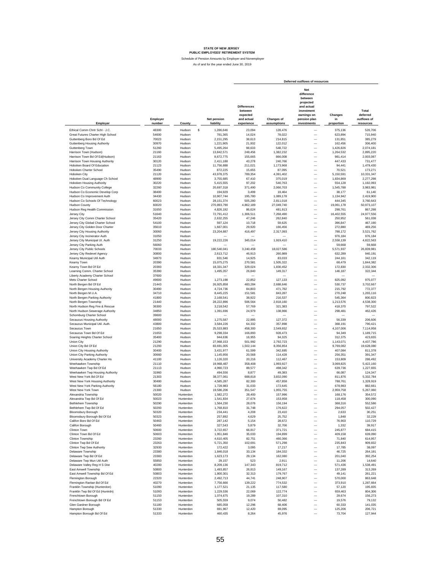Schedule of Pension Amounts by Employer and Nonemployer

|                                                          |                    |                        |                                 | Deferred outflows of resources                                        |                           |                                                                                                                     |                             |                                               |  |
|----------------------------------------------------------|--------------------|------------------------|---------------------------------|-----------------------------------------------------------------------|---------------------------|---------------------------------------------------------------------------------------------------------------------|-----------------------------|-----------------------------------------------|--|
| Employer                                                 | Employer<br>number | County                 | <b>Net pension</b><br>liability | <b>Differences</b><br>between<br>expected<br>and actual<br>experience | Changes of<br>assumptions | Net<br>difference<br>between<br>projected<br>and actual<br>investment<br>earnings on<br>pension plan<br>investments | Changes<br>in<br>proportion | Total<br>deferred<br>outflows of<br>resources |  |
| Ethical Comm Chrtr Schl - J.C.                           | 48300              | \$<br>Hudson           | 1,286,646                       | 23,094                                                                | 128,476                   | -                                                                                                                   | 375,136                     | 526,706                                       |  |
| Great Futures Charter High School                        | 54600              | Hudson                 | 781,365                         | 14,024                                                                | 78,022                    | $\overline{\phantom{0}}$                                                                                            | 623,894                     | 715,940                                       |  |
| Guttenberg Boro Bd Of Ed                                 | 70023              | Hudson                 | 2,151,295                       | 38,613                                                                | 214,815                   | $\overline{\phantom{0}}$                                                                                            | 131,851                     | 385,279                                       |  |
| Guttenberg Housing Authority                             | 30970              | Hudson                 | 1,221,905                       | 21,932                                                                | 122,012                   | $\overline{\phantom{0}}$                                                                                            | 162,456                     | 306,400                                       |  |
| Guttenberg Town                                          | 51260              | Hudson                 | 5,495,264                       | 98,633                                                                | 548,722                   | $\overline{\phantom{0}}$                                                                                            | 1,426,826                   | 2,074,181                                     |  |
| Harrison Town (Hudson)                                   | 21160              | Hudson                 | 13,842,571                      | 248,456                                                               | 1,382,232                 | $\overline{\phantom{0}}$                                                                                            | 1,264,532                   | 2,895,220                                     |  |
| Harrison Town Bd Of Ed(Hudson)                           | 21163              | Hudson                 | 8,672,775                       | 155,665                                                               | 866,008                   | $\overline{\phantom{0}}$                                                                                            | 981,414                     | 2,003,087                                     |  |
| Harrison Town Housing Authority                          | 30120<br>21123     | Hudson<br>Hudson       | 2,411,188                       | 43,278                                                                | 240,766                   | $\overline{\phantom{0}}$<br>-                                                                                       | 447,433                     | 731,477<br>1,479,430                          |  |
| Hoboken Board Of Education<br>Hoboken Charter School     | 35490              | Hudson                 | 11,756,888<br>872,225           | 211,021<br>15,655                                                     | 1,173,968<br>87,095       | $\overline{\phantom{0}}$                                                                                            | 94,441<br>70,521            | 173,271                                       |  |
| Hoboken City                                             | 21120              | Hudson                 | 43,978,375                      | 789,354                                                               | 4,391,402                 | $\overline{\phantom{0}}$                                                                                            | 5,150,591                   | 10,331,347                                    |  |
| Hoboken Dual Language Ch School                          | 48900              | Hudson                 | 3.755.685                       | 67,410                                                                | 375,019                   |                                                                                                                     | 1.834.869                   | 2,277,298                                     |  |
| <b>Hoboken Housing Authority</b>                         | 30220              | Hudson                 | 5,415,555                       | 97,202                                                                | 540,763                   |                                                                                                                     | 554.128                     | 1,192,093                                     |  |
| Hudson Co Community College                              | 32260              | Hudson                 | 20,697,318                      | 371,490                                                               | 2,066,703                 |                                                                                                                     | 1,545,788                   | 3,983,981                                     |  |
| Hudson Co Economic Develop Corp                          | 38400              | Hudson                 | 194.929                         | 3,499                                                                 | 19,464                    |                                                                                                                     | 38.177                      | 61,140                                        |  |
| Hudson Co Improvement Auth                               | 34430              | Hudson                 | 10,907,744                      | 195.780                                                               | 1,089,178                 |                                                                                                                     | 1,134,942                   | 2,419,900                                     |  |
| Hudson Co Schools Of Technology<br><b>Hudson County</b>  | 60023<br>60020     | Hudson<br>Hudson       | 28, 151, 374<br>270,893,790     | 505.280<br>4,862,189                                                  | 2,811,018<br>27,049,740   | $\overline{\phantom{0}}$                                                                                            | 444.345<br>19,061,178       | 3,760,643<br>50,973,107                       |  |
| Hudson Reg Health Commission                             | 31650              | Hudson                 | 4,826,192                       | 86,624                                                                | 481,913                   | $\overline{\phantom{0}}$                                                                                            | 298,761                     | 867,298                                       |  |
| Jersey City                                              | 51640              | Hudson                 | 72,791,412                      | 1,306,511                                                             | 7,268,490                 | $\overline{\phantom{0}}$                                                                                            | 16,402,555                  | 24,977,556                                    |  |
| Jersey City Comm Charter School                          | 35420              | Hudson                 | 2,632,255                       | 47,246                                                                | 262,840                   | $\overline{\phantom{0}}$                                                                                            | 250,952                     | 561,038                                       |  |
| Jersey City Global Charter School                        | 54100              | Hudson                 | 597,124                         | 10,718                                                                | 59,625                    | $\overline{\phantom{0}}$                                                                                            | 396.847                     | 467,190                                       |  |
| Jersey City Golden Door Charter                          | 35610              | Hudson                 | 1,667,001                       | 29.920                                                                | 166,456                   | $\overline{\phantom{0}}$                                                                                            | 272,880                     | 469,256                                       |  |
| Jersey City Housing Authority                            | 30060              | Hudson                 | 23,204,887                      | 416,497                                                               | 2,317,093                 | $\overline{\phantom{0}}$                                                                                            | 788,172                     | 3,521,762                                     |  |
| Jersey City Incinerator Auth                             | 31050              | Hudson                 |                                 |                                                                       |                           | $\overline{\phantom{0}}$                                                                                            | 976,184                     | 976,184                                       |  |
| Jersey City Municipal Ut. Auth                           | 31250              | Hudson                 | 19,222,226                      | 345,014                                                               | 1,919,410                 | $\overline{\phantom{0}}$                                                                                            | 2,558,139                   | 4.822.563                                     |  |
| Jersey City Parking Auth                                 | 56060<br>70033     | Hudson<br>Hudson       |                                 |                                                                       |                           | $\overline{\phantom{0}}$<br>$\overline{\phantom{a}}$                                                                | 59,668                      | 59,668<br>26.839.981                          |  |
| Jersey City Public Schools<br>Jersey City Redevel Agency | 30800              | Hudson                 | 180,540,041<br>2,613,712        | 3,240,458<br>46,913                                                   | 18,027,586<br>260,989     | $\overline{\phantom{a}}$                                                                                            | 5,571,937<br>632,289        | 940,191                                       |  |
| Kearny Municipal Util Auth                               | 34970              | Hudson                 | 831,546                         | 14.925                                                                | 83,033                    | $\overline{\phantom{a}}$                                                                                            | 244,161                     | 342,119                                       |  |
| Kearny Town                                              | 20390              | Hudson                 | 15,075,275                      | 270,581                                                               | 1,505,322                 | $\overline{\phantom{0}}$                                                                                            | 68,479                      | 1,844,382                                     |  |
| Kearny Town Bd Of Ed                                     | 20393              | Hudson                 | 18,331,347                      | 329,024                                                               | 1,830,452                 | $\overline{\phantom{0}}$                                                                                            | 172,830                     | 2,332,306                                     |  |
| Learning Comm. Charter School                            | 35390              | Hudson                 | 1,495,357                       | 26,840                                                                | 149,317                   | $\overline{\phantom{0}}$                                                                                            | 146,187                     | 322,344                                       |  |
| Liberty Academy Charter School                           | 37600              | Hudson                 |                                 |                                                                       |                           | -                                                                                                                   |                             |                                               |  |
| Mets Charter School                                      | 49600              | Hudson                 | 1,273,198                       | 22,852                                                                | 127,133                   | $\overline{\phantom{0}}$                                                                                            | 825,092                     | 975,077                                       |  |
| North Bergen Bd Of Ed                                    | 21443              | Hudson                 | 26,925,858                      | 483,284                                                               | 2,688,646                 | $\overline{\phantom{0}}$                                                                                            | 530,737                     | 3,702,667                                     |  |
| North Bergen Housing Authority<br>North Bergen M.U.A.    | 30490<br>34710     | Hudson<br>Hudson       | 4,724,736<br>8,445,225          | 84,803<br>151,581                                                     | 471,782<br>843,287        | $\overline{\phantom{0}}$                                                                                            | 215,792<br>270,248          | 772,377<br>1,265,116                          |  |
| North Bergen Parking Authority                           | 41800              | Hudson                 | 2,168,541                       | 38,922                                                                | 216,537                   | $\overline{\phantom{0}}$                                                                                            | 545,364                     | 800,823                                       |  |
| North Bergen Township                                    | 21440              | Hudson                 | 28,222,896                      | 506,564                                                               | 2,818,160                 | $\overline{\phantom{0}}$                                                                                            | 1,213,576                   | 4,538,300                                     |  |
| North Hudson Reg Fire & Rescue                           | 36300              | Hudson                 | 3,218,542                       | 57,769                                                                | 321,383                   | $\overline{\phantom{0}}$                                                                                            | 418,370                     | 797,522                                       |  |
| North Hudson Sewerage Authority                          | 34850              | Hudson                 | 1,391,696                       | 24,979                                                                | 138,966                   | $\overline{\phantom{0}}$                                                                                            | 298,481                     | 462,426                                       |  |
| Schomburg Charter School                                 | 39600              | Hudson                 |                                 |                                                                       |                           | L,                                                                                                                  |                             |                                               |  |
| Secaucus Housing Authority                               | 48000              | Hudson                 | 1,275,587                       | 22,895                                                                | 127,372                   | $\frac{1}{2}$                                                                                                       | 56,339                      | 206,606                                       |  |
| Secaucus Municipal Util. Auth.<br>Secaucus Town          | 43800<br>21650     | Hudson<br>Hudson       | 3,584,226<br>25,533,883         | 64,332<br>458,300                                                     | 357,898<br>2,549,652      |                                                                                                                     | 368,191<br>4,107,006        | 790,421<br>7,114,958                          |  |
| Secaucus Town Bd Of Ed                                   | 21653              | Hudson                 | 9.298.334                       | 166,893                                                               | 928.473                   | $\overline{\phantom{0}}$                                                                                            | 94.349                      | 1,189,715                                     |  |
| Soaring Heights Charter School                           | 35400              | Hudson                 | 944.636                         | 16,955                                                                | 94.325                    | $\overline{\phantom{0}}$                                                                                            | 312,375                     | 423,655                                       |  |
| Union City                                               | 21290              | Hudson                 | 27,968,153                      | 501,992                                                               | 2,792,723                 | $\overline{\phantom{0}}$                                                                                            | 1,143,071                   | 4,437,786                                     |  |
| Union City Bd Of Ed                                      | 21293              | Hudson                 | 83,691,005                      | 1,502,144                                                             | 8,356,854                 | $\overline{\phantom{0}}$                                                                                            | 9,769,082                   | 19,628,080                                    |  |
| Union City Housing Authority                             | 30400              | Hudson                 | 3,431,977                       | 61,599                                                                | 342,695                   | $\overline{\phantom{0}}$                                                                                            | 407,084                     | 811,378                                       |  |
| Union City Parking Authority                             | 30660              | Hudson                 | 1.145.956                       | 20,568                                                                | 114,428                   | $\overline{\phantom{0}}$                                                                                            | 256,351                     | 391,347                                       |  |
| University Academy Charter Hs                            | 41100<br>21110     | Hudson<br>Hudson       | 1,126,320                       | 20,216                                                                | 112,467                   | $\overline{\phantom{a}}$<br>$\overline{\phantom{a}}$                                                                | 153,809                     | 286.492                                       |  |
| Weehawken Township<br>Weehawken Twp Bd Of Ed             | 21113              | Hudson                 | 19,968,487<br>4,990,723         | 358,408<br>89,577                                                     | 1,993,927<br>498,342      | $\overline{\phantom{a}}$                                                                                            | 3,069,825<br>639,736        | 5,422,160<br>1.227.655                        |  |
| Weehawken Twp Housing Authority                          | 31960              | Hudson                 | 494,556                         | 8,877                                                                 | 49,383                    | $\overline{\phantom{0}}$                                                                                            | 66,087                      | 124,347                                       |  |
| West New York Bd Of Ed                                   | 21303              | Hudson                 | 38,377,061                      | 688,818                                                               | 3,832,090                 | $\overline{\phantom{0}}$                                                                                            | 811,876                     | 5,332,784                                     |  |
| West New York Housing Authority                          | 30480              | Hudson                 | 4,585,287                       | 82,300                                                                | 457,858                   | ÷,                                                                                                                  | 788,761                     | 1,328,919                                     |  |
| West New York Parking Authority                          | 56180              | Hudson                 | 1,728,983                       | 31,033                                                                | 172,645                   | ÷                                                                                                                   | 678,983                     | 882,661                                       |  |
| West New York Town                                       | 21300              | Hudson                 | 19,586,206                      | 351,547                                                               | 1,955,755                 |                                                                                                                     | 2,959,758                   | 5,267,060                                     |  |
| Alexandria Township<br>Alexandria Twp Bd Of Ed           | 50020<br>50023     | Hunterdon<br>Hunterdon | 1,582,272<br>1.541.834          | 28,400<br>27.674                                                      | 157,996<br>153.958        |                                                                                                                     | 168,176<br>118.458          | 354,572<br>300.090                            |  |
| <b>Bethlehem Township</b>                                | 50290              | Hunterdon              | 1,564,230                       | 28,076                                                                | 156,194                   |                                                                                                                     | 368,316                     | 552,586                                       |  |
| Bethlehem Twp Bd Of Ed                                   | 50293              | Hunterdon              | 1,768,810                       | 31,748                                                                | 176,622                   |                                                                                                                     | 294,057                     | 502,427                                       |  |
| <b>Bloomsbury Borough</b>                                | 50320              | Hunterdon              | 234,441                         | 4,208                                                                 | 23,410                    | $\overline{\phantom{0}}$                                                                                            | 2,633                       | 30,251                                        |  |
| Bloomsbury Borough Bd Of Ed                              | 50323              | Hunterdon              | 257,892                         | 4,629                                                                 | 25,752                    | $\overline{\phantom{0}}$                                                                                            | 1,848                       | 32,229                                        |  |
| Califon Boro Bd Of Ed                                    | 50463              | Hunterdon              | 287,142                         | 5,154                                                                 | 28,672                    | $\overline{\phantom{0}}$                                                                                            | 76,903                      | 110,729                                       |  |
| Califon Borough                                          | 50460              | Hunterdon              | 327,543                         | 5,879                                                                 | 32,706                    | $\overline{\phantom{0}}$                                                                                            | 1,332                       | 39,917                                        |  |
| Clinton Town                                             | 50600              | Hunterdon              | 3,722,657                       | 66,817                                                                | 371,721                   | $\overline{\phantom{0}}$                                                                                            | 245,877                     | 684,415                                       |  |
| Clinton Town Bd Of Ed                                    | 50603              | Hunterdon              | 1,951,846                       | 35,033                                                                | 194,899                   | $\overline{\phantom{0}}$                                                                                            | 409,158                     | 639,090                                       |  |
| Clinton Township                                         | 23260              | Hunterdon              | 4,610,405                       | 82,751                                                                | 460,366                   | $\overline{\phantom{0}}$                                                                                            | 71,840                      | 614,957<br>909.832                            |  |
| Clinton Twp Bd Of Ed<br>Clinton Twp Sew Authority        | 23263<br>32930     | Hunterdon<br>Hunterdon | 5,721,350<br>172,422            | 102.691<br>3,095                                                      | 571,298<br>17,217         | $\overline{\phantom{0}}$<br>$\overline{\phantom{0}}$                                                                | 235,843<br>17,785           | 38,097                                        |  |
| Delaware Township                                        | 23380              | Hunterdon              | 1,846,018                       | 33,134                                                                | 184,332                   | $\overline{\phantom{0}}$                                                                                            | 46,725                      | 264,191                                       |  |
| Delaware Twp Bd Of Ed                                    | 23383              | Hunterdon              | 1,623,173                       | 29,134                                                                | 162,080                   | $\overline{\phantom{0}}$                                                                                            | 201,040                     | 392,254                                       |  |
| Delaware Twp Mun Util Auth                               | 55850              | Hunterdon              | 29.157                          | 523                                                                   | 2,911                     | $\overline{\phantom{0}}$                                                                                            | 11,206                      | 14,640                                        |  |
| Delaware Valley Reg H S Dist                             | 40280              | Hunterdon              | 8,209,136                       | 147,343                                                               | 819,712                   | $\overline{\phantom{0}}$                                                                                            | 571,436                     | 1,538,491                                     |  |
| East Amwell Township                                     | 50800              | Hunterdon              | 1,493,857                       | 26,813                                                                | 149,167                   | $\overline{\phantom{a}}$                                                                                            | 137,289                     | 313,269                                       |  |
| East Amwell Township Bd Of Ed                            | 50803              | Hunterdon              | 1,800,301                       | 32.313                                                                | 179,767                   | $\overline{\phantom{0}}$                                                                                            | 49,141                      | 261,221                                       |  |
| Flemington Borough                                       | 22320              | Hunterdon              | 2,492,713                       | 44,741                                                                | 248,907                   | $\overline{\phantom{0}}$                                                                                            | 570,000                     | 863,648                                       |  |
| Flemington Raritan Bd Of Ed                              | 40270              | Hunterdon              | 7,756,666                       | 139,222                                                               | 774,532                   | $\overline{\phantom{0}}$                                                                                            | 373,910                     | 1,287,664                                     |  |
| Franklin Township (Hunterdon)                            | 51090              | Hunterdon              | 1,177,521                       | 21,135                                                                | 117,580                   | $\overline{\phantom{0}}$<br>$\overline{\phantom{0}}$                                                                | 57,120                      | 195,835                                       |  |
| Franklin Twp Bd Of Ed (Huntrdn)<br>Frenchtown Borough    | 51093<br>51150     | Hunterdon<br>Hunterdon | 1,229,536<br>1,074,675          | 22,069<br>19,289                                                      | 122,774<br>107,310        | ÷,                                                                                                                  | 659,463<br>29,674           | 804,306<br>156,273                            |  |
| Frenchtown Borough Bd Of Ed                              | 51153              | Hunterdon              | 505,559                         | 9,074                                                                 | 50,482                    | -                                                                                                                   | 19,576                      | 79,132                                        |  |
| Glen Gardner Borough                                     | 51180              | Hunterdon              | 685,058                         | 12,296                                                                | 68,406                    | L.                                                                                                                  | 60,333                      | 141,035                                       |  |
| Hampton Borough                                          | 51330              | Hunterdon              | 691,967                         | 12,420                                                                | 69,095                    | L.                                                                                                                  | 125,206                     | 206,721                                       |  |
| Hampton Borough Bd Of Ed                                 | 51333              | Hunterdon              | 460,435                         | 8,264                                                                 | 45,976                    |                                                                                                                     | 73,704                      | 127,944                                       |  |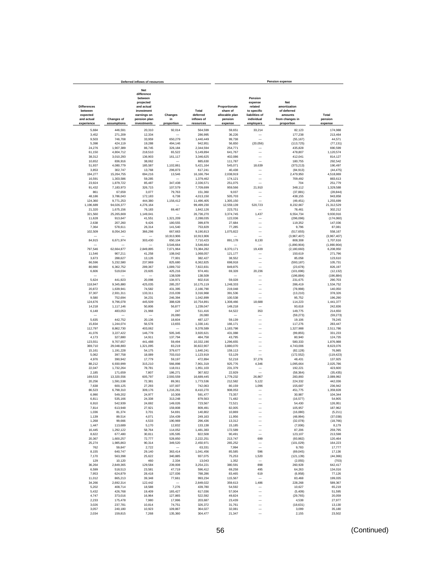|                                                         |                         | Deferred inflows of resources                                                                               |                      |                                 |                                                        |                                                                              | <b>Pension expense</b>                                           |                          |
|---------------------------------------------------------|-------------------------|-------------------------------------------------------------------------------------------------------------|----------------------|---------------------------------|--------------------------------------------------------|------------------------------------------------------------------------------|------------------------------------------------------------------|--------------------------|
| <b>Differences</b><br>between<br>expected<br>and actual | <b>Changes of</b>       | <b>Net</b><br>difference<br>between<br>projected<br>and actual<br>investment<br>earnings on<br>pension plan | Changes<br>in        | Total<br>deferred<br>inflows of | Proportionate<br>share of<br>allocable plan<br>pension | Pension<br>expense<br>related<br>to specific<br>liabilities of<br>individual | Net<br>amortization<br>of deferred<br>amounts<br>from changes in | Total<br>pension         |
| experience                                              | assumptions             | investments                                                                                                 | proportion           | resources                       | expense                                                | employers                                                                    | proportion                                                       | expense                  |
|                                                         |                         |                                                                                                             |                      |                                 |                                                        |                                                                              |                                                                  |                          |
| 5,684<br>3,452                                          | 446,591<br>271,209      | 20,310<br>12,334                                                                                            | 92,014               | 564,599<br>286,995              | 59,651<br>36,226                                       | 33,214                                                                       | 82,123<br>177,238                                                | 174,988<br>213,464       |
| 9,503                                                   | 746,708                 | 33,959                                                                                                      | 650,279              | 1,440,449                       | 99,738                                                 | L.                                                                           | (55, 167)                                                        | 44,571                   |
| 5,398                                                   | 424,119                 | 19,288                                                                                                      | 494,146              | 942,951                         | 56,650                                                 | (20, 056)                                                                    | (113, 725)                                                       | (77, 131)                |
| 24,276                                                  | 1,907,389               | 86,745                                                                                                      | 326,184              | 2,344,594                       | 254,771                                                |                                                                              | 435,828                                                          | 690,599                  |
| 61,150                                                  | 4,804,712               | 218,510                                                                                                     | 65,522               | 5,149,894                       | 641,767                                                |                                                                              | 478.807                                                          | 1,120,574                |
| 38,312<br>10,652                                        | 3,010,293<br>836,916    | 136,903<br>38,062                                                                                           | 161,117              | 3,346,625<br>885.630            | 402.086<br>111,787                                     | ÷,                                                                           | 412,041<br>180,755                                               | 814,127<br>292,542       |
| 51,937                                                  | 4,080,779               | 185,587                                                                                                     | 1,102,861            | 5,421,164                       | 545,071                                                | 18,639                                                                       | (373, 213)                                                       | 190,497                  |
| 3,853                                                   | 302,747                 | 13,768                                                                                                      | 296.873              | 617,241                         | 40,438                                                 |                                                                              | (84, 913)                                                        | (44, 475)                |
| 194,277                                                 | 15,264,755              | 694,216                                                                                                     | 13,546               | 16,166,794                      | 2,038,919                                              | $\overline{\phantom{0}}$                                                     | 2,479,950                                                        | 4,518,869                |
| 16,591                                                  | 1,303,586               | 59,285                                                                                                      |                      | 1,379,462<br>2,336,571          | 174,121                                                |                                                                              | 709,492                                                          | 883,613<br>251,779       |
| 23,924<br>91,432                                        | 1,879,722<br>7,183,973  | 85,487<br>326,715                                                                                           | 347,438<br>107,579   | 7,709,699                       | 251,075<br>959,566                                     | 21,910                                                                       | 704<br>348,112                                                   | 1,329,588                |
| 861                                                     | 67,659                  | 3,077                                                                                                       | 79,763               | 151,360                         | 9,037                                                  |                                                                              | (37, 881)                                                        | (28, 844)                |
| 48.186                                                  | 3,786,043               | 172,183                                                                                                     | 6,738                | 4,013,150                       | 505,703                                                |                                                                              | 438,155                                                          | 943.858                  |
| 124,360                                                 | 9,771,253               | 444,380                                                                                                     | 1,156,412            | 11,496,405                      | 1,305,150                                              |                                                                              | (49, 451)                                                        | 1,255,699                |
| 1,196,689                                               | 94,026,377              | 4,276,164                                                                                                   |                      | 99,499,230                      | 12,559,139                                             | 520,723                                                                      | 8,232,667                                                        | 21,312,529               |
| 21,320<br>321,560                                       | 1,675,156<br>25,265,669 | 76,183<br>1,149,041                                                                                         | 69,467               | 1,842,126<br>26,736,270         | 223,751<br>3,374,745                                   | 1,437                                                                        | 78,461<br>6.554.734                                              | 302,212<br>9,930,916     |
| 11.628                                                  | 913,647                 | 41,551                                                                                                      | 1,321,209            | 2,288,035                       | 122,036                                                |                                                                              | (296, 096)                                                       | (174,060)                |
| 2.638                                                   | 207,260                 | 9,426                                                                                                       | 180,555              | 399,879                         | 27,684                                                 | -                                                                            | 119.352                                                          | 147.036                  |
| 7,364                                                   | 578,611                 | 26,314                                                                                                      | 141,540              | 753,829                         | 77.285                                                 |                                                                              | 9,796                                                            | 87,081                   |
| 102,509                                                 | 8,054,343               | 366,298                                                                                                     | 667,663              | 9,190,813                       | 1,075,822                                              | -                                                                            | (517, 655)                                                       | 558,167                  |
|                                                         |                         |                                                                                                             | 10,913,906           | 10,913,906                      |                                                        |                                                                              | (3,967,407)                                                      | (3,967,407)              |
| 84,915                                                  | 6,671,974               | 303,430                                                                                                     | 650,104<br>3,546,664 | 7,710,423<br>3,546,664          | 891,178                                                | 8,130                                                                        | 808,308<br>(1,890,904)                                           | 1,707,616<br>(1,890,904) |
| 797,546                                                 | 62,664,877              | 2,849,895                                                                                                   | 7,071,964            | 73,384,282                      | 8,370,171                                              | 19,439                                                                       | (2, 180, 660)                                                    | 6,208,950                |
| 11,546                                                  | 907,211                 | 41,258                                                                                                      | 108,042              | 1,068,057                       | 121,177                                                |                                                                              | 150,619                                                          | 271,796                  |
| 3,673                                                   | 288,627                 | 13,126                                                                                                      | 77,001               | 382,427                         | 38,552                                                 |                                                                              | 85,058                                                           | 123,610                  |
| 66,596                                                  | 5,232,580               | 237,969                                                                                                     | 825,680              | 6,362,825                       | 698,918                                                |                                                                              | (593, 187)                                                       | 105.731                  |
| 80,980<br>6,606                                         | 6,362,752<br>519,034    | 289,367<br>23,605                                                                                           | 1,089,732<br>425,216 | 7,822,831<br>974.461            | 849,875<br>69,328                                      | 20,236                                                                       | (23, 678)<br>(101, 696)                                          | 826,197<br>(12, 132)     |
|                                                         |                         |                                                                                                             | 138,509              | 138,509                         |                                                        |                                                                              | (196, 884)                                                       | (196, 884)               |
| 5,624                                                   | 441,923                 | 20.098                                                                                                      | 134,971              | 602.616                         | 59.028                                                 | -                                                                            | 231,675                                                          | 290,703                  |
| 118,947                                                 | 9,345,880               | 425,035                                                                                                     | 285,257              | 10,175,119                      | 1,248,333                                              |                                                                              | 286,419                                                          | 1,534,752                |
| 20,872                                                  | 1,639,941               | 74,582                                                                                                      | 431,395              | 2,166,790                       | 219,048                                                |                                                                              | (78,998)                                                         | 140,050                  |
| 37,307<br>9,580                                         | 2,931,311<br>752,694    | 133,311<br>34,231                                                                                           | 215,039<br>246,394   | 3,316,968<br>1,042,899          | 391,536<br>100,538                                     | $\overline{\phantom{0}}$<br>-                                                | (13, 210)<br>95,752                                              | 378,326<br>196,290       |
| 124,676                                                 | 9,796,078               | 445,509                                                                                                     | 388,628              | 10,754,891                      | 1,308,466                                              | 18,688                                                                       | 114,223                                                          | 1,441,377                |
| 14,218                                                  | 1,117,146               | 50,806                                                                                                      | 56,877               | 1,239,047                       | 149,218                                                |                                                                              | 93,618                                                           | 242.836                  |
| 6,148                                                   | 483,053                 | 21,968                                                                                                      | 247                  | 511,416                         | 64,522                                                 | 353                                                                          | 149,775                                                          | 214.650                  |
|                                                         |                         |                                                                                                             | 26,080               | 26,080                          |                                                        |                                                                              | (59, 273)                                                        | (59, 273)                |
| 5,635<br>15,834                                         | 442,752<br>1,244,074    | 20,136<br>56,578                                                                                            | 18,604<br>13,655     | 487,127<br>1,330,141            | 59,139<br>166,171                                      | -                                                                            | 19,106<br>117,276                                                | 78.245<br>283,447        |
| 112,797                                                 | 8,862,730               | 403,062                                                                                                     |                      | 9,378,589                       | 1,183,798                                              | -                                                                            | 1,327,988                                                        | 2,511,786                |
| 41,076                                                  | 3,227,422               | 146,778                                                                                                     | 505,345              | 3,920,621                       | 431,088                                                | L.                                                                           | (99, 855)                                                        | 331,233                  |
| 4,173                                                   | 327,880                 | 14,911                                                                                                      | 137,794              | 484,758                         | 43,795                                                 | -                                                                            | 80,940                                                           | 124,735                  |
| 123,551                                                 | 9,707,657               | 441,488                                                                                                     | 59,494               | 10,332,190                      | 1,296,655                                              | -                                                                            | 580,333                                                          | 1,876,988                |
| 369,710<br>15,161                                       | 29,048,883<br>1,191,228 | 1,321,095<br>54,175                                                                                         | 83,219<br>379,677    | 30,822,907<br>1,640,241         | 3,880,070<br>159,113                                   | L.<br>-                                                                      | 4,743,006<br>(82, 128)                                           | 8,623,076<br>76,985      |
| 5,062                                                   | 397,758                 | 18,089                                                                                                      | 703,010              | 1,123,919                       | 53,129                                                 | $\overline{\phantom{0}}$                                                     | (172, 552)                                                       | (119, 423)               |
| 4,976                                                   | 390,942                 | 17,779                                                                                                      | 59,197               | 472,894                         | 52,218                                                 | 37,276                                                                       | 48,431                                                           | 137,925                  |
| 88,212                                                  | 6,930,999               | 315,210                                                                                                     | 566,898              | 7,901,319                       | 925,776                                                | 4,346                                                                        | 1,095,664                                                        | 2,025,786                |
| 22,047                                                  | 1,732,264               | 78,781                                                                                                      | 118,011              | 1,951,103                       | 231,379                                                | Ē,                                                                           | 192,221                                                          | 423,600                  |
| 2,185<br>169,533                                        | 171,659<br>13,320,556   | 7,807<br>605,797                                                                                            | 186,271<br>2.593.559 | 367.922<br>16,689,445           | 22,929<br>1,779,232                                    | 26,867                                                                       | (58, 364)<br>283.893                                             | (35, 435)<br>2,089,992   |
| 20,256                                                  | 1,591,538               | 72,381                                                                                                      | 89,361               | 1,773,536                       | 212,582                                                | 5,122                                                                        | 224.332                                                          | 442,036                  |
| 7,638                                                   | 600,125                 | 27,293                                                                                                      | 107,007              | 742,063                         | 80,159                                                 | 1,096                                                                        | 155,687                                                          | 236,942                  |
| 86,523                                                  | 6,798,310               | 309,176                                                                                                     | 1,216,261            | 8,410,270                       | 908,053                                                |                                                                              | 451,775                                                          | 1,359,828                |
| 6.990<br>6.811                                          | 549.202<br>535.166      | 24.977<br>24,338                                                                                            | 10,308<br>313.248    | 591,477                         | 73,357                                                 | $\overline{\phantom{0}}$<br>÷                                                | 30,987                                                           | 104.344<br>54.905        |
| 6,910                                                   | 542,939                 | 24,692                                                                                                      | 149,026              | 879,563<br>723,567              | 71,482<br>72,521                                       |                                                                              | (16, 577)<br>54,430                                              | 126,951                  |
| 7,814                                                   | 613,948                 | 27,921                                                                                                      | 159,808              | 809,491                         | 82,005                                                 |                                                                              | 105,957                                                          | 187,962                  |
| 1,036                                                   | 81,374                  | 3,701                                                                                                       | 54,691               | 140,802                         | 10,869                                                 | -                                                                            | (16,080)                                                         | (5,211)                  |
| 1,139                                                   | 89.514                  | 4,071                                                                                                       | 154,439              | 249,163                         | 11,956                                                 |                                                                              | (48, 994)                                                        | (37, 038)                |
| 1,268                                                   | 99,666                  | 4,533                                                                                                       | 190,969              | 296,436                         | 13,312                                                 |                                                                              | (32,078)                                                         | (18, 766)                |
| 1,447<br>16,445                                         | 113,689<br>1,292,122    | 5,170<br>58,764                                                                                             | 12,832<br>114,052    | 133,138<br>1,481,383            | 15,185<br>172,589                                      | $\overline{\phantom{0}}$                                                     | (7,006)<br>87,206                                                | 8,179<br>259,795         |
| 8.622                                                   | 677,480                 | 30.811                                                                                                      | 105,595              | 822,508                         | 90,491                                                 |                                                                              | 123,107                                                          | 213,598                  |
| 20,367                                                  | 1,600,257               | 72,777                                                                                                      | 528,850              | 2,222,251                       | 213,747                                                | 699                                                                          | (93, 982)                                                        | 120,464                  |
| 25,274                                                  | 1,985,863               | 90,314                                                                                                      | 349,520              | 2,450,971                       | 265,252                                                | -                                                                            | (101, 029)                                                       | 164,223                  |
| 762                                                     | 59,847                  | 2,722                                                                                                       |                      | 63,331                          | 7,994                                                  |                                                                              | 9,783                                                            | 17,777                   |
| 8,155<br>7,170                                          | 640,747<br>563,398      | 29,140<br>25,622                                                                                            | 363,414<br>340,885   | 1,041,456<br>937,075            | 85,585<br>75,253                                       | 596<br>1,520                                                                 | (69, 045)<br>(121, 139)                                          | 17,136<br>(44, 366)      |
| 129                                                     | 10,120                  | 460                                                                                                         | 2,334                | 13,043                          | 1,352                                                  |                                                                              | (2,055)                                                          | (703)                    |
| 36,264                                                  | 2,849,365               | 129,584                                                                                                     | 239,008              | 3,254,221                       | 380,591                                                | 898                                                                          | 260,928                                                          | 642,417                  |
| 6,599                                                   | 518,513                 | 23,581                                                                                                      | 47,719               | 596,412                         | 69,258                                                 | 495                                                                          | 64,263                                                           | 134,016                  |
| 7,953                                                   | 624,879                 | 28,418                                                                                                      | 127,036              | 788,286                         | 83,465                                                 | 619                                                                          | (6,958)                                                          | 77,126                   |
| 11,012<br>34.266                                        | 865,213<br>2,692,314    | 39,348<br>122.442                                                                                           | 77,661               | 993,234<br>2,849,022            | 115,567<br>359,613                                     | 1,486                                                                        | 83,468<br>228,268                                                | 199,035<br>589,367       |
| 5,202                                                   | 408,714                 | 18,588                                                                                                      | 7,276                | 439.780                         | 54.592                                                 |                                                                              | 10,627                                                           | 65,219                   |
| 5.432                                                   | 426.768                 | 19.409                                                                                                      | 165.427              | 617.036                         | 57.004                                                 |                                                                              | (5,409)                                                          | 51,595                   |
| 4.747                                                   | 373,016                 | 16,964                                                                                                      | 127,865              | 522,592                         | 49,824                                                 |                                                                              | (29, 765)                                                        | 20,059                   |
| 2,233                                                   | 175,478                 | 7,980                                                                                                       | 17,996               | 203,687                         | 23,439                                                 |                                                                              | 4,538                                                            | 27,977                   |
| 3,026<br>3,057                                          | 237,781<br>240,180      | 10,814<br>10,923                                                                                            | 74,751<br>109,867    | 326,372<br>364,027              | 31,761<br>32,081                                       |                                                                              | (18, 631)<br>3,099                                               | 13,130<br>35,180         |
| 2,034                                                   | 159,815                 | 7,268                                                                                                       | 135,360              | 304,477                         | 21,347                                                 |                                                                              | 2,155                                                            | 23,502                   |
|                                                         |                         |                                                                                                             |                      |                                 |                                                        |                                                                              |                                                                  |                          |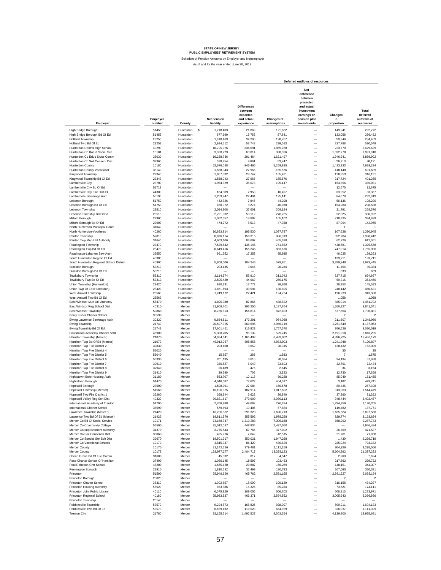|                                                                  |                    |                        |          |                                 |                                                                       |                           | Deferred outflows of resources                                                                                             |                             |                                               |
|------------------------------------------------------------------|--------------------|------------------------|----------|---------------------------------|-----------------------------------------------------------------------|---------------------------|----------------------------------------------------------------------------------------------------------------------------|-----------------------------|-----------------------------------------------|
| Employer                                                         | Employer<br>number | County                 |          | <b>Net pension</b><br>liability | <b>Differences</b><br>between<br>expected<br>and actual<br>experience | Changes of<br>assumptions | <b>Net</b><br>difference<br>between<br>projected<br>and actual<br>investment<br>earnings on<br>pension plan<br>investments | Changes<br>in<br>proportion | Total<br>deferred<br>outflows of<br>resources |
| High Bridge Borough                                              | 51450              | Hunterdon              | <b>s</b> | 1,218,403                       | 21.869                                                                | 121.662                   |                                                                                                                            | 149.241                     | 292,772                                       |
| High Bridge Borough Bd Of Ed                                     | 51453              | Hunterdon              |          | 877.690                         | 15,753                                                                | 87,641                    | $\overline{\phantom{0}}$                                                                                                   | 133,058                     | 236,452                                       |
| Holland Township                                                 | 23250              | Hunterdon              |          | 1,910,463                       | 34,290                                                                | 190,767                   | $\overline{\phantom{0}}$                                                                                                   | 59,346                      | 284,403                                       |
| Holland Twp Bd Of Ed                                             | 23253              | Hunterdon              |          | 2,994,512                       | 53,748                                                                | 299,013                   | $\overline{\phantom{0}}$                                                                                                   | 237,788                     | 590,549                                       |
| Hunterdon Central High School                                    | 40290              | Hunterdon              |          | 18,725,076                      | 336,091                                                               | 1,869,768                 | $\overline{\phantom{0}}$                                                                                                   | 223,770                     | 2,429,629                                     |
| Hunterdon Co Board Social Ser.                                   | 10181              | Hunterdon              |          | 3,388,223                       | 60,814                                                                | 338,326                   | $\overline{\phantom{0}}$                                                                                                   | 1,592,778                   | 1,991,918                                     |
| Hunterdon Co Educ Srvcs Comm                                     | 33030              | Hunterdon              |          | 16,238,736                      | 291,464                                                               | 1,621,497                 | $\overline{\phantom{0}}$                                                                                                   | 1,946,941                   | 3,859,902                                     |
| Hunterdon Co Soil Conserv Dist                                   | 32360              | Hunterdon              |          | 538,254                         | 9,661                                                                 | 53,747                    | $\overline{\phantom{0}}$                                                                                                   | 26,713                      | 90,121                                        |
| <b>Hunterdon County</b>                                          | 10180              | Hunterdon              |          | 52,676,028                      | 945,466                                                               | 5,259,895                 | $\overline{\phantom{0}}$                                                                                                   | 1,423,933                   | 7,629,294                                     |
| Hunterdon County Vocational                                      | 35140<br>22340     | Hunterdon<br>Hunterdon |          | 1,558,043<br>1,657,332          | 27,965<br>29,747                                                      | 155,576<br>165.491        | $\overline{\phantom{0}}$<br>$\overline{\phantom{0}}$                                                                       | 418,148<br>120,953          | 601,689<br>316,191                            |
| Kingwood Township<br>Kingwood Township Bd Of Ed                  | 22343              | Hunterdon              |          | 1,558,043                       | 27,965                                                                | 155,576                   | $\overline{\phantom{0}}$                                                                                                   | 217,724                     | 401,265                                       |
| Lambertville City                                                | 23700              | Hunterdon              |          | 1,954,329                       | 35,078                                                                | 195,147                   | $\overline{\phantom{0}}$                                                                                                   | 154,856                     | 385,081                                       |
| Lambertville City Bd Of Ed                                       | 51713              | Hunterdon              |          |                                 |                                                                       |                           | $\overline{\phantom{0}}$                                                                                                   | 12,675                      | 12,675                                        |
| Lambertville City Fire Dist #1                                   | 44300              | Hunterdon              |          | 164,809                         | 2,958                                                                 | 16,457                    | $\overline{\phantom{0}}$                                                                                                   | 63,952                      | 83,367                                        |
| Lambertville Sewerage Auth                                       | 55190              | Hunterdon              |          | 1,253,247                       | 22,494                                                                | 125,141                   | -                                                                                                                          | 84,678                      | 232,313                                       |
| Lebanon Borough                                                  | 51750              | Hunterdon              |          | 442,726                         | 7,946                                                                 | 44,208                    | -                                                                                                                          | 56,136                      | 108,290                                       |
| Lebanon Borough Bd Of Ed                                         | 51753              | Hunterdon              |          | 460,972                         | 8,274                                                                 | 46,030                    | -                                                                                                                          | 154,284                     | 208,588                                       |
| Lebanon Township                                                 | 23510              | Hunterdon              |          | 2,094,908                       | 37,601                                                                | 209.184                   | $\overline{\phantom{0}}$                                                                                                   | 21,791                      | 268,576                                       |
| Lebanon Township Bd Of Ed                                        | 23513<br>22900     | Hunterdon<br>Hunterdon |          | 2,791,932                       | 50.112<br>18,892                                                      | 278,785                   | $\overline{\phantom{0}}$                                                                                                   | 52,025<br>210,935           | 380,922<br>334,929                            |
| Milford Borough<br>Milford Borough Bd Of Ed                      | 22903              | Hunterdon              |          | 1,052,557<br>474,272            | 8,513                                                                 | 105,102<br>47,358         | $\overline{\phantom{0}}$                                                                                                   | 87,094                      | 142,965                                       |
| North Hunterdon Municipal Court                                  | 31040              | Hunterdon              |          |                                 |                                                                       |                           | $\overline{\phantom{0}}$                                                                                                   | 1                           | -1                                            |
| North Hunterdon-Voorhees                                         | 40260              | Hunterdon              |          | 10,893,814                      | 195,530                                                               | 1,087,787                 | $\overline{\phantom{0}}$                                                                                                   | 107,628                     | 1,390,945                                     |
| Raritan Township                                                 | 52810              | Hunterdon              |          | 8,876,114                       | 159,315                                                               | 886,313                   | $\overline{\phantom{0}}$                                                                                                   | 352,784                     | 1,398,412                                     |
| Raritan Twp Mun Util Authority                                   | 31640              | Hunterdon              |          | 4,663,106                       | 83,697                                                                | 465,628                   | $\overline{\phantom{0}}$                                                                                                   | 62,726                      | 612,051                                       |
| Readington Township                                              | 23470              | Hunterdon              |          | 7,529,542                       | 135,145                                                               | 751,852                   | $\overline{\phantom{0}}$                                                                                                   | 438,581                     | 1,325,578                                     |
| Readington Twp Bd Of Ed                                          | 23473              | Hunterdon              |          | 8,649,416                       | 155,246                                                               | 863,676                   | $\overline{\phantom{0}}$                                                                                                   | 747,014                     | 1,765,936                                     |
| Readington-Lebanon Sew Auth                                      | 32550              | Hunterdon              |          | 961,252                         | 17,253                                                                | 95,985                    | $\overline{\phantom{0}}$                                                                                                   | 46,025                      | 159,263                                       |
| South Hunterdon Reg Bd Of Ed                                     | 40300              | Hunterdon              |          |                                 |                                                                       |                           | $\overline{\phantom{0}}$                                                                                                   | 133,711                     | 133,711                                       |
| South Hunterdon Regional School District                         | 40900              | Hunterdon              |          | 5,808,006                       | 104,246                                                               | 579,951                   | $\overline{\phantom{0}}$                                                                                                   | 3,289,248                   | 3,973,445                                     |
| Stockton Borough<br>Stockton Borough Bd Of Ed                    | 53210              | Hunterdon<br>Hunterdon |          | 203,135                         | 3,646                                                                 | 20,284                    | $\overline{\phantom{0}}$<br>$\overline{\phantom{0}}$                                                                       | 11,454<br>639               | 35.384<br>639                                 |
| <b>Tewksbury Township</b>                                        | 53213<br>53310     | Hunterdon              |          | 3,114,974                       | 55,910                                                                | 311,042                   | $\overline{\phantom{0}}$                                                                                                   | 327,715                     | 694,667                                       |
| Tewksbury Twp Bd Of Ed                                           | 53313              | Hunterdon              |          | 2,505,420                       | 44,969                                                                | 250.175                   | $\overline{\phantom{0}}$                                                                                                   | 59,316                      | 354,460                                       |
| Union Township (Hunterdon)                                       | 23420              | Hunterdon              |          | 990.131                         | 17,772                                                                | 98.868                    | $\overline{\phantom{0}}$                                                                                                   | 28,953                      | 145,593                                       |
| Union Twp Of Ed (Hunterdon)                                      | 23423              | Hunterdon              |          | 1,871,693                       | 33,594                                                                | 186,895                   |                                                                                                                            | 240.142                     | 460.631                                       |
| West Amwell Township                                             | 23560              | Hunterdon              |          | 1,249,172                       | 22,421                                                                | 124,734                   | $\overline{\phantom{a}}$                                                                                                   | 196.233                     | 343.388                                       |
| West Amwell Twp Bd Of Ed                                         | 23563              | Hunterdon              |          |                                 |                                                                       |                           | $\overline{a}$                                                                                                             | 1,058                       | 1,058                                         |
| East Windsor Mun Util Authority                                  | 55470              | Mercer                 |          | 4,895,380                       | 87.866                                                                | 488,822                   | $\overline{a}$                                                                                                             | 885,014                     | 1,461,702                                     |
| East Windsor Reg School Dist                                     | 40310              | Mercer                 |          | 21,909,701                      | 393,250                                                               | 2,187,764                 | $\overline{a}$                                                                                                             | 1,260,327                   | 3,841,341                                     |
| East Windsor Township                                            | 50860              | Mercer                 |          | 8,736,813                       | 156,814                                                               | 872,403                   | -                                                                                                                          | 677,664                     | 1,706,881                                     |
| Emily Fisher Charter School                                      | 35530              | Mercer                 |          |                                 |                                                                       |                           | $\overline{\phantom{0}}$                                                                                                   | $\overline{2}$              | $\overline{2}$                                |
| Ewing Lawrence Sewerage Auth<br>Ewing Township                   | 30320<br>21740     | Mercer<br>Mercer       |          | 9,654,811<br>20,597,325         | 173,291<br>369.695                                                    | 964.068<br>2,056,719      | $\overline{\phantom{0}}$<br>$\overline{\phantom{0}}$                                                                       | 211,607<br>1,761,549        | 1,348,966<br>4,187,963                        |
| Ewing Township Bd Of Ed                                          | 21743              | Mercer                 |          | 17,601,461                      | 315,923                                                               | 1,757,570                 | —                                                                                                                          | 956,526                     | 3,030,019                                     |
| Foundation Academy Charter Schl                                  | 46900              | Mercer                 |          | 5,300,205                       | 95,132                                                                | 529.245                   | $\overline{\phantom{0}}$                                                                                                   | 2,191,918                   | 2,816,295                                     |
| Hamilton Township (Mercer)                                       | 21070              | Mercer                 |          | 64,934,641                      | 1,165,492                                                             | 6,483,962                 | $\overline{\phantom{0}}$                                                                                                   | 4,836,725                   | 12,486,179                                    |
| Hamilton Twp Bd Of Ed (Mercer)                                   | 21073              | Mercer                 |          | 49,912,067                      | 895,856                                                               | 4,983,903                 | $\overline{\phantom{0}}$                                                                                                   | 1,241,048                   | 7,120,807                                     |
| Hamilton Twp Fire District 2                                     | 30830              | Mercer                 |          | 203,450                         | 3,652                                                                 | 20,315                    | $\overline{\phantom{0}}$                                                                                                   | 128,432                     | 152,399                                       |
| Hamilton Twp Fire District 4                                     | 56020              | Mercer                 |          |                                 |                                                                       |                           | $\overline{\phantom{0}}$                                                                                                   | 35                          | 35                                            |
| Hamilton Twp Fire District 5                                     | 56040              | Mercer                 |          | 15,857                          | 285                                                                   | 1,583                     | $\overline{\phantom{0}}$                                                                                                   | $\overline{7}$              | 1,875                                         |
| Hamilton Twp Fire District 6<br>Hamilton Twp Fire District 7     | 55330              | Mercer                 |          | 201,135                         | 3,610                                                                 | 20,084                    | $\overline{\phantom{0}}$                                                                                                   | 34,194                      | 57,888                                        |
| Hamilton Twp Fire District 8                                     | 30910<br>32940     | Mercer<br>Mercer       |          | 336,527<br>26,489               | 6,040<br>475                                                          | 33,603<br>2,645           | $\overline{\phantom{0}}$<br>$\overline{\phantom{0}}$                                                                       | 32,791<br>34                | 72,434<br>3,154                               |
| Hamilton Twp Fire District 9                                     | 31410              | Mercer                 |          | 39,290                          | 705                                                                   | 3,923                     | $\overline{\phantom{0}}$                                                                                                   | 12,730                      | 17,358                                        |
| Hightstown Boro Housing Auth                                     | 31180              | Mercer                 |          | 563,707                         | 10,118                                                                | 56,288                    | $\overline{\phantom{0}}$                                                                                                   | 85,049                      | 151,455                                       |
| Hightstown Borough                                               | 51470              | Mercer                 |          | 4,046,087                       | 72,622                                                                | 404,017                   |                                                                                                                            | 3,102                       | 479,741                                       |
| Hopewell Borough                                                 | 23600              | Mercer                 |          | 1,508,991                       | 27,084                                                                | 150,678                   | $\overline{\phantom{0}}$                                                                                                   | 89,436                      | 267,198                                       |
| Hopewell Township (Mercer)                                       | 51560              | Mercer                 |          | 10,190,935                      | 182,914                                                               | 1,017,602                 | $\overline{\phantom{0}}$                                                                                                   | 313,963                     | 1,514,479                                     |
| Hopewell Twp Fire District 1                                     | 35260              | Mercer                 |          | 368,944                         | 6,622                                                                 | 36.840                    | L,                                                                                                                         | 37,890                      | 81,352                                        |
| Hopewell Valley Reg Sch Dist                                     | 40320              | Mercer                 |          | 20,831,617                      | 373,900                                                               | 2,080,113                 |                                                                                                                            | 948,444                     | 3,402,457                                     |
| International Academy of Tren                                    | 54700              |                        |          | 2 766 888                       | 49.662                                                                | 276.284                   |                                                                                                                            | ,794,259                    | 2.120.205                                     |
| International Charter School<br>Lawrence Township (Mercer)       | 35690              | Mercer                 |          | 579,693                         | 10,405                                                                | 57,884                    | $\overline{\phantom{0}}$<br>$\overline{\phantom{0}}$                                                                       | 119,482                     | 187,771                                       |
|                                                                  | 21420              | Mercer                 |          | 16,230,882<br>19,811,570        | 291,323                                                               | 1,620,713                 |                                                                                                                            | 1,185,524                   | 3,097,560<br>3,163,624                        |
| Lawrence Twp Bd Of Ed (Mercer)<br>Mercer Co Bd Of Social Service | 21423<br>10171     | Mercer<br>Mercer       |          | 73,168,747                      | 355,592<br>1,313,283                                                  | 1,978,258<br>7,306,168    | -                                                                                                                          | 829,774<br>668,292          | 9,287,743                                     |
| Mercer Co Community College                                      | 55500              | Mercer                 |          | 25,012,097                      | 448,934                                                               | 2,497,550                 | -                                                                                                                          |                             | 2,946,484                                     |
| Mercer Co Improvement Authority                                  | 31370              | Mercer                 |          | 3,775,543                       | 67,766                                                                | 377,002                   | —                                                                                                                          | 26,769                      | 471.537                                       |
| Mercer Co Soil Conservtn Dist                                    | 33060              | Mercer                 |          | 425,776                         | 7,642                                                                 | 42,515                    | $\overline{\phantom{0}}$                                                                                                   | 21,701                      | 71,858                                        |
| Mercer Co Special Ser Sch Dist                                   | 32670              | Mercer                 |          | 19,501,217                      | 350,021                                                               | 1,947,268                 |                                                                                                                            | 1,430                       | 2,298,719                                     |
| Mercer Co Vocational Schools                                     | 10173              | Mercer                 |          | 4,815,337                       | 86,429                                                                | 480,829                   | $\overline{\phantom{0}}$                                                                                                   | 225,924                     | 793,182                                       |
| Mercer County                                                    | 10170              | Mercer                 |          | 21.142.526                      | 379,481                                                               | 2,111,159                 | $\overline{\phantom{0}}$                                                                                                   | 804,926                     | 3,295,566                                     |
| Mercer County                                                    | 10178              | Mercer                 |          | 133,977,277                     | 2,404,717                                                             | 13,378,123                | $\overline{\phantom{0}}$                                                                                                   | 5,604,392                   | 21,387,232                                    |
| Ocean Grove Bd Of Fire Comm                                      | 31680              | Mercer                 |          | 45,532                          | 817                                                                   | 4,547                     | $\overline{\phantom{0}}$                                                                                                   | 2,260                       | 7,624                                         |
| Pace Charter School Of Hamilton<br>Paul Robeson Chtr School      | 37400<br>48200     | Mercer                 |          | 1,036,145                       | 18,597<br>29,887                                                      | 103,463                   | $\overline{\phantom{0}}$<br>$\overline{\phantom{0}}$                                                                       | 217,662                     | 339,722                                       |
| Pennington Borough                                               | 22910              | Mercer<br>Mercer       |          | 1,665,130<br>1,810,582          | 32,498                                                                | 166,269<br>180,793        | $\overline{\phantom{0}}$                                                                                                   | 148,151<br>107,090          | 344,307<br>320,381                            |
| Princeton                                                        | 51500              | Mercer                 |          | 25,949,620                      | 465,762                                                               | 2,591,165                 | $\overline{\phantom{0}}$                                                                                                   | 2,981,227                   | 6,038,154                                     |
| Princeton Borough                                                | 20020              | Mercer                 |          |                                 |                                                                       |                           | $\overline{\phantom{0}}$                                                                                                   | $\overline{2}$              | $\overline{2}$                                |
| Princeton Charter School                                         | 35310              | Mercer                 |          | 1,002,857                       | 18,000                                                                | 100,139                   | $\overline{\phantom{0}}$                                                                                                   | 316,158                     | 434,297                                       |
| Princeton Housing Authority                                      | 55520              | Mercer                 |          | 853,886                         | 15,326                                                                | 85,264                    | $\overline{\phantom{0}}$                                                                                                   | 73,521                      | 174,111                                       |
| Princeton Joint Public Library                                   | 40110              | Mercer                 |          | 6,075,920                       | 109,055                                                               | 606,703                   | $\overline{\phantom{0}}$                                                                                                   | 508,213                     | 1,223,971                                     |
| Princeton Regional School                                        | 40180              | Mercer                 |          | 25,983,537                      | 466,371                                                               | 2,594,552                 | $\overline{\phantom{0}}$                                                                                                   | 3,005,943                   | 6,066,866                                     |
| Princeton Township                                               | 20140              | Mercer                 |          |                                 |                                                                       |                           | $\overline{\phantom{0}}$                                                                                                   |                             |                                               |
| Robbinsville Township                                            | 53570              | Mercer                 |          | 9,294,573                       | 166,825                                                               | 928,097                   | $\overline{\phantom{0}}$                                                                                                   | 509,211                     | 1,604,133                                     |
| Robbinsville Twp Bd Of Ed                                        | 53573              | Mercer                 |          | 6,659,132                       | 119,523                                                               | 664,939                   | L,                                                                                                                         | 326,937                     | 1,111,399                                     |
| <b>Trenton City</b>                                              | 21780              | Mercer                 |          | 83,155,214                      | 1,492,527                                                             | 8,303,354                 |                                                                                                                            | 4,139,800                   | 13,935,681                                    |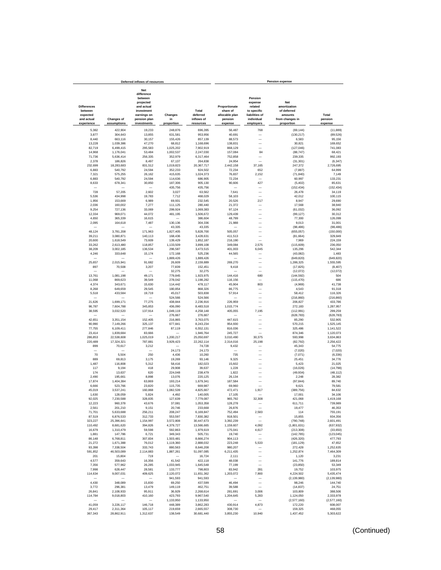| Deferred inflows of resources                           |                        |                                                                                                             |                      |                                 | <b>Pension expense</b>                                 |                                                                              |                                                                         |                          |  |  |
|---------------------------------------------------------|------------------------|-------------------------------------------------------------------------------------------------------------|----------------------|---------------------------------|--------------------------------------------------------|------------------------------------------------------------------------------|-------------------------------------------------------------------------|--------------------------|--|--|
| <b>Differences</b><br>between<br>expected<br>and actual | <b>Changes of</b>      | <b>Net</b><br>difference<br>between<br>projected<br>and actual<br>investment<br>earnings on<br>pension plan | Changes<br>in        | Total<br>deferred<br>inflows of | Proportionate<br>share of<br>allocable plan<br>pension | Pension<br>expense<br>related<br>to specific<br>liabilities of<br>individual | <b>Net</b><br>amortization<br>of deferred<br>amounts<br>from changes in | Total<br>pension         |  |  |
| experience                                              | assumptions            | investments                                                                                                 | proportion           | resources                       | expense                                                | employers                                                                    | proportion                                                              | expense                  |  |  |
| 5,382                                                   | 422,904                | 19,233                                                                                                      | 248,876              | 696,395                         | 56,487                                                 | 768                                                                          | (69, 144)                                                               | (11, 889)                |  |  |
| 3,877                                                   | 304,643                | 13,855                                                                                                      | 631,581              | 953,956                         | 40,691                                                 |                                                                              | (130, 217)                                                              | (89, 526)                |  |  |
| 8,440                                                   | 663,116                | 30,157                                                                                                      | 155,426              | 857,139                         | 88,573                                                 |                                                                              | 6,583                                                                   | 95,156                   |  |  |
| 13,228                                                  | 1,039,386              | 47,270                                                                                                      | 68,812               | 1,168,696                       | 138,831                                                |                                                                              | 30,821                                                                  | 169,652                  |  |  |
| 82,719                                                  | 6,499,415              | 295,583                                                                                                     | 1,025,202            | 7,902,919                       | 868,129                                                |                                                                              | (127, 046)                                                              | 741,083                  |  |  |
| 14,968                                                  | 1,176,041              | 53,484                                                                                                      | 1,002,537            | 2,247,030                       | 157,084                                                | 84                                                                           | (88, 747)                                                               | 68,421                   |  |  |
| 71,736<br>2,378                                         | 5,636,414<br>186,826   | 256,335<br>8,497                                                                                            | 352,979<br>67,137    | 6,317,464<br>264,838            | 752,858<br>24,954                                      | -                                                                            | 239.335<br>(31, 301)                                                    | 992,193<br>(6, 347)      |  |  |
| 232,699                                                 | 18,283,683             | 831,512                                                                                                     | 1,019,823            | 20,367,717                      | 2,442,158                                              | 37,165                                                                       | 247,372                                                                 | 2,726,695                |  |  |
| 6,883                                                   | 540,792                | 24,594                                                                                                      | 352,233              | 924,502                         | 72,234                                                 | 652                                                                          | (7, 887)                                                                | 64,999                   |  |  |
| 7,321                                                   | 575,255                | 26,162                                                                                                      | 415,635              | 1,024,373                       | 76,837                                                 | 2,152                                                                        | (71, 840)                                                               | 7,149                    |  |  |
| 6,883                                                   | 540,792                | 24,594                                                                                                      | 114,636              | 686,905                         | 72,234                                                 |                                                                              | 60,997                                                                  | 133,231                  |  |  |
| 8,633                                                   | 678,341                | 30,850                                                                                                      | 187,306              | 905,130                         | 90,606                                                 | 427                                                                          | (5, 402)                                                                | 85,631                   |  |  |
| 728                                                     | 57,205                 | 2,602                                                                                                       | 435,756<br>3,027     | 435,756<br>63,562               | 7,641                                                  | $\overline{\phantom{0}}$                                                     | (152, 434)<br>26,478                                                    | (152, 434)<br>34,119     |  |  |
| 5,536                                                   | 434,998                | 19,783                                                                                                      | 7,712                | 468,029                         | 58,103                                                 |                                                                              | 42,012                                                                  | 100,115                  |  |  |
| 1,956                                                   | 153,669                | 6,989                                                                                                       | 69.931               | 232,545                         | 20,526                                                 | 217                                                                          | 8,947                                                                   | 29,690                   |  |  |
| 2,036                                                   | 160,002                | 7,277                                                                                                       | 111,125              | 280,440                         | 21,372                                                 |                                                                              | 17,568                                                                  | 38,940                   |  |  |
| 9,254                                                   | 727,136                | 33,069                                                                                                      | 299,924              | 1,069,383                       | 97,124                                                 | -                                                                            | (61, 032)                                                               | 36,092                   |  |  |
| 12,334                                                  | 969,071                | 44,072                                                                                                      | 481,195              | 1,506,672                       | 129,439                                                |                                                                              | (99.127)                                                                | 30,312                   |  |  |
| 4,650<br>2,095                                          | 365,339                | 16,615<br>7,487                                                                                             | 130,136              | 386,604                         | 48,799<br>21,988                                       | -<br>-                                                                       | 77,300                                                                  | 126,099                  |  |  |
|                                                         | 164,618                |                                                                                                             | 43,335               | 304,336<br>43,335               |                                                        | -                                                                            | 9,013<br>(98, 486)                                                      | 31,001<br>(98, 486)      |  |  |
| 48,124                                                  | 3,781,208              | 171,963                                                                                                     | 1,827,405            | 5,828,700                       | 505,057                                                | -                                                                            | (655, 057)                                                              | (150,000)                |  |  |
| 39,211                                                  | 3,080,871              | 140,113                                                                                                     | 168,436              | 3,428,631                       | 411,513                                                | L.                                                                           | (81, 664)                                                               | 329,849                  |  |  |
| 20,600                                                  | 1,618,549              | 73,609                                                                                                      | 139,429              | 1,852,187                       | 216,190                                                | $\overline{\phantom{0}}$                                                     | 7,969                                                                   | 224,159                  |  |  |
| 33,262                                                  | 2,613,480              | 118,857                                                                                                     | 1,133,509            | 3,899,108                       | 349,084                                                | 2,575                                                                        | (115, 609)                                                              | 236,050                  |  |  |
| 38,209                                                  | 3,002,185              | 136,534<br>15,174                                                                                           | 296,587              | 3,473,515                       | 401,003                                                | 6,045                                                                        | 135,296                                                                 | 542,344                  |  |  |
| 4,246                                                   | 333,648                |                                                                                                             | 172,168<br>1,889,426 | 525,236<br>1,889,426            | 44,565                                                 |                                                                              | (43, 082)<br>(649, 820)                                                 | 1,483<br>(649, 820)      |  |  |
| 25,657                                                  | 2.015.941              | 91,682                                                                                                      | 26,609               | 2,159,889                       | 269,270                                                |                                                                              | 1,286,325                                                               | 1,555,595                |  |  |
| 897                                                     | 70,508                 | 3,207                                                                                                       | 77,839               | 152.451                         | 9,418                                                  |                                                                              | (17, 825)                                                               | (8, 407)                 |  |  |
|                                                         |                        |                                                                                                             | 32,275               | 32,275                          |                                                        |                                                                              | (12,072)                                                                | (12,072)                 |  |  |
| 13,761                                                  | 1,081,198              | 49,171                                                                                                      | 779,845              | 1,923,975                       | 144.416                                                | 680                                                                          | (144, 592)                                                              | 504                      |  |  |
| 11,068                                                  | 869,623                | 39,549                                                                                                      | 278,042              | 1,198,282                       | 116,156                                                |                                                                              | (115, 470)                                                              | 686                      |  |  |
| 4,374<br>8,268                                          | 343,671<br>649,659     | 15,630<br>29,545                                                                                            | 114,442<br>180,854   | 478,117<br>868,326              | 45,904<br>86,775                                       | 803                                                                          | (4,969)<br>4,543                                                        | 41,738<br>91,318         |  |  |
| 5,518                                                   | 433,584                | 19,719                                                                                                      | 45,017               | 503,838                         | 57,914                                                 | -                                                                            | 58,412                                                                  | 116,326                  |  |  |
|                                                         |                        |                                                                                                             | 524,566              | 524,566                         |                                                        |                                                                              | (216, 860)                                                              | (216, 860)               |  |  |
| 21,626                                                  | 1,699,171              | 77,275                                                                                                      | 438,844              | 2,236,916                       | 226,959                                                | -                                                                            | 206,827                                                                 | 433,786                  |  |  |
| 96.787                                                  | 7,604,788              | 345,853                                                                                                     | 436.090              | 8,483,518                       | 1,015,774                                              |                                                                              | 272,183                                                                 | 1,287,957                |  |  |
| 38,595                                                  | 3,032,520              | 137,914                                                                                                     | 1,049,119            | 4,258,148                       | 405,055                                                | 7,195                                                                        | (112, 991)                                                              | 299.259                  |  |  |
| 42,651                                                  | 3,351,154              | 152,405                                                                                                     | 276,667<br>216,865   | 276,667<br>3,763,075            | 447,615                                                | -                                                                            | (628, 783)<br>85,290                                                    | (628, 783)<br>532.905    |  |  |
| 90,990                                                  | 7,149,266              | 325,137                                                                                                     | 677,841              | 8.243.234                       | 954,930                                                |                                                                              | 570,215                                                                 | 1,525,145                |  |  |
| 77,755                                                  | 6,109,411              | 277,846                                                                                                     | 87.119               | 6,552,131                       | 816,036                                                | -                                                                            | 325,486                                                                 | 1,141,522                |  |  |
| 23,414                                                  | 1,839,684              | 83,666                                                                                                      |                      | 1,946,764                       | 245,727                                                |                                                                              | 874,346                                                                 | 1,120,073                |  |  |
| 286,853                                                 | 22.538.608             | 1,025,019                                                                                                   | 1,200,217            | 25,050,697                      | 3,010,490                                              | 30,375                                                                       | 593,998                                                                 | 3,634,863                |  |  |
| 220,489                                                 | 17,324,321             | 787,881                                                                                                     | 3,929,423            | 22,262,114                      | 2,314,016                                              | 25,198                                                                       | (82, 792)                                                               | 2,256,422                |  |  |
| 899                                                     | 70,617                 | 3,212                                                                                                       | 24,173               | 74,728<br>24,173                | 9,432                                                  |                                                                              | 45,343<br>(7,020)                                                       | 54,775<br>(7,020)        |  |  |
| 70                                                      | 5,504                  | 250                                                                                                         | 4,436                | 10,260                          | 735                                                    | -                                                                            | (7,071)                                                                 | (6, 336)                 |  |  |
| 889                                                     | 69,813                 | 3,175                                                                                                       | 19,269               | 93,146                          | 9,325                                                  |                                                                              | 25,451                                                                  | 34,776                   |  |  |
| 1,487                                                   | 116,808                | 5,312                                                                                                       | 58,416               | 182,023                         | 15,602                                                 |                                                                              | 5,423                                                                   | 21,025                   |  |  |
| 117                                                     | 9,194                  | 418                                                                                                         | 29,908               | 39,637                          | 1,228                                                  |                                                                              | (16, 026)                                                               | (14, 798)                |  |  |
| 174                                                     | 13,637                 | 620                                                                                                         | 224,048              | 238,479                         | 1,822                                                  |                                                                              | (49, 934)                                                               | (48, 112)                |  |  |
| 2,490<br>17,874                                         | 195,661<br>1,404,384   | 8,898<br>63,869                                                                                             | 13,076<br>193,214    | 220,125<br>1,679,341            | 26,134<br>187,584                                      | L.                                                                           | 2,248                                                                   | 28.382<br>89.740         |  |  |
| 6,666                                                   | 523,766                | 23,820                                                                                                      | 115,735              | 669,987                         | 69,960                                                 |                                                                              | (97, 844)<br>9,621                                                      | 79.581                   |  |  |
| 45,019                                                  | 3,537,241              | 160,868                                                                                                     | 1,082,539            | 4,825,667                       | 472,471                                                | 1,917                                                                        | (389, 756)                                                              | 84,632                   |  |  |
| 1,630                                                   | 128.059                | 5,824                                                                                                       | 4,492                | 140,005                         | 17,105                                                 |                                                                              | 17,001                                                                  | 34,106                   |  |  |
| 92,025                                                  | 7,230,588              | 328.835                                                                                                     | 127.639              | 7,779,087                       | 965.792                                                | 32,308                                                                       | 421,068                                                                 | 1,419,168                |  |  |
| 12,223                                                  | 960,378                | 43,676                                                                                                      | 37,081               | 1,053,358                       | 128,278                                                |                                                                              | 611,711                                                                 | 739,989                  |  |  |
| 2,561                                                   | 201,210                | 9,151                                                                                                       | 20,746               | 233,668                         | 26,876                                                 |                                                                              | 19,477                                                                  | 46,353                   |  |  |
| 71,701<br>87,519                                        | 5,633,688<br>6,876,533 | 256,211<br>312,733                                                                                          | 208,247<br>553,597   | 6,169,847<br>7,830,382          | 752,494<br>918,501                                     | 2,583                                                                        | 114<br>15,855                                                           | 755,191<br>934,356       |  |  |
| 323,227                                                 | 25,396,641             | 1,154,997                                                                                                   | 3,572,808            | 30,447,673                      | 3,392,239                                              | -                                                                            | (790, 748)                                                              | 2,601,491                |  |  |
| 110,492                                                 | 8,681,620              | 394,826                                                                                                     | 4,379,727            | 13,566,665                      | 1,159,607                                              | 4,092                                                                        | (1,801,631)                                                             | (637, 932)               |  |  |
| 16,679                                                  | 1,310,479              | 59,598                                                                                                      | 592,863              | 1,979,619                       | 175,041                                                | 4,617                                                                        | (213, 308)                                                              | (33,650)                 |  |  |
| 1,881                                                   | 147.786                | 6,721                                                                                                       | 349,343              | 505.731                         | 19,740                                                 | -                                                                            | (142, 785)                                                              | (123, 045)               |  |  |
| 86,148                                                  | 6,768,811              | 307,834                                                                                                     | 1,503,481            | 8,666,274                       | 904,113                                                |                                                                              | (426, 320)                                                              | 477,793                  |  |  |
| 21,272<br>93,398                                        | 1,671,388<br>7.338.504 | 76,012<br>333,743                                                                                           | 1,119,360<br>880,563 | 2,888,032<br>8,646,208          | 223,248<br>980,207                                     | 5,533<br>-                                                                   | (181, 129)<br>272,428                                                   | 47,652<br>1,252,635      |  |  |
| 591,852                                                 | 46,503,089             | 2,114,883                                                                                                   | 1,887,261            | 51,097,085                      | 6,211,435                                              | $\overline{\phantom{0}}$                                                     | 1,252,874                                                               | 7,464,309                |  |  |
| 201                                                     | 15,804                 | 719                                                                                                         |                      | 16,724                          | 2,111                                                  | $\overline{\phantom{0}}$                                                     | 1,120                                                                   | 3,231                    |  |  |
| 4,577                                                   | 359,643                | 16,356                                                                                                      | 41,542               | 422,118                         | 48,038                                                 | -                                                                            | 141,776                                                                 | 189,814                  |  |  |
| 7,356                                                   | 577,962                | 26,285                                                                                                      | 1,033,945            | 1,645,548                       | 77,199                                                 | -                                                                            | (23, 850)                                                               | 53,349                   |  |  |
| 7,998                                                   | 628,447                | 28,581                                                                                                      | 133,777              | 798,803                         | 83,942                                                 | 281                                                                          | 19,752                                                                  | 103,975                  |  |  |
| 114,634                                                 | 9,007,031              | 409,625                                                                                                     | 2,120,072            | 11,651,362                      | 1,203,072                                              | 7,900                                                                        | 4,224,502                                                               | 5,435,474                |  |  |
| 4,430                                                   | 348,089                | 15,830                                                                                                      | 941,593              | 941,593<br>437,599              | 46,494                                                 | L.                                                                           | (2, 139, 980)<br>98.246                                                 | (2, 139, 980)<br>144.740 |  |  |
| 3.772                                                   | 296.381                | 13,479                                                                                                      | 69,250<br>149.119    | 462.751                         | 39,588                                                 | $\overline{\phantom{0}}$                                                     | (14, 837)                                                               | 24.751                   |  |  |
| 26.841                                                  | 2.108.933              | 95.911                                                                                                      | 36.929               | 2.268.614                       | 281.691                                                | 3,006                                                                        | 103,809                                                                 | 388.506                  |  |  |
| 114,784                                                 | 9,018,803              | 410.160                                                                                                     | 423,793              | 9,967,540                       | 1,204,645                                              | 5,283                                                                        | 1.124.050                                                               | 2.333.978                |  |  |
| -                                                       |                        | $\overline{\phantom{a}}$                                                                                    | 1,133,950            | 1,133,950                       | -                                                      | $\overline{\phantom{0}}$                                                     | (2,577,160)                                                             | (2,577,160)              |  |  |
| 41,059                                                  | 3,226,117              | 146,718                                                                                                     | 448,389              | 3,862,283                       | 430,914                                                | 4,873                                                                        | 172,220                                                                 | 608,007                  |  |  |
| 29,417                                                  | 2,311,364              | 105,117                                                                                                     | 219,659              | 2,665,557                       | 308,730                                                | $\overline{\phantom{a}}$                                                     | 159,325                                                                 | 468,055                  |  |  |
| 367,343                                                 | 28,862,911             | 1,312,637                                                                                                   | 138,549              | 30,681,440                      | 3,855,230                                              | 10,940                                                                       | 1,437,452                                                               | 5,303,622                |  |  |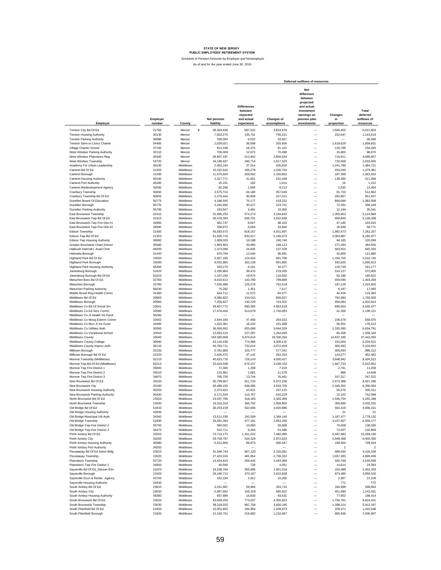|                                                             |                    |                        |                                 |                                                                       |                                  | Deferred outflows of resources                                                                                      |                             |                                               |
|-------------------------------------------------------------|--------------------|------------------------|---------------------------------|-----------------------------------------------------------------------|----------------------------------|---------------------------------------------------------------------------------------------------------------------|-----------------------------|-----------------------------------------------|
| Employer                                                    | Employer<br>number | County                 | <b>Net pension</b><br>liability | <b>Differences</b><br>between<br>expected<br>and actual<br>experience | <b>Changes of</b><br>assumptions | Net<br>difference<br>between<br>projected<br>and actual<br>investment<br>earnings on<br>pension plan<br>investments | Changes<br>in<br>proportion | Total<br>deferred<br>outflows of<br>resources |
|                                                             |                    |                        | 38.304.836                      |                                                                       |                                  |                                                                                                                     | 1.500.402                   | 6.012.803                                     |
| Trenton City Bd Of Ed                                       | 21783              | Mercer                 | \$                              | 687,522                                                               | 3,824,879                        |                                                                                                                     |                             |                                               |
| <b>Trenton Housing Authority</b>                            | 30130              | Mercer                 | 7,563,275                       | 135,751                                                               | 755,221                          | -                                                                                                                   | 252,647                     | 1,143,619                                     |
| <b>Trenton Parking Authority</b>                            | 30580              | Mercer                 | 336,064                         | 6.032                                                                 | 33,557                           | $\overline{\phantom{0}}$                                                                                            | -                           | 39,589                                        |
| Trenton Stem to Civics Charter                              | 54400              | Mercer                 | 2,039,021                       | 36,598                                                                | 203,604                          | $\overline{\phantom{0}}$                                                                                            | 1,618,629                   | 1,858,831                                     |
| Village Charter School                                      | 37100              | Mercer                 | 912,348                         | 16,375                                                                | 91,101                           | -                                                                                                                   | 126,789                     | 234,265                                       |
| West Windsor Parking Authority                              | 32110              | Mercer                 | 706,009                         | 12,672                                                                | 70,498                           | -                                                                                                                   | 15,800                      | 98,970                                        |
| West Windsor Plainsboro Reg                                 | 40440              | Mercer                 | 28,607,197                      | 513,462                                                               | 2,856,534                        | -                                                                                                                   | 716,911                     | 4,086,907                                     |
| West Windsor Township                                       | 53720              | Mercer                 | 16,196,927                      | 290,714                                                               | 1,617,323                        | -                                                                                                                   | 725,568                     | 2,633,605                                     |
| Academy For Urban Leadership                                | 49100              | Middlesex              | 2,062,194                       | 37,014                                                                | 205,918                          | -                                                                                                                   | 1,241,789                   | 1,484,721                                     |
| Carteret Bd Of Ed                                           | 21333              | Middlesex<br>Middlesex | 10,322,642                      | 185,278<br>209,562                                                    | 1,030,754                        | -<br>-                                                                                                              | 263,349                     | 1,479,381<br>1,562,810                        |
| Carteret Borough<br>Carteret Housing Authority              | 21330<br>56140     | Middlesex              | 11,675,604<br>2,317,771         | 41,601                                                                | 1,165,852<br>231,438             | $\overline{\phantom{0}}$                                                                                            | 187,396<br>138,360          | 411,399                                       |
| Carteret Port Authority                                     | 45200              | Middlesex              | 10.151                          | 182                                                                   | 1,014                            | $\overline{\phantom{0}}$                                                                                            | 16                          | 1.212                                         |
| Carteret Redevelopment Agency                               | 42000              | Middlesex              | 92.268                          | 1,656                                                                 | 9,213                            | $\overline{\phantom{0}}$                                                                                            | 2,535                       | 13,404                                        |
| Cranbury Township                                           | 50650              | Middlesex              | 3,575,724                       | 64,180                                                                | 357,049                          | $\overline{\phantom{0}}$                                                                                            | 91,733                      | 512,962                                       |
| Cranbury Township Bd Of Ed                                  | 50653              | Middlesex              | 2,276,444                       | 40,859                                                                | 227,311                          | $\overline{\phantom{0}}$                                                                                            | 282,867                     | 551,037                                       |
| Dunellen Board Of Education                                 | 50773              | Middlesex              | 4,188,445                       | 75,177                                                                | 418,232                          | $\overline{\phantom{0}}$                                                                                            | 890,099                     | 1,383,508                                     |
| Dunellen Borough                                            | 50770              | Middlesex              | 2,240,692                       | 40,217                                                                | 223.741                          | $\overline{\phantom{0}}$                                                                                            | 72,391                      | 336,349                                       |
| Dunellen Parking Authority                                  | 55700              | Middlesex              | 193,947                         | 3,481                                                                 | 19,366                           | $\overline{\phantom{0}}$                                                                                            | 12,194                      | 35,041                                        |
| East Brunswick Township                                     | 22410              | Middlesex              | 31,995,253                      | 574,273                                                               | 3,194,843                        | -                                                                                                                   | 1,355,853                   | 5,124,969                                     |
| East Brunswick Twp Bd Of Ed                                 | 22413              | Middlesex              | 35,478,393                      | 636,791                                                               | 3,542,648                        | $\overline{\phantom{0}}$                                                                                            | 958,849                     | 5,138,288                                     |
| East Brunswick Twp Fire Dist #1                             | 34960              | Middlesex              | 481,737                         | 8,647                                                                 | 48,103                           | -                                                                                                                   | 47,165                      | 103,915                                       |
| East Brunswick Twp Fire Dist #2                             | 34840              | Middlesex              | 338.972                         | 6,084                                                                 | 33,848                           | -                                                                                                                   | 18,839                      | 58,771                                        |
| <b>Edison Township</b>                                      | 21450              | Middlesex              | 45,583,673                      | 818.167                                                               | 4,551,697                        | $\overline{\phantom{0}}$                                                                                            | 1,892,473                   | 7,262,337                                     |
| Edison Two Bd Of Ed                                         | 21453              | Middlesex              | 51,926,710                      | 932,017                                                               | 5,185,073                        | -                                                                                                                   | 2.063.887                   | 8.180.977                                     |
| Edison Twp Housing Authority                                | 30600              | Middlesex              | 1,069,025                       | 19,188                                                                | 106,746                          | $\overline{\phantom{0}}$                                                                                            | 94,165                      | 220,099                                       |
| Greater Brunswick Chart.School                              | 35560              | Middlesex              | 1,893,903                       | 33,993                                                                | 189,113                          | -                                                                                                                   | 271,394                     | 494,500                                       |
| Hatikvah Internat'L Acad Chrtr                              | 49200              | Middlesex              | 1,373,098                       | 24.645                                                                | 137,109                          | L.                                                                                                                  | 483,501                     | 645,255                                       |
| Helmetta Borough                                            | 51440              | Middlesex              | 670,794                         | 12.040                                                                | 66,981                           | L.                                                                                                                  | 42,859                      | 121,880                                       |
| Highland Park Bd Of Ed                                      | 23093              | Middlesex              | 6,927,195                       | 124,334                                                               | 691,706                          | L.                                                                                                                  | 1,194,705                   | 2,010,745                                     |
| <b>Highland Park Borough</b>                                | 23090              | Middlesex              | 9,032,865                       | 162,128                                                               | 901,965                          | -                                                                                                                   | 592,820                     | 1,656,913                                     |
| <b>Highland Park Housing Authority</b>                      | 56400              | Middlesex              | 343,270                         | 6,161                                                                 | 34,277                           | L.                                                                                                                  | 120,739                     | 161,177                                       |
| Jamesburg Borough                                           | 51620              | Middlesex              | 2,195,864                       | 39,413                                                                | 219,265                          | L.                                                                                                                  | 314,127                     | 572,805                                       |
| Jamesburg Borough Bd Of Ed                                  | 51623              | Middlesex              | 1,107,240                       | 19,874                                                                | 110,562                          | -                                                                                                                   | 50,186                      | 180,622                                       |
| Metuchen Boro Bd Of Ed                                      | 22783              | Middlesex              | 8,010,613                       | 143,780                                                               | 799,889                          | $\overline{\phantom{0}}$                                                                                            | 459,590                     | 1,403,259                                     |
| Metuchen Borough                                            | 22780              | Middlesex              | 7,035,486                       | 126,278                                                               | 702,519                          | $\overline{\phantom{0}}$                                                                                            | 187,128                     | 1,015,925                                     |
| Metuchen Parking Authority                                  | 56030              | Middlesex              | 75,282                          | 1,351                                                                 | 7,517                            | $\overline{\phantom{0}}$                                                                                            | 8,197                       | 17,065                                        |
| Middle Brook Reg Health Comm                                | 31480              | Middlesex              | 644,712                         | 11,572                                                                | 64.377                           | $\overline{\phantom{0}}$                                                                                            | 40,434                      | 116,383                                       |
| Middlesex Bd Of Ed                                          | 20963              | Middlesex              | 8,580,822                       | 154,015                                                               | 856.827                          | $\overline{\phantom{0}}$                                                                                            | 782,084                     | 1,792,926                                     |
| Middlesex Borough                                           | 20960              | Middlesex              | 7,255,627                       | 130,229                                                               | 724.501                          | $\overline{\phantom{0}}$                                                                                            | 956,084                     | 1,810,814                                     |
| Middlesex Co Bd Of Social Srv                               | 10041              | Middlesex              | 49,607,772                      | 890,395                                                               | 4,953,518                        | $\overline{\phantom{0}}$                                                                                            | 696.564                     | 6,540,477                                     |
| Middlesex Co Ed Serv Comm                                   | 32590              | Middlesex              | 17,476,404                      | 313,679                                                               | 1,745,083                        | $\qquad \qquad -$                                                                                                   | 41,359                      | 2,100,121                                     |
| Middlesex Co Jt Health Ins Fund                             | 35280              | Middlesex              |                                 |                                                                       |                                  | $\overline{\phantom{0}}$                                                                                            |                             |                                               |
| Middlesex Co Mosq Exterm Comm                               | 10042              | Middlesex<br>Middlesex | 2,644,184                       | 47,460                                                                | 264,032                          | $\frac{1}{1}$                                                                                                       | 236,578                     | 548,070                                       |
| Middlesex Co Mun Jt Ins Fund<br>Middlesex Co Utilities Auth | 34490<br>30560     | Middlesex              | 1,015,361<br>36,496,681         | 18,224<br>655,068                                                     | 101,388<br>3,644,328             |                                                                                                                     | 56,901<br>2,335,395         | 176,513<br>6,634,791                          |
| Middlesex Co Vocational School                              | 10043              | Middlesex              | 12,663,123                      | 227,287                                                               | 1,264,459                        | -                                                                                                                   | 66,358                      | 1.558.104                                     |
| Middlesex County                                            | 10040              | Middlesex              | 193,585,909                     | 3,474,614                                                             | 19,330,264                       | -                                                                                                                   | 14,637,185                  | 37,442,063                                    |
| Middlesex County College                                    | 30940              | Middlesex              | 43,144,439                      | 774,386                                                               | 4,308,131                        | $\overline{\phantom{0}}$                                                                                            | 152.004                     | 5,234,521                                     |
| Middlesex County Improv Auth                                | 35120              | Middlesex              | 40,783,711                      | 732,014                                                               | 4,072,403                        | $\overline{\phantom{0}}$                                                                                            | 300,493                     | 5,104,910                                     |
| Milltown Borough                                            | 22230              | Middlesex              | 5,781,869                       | 103,777                                                               | 577,341                          | $\overline{\phantom{0}}$                                                                                            | 305,094                     | 986,212                                       |
| Milltown Borough Bd Of Ed                                   | 22233              | Middlesex              | 2,626,475                       | 47,142                                                                | 262.263                          | $\overline{\phantom{0}}$                                                                                            | 143,077                     | 452,482                                       |
| Monroe Township (Middlesex)                                 | 52210              | Middlesex              | 40,623,718                      | 729,143                                                               | 4,056,427                        | $\overline{\phantom{0}}$                                                                                            | 3,648,942                   | 8,434,512                                     |
| Monroe Twp Bd Of Ed (Middlesex)                             | 52213              | Middlesex              | 32,044,508                      | 575,157                                                               | 3,199,762                        | L.                                                                                                                  | 1,847,733                   | 5,622,652                                     |
| Monroe Twp Fire District 1                                  | 35600              | Middlesex              | 72,300                          | 1,298                                                                 | 7,219                            | $\overline{\phantom{0}}$                                                                                            | 2,741                       | 11,258                                        |
| Monroe Twp Fire District 2                                  | 34510              | Middlesex              | 115,961                         | 2,081                                                                 | 11,579                           | -                                                                                                                   | 988                         | 14,648                                        |
| Monroe Twp Fire District 3                                  | 34870              | Middlesex              | 765,730                         | 13,744                                                                | 76,461                           | L.                                                                                                                  | 157,317                     | 247,522                                       |
| New Brunswick Bd Of Ed                                      | 20193              | Middlesex              | 50,795,907                      | 911,720                                                               | 5,072,158                        | ÷                                                                                                                   | 2,673,388                   | 8,657,266                                     |
| New Brunswick City                                          | 20190              | Middlesex              | 35,489,192                      | 636,985                                                               | 3,543,726                        |                                                                                                                     | 2,169,352                   | 6,350,063                                     |
| New Brunswick Housing Authority                             | 30250              | Middlesex              | 2,374,622                       | 42,621                                                                | 237,115                          |                                                                                                                     | 55,575                      | 335,311                                       |
| New Brunswick Parking Authority                             | 30430              | Middlesex              | 6,171,319                       | 110,767                                                               | 616,229                          |                                                                                                                     | 15,102                      | 742,098                                       |
| North Brunswick Bd Of Ed                                    | 23333              | Middlesex              | 23,297,785                      | 418.165                                                               | 2,326,369                        |                                                                                                                     | 1,546,754                   | 4,291,288                                     |
| North Brunswick Townshir                                    | 23330              | Middlesex              | 19.316.310                      | 346.702                                                               | 1.928.804                        |                                                                                                                     | 356.695                     | 2.632.201                                     |
| Old Bridge Bd Of Ed                                         | 51933              | Middlesex              | 30,253,229                      | 543,006                                                               | 3,020,896                        |                                                                                                                     | 502,419                     | 4,066,321                                     |
| Old Bridge Housing Authority                                | 42600              | Middlesex              |                                 |                                                                       |                                  | -                                                                                                                   | 21                          | 21                                            |
| Old Bridge Municipal Util Auth                              | 34340              | Middlesex              | 13,511,230                      | 242,509                                                               | 1,349,146                        | $\overline{\phantom{0}}$                                                                                            | 1,187,477                   | 2,779,132                                     |
| Old Bridge Township                                         | 51930              | Middlesex              | 26,581,384                      | 477,101                                                               | 2,654,249                        | $\overline{\phantom{0}}$<br>$\overline{\phantom{0}}$                                                                | 3,427,827                   | 6,559,177                                     |
| Old Bridge Twp Fire District 2                              | 55740              | Middlesex              | 560,502                         | 10,060                                                                | 55,968                           |                                                                                                                     | 70,008                      | 136,036                                       |
| Old Bridge Twp Fire District 3                              | 34470              | Middlesex              | 515,711                         | 9,256                                                                 | 51,496                           | $\overline{\phantom{0}}$                                                                                            | 72,057                      | 132,809                                       |
| Perth Amboy Bd Of Ed                                        | 20203              | Middlesex              | 74,714,175                      | 1,341,022                                                             | 7,460,485                        | -                                                                                                                   | 6,487,683<br>2,948,398      | 15,289,190<br>6,455,350                       |
| Perth Amboy City                                            | 20200<br>30380     | Middlesex<br>Middlesex | 29,769,787                      | 534,329                                                               | 2,972,623                        | -                                                                                                                   |                             |                                               |
| Perth Amboy Housing Authority                               | 34250              | Middlesex              | 5,012,804                       | 89,973                                                                | 500,547                          | $\overline{\phantom{0}}$<br>$\overline{\phantom{0}}$                                                                | 158,504<br>$\overline{2}$   | 749,024<br>$\overline{2}$                     |
| Perth Amboy Port Authority<br>Piscataway Bd Of Ed Admn Bldg | 22623              | Middlesex              | 31,596,744                      | 567,120                                                               | 3,155,051                        | $\overline{\phantom{0}}$                                                                                            | 696,035                     | 4,418,206                                     |
| Piscataway Township                                         | 22620              | Middlesex              | 27,403,316                      | 491,854                                                               | 2,736,322                        | -                                                                                                                   | 1,657,283                   | 4,885,459                                     |
| Plainsboro Township                                         | 52720              | Middlesex              | 14,454,810                      | 259,445                                                               | 1,443,366                        | $\overline{\phantom{0}}$                                                                                            | 930,748                     | 2,633,559                                     |
| Plainsboro Twp Fire District 1                              | 34950              | Middlesex              | 40,568                          | 728                                                                   | 4,051                            | $\overline{\phantom{0}}$                                                                                            | 14,614                      | 19,393                                        |
| Sayreville Bd Of Ed_Selover Elm                             | 21023              | Middlesex              | 19,538,784                      | 350,696                                                               | 1,951,019                        | L.                                                                                                                  | 150,488                     | 2,452,203                                     |
| Sayreville Borough                                          | 21020              | Middlesex              | 26,196,712                      | 470,197                                                               | 2,615,838                        | L.                                                                                                                  | 873,485                     | 3,959,520                                     |
| Sayreville Econ & Redev. Agency                             | 42700              | Middlesex              | 162,234                         | 2,912                                                                 | 16,200                           | L.                                                                                                                  | 2,997                       | 22,109                                        |
| Sayreville Housing Authority                                | 34330              | Middlesex              |                                 |                                                                       |                                  | -                                                                                                                   | 772                         | 772                                           |
| South Amboy Bd Of Ed                                        | 23633              | Middlesex              | 3,341,987                       | 59,984                                                                | 333,710                          | -                                                                                                                   | 194,998                     | 588,692                                       |
| South Amboy City                                            | 23630              | Middlesex              | 5,867,802                       | 105,319                                                               | 585,922                          | -                                                                                                                   | 451,690                     | 1,142,931                                     |
| South Amboy Housing Authority                               | 56380              | Middlesex              | 937,689                         | 16,830                                                                | 93,632                           | -                                                                                                                   | 77,952                      | 188,414                                       |
| South Brunswick Bd Of Ed                                    | 23033              | Middlesex              | 43,069,250                      | 773,037                                                               | 4,300,623                        | -                                                                                                                   | 1,750,761                   | 6,824,421                                     |
| South Brunswick Township                                    | 23030              | Middlesex              | 38,318,025                      | 687,758                                                               | 3,826,195                        | -                                                                                                                   | 1,398,314                   | 5,912,267                                     |
| South Plainfield Bd Of Ed                                   | 21833              | Middlesex              | 10,301,802                      | 184,904                                                               | 1,028,673                        | ÷                                                                                                                   | 228,471                     | 1,442,048                                     |
| South Plainfield Borough                                    | 21830              | Middlesex              | 12,183,701                      | 218,682                                                               | 1,216,587                        |                                                                                                                     | 865,638                     | 2,300,907                                     |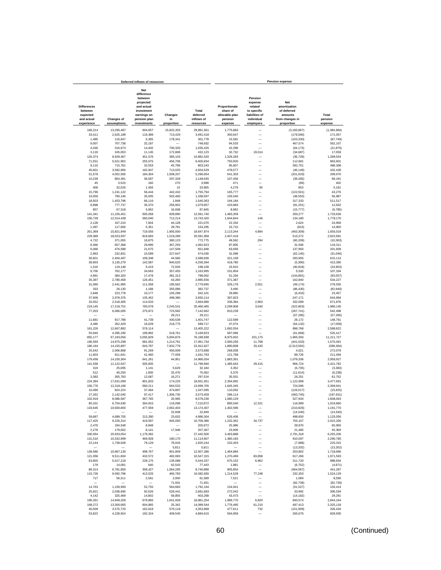|                                                         |                          | Deferred inflows of resources                                                                        |                      |                                 |                                                        |                                                                              | <b>Pension expense</b>                                                  |                        |
|---------------------------------------------------------|--------------------------|------------------------------------------------------------------------------------------------------|----------------------|---------------------------------|--------------------------------------------------------|------------------------------------------------------------------------------|-------------------------------------------------------------------------|------------------------|
| <b>Differences</b><br>between<br>expected<br>and actual | <b>Changes of</b>        | Net<br>difference<br>between<br>projected<br>and actual<br>investment<br>earnings on<br>pension plan | Changes<br>in        | Total<br>deferred<br>inflows of | Proportionate<br>share of<br>allocable plan<br>pension | Pension<br>expense<br>related<br>to specific<br>liabilities of<br>individual | <b>Net</b><br>amortization<br>of deferred<br>amounts<br>from changes in | Total<br>pension       |
| experience                                              | assumptions              | investments                                                                                          | proportion           | resources                       | expense                                                | employers                                                                    | proportion                                                              | expense                |
| 169,214                                                 | 13,295,487               | 604,657                                                                                              | 15.822.203           | 29.891.561                      | 1,775,883                                              |                                                                              | (3, 160, 867)                                                           | (1, 384, 984)          |
| 33,411                                                  | 2,625,189                | 119,389                                                                                              | 713,429              | 3,491,418                       | 350,647                                                | -                                                                            | (179, 590)                                                              | 171,057                |
| 1,485<br>9,007                                          | 116,647<br>707,738       | 5,305<br>32,187                                                                                      | 178,341              | 301,778<br>748,932              | 15,581<br>94,533                                       | $\overline{\phantom{0}}$<br>-                                                | (103, 330)<br>467,574                                                   | (87, 749)<br>562,107   |
| 4,030                                                   | 316,673                  | 14,402                                                                                               | 700,320              | 1,035,425                       | 42,298                                                 | $\overline{\phantom{a}}$                                                     | (64, 173)                                                               | (21, 875)              |
| 3,119                                                   | 245,053                  | 11,145                                                                                               | 172,806              | 432,123                         | 32,732                                                 | 19,014                                                                       | (34, 687)                                                               | 17,059                 |
| 126,374                                                 | 9,929,467                | 451,576                                                                                              | 385,103              | 10,892,520                      | 1,326,283                                              |                                                                              | (36, 729)                                                               | 1,289,554              |
| 71,551                                                  | 5,621,902                | 255,675                                                                                              | 456,706              | 6,405,834                       | 750,920                                                | -                                                                            | 112,681                                                                 | 863,601                |
| 9,110<br>45,601                                         | 715,781<br>3,582,956     | 32,553<br>162,947                                                                                    | 45,799<br>713,025    | 803,243<br>4,504,529            | 95,607<br>478,577                                      |                                                                              | 392,701<br>(46, 149)                                                    | 488,308<br>432,428     |
| 51,578                                                  | 4,052,565                | 184,304                                                                                              | 1,008,207            | 5,296,654                       | 541,303                                                |                                                                              | (331, 633)                                                              | 209,670                |
| 10,239                                                  | 804,491                  | 36,587                                                                                               | 297,328              | 1,148,645                       | 107,456                                                | L.                                                                           | (39, 265)                                                               | 68,191                 |
| 45                                                      | 3,523                    | 160                                                                                                  | 270                  | 3,998                           | 471                                                    | L,                                                                           | (69)                                                                    | 402                    |
| 408<br>15,796                                           | 32,026<br>1,241,122      | 1,456<br>56,444                                                                                      | 15<br>442,432        | 33,905<br>1,755,794             | 4,278<br>165,777                                       | 50<br>$\overline{\phantom{0}}$                                               | 853<br>(122, 501)                                                       | 5,181<br>43,276        |
| 10,056                                                  | 790,146                  | 35,935                                                                                               | 502,460              | 1,338,597                       | 105,540                                                | L.                                                                           | (48, 553)                                                               | 56,987                 |
| 18,503                                                  | 1,453,796                | 66,116                                                                                               | 1,948                | 1,540,363                       | 194,184                                                | L.                                                                           | 317,333                                                                 | 511,517                |
| 9,898                                                   | 777,737                  | 35,370                                                                                               | 256,952              | 1,079,957                       | 103,883                                                | L.                                                                           | (91, 251)                                                               | 12,632                 |
| 857                                                     | 67,318                   | 3,062                                                                                                | 16,608               | 87,845                          | 8,992                                                  | $\overline{\phantom{0}}$                                                     | (15, 777)                                                               | (6, 785)               |
| 141,341                                                 | 11,105,451               | 505,058                                                                                              | 839,890              | 12,591,740                      | 1,483,359                                              | -                                                                            | 250,277                                                                 | 1,733,636              |
| 156,728<br>2,128                                        | 12,314,438<br>167,210    | 560,040<br>7,604                                                                                     | 712,214<br>44,128    | 13,743,420<br>221,070           | 1,644,844<br>22,334                                    | 146<br>-                                                                     | 134,180<br>2,624                                                        | 1,779,170<br>24,958    |
| 1,497                                                   | 117,656                  | 5,351                                                                                                | 29,791               | 154,295                         | 15,715                                                 |                                                                              | (815)                                                                   | 14,900                 |
| 201,369                                                 | 15,821,949               | 719,556                                                                                              | 1,905,000            | 18,647,874                      | 2,113,344                                              | 4,984                                                                        | (463, 309)                                                              | 1,655,019              |
| 229,389                                                 | 18,023,597               | 819,683                                                                                              | 1,519,289            | 20,591,958                      | 2.407.419                                              |                                                                              | 515.272                                                                 | 2,922,691              |
| 4,722                                                   | 371.055                  | 16,875                                                                                               | 380,123              | 772,775                         | 49,562                                                 | 284                                                                          | (60, 209)                                                               | (10, 363)              |
| 8,366<br>6,066                                          | 657,368<br>476,598       | 29,896<br>21,675                                                                                     | 367,293<br>147,509   | 1,062,923<br>651,848            | 87,805<br>63,659                                       | -                                                                            | 31,506<br>137,950                                                       | 119,311<br>201,609     |
| 2,963                                                   | 232.831                  | 10,589                                                                                               | 227,647              | 474,030                         | 31,099                                                 | -                                                                            | (62, 145)                                                               | (31, 046)              |
| 30,601                                                  | 2,404,407                | 109,348                                                                                              | 44,580               | 2,588,936                       | 321,158                                                |                                                                              | 293,955                                                                 | 615,113                |
| 39,903                                                  | 3,135,279                | 142,587                                                                                              | 940,625              | 4,258,394                       | 418,780                                                | ÷                                                                            | (5, 390)                                                                | 413,390                |
| 1,516                                                   | 119,148                  | 5,419                                                                                                | 72,026               | 198,109                         | 15,915                                                 | L.                                                                           | (40, 818)                                                               | (24, 903)              |
| 9,700                                                   | 762,177<br>384,320       | 34,663                                                                                               | 357,455              | 1,163,995<br>788,002            | 101,804<br>51,334                                      | -<br>-                                                                       | 5,530                                                                   | 107,334                |
| 4,891<br>35,387                                         | 2,780,458                | 17,478<br>126,451                                                                                    | 381,313<br>43,260    | 2,985,556                       | 371,387                                                | L.                                                                           | (144, 891)<br>162,840                                                   | (93, 557)<br>534,227   |
| 31,080                                                  | 2,441,995                | 111,058                                                                                              | 195,562              | 2,779,695                       | 326,178                                                | 2,551                                                                        | (49, 174)                                                               | 279,555                |
| 333                                                     | 26,130                   | 1,188                                                                                                | 355,086              | 382,737                         | 3,490                                                  |                                                                              | (86, 430)                                                               | (82.940)               |
| 2.848                                                   | 223,778                  | 10,177                                                                                               | 105,298              | 342.101                         | 29,890                                                 | Ē,                                                                           | (6, 433)                                                                | 23.457                 |
| 37,906<br>32,052                                        | 2,978,376<br>2,518,405   | 135,452<br>114,533                                                                                   | 498,380              | 3.650.114<br>2,664,990          | 397,823<br>336,384                                     | 2,903                                                                        | 247,171<br>332,589                                                      | 644.994<br>671,876     |
| 219.145                                                 | 17,218,701               | 783,078                                                                                              | 2,245,541            | 20,466,465                      | 2,299,908                                              | 3,040                                                                        | (322, 803)                                                              | 1,980,145              |
| 77,203                                                  | 6,066,005                | 275,872                                                                                              | 723.582              | 7,142,662                       | 810,239                                                |                                                                              | (267, 741)                                                              | 542,498                |
|                                                         |                          |                                                                                                      | 29,211               | 29,211                          |                                                        | -                                                                            | (57, 295)                                                               | (57, 295)              |
| 11,681                                                  | 917,788                  | 41,739                                                                                               | 430,539              | 1,401,747                       | 122,589                                                |                                                                              | 26,172                                                                  | 148,761                |
| 4,485<br>161,226                                        | 352,429<br>12,667,882    | 16,028<br>576,114                                                                                    | 216,775              | 589,717<br>13,405,222           | 47,074<br>1,692,054                                    | L.                                                                           | (64, 132)<br>896,768                                                    | (17,058)<br>2,588,822  |
| 55,940                                                  | 4,395,330                | 199,892                                                                                              | 518,761              | 5,169,923                       | 587,086                                                |                                                                              | (61, 669)                                                               | 525,417                |
| 855,177                                                 | 67,193,056               | 3,055,829                                                                                            | 5,094,876            | 76,198,938                      | 8,975,002                                              | 331,175                                                                      | 1,905,550                                                               | 11,211,727             |
| 190,593                                                 | 14,975,298               | 681,052                                                                                              | 1,214,791            | 17,061,734                      | 2,000,256                                              | 11,768                                                                       | (441, 533)                                                              | 1,570,491              |
| 180,164                                                 | 14,155,897               | 643,787                                                                                              | 7,932,779            | 22,912,627                      | 1,890,808                                              | 33,420                                                                       | (2,513,592)                                                             | (589.364)              |
| 25.542<br>11,603                                        | 2,006,868<br>911,641     | 91,269<br>41,460                                                                                     | 450,009<br>77,059    | 2.573.688<br>1,041,763          | 268,058<br>121,768                                     | -<br>-                                                                       | 4,021<br>89,726                                                         | 272.079<br>211,494     |
| 179,458                                                 | 14,100,364               | 641,261                                                                                              | 44,951               | 14,966,034                      | 1,883,391                                              | $\overline{\phantom{a}}$                                                     | 1,076,536                                                               | 2,959,927              |
| 141,558                                                 | 11,122,547               | 505,835                                                                                              |                      | 11,769,940                      | 1,485,643                                              | 29,415                                                                       | 906,724                                                                 | 2,421,782              |
| 319                                                     | 25,095                   | 1,141                                                                                                | 5,629                | 32,184                          | 3,352                                                  | -                                                                            | (6, 735)                                                                | (3, 383)               |
| 512                                                     | 40,250                   | 1,830                                                                                                | 32,470               | 75,062                          | 5,376                                                  | -                                                                            | (11, 614)                                                               | (6, 238)               |
| 3,383                                                   | 265,783<br>17,631,099    | 12,087                                                                                               | 16,271<br>174,225    | 297,524                         | 35,501                                                 |                                                                              | 26,251                                                                  | 61,752                 |
| 224,394<br>156,776                                      | 12,318,186               | 801,833<br>560,211                                                                                   | 664,532              | 18,831,551<br>13,699,705        | 2,354,992<br>1,645,345                                 |                                                                              | 1,122,699<br>724,596                                                    | 3,477,691<br>2,369,941 |
| 10,490                                                  | 824,224                  | 37,484                                                                                               | 474,897              | 1,347,095                       | 110,092                                                |                                                                              | (126, 017)                                                              | (15, 925)              |
| 27,262                                                  | 2,142,045                | 97,417                                                                                               | 1,306,735            | 3,573,459                       | 286,114                                                |                                                                              | (483, 745)                                                              | (197, 631)             |
| 102,919                                                 | 8,086,587                | 367,765                                                                                              | 20,965               | 8,578,236                       | 1,080,129                                              |                                                                              | 527,934                                                                 | 1,608,063              |
| 85.331                                                  | 6.704.630                | 304.915                                                                                              | 116.096<br>2.062.403 | 7 210 972                       | 895.540                                                | 321                                                                          | 116,999                                                                 | 1.024.860              |
| 133,645                                                 | 10,500,800               | 477,559                                                                                              | 22,849               | 13,174,407<br>22,849            | 1,402,596                                              | -                                                                            | (210, 826)<br>(14, 540)                                                 | 1,191,770<br>(14, 540) |
| 59,687                                                  | 4,689,705                | 213,280                                                                                              | 23.632               | 4,986,304                       | 626,406                                                | $\overline{\phantom{a}}$                                                     | 498,650                                                                 | 1,125,056              |
| 117,425                                                 | 9,226,314                | 419,597                                                                                              | 945,050              | 10,708,386                      | 1,232,362                                              | 34,737                                                                       | 755,107                                                                 | 2,022,206              |
| 2,476                                                   | 194,548                  | 8,848                                                                                                |                      | 205.872                         | 25,986                                                 | -                                                                            | 39,970                                                                  | 65,956                 |
| 2,278                                                   | 179,002                  | 8,141                                                                                                | 17,946               | 207,367                         | 23,909                                                 | -                                                                            | 21,460                                                                  | 45,369                 |
| 330,054<br>131,510                                      | 25,933,054<br>10,332,999 | 1,179,392<br>469,928                                                                                 | 180,170              | 27,442,500<br>11,114,607        | 3,463,888<br>1,380,183                                 | -<br>-                                                                       | 2,791,318<br>910,597                                                    | 6,255,206<br>2,290,780 |
| 22,144                                                  | 1,739,928                | 79,129                                                                                               | 79,043               | 1,920,244                       | 232,403                                                | $\overline{\phantom{0}}$                                                     | (7,088)                                                                 | 225.315                |
|                                                         |                          |                                                                                                      | 5,811                | 5,811                           |                                                        | $\overline{\phantom{0}}$                                                     | (13, 202)                                                               | (13, 202)              |
| 139,580                                                 | 10,967,130               | 498,767                                                                                              | 901,809              | 12,507,286                      | 1,464,884                                              |                                                                              | 253,802                                                                 | 1,718,686              |
| 121,056                                                 | 9.511.604                | 432,572                                                                                              | 482,083              | 10,547,315                      | 1.270.469                                              | 83,858                                                                       | 617,266                                                                 | 1,971,593              |
| 63,855<br>179                                           | 5,017,219<br>14,081      | 228.175<br>640                                                                                       | 135,088<br>62,543    | 5,444,337<br>77,443             | 670,152<br>1,881                                       | 6,962<br>$\qquad \qquad -$                                                   | 311,720<br>(6, 752)                                                     | 988,834<br>(4, 871)    |
| 86,314                                                  | 6,781,850                | 308,427                                                                                              | 1,564,295            | 8.740.886                       | 905,854                                                | $\overline{\phantom{a}}$                                                     | (464, 567)                                                              | 441,287                |
| 115,726                                                 | 9,092,796                | 413,525                                                                                              | 460,783              | 10,082,830                      | 1,214,528                                              | 77,248                                                                       | 232,353                                                                 | 1,524,129              |
| 717                                                     | 56,311                   | 2,561                                                                                                | 2,000                | 61,589                          | 7,521                                                  | $\overline{\phantom{0}}$                                                     | 1,069                                                                   | 8,590                  |
| -                                                       |                          | $\overline{\phantom{a}}$                                                                             | 71,931               | 71,931                          | $\overline{\phantom{0}}$                               | L.                                                                           | (82, 739)                                                               | (82, 739)              |
| 14,763                                                  | 1,159,993                | 52,755                                                                                               | 564,683              | 1,792,194                       | 154,941                                                | $\overline{\phantom{0}}$                                                     | (51, 527)                                                               | 103,414                |
| 25,921<br>4,142                                         | 2,036,695<br>325,469     | 92,626<br>14,802                                                                                     | 526,441<br>58,855    | 2,681,683<br>403,268            | 272,042<br>43,473                                      | $\overline{\phantom{0}}$<br>-                                                | 33,992<br>(14, 182)                                                     | 306,034<br>29,291      |
| 190,261                                                 | 14,949,200               | 679,865                                                                                              | 1,041,928            | 16,861,254                      | 1,996,770                                              | 6,820                                                                        | 840,574                                                                 | 2,844,164              |
| 169,272                                                 | 13,300,065               | 604,865                                                                                              | 25,342               | 14,099,544                      | 1,776,495                                              | 61,210                                                                       | 487,413                                                                 | 2,325,118              |
| 45,509                                                  | 3,575,723                | 162,618                                                                                              | 570,118              | 4,353,968                       | 477,611                                                | 732                                                                          | (151, 909)                                                              | 326,434                |
| 53,822                                                  | 4,228,924                | 192,324                                                                                              | 409,545              | 4,884,615                       | 564,859                                                |                                                                              | 265,076                                                                 | 829,935                |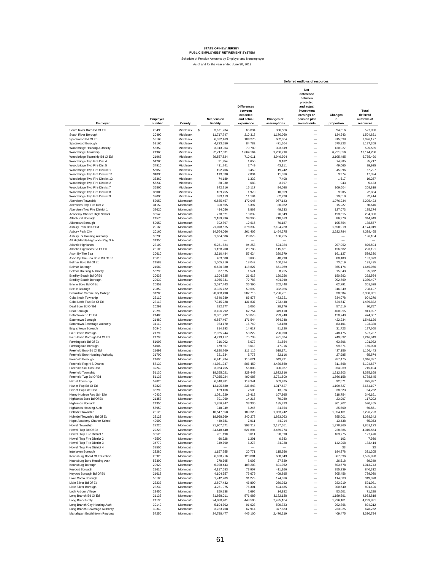|                                                                  |                    |                        |   |                          |                                                                       |                                  | Deferred outflows of resources                                                                                      |                               |                                               |
|------------------------------------------------------------------|--------------------|------------------------|---|--------------------------|-----------------------------------------------------------------------|----------------------------------|---------------------------------------------------------------------------------------------------------------------|-------------------------------|-----------------------------------------------|
| Employer                                                         | Employer<br>number | County                 |   | Net pension<br>liability | <b>Differences</b><br>between<br>expected<br>and actual<br>experience | <b>Changes of</b><br>assumptions | Net<br>difference<br>between<br>projected<br>and actual<br>investment<br>earnings on<br>pension plan<br>investments | Changes<br>in<br>proportion   | Total<br>deferred<br>outflows of<br>resources |
| South River Boro Bd Of Ed                                        | 20493              | Middlesex              | s | 3,671,234                | 65.894                                                                | 366,586                          |                                                                                                                     | 94.616                        | 527,096                                       |
| South River Borough                                              | 20490              | Middlesex              |   | 11,717,747               | 210,318                                                               | 1,170,060                        | -                                                                                                                   | 124,243                       | 1,504,621                                     |
| Spotswood Bd Of Ed                                               | 53163              | Middlesex              |   | 6.032.463                | 108,275                                                               | 602,364                          | $\overline{\phantom{0}}$                                                                                            | 315,538                       | 1,026,177                                     |
| Spotswood Borough                                                | 53160              | Middlesex              |   | 4,723,550                | 84,782                                                                | 471,664                          | $\overline{\phantom{0}}$                                                                                            | 570,823                       | 1,127,269                                     |
| Woodbridge Housing Authority                                     | 55350              | Middlesex              |   | 3,943,964                | 70,789                                                                | 393,819                          | $\overline{\phantom{0}}$                                                                                            | 130,927                       | 595,535                                       |
| Woodbridge Township                                              | 21960              | Middlesex              |   | 92,717,831               | 1,664,164                                                             | 9,258,216                        | -                                                                                                                   | 6,221,856                     | 17,144,236                                    |
| Woodbridge Township Bd Of Ed                                     | 21963              | Middlesex              |   | 39,557,824               | 710,011                                                               | 3,949,994                        | -                                                                                                                   | 2,105,485                     | 6,765,490                                     |
| Woodbridge Twp Fire Dist 4                                       | 54200              | Middlesex              |   | 91,954                   | 1,650                                                                 | 9,182                            | $\overline{\phantom{0}}$                                                                                            | 74,885                        | 85,717                                        |
| Woodbridge Twp Fire Dist 5<br>Woodbridge Twp Fire District 1     | 34910<br>56050     | Middlesex<br>Middlesex |   | 431,741<br>192,706       | 7,749<br>3,459                                                        | 43,111<br>19,242                 | $\overline{\phantom{0}}$<br>$\overline{\phantom{0}}$                                                                | 49,065<br>45,096              | 99,925<br>67,797                              |
| Woodbridge Twp Fire District 11                                  | 34830              | Middlesex              |   | 113,330                  | 2,034                                                                 | 11,316                           | $\overline{\phantom{0}}$                                                                                            | 3,974                         | 17,324                                        |
| Woodbridge Twp Fire District 12                                  | 35360              | Middlesex              |   | 74,189                   | 1,332                                                                 | 7,408                            | $\overline{\phantom{0}}$                                                                                            | 1,517                         | 10,257                                        |
| Woodbridge Twp Fire District 2                                   | 56230              | Middlesex              |   | 38,030                   | 683                                                                   | 3,797                            | $\overline{\phantom{0}}$                                                                                            | 943                           | 5,423                                         |
| Woodbridge Twp Fire District 7                                   | 35800              | Middlesex              |   | 842,216                  | 15,117                                                                | 84,098                           | $\overline{\phantom{0}}$                                                                                            | 109,604                       | 208,819                                       |
| Woodbridge Twp Fire District 8                                   | 36000              | Middlesex              |   | 109.755                  | 1,970                                                                 | 10.959                           | $\overline{\phantom{0}}$                                                                                            | 9.905                         | 22,834                                        |
| Woodbridge Twp Fire District 9                                   | 32090<br>52050     | Middlesex<br>Monmouth  |   | 623,113                  | 11,184                                                                | 62,220                           | $\overline{\phantom{0}}$<br>$\overline{\phantom{0}}$                                                                | 19,010                        | 92,414                                        |
| Aberdeen Township<br>Aberdeen Twp Fire Dist 2                    | 34150              | Monmouth               |   | 9,585,457<br>300,665     | 172,046<br>5,397                                                      | 957,143<br>30,022                | $\overline{\phantom{0}}$                                                                                            | 1,076,234<br>15,227           | 2,205,423<br>50,646                           |
| Aberdeen Twp Fire District 1                                     | 32620              | Monmouth               |   | 494,056                  | 8,868                                                                 | 49,333                           | $\overline{\phantom{0}}$                                                                                            | 127,073                       | 185,274                                       |
| Academy Charter High School                                      | 35540              | Monmouth               |   | 770,621                  | 13,832                                                                | 76,949                           | $\overline{\phantom{0}}$                                                                                            | 193,615                       | 284,396                                       |
| Allenhurst Borough                                               | 21570              | Monmouth               |   | 2,189,936                | 39,306                                                                | 218,673                          | $\overline{\phantom{0}}$                                                                                            | 86,970                        | 344,949                                       |
| Allentown Borough                                                | 50050              | Monmouth               |   | 702.897                  | 12.616                                                                | 70,187                           | -                                                                                                                   | 105,754                       | 188,557                                       |
| Asbury Park Bd Of Ed                                             | 20163              | Monmouth               |   | 21.078.525               | 378.332                                                               | 2,104,768                        | -                                                                                                                   | 1,690,919                     | 4,174,019                                     |
| Asbury Park City<br>Asbury Pk Housing Authority                  | 20160<br>30230     | Monmouth<br>Monmouth   |   | 14,564,066<br>1,664,686  | 261,406<br>29,879                                                     | 1,454,275<br>166,225             | $\overline{\phantom{0}}$<br>$\overline{\phantom{0}}$                                                                | 2,622,784                     | 4,338,465<br>196,104                          |
| Atl Highlands-Highlands Reg S A                                  | 34350              | Monmouth               |   |                          |                                                                       |                                  | $\overline{\phantom{0}}$                                                                                            | -<br>$\overline{\phantom{0}}$ |                                               |
| <b>Atlantic Highlands</b>                                        | 23100              | Monmouth               |   | 5,251,524                | 94,258                                                                | 524,384                          | $\overline{\phantom{0}}$                                                                                            | 207,952                       | 826,594                                       |
| Atlantic Highlands Bd Of Ed                                      | 23103              | Monmouth               |   | 1,158,200                | 20,788                                                                | 115,651                          | L.                                                                                                                  | 156,682                       | 293.121                                       |
| Avon By The Sea                                                  | 20610              | Monmouth               |   | 3,210,484                | 57,624                                                                | 320,579                          | L.                                                                                                                  | 161,127                       | 539,330                                       |
| Avon By The Sea Boro Bd Of Ed                                    | 20613              | Monmouth               |   | 483,608                  | 8,680                                                                 | 48,290                           | L.                                                                                                                  | 80,403                        | 137,373                                       |
| Belmar Boro Bd Of Ed<br>Belmar Borough                           | 21583<br>21580     | Monmouth<br>Monmouth   |   | 1,005,210<br>6,620,380   | 18,042<br>118,827                                                     | 100,374<br>661,069               | L.<br>L.                                                                                                            | 73,019<br>865,174             | 191,435<br>1,645,070                          |
| <b>Belmar Housing Authority</b>                                  | 56290              | Monmouth               |   | 87,675                   | 1,574                                                                 | 8,755                            | L.                                                                                                                  | 15,043                        | 25,372                                        |
| Bradley Beach Bd Of Ed                                           | 20633              | Monmouth               |   | 1,204,325                | 21,616                                                                | 120,256                          | -                                                                                                                   | 150,692                       | 292,564                                       |
| <b>Bradley Beach Borough</b>                                     | 20630              | Monmouth               |   | 4,055,331                | 72,788                                                                | 404,940                          | $\overline{\phantom{0}}$                                                                                            | 902,769                       | 1,380,497                                     |
| Brielle Boro Bd Of Ed                                            | 20853              | Monmouth               |   | 2,027,443                | 36,390                                                                | 202,448                          | $\overline{\phantom{0}}$                                                                                            | 62,791                        | 301,629                                       |
| <b>Brielle Borough</b>                                           | 20850              | Monmouth               |   | 3,325,722                | 59,692                                                                | 332,086                          | $\overline{\phantom{0}}$                                                                                            | 316,349                       | 708,127                                       |
| <b>Brookdale Community College</b><br><b>Colts Neck Township</b> | 31280<br>23110     | Monmouth<br>Monmouth   |   | 28,008,498<br>4,840,289  | 502,716<br>86,877                                                     | 2,796,751<br>483.321             | $\overline{\phantom{0}}$<br>$\overline{\phantom{0}}$                                                                | 30,584<br>334,078             | 3,330,051<br>904.276                          |
| Colts Neck Twp Bd Of Ed                                          | 23113              | Monmouth               |   | 7.345.228                | 131,837                                                               | 733.448                          | $\overline{\phantom{0}}$                                                                                            | 624,547                       | 1,489,832                                     |
| Deal Boro Bd Of Ed                                               | 20293              | Monmouth               |   | 282,177                  | 5,065                                                                 | 28,176                           | $\overline{a}$                                                                                                      | 57,516                        | 90,757                                        |
| Deal Borough                                                     | 20290              | Monmouth               |   | 3,496,292                | 62,754                                                                | 349.118                          | $\overline{\phantom{0}}$                                                                                            | 400,055                       | 811,927                                       |
| Eatontown Bd Of Ed                                               | 21483              | Monmouth               |   | 3,001,792                | 53,878                                                                | 299.740                          | $\overline{a}$                                                                                                      | 120,749                       | 474,367                                       |
| Eatontown Borough                                                | 21480              | Monmouth               |   | 9,557,467                | 171,544                                                               | 954,348                          | $\frac{1}{1}$                                                                                                       | 422.234                       | 1,548,126                                     |
| Eatontown Sewerage Authority<br>Englishtown Borough              | 31110<br>50940     | Monmouth<br>Monmouth   |   | 933,170<br>814,393       | 16,749<br>14,617                                                      | 93,180<br>81,320                 |                                                                                                                     | 83,401<br>31,723              | 193,330<br>127,660                            |
| Fair Haven Borough                                               | 21790              | Monmouth               |   | 2.965.244                | 53,222                                                                | 296,090                          | -                                                                                                                   | 248,475                       | 597,787                                       |
| Fair Haven Borough Bd Of Ed                                      | 21793              | Monmouth               |   | 4,219,417                | 75,733                                                                | 421,324                          | $\overline{\phantom{0}}$                                                                                            | 749,892                       | 1,246,949                                     |
| Farmingdale Bd Of Ed                                             | 51003              | Monmouth               |   | 316,002                  | 5,672                                                                 | 31,554                           | -                                                                                                                   | 63,806                        | 101,032                                       |
| Farmingdale Borough                                              | 51000              | Monmouth               |   | 479,867                  | 8,613                                                                 | 47,916                           | $\overline{\phantom{0}}$                                                                                            | 99,371                        | 155,900                                       |
| Freehold Boro Bd Of Ed                                           | 21693              | Monmouth               |   | 6,190,769                | 111,116                                                               | 618,171                          | $\overline{\phantom{0}}$                                                                                            | 437,156                       | 1,166,443                                     |
| Freehold Boro Housing Authority<br>Freehold Borough              | 31700<br>21690     | Monmouth<br>Monmouth   |   | 321.634<br>6,441,734     | 5,773<br>115,621                                                      | 32.116<br>643,231                | $\overline{\phantom{0}}$<br>$\overline{\phantom{0}}$                                                                | 27,985<br>287,475             | 65,874<br>1,046,327                           |
| Freehold Reg H S District                                        | 57130              | Monmouth               |   | 44,931,347               | 806,459                                                               | 4,486,560                        | L.                                                                                                                  | 811,668                       | 6,104,687                                     |
| Freehold Soil Con Dist                                           | 32240              | Monmouth               |   | 3,064,755                | 55,008                                                                | 306,027                          | L.                                                                                                                  | 354,069                       | 715,104                                       |
| Freehold Township                                                | 51130              | Monmouth               |   | 18,355,021               | 329,449                                                               | 1,832,816                        | -                                                                                                                   | 1,212,903                     | 3,375,168                                     |
| Freehold Twp Bd Of Ed                                            | 51133              | Monmouth               |   | 27,355,024               | 490,987                                                               | 2,731,500                        | L.                                                                                                                  | 1,566,158                     | 4,788,645                                     |
| <b>Hazlet Township</b>                                           | 52820              | Monmouth               |   | 6,648,981                | 119,341                                                               | 663,925                          | -                                                                                                                   | 92,571                        | 875,837                                       |
| Hazlet Twp Bd Of Ed<br>Hazlet Twp Fire Dist                      | 52823<br>35290     | Monmouth<br>Monmouth   |   | 13,195,580               | 236,843                                                               | 1,317,627                        |                                                                                                                     | 1,109,727                     | 2,664,197                                     |
| Henry Hudson Reg Sch Dist                                        | 40430              | Monmouth               |   | 139,468<br>1,081,529     | 2,503<br>19,412                                                       | 13,926<br>107,995                |                                                                                                                     | 38,323<br>218,754             | 54,752<br>346,161                             |
| Highlands Boro Bd Of Ed                                          | 21353              | Monmouth               |   | 791,960                  | 14,215                                                                | 79,080                           |                                                                                                                     | 23,907                        | 117,202                                       |
| Highlands Borough                                                | 21350              | Monmouth               |   | 1.856.947                | 33.330                                                                | 185.423                          |                                                                                                                     | 301.702                       | 520.455                                       |
| <b>Highlands Housing Auth</b>                                    | 55950              | Monmouth               |   | 348,049                  | 6.247                                                                 | 34,754                           |                                                                                                                     | 25,560                        | 66,561                                        |
| <b>Holmdel Township</b>                                          | 23120              | Monmouth               |   | 10,547,858               | 189,320                                                               | 1,053,242                        | $\overline{\phantom{0}}$                                                                                            | 1,054,161                     | 2,296,723                                     |
| Holmdel Township Bd Of Ed                                        | 23123              | Monmouth               |   | 18,958,369               | 340,278                                                               | 1,893,063                        | $\overline{\phantom{0}}$                                                                                            | 855,001                       | 3,088,342                                     |
| Hope Academy Charter School<br>Howell Township                   | 40600<br>22220     | Monmouth<br>Monmouth   |   | 440,781<br>21,907,571    | 7,911<br>393,212                                                      | 44,014<br>2,187,551              | $\overline{\phantom{0}}$<br>$\overline{a}$                                                                          | 13,438<br>1,270,360           | 65,363<br>3,851,123                           |
| Howell Twp Bd Of Ed                                              | 22223              | Monmouth               |   | 34,648,440               | 621,894                                                               | 3,459,774                        |                                                                                                                     | 228,886                       | 4,310,554                                     |
| Howell Twp Fire District 1                                       | 35520              | Monmouth               |   | 201,190                  | 3,611                                                                 | 20,090                           | $\frac{1}{1}$                                                                                                       | 103,775                       | 127,476                                       |
| Howell Twp Fire District 2                                       | 46500              | Monmouth               |   | 66,928                   | 1,201                                                                 | 6,683                            |                                                                                                                     | 102                           | 7,986                                         |
| Howell Twp Fire District 3                                       | 34770              | Monmouth               |   | 349,790                  | 6,278                                                                 | 34,928                           | -                                                                                                                   | 142,208                       | 183,414                                       |
| Howell Twp Fire District 4                                       | 38500              | Monmouth               |   |                          |                                                                       |                                  | $\overline{\phantom{0}}$                                                                                            | 33                            | 33                                            |
| Interlaken Borough                                               | 23280              | Monmouth               |   | 1,157,255                | 20,771                                                                | 115,556                          | -                                                                                                                   | 194,878                       | 331,205<br>1.595.820                          |
| Keansburg Board Of Education<br>Keansburg Boro Housing Auth      | 20923<br>56300     | Monmouth<br>Monmouth   |   | 6,690,216<br>278,695     | 120,081<br>5,002                                                      | 668,043<br>27,829                | $\overline{\phantom{0}}$<br>$\overline{\phantom{0}}$                                                                | 807,696<br>26,518             | 59,349                                        |
| Keansburg Borough                                                | 20920              | Monmouth               |   | 6,028,443                | 108,203                                                               | 601,962                          | $\overline{\phantom{0}}$                                                                                            | 603,578                       | 1,313,743                                     |
| Keyport Borough                                                  | 21610              | Monmouth               |   | 4,117,683                | 73,907                                                                | 411,166                          | $\overline{\phantom{0}}$                                                                                            | 355,239                       | 840,312                                       |
| Keyport Borough Bd Of Ed                                         | 21613              | Monmouth               |   | 4,104,957                | 73,679                                                                | 409,895                          | L.                                                                                                                  | 305,456                       | 789,030                                       |
| Lake Como Borough                                                | 53100              | Monmouth               |   | 1,742,709                | 31,279                                                                | 174,016                          | L.                                                                                                                  | 114,083                       | 319,378                                       |
| Little Silver Bd Of Ed                                           | 23233              | Monmouth               |   | 2,607,432                | 46,800                                                                | 260,362                          | -                                                                                                                   | 283,919                       | 591,081                                       |
| Little Silver Borough                                            | 23230              | Monmouth               |   | 4,251,075                | 76,301                                                                | 424,485                          | $\overline{\phantom{0}}$                                                                                            | 300,640                       | 801,426                                       |
| Loch Arbour Village<br>Long Branch Bd Of Ed                      | 23450<br>21133     | Monmouth<br>Monmouth   |   | 150,138<br>31,868,011    | 2,695<br>571,989                                                      | 14,992<br>3,182,138              | $\overline{\phantom{0}}$<br>$\overline{\phantom{0}}$                                                                | 53,601<br>1,199,691           | 71,288<br>4,953,818                           |
| Long Branch City                                                 | 21130              | Monmouth               |   | 24,988,201               | 448,506                                                               | 2,495,164                        | -                                                                                                                   | 1,296,161                     | 4,239,831                                     |
| Long Branch City Housing Auth                                    | 30140              | Monmouth               |   | 5,104,702                | 91,623                                                                | 509,723                          | $\overline{\phantom{0}}$                                                                                            | 292,866                       | 894,212                                       |
| Long Branch Sewerage Authority                                   | 30340              | Monmouth               |   | 3,783,768                | 67,914                                                                | 377,823                          | L.                                                                                                                  | 233,025                       | 678,762                                       |
| Manalapan Englishtown Regional                                   | 57250              | Monmouth               |   | 24,798,477               | 445,100                                                               | 2,476,219                        |                                                                                                                     | 409,475                       | 3,330,794                                     |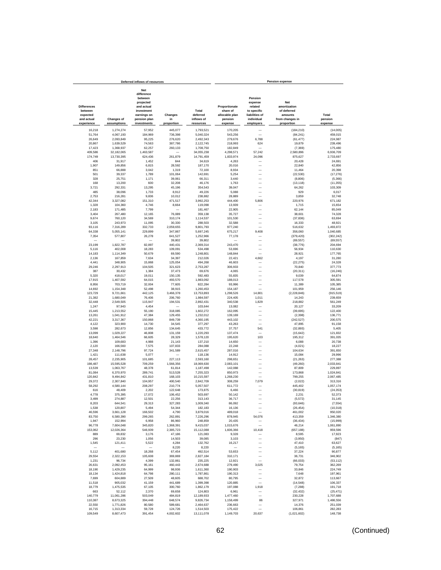|                                                         |                          | Deferred inflows of resources                                                                               |                    |                                 |                                                        |                                                                              | <b>Pension expense</b>                                           |                        |
|---------------------------------------------------------|--------------------------|-------------------------------------------------------------------------------------------------------------|--------------------|---------------------------------|--------------------------------------------------------|------------------------------------------------------------------------------|------------------------------------------------------------------|------------------------|
| <b>Differences</b><br>between<br>expected<br>and actual | <b>Changes of</b>        | <b>Net</b><br>difference<br>between<br>projected<br>and actual<br>investment<br>earnings on<br>pension plan | Changes<br>in      | Total<br>deferred<br>inflows of | Proportionate<br>share of<br>allocable plan<br>pension | Pension<br>expense<br>related<br>to specific<br>liabilities of<br>individual | Net<br>amortization<br>of deferred<br>amounts<br>from changes in | Total<br>pension       |
| experience                                              | assumptions              | investments                                                                                                 | proportion         | resources                       | expense                                                | employers                                                                    | proportion                                                       | expense                |
| 16,218                                                  | 1,274,274                | 57,952                                                                                                      | 445,077            | 1,793,521                       | 170,205                                                |                                                                              | (184, 210)                                                       | (14,005)               |
| 51,764                                                  | 4,067,193                | 184,969                                                                                                     | 736,398            | 5,040,324                       | 543,256                                                | $\overline{\phantom{0}}$                                                     | (84, 241)                                                        | 459,015                |
| 26,649                                                  | 2,093,849                | 95,225                                                                                                      | 276,620            | 2,492,343                       | 279,676                                                | 6,788                                                                        | (61, 477)                                                        | 224,987                |
| 20,867                                                  | 1,639,529                | 74,563                                                                                                      | 387,786            | 2,122,745                       | 218,993                                                | 624                                                                          | 19,879                                                           | 239,496                |
| 17,423                                                  | 1,368,937                | 62,257                                                                                                      | 260,133            | 1,708,750                       | 182,849                                                |                                                                              | (7, 369)                                                         | 175,480                |
| 409,586<br>174,749                                      | 32.182.065<br>13.730.395 | 1,463,587<br>624,436                                                                                        | 261,879            | 34.055.238<br>14,791,459        | 4,298,571<br>1,833,974                                 | 57,242<br>24,096                                                             | 2,580,896<br>875,627                                             | 6,936,709<br>2,733,697 |
| 406                                                     | 31,917                   | 1,452                                                                                                       | 844                | 34,619                          | 4.263                                                  |                                                                              | 20.428                                                           | 24,691                 |
| 1,907                                                   | 149,856                  | 6,815                                                                                                       | 28.592             | 187,170                         | 20,016                                                 | -                                                                            | 22,840                                                           | 42,856                 |
| 851                                                     | 66,888                   | 3,042                                                                                                       | 1,319              | 72,100                          | 8,934                                                  | -                                                                            | 11,464                                                           | 20,398                 |
| 501                                                     | 39,337                   | 1,789                                                                                                       | 101,064            | 142,691                         | 5,254                                                  |                                                                              | (22, 530)                                                        | (17, 276)              |
| 328                                                     | 25,751                   | 1,171                                                                                                       | 39,061             | 66,311                          | 3,440                                                  |                                                                              | (8,806)                                                          | (5, 366)               |
| 168                                                     | 13,200                   | 600                                                                                                         | 32,208             | 46,176                          | 1,763                                                  |                                                                              | (13, 118)                                                        | (11, 355)              |
| 3,721                                                   | 292,331                  | 13,295                                                                                                      | 45,196             | 354,543                         | 39,047                                                 | -                                                                            | 64,262                                                           | 103,309                |
| 485                                                     | 38,096                   | 1,733                                                                                                       | 8,912              | 49,226                          | 5,088                                                  | —                                                                            | 929                                                              | 6,017                  |
| 2,753                                                   | 216,281                  | 9,836<br>151,310                                                                                            | 10,012<br>471,517  | 238,882<br>3,992,253            | 28,889                                                 | 5,806                                                                        | 3,859<br>220,976                                                 | 32,748                 |
| 42,344<br>1,328                                         | 3,327,082<br>104,360     | 4,746                                                                                                       | 8,664              | 119,098                         | 444,400<br>13,939                                      |                                                                              | 1,715                                                            | 671,182<br>15,654      |
| 2,183                                                   | 171,485                  | 7,799                                                                                                       |                    | 181,467                         | 22,905                                                 |                                                                              | 62,144                                                           | 85,049                 |
| 3,404                                                   | 267,480                  | 12,165                                                                                                      | 76,089             | 359,138                         | 35,727                                                 |                                                                              | 38,601                                                           | 74,328                 |
| 9.674                                                   | 760,120                  | 34,569                                                                                                      | 310,174            | 1,114,537                       | 101,530                                                |                                                                              | (37, 836)                                                        | 63,694                 |
| 3,105                                                   | 243,973                  | 11,095                                                                                                      | 30,330             | 288,503                         | 32,588                                                 | -                                                                            | 16,333                                                           | 48,921                 |
| 93,116                                                  | 7,316,289                | 332,733                                                                                                     | 2,059,655          | 9,801,793                       | 977,240                                                |                                                                              | 516,632                                                          | 1,493,872              |
| 64,338                                                  | 5,055,141                | 229,899                                                                                                     | 347,867            | 5,697,245                       | 675,217                                                | 9,408                                                                        | 356,060                                                          | 1,040,685              |
| 7,354                                                   | 577,807                  | 26,278                                                                                                      | 641,527            | 1,252,966                       | 77,178                                                 |                                                                              | (379, 420)                                                       | (302, 242)             |
|                                                         |                          |                                                                                                             | 39,802             | 39,802                          |                                                        | -                                                                            | (69, 557)                                                        | (69, 557)              |
| 23,199                                                  | 1,822,787                | 82,897                                                                                                      | 440,431            | 2,369,314                       | 243,470                                                |                                                                              | (38, 776)                                                        | 204,694                |
| 5,116                                                   | 402,008                  | 18,283                                                                                                      | 109,091            | 534,498                         | 53,696                                                 |                                                                              | 56,934                                                           | 110,630                |
| 14,183<br>2,136                                         | 1,114,349<br>167,859     | 50,679<br>7,634                                                                                             | 69,590<br>34,397   | 1,248,801<br>212,026            | 148,844<br>22,421                                      | ÷<br>4,662                                                                   | 28,921<br>4,197                                                  | 177,765<br>31,280      |
| 4,441                                                   | 348,905                  | 15,868                                                                                                      | 125,054            | 494,268                         | 46,603                                                 |                                                                              | (22, 275)                                                        | 24,328                 |
| 29,246                                                  | 2,297,913                | 104,505                                                                                                     | 321,623            | 2.753.287                       | 306,933                                                |                                                                              | 70.840                                                           | 377.773                |
| 387                                                     | 30,432                   | 1,384                                                                                                       | 37,473             | 69.676                          | 4,065                                                  |                                                                              | (20, 311)                                                        | (16, 246)              |
| 5,320                                                   | 418.017                  | 19,011                                                                                                      | 150,135            | 592,483                         | 55,835                                                 |                                                                              | 9,039                                                            | 64.874                 |
| 17.915                                                  | 1,407,592                | 64,015                                                                                                      | 493.570            | 1.983.092                       | 188,013                                                |                                                                              | 117,578                                                          | 305,591                |
| 8,956                                                   | 703,719                  | 32,004                                                                                                      | 77,605             | 822,284                         | 93,996                                                 | L.                                                                           | 11,389                                                           | 105,385                |
| 14,692                                                  | 1,154,348                | 52,498                                                                                                      | 38,915             | 1,260,453                       | 154,187                                                |                                                                              | 101,959                                                          | 256,146                |
| 123,729                                                 | 9,721,661                | 442,125                                                                                                     | 3,466,378          | 13,753,893                      | 1,298,526                                              | 14,801                                                                       | (2, 228, 846)                                                    | (915, 519)             |
| 21,382                                                  | 1,680,049                | 76,406                                                                                                      | 206,760            | 1,984,597                       | 224,405                                                | 1,011                                                                        | 14,243                                                           | 239,659                |
| 32,448                                                  | 2,549,505                | 115,947                                                                                                     | 194,531            | 2,892,431                       | 340,538                                                | 1,829                                                                        | 218,882                                                          | 561,249                |
| 1,247<br>15,445                                         | 97,943<br>1,213,552      | 4,454<br>55,190                                                                                             | 318,085            | 103.644<br>1,602,272            | 13.082<br>162,095                                      |                                                                              | 20,127<br>(39, 695)                                              | 33,209<br>122,400      |
| 13,261                                                  | 1,041,912                | 47,384                                                                                                      | 129,455            | 1,232,012                       | 139,169                                                |                                                                              | (2, 398)                                                         | 136,771                |
| 42,221                                                  | 3,317,367                | 150,868                                                                                                     | 849,739            | 4,360,195                       | 443,102                                                |                                                                              | (242, 527)                                                       | 200,575                |
| 4,122                                                   | 323,900                  | 14,730                                                                                                      | 34,545             | 377,297                         | 43,263                                                 |                                                                              | 47.895                                                           | 91,158                 |
| 3,598                                                   | 282,673                  | 12,856                                                                                                      | 134,645            | 433.772                         | 37.757                                                 | 541                                                                          | (32, 893)                                                        | 5,405                  |
| 13,099                                                  | 1,029,227                | 46,808                                                                                                      | 131,159            | 1,220,293                       | 137,474                                                |                                                                              | (15, 642)                                                        | 121,832                |
| 18,640                                                  | 1,464,546                | 66,605                                                                                                      | 28.329             | 1,578,120                       | 195,620                                                | 103                                                                          | 195,312                                                          | 391,035                |
| 1,396                                                   | 109,683                  | 4,988                                                                                                       | 21,143             | 137,210                         | 14,650                                                 | -                                                                            | 6,088                                                            | 20,738                 |
| 2,120                                                   | 166,560                  | 7,575                                                                                                       | 107,833            | 284,088                         | 22,248                                                 |                                                                              | (4,021)                                                          | 18,227                 |
| 27,348                                                  | 2,148,796                | 97,724                                                                                                      | 341,589            | 2,615,457                       | 287,016                                                |                                                                              | 104,634                                                          | 391,650                |
| 1,421<br>28,457                                         | 111,638<br>2,235,905     | 5,077<br>101,685                                                                                            | 227,113            | 118,136<br>2,593,160            | 14,912<br>298,651                                      |                                                                              | 15,084<br>(21, 263)                                              | 29,996<br>277,388      |
| 198,487                                                 | 15,595,528               | 709,259                                                                                                     | 1,566,356          | 18,069,630                      | 2,083,101                                              |                                                                              | (49, 260)                                                        | 2,033,841              |
| 13,539                                                  | 1,063,767                | 48,378                                                                                                      | 61,814             | 1,187,498                       | 142,088                                                |                                                                              | 87,809                                                           | 229,897                |
| 81,084                                                  | 6,370,970                | 289.741                                                                                                     | 513,528            | 7,255,323                       | 850,973                                                | ÷,                                                                           | 173,868                                                          | 1,024,841              |
| 120,842                                                 | 9,494,842                | 431,810                                                                                                     | 168,103            | 10,215,597                      | 1,268,230                                              |                                                                              | 799,255                                                          | 2,067,485              |
| 29,372                                                  | 2,307,840                | 104,957                                                                                                     | 400,540            | 2,842,709                       | 308,259                                                | 7,079                                                                        | (2,022)                                                          | 313.316                |
| 58,292                                                  | 4,580,144                | 208,297                                                                                                     | 210,774            | 5,057,507                       | 611,772                                                |                                                                              | 445,402                                                          | 1,057,174              |
| 616                                                     | 48,409                   | 2,202                                                                                                       | 122,648            | 173,875                         | 6,466                                                  |                                                                              | (30, 819)                                                        | (24, 353)              |
| 4,778<br>3.499                                          | 375,395<br>274,887       | 17,072<br>12,501                                                                                            | 106.452<br>22.256  | 503.697                         | 50,142<br>36.717                                       |                                                                              | 2,231                                                            | 52,373                 |
|                                                         | 644,541                  | 29,313                                                                                                      | 327,283            | 313,143<br>1,009,340            | 86,092                                                 |                                                                              | (5, 572)                                                         | 31,145                 |
| 8,203<br>1,538                                          | 120,807                  | 5,494                                                                                                       | 54,344             | 182,183                         | 16,136                                                 | -                                                                            | (93, 646)<br>(26, 454)                                           | (7, 554)<br>(10, 318)  |
| 46,596                                                  | 3,661,128                | 166,502                                                                                                     | 4,790              | 3,879,016                       | 489,018                                                |                                                                              | 461,002                                                          | 950,020                |
| 83,750                                                  | 6,580,390                | 299.265                                                                                                     | 262,891            | 7,226,296                       | 878,945                                                | 54,076                                                                       | 413,359                                                          | 1,346,380              |
| 1,947                                                   | 152,994                  | 6,958                                                                                                       | 86,960             | 248,859                         | 20,435                                                 | -                                                                            | (36, 434)                                                        | (15,999)               |
| 96,778                                                  | 7,604,048                | 345,820                                                                                                     | 1,368,391          | 9,415,037                       | 1,015,676                                              |                                                                              | 46,214                                                           | 1,061,890              |
| 153,062                                                 | 12,026,364               | 546.939                                                                                                     | 2,385,723          | 15,112,088                      | 1,606,366                                              | 10,418                                                                       | (657, 188)                                                       | 959,596                |
| 889                                                     | 69,832                   | 3,176                                                                                                       | 47,186             | 121,083                         | 9,328                                                  | -                                                                            | 8,595                                                            | 17,923                 |
| 296                                                     | 23,230                   | 1,056                                                                                                       | 14,503             | 39,085                          | 3,103                                                  | -                                                                            | (3,950)                                                          | (847)                  |
| 1,545                                                   | 121,411                  | 5,522                                                                                                       | 4,284              | 132,762                         | 16,217                                                 | -                                                                            | 47,410                                                           | 63,627                 |
| -<br>5,112                                              | 401,680                  | 18,268                                                                                                      | 8,220<br>67,454    | 8,220<br>492,514                | -<br>53,653                                            | -<br>-                                                                       | (5, 165)<br>37,224                                               | (5, 165)<br>90,877     |
| 29,554                                                  | 2,322,153                | 105,608                                                                                                     | 369,869            | 2,827,184                       | 310,171                                                | $\overline{\phantom{0}}$                                                     | 36,731                                                           | 346,902                |
| 1,231                                                   | 96,734                   | 4,399                                                                                                       | 132,861            | 235,225                         | 12,921                                                 | -                                                                            | (66, 033)                                                        | (53, 112)              |
| 26,631                                                  | 2,092,453                | 95,161                                                                                                      | 460,443            | 2,674,688                       | 279,490                                                | 3,025                                                                        | 79,754                                                           | 362,269                |
| 18,190                                                  | 1,429,235                | 64,999                                                                                                      | 98,936             | 1,611,360                       | 190,903                                                |                                                                              | 33,846                                                           | 224,749                |
| 18,134                                                  | 1,424,818                | 64,798                                                                                                      | 280,111            | 1,787,861                       | 190,313                                                | -                                                                            | 7,648                                                            | 197,961                |
| 7,699                                                   | 604,889                  | 27,509                                                                                                      | 48,605             | 688,702                         | 80,795                                                 | ÷                                                                            | 32,872                                                           | 113,667                |
| 11,518                                                  | 905,032                  | 41,159                                                                                                      | 441.689            | 1,399,398                       | 120,885                                                | $\overline{\phantom{0}}$                                                     | (14.548)                                                         | 106,337                |
| 18,779                                                  | 1.475.535                | 67,105                                                                                                      | 300,760            | 1.862.179                       | 197,088                                                | 1,918                                                                        | (7, 288)                                                         | 191,718                |
| 663                                                     | 52,112                   | 2.370                                                                                                       | 69,658             | 124,803                         | 6,961                                                  | -                                                                            | (32, 432)                                                        | (25, 471)              |
| 140,779                                                 | 11,061,286               | 503,049                                                                                                     | 484,819            | 12,189,933                      | 1,477,460                                              | L,                                                                           | 230,228                                                          | 1,707,688              |
| 110,387<br>22,550                                       | 8,673,325<br>1,771,826   | 394,448<br>80,580                                                                                           | 648,574<br>589,681 | 9,826,734<br>2,464,637          | 1,158,499<br>236,663                                   | 86<br>$\overline{\phantom{0}}$                                               | 327,971<br>14,376                                                | 1,486,556<br>251,039   |
| 16,715                                                  | 1,313,334                | 59,728                                                                                                      | 124,726            | 1,514,503                       | 175,422                                                | $\overline{\phantom{0}}$                                                     | 106,861                                                          | 282,283                |
| 109,549                                                 | 8,607,473                | 391,454                                                                                                     | 4,002,602          | 13,111,078                      | 1,149,703                                              | 20,637                                                                       | (1,021,602)                                                      | 148,738                |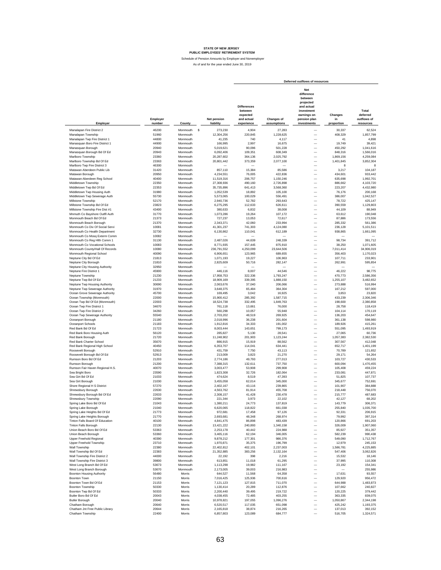Schedule of Pension Amounts by Employer and Nonemployer

|                                                               |                    |                      |                          |                                                                       |                           | Deferred outflows of resources                                                                                      |                                     |                                               |
|---------------------------------------------------------------|--------------------|----------------------|--------------------------|-----------------------------------------------------------------------|---------------------------|---------------------------------------------------------------------------------------------------------------------|-------------------------------------|-----------------------------------------------|
| Employer                                                      | Employer<br>number | County               | Net pension<br>liability | <b>Differences</b><br>between<br>expected<br>and actual<br>experience | Changes of<br>assumptions | Net<br>difference<br>between<br>projected<br>and actual<br>investment<br>earnings on<br>pension plan<br>investments | Changes<br>in<br>proportion         | Total<br>deferred<br>outflows of<br>resources |
| Manalapan Fire District 2                                     | 46200              | Monmouth<br><b>s</b> | 273,230                  | 4,904                                                                 | 27,283                    |                                                                                                                     | 30,337                              | 62,524                                        |
| Manalapan Township                                            | 51960              | Monmouth             | 12,304,256               | 220,845                                                               | 1,228,625                 |                                                                                                                     | 408,329                             | 1,857,799                                     |
| Manalapan Twp Fire District 1                                 | 44800              | Monmouth             | 41,235                   | 740                                                                   | 4,117                     | -                                                                                                                   | 41                                  | 4,898                                         |
| Manasquan Boro Fire District 1                                | 44900              | Monmouth             | 166,995                  | 2,997                                                                 | 16,675                    | -                                                                                                                   | 19,749                              | 39,421                                        |
| Manasquan Borough                                             | 20940              | Monmouth             | 5,019,621                | 90,096                                                                | 501,228                   | -                                                                                                                   | 450,292                             | 1,041,616                                     |
| Manasquan Borough Bd Of Ed                                    | 20943              | Monmouth             | 6.092.406                | 109,351                                                               | 608,349                   | $\overline{\phantom{0}}$                                                                                            | 848,316<br>1.869.156                | 1,566,016                                     |
| Marlboro Township<br>Marlboro Township Bd Of Ed               | 23360<br>23363     | Monmouth<br>Monmouth | 20,287,602<br>20.801.442 | 364,136<br>373,359                                                    | 2,025,792<br>2,077,100    | $\overline{\phantom{0}}$<br>$\overline{\phantom{0}}$                                                                | 1,401,845                           | 4,259,084<br>3.852.304                        |
| Marlboro Twp Fire District 3                                  | 46300              | Monmouth             |                          |                                                                       |                           | $\overline{\phantom{0}}$                                                                                            | 8                                   | 8                                             |
| Matawan Aberdeen Public Lib                                   | 31420              | Monmouth             | 857,110                  | 15,384                                                                | 85,586                    | $\overline{\phantom{0}}$                                                                                            | 3,217                               | 104,187                                       |
| Matawan Borough                                               | 20950              | Monmouth             | 4,234,551                | 76,005                                                                | 422,836                   | $\overline{a}$                                                                                                      | 434,601                             | 933,442                                       |
| Matawan-Aberdeen Reg School                                   | 40400              | Monmouth             | 11,519,316               | 206,757                                                               | 1,150,246                 | $\frac{1}{1}$                                                                                                       | 635,698                             | 1,992,701                                     |
| Middletown Township                                           | 22350              | Monmouth             | 27,308,936               | 490.160                                                               | 2,726,898                 |                                                                                                                     | 886,662                             | 4,103,720                                     |
| Middletown Twp Bd Of Ed                                       | 22353              | Monmouth             | 35,735,896               | 641,413                                                               | 3,568,360                 |                                                                                                                     | 223,207                             | 4,432,980                                     |
| Middletown Twp Housing Auth                                   | 31980<br>55730     | Monmouth<br>Monmouth | 1,052,539                | 18,892<br>100,029                                                     | 105,100<br>556,491        |                                                                                                                     | 76,176<br>386,007                   | 200,168<br>1,042,527                          |
| Middletown Twp Sewerage Auth<br>Millstone Township            | 52170              | Monmouth             | 5,573,065<br>2.940.736   | 52,782                                                                | 293,643                   | $\overline{\phantom{0}}$<br>$\overline{\phantom{0}}$                                                                | 78,722                              | 425.147                                       |
| Millstone Township Bd Of Ed                                   | 23823              | Monmouth             | 6,275,295                | 112,633                                                               | 626,611                   | $\overline{\phantom{0}}$                                                                                            | 390,559                             | 1,129,803                                     |
| Millstone Township Fire Dist #1                               | 43400              | Monmouth             | 380,633                  | 6,832                                                                 | 38,008                    | $\overline{\phantom{0}}$                                                                                            | 44,109                              | 88,949                                        |
| Mnmuth Co Bayshore Outfil Auth                                | 31770              | Monmouth             | 1,073,286                | 19,264                                                                | 107,172                   | $\overline{\phantom{0}}$                                                                                            | 63,612                              | 190,048                                       |
| Monmouth Beach Bd Of Ed                                       | 21373              | Monmouth             | 727,237                  | 13,053                                                                | 72,617                    | $\overline{\phantom{0}}$                                                                                            | 87,886                              | 173,556                                       |
| Monmouth Beach Borough                                        | 21370              | Monmouth             | 2,343,371                | 42,060                                                                | 233,994                   | $\overline{\phantom{0}}$                                                                                            | 285,332                             | 561,386                                       |
| Monmouth Co Div Of Social Servi                               | 10081<br>32730     | Monmouth<br>Monmouth | 41,301,237               | 741,303                                                               | 4,124,080                 | $\overline{\phantom{0}}$<br>$\overline{\phantom{0}}$                                                                | 236,128                             | 5,101,511                                     |
| Monmouth Co Health Department<br>Monmouth Co Mosq Exterm Comm | 10082              | Monmouth             | 6,130,862                | 110,041                                                               | 612,189                   | $\overline{\phantom{0}}$                                                                                            | 938,865<br>$\overline{\phantom{a}}$ | 1,661,095                                     |
| Monmouth Co Reg Hith Comm 1                                   | 31130              | Monmouth             | 2,487,026                | 44,639                                                                | 248,339                   | $\overline{\phantom{0}}$                                                                                            | 98,734                              | 391,712                                       |
| Monmouth Co Vocational Schools                                | 10083              | Monmouth             | 8,771,935                | 157,445                                                               | 875,910                   | $\overline{\phantom{0}}$                                                                                            | 38,250                              | 1,071,605                                     |
| Monmouth County/Hall Of Records                               | 10080              | Monmouth             | 236,791,552              | 4,250,099                                                             | 23,644,506                | $\overline{\phantom{0}}$                                                                                            | 7,011,414                           | 34,906,019                                    |
| Monmouth Regional School                                      | 40090              | Monmouth             | 6,906,651                | 123,965                                                               | 689,655                   | -                                                                                                                   | 356,403                             | 1,170,023                                     |
| Neptune City Bd Of Ed                                         | 21813              | Monmouth             | 1,071,193                | 19,227                                                                | 106,963                   | -                                                                                                                   | 107,711                             | 233,901                                       |
| Neptune City Borough                                          | 21810              | Monmouth             | 2,825,609                | 50,716                                                                | 282,147                   | $\overline{\phantom{0}}$                                                                                            | 262,991                             | 595,854                                       |
| Neptune City Housing Authority<br>Neptune Fire District 1     | 32950<br>45900     | Monmouth<br>Monmouth | 446.116                  | 8,007                                                                 | 44,546                    | $\overline{\phantom{0}}$<br>$\overline{\phantom{0}}$                                                                | 46,222                              | 98,775                                        |
| Neptune Township                                              | 21230              | Monmouth             | 17,958,753               | 322,336                                                               | 1,793,247                 | $\qquad \qquad -$                                                                                                   | 470,773                             | 2.586.356                                     |
| Neptune Twp Bd Of Ed                                          | 21233              | Monmouth             | 18,909,169               | 339,395                                                               | 1,888,150                 | $\overline{\phantom{0}}$                                                                                            | 1,255,107                           | 3,482,652                                     |
| Neptune Twp Housing Authority                                 | 30690              | Monmouth             | 2,063,676                | 37.040                                                                | 206,066                   | $\overline{\phantom{0}}$                                                                                            | 273,888                             | 516,994                                       |
| Neptune Twp Sewerage Authority                                | 31970              | Monmouth             | 3,648,375                | 65,484                                                                | 364,304                   | $\overline{\phantom{a}}$                                                                                            | 167,212                             | 597,000                                       |
| Ocean Grove Sewerage Authority                                | 45700              | Monmouth             | 169,495                  | 3,042                                                                 | 16,925                    |                                                                                                                     | 3,853                               | 23,820                                        |
| Ocean Township (Monmouth)                                     | 22000              | Monmouth             | 15,900,412               | 285,392                                                               | 1,587,715                 | $\overline{\phantom{0}}$                                                                                            | 433,239                             | 2,306,346                                     |
| Ocean Twp Bd Of Ed (Monmouth)                                 | 22003              | Monmouth             | 18,524,738               | 332,495                                                               | 1,849,763                 | $\overline{\phantom{0}}$                                                                                            | 198,600                             | 2,380,858                                     |
| Ocean Twp Fire District 1<br>Ocean Twp Fire District 2        | 34670<br>34260     | Monmouth<br>Monmouth | 761,118<br>560,298       | 13,661<br>10,057                                                      | 76,000<br>55,948          | $\overline{\phantom{0}}$<br>$\overline{\phantom{0}}$                                                                | 28,758<br>104,114                   | 118,419<br>170,119                            |
| Ocean Twp Sewerage Authority                                  | 55540              | Monmouth             | 2,703,202                | 48,519                                                                | 269,925                   | $\overline{\phantom{0}}$                                                                                            | 136,203                             | 454,647                                       |
| Oceanport Borough                                             | 21180              | Monmouth             | 2,018,996                | 36,238                                                                | 201,604                   | $\overline{\phantom{0}}$                                                                                            | 361,138                             | 598,980                                       |
| Oceanport Schools                                             | 21183              | Monmouth             | 1,912,816                | 34,333                                                                | 191,002                   | $\overline{\phantom{0}}$                                                                                            | 189,926                             | 415,261                                       |
| Red Bank Bd Of Ed                                             | 21723              | Monmouth             | 8,003,444                | 143,651                                                               | 799,173                   | $\overline{\phantom{0}}$                                                                                            | 551,095                             | 1,493,919                                     |
| Red Bank Boro Housing Auth                                    | 56120<br>21720     | Monmouth<br>Monmouth | 285,827                  | 5,130<br>201,903                                                      | 28,541                    | $\overline{\phantom{0}}$<br>L.                                                                                      | 27,065<br>1,057,383                 | 60.736<br>2,382,530                           |
| Red Bank Borough<br>Red Bank Charter School                   | 35670              | Monmouth             | 11,248,902<br>886,915    | 15,919                                                                | 1,123,244<br>88,562       | L.                                                                                                                  | 307,567                             | 412,048                                       |
| Red Bank Regional High School                                 | 40450              | Monmouth             | 6,353,707                | 114,041                                                               | 634,441                   | L.                                                                                                                  | 652,717                             | 1,401,199                                     |
| Roosevelt Borough                                             | 52910              | Monmouth             | 431,759                  | 7,750                                                                 | 43,113                    | L.                                                                                                                  | 70,789                              | 121,652                                       |
| Roosevelt Borough Bd Of Ed                                    | 52913              | Monmouth             | 213,009                  | 3,823                                                                 | 21,270                    | L.                                                                                                                  | 29,171                              | 54,264                                        |
| Rumson Boro Bd Of Ed                                          | 21203              | Monmouth             | 2,774,186                | 49,793                                                                | 277,013                   | $\overline{\phantom{0}}$                                                                                            | 103,727                             | 430,533                                       |
| Rumson Borough                                                | 21200              | Monmouth             | 7,388,315                | 132,611                                                               | 737,750                   | $\overline{\phantom{0}}$                                                                                            | 600,094                             | 1,470,455                                     |
| Rumson Fair Haven Regional H.S.<br>Sea Bright Boro            | 40070<br>23590     | Monmouth<br>Monmouth | 3,003,477<br>1,823,308   | 53,908<br>32,726                                                      | 299,908<br>182,064        | $\overline{\phantom{0}}$<br>$\overline{\phantom{0}}$                                                                | 105,408<br>233,081                  | 459,224<br>447,871                            |
| Sea Girt Bd Of Ed                                             | 21033              | Monmouth             | 474,624                  | 8,519                                                                 | 47,393                    | $\overline{\phantom{0}}$                                                                                            | 51,825                              | 107,737                                       |
| Sea Girt Borough                                              | 21030              | Monmouth             | 3,455,058                | 62,014                                                                | 345,000                   | $\overline{\phantom{0}}$                                                                                            | 345,677                             | 752,691                                       |
| Shore Regional H S District                                   | 57270              | Monmouth             | 2,402,167                | 43,116                                                                | 239,865                   | $\overline{\phantom{0}}$                                                                                            | 101,907                             | 384,888                                       |
| Shrewsbury Borough                                            | 22630              | Monmouth             | 4.563.762                | 81,914                                                                | 455.708                   | $\overline{\phantom{0}}$                                                                                            | 218,448                             | 756,070                                       |
| Shrewsbury Borough Bd Of Ed                                   | 22633              | Monmouth             | 2.308.157                | 41,428                                                                | 230,478                   | $\overline{\phantom{0}}$                                                                                            | 215,777                             | 487,683                                       |
| Shrewsbury Township                                           | 22090              | Monmouth             | 221.344                  | 3,973                                                                 | 22.102                    |                                                                                                                     | 42.127                              | 68,202                                        |
| Spring Lake Boro Bd Of Ed<br>Spring Lake Borough              | 21043<br>21040     | Monmouth<br>Monmouth | 1,380,211<br>6,620,065   | 24,773<br>118,822                                                     | 137,819<br>661,038        | -                                                                                                                   | 143,779<br>255,840                  | 306,371<br>1,035,700                          |
| Spring Lake Heights Bd Of Ed                                  | 21773              | Monmouth             | 972,681                  | 17,458                                                                | 97,126                    | $\overline{\phantom{0}}$                                                                                            | 92,331                              | 206,915                                       |
| Spring Lake Heights Borough                                   | 21770              | Monmouth             | 2,693,681                | 48,348                                                                | 268,974                   | $\overline{\phantom{0}}$                                                                                            | 79,992                              | 397,314                                       |
| Tinton Falls Board Of Education                               | 40100              | Monmouth             | 4,841,475                | 86,898                                                                | 483,439                   | $\overline{\phantom{0}}$                                                                                            | 120,866                             | 691,203                                       |
| Tinton Falls Borough                                          | 22130              | Monmouth             | 13,421,222               | 240,893                                                               | 1,340,158                 | $\overline{\phantom{0}}$                                                                                            | 326,009                             | 1,907,060                                     |
| Union Beach Boro Bd Of Ed                                     | 53363              | Monmouth             | 2.253.178                | 40,442                                                                | 224,988                   |                                                                                                                     | 85,927                              | 351,357                                       |
| Union Beach Borough                                           | 53360              | Monmouth             | 3,465,116                | 62,194                                                                | 346,005                   | $\qquad \qquad -$                                                                                                   | 582.239                             | 990.438                                       |
| Upper Freehold Regional<br>Upper Freehold Township            | 40390<br>23710     | Monmouth<br>Monmouth | 9,878,212                | 177,301                                                               | 986,376                   | $\qquad \qquad -$<br>$\overline{\phantom{0}}$                                                                       | 549,090                             | 1,712,767                                     |
| Wall Township                                                 | 22380              | Monmouth             | 1,970,871<br>22,402,812  | 35,375<br>402,101                                                     | 196,799<br>2,237,003      |                                                                                                                     | 12,979<br>1,586,781                 | 245,153<br>4,225,885                          |
| Wall Township Bd Of Ed                                        | 22383              | Monmouth             | 21,352,885               | 383,256                                                               | 2,132,164                 | $\overline{\phantom{0}}$                                                                                            | 547,406                             | 3,062,826                                     |
| Wall Township Fire District 2                                 | 44000              | Monmouth             | 22,192                   | 398                                                                   | 2,216                     | $\overline{\phantom{0}}$                                                                                            | 15,532                              | 18,146                                        |
| Wall Township Fire District 3                                 | 39800              | Monmouth             | 613,851                  | 11,018                                                                | 61,295                    |                                                                                                                     | 37,995                              | 110,308                                       |
| West Long Branch Bd Of Ed                                     | 53673              | Monmouth             | 1,113,298                | 19,982                                                                | 111,167                   |                                                                                                                     | 23,192                              | 154,341                                       |
| West Long Branch Borough                                      | 53670              | Monmouth             | 2,173,005                | 39,003                                                                | 216,983                   | $\overline{\phantom{0}}$                                                                                            |                                     | 255,986                                       |
| <b>Boonton Housing Authority</b>                              | 56480              | Morris               | 644,527                  | 11,568                                                                | 64,358                    | $\overline{\phantom{0}}$                                                                                            | 17,631                              | 93,557                                        |
| Boonton Town                                                  | 21150              | Morris               | 7,016,425                | 125,936                                                               | 700,616                   | $\overline{\phantom{0}}$                                                                                            | 129,920                             | 956,472                                       |
| Boonton Town Bd Of Ed<br>Boonton Township                     | 21153<br>50330     | Morris<br>Morris     | 7,121,123                | 127,815<br>20,289                                                     | 711,070                   | $\qquad \qquad -$<br>$\qquad \qquad -$                                                                              | 644,988                             | 1,483,873                                     |
| Boonton Twp Bd Of Ed                                          | 50333              | Morris               | 1,130,414<br>2,200,440   | 39,495                                                                | 112,876<br>219,722        | $\qquad \qquad -$                                                                                                   | 107,662<br>120,225                  | 240,827<br>379,442                            |
| Butler Boro Bd Of Ed                                          | 20043              | Morris               | 4,038,455                | 72,485                                                                | 403,255                   | $\qquad \qquad -$                                                                                                   | 363,335                             | 839,075                                       |
| <b>Butler Borough</b>                                         | 20040              | Morris               | 10,978,821               | 197,055                                                               | 1,096,276                 |                                                                                                                     | 1,050,867                           | 2,344,198                                     |
| Chatham Borough                                               | 20640              | Morris               | 6,520,517                | 117,035                                                               | 651,098                   | $\qquad \qquad -$                                                                                                   | 425,242                             | 1,193,375                                     |
| Chatham Jnt Free Public Library                               | 20644              | Morris               | 2,165,818                | 38,874                                                                | 216,265                   | Ē,                                                                                                                  | 137,013                             | 392,152                                       |
| Chatham Township                                              | 22400              | Morris               | 6,857,803                | 123,089                                                               | 684,777                   |                                                                                                                     | 516,705                             | 1,324,571                                     |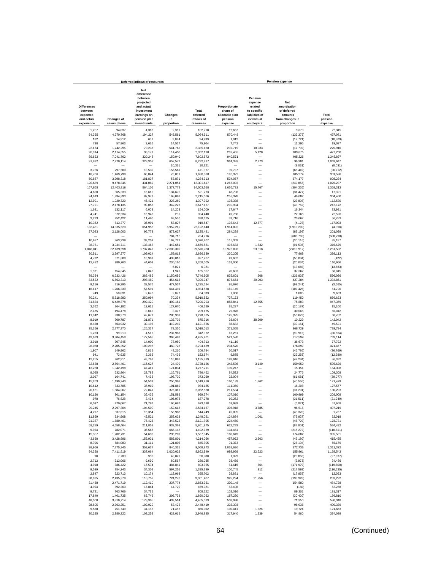|                                                         |                         | Deferred inflows of resources                                                                               |                       |                                 |                                                        |                                                                              | <b>Pension expense</b>                                           |                      |
|---------------------------------------------------------|-------------------------|-------------------------------------------------------------------------------------------------------------|-----------------------|---------------------------------|--------------------------------------------------------|------------------------------------------------------------------------------|------------------------------------------------------------------|----------------------|
| <b>Differences</b><br>between<br>expected<br>and actual | <b>Changes of</b>       | <b>Net</b><br>difference<br>between<br>projected<br>and actual<br>investment<br>earnings on<br>pension plan | Changes<br>in         | Total<br>deferred<br>inflows of | Proportionate<br>share of<br>allocable plan<br>pension | Pension<br>expense<br>related<br>to specific<br>liabilities of<br>individual | Net<br>amortization<br>of deferred<br>amounts<br>from changes in | Total<br>pension     |
| experience                                              | assumptions             | investments                                                                                                 | proportion            | resources                       | expense                                                | employers                                                                    | proportion                                                       | expense              |
| 1,207                                                   | 94,837                  | 4,313                                                                                                       | 2,361                 | 102,718                         | 12,667                                                 |                                                                              | 9,678                                                            | 22,345               |
| 54,355                                                  | 4,270,768               | 194,227                                                                                                     | 545,561               | 5,064,911                       | 570,448                                                | -                                                                            | (133, 377)                                                       | 437,071              |
| 182                                                     | 14,312                  | 651                                                                                                         | 9,094                 | 24,239                          | 1,912                                                  |                                                                              | (12, 721)                                                        | (10, 809)            |
| 738                                                     | 57,963                  | 2,636                                                                                                       | 14,567                | 75,904                          | 7,742                                                  |                                                                              | 11,295                                                           | 19,037               |
| 22,174                                                  | 1,742,295               | 79,237                                                                                                      | 541,762               | 2,385,468                       | 232,719                                                | 10,983                                                                       | (17, 792)                                                        | 225,910              |
| 26,914                                                  | 2,114,655               | 96,171                                                                                                      | 114,450               | 2,352,190                       | 282,455                                                | 5,128                                                                        | 189,675                                                          | 477,258<br>1.345.897 |
| 89,622<br>91,892                                        | 7,041,762<br>7,220,114  | 320,248<br>328,359                                                                                          | 150,940<br>652,572    | 7,602,572<br>8.292.937          | 940,571<br>964,393                                     | 2,273                                                                        | 405,326<br>96.981                                                | 1,063,647            |
|                                                         |                         |                                                                                                             | 10,321                | 10,321                          |                                                        |                                                                              | (8,031)                                                          | (8,031)              |
| 3,786                                                   | 297,500                 | 13,530                                                                                                      | 156,561               | 471,377                         | 39,737                                                 | -                                                                            | (66, 449)                                                        | (26.712)             |
| 18,706                                                  | 1,469,799               | 66,844                                                                                                      | 75,039                | 1,630,388                       | 196,322                                                | -                                                                            | 105,274                                                          | 301,596              |
| 50,887                                                  | 3,998,318               | 181,837                                                                                                     | 53,871                | 4,284,913                       | 534,057                                                | $\overline{\phantom{0}}$                                                     | 374,177                                                          | 908,234              |
| 120,639                                                 | 9,478,845               | 431,082                                                                                                     | 2,271,051             | 12,301,617                      | 1,266,093                                              |                                                                              | (240, 856)                                                       | 1,025,237            |
| 157,865<br>4,650                                        | 12,403,816<br>365,333   | 564,105<br>16,615                                                                                           | 1,377,772<br>134,675  | 14,503,558<br>521,273           | 1,656,782<br>48,798                                    | 15,767                                                                       | (304, 236)<br>(31, 477)                                          | 1,368,313<br>17,321  |
| 24,619                                                  | 1,934,393               | 87,973                                                                                                      | 168,081               | 2,215,066                       | 258,378                                                |                                                                              | 46,082                                                           | 304,460              |
| 12,991                                                  | 1,020,720               | 46,421                                                                                                      | 227,260               | 1,307,392                       | 136,338                                                |                                                                              | (23, 808)                                                        | 112,530              |
| 27,721                                                  | 2,178,135               | 99,058                                                                                                      | 342,223               | 2,647,137                       | 290,934                                                |                                                                              | (43, 762)                                                        | 247,172              |
| 1,681                                                   | 132,117                 | 6,008                                                                                                       | 14,203                | 154,009                         | 17,647                                                 |                                                                              | 16,344                                                           | 33,991               |
| 4,741                                                   | 372,534                 | 16,942                                                                                                      | 231                   | 394,448                         | 49,760                                                 | -                                                                            | 22,766                                                           | 72,526               |
| 3,213                                                   | 252,422<br>813.377      | 11,480<br>36,991                                                                                            | 63,560<br>58,827      | 330,675<br>919.547              | 33,716<br>108,643                                      | 12,577                                                                       | 23,067                                                           | 56,783<br>117,093    |
| 10,352<br>182,451                                       | 14,335,529              | 651,956                                                                                                     | 6,952,212             | 22.122.148                      | 1,914,802                                              |                                                                              | (4, 127)<br>(1,919,200)                                          | (4, 398)             |
| 27,083                                                  | 2,128,003               | 96,778                                                                                                      | 873,627               | 3,125,491                       | 284,238                                                | -                                                                            | (83, 199)                                                        | 201,039              |
|                                                         |                         |                                                                                                             | 784,716               | 784,716                         |                                                        |                                                                              | (608, 798)                                                       | (608, 798)           |
| 10,987                                                  | 863,239                 | 39,259                                                                                                      | 162,722               | 1,076,207                       | 115,303                                                |                                                                              | (30, 116)                                                        | 85,187               |
| 38,751                                                  | 3,044,711               | 138,468                                                                                                     | 447,651               | 3,669,581                       | 406,683                                                | 1,532                                                                        | (91, 536)                                                        | 316,679              |
| 1,046,041                                               | 82,189,598<br>2,397,277 | 3,737,847<br>109,024                                                                                        | 12,603,302<br>159,818 | 99,576,788<br>2,696,630         | 10,978,096                                             | 93,318                                                                       | (2,819,912)                                                      | 8,251,502            |
| 30,511<br>4,732                                         | 371,808                 | 16,909                                                                                                      | 433,818               | 827,267                         | 320,205<br>49,662                                      |                                                                              | 77,908<br>(50,084)                                               | 398,113<br>(422)     |
| 12,482                                                  | 980,760                 | 44,603                                                                                                      | 230.160               | 1,268,005                       | 131,000                                                |                                                                              | (20.034)                                                         | 110.966              |
|                                                         |                         |                                                                                                             | 6,021                 | 6.021                           |                                                        |                                                                              | (13, 683)                                                        | (13,683)             |
| 1,971                                                   | 154,845                 | 7,042                                                                                                       | 1,949                 | 165,807                         | 20,683                                                 | ÷,                                                                           | 37,362                                                           | 58.045               |
| 79.334                                                  | 6.233.426               | 283,486                                                                                                     | 1,150,659             | 7,746,905                       | 832,601                                                | 268                                                                          | (236, 833)                                                       | 596,036              |
| 83,532                                                  | 6,563,313               | 298,489                                                                                                     | 454,613               | 7,399,947                       | 876,664                                                | 30,903                                                                       | 427,284                                                          | 1,334,851            |
| 9,116<br>16,117                                         | 716,295<br>1,266,339    | 32,576<br>57,591                                                                                            | 477,537<br>644,491    | 1,235,524<br>1,984,538          | 95,676<br>169,145                                      |                                                                              | (99, 241)<br>(107, 425)                                          | (3, 565)<br>61,720   |
| 749                                                     | 58,831                  | 2,676                                                                                                       | 2,077                 | 64,333                          | 7,858                                                  |                                                                              | 1,805                                                            | 9,663                |
| 70,241                                                  | 5,518,983               | 250,994                                                                                                     | 70,334                | 5,910,552                       | 737,173                                                | $\overline{\phantom{a}}$                                                     | 119,450                                                          | 856,623              |
| 81,834                                                  | 6,429,878               | 292,420                                                                                                     | 492,161               | 7,296,293                       | 858,841                                                | 12,655                                                                       | 75,883                                                           | 947,379              |
| 3,362                                                   | 264,182                 | 12,015                                                                                                      | 127,070               | 406.629                         | 35,287                                                 |                                                                              | (20, 187)                                                        | 15,100               |
| 2,475                                                   | 194,478                 | 8,845                                                                                                       | 3,377                 | 209.175                         | 25,976                                                 |                                                                              | 30,066                                                           | 56,042               |
| 11,942<br>8,919                                         | 938,273<br>700,787      | 42,671<br>31,871                                                                                            | 285,939<br>133,739    | 1,278,825<br>875,316            | 125,325<br>93,604                                      | 38,209                                                                       | (56, 623)<br>10,229                                              | 68,702<br>142,042    |
| 8,450                                                   | 663,932                 | 30,195                                                                                                      | 419,249               | 1,121,826                       | 88,682                                                 | -                                                                            | (39.161)                                                         | 49,521               |
| 35,356                                                  | 2,777,970               | 126,337                                                                                                     | 78,350                | 3,018,013                       | 371,055                                                |                                                                              | 368,729                                                          | 739.784              |
| 1,263                                                   | 99,210                  | 4,512                                                                                                       | 237,987               | 342,972                         | 13,251                                                 |                                                                              | (99, 915)                                                        | (86, 664)            |
| 49,693                                                  | 3,904,458               | 177,568                                                                                                     | 363,482               | 4,495,201                       | 521,520                                                | -                                                                            | 217,594                                                          | 739,114              |
| 3,918                                                   | 307,845                 | 14,000                                                                                                      | 78,950                | 404,713                         | 41,119                                                 | -<br>-                                                                       | 36,673                                                           | 77,792               |
| 28,068<br>1,907                                         | 2,205,352<br>149,862    | 100,296<br>6,815                                                                                            | 460,723<br>48,210     | 2,794,439<br>206,794            | 294,570<br>20,017                                      | -                                                                            | 176,897<br>(46, 786)                                             | 471,467<br>(26, 769) |
| 941                                                     | 73,935                  | 3,362                                                                                                       | 74,436                | 152,674                         | 9,875                                                  | -                                                                            | (22, 255)                                                        | (12, 380)            |
| 12,255                                                  | 962,911                 | 43,792                                                                                                      | 116,881               | 1,135,839                       | 128,616                                                |                                                                              | (42, 284)                                                        | 86,332               |
| 32,638                                                  | 2,564,461               | 116,627                                                                                                     | 24,400                | 2,738,126                       | 342,536                                                | 3,140                                                                        | 159,950                                                          | 505,626              |
| 13,268                                                  | 1,042,498               | 47,411                                                                                                      | 174,034               | 1,277,211                       | 139,247                                                |                                                                              | 15,151                                                           | 154,398              |
| 8,055                                                   | 632,864                 | 28,782                                                                                                      | 116,761               | 786.462                         | 84,532                                                 | L.                                                                           | 24.776                                                           | 109,308              |
| 2,097<br>15.263                                         | 164,741<br>1,199,240    | 7,492<br>54,539                                                                                             | 198,730<br>250,368    | 373,060<br>1,519,410            | 22,004<br>160.183                                      | 1,862                                                                        | (61,081)<br>(40, 566)                                            | (39,077)<br>121,479  |
| 10,612                                                  | 833,785                 | 37,919                                                                                                      | 101,869               | 984,185                         | 111,369                                                |                                                                              | 16,208                                                           | 127,577              |
| 20.161                                                  | 1,584,067               | 72,041                                                                                                      | 376,311               | 2,052,580                       | 211,584                                                |                                                                              | (31, 291)                                                        | 180,293              |
| 10,196                                                  | 801,154                 | 36,435                                                                                                      | 151,589               | 999.374                         | 107,010                                                | -                                                                            | 100,999                                                          | 208,009              |
| 978                                                     | 76,828                  | 3.494                                                                                                       | 105.978               | 187.278                         | 10.262                                                 |                                                                              | (31, 511)                                                        | (21, 249)            |
| 6,097                                                   | 479,067                 | 21,787                                                                                                      | 166,687               | 673,638                         | 63,989                                                 |                                                                              | (6,021)                                                          | 57,968               |
| 29,245<br>4,297                                         | 2,297,804<br>337,615    | 104,500<br>15,354                                                                                           | 152,618<br>156,983    | 2,584,167<br>514,249            | 306,918<br>45,095                                      | 3,785                                                                        | 96,516<br>(43, 328)                                              | 407,219<br>1,767     |
| 11,899                                                  | 934,968                 | 42,521                                                                                                      | 258,633               | 1,248,021                       | 124,884                                                | 1,061                                                                        | (73, 927)                                                        | 52,018               |
| 21,387                                                  | 1,680,461               | 76,425                                                                                                      | 343,522               | 2,121,795                       | 224,460                                                |                                                                              | (45, 729)                                                        | 178,731              |
| 59,289                                                  | 4,658,464               | 211,859                                                                                                     | 932,363               | 5,861,975                       | 622,233                                                | $\overline{\phantom{0}}$                                                     | (87, 801)                                                        | 534,432              |
| 9,954                                                   | 782.071                 | 35,567                                                                                                      | 665,147               | 1.492.739                       | 104,461                                                | -                                                                            | (215, 272)                                                       | (110, 811)           |
| 15,307                                                  | 1,202,731               | 54.698                                                                                                      | 295.209               | 1,567,945                       | 160,649                                                |                                                                              | 174,882                                                          | 335.531              |
| 43,638                                                  | 3,428,696               | 155,931                                                                                                     | 585,801               | 4,214,066                       | 457,972                                                | 2,663                                                                        | (45, 180)                                                        | 415,455              |
| 8,706<br>98,966                                         | 684,083<br>7,775,945    | 31,111<br>353,637                                                                                           | 121,805<br>840,325    | 845,705<br>9,068,873            | 91,373<br>1,038,636                                    | -                                                                            | (26, 194)<br>272,736                                             | 65,179<br>1,311,372  |
| 94,328                                                  | 7,411,519               | 337,064                                                                                                     | 1,020,029             | 8,862,940                       | 989,959                                                | 22.623                                                                       | 155,961                                                          | 1,168,543            |
| 98                                                      | 7,703                   | 350                                                                                                         | 48,829                | 56,980                          | 1,029                                                  | -                                                                            | (28, 866)                                                        | (27, 837)            |
| 2,712                                                   | 213,066                 | 9,690                                                                                                       | 60,567                | 286,035                         | 28,459                                                 | $\overline{\phantom{0}}$                                                     | (3,973)                                                          | 24,486               |
| 4,918                                                   | 386,422                 | 17,574                                                                                                      | 484,841               | 893,755                         | 51,615                                                 | 564                                                                          | (171, 979)                                                       | (119, 800)           |
| 9,599                                                   | 754,243                 | 34,302                                                                                                      | 597,255               | 1,395,399                       | 100,745                                                | 312                                                                          | (217, 592)                                                       | (116, 535)           |
| 2,847<br>30,995                                         | 223,713<br>2,435,379    | 10,174<br>110,757                                                                                           | 118,968<br>724,276    | 355,702<br>3,301,407            | 29,881<br>325,294                                      | 11,256                                                                       | (17, 858)<br>(133, 328)                                          | 12,023<br>203,222    |
| 31.458                                                  | 2,471,719               | 112.410                                                                                                     | 237,774               | 2.853.361                       | 330,148                                                |                                                                              | 154,580                                                          | 484,728              |
| 4,994                                                   | 392.363                 | 17,844                                                                                                      | 44,720                | 459.921                         | 52.408                                                 | L.                                                                           | (150)                                                            | 52,258               |
| 9,721                                                   | 763,766                 | 34,735                                                                                                      |                       | 808.222                         | 102,016                                                |                                                                              | 89,301                                                           | 191,317              |
| 17,840                                                  | 1,401,735               | 63,749                                                                                                      | 206,738               | 1,690,062                       | 187,230                                                | L.                                                                           | (30, 420)                                                        | 156,810              |
| 48,500                                                  | 3,810,714               | 173,305                                                                                                     | 432,514               | 4,465,033                       | 508,998                                                | $\overline{\phantom{0}}$                                                     | 71,350                                                           | 580,348              |
| 28,805                                                  | 2,263,251               | 102,929                                                                                                     | 53,425                | 2,448,410                       | 302,303                                                | $\overline{\phantom{0}}$                                                     | 98,036                                                           | 400,339              |
| 9,568                                                   | 751,749                 | 34,188                                                                                                      | 71,457                | 866,962                         | 100,411                                                | 1,528                                                                        | 19,724                                                           | 121,663              |
| 30,295                                                  | 2,380,322               | 108,253                                                                                                     | 428,015               | 2,946,885                       | 317,940                                                | 1,239                                                                        | 54,860                                                           | 374,039              |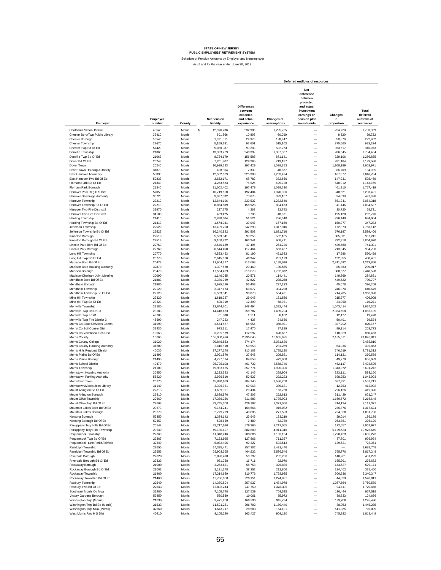|                                                              |                    |                  |                          |                                                                       |                           | Deferred outflows of resources                                                                                      |                             |                                               |
|--------------------------------------------------------------|--------------------|------------------|--------------------------|-----------------------------------------------------------------------|---------------------------|---------------------------------------------------------------------------------------------------------------------|-----------------------------|-----------------------------------------------|
| Employer                                                     | Employer<br>number | County           | Net pension<br>liability | <b>Differences</b><br>between<br>expected<br>and actual<br>experience | Changes of<br>assumptions | Net<br>difference<br>between<br>projected<br>and actual<br>investment<br>earnings on<br>pension plan<br>investments | Changes<br>in<br>proportion | Total<br>deferred<br>outflows of<br>resources |
| Chathams School District                                     | 40540              | Morris           | 12,976,236<br>s          | 232,906                                                               | 1,295,725                 |                                                                                                                     | 254,728                     | 1.783.359                                     |
| Chester Boro/Twp Public Library                              | 32410              | Morris           | 601,866                  | 10,803                                                                | 60,099                    | $\overbrace{\rule{2.5cm}{0pt}}$                                                                                     | 8,820                       | 79,722                                        |
| Chester Borough                                              | 50540              | Morris           | 1,391,511                | 24,976                                                                | 138,947                   | $\overline{\phantom{0}}$                                                                                            | 58,879                      | 222,802                                       |
| Chester Township                                             | 22670              | Morris           | 5,159,181                | 92,601                                                                | 515,163                   | $\overline{\phantom{0}}$                                                                                            | 375,560                     | 983,324                                       |
| Chester Twp Bd Of Ed<br>Denville Township                    | 57420<br>21060     | Morris<br>Morris | 5,030,087<br>13,393,269  | 90,283<br>240,392                                                     | 502.273<br>1,337,367      | $\overline{\phantom{0}}$                                                                                            | 353.517<br>206,645          | 946,073<br>1,784,404                          |
| Denville Twp Bd Of Ed                                        | 21063              | Morris           | 8,724,179                | 156,588                                                               | 871,141                   | $\overline{\phantom{0}}$                                                                                            | 229,106                     | 1,256,835                                     |
| Dover Bd Of Ed                                               | 20243              | Morris           | 7,201,907                | 129,265                                                               | 719,137                   | $\overline{\phantom{0}}$                                                                                            | 281,184                     | 1,129,586                                     |
| Dover Town                                                   | 20240              | Morris           | 10,999,623               | 197,429                                                               | 1,098,353                 |                                                                                                                     | 1,308,189                   | 2,603,971                                     |
| Dover Town Housing Authority                                 | 31870              | Morris           | 408.864                  | 7,339                                                                 | 40,827                    |                                                                                                                     | 86,769                      | 134.935                                       |
| East Hanover Township                                        | 50830              | Morris           | 12,552,609               | 225.303                                                               | 1,253,424                 |                                                                                                                     | 167,977                     | 1,646,704                                     |
| East Hanover Twp Bd Of Ed<br>Florham Park Bd Of Ed           | 50833              | Morris           | 3,832,171                | 68,782                                                                | 382,656                   | $\overline{\phantom{0}}$<br>$\overline{\phantom{0}}$                                                                | 147,031                     | 598,469                                       |
| Florham Park Borough                                         | 21343<br>21340     | Morris<br>Morris | 4,263,523<br>11,002,402  | 76,525<br>197,479                                                     | 425,728<br>1,098,630      |                                                                                                                     | 640,912<br>461,310          | 1,143,165<br>1,757,419                        |
| Hanover Park Reg H S Dist                                    | 57050              | Morris           | 10,719,650               | 192,404                                                               | 1,070,396                 | $\overline{\phantom{0}}$                                                                                            | 940,621                     | 2,203,421                                     |
| Hanover Sewerage Authority                                   | 30720              | Morris           | 3,937,332                | 70,670                                                                | 393,157                   |                                                                                                                     | 34,099                      | 497,926                                       |
| Hanover Township                                             | 22210              | Morris           | 12,844,196               | 230,537                                                               | 1,282,540                 |                                                                                                                     | 551,241                     | 2.064.318                                     |
| Hanover Township Bd Of Ed                                    | 22213              | Morris           | 8,854,589                | 158,928                                                               | 884,163                   |                                                                                                                     | 41,446                      | 1,084,537                                     |
| Hanover Twp Fire District 2                                  | 32970              | Morris           | 237,775                  | 4,268                                                                 | 23,743                    |                                                                                                                     | 30,720                      | 58,731                                        |
| Hanover Twp Fire District 3                                  | 34100              | Morris           | 489,425                  | 8,785                                                                 | 48,871                    |                                                                                                                     | 195,120                     | 252,776                                       |
| Harding Township<br>Harding Township Bd Of Ed                | 21410<br>21413     | Morris<br>Morris | 2,870,604<br>1,674,041   | 51,524<br>30,047                                                      | 286,640<br>167,159        |                                                                                                                     | 296,440<br>150,077          | 634,604<br>347,283                            |
| Jefferson Township                                           | 22520              | Morris           | 13,499,208               | 242,293                                                               | 1,347,946                 |                                                                                                                     | 172,873                     | 1,763,112                                     |
| Jefferson Township Bd Of Ed                                  | 22523              | Morris           | 16,240,922               | 291,503                                                               | 1,621,716                 |                                                                                                                     | 676,187                     | 2,589,406                                     |
| Kinnelon Borough                                             | 22510              | Morris           | 5,529,941                | 99,255                                                                | 552,185                   | $\overline{\phantom{0}}$                                                                                            | 305,801                     | 957,241                                       |
| Kinnelon Borough Bd Of Ed                                    | 22513              | Morris           | 9,100,422                | 163,341                                                               | 908,711                   | $\overline{\phantom{0}}$                                                                                            | 792,918                     | 1,864,970                                     |
| Lincoln Park Boro Bd Of Ed                                   | 22763              | Morris           | 2,646,129                | 47,495                                                                | 264,226                   | $\overline{\phantom{0}}$                                                                                            | 429,580                     | 741,301                                       |
| Lincoln Park Borough<br>Long Hill Township                   | 22760<br>20770     | Morris<br>Morris | 6.544.450<br>4.523.453   | 117,464<br>81.190                                                     | 653,487<br>451.683        | $\overline{\phantom{0}}$<br>$\overline{\phantom{0}}$                                                                | 213.845<br>17,586           | 984,796<br>550,459                            |
| Long Hill Twp Bd Of Ed                                       | 20773              | Morris           | 2,615,620                | 46.947                                                                | 261,179                   | $\overline{\phantom{0}}$                                                                                            | 122,355                     | 430,481                                       |
| Madison Boro Bd Of Ed                                        | 20473              | Morris           | 11,904,377               | 213,668                                                               | 1,188,696                 | $\overline{\phantom{0}}$                                                                                            | 2,811,492                   | 4,213,856                                     |
| Madison Boro Housing Authority                               | 32870              | Morris           | 1,307,560                | 23,469                                                                | 130,565                   | $\overline{\phantom{0}}$                                                                                            | 85,883                      | 239,917                                       |
| Madison Borough                                              | 20470              | Morris           | 17,554,409               | 315,079                                                               | 1,752,872                 | $\overline{\phantom{0}}$                                                                                            | 380,577                     | 2,448,528                                     |
| Madison-Chatham Joint Meeting                                | 30090              | Morris           | 1,146,085                | 20,571                                                                | 114,441                   |                                                                                                                     | 149,869                     | 284,881                                       |
| Mendham Boro Bd Of Ed                                        | 21883<br>21880     | Morris<br>Morris | 2.386.069                | 42.827                                                                | 238,258                   |                                                                                                                     | 449,622                     | 730,707                                       |
| Mendham Borough<br>Mendham Township                          | 22120              | Morris           | 2,975,580<br>3,347,173   | 53,408<br>60,077                                                      | 297,123<br>334,228        | $\overline{\phantom{0}}$                                                                                            | 45,678<br>246,374           | 396,209<br>640,679                            |
| Mendham Township Bd Of Ed                                    | 22123              | Morris           | 5,553,041                | 99,670                                                                | 554,491                   | $\overline{\phantom{0}}$                                                                                            | 714,765                     | 1,368,926                                     |
| Mine Hill Township                                           | 23320              | Morris           | 1,618,227                | 29,045                                                                | 161,586                   | -                                                                                                                   | 215,377                     | 406,008                                       |
| Mine Hill Twp Bd Of Ed                                       | 23323              | Morris           | 690.319                  | 12,390                                                                | 68,931                    | L.                                                                                                                  | 34.950                      | 116,271                                       |
| Montville Township                                           | 23580              | Morris           | 13,844,701               | 248,494                                                               | 1,382,444                 | $\overline{\phantom{0}}$                                                                                            | 1,043,414                   | 2,674,352                                     |
| Montville Twp Bd Of Ed                                       | 23583<br>49300     | Morris           | 14,418,133               | 258,787                                                               | 1,439,704                 | -                                                                                                                   | 2,354,698                   | 4,053,189                                     |
| Montville Twp Fd #1<br>Montville Twp Fire District 3         | 45600              | Morris<br>Morris | 61,908<br>247,223        | 1,111<br>4,437                                                        | 6,182<br>24,686           |                                                                                                                     | 12,177<br>50,401            | 19,470<br>79,524                              |
| Morris Co Educ Services Comm                                 | 31990              | Morris           | 3,674,587                | 65,954                                                                | 366,921                   | -                                                                                                                   | 387,292                     | 820,167                                       |
| Morris Co Soil Conser Dist                                   | 32430              | Morris           | 973,311                  | 17,470                                                                | 97,189                    | -                                                                                                                   | 89,114                      | 203,773                                       |
| Morris Co Vocational Sch Dist                                | 10063              | Morris           | 6,295,579                | 112,997                                                               | 628,637                   |                                                                                                                     | 118,829                     | 860,463                                       |
| Morris County                                                | 10060              | Morris           | 166,900,476              | 2,995,645                                                             | 16,665,625                |                                                                                                                     | 2,165,571                   | 21,826,841                                    |
| Morris County College<br>Morris County Housing Authority     | 31020<br>34600     | Morris<br>Morris | 20,846,863<br>2,816,810  | 374,174<br>50,558                                                     | 2,081,636<br>281,269      | L.                                                                                                                  | 64,036                      | 2,455,810<br>395,863                          |
| Morris Hills Regional District                               | 40030              | Morris           | 17,277,178               | 310,103                                                               | 1,725,190                 | L.                                                                                                                  | 746,019                     | 2,781,312                                     |
| Morris Plains Bd Of Ed                                       | 21493              | Morris           | 2,091,870                | 37,546                                                                | 208,881                   | $\overline{\phantom{0}}$                                                                                            | 114,131                     | 360,558                                       |
| Morris Plains Borough                                        | 21490              | Morris           | 4,727,514                | 84,853                                                                | 472,060                   | $\overline{\phantom{0}}$                                                                                            | 49.770                      | 606,683                                       |
| <b>Morris School District</b>                                | 40470              | Morris           | 25.725.108               | 461.732                                                               | 2,568,746                 | $\overline{\phantom{0}}$                                                                                            | 462.117                     | 3,492,595                                     |
| Morris Township                                              | 21100              | Morris           | 19,933,125               | 357,774                                                               | 1,990,396                 | $\overline{\phantom{0}}$                                                                                            | 1,343,072                   | 3.691.242                                     |
| Morristown Housing Authority<br>Morristown Parking Authority | 30450<br>55220     | Morris<br>Morris | 2,292,393<br>2,926,510   | 41,145<br>52,527                                                      | 228,904<br>292,223        | $\overline{\phantom{0}}$<br>$\overline{\phantom{0}}$                                                                | 323,111<br>698,253          | 593,160<br>1,043,003                          |
| Morristown Town                                              | 20270              | Morris           | 15,830,669               | 284,140                                                               | 1,580,750                 |                                                                                                                     | 687,321                     | 2,552,211                                     |
| Morristown/Morris Joint Library                              | 31140              | Morris           | 3,396,781                | 60,968                                                                | 339,181                   |                                                                                                                     | 12,753                      | 412.902                                       |
| Mount Arlington Bd Of Ed                                     | 22813              | Morris           | 1,639,901                | 29.434                                                                | 163,750                   |                                                                                                                     | 226.136                     | 419.320                                       |
| Mount Arlington Borough                                      | 22810              | Morris           | 2.629.976                | 47.205                                                                | 262.613                   |                                                                                                                     | 311.429                     | 621,247                                       |
| Mount Olive Township                                         | 22660              | Morris           | 17,376,356               | 311.883                                                               | 1,735,093                 |                                                                                                                     | 1,169,672                   | 3,216,648                                     |
| Mount Olive I wp Bd Of Ed                                    | 22663<br>20673     | Morris<br>Morris | 23,745,308<br>9,174,241  | 426.197                                                               | 2,371,056<br>916,082      | -                                                                                                                   | 314.124<br>236,876          | 3,111,377<br>1,317,624                        |
| Mountain Lakes Boro Bd Of Ed<br>Mountain Lakes Borough       | 20670              | Morris           | 2,779,299                | 164,666<br>49,885                                                     | 277,523                   | $\qquad \qquad -$                                                                                                   | 754,328                     | 1,081,736                                     |
| Netcong Borough                                              | 52350              | Morris           | 1,334,142                | 23,946                                                                | 133,219                   |                                                                                                                     | 29,014                      | 186,179                                       |
| Netcong Borough Bd Of Ed                                     | 52353              | Morris           | 528,659                  | 9,489                                                                 | 52,789                    |                                                                                                                     | 263,851                     | 326,129                                       |
| Parsippany Troy Hills Bd Of Ed                               | 20543              | Morris           | 32,217,690               | 578,265                                                               | 3,217,055                 |                                                                                                                     | 172,657                     | 3,967,977                                     |
| Parsippany Troy Hills Township                               | 20540              | Morris           | 49, 185, 127             | 882,809                                                               | 4,911,316                 | $\overline{\phantom{0}}$                                                                                            | 5,129,524                   | 10,923,649                                    |
| Pequannock Township                                          | 22360              | Morris           | 11,348,246               | 203,686                                                               | 1,133,164                 | $\overline{\phantom{0}}$                                                                                            | 1,298,423                   | 2,635,273                                     |
| Pequannock Twp Bd Of Ed<br>Pequannock, Linc Park&Fairfield   | 22363<br>32340     | Morris<br>Morris | 7,123,995<br>5,032,495   | 127,866<br>90,327                                                     | 711,357<br>502,513        | $\overline{\phantom{0}}$<br>-                                                                                       | 87,701<br>129,521           | 926,924<br>722,361                            |
| Randolph Township                                            | 22650              | Morris           | 14,335,441               | 257,302                                                               | 1,431,446                 | -                                                                                                                   |                             | 1,688,748                                     |
| Randolph Township Bd Of Ed                                   | 22653              | Morris           | 25,903,365               | 464,932                                                               | 2,586,546                 | -                                                                                                                   | 765,770                     | 3,817,248                                     |
| Riverdale Borough                                            | 22820              | Morris           | 2.826.498                | 50,732                                                                | 282,236                   |                                                                                                                     | 148,261                     | 481,229                                       |
| Riverdale Borough Bd Of Ed                                   | 22823              | Morris           | 931,058                  | 16,711                                                                | 92,970                    |                                                                                                                     | 165,991                     | 275,672                                       |
| Rockaway Borough                                             | 21000              | Morris           | 3,273,651                | 58,758                                                                | 326,886                   |                                                                                                                     | 143,527                     | 529,171                                       |
| Rockaway Borough Bd Of Ed<br>Rockaway Township               | 21003<br>21460     | Morris<br>Morris | 2,131,178<br>17,314,689  | 38,252<br>310,776                                                     | 212,806<br>1,728,935      |                                                                                                                     | 124,402<br>300,636          | 375,460<br>2,340,347                          |
| Rockaway Township Bd Of Ed                                   | 21463              | Morris           | 12,766,988               | 229,151                                                               | 1,274,831                 |                                                                                                                     | 44,029                      | 1,548,011                                     |
| Roxbury Township                                             | 22640              | Morris           | 14,370,804               | 257,937                                                               | 1,434,978                 | $\overline{\phantom{0}}$                                                                                            | 1,057,664                   | 2,750,579                                     |
| Roxbury Twp Bd Of Ed                                         | 22643              | Morris           | 13,803,244               | 247,750                                                               | 1,378,305                 | $\overline{\phantom{0}}$                                                                                            | 94,411                      | 1,720,466                                     |
| Southeast Morris Co Mua                                      | 32480              | Morris           | 7,105,748                | 127,539                                                               | 709,535                   | $\overline{\phantom{0}}$                                                                                            | 130,444                     | 967,518                                       |
| Victory Gardens Borough                                      | 53450              | Morris           | 560,539                  | 10,061                                                                | 55,972                    | -                                                                                                                   | 38,633                      | 104,666                                       |
| Washington Twp (Morris)                                      | 21630              | Morris           | 9,471,200                | 169,996                                                               | 945,734                   | $\overline{\phantom{0}}$                                                                                            | 129,766                     | 1,245,496                                     |
| Washington Twp Bd Ed (Morris)<br>Washington Twp Mua (Morris) | 21633<br>32560     | Morris<br>Morris | 11,521,261<br>1,643,717  | 206,792<br>29,503                                                     | 1,150,440<br>164,131      |                                                                                                                     | 88,053<br>511,375           | 1,445,285<br>705,009                          |
| West Morris Reg H S Dist                                     | 40410              | Morris           | 9,105,220                | 163,427                                                               | 909,190                   |                                                                                                                     | 745,832                     | 1,818,449                                     |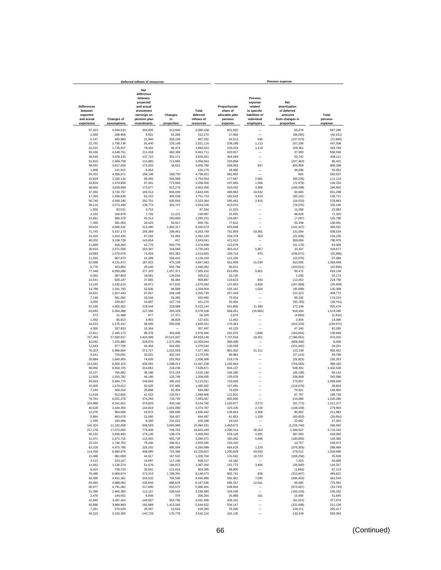|                                                                       |                                  | Deferred inflows of resources                                                                                       |                             |                                              |                                                                   |                                                                                           | <b>Pension expense</b>                                                                |                             |
|-----------------------------------------------------------------------|----------------------------------|---------------------------------------------------------------------------------------------------------------------|-----------------------------|----------------------------------------------|-------------------------------------------------------------------|-------------------------------------------------------------------------------------------|---------------------------------------------------------------------------------------|-----------------------------|
| <b>Differences</b><br>between<br>expected<br>and actual<br>experience | <b>Changes of</b><br>assumptions | Net<br>difference<br>between<br>projected<br>and actual<br>investment<br>earnings on<br>pension plan<br>investments | Changes<br>in<br>proportion | Total<br>deferred<br>inflows of<br>resources | Proportionate<br>share of<br>allocable plan<br>pension<br>expense | Pension<br>expense<br>related<br>to specific<br>liabilities of<br>individual<br>employers | <b>Net</b><br>amortization<br>of deferred<br>amounts<br>from changes in<br>proportion | Total<br>pension<br>expense |
| 57,323                                                                | 4,504,010                        | 204,835                                                                                                             | 313,940                     | 5,080,108                                    | 601,602                                                           |                                                                                           | 65,678                                                                                | 667,280                     |
| 2,659                                                                 | 208,906                          | 9,501                                                                                                               | 91,208                      | 312,274                                      | 27,904                                                            |                                                                                           | (68, 055)                                                                             | (40, 151)                   |
| 6,147                                                                 | 482,989                          | 21,966                                                                                                              | 356,150                     | 867,252                                      | 64,513                                                            | 695                                                                                       | (137, 073)                                                                            | (71, 865)                   |
| 22,791                                                                | 1,790,736                        | 81,440                                                                                                              | 126,149                     | 2,021,116                                    | 239,189                                                           | 1,113                                                                                     | 207,206                                                                               | 447,508                     |
| 22,221                                                                | 1,745,927                        | 79,402                                                                                                              | 46,474                      | 1,894,024                                    | 233,204                                                           | 1,219                                                                                     | 109,361                                                                               | 343,784                     |
| 59,166<br>38,540                                                      | 4,648,761<br>3,028,135           | 211,418<br>137,715                                                                                                  | 482,366<br>352,171          | 5,401,711<br>3,556,561                       | 620,937<br>404,469                                                | -                                                                                         | 37,993<br>53,742                                                                      | 658,930<br>458,211          |
| 31,815                                                                | 2,499,759                        | 113,685                                                                                                             | 711,685                     | 3,356,944                                    | 333,894                                                           | $\overline{\phantom{0}}$                                                                  | (247, 463)                                                                            | 86,431                      |
| 48,591                                                                | 3,817,934                        | 173,633                                                                                                             | 18,622                      | 4,058,780                                    | 509,963                                                           | 597                                                                                       | 455,808                                                                               | 966,368                     |
| 1,806                                                                 | 141,915                          | 6,454                                                                                                               |                             | 150,175                                      | 18,956                                                            |                                                                                           | 36,096                                                                                | 55,052                      |
| 55,452<br>16,929                                                      | 4,356,971<br>1,330,134           | 198,148<br>60,492                                                                                                   | 188,750<br>346,999          | 4,799,321<br>1,754,554                       | 581,962<br>177,667                                                | $\overline{\phantom{0}}$<br>2,681                                                         | 665<br>(69, 235)                                                                      | 582,627<br>111,113          |
| 18,834                                                                | 1,479,855                        | 67,301                                                                                                              | 773,560                     | 2,339,550                                    | 197,665                                                           | 1,566                                                                                     | (72, 978)                                                                             | 126,253                     |
| 48,604                                                                | 3,818,899                        | 173,677                                                                                                             | 912,276                     | 4,953,456                                    | 510,092                                                           | 3,308                                                                                     | (166, 598)                                                                            | 346.802                     |
| 47,355                                                                | 3,720,757                        | 169,214                                                                                                             | 906,009                     | 4,843,335                                    | 496,983                                                           | 10,632                                                                                    | 93,683                                                                                | 601,298                     |
| 17,393<br>56,740                                                      | 1,366,636<br>4,458,180           | 62,152<br>202,751                                                                                                   | 305,538<br>605,693          | 1,751,719<br>5,323,364                       | 182,542<br>595,481                                                | 3,410<br>2,915                                                                            | (50, 241)<br>(18, 533)                                                                | 135,711<br>579,863          |
| 39,116                                                                | 3,073,400                        | 139,773                                                                                                             | 301,747                     | 3,554,036                                    | 410,515                                                           |                                                                                           | (78, 075)                                                                             | 332.440                     |
| 1,050                                                                 | 82,531                           | 3,753                                                                                                               |                             | 87,334                                       | 11,024                                                            | -                                                                                         | 11,058                                                                                | 22,082                      |
| 2,162                                                                 | 169,878                          | 7,726                                                                                                               | 11,221                      | 190,987                                      | 22,691                                                            | L.                                                                                        | 48,629                                                                                | 71,320                      |
| 12,681                                                                | 996,378                          | 45,314                                                                                                              | 240,858                     | 1,295,231                                    | 133,087                                                           | L.                                                                                        | (7, 297)                                                                              | 125,790                     |
| 7,395<br>59,634                                                       | 581,054<br>4,685,532             | 26,425<br>213,090                                                                                                   | 50,917<br>1,382,317         | 665,791<br>6,340,573                         | 77,612<br>625,848                                                 | -                                                                                         | 53,339<br>(142, 347)                                                                  | 130,951<br>483,501          |
| 71,745                                                                | 5,637,173                        | 256,369                                                                                                             | 298,461                     | 6,263,748                                    | 752,959                                                           | 53,991                                                                                    | 131,584                                                                               | 938,534                     |
| 24,429                                                                | 1,919,425                        | 87,292                                                                                                              | 61,003                      | 2,092,149                                    | 256,378                                                           | 363                                                                                       | (22.506)                                                                              | 234,235                     |
| 40,202                                                                | 3,158,728                        | 143,654                                                                                                             | 457                         | 3,343,041                                    | 421,912                                                           | -                                                                                         | 369,064                                                                               | 790,976                     |
| 11,689<br>28.910                                                      | 918.463<br>2,271,558             | 41,770<br>103,307                                                                                                   | 504,776<br>316,568          | 1,476,698<br>2,720,343                       | 122,679<br>303,413                                                | 5,857                                                                                     | (41, 170)<br>10,407                                                                   | 81,509<br>319,677           |
| 19,983                                                                | 1,570,076                        | 71,404                                                                                                              | 952,362                     | 2,613,825                                    | 209,716                                                           | 970                                                                                       | (236, 672)                                                                            | (25,986)                    |
| 11,555                                                                | 907,873                          | 41,289                                                                                                              | 168,442                     | 1,129,159                                    | 121,265                                                           |                                                                                           | (23, 576)                                                                             | 97,689                      |
| 52,588                                                                | 4,131,971                        | 187,915                                                                                                             | 475,109                     | 4,847,583                                    | 551,909                                                           | 21,034                                                                                    | 813,005                                                                               | 1,385,948                   |
| 5,776<br>77,548                                                       | 453,850<br>6,093,080             | 20,640<br>277,103                                                                                                   | 565,796<br>1,057,371        | 1,046,062<br>7,505,102                       | 60,621<br>813,855                                                 | 5,801                                                                                     | (103, 521)<br>99,472                                                                  | (42,900)<br>919,128         |
| 5,063                                                                 | 397,803                          | 18,091                                                                                                              | 134,555                     | 555,512                                      | 53,135                                                            |                                                                                           | 2,038                                                                                 | 55,173                      |
| 10,541                                                                | 828,197                          | 37,665                                                                                                              | 83,484                      | 959,887                                      | 110,623                                                           | 683                                                                                       | 112,452                                                                               | 223,758                     |
| 13,145                                                                | 1,032,814                        | 46,971                                                                                                              | 477,632                     | 1,570,562                                    | 137,953                                                           | 4,466                                                                                     | (167, 888)                                                                            | (25, 469)                   |
| 14,786<br>24,531                                                      | 1,161,793<br>1,927,443           | 52,836<br>87,657                                                                                                    | 98,589<br>166,108           | 1,328,004<br>2,205,739                       | 155,181<br>257,449                                                | 1,026                                                                                     | (35, 899)<br>151.323                                                                  | 120,308<br>408.772          |
| 7.149                                                                 | 561,682                          | 25,544                                                                                                              | 26,285                      | 620,660                                      | 75,024                                                            |                                                                                           | 99,192                                                                                | 174.216                     |
| 3.050                                                                 | 239,607                          | 10,897                                                                                                              | 167,716                     | 421,270                                      | 32,004                                                            | L.                                                                                        | (50, 765)                                                                             | (18, 761)                   |
| 61,160                                                                | 4,805,452                        | 218,544                                                                                                             | 229,988                     | 5,315,144                                    | 641,866                                                           | 11,460                                                                                    | 272,148                                                                               | 925.474                     |
| 63,693<br>273                                                         | 5,004,488<br>21,488              | 227,596<br>977                                                                                                      | 283.329<br>27,371           | 5,579,106<br>50,109                          | 668,451<br>2,870                                                  | (10, 665)                                                                                 | 916,494<br>(4,684)                                                                    | 1,574,280<br>(1, 814)       |
| 1,092                                                                 | 85,810                           | 3,903                                                                                                               | 36,826                      | 127,631                                      | 11,462                                                            |                                                                                           | 2,934                                                                                 | 14,396                      |
| 16,233                                                                | 1,275,437                        | 58,005                                                                                                              | 595,656                     | 1,945,331                                    | 170,361                                                           |                                                                                           | (410, 333)                                                                            | (239, 972)                  |
| 4,300                                                                 | 337,833                          | 15,364                                                                                                              |                             | 357,497                                      | 45,125                                                            | $\overline{\phantom{a}}$                                                                  | 47,160                                                                                | 92,285                      |
| 27,811<br>737,293                                                     | 2,185,175<br>57,930,627          | 99,378<br>2,634,589                                                                                                 | 363,936<br>23.515.637       | 2,676,300<br>84,818,146                      | 291,875<br>7,737,816                                              | 1,848<br>16,251                                                                           | (163, 054)<br>(7,280,051)                                                             | 130,669<br>474,016          |
| 92,092                                                                | 7,235,880                        | 329,076                                                                                                             | 2,372,496                   | 10,029,544                                   | 966,499                                                           |                                                                                           | (958, 490)                                                                            | 8,009                       |
| 12,443                                                                | 977,706                          | 44,464                                                                                                              | 344,931                     | 1.379.544                                    | 130,593                                                           |                                                                                           | (101, 342)                                                                            | 29.251                      |
| 76,323<br>9,241                                                       | 5,996,854<br>726,081             | 272,727<br>33,021                                                                                                   | 1,031,559<br>402,192        | 7.377.463<br>1,170,535                       | 801,002<br>96,983                                                 | 31,211                                                                                    | 123.239<br>(37, 214)                                                                  | 955,452<br>59,769           |
| 20,884                                                                | 1,640,905                        | 74,626                                                                                                              | 201,953                     | 1,938,368                                    | 219,176                                                           | -<br>-                                                                                    | (26, 923)                                                                             | 192,253                     |
| 113,642                                                               | 8,929,103                        | 406,081                                                                                                             | 1,598,412                   | 11,047,238                                   | 1,192,664                                                         | -                                                                                         | (704, 564)                                                                            | 488,100                     |
| 88,056                                                                | 6,918,725                        | 314,652                                                                                                             | 218,238                     | 7,539,671                                    | 924,137                                                           | -                                                                                         | 508,391                                                                               | 1,432,528                   |
| 10,127                                                                | 795,682                          | 36,186                                                                                                              | 573,153                     | 1,415,148<br>1,208,655                       | 106,280                                                           | -<br>-                                                                                    | (46, 138)                                                                             | 60,142<br>342,586           |
| 12,928<br>69,933                                                      | 1,015,782<br>5,494,775           | 46,196<br>249,893                                                                                                   | 133,749<br>300,410          | 6,115,011                                    | 135,678<br>733,939                                                | -                                                                                         | 206,908<br>275,667                                                                    | 1,009,606                   |
| 15,005                                                                | 1,179,012                        | 53,620                                                                                                              | 237,865                     | 1,485,502                                    | 157,481                                                           |                                                                                           | (118, 678)                                                                            | 38,803                      |
| 7,244                                                                 | 569,204                          | 25,886                                                                                                              | 92,358                      | 694,692                                      | 76,029                                                            |                                                                                           | 70,821                                                                                | 146,850                     |
| 11,618<br>76,761                                                      | 912,856<br>6,031,278             | 41,515<br>274,293                                                                                                   | 133,917<br>710,735          | 1,099,906<br>7,093,067                       | 121,931<br>805,600                                                |                                                                                           | 67,797<br>214,680                                                                     | 189,728<br>1,020,280        |
| 104.896                                                               | 8.241.921                        | 374.829                                                                                                             | 433.146                     | 9.154.792                                    | 1.100.877                                                         | 3.272                                                                                     | (91.772)                                                                              | 1.012.377                   |
| 40.528                                                                | 3,184,350                        | 144,819                                                                                                             | 1,001,090                   | 4,370,787                                    | 425,335                                                           | 2.728                                                                                     | (148, 159)                                                                            | 279.904                     |
| 12.278                                                                | 964,686                          | 43.872                                                                                                              | 585,606                     | 1,606,442                                    | 128,853                                                           | 2.368                                                                                     | 80,662                                                                                | 211,883                     |
| 5,894<br>2,335                                                        | 463,076<br>183.496               | 21,060<br>8,345                                                                                                     | 354,457<br>231,012          | 844,487<br>425,188                           | 61,853<br>24,510                                                  | 1,109                                                                                     | (83, 653)<br>22,852                                                                   | (20, 691)<br>47,362         |
| 142,324                                                               | 11,182,658                       | 508,569                                                                                                             | 3,660,980                   | 15,494,531                                   | 1,493,672                                                         | $\overline{\phantom{0}}$                                                                  | (1,226,740)                                                                           | 266,932                     |
| 217,278                                                               | 17,072,002                       | 776,406                                                                                                             | 749,763                     | 18,815,449                                   | 2,280,314                                                         | 36,252                                                                                    | 1,399,597                                                                             | 3,716,163                   |
| 50,132                                                                | 3,938,940                        | 179,136                                                                                                             | 138,375                     | 4,306,583                                    | 526,126                                                           | 4,281                                                                                     | 387,683                                                                               | 918,090                     |
| 31,471<br>22.231                                                      | 2,472,716<br>1,746,763           | 112,455<br>79,440                                                                                                   | 663,729<br>206,911          | 3,280,371<br>2,055,345                       | 330,282<br>233,316                                                | 5,996                                                                                     | (190, 893)<br>14,757                                                                  | 145,385<br>248,073          |
| 63,328                                                                | 4,975,786                        | 226,291                                                                                                             | 995,584                     | 6,260,989                                    | 664,618                                                           | 1,229                                                                                     | (376, 363)                                                                            | 289,484                     |
| 114,430                                                               | 8,990,976                        | 408,895                                                                                                             | 715,306                     | 10,229,607                                   | 1,200,928                                                         | 49,550                                                                                    | 279,512                                                                               | 1,529,990                   |
| 12,486                                                                | 981,069                          | 44.617                                                                                                              | 167,532                     | 1,205,704                                    | 131,042                                                           | 10,723                                                                                    | (106, 256)                                                                            | 35,509                      |
| 4,113<br>14,462                                                       | 323,167<br>1,136,274             | 14,697<br>51,676                                                                                                    | 117,240<br>184,872          | 459.217<br>1,387,284                         | 43,166<br>151,773                                                 | 3,484                                                                                     | 7,323<br>(39,000)                                                                     | 50,489<br>116,257           |
| 9,415                                                                 | 739,725                          | 33,641                                                                                                              | 121,614                     | 904,395                                      | 98,805                                                            |                                                                                           | (1,682)                                                                               | 97,123                      |
| 76,489                                                                | 6,009,874                        | 273,319                                                                                                             | 1,788,391                   | 8,148,073                                    | 802,741                                                           | 828                                                                                       | (313, 947)                                                                            | 489,622                     |
| 56,399                                                                | 4,431,381                        | 201,532                                                                                                             | 756,556                     | 5,445,868                                    | 591,901                                                           | 7,095                                                                                     | (336, 453)                                                                            | 262,543                     |
| 63,484<br>60,977                                                      | 4,988,060<br>4,791,062           | 226,849<br>217,890                                                                                                  | 888,643<br>915,672          | 6,167,036<br>5,985,601                       | 666,257<br>639,944                                                | 12,641<br>-                                                                               | 96,695<br>(673, 667)                                                                  | 775,593<br>(33, 723)        |
| 31,390                                                                | 2,466,383                        | 112,167                                                                                                             | 628,543                     | 3,238,483                                    | 329,436                                                           | $\overline{\phantom{0}}$                                                                  | (193, 104)                                                                            | 136,332                     |
| 2,476                                                                 | 194,561                          | 8,848                                                                                                               | 379                         | 206,264                                      | 25,988                                                            | 161                                                                                       | 15,696                                                                                | 41,845                      |
| 41,840                                                                | 3,287,424                        | 149,507                                                                                                             | 552,795                     | 4,031,566                                    | 439,102                                                           |                                                                                           | (62, 023)                                                                             | 377,079                     |
| 50,896<br>7,261                                                       | 3,998,993<br>570,529             | 181,868<br>25,947                                                                                                   | 1,413,165<br>15,543         | 5,644,922<br>619,280                         | 534,147<br>76,206                                                 |                                                                                           | (322,008)<br>129,211                                                                  | 212,139<br>205,417          |
| 40,223                                                                | 3,160,393                        | 143,729                                                                                                             | 170,779                     | 3,515,124                                    | 422,135                                                           |                                                                                           | 133,249                                                                               | 555,384                     |
|                                                                       |                                  |                                                                                                                     |                             |                                              |                                                                   |                                                                                           |                                                                                       |                             |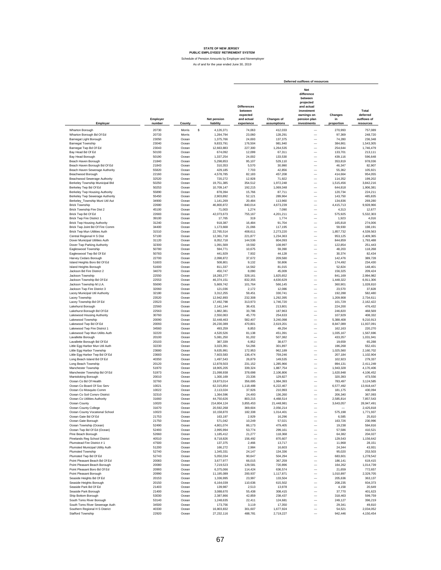|                                                                       |                    |                |                                 |                                                                       |                                  | Deferred outflows of resources                                                                                      |                             |                                               |
|-----------------------------------------------------------------------|--------------------|----------------|---------------------------------|-----------------------------------------------------------------------|----------------------------------|---------------------------------------------------------------------------------------------------------------------|-----------------------------|-----------------------------------------------|
| Employer                                                              | Employer<br>number | County         | <b>Net pension</b><br>liability | <b>Differences</b><br>between<br>expected<br>and actual<br>experience | <b>Changes of</b><br>assumptions | Net<br>difference<br>between<br>projected<br>and actual<br>investment<br>earnings on<br>pension plan<br>investments | Changes<br>in<br>proportion | Total<br>deferred<br>outflows of<br>resources |
| Wharton Borough                                                       | 20730              | Morris<br>\$   | 4,126,371                       | 74,063                                                                | 412,033                          |                                                                                                                     | 270,993                     | 757,089                                       |
| Wharton Borough Bd Of Ed                                              | 20733              | Morris         | 1,284,794                       | 23,060                                                                | 128,291                          | -                                                                                                                   | 97,369                      | 248,720                                       |
| Barnegat Light Borough                                                | 23050              | Ocean          | 1.375.766                       | 24,693                                                                | 137,375                          | $\overline{\phantom{0}}$                                                                                            | 74,280                      | 236.348                                       |
| <b>Barnegat Township</b><br>Barnegat Twp Bd Of Ed                     | 23040<br>23043     | Ocean<br>Ocean | 9.833.791<br>12,663,883         | 176.504<br>227,300                                                    | 981,940<br>1,264,535             | $\overline{\phantom{0}}$                                                                                            | 384.861<br>254,644          | 1.543.305<br>1,746,479                        |
| Bay Head Bd Of Ed                                                     | 50193              | Ocean          | 674,092                         | 12,099                                                                | 67,311                           | $\overline{\phantom{0}}$                                                                                            | 133,701                     | 213,111                                       |
| Bay Head Borough                                                      | 50190              | Ocean          | 1.337.254                       | 24,002                                                                | 133,530                          | -                                                                                                                   | 439,116                     | 596,648                                       |
| Beach Haven Borough                                                   | 21840              | Ocean          | 5,298,853                       | 95,107                                                                | 529,110                          | -                                                                                                                   | 353,819                     | 978,036                                       |
| Beach Haven Borough Bd Of Ed                                          | 21843              | Ocean          | 310.353                         | 5,570                                                                 | 30,990                           | $\overline{\phantom{0}}$                                                                                            | 46.347                      | 82,907                                        |
| Beach Haven Sewerage Authority                                        | 55820              | Ocean          | 429.185                         | 7,703                                                                 | 42.856                           | $\overline{\phantom{0}}$                                                                                            | 55,362                      | 105.921                                       |
| Beachwood Borough                                                     | 22160              | Ocean          | 4,578,785                       | 82,183                                                                | 457,208                          | $\overline{\phantom{0}}$<br>$\overline{\phantom{0}}$                                                                | 414,664                     | 954,055                                       |
| Beachwood Sewerage Authority<br>Berkeley Township Municipal Bld       | 32520<br>50250     | Ocean<br>Ocean | 720,272<br>19,751,385           | 12,928<br>354,512                                                     | 71,922<br>1,972,248              | -                                                                                                                   | 114,352<br>1,515,456        | 199,202<br>3,842,216                          |
| Berkeley Twp Bd Of Ed                                                 | 50253              | Ocean          | 10,709,147                      | 192,215                                                               | 1,069,348                        | $\overline{\phantom{0}}$                                                                                            | 644,818                     | 1,906,381                                     |
| Berkeley Twp Housing Authority                                        | 55890              | Ocean          | 878,394                         | 15,766                                                                | 87,711                           | $\overline{\phantom{0}}$                                                                                            | 120,734                     | 224,211                                       |
| Berkeley Twp Sewerage Authority                                       | 55450              | Ocean          | 2,903,892                       | 52,121                                                                | 289,964                          | $\overline{\phantom{0}}$                                                                                            | 143,750                     | 485.835                                       |
| Berkeley_Township Muni Util Aut                                       | 34900              | Ocean          | 1,141,269                       | 20,484                                                                | 113,960                          |                                                                                                                     | 134,836                     | 269,280                                       |
| <b>Brick Township</b>                                                 | 22680              | Ocean          | 46,800,872                      | 840,014                                                               | 4,673,239                        |                                                                                                                     | 4,415,713                   | 9,928,966                                     |
| Brick Township Fire Dist 2                                            | 45100              | Ocean          | 71,003                          | 1,274                                                                 | 7,090                            | $\overline{\phantom{0}}$                                                                                            | 4,313                       | 12,677                                        |
| Brick Twp Bd Of Ed                                                    | 22683              | Ocean          | 42,073,673                      | 755,167                                                               | 4,201,211                        | $\overline{\phantom{0}}$                                                                                            | 575,925                     | 5,532,303                                     |
| Brick Twp Fire District 1                                             | 39100              | Ocean          | 17.765                          | 319                                                                   | 1,774                            | $\overline{\phantom{0}}$                                                                                            | 1.923                       | 4,016                                         |
| <b>Brick Twp Housing Authority</b><br>Brick Twp Joint Bd Of Fire Comm | 31240<br>34400     | Ocean<br>Ocean | 918,387<br>1,173,668            | 16,484<br>21,066                                                      | 91,704<br>117,195                | -<br>-                                                                                                              | 165.818<br>59,930           | 274,006<br>198,191                            |
| Brick Twp Mun Utilities Auth                                          | 31510              | Ocean          | 22,765,514                      | 408,611                                                               | 2.273.220                        | $\overline{\phantom{0}}$                                                                                            | 1,857,732                   | 4,539,563                                     |
| Central Regional H S Dist                                             | 57100              | Ocean          | 12,361,718                      | 221.877                                                               | 1,234,363                        | $\overline{\phantom{0}}$                                                                                            | 953.125                     | 2,409,365                                     |
| Dover Municipal Utilities Auth                                        | 31120              | Ocean          | 8,052,718                       | 144,536                                                               | 804,093                          | $\overline{\phantom{0}}$                                                                                            | 844,859                     | 1,793,488                                     |
| Dover Twp Parking Authority                                           | 32300              | Ocean          | 1,091,569                       | 19,592                                                                | 108,997                          | -                                                                                                                   | 122,854                     | 251,443                                       |
| Eagleswood Township                                                   | 50780              | Ocean          | 594,771                         | 10,675                                                                | 59,390                           | $\overline{\phantom{0}}$                                                                                            | 48.203                      | 118,268                                       |
| Eagleswood Twp Bd Of Ed                                               | 50783              | Ocean          | 441.929                         | 7,932                                                                 | 44.128                           | $\overline{\phantom{0}}$                                                                                            | 30.374                      | 82,434                                        |
| Harvey Cedars Borough                                                 | 22700              | Ocean          | 2.098.872                       | 37,672                                                                | 209,580                          | $\overline{\phantom{0}}$                                                                                            | 142,476                     | 389,728                                       |
| Island Heights Boro Bd Of Ed                                          | 51603              | Ocean          | 508,801                         | 9,132                                                                 | 50,806                           | $\overline{\phantom{0}}$                                                                                            | 174,492                     | 234,430                                       |
| Island Heights Borough<br>Jackson Bd Fire District 2                  | 51600<br>34070     | Ocean<br>Ocean | 811.337<br>450,747              | 14,562<br>8,090                                                       | 81,015<br>45,009                 | $\overline{\phantom{0}}$<br>-                                                                                       | 52.824<br>156,325           | 148,401<br>209,424                            |
| Jackson Township                                                      | 22550              | Ocean          | 18.283.277                      | 328.161                                                               | 1,825,652                        | $\overline{\phantom{0}}$                                                                                            | 841.169                     | 2,994,982                                     |
| Jackson Township Bd Of Ed                                             | 22553              | Ocean          | 46,374,151                      | 832.355                                                               | 4,630,629                        | $\overline{\phantom{0}}$                                                                                            | 1,448,322                   | 6,911,306                                     |
| Jackson Township M.U.A.                                               | 55690              | Ocean          | 5,669,742                       | 101,764                                                               | 566,145                          | $\overline{\phantom{0}}$                                                                                            | 360,901                     | 1,028,810                                     |
| Jackson Twp Fire District 3                                           | 32060              | Ocean          | 121,036                         | 2,172                                                                 | 12,086                           | $\overline{\phantom{0}}$                                                                                            | 23,570                      | 37,828                                        |
| Lacey Municipal Util Authority                                        | 32180              | Ocean          | 3,312,255                       | 59,451                                                                | 330,741                          | -                                                                                                                   | 192,288                     | 582,480                                       |
| Lacey Township                                                        | 23520              | Ocean          | 12,942,893                      | 232,308                                                               | 1,292,395                        | $\overline{\phantom{0}}$                                                                                            | 1,209,908                   | 2,734,611                                     |
| Lacey Township Bd Of Ed                                               | 23523              | Ocean          | 17,492,798                      | 313,973                                                               | 1,746,720                        | $\overline{\phantom{0}}$                                                                                            | 101,729                     | 2,162,422                                     |
| Lakehurst Borough                                                     | 22560              | Ocean          | 2,141,144                       | 38,431                                                                | 213,801                          | L.                                                                                                                  | 224,200                     | 476.432                                       |
| Lakehurst Borough Bd Of Ed                                            | 22563<br>30760     | Ocean<br>Ocean | 1,882,381                       | 33,786                                                                | 187,963                          | -<br>-                                                                                                              | 246,820                     | 468,569<br>408.332                            |
| Lakewood Housing Authority<br>Lakewood Township                       | 20090              | Ocean          | 2,550,063<br>32,448,463         | 45,770<br>582,407                                                     | 254,633<br>3,240,098             | $\overline{\phantom{0}}$                                                                                            | 107,929<br>5.388.408        | 9,210,913                                     |
| Lakewood Twp Bd Of Ed                                                 | 20093              | Ocean          | 26,230,389                      | 470,801                                                               | 2,619,201                        | $\overline{\phantom{0}}$                                                                                            | 8,847,089                   | 11,937,091                                    |
| Lakewood Twp Fire District 1                                          | 34560              | Ocean          | 493.259                         | 8,853                                                                 | 49,254                           | $\overline{\phantom{0}}$                                                                                            | 162.163                     | 220,270                                       |
| Lakewood Twp Mun Utilits Auth                                         | 32220              | Ocean          | 4,520,526                       | 81,138                                                                | 451,391                          | $\overline{\phantom{0}}$                                                                                            | 1,035,167                   | 1,567,696                                     |
| Lavallette Borough                                                    | 20100              | Ocean          | 5,081,250                       | 91,202                                                                | 507,382                          | -                                                                                                                   | 433,357                     | 1,031,941                                     |
| Lavallette Borough Bd Of Ed                                           | 20103              | Ocean          | 387,339                         | 6,952                                                                 | 38,677                           | $\overline{\phantom{0}}$                                                                                            | 19,659                      | 65,288                                        |
| Little Egg Harbor Mun Util Auth                                       | 32230              | Ocean          | 3,023,391                       | 54,266                                                                | 301,897                          | $\overline{\phantom{0}}$                                                                                            | 196,268                     | 552,431                                       |
| Little Egg Harbor Township                                            | 23680              | Ocean          | 9,635,991                       | 172,953                                                               | 962,189                          | $\overline{\phantom{0}}$                                                                                            | 1,025,560                   | 2,160,702                                     |
| Little Egg Harbor Twp Bd Of Ed                                        | 23683<br>40350     | Ocean<br>Ocean | 7,603,583                       | 136,474                                                               | 759,246<br>149,535               | $\overline{\phantom{0}}$                                                                                            | 207,184<br>102.923          | 1,102,904<br>279.337                          |
| Long Beach Island Bd Of Ed<br>Long Beach Township                     | 20120              | Ocean          | 1,497,543<br>12.878.503         | 26,879<br>231.152                                                     | 1.285.966                        | -<br>$\overline{\phantom{0}}$                                                                                       | 894.131                     | 2.411.249                                     |
| Manchester Township                                                   | 51970              | Ocean          | 18,905,205                      | 339,324                                                               | 1,887,754                        | $\overline{\phantom{0}}$                                                                                            | 1,943,328                   | 4,170,406                                     |
| Manchester Township Bd Of Ed                                          | 51973              | Ocean          | 21.098.938                      | 378,698                                                               | 2,106,806                        | $\overline{\phantom{0}}$                                                                                            | 1,620,948                   | 4,106,452                                     |
| <b>Mantoloking Borough</b>                                            | 20010              | Ocean          | 1.300.169                       | 23,336                                                                | 129,827                          | -                                                                                                                   | 320,393                     | 473,556                                       |
| Ocean Co Bd Of Health                                                 | 32760              | Ocean          | 19.873.014                      | 356,695                                                               | 1,984,393                        | -                                                                                                                   | 783,497                     | 3,124,585                                     |
| Ocean Co Board Of Soc Serv                                            | 10021              | Ocean          | 62,315,854                      | 1,118,488                                                             | 6,222,467                        | $\overline{\phantom{0}}$                                                                                            | 6,577,492                   | 13,918,447                                    |
| Ocean Co Mosquito Comm                                                | 10022              | Ocean          | 2,113,024                       | 37,926                                                                | 210,993                          | $\overline{\phantom{0}}$                                                                                            | 181,175                     | 430.094                                       |
| Ocean Co Soil Consrv District                                         | 32310              | Ocean          | 1,364,596                       | 24.493                                                                | 136,260                          | $\overline{\phantom{0}}$                                                                                            | 206,340                     | 367.093                                       |
| Ocean Co Utilities Authority                                          | 31660              | Ocean          | 44,750,626                      | 803,215<br>3.855.453                                                  | 4,468,514                        |                                                                                                                     | 2,585,814<br>3.643.057      | 7,857,543                                     |
| Ocean County<br>Ocean County College                                  | 10020<br>31670     | Ocean<br>Ocean | 214,804,124<br>20,592,268       | 369,604                                                               | 21,448,981<br>2,056,214          | -                                                                                                                   |                             | 28,947,491<br>2,425,818                       |
| Ocean County Vocational School                                        | 10023              | Ocean          | 10,158,870                      | 182,338                                                               | 1,014,401                        | $\qquad \qquad -$                                                                                                   | 575,198                     | 1,771,937                                     |
| Ocean Gate Bd Of Ed                                                   | 21753              | Ocean          | 163,197                         | 2,929                                                                 | 16,296                           | $\overline{\phantom{0}}$                                                                                            | 6,585                       | 25,810                                        |
| Ocean Gate Borough                                                    | 21750              | Ocean          | 571,042                         | 10,249                                                                | 57,021                           | -                                                                                                                   | 163,726                     | 230,996                                       |
| Ocean Township (Ocean)                                                | 52490              | Ocean          | 4,801,074                       | 86,173                                                                | 479,405                          | $\overline{\phantom{0}}$                                                                                            | 19,238                      | 584,816                                       |
| Ocean Twp Bd Of Ed (Ocean)                                            | 52493              | Ocean          | 2,995,994                       | 53,774                                                                | 299,161                          | $\qquad \qquad -$                                                                                                   | 57,586                      | 410,521                                       |
| Pine Beach Borough                                                    | 52660              | Ocean          | 1,185,412                       | 21,277                                                                | 118,368                          |                                                                                                                     | 64,382                      | 204,027                                       |
| Pinelands Reg School District                                         | 40510              | Ocean          | 8,718,826                       | 156,492                                                               | 870,607                          |                                                                                                                     | 129,543                     | 1,156,642                                     |
| Plumstead Fire District #1<br>Plumsted Municipal Utility Auth         | 47500<br>51200     | Ocean<br>Ocean | 137,375<br>166,272              | 2,466                                                                 | 13,717<br>16,603                 | $\qquad \qquad -$<br>$\qquad \qquad -$                                                                              | 11,968<br>24,344            | 28,151<br>43,931                              |
| Plumsted Township                                                     | 52740              | Ocean          | 1,345,331                       | 2,984<br>24,147                                                       | 134,336                          | $\overline{\phantom{0}}$                                                                                            | 95,020                      | 253,503                                       |
| Plumsted Twp Bd Of Ed                                                 | 52743              | Ocean          | 5,050,334                       | 90,647                                                                | 504,294                          | -                                                                                                                   | 683,601                     | 1,278,542                                     |
| Point Pleasant Beach Bd Of Ed                                         | 20083              | Ocean          | 3,677,977                       | 66,015                                                                | 367,259                          | -                                                                                                                   | 186,141                     | 619,415                                       |
| Point Pleasant Beach Borough                                          | 20080              | Ocean          | 7,219,523                       | 129,581                                                               | 720,896                          | -                                                                                                                   | 164,262                     | 1,014,739                                     |
| Point Pleasant Boro Bd Of Ed                                          | 20993              | Ocean          | 6,375,066                       | 114,424                                                               | 636,574                          | -                                                                                                                   | 21,659                      | 772,657                                       |
| Point Pleasant Borough                                                | 20990              | Ocean          | 11,195,089                      | 200,937                                                               | 1,117,871                        | $\qquad \qquad -$                                                                                                   | 1,010,897                   | 2,329,705                                     |
| Seaside Heights Bd Of Ed                                              | 20153              | Ocean          | 1,336,995                       | 23,997                                                                | 133,504                          | $\overline{\phantom{0}}$                                                                                            | 205,636                     | 363,137                                       |
| Seaside Heights Borough                                               | 20150              | Ocean          | 6,164,039                       | 110,636                                                               | 615,502                          |                                                                                                                     | 208,235                     | 934,373                                       |
| Seaside Park Bd Of Ed                                                 | 21403              | Ocean          | 139,987                         | 2.513                                                                 | 13,978                           |                                                                                                                     | 4,158                       | 20,649                                        |
| Seaside Park Borough                                                  | 21400              | Ocean          | 3,088,670                       | 55.438                                                                | 308,415                          | $\qquad \qquad -$                                                                                                   | 37,770                      | 401,623                                       |
| Ship Bottom Borough                                                   | 53030              | Ocean          | 2,387,866                       | 42,859                                                                | 238,437                          | $\qquad \qquad -$<br>$\overline{\phantom{0}}$                                                                       | 318,463                     | 599,759                                       |
| South Toms River Borough<br>South Toms River Sewerage Auth            | 53140<br>34500     | Ocean<br>Ocean | 1,248,635<br>173,756            | 22,411<br>3,119                                                       | 124,681<br>17,350                | $\overline{\phantom{0}}$                                                                                            | 249,127<br>29,341           | 396,219<br>49,810                             |
| Southern Regional H S District                                        | 40330              | Ocean          | 16,803,832                      | 301,607                                                               | 1,677,924                        | $\overline{\phantom{0}}$                                                                                            | 54,521                      | 2,034,052                                     |
| Stafford Township                                                     | 22920              | Ocean          | 27,232,116                      | 488,781                                                               | 2,719,227                        |                                                                                                                     | 942,446                     | 4,150,454                                     |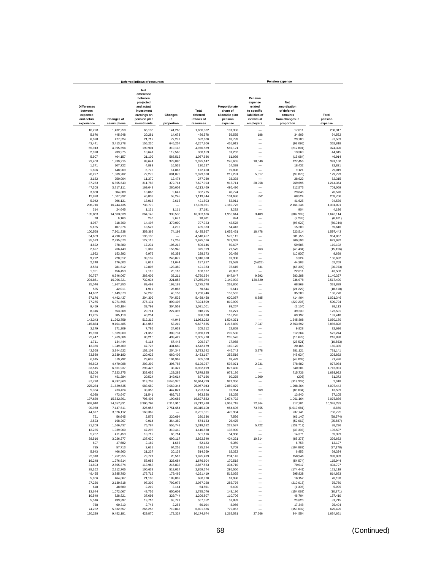|                                                         |                        | Deferred inflows of resources                                                                               |                      |                                 |                                                        |                                                                              | <b>Pension expense</b>                                           |                        |
|---------------------------------------------------------|------------------------|-------------------------------------------------------------------------------------------------------------|----------------------|---------------------------------|--------------------------------------------------------|------------------------------------------------------------------------------|------------------------------------------------------------------|------------------------|
| <b>Differences</b><br>between<br>expected<br>and actual | <b>Changes of</b>      | <b>Net</b><br>difference<br>between<br>projected<br>and actual<br>investment<br>earnings on<br>pension plan | Changes<br>in        | Total<br>deferred<br>inflows of | Proportionate<br>share of<br>allocable plan<br>pension | Pension<br>expense<br>related<br>to specific<br>liabilities of<br>individual | Net<br>amortization<br>of deferred<br>amounts<br>from changes in | Total<br>pension       |
| experience                                              | assumptions            | investments                                                                                                 | proportion           | resources                       | expense                                                | employers                                                                    | proportion                                                       | expense                |
| 18,228                                                  | 1,432,250              | 65,136                                                                                                      | 141,268              | 1,656,882                       | 191,306                                                |                                                                              | 17,011                                                           | 208,317                |
| 5,676                                                   | 445,948                | 20,281                                                                                                      | 14,673               | 486,578                         | 59,565                                                 | 188                                                                          | 34,809                                                           | 94,562                 |
| 6,078<br>43,441                                         | 477,524                | 21,717<br>155,230                                                                                           | 77,281<br>645,257    | 582,600                         | 63,783<br>455,913                                      |                                                                              | 23,780                                                           | 87,563                 |
| 55,943                                                  | 3,413,278<br>4,395,594 | 199,904                                                                                                     | 319,148              | 4,257,206<br>4,970,589          | 587,121                                                |                                                                              | (93,095)<br>(212, 801)                                           | 362,818<br>374,320     |
| 2,978                                                   | 233,975                | 10,641                                                                                                      | 112,565              | 360.159                         | 31,252                                                 | L.                                                                           | 13.363                                                           | 44,615                 |
| 5,907                                                   | 464.157                | 21,109                                                                                                      | 566,513              | 1,057,686                       | 61,998                                                 |                                                                              | (15,084)                                                         | 46,914                 |
| 23,408                                                  | 1,839,215              | 83,644                                                                                                      | 378,880              | 2,325,147                       | 245,665                                                | 18,040                                                                       | 127,455                                                          | 391,160                |
| 1,371                                                   | 107,722                | 4,899                                                                                                       | 16,535               | 130,527                         | 14.389                                                 | ÷                                                                            | 18,432                                                           | 32.821                 |
| 1,896<br>20,227                                         | 148,969<br>1,589,282   | 6,775<br>72,278                                                                                             | 14,818<br>691,873    | 172,458<br>2,373,660            | 19,898<br>212,281                                      | 5,517                                                                        | 9,121<br>(38,075)                                                | 29,019<br>179,723      |
| 3,182                                                   | 250,004                | 11,370                                                                                                      | 12,474               | 277,030                         | 33,393                                                 |                                                                              | 28,922                                                           | 62,315                 |
| 87,253                                                  | 6,855,643              | 311,783                                                                                                     | 372,714              | 7,627,393                       | 915,711                                                | 28,958                                                                       | 269,695                                                          | 1,214,364              |
| 47,308                                                  | 3,717,111              | 169,048                                                                                                     | 280,002              | 4,213,469                       | 496,496                                                |                                                                              | 212,573                                                          | 709,069                |
| 3,880                                                   | 304,888                | 13,866                                                                                                      | 9,641                | 332,275                         | 40,724                                                 |                                                                              | 29,846                                                           | 70,570                 |
| 12.828<br>5,042                                         | 1,007,932<br>396,131   | 45,839<br>18,015                                                                                            | 53.245<br>2,615      | 1,119,844<br>421.803            | 134,630<br>52,911                                      | 552                                                                          | 68.524<br>41,625                                                 | 203,706<br>94,536      |
| 206,746                                                 | 16,244,435             | 738,770                                                                                                     |                      | 17,189,951                      | 2,169,775                                              |                                                                              | 2,161,246                                                        | 4,331,021              |
| 314                                                     | 24,645                 | 1,121                                                                                                       | 1,111                | 27,191                          | 3,292                                                  |                                                                              | 904                                                              | 4,196                  |
| 185,863                                                 | 14,603,639             | 664,149                                                                                                     | 939,535              | 16,393,186                      | 1,950,614                                              | 3,409                                                                        | (307, 909)                                                       | 1,646,114              |
| 78                                                      | 6.166                  | 280                                                                                                         | 3.677                | 10.201                          | 824                                                    |                                                                              | (7, 285)                                                         | (6, 461)               |
| 4,057                                                   | 318,769                | 14,497                                                                                                      | 370,000              | 707,323                         | 42,578                                                 | $\overline{\phantom{0}}$                                                     | (98, 622)                                                        | (56, 044)              |
| 5,185<br>100,568                                        | 407,376                | 18.527<br>359,362                                                                                           | 4,295<br>74,199      | 435,383                         | 54,413<br>1,055,451                                    | 18,478                                                                       | 15,203                                                           | 69,616<br>1,597,443    |
| 54,609                                                  | 7,901,838<br>4,290,713 | 195,135                                                                                                     |                      | 8,435,967<br>4,540,457          | 573,112                                                |                                                                              | 523,514<br>381,755                                               | 954,867                |
| 35,573                                                  | 2,795,073              | 127,115                                                                                                     | 17,255               | 2,975,016                       | 373,339                                                | -                                                                            | 300,593                                                          | 673,932                |
| 4,822                                                   | 378,880                | 17,231                                                                                                      | 105,213              | 506,146                         | 50,607                                                 |                                                                              | 59,585                                                           | 110,192                |
| 2,627                                                   | 206,443                | 9,389                                                                                                       | 156,940              | 375,399                         | 27,575                                                 | 763                                                                          | (43, 494)                                                        | (15, 156)              |
| 1,952                                                   | 153,392                | 6,976                                                                                                       | 66,353               | 228,673                         | 20,489                                                 |                                                                              | (10, 830)                                                        | 9,659                  |
| 9,272                                                   | 728,512<br>176,603     | 33,132                                                                                                      | 246,072              | 1,016,988                       | 97,308                                                 | L.                                                                           | 3,324                                                            | 100,632                |
| 2,248<br>3,584                                          | 281,612                | 8,032<br>12,807                                                                                             | 11,044<br>123,380    | 197,927<br>421.383              | 23,589<br>37,615                                       | (5,623)<br>831                                                               | 44,303<br>(65, 399)                                              | 62.269<br>(26.953)     |
| 1,991                                                   | 156.453                | 7,115                                                                                                       | 23,118               | 188,677                         | 20,897                                                 |                                                                              | 22.611                                                           | 43,508                 |
| 80.767                                                  | 6,346,067              | 288,609                                                                                                     | 35.211               | 6,750,654                       | 847,647                                                | 9,392                                                                        | 283,288                                                          | 1,140,327              |
| 204,861                                                 | 16,096,321             | 732.034                                                                                                     | 221,858              | 17,255,074                      | 2,149,992                                              | 130,520                                                                      | 236,978                                                          | 2,517,490              |
| 25,046                                                  | 1,967,950              | 89,499                                                                                                      | 193,183              | 2,275,678                       | 262,860                                                |                                                                              | 68,969                                                           | 331,829                |
| 535                                                     | 42,011                 | 1,911                                                                                                       | 26,087               | 70,544                          | 5,611                                                  |                                                                              | (24, 229)                                                        | (18, 618)              |
| 14,632<br>57,176                                        | 1,149,673<br>4,492,437 | 52,285<br>204,309                                                                                           | 40,156<br>704,536    | 1,256,746<br>5,458,458          | 153,562<br>600,057                                     | 6,885                                                                        | 35,208<br>414,404                                                | 188,770<br>1,021,346   |
| 77,275                                                  | 6,071,695              | 276,131                                                                                                     | 899,408              | 7,324,509                       | 810,999                                                |                                                                              | (220, 205)                                                       | 590,794                |
| 9,459                                                   | 743,184                | 33,799                                                                                                      | 304,559              | 1,091,001                       | 99.267                                                 |                                                                              | (1, 154)                                                         | 98.113                 |
| 8,316                                                   | 653,368                | 29,714                                                                                                      | 227,397              | 918.795                         | 87,271                                                 |                                                                              | 39,230                                                           | 126,501                |
| 11,265                                                  | 885,119                | 40,254                                                                                                      |                      | 936,638                         | 118,226                                                |                                                                              | 69,192                                                           | 187,418                |
| 143,343<br>115,874                                      | 11,262,759             | 512,212<br>414,057                                                                                          | 44,948<br>53,219     | 11,963,262<br>9,687,635         | 1,504,371<br>1,216,089                                 | 7,047                                                                        | 1,545,808<br>2,663,692                                           | 3,050,179<br>3,886,828 |
| 2.179                                                   | 9,104,485<br>171,209   | 7,786                                                                                                       | 24,038               | 205.212                         | 22,868                                                 |                                                                              | 9,828                                                            | 32.696                 |
| 19,970                                                  | 1,569,060              | 71,358                                                                                                      | 389,731              | 2,050,119                       | 209,580                                                | -                                                                            | 312.664                                                          | 522.244                |
| 22.447                                                  | 1,763,686              | 80,210                                                                                                      | 439,427              | 2,305,770                       | 235,576                                                | -                                                                            | (16, 678)                                                        | 218,898                |
| 1,711                                                   | 134,444                | 6,114                                                                                                       | 67,448               | 209,717                         | 17,958                                                 | -                                                                            | (28, 521)                                                        | (10, 563)              |
| 13,356                                                  | 1,049,409              | 47,725                                                                                                      | 431,689              | 1,542,179                       | 140,170                                                | $\overline{\phantom{a}}$                                                     | 20,165                                                           | 160,335                |
| 42,568                                                  | 3,344,622              | 152,108                                                                                                     | 254,344              | 3,793,642                       | 446,742                                                | 3,278                                                                        | 281,121                                                          | 731,141                |
| 33,589<br>6,615                                         | 2,639,180<br>519,792   | 120,026<br>23,639                                                                                           | 660,402<br>104,962   | 3,453,197<br>655,008            | 352,516<br>69,429                                      |                                                                              | (48, 624)<br>(48,003)                                            | 303,892<br>21,426      |
| 56,892                                                  | 4,470,088              | 203,292                                                                                                     | 395,785              | 5,126,057                       | 597,071                                                | 2,231                                                                        | 378,682                                                          | 977,984                |
| 83,515                                                  | 6,561,937              | 298,426                                                                                                     | 38,321               | 6,982,199                       | 876,480                                                |                                                                              | 840,501                                                          | 1,716,981              |
| 93,206                                                  | 7,323,375              | 333,055                                                                                                     | 129,289              | 7,878,925                       | 978,186                                                |                                                                              | 715,736                                                          | 1,693,922              |
| 5.744                                                   | 451,284                | 20,524                                                                                                      | 349,614              | 827,166                         | 60,278                                                 | 1,300                                                                        | (206)                                                            | 61,372                 |
| 87,790                                                  | 6,897,860              | 313,703                                                                                                     | 3,645,376            | 10,944,729                      | 921,350                                                |                                                                              | (919, 332)                                                       | 2,018                  |
| 275,284<br>9,334                                        | 21,629,635<br>733,424  | 983,680<br>33,355                                                                                           | 3,069,344<br>447,021 | 25,957,943<br>1,223,134         | 2,889,079<br>97,964                                    | $\overline{\phantom{a}}$<br>669                                              | 1,208,364<br>(85,034)                                            | 4,097,443<br>13,599    |
| 6,028                                                   | 473.647                | 21,541                                                                                                      | 482.712              | 983,928                         | 63,265                                                 |                                                                              | 13,840                                                           | 77,105                 |
| 197.689                                                 | 15.532.801             | 706,406                                                                                                     | 190.686              | 16.627.582                      | 2,074,722                                              |                                                                              | 1,001,164                                                        | 3,075,886              |
| 948,910                                                 | 74.557.831             | 3,390,767                                                                                                   | ,314,910             | 81,212,418                      | 9,958,718                                              | 72,364                                                                       | 317,201                                                          | 10,348,283             |
| 90,968                                                  | 7,147,511              | 325,057                                                                                                     | 2,751,654            | 10,315,190                      | 954,696                                                | 73,855                                                                       | (1,019,681)                                                      | 8,870                  |
| 44,877                                                  | 3,526,112              | 160,362                                                                                                     |                      | 3,731,351                       | 470,984                                                |                                                                              | 237,741                                                          | 708,725                |
| 721<br>2,523                                            | 56,645<br>198,207      | 2,576<br>9,014                                                                                              | 220,694<br>364,389   | 280,636<br>574,133              | 7,566<br>26,475                                        | $\qquad \qquad -$                                                            | (66, 140)<br>(52,062)                                            | (58, 574)<br>(25, 587) |
| 21,209                                                  | 1,666,437              | 75,787                                                                                                      | 555,749              | 2,319,182                       | 222,587                                                | 5,422                                                                        | (139, 713)                                                       | 88,296                 |
| 13,235                                                  | 1,039,900              | 47,293                                                                                                      | 310,440              | 1,410,868                       | 138,900                                                | -                                                                            | (33, 393)                                                        | 105.507                |
| 5.237                                                   | 411,453                | 18,712                                                                                                      | 65.714               | 501.116                         | 54,958                                                 |                                                                              | 14,371                                                           | 69,329                 |
| 38,516                                                  | 3,026,277              | 137,630                                                                                                     | 690,117              | 3,892,540                       | 404,221                                                | 10,814                                                                       | (88, 373)                                                        | 326,662                |
| 607                                                     | 47,682                 | 2,169                                                                                                       | 1,665                | 52,123                          | 6,369                                                  | -                                                                            | 6,758                                                            | 13,127                 |
| 735                                                     | 57,713                 | 2,625                                                                                                       | 64,251               | 125,324                         | 7,709                                                  | $\overline{\phantom{0}}$                                                     | (104, 887)                                                       | (97, 178)              |
| 5,943<br>22,310                                         | 466,960<br>1,752,955   | 21,237<br>79,721                                                                                            | 20,129<br>20,513     | 514,269<br>1,875,499            | 62,372<br>234,143                                      | -<br>-                                                                       | 6,952<br>158,946                                                 | 69,324<br>393,089      |
| 16,248                                                  | 1,276,614              | 58,058                                                                                                      | 325,684              | 1,676,604                       | 170,518                                                | -                                                                            | (54, 574)                                                        | 115,944                |
| 31,893                                                  | 2,505,874              | 113,963                                                                                                     | 215,833              | 2,867,563                       | 334,710                                                | -                                                                            | 70,017                                                           | 404,727                |
| 28,162                                                  | 2,212,765              | 100,633                                                                                                     | 518,014              | 2,859,574                       | 295,560                                                |                                                                              | (174, 441)                                                       | 121,119                |
| 49,455                                                  | 3,885,780              | 176,719                                                                                                     | 179,465              | 4,291,419                       | 519,025                                                |                                                                              | 295,838                                                          | 814,863                |
| 5,906                                                   | 464,067                | 21,105                                                                                                      | 189,892              | 680,970                         | 61,986                                                 |                                                                              | 16,152                                                           | 78,138                 |
| 27,230                                                  | 2,139,518              | 97,302                                                                                                      | 792,978              | 3,057,028                       | 285,776                                                | -                                                                            | (210, 016)                                                       | 75,760                 |
| 618<br>13,644                                           | 48,589<br>1.072.067    | 2.210<br>48.756                                                                                             | 3,144<br>650,609     | 54,561<br>1,785,076             | 6.490<br>143,196                                       | -<br>-                                                                       | (1, 395)<br>(154, 067)                                           | 5,095<br>(10, 871)     |
| 10,549                                                  | 828,821                | 37,693                                                                                                      | 329,744              | 1,206,807                       | 110,706                                                | -                                                                            | 46,704                                                           | 157,410                |
| 5,516                                                   | 433,397                | 19,710                                                                                                      | 98,729               | 557,352                         | 57,889                                                 | $\overline{\phantom{0}}$                                                     | 23,826                                                           | 81,715                 |
| 768                                                     | 60,310                 | 2,743                                                                                                       | 2,283                | 66,104                          | 8,056                                                  | $\overline{\phantom{0}}$                                                     | 17,348                                                           | 25,404                 |
| 74,232                                                  | 5,832,557              | 265,255                                                                                                     | 719,842              | 6,891,886                       | 779,057                                                | $\overline{\phantom{a}}$                                                     | (153, 632)                                                       | 625,425                |
| 120,299                                                 | 9,452,181              | 429,870                                                                                                     | 172,324              | 10,174,674                      | 1,262,531                                              | 27,566                                                                       | 344,554                                                          | 1,634,651              |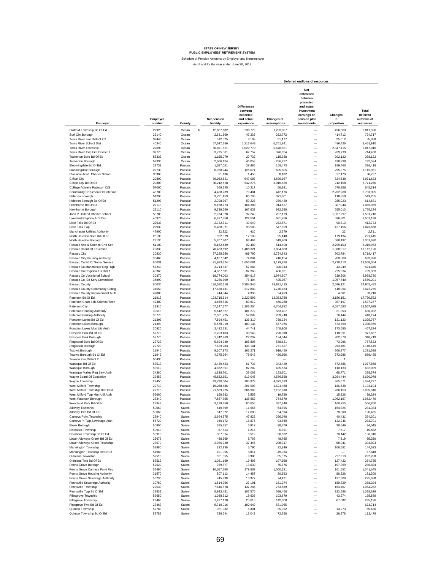|                                                                   |                    |                    |                                 |                                                                       |                                  | Deferred outflows of resources                                                                                             |                             |                                               |
|-------------------------------------------------------------------|--------------------|--------------------|---------------------------------|-----------------------------------------------------------------------|----------------------------------|----------------------------------------------------------------------------------------------------------------------------|-----------------------------|-----------------------------------------------|
| Employer                                                          | Employer<br>number | County             | <b>Net pension</b><br>liability | <b>Differences</b><br>between<br>expected<br>and actual<br>experience | <b>Changes of</b><br>assumptions | <b>Net</b><br>difference<br>between<br>projected<br>and actual<br>investment<br>earnings on<br>pension plan<br>investments | Changes<br>in<br>proportion | Total<br>deferred<br>outflows of<br>resources |
| Stafford Township Bd Of Ed                                        | 22923              | Ocean              | s<br>12,857,682                 | 230,779                                                               | 1,283,887                        |                                                                                                                            | 496,660                     | 2,011,326                                     |
| Surf City Borough                                                 | 22140              | Ocean              | 2,631,569                       | 47,233                                                                | 262,772                          | $\overline{\phantom{0}}$                                                                                                   | 414,712                     | 724,717                                       |
| Toms River Fire District #2                                       | 32440              | Ocean              | 512,525                         | 9,199                                                                 | 51,177                           | $\overline{\phantom{0}}$                                                                                                   | 25,012                      | 85,388                                        |
| Toms River School Dist                                            | 40340              | Ocean              | 67,617,356                      | 1,213,643                                                             | 6,751,841                        | $\overline{\phantom{0}}$                                                                                                   | 486.426                     | 8,451,910                                     |
| <b>Toms River Township</b>                                        | 22690              | Ocean              | 56,871,531                      | 1,020,770                                                             | 5,678,831                        | $\overline{\phantom{0}}$                                                                                                   | 2,347,415                   | 9,047,016                                     |
| Toms River Twp Fire District 1                                    | 32770              | Ocean              | 3.775.061                       | 67,757                                                                | 376,954                          | -                                                                                                                          | 269,739                     | 714,450                                       |
| Tuckerton Boro Bd Of Ed<br><b>Tuckerton Borough</b>               | 53333<br>53330     | Ocean<br>Ocean     | 1,155,070<br>2.566.124          | 20,732<br>46,059                                                      | 115,338<br>256,237               | $\overline{\phantom{0}}$<br>$\overline{\phantom{0}}$                                                                       | 202,122<br>430,238          | 338,192<br>732,534                            |
| Bloomingdale Bd Of Ed                                             | 22733              | Passaic            | 1,587,051                       | 28,485                                                                | 158,473                          | $\overline{\phantom{0}}$                                                                                                   | 189,460                     | 376,418                                       |
| <b>Bloomingdale Borough</b>                                       | 22730              | Passaic            | 6,968,244                       | 125,071                                                               | 695,805                          | $\overline{\phantom{0}}$                                                                                                   | 295,075                     | 1,115,951                                     |
| Classical Acad. Charter School                                    | 35900              | Passaic            | 81,136                          | 1,456                                                                 | 8,102                            | $\overline{\phantom{0}}$                                                                                                   | 27,179                      | 36,737                                        |
| Clifton City                                                      | 20800              | Passaic            | 36,052,621                      | 647,097                                                               | 3,599,987                        | L.                                                                                                                         | 824,539                     | 5,071,623                                     |
| Clifton City Bd Of Ed                                             | 20803              | Passaic            | 30,212,568                      | 542,276                                                               | 3,016,836                        | $\overline{\phantom{0}}$                                                                                                   | 212,158                     | 3,771,270                                     |
| College Achieve Paterson C/S                                      | 57000              | Passaic            | 569,245                         | 10,217                                                                | 56,841                           | L.                                                                                                                         | 578,256                     | 645,314                                       |
| Community Ch School Of Paterson                                   | 48700<br>51290     | Passaic            | 4,428,239                       | 79,481<br>66,795                                                      | 442,176                          | L.<br>$\overline{\phantom{0}}$                                                                                             | 2,262,268<br>110,859        | 2,783,925                                     |
| Haledon Borough<br>Haledon Borough Bd Of Ed                       | 51293              | Passaic<br>Passaic | 3,721,453<br>2,798,397          | 50,228                                                                | 371,601<br>279,430               | L.                                                                                                                         | 285.023                     | 549,255<br>614,681                            |
| Hawthorne Bd Of Ed                                                | 22113              | Passaic            | 9,158,773                       | 164,388                                                               | 914,537                          |                                                                                                                            | 387,044                     | 1,465,969                                     |
| Hawthorne Borough                                                 | 22110              | Passaic            | 9,339,550                       | 167,633                                                               | 932,588                          | $\overline{\phantom{0}}$                                                                                                   | 655,013                     | 1,755,234                                     |
| John P Holland Charter School                                     | 50700              | Passaic            | 2,074,828                       | 37,240                                                                | 207,179                          | $\overline{\phantom{0}}$                                                                                                   | 1,337,297                   | 1.581.716                                     |
| Lakeland Regional H S Dist                                        | 40370              | Passaic            | 6,827,850                       | 122,551                                                               | 681,786                          | $\overline{\phantom{0}}$                                                                                                   | 696,801                     | 1.501.138                                     |
| Little Falls Bd Of Ed                                             | 22933              | Passaic            | 2.732.711                       | 49,049                                                                | 272.871                          | L.                                                                                                                         | 90,813                      | 412.733                                       |
| Little Falls Two<br>Manchester Utilities Authority                | 22930<br>47900     | Passaic<br>Passaic | 5,488,021<br>22.822             | 98,503<br>410                                                         | 547,999                          | L.<br>L.                                                                                                                   | 427,156<br>22               | 1,073,658                                     |
| North Haledon Boro Bd Of Ed                                       | 23133              | Passaic            | 952,879                         | 17,103                                                                | 2,279<br>95,148                  | $\overline{\phantom{0}}$                                                                                                   | 179.194                     | 2,711<br>291,445                              |
| North Haledon Borough                                             | 23130              | Passaic            | 5,207,307                       | 93,464                                                                | 519,969                          | $\overline{\phantom{0}}$                                                                                                   | 688.197                     | 1,301,630                                     |
| Passaic Arts & Science Chtr Sch                                   | 51100              | Passaic            | 5,152,439                       | 92,480                                                                | 514,490                          | $\overline{\phantom{0}}$                                                                                                   | 2,709,103                   | 3,316,073                                     |
| Passaic Board Of Education                                        | 20833              | Passaic            | 78,463,692                      | 1,408,321                                                             | 7,834,888                        | $\overline{\phantom{0}}$                                                                                                   | 1.868.917                   | 11,112,126                                    |
| Passaic City                                                      | 20830              | Passaic            | 27,288,356                      | 489,790                                                               | 2,724,843                        | $\overline{\phantom{0}}$                                                                                                   | 503.784                     | 3,718,417                                     |
| Passaic City Housing Authority                                    | 30460              | Passaic            | 4,167,642                       | 74,804                                                                | 416,154                          | $\overline{\phantom{0}}$                                                                                                   | 208,068                     | 699.026                                       |
| Passaic Co Bd Of Social Service<br>Passaic Co Manchester Reg High | 60031<br>57240     | Passaic<br>Passaic | 91,933,224<br>3,213,837         | 1,650,081<br>57,684                                                   | 9,179,870<br>320,913             | $\overline{\phantom{0}}$<br>$\overline{\phantom{0}}$                                                                       | 2,728,413<br>43,249         | 13,558,364<br>421,846                         |
| Passaic Co Regional Hs Dist 1                                     | 40360              | Passaic            | 4.867.631                       | 87,368                                                                | 486,051                          | $\overline{\phantom{0}}$                                                                                                   | 225,934                     | 799,353                                       |
| Passaic Co Vocational School                                      | 30870              | Passaic            | 19,774,003                      | 354,917                                                               | 1,974,507                        | $\overline{\phantom{0}}$                                                                                                   | 629,306                     | 2,958,730                                     |
| Passaic Co. Ed Serv Commision                                     | 34890              | Passaic            | 4,256,799                       | 76,404                                                                | 425,057                          | $\overline{\phantom{0}}$                                                                                                   | 1,057,740                   | 1,559,201                                     |
| Passaic County                                                    | 60030              | Passaic            | 188,590,110                     | 3,384,946                                                             | 18,831,415                       | $\overline{\phantom{0}}$                                                                                                   | 2,686,121                   | 24,902,482                                    |
| Passaic County Community Colleg                                   | 31550              | Passaic            | 17,430,131                      | 312,848                                                               | 1,740,463                        | $\overline{\phantom{0}}$                                                                                                   | 418,964                     | 2,472,275                                     |
| Passaic County Improvement Auth                                   | 47000              | Passaic            | 244,944                         | 4,396                                                                 | 24,459                           | $\overline{\phantom{0}}$                                                                                                   | 4,361                       | 33,216                                        |
| Paterson Bd Of Ed                                                 | 21913              | Passaic            | 123,718,914                     | 2,220,593                                                             | 12,353,788                       | L.                                                                                                                         | 3,156,151                   | 17,730,532                                    |
| Paterson Chart Sch-Science/Tech<br>Paterson City                  | 42400<br>21910     | Passaic<br>Passaic | 4,669,516                       | 83,812<br>1,205,204                                                   | 466,268                          | $\overline{\phantom{0}}$<br>$\overline{\phantom{0}}$                                                                       | 987,197<br>4,657,583        | 1,537,277                                     |
| Paterson Housing Authority                                        | 30510              | Passaic            | 67, 147, 177<br>5,642,327       | 101,272                                                               | 6,704,892<br>563,407             | $\overline{\phantom{0}}$                                                                                                   | 21,353                      | 12,567,679<br>686,032                         |
| Paterson Parking Authority                                        | 30770              | Passaic            | 2,901,725                       | 52,082                                                                | 289,748                          | $\overline{\phantom{0}}$                                                                                                   | 76,444                      | 418,274                                       |
| Pompton Lakes Bd Of Ed                                            | 21393              | Passaic            | 7,594,451                       | 136,310                                                               | 758,334                          | $\overline{\phantom{0}}$                                                                                                   | 131,123                     | 1,025,767                                     |
| Pompton Lakes Borough                                             | 21390              | Passaic            | 5,578,919                       | 100,134                                                               | 557,076                          | $\overline{\phantom{0}}$                                                                                                   | 673,769                     | 1,330,979                                     |
| Pompton Lakes Mun Util Auth                                       | 30920              | Passaic            | 2,492,731                       | 44,741                                                                | 248,908                          | L.                                                                                                                         | 173,685                     | 467.334                                       |
| Prospect Park Bd Of Ed                                            | 52773<br>52770     | Passaic            | 2,203,403                       | 39,548                                                                | 220,018                          | L.<br>L.                                                                                                                   | 118,091                     | 377,657                                       |
| Prospect Park Borough<br>Ringwood Boro Bd Of Ed                   | 22723              | Passaic<br>Passaic | 1,242,263<br>5,894,940          | 22,297<br>105,806                                                     | 124,044<br>588,631               | L.                                                                                                                         | 202,378<br>73,096           | 348.719<br>767,533                            |
| Ringwood Borough                                                  | 22720              | Passaic            | 7,529,283                       | 135,141                                                               | 751,827                          | $\overline{\phantom{0}}$                                                                                                   | 253.481                     | 1,140,449                                     |
| Totowa Borough                                                    | 21940              | Passaic            | 9,207,973                       | 165,271                                                               | 919,450                          | $\overline{\phantom{0}}$                                                                                                   | 206,877                     | 1,291,598                                     |
| Totowa Borough Bd Of Ed                                           | 21943              | Passaic            | 4,375,964                       | 78,543                                                                | 436,956                          | $\overline{\phantom{0}}$                                                                                                   | 373,986                     | 889,485                                       |
| Towaco Fire District 2                                            | 56430              | Passaic            |                                 |                                                                       |                                  |                                                                                                                            | 1                           | 1                                             |
| Wanaque Bd Of Ed                                                  | 53513<br>53510     | Passaic<br>Passaic | 3,439,423<br>4,862,851          | 61,733<br>87,282                                                      | 343,439                          | $\overline{\phantom{0}}$<br>$\overline{\phantom{0}}$                                                                       | 672.686                     | 1,077,858<br>682.989                          |
| Wanaque Borough<br>Wanaque Valley Reg Sew Auth                    | 34360              | Passaic            | 1,838,701                       | 33,002                                                                | 485,574<br>183,601               | -                                                                                                                          | 110,133<br>68,771           | 285,374                                       |
| Wayne Board Of Education                                          | 22453              | Passaic            | 45,632,651                      | 819,046                                                               | 4,556,588                        | $\overline{\phantom{0}}$                                                                                                   | 3,294,444                   | 8,670,078                                     |
| Wayne Township                                                    | 22450              | Passaic            | 43,790,004                      | 785,973                                                               | 4,372,593                        | -                                                                                                                          | 365,671                     | 5.524.237                                     |
| West Milford Township                                             | 22710              | Passaic            | 16,268,486                      | 291,998                                                               | 1,624,468                        | $\overline{\phantom{0}}$                                                                                                   | 186,638                     | 2,103,104                                     |
| West Milford Township Bd Of Ed                                    | 22713              | Passaic            | 21,559,725                      | 386,969                                                               | 2,152,818                        | $\overline{\phantom{0}}$                                                                                                   | 266.153                     | 2,805,940                                     |
| West Milford Twp Mun Util Auth                                    | 55660              | Passaic            | 198.282                         | 3.559                                                                 | 19,799                           | $\overline{\phantom{0}}$                                                                                                   | 15,926                      | 39.284                                        |
| West Paterson Borough<br>Woodland Park Bd Of Ed                   | 23340<br>23343     | Passaic<br>Passaio | 7,557,755<br>3,379,350          | 135,652<br>60,655                                                     | 754,670<br>337,440               |                                                                                                                            | 1,062,157<br>168,755        | 1,952,479<br>566.850                          |
| Alloway Township                                                  | 50060              | Salem              | 649,899                         | 11,665                                                                | 64,895                           | $\overline{\phantom{0}}$                                                                                                   | 154,824                     | 231,384                                       |
| Alloway Twp Bd Of Ed                                              | 50063              | Salem              | 947,322                         | 17,003                                                                | 94,594                           | L.                                                                                                                         | 78,868                      | 190,465                                       |
| Carneys Point Township                                            | 22940              | Salem              | 2,664,375                       | 47,822                                                                | 266,048                          | -                                                                                                                          | 40,431                      | 354,301                                       |
| Carneys Pt Twp Sewerage Auth                                      | 55720              | Salem              | 940,172                         | 16,875                                                                | 93,880                           | $\overline{\phantom{0}}$                                                                                                   | 122,946                     | 233,701                                       |
| Elmer Borough                                                     | 50900              | Salem              | 385,357                         | 6,917                                                                 | 38,479                           | -                                                                                                                          | 38,649                      | 84,045                                        |
| Elsinboro Township<br>Elsinboro Township Bd Of Ed                 | 50910<br>50913     | Salem<br>Salem     | 67,613<br>307,074               | 1,214<br>5,512                                                        | 6,751<br>30,662                  | $\overline{\phantom{0}}$<br>$\overline{\phantom{0}}$                                                                       | 7,617<br>70,142             | 15,582<br>106,316                             |
| Lower Alloways Creek Bd Of Ed                                     | 23673              | Salem              | 488,369                         | 8,766                                                                 | 48,765                           | $\overline{\phantom{0}}$                                                                                                   | 7,819                       | 65,350                                        |
| Lower Alloways Creek Township                                     | 23670              | Salem              | 2,086,220                       | 37,445                                                                | 208,317                          | L.                                                                                                                         | 58,041                      | 303,803                                       |
| Mannington Township                                               | 51980              | Salem              | 322,930                         | 5,796                                                                 | 32,246                           | $\overline{\phantom{0}}$                                                                                                   | 106,581                     | 144,623                                       |
| Mannington Township Bd Of Ed                                      | 51983              | Salem              | 491,055                         | 8,814                                                                 | 49,034                           | L.                                                                                                                         |                             | 57,848                                        |
| Oldmans Township                                                  | 52510              | Salem              | 551,555                         | 9,900                                                                 | 55,075                           | -                                                                                                                          | 227,313                     | 292,288                                       |
| Oldmans Twp Bd Of Ed                                              | 52513              | Salem              | 1,081,159                       | 19,405                                                                | 107,958                          | -                                                                                                                          | 127,422                     | 254,785                                       |
| Penns Grove Borough                                               | 52620              | Salem              | 759,877                         | 13,639                                                                | 75,876                           | -                                                                                                                          | 197,369                     | 286,884                                       |
| Penns Grove Carneys Point Reg<br>Penns Grove Housing Authority    | 57490<br>31570     | Salem<br>Salem     | 10,017,568<br>807,113           | 179,802<br>14,487                                                     | 1,000,291<br>80,593              | $\overline{\phantom{0}}$<br>$\overline{\phantom{0}}$                                                                       | 161,552<br>86,226           | 1,341,645<br>181,306                          |
| Penns Grove Sewerage Authority                                    | 55230              | Salem              | 745,298                         | 13,377                                                                | 74,421                           | $\overline{\phantom{0}}$                                                                                                   | 137,900                     | 225,698                                       |
| Pennsville Sewerage Authority                                     | 30780              | Salem              | 1,514,956                       | 27,191                                                                | 151,274                          | $\overline{\phantom{0}}$                                                                                                   | 159,829                     | 338,294                                       |
| Pennsville Township                                               | 22530              | Salem              | 7,646,578                       | 137,246                                                               | 763,539                          | $\overline{\phantom{0}}$                                                                                                   | 163,467                     | 1,064,252                                     |
| Pennsville Twp Bd Of Ed                                           | 22533              | Salem              | 5,993,451                       | 107,575                                                               | 598,468                          | $\overline{\phantom{0}}$                                                                                                   | 322,586                     | 1,028,629                                     |
| Pilesgrove Township                                               | 52650              | Salem              | 1,038,312                       | 18,636                                                                | 103,679                          | $\overline{\phantom{0}}$                                                                                                   | 43,274                      | 165,589                                       |
| Pittsgrove Township                                               | 23460              | Salem<br>Salem     | 1,427,170                       | 25,616<br>102,649                                                     | 142,508<br>571,065               | $\overline{\phantom{0}}$<br>$\overline{\phantom{0}}$                                                                       | 67,002                      | 235,126<br>673,714                            |
| Pittsgrove Twp Bd Of Ed<br>Quinton Township                       | 23463<br>52780     | Salem              | 5,719,016<br>351,032            | 6,301                                                                 | 35,052                           | $\overline{\phantom{0}}$                                                                                                   | 14,273                      | 55,626                                        |
| Quinton Township Bd Of Ed                                         | 52783              | Salem              | 726,644                         | 13,042                                                                | 72,558                           |                                                                                                                            | 26,878                      | 112,478                                       |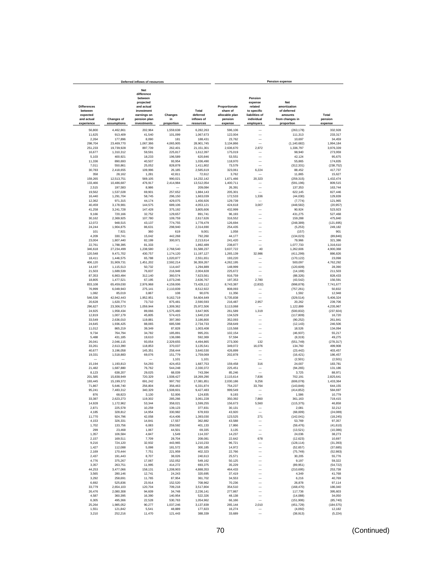|                                                         |                          | Deferred inflows of resources                                                                               |                        |                                 |                                                        |                                                                              | <b>Pension expense</b>                                                  |                         |
|---------------------------------------------------------|--------------------------|-------------------------------------------------------------------------------------------------------------|------------------------|---------------------------------|--------------------------------------------------------|------------------------------------------------------------------------------|-------------------------------------------------------------------------|-------------------------|
| <b>Differences</b><br>between<br>expected<br>and actual | <b>Changes of</b>        | <b>Net</b><br>difference<br>between<br>projected<br>and actual<br>investment<br>earnings on<br>pension plan | Changes<br>in          | Total<br>deferred<br>inflows of | Proportionate<br>share of<br>allocable plan<br>pension | Pension<br>expense<br>related<br>to specific<br>liabilities of<br>individual | <b>Net</b><br>amortization<br>of deferred<br>amounts<br>from changes in | Total<br>pension        |
| experience                                              | assumptions              | investments                                                                                                 | proportion             | resources                       | expense                                                | employers                                                                    | proportion                                                              | expense                 |
| 56,800                                                  | 4,462,861                | 202,964                                                                                                     | 1,559,638              | 6,282,263                       | 596,106                                                |                                                                              | (263, 178)                                                              | 332,928                 |
| 11,625                                                  | 913,409                  | 41,540                                                                                                      | 101,099                | 1,067,673                       | 122,004                                                | $\overline{\phantom{0}}$                                                     | 111,313                                                                 | 233,317                 |
| 2,264                                                   | 177,896                  | 8,090                                                                                                       | 181                    | 188,431                         | 23,762                                                 |                                                                              | 10,697                                                                  | 34,459                  |
| 298,704                                                 | 23,469,770               | 1,067,366                                                                                                   | 4,065,905              | 28,901,745                      | 3,134,866                                              |                                                                              | (1, 140, 682)                                                           | 1,994,184               |
| 251,233                                                 | 19,739,928<br>1.310.312  | 897,739                                                                                                     | 262,401<br>225.817     | 21, 151, 301                    | 2,636,670                                              | 2,872                                                                        | 1,336,797                                                               | 3,976,339               |
| 16,677<br>5.103                                         | 400.921                  | 59,591<br>18,233                                                                                            | 196,589                | 1,612,397<br>620.846            | 175,019<br>53,551                                      | -                                                                            | 98,940<br>42.124                                                        | 273,959<br>95,675       |
| 11,336                                                  | 890,693                  | 40,507                                                                                                      | 93,954                 | 1.036.490                       | 118,970                                                | -                                                                            | 55,865                                                                  | 174,835                 |
| 7,011                                                   | 550,861                  | 25,052                                                                                                      | 828,878                | 1,411,802                       | 73,579                                                 |                                                                              | (312, 331)                                                              | (238, 752)              |
| 30,783                                                  | 2,418,655                | 109,996                                                                                                     | 26,185                 | 2,585,619                       | 323,061                                                | 6,224                                                                        | 88,452                                                                  | 417,737                 |
| 358                                                     | 28,162                   | 1,281                                                                                                       | 42,811                 | 72,612                          | 3,762                                                  |                                                                              | 11,865                                                                  | 15,627                  |
| 159,265<br>133,466                                      | 12,513,751<br>10,486,687 | 569,105<br>476,917                                                                                          | 990,021<br>2,414,984   | 14,232,142<br>13,512,054        | 1,671,466<br>1,400,711                                 | 20,323                                                                       | (259, 315)<br>(591, 196)                                                | 1,432,474<br>809,515    |
| 2,515                                                   | 197,583                  | 8,986                                                                                                       |                        | 209,084                         | 26,391                                                 | -                                                                            | 137,353                                                                 | 163,744                 |
| 19,562                                                  | 1,537,028                | 69,901                                                                                                      | 257,652                | 1,884,143                       | 205,301                                                |                                                                              | 622,145                                                                 | 827,446                 |
| 16,440                                                  | 1,291,704                | 58.745                                                                                                      | 296,150                | 1,663,039                       | 172,533                                                | 1,336                                                                        | (44, 030)                                                               | 129.839                 |
| 12,362                                                  | 971,315                  | 44,174                                                                                                      | 429,075                | 1,456,926                       | 129,739                                                |                                                                              | (7, 774)                                                                | 121,965                 |
| 40,459                                                  | 3,178,981                | 144,575                                                                                                     | 689,106                | 4,053,121                       | 424,618                                                | 3,007                                                                        | (448, 582)                                                              | (20, 957)               |
| 41,258<br>9,166                                         | 3,241,728<br>720,166     | 147,428<br>32,752                                                                                           | 375,192<br>129,657     | 3,805,606<br>891,741            | 432,999<br>96,193                                      | -<br>-                                                                       | 90,924<br>431,275                                                       | 523,923<br>527,468      |
| 30.162                                                  | 2,369,925                | 107,780                                                                                                     | 109,759                | 2,617,626                       | 316,552                                                |                                                                              | 159,288                                                                 | 475.840                 |
| 12,072                                                  | 948,515                  | 43.137                                                                                                      | 774,755                | 1,778,479                       | 126,694                                                |                                                                              | (248, 389)                                                              | (121, 695)              |
| 24,244                                                  | 1,904,875                | 86,631                                                                                                      | 298,940                | 2,314,690                       | 254,435                                                | -                                                                            | (5,253)                                                                 | 249,182                 |
| 101                                                     | 7,921                    | 360                                                                                                         | 619                    | 9,001                           | 1,058                                                  | -                                                                            | (157)                                                                   | 901                     |
| 4,209                                                   | 330,741                  | 15,042                                                                                                      | 442,268                | 792,260                         | 44,177                                                 | ÷                                                                            | (134, 023)                                                              | (89, 846)               |
| 23,004                                                  | 1,807,440                | 82,199                                                                                                      | 300,971                | 2,213,614<br>1,892,489          | 241,420<br>238,877                                     | $\overline{\phantom{0}}$<br>$\overline{\phantom{0}}$                         | 79,966                                                                  | 321,386<br>1,316,610    |
| 22,761<br>346,618                                       | 1,788,395<br>27,234,499  | 81,333<br>1,238,580                                                                                         | 2,768,540              | 31,588,237                      | 3,637,722                                              | 40                                                                           | 1,077,733<br>1,262,606                                                  | 4,900,368               |
| 120,548                                                 | 9,471,702                | 430,757                                                                                                     | 1,174,120              | 11, 197, 127                    | 1,265,139                                              | 32,986                                                                       | (411, 299)                                                              | 886,826                 |
| 18,411                                                  | 1,446,575                | 65,788                                                                                                      | 1,020,877              | 2,551,651                       | 193,220                                                |                                                                              | (170, 122)                                                              | 23,098                  |
| 406,120                                                 | 31,909,731               | 1,451,202                                                                                                   | 2,592,214              | 36,359,267                      | 4,262,195                                              |                                                                              | 500.097                                                                 | 4.762.292               |
| 14.197                                                  | 1,115,513                | 50,732                                                                                                      | 114,447                | 1,294,889                       | 148,999                                                |                                                                              | (120, 609)                                                              | 28.390                  |
| 21,503                                                  | 1,689,539                | 76,837                                                                                                      | 216,949                | 2.004.828                       | 225,672                                                |                                                                              | (14, 169)                                                               | 211.503                 |
| 87,353<br>18,805                                        | 6,863,494<br>1,477,521   | 312,140<br>67,195                                                                                           | 360,574<br>1,073,246   | 7.623.561<br>2,636,767          | 916.759<br>197,353                                     | $\overline{\phantom{0}}$<br>2,780                                            | (88, 326)<br>(43.542)                                                   | 828.433<br>156,591      |
| 833,108                                                 | 65,459,030               | 2,976,968                                                                                                   | 4,159,006              | 73,428,112                      | 8,743,387                                              | (2, 832)                                                                     | (998, 878)                                                              | 7,741,677               |
| 76,999                                                  | 6,049,943                | 275,141                                                                                                     | 2,110,839              | 8,512,922                       | 808,093                                                |                                                                              | (757, 261)                                                              | 50,832                  |
| 1,082                                                   | 85,019                   | 3,867                                                                                                       | 108                    | 90,076                          | 11,356                                                 |                                                                              | 1,592                                                                   | 12,948                  |
| 546,536                                                 | 42,942,443               | 1,952,951                                                                                                   | 9,162,719              | 54,604,649                      | 5,735,838                                              |                                                                              | (329, 514)                                                              | 5,406,324               |
| 20,628                                                  | 1,620,774                | 73,710                                                                                                      | 875,481                | 2,590,593                       | 216,487                                                | 2,957                                                                        | 20,262                                                                  | 239,706                 |
| 296,627<br>24,925                                       | 23,306,573<br>1,958,434  | 1,059,944<br>89,066                                                                                         | 1,309,362<br>1,575,480 | 25,972,506<br>3,647,905         | 3,113,068<br>261,589                                   | 1,319                                                                        | 1,122,899<br>(500, 832)                                                 | 4,235,967<br>(237, 924) |
| 12,819                                                  | 1,007,179                | 45,805                                                                                                      | 574,415                | 1,640,218                       | 134,529                                                |                                                                              | (117, 809)                                                              | 16,720                  |
| 33,549                                                  | 2,636,010                | 119,881                                                                                                     | 397,360                | 3,186,800                       | 352,093                                                | -                                                                            | (90.252)                                                                | 261,841                 |
| 24,645                                                  | 1,936,425                | 88,065                                                                                                      | 685,598                | 2.734.733                       | 258,649                                                | -                                                                            | (12, 143)                                                               | 246,506                 |
| 11,012                                                  | 865,219                  | 39,349                                                                                                      | 87,828                 | 1,003,408                       | 115,568                                                | -                                                                            | 18.526                                                                  | 134,094                 |
| 9,734                                                   | 764,794                  | 34,782                                                                                                      | 185,891                | 995,201                         | 102,154                                                | $\overline{\phantom{0}}$                                                     | (46, 937)                                                               | 55,217                  |
| 5,488<br>26,041                                         | 431,185<br>2,046,115     | 19,610<br>93,054                                                                                            | 136,086<br>2,329,655   | 592,369<br>4,494,865            | 57,594<br>273,300                                      | $\overline{\phantom{a}}$<br>132                                              | (8, 319)<br>(551, 749)                                                  | 49,275<br>(278, 317)    |
| 33,261                                                  | 2,613,390                | 118,853                                                                                                     | 370,037                | 3,135,541                       | 349,072                                                | 16,076                                                                       | 134,760                                                                 | 499,908                 |
| 40,677                                                  | 3,196,058                | 145,351                                                                                                     | 258,444                | 3,640,530                       | 426,899                                                |                                                                              | (23, 442)                                                               | 403,457                 |
| 19,331                                                  | 1,518,883                | 69,076                                                                                                      | 151,779                | 1,759,069                       | 202,878                                                | -                                                                            | (16, 421)                                                               | 186,457                 |
|                                                         |                          |                                                                                                             | 1,101                  | 1,101                           |                                                        |                                                                              | (2,501)                                                                 | (2,501)                 |
| 15,194                                                  | 1,193,813                | 54,293                                                                                                      | 424,453                | 1,687,753                       | 159,458                                                | 316                                                                          | 24,007                                                                  | 183,781                 |
| 21,482<br>8,123                                         | 1,687,880<br>638,207     | 76,762<br>29,025                                                                                            | 544,248<br>68,039      | 2,330,372<br>743,394            | 225,451<br>85,246                                      | Ē,                                                                           | (94, 265)<br>3.725                                                      | 131,186<br>88,971       |
| 201,585                                                 | 15,838,949               | 720,329                                                                                                     | 1,508,427              | 18.269.290                      | 2,115,614                                              | 7,836                                                                        | 702,191                                                                 | 2.825.641               |
| 193.445                                                 | 15,199,372               | 691,242                                                                                                     | 997,792                | 17,081,851                      | 2,030,186                                              | 9,256                                                                        | (606, 078)                                                              | 1,433,364               |
| 71,867                                                  | 5,646,740                | 256,804                                                                                                     | 356,463                | 6,331,874                       | 754,237                                                | 33,764                                                                       | (143, 846)                                                              | 644,155                 |
| 95,241                                                  | 7,483,312                | 340,329                                                                                                     | 1,508,601              | 9,427,483                       | 999.549                                                |                                                                              | (414, 852)                                                              | 584,697                 |
| 876<br>33,387                                           | 68.823<br>2,623,273      | 3,130<br>119,302                                                                                            | 52.006<br>285.266      | 124.835<br>3,061,228            | 9,193<br>350,392                                       | ÷<br>7,860                                                                   | 1,586<br>361,163                                                        | 10,779<br>719.415       |
| 14,928                                                  | 1,172,962                | 53,344                                                                                                      | 358,021                | 1,599,255                       | 156,673                                                |                                                                              | (115, 375)                                                              | 46,858                  |
| 2,871                                                   | 225,578                  | 10,259                                                                                                      | 139,123                | 377,831                         | 30,131                                                 | UOC,C<br>Ξ                                                                   | 2,081                                                                   | 32,212                  |
| 4,185                                                   | 328,812                  | 14,954                                                                                                      | 330,982                | 678,933                         | 43,920                                                 |                                                                              | (68,009)                                                                | (24, 089)               |
| 11,770                                                  | 924,796                  | 42,058                                                                                                      | 414,406                | 1,393,030                       | 123,525                                                | 271                                                                          | (142, 041)                                                              | (18, 245)               |
| 4,153                                                   | 326,331                  | 14,841                                                                                                      | 17,557                 | 362,882                         | 43,588                                                 |                                                                              | 53,769                                                                  | 97,357                  |
| 1,702                                                   | 133,756                  | 6,083                                                                                                       | 259,592                | 401,133                         | 17,866                                                 | -                                                                            | (59, 476)                                                               | (41, 610)               |
| 299<br>1,357                                            | 23,468<br>106,584        | 1,067<br>4,847                                                                                              | 44,501<br>1,549        | 69,335<br>114,337               | 3,135<br>14,237                                        | -                                                                            | (13, 521)<br>24,036                                                     | (10, 386)<br>38.273     |
| 2,157                                                   | 169,511                  | 7,709                                                                                                       | 28,704                 | 208,081                         | 22,642                                                 | 678                                                                          | (12, 623)                                                               | 10,697                  |
| 9,216                                                   | 724,120                  | 32,932                                                                                                      | 443,965                | 1,210,233                       | 96,721                                                 | -                                                                            | (128, 114)                                                              | (31, 393)               |
| 1,427                                                   | 112,088                  | 5,098                                                                                                       | 181,572                | 300,185                         | 14,972                                                 | -                                                                            | (52, 657)                                                               | (37, 685)               |
| 2,169                                                   | 170,444                  | 7,751                                                                                                       | 221,959                | 402,323                         | 22,766                                                 | -                                                                            | (75, 749)                                                               | (52, 983)               |
| 2,437                                                   | 191,443                  | 8,707                                                                                                       | 38,026                 | 240,613                         | 25,571                                                 |                                                                              | 30,205                                                                  | 55,776                  |
| 4,776<br>3,357                                          | 375,267<br>263,751       | 17,067                                                                                                      | 152,052                | 549,162<br>693,375              | 50,125<br>35,229                                       | ۰<br>-                                                                       | 9,197                                                                   | 59,322                  |
| 44,253                                                  | 3,477,066                | 11,995<br>158,131                                                                                           | 414,272<br>1,208,903   | 4,888,353                       | 464,433                                                |                                                                              | (89, 951)<br>(210, 695)                                                 | (54, 722)<br>253,738    |
| 3,565                                                   | 280,146                  | 12,741                                                                                                      | 24,243                 | 320,695                         | 37,419                                                 |                                                                              | 4,349                                                                   | 41,768                  |
| 3,292                                                   | 258,691                  | 11,765                                                                                                      | 87,954                 | 361,702                         | 34,553                                                 |                                                                              | 6,216                                                                   | 40,769                  |
| 6,692                                                   | 525.836                  | 23,914                                                                                                      | 152,520                | 708.962                         | 70,236                                                 | -                                                                            | 26,878                                                                  | 97,114                  |
| 33,779                                                  | 2,654,103                | 120,704                                                                                                     | 709,218                | 3,517,804                       | 354,510                                                | -                                                                            | (168, 470)                                                              | 186,040                 |
| 26,476                                                  | 2,080,308                | 94,609                                                                                                      | 34,748                 | 2.236.141                       | 277,867                                                | $\overline{\phantom{0}}$                                                     | 117,736                                                                 | 395,603                 |
| 4,587<br>6,305                                          | 360,395                  | 16,390<br>22,528                                                                                            | 140,954<br>530,763     | 522,326<br>1,054,962            | 48,138                                                 | $\overline{\phantom{0}}$<br>$\overline{\phantom{0}}$                         | (14, 088)                                                               | 34,050<br>(85, 740)     |
| 25,264                                                  | 495,366<br>1,985,052     | 90,277                                                                                                      | 1,037,246              | 3,137,839                       | 66,166<br>265,144                                      | 2,010                                                                        | (151,906)<br>(451, 729)                                                 | (184, 575)              |
| 1,551                                                   | 121,842                  | 5,541                                                                                                       | 48,889                 | 177,823                         | 16,274                                                 |                                                                              | (4,092)                                                                 | 12,182                  |
| 3,210                                                   | 252,216                  | 11,470                                                                                                      | 121,443                | 388,339                         | 33,689                                                 |                                                                              | (38, 913)                                                               | (5, 224)                |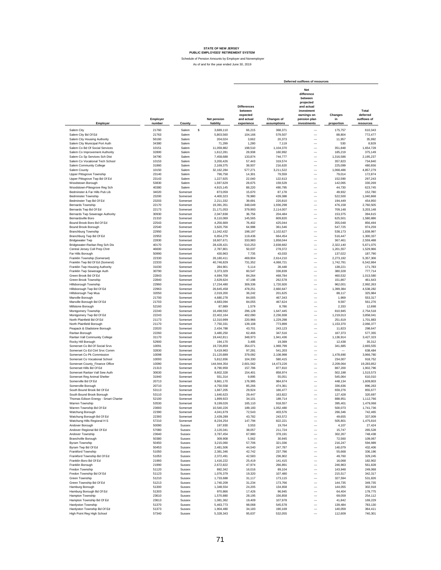Schedule of Pension Amounts by Employer and Nonemployer As of and for the year ended June 30, 2019

|                                                                   |                    |                      |                          |                                                                       |                           | Deferred outflows of resources                                                                                      |                             |                                               |
|-------------------------------------------------------------------|--------------------|----------------------|--------------------------|-----------------------------------------------------------------------|---------------------------|---------------------------------------------------------------------------------------------------------------------|-----------------------------|-----------------------------------------------|
| Employer                                                          | Employer<br>number | County               | Net pension<br>liability | <b>Differences</b><br>between<br>expected<br>and actual<br>experience | Changes of<br>assumptions | Net<br>difference<br>between<br>projected<br>and actual<br>investment<br>earnings on<br>pension plan<br>investments | Changes<br>in<br>proportion | Total<br>deferred<br>outflows of<br>resources |
| Salem City                                                        | 21760              | Salem                | s<br>3,689,110           | 66,215                                                                | 368.371                   |                                                                                                                     | 175,757                     | 610,343                                       |
| Salem City Bd Of Ed                                               | 21763              | Salem                | 5,803,560                | 104,166                                                               | 579,507                   | -<br>-                                                                                                              | 88,804                      | 772,477                                       |
| Salem City Housing Authority                                      | 56160              | Salem                | 204,024                  | 3,662                                                                 | 20,373                    | $\overline{\phantom{0}}$                                                                                            | 11,957                      | 35,992                                        |
| Salem City Municipal Port Auth                                    | 34380              | Salem                | 71,299                   | 1,280                                                                 | 7,119                     | $\overline{\phantom{0}}$                                                                                            | 530                         | 8,929                                         |
| Salem Co Bd Of Social Services                                    | 10151              | Salem                | 11,059,882               | 198,510                                                               | 1,104,370                 | L.                                                                                                                  | 351,848                     | 1,654,728                                     |
| Salem Co Improvement Authority                                    | 32800              | Salem                | 1,612,281                | 28,938                                                                | 160,992                   | -                                                                                                                   | 185,219                     | 375,149                                       |
| Salem Co Sp Services Sch Dist                                     | 34790              | Salem                | 7,458,688                | 133,874                                                               | 744,777                   | -                                                                                                                   | 1,316,586                   | 2,195,237                                     |
| Salem Co Vocational Tech School                                   | 10153              | Salem                | 3,200,426                | 57,443                                                                | 319,574                   | -                                                                                                                   | 357,823                     | 734,840                                       |
| Salem Community College                                           | 31860              | Salem                | 2,169,375                | 38,937                                                                | 216,620                   | -                                                                                                                   | 225,099                     | 480,656                                       |
| Salem County                                                      | 10150<br>23140     | Salem<br>Salem       | 32,162,284               | 577,271                                                               | 3,211,522                 | $\overline{\phantom{0}}$<br>$\overline{\phantom{0}}$                                                                | 1,068,486                   | 4,857,279                                     |
| Upper Pittsgrove Township<br>Upper Pittsgrove Twp Bd Of Ed        | 23143              | Salem                | 796,758<br>1,227,925     | 14,301<br>22,040                                                      | 79,559<br>122,613         | $\overline{\phantom{0}}$                                                                                            | 79,014<br>152,590           | 172,874<br>297,243                            |
| Woodstown Borough                                                 | 53830              | Salem                | 1.597.629                | 28,675                                                                | 159.529                   | $\overline{\phantom{0}}$                                                                                            | 142,065                     | 330,269                                       |
| Woodstown-Pilesgrove Reg Sch                                      | 40380              | Salem                | 4,915,145                | 88,220                                                                | 490.795                   | $\overline{\phantom{0}}$                                                                                            | 44,730                      | 623,745                                       |
| Bedminster & Far Hills Pub Lib                                    | 34020              | Somerset             | 873.059                  | 15,670                                                                | 87,178                    | $\overline{\phantom{0}}$                                                                                            | 49,932                      | 152,780                                       |
| <b>Bedminster Township</b>                                        | 23200              | Somerset             | 4,400,323                | 78,980                                                                | 439,388                   | $\overline{a}$                                                                                                      | 522.500                     | 1,040,868                                     |
| Bedminster Twp Bd Of Ed                                           | 23203              | Somerset             | 2,211,332                | 39,691                                                                | 220,810                   | $\overline{a}$                                                                                                      | 194,449                     | 454,950                                       |
| Bernards Township                                                 | 22170              | Somerset             | 19,391,351               | 348,049                                                               | 1,936,298                 | $\overline{a}$                                                                                                      | 476,158                     | 2,760,505                                     |
| Bernards Twp Bd Of Ed                                             | 22173              | Somerset             | 21,171,053               | 379,993                                                               | 2,114,007                 | ÷,                                                                                                                  | 709,148                     | 3,203,148                                     |
| Bernards Twp Sewerage Authority<br>Bernardsville Boro             | 30930<br>21310     | Somerset<br>Somerset | 2,047,838<br>8,110,069   | 36,756<br>145,565                                                     | 204,484<br>809,820        | -<br>$\overline{\phantom{0}}$                                                                                       | 153,375<br>625,501          | 394,615<br>1,580,886                          |
| Bound Brook Boro Bd Of Ed                                         | 22543              | Somerset             | 4,256,669                | 76.402                                                                | 425.044                   | -                                                                                                                   | 355,048                     | 856.494                                       |
| Bound Brook Borough                                               | 22540              | Somerset             | 3,620,756                | 64,988                                                                | 361,546                   | -                                                                                                                   | 547,725                     | 974.259                                       |
| <b>Branchburg Township</b>                                        | 22950              | Somerset             | 11,042,432               | 198,197                                                               | 1,102,627                 | -                                                                                                                   | 538,173                     | 1,838,997                                     |
| Branchburg Twp Bd Of Ed                                           | 22953              | Somerset             | 6,654,279                | 119,436                                                               | 664,454                   | $\overline{\phantom{0}}$                                                                                            | 516,447                     | 1,300,337                                     |
| <b>Bridgewater Two</b>                                            | 22830              | Somerset             | 18,607,671               | 333,983                                                               | 1.858.044                 | $\overline{\phantom{0}}$                                                                                            | 367,461                     | 2.559.488                                     |
| Bridgewater-Raritan Reg Sch Dis                                   | 40170              | Somerset             | 28,428,421               | 510,253                                                               | 2.838.682                 | $\overline{\phantom{0}}$                                                                                            | 2,322,140                   | 5,671,075                                     |
| Central Jersey Coll Prep Chrtr                                    | 46600              | Somerset             | 2,787,801                | 50,037                                                                | 278,372                   | L.                                                                                                                  | 1,201,557                   | 1,529,966                                     |
| Far Hills Borough                                                 | 50990              | Somerset             | 430,963                  | 7,735                                                                 | 43,033                    | L.                                                                                                                  | 137,022                     | 187,790                                       |
| Franklin Township (Somerset)                                      | 22330              | Somerset             | 26,180,411               | 469,904                                                               | 2,614,210                 | $\overline{\phantom{0}}$                                                                                            | 2,273,192                   | 5,357,306                                     |
| Franklin Twp Bd Of Ed (Somerst)<br>Franklin Twp Housing Authority | 22333<br>31030     | Somerset<br>Somerset | 40,746,829<br>284,901    | 731,352<br>5,114                                                      | 4,068,721<br>28,448       | $\overline{\phantom{0}}$<br>L.                                                                                      | 1,742,791<br>138,221        | 6,542,864<br>171,783                          |
| Franklin Twp Sewerage Auth                                        | 30790              | Somerset             | 3,373,329                | 60,547                                                                | 336,839                   | L.                                                                                                                  | 380,328                     | 777,714                                       |
| Green Brook Bd Of Ed                                              | 22843              | Somerset             | 4,694,708                | 84,264                                                                | 468,784                   | -                                                                                                                   | 460,532                     | 1,013,580                                     |
| Green Brook Township                                              | 22840              | Somerset             | 2,629,624                | 47,198                                                                | 262,578                   | $\overline{\phantom{0}}$                                                                                            | 151,867                     | 461,643                                       |
| Hillsborough Township                                             | 22960              | Somerset             | 17,234,480               | 309,336                                                               | 1,720,926                 | -                                                                                                                   | 962,001                     | 2,992,263                                     |
| Hillsborough Twp Bd Of Ed                                         | 22963              | Somerset             | 26,645,458               | 478,251                                                               | 2,660,647                 | $\overline{\phantom{0}}$                                                                                            | 1.399.384                   | 4,538,282                                     |
| Hillsborough Twp Mua                                              | 32050              | Somerset             | 2,019,200                | 36,242                                                                | 201,625                   | $\overline{\phantom{0}}$                                                                                            | 88.117                      | 325,984                                       |
| Manville Borough                                                  | 21700              | Somerset             | 4,680,278                | 84,005                                                                | 467,343                   | $\overline{\phantom{0}}$                                                                                            | 1.969                       | 553,317                                       |
| Manville Borough Bd Of Ed                                         | 21703              | Somerset             | 4,683,094                | 84,055                                                                | 467.624                   | $\overline{\phantom{0}}$                                                                                            | 9.597                       | 561,276                                       |
| Millstone Borough<br>Montgomery Township                          | 52160<br>22240     | Somerset<br>Somerset | 87.989                   | 1,579                                                                 | 8,786                     | $\overline{\phantom{0}}$                                                                                            | 2.333<br>810.945            | 12,698                                        |
| Montgomery Twp Bd Of Ed                                           | 22243              | Somerset             | 16,498,592<br>22,402,164 | 296,128<br>402,090                                                    | 1,647,445<br>2,236,938    | $\frac{1}{1}$                                                                                                       | 1,219,013                   | 2,754,518<br>3,858,041                        |
| North Plainfield Bd Of Ed                                         | 21173              | Somerset             | 12,310,999               | 220,966                                                               | 1,229,298                 |                                                                                                                     | 251,619                     | 1,701,883                                     |
| North Plainfield Borough                                          | 21170              | Somerset             | 7,750,331                | 139,108                                                               | 773,899                   |                                                                                                                     | 1,153,370                   | 2,066,377                                     |
| Peapack & Gladstone Borough                                       | 22020              | Somerset             | 2,434,788                | 43,701                                                                | 243,123                   |                                                                                                                     | 11,823                      | 298,647                                       |
| Raritan Borough                                                   | 22260              | Somerset             | 3.480.250                | 62.466                                                                | 347,516                   | $\overline{\phantom{0}}$                                                                                            | 167.373                     | 577,355                                       |
| Raritan Vall Community College                                    | 31170              | Somerset             | 19,442,811               | 348,973                                                               | 1,941,436                 | $\overline{\phantom{0}}$                                                                                            | 1,136,914                   | 3,427,323                                     |
| Rocky Hill Borough                                                | 52900              | Somerset             | 194,170                  | 3,485                                                                 | 19,389                    | -                                                                                                                   | 12,438                      | 35,312                                        |
| Somerset Co Bd Of Social Srvs<br>Somerset Co Ed Ctnl Srvc Comm    | 10091<br>32830     | Somerset<br>Somerset | 19,726,859<br>5,419,963  | 354,071<br>97,281                                                     | 1,969,799<br>541.203      | $\overline{\phantom{0}}$<br>$\overline{\phantom{0}}$                                                                | 341,685<br>-                | 2,665,555<br>638,484                          |
| Somerset Co Pk Commission                                         | 10098              | Somerset             | 21,120,889               | 379,092                                                               | 2,108,998                 | $\overline{\phantom{0}}$                                                                                            | 1,478,690                   | 3,966,780                                     |
| Somerset Co Vocational School                                     | 10093              | Somerset             | 5,812,656                | 104,330                                                               | 580,415                   | L.                                                                                                                  | 234.007                     | 918,752                                       |
| Somerset County_Finance Office                                    | 10090              | Somerset             | 144,944,354              | 2,601,562                                                             | 14,473,226                | L.                                                                                                                  | 2,209,064                   | 19,283,852                                    |
| Somerset Hills Bd Of Ed                                           | 21313              | Somerset             | 8,790,959                | 157,786                                                               | 877,810                   | L.                                                                                                                  | 867,200                     | 1,902,796                                     |
| Somerset Raritan Vall Sew Auth                                    | 30630              | Somerset             | 8,602,328                | 154,401                                                               | 858,974                   | -                                                                                                                   | 502,198                     | 1,515,573                                     |
| Somerset Reg Animal Shelter                                       | 31940              | Somerset             | 551,314                  | 9,895                                                                 | 55,051                    | -                                                                                                                   | 545,064                     | 610,010                                       |
| Somerville Bd Of Ed                                               | 20713              | Somerset             | 9,861,170                | 176,995                                                               | 984,674                   | L.                                                                                                                  | 448,134                     | 1,609,803                                     |
| Somerville Borough                                                | 20710              | Somerset<br>Somerset | 4,750,558                | 85,266                                                                | 474,361                   |                                                                                                                     | 336,636                     | 896,263                                       |
| South Bound Brook Bd Of Ed<br>South Bound Brook Borough           | 53113<br>53110     | Somerset             | 1,667,205<br>1,640,623   | 29,924<br>29.447                                                      | 166,477<br>163,822        |                                                                                                                     | 659,276<br>127,428          | 855,677<br>320,697                            |
| Thomas Edison Energy - Smart Charter                              | 52100              | Somerset             | 1,899,923                | 34,101                                                                | 189,714                   |                                                                                                                     | 888,951                     | 1,112,766                                     |
| Warren Township                                                   | 53530              | Somerset             | 9.199.026                | 165 110                                                               | 918.557                   |                                                                                                                     | 395.401                     | 1.479.068                                     |
| Warren Township Bd Of Ed                                          | 23693              | Somerset             | 10,540,226               | 189,183                                                               | 1,052,480                 |                                                                                                                     | 500,073                     | 1,741,736                                     |
| Watchung Borough                                                  | 22390              | Somerset             | 4,041,679                | 72,543                                                                | 403,576                   | $\overline{\phantom{0}}$                                                                                            | 266,346                     | 742,465                                       |
| Watchung Borough Bd Of Ed                                         | 22393              | Somerset             | 2,439,289                | 43,782                                                                | 243,572                   | $\overline{\phantom{0}}$                                                                                            | 49,655                      | 337,009                                       |
| Watchung Hills Regional H S                                       | 57210              | Somerset             | 8,234,254                | 147,794                                                               | 822,221                   | $\overline{\phantom{0}}$                                                                                            | 505,801                     | 1,475,816                                     |
| Andover Borough                                                   | 50090              | Sussex               | 197,930                  | 3,553                                                                 | 19,764                    | $\overline{\phantom{0}}$                                                                                            | 4,107                       | 27,424                                        |
| Andover Regional Bd Of Ed                                         | 57080              | Sussex               | 2,120,341                | 38,057                                                                | 211,724                   |                                                                                                                     | 15,747                      | 265,528                                       |
| Andover Township<br><b>Branchville Borough</b>                    | 23640<br>50380     | Sussex<br>Sussex     | 3,787,454<br>309,908     | 67,980<br>5,562                                                       | 378,191<br>30,945         | $\frac{1}{1}$                                                                                                       | 302,267<br>72,560           | 748,438<br>109,067                            |
| Byram Township                                                    | 50450              | Sussex               | 3,215,060                | 57,706                                                                | 321,036                   | $\overline{\phantom{0}}$                                                                                            | 216,247                     | 594,989                                       |
| Byram Twp Bd Of Ed                                                | 50453              | Sussex               | 2,481,506                | 44,540                                                                | 247,787                   | $\overline{\phantom{0}}$                                                                                            | 140,079                     | 432,406                                       |
| Frankford Township                                                | 51050              | Sussex               | 2,381,346                | 42,742                                                                | 237,786                   | -                                                                                                                   | 55,668                      | 336,196                                       |
| Frankford Township Bd Of Ed                                       | 51053              | Sussex               | 2,372,491                | 42,583                                                                | 236,902                   | -                                                                                                                   | 49,760                      | 329,245                                       |
| Franklin Boro Bd Of Ed                                            | 21993              | Sussex               | 1,416,222                | 25,419                                                                | 141,415                   | $\overline{\phantom{0}}$                                                                                            | 16,068                      | 182,902                                       |
| Franklin Borough                                                  | 21990              | Sussex               | 2,672,822                | 47,974                                                                | 266,891                   | $\overline{\phantom{0}}$                                                                                            | 246,963                     | 561,828                                       |
| Fredon Township                                                   | 51120              | Sussex               | 892,342                  | 16,016                                                                | 89,104                    | $\overline{\phantom{0}}$                                                                                            | 143,948                     | 249,068                                       |
| Fredon Township Bd Of Ed                                          | 51123              | Sussex               | 1,076,379                | 19,320                                                                | 107,480                   | $\overline{\phantom{0}}$                                                                                            | 215,517                     | 342,317                                       |
| Green Township                                                    | 51210              | Sussex               | 1,733,688                | 31,117                                                                | 173,115                   | L.                                                                                                                  | 327,594                     | 531,826                                       |
| Green Township Bd Of Ed                                           | 51213              | Sussex               | 1,740,209                | 31,234                                                                | 173,766                   | -                                                                                                                   | 144,735                     | 349,735                                       |
| Hamburg Borough<br>Hamburg Borough Bd Of Ed                       | 51300<br>51303     | Sussex<br>Sussex     | 1,348,554<br>970,866     | 24,205<br>17,426                                                      | 134,658<br>96,945         | -<br>-                                                                                                              | 144,055<br>64,404           | 302,918<br>178,775                            |
| Hampton Township                                                  | 23610              | Sussex               | 1,570,880                | 28,195                                                                | 156,858                   | -                                                                                                                   | 69,059                      | 254,112                                       |
| Hampton Township Bd Of Ed                                         | 23613              | Sussex               | 1,081,362                | 19,409                                                                | 107,978                   | -                                                                                                                   | 41,842                      | 169,229                                       |
| Hardyston Township                                                | 51370              | Sussex               | 5,463,773                | 98,068                                                                | 545,578                   | -                                                                                                                   | 139,484                     | 783,130                                       |
| Hardyston Township Bd Of Ed                                       | 51373              | Sussex               | 1,904,480                | 34,183                                                                | 190,169                   | ÷                                                                                                                   | 140,059                     | 364,411                                       |
| High Point Reg High School                                        | 57340              | Sussex               | 5,328,343                | 95,637                                                                | 532,055                   |                                                                                                                     | 112,609                     | 740,301                                       |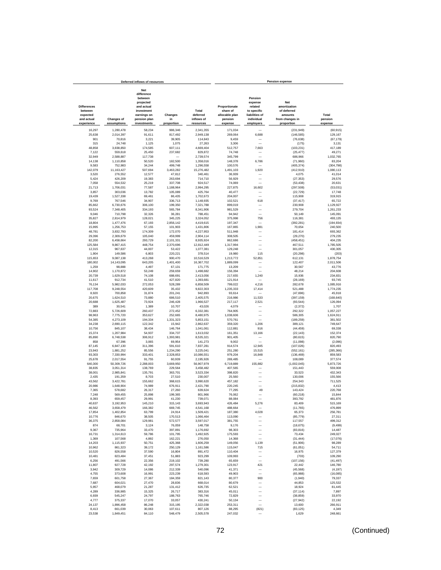|                                                         |                         | Deferred inflows of resources                                                                               |                        | <b>Pension expense</b>          |                                                        |                                                                              |                                                                         |                      |
|---------------------------------------------------------|-------------------------|-------------------------------------------------------------------------------------------------------------|------------------------|---------------------------------|--------------------------------------------------------|------------------------------------------------------------------------------|-------------------------------------------------------------------------|----------------------|
| <b>Differences</b><br>between<br>expected<br>and actual | <b>Changes of</b>       | <b>Net</b><br>difference<br>between<br>projected<br>and actual<br>investment<br>earnings on<br>pension plan | Changes<br>in          | Total<br>deferred<br>inflows of | Proportionate<br>share of<br>allocable plan<br>pension | Pension<br>expense<br>related<br>to specific<br>liabilities of<br>individual | <b>Net</b><br>amortization<br>of deferred<br>amounts<br>from changes in | Total<br>pension     |
| experience                                              | assumptions             | investments                                                                                                 | proportion             | resources                       | expense                                                | employers                                                                    | proportion                                                              | expense              |
| 16,297                                                  | 1,280,478               | 58,234                                                                                                      | 986,346                | 2,341,355                       | 171,034                                                |                                                                              | (231, 949)                                                              | (60, 915)            |
| 25,638                                                  | 2,014,397               | 91,611                                                                                                      | 817,492                | 2,949,138                       | 269,064                                                | 6,688                                                                        | (146, 585)                                                              | 129,167              |
| 901                                                     | 70,816                  | 3,221                                                                                                       | 39,905                 | 114,843                         | 9,459                                                  |                                                                              | (76, 638)                                                               | (67, 179)            |
| 315                                                     | 24,748                  | 1,125                                                                                                       | 1,075                  | 27,263                          | 3,306                                                  |                                                                              | (175)                                                                   | 3,131                |
| 48,858                                                  | 3,838,850               | 174,585                                                                                                     | 607,111                | 4,669,404                       | 512,757                                                | 7,663                                                                        | (103, 231)                                                              | 417,189              |
| 7,122<br>32,949                                         | 559,618<br>2,588,887    | 25,450<br>117,738                                                                                           | 237,682                | 829,872<br>2.739.574            | 74,748<br>345,799                                      |                                                                              | (25, 477)<br>686,966                                                    | 49,271<br>1.032.765  |
| 14,138                                                  | 1,110,858               | 50,520                                                                                                      | 182,500                | 1,358,016                       | 148,378                                                | 6,786                                                                        | (71, 960)                                                               | 83.204               |
| 9,583                                                   | 752,983                 | 34,244                                                                                                      | 499.748                | 1,296,558                       | 100,576                                                |                                                                              | (405, 374)                                                              | (304, 798)           |
| 142,079                                                 | 11, 163, 427            | 507,694                                                                                                     | 3,463,282              | 15,276,482                      | 1,491,103                                              | 1,920                                                                        | (412, 910)                                                              | 1,080,113            |
| 3,520                                                   | 276,552                 | 12,577                                                                                                      | 47,812                 | 340,461                         | 36,939                                                 |                                                                              | 4,075                                                                   | 41,014               |
| 5,424<br>7,058                                          | 426,209<br>554,532      | 19,383<br>25,219                                                                                            | 263,694<br>337,708     | 714,710<br>924,517              | 56,929<br>74,069                                       |                                                                              | (27, 353)<br>(53, 438)                                                  | 29,576<br>20,631     |
| 21,713                                                  | 1,706,031               | 77,587                                                                                                      | 1,188,964              | 2,994,295                       | 227,875                                                | 16,602                                                                       | (297, 508)                                                              | (53,031)             |
| 3,857                                                   | 303,036                 | 13,782                                                                                                      | 105,089                | 425,764                         | 40,477                                                 |                                                                              | (22, 729)                                                               | 17,748               |
| 19,439                                                  | 1,527,338               | 69,461                                                                                                      | 86,435                 | 1.702.673                       | 204,007                                                |                                                                              | 115,908                                                                 | 319,915              |
| 9,769                                                   | 767,546                 | 34,907                                                                                                      | 336,713                | 1,148,935                       | 102.521                                                | 618                                                                          | (37, 417)                                                               | 65,722               |
| 85,662                                                  | 6,730,676               | 306,100                                                                                                     | 199,350                | 7,321,788                       | 899,019                                                |                                                                              | 230,908                                                                 | 1,129,927            |
| 93,524<br>9,046                                         | 7,348,405<br>710,798    | 334,193<br>32,326                                                                                           | 565,784<br>36,281      | 8,341,906<br>788,451            | 981,529<br>94,942                                      | -                                                                            | 279,704<br>50.149                                                       | 1,261,233<br>145,091 |
| 35,827                                                  | 2,814,979               | 128,021                                                                                                     | 345,225                | 3,324,052                       | 375,998                                                | 756                                                                          | 116,381                                                                 | 493.135              |
| 18,804                                                  | 1,477,476               | 67,193                                                                                                      | 2,856,142              | 4,419,615                       | 197,347                                                |                                                                              | (392, 281)                                                              | (194, 934)           |
| 15,995                                                  | 1,256,753               | 57,155                                                                                                      | 101,903                | 1,431,806                       | 167,865                                                | 1,981                                                                        | 70,654                                                                  | 240,500              |
| 48,781                                                  | 3,832,793               | 174,309                                                                                                     | 172,070                | 4,227,953                       | 511,948                                                |                                                                              | 181,414                                                                 | 693,362              |
| 29,396                                                  | 2,309,679               | 105,040                                                                                                     | 459,999                | 2,904,114                       | 308,505                                                |                                                                              | (29, 270)                                                               | 279,235              |
| 82,200<br>125,584                                       | 6,458,664<br>9,867,415  | 293,729<br>448,754                                                                                          | 2,101,331<br>2,370,696 | 8,935,924<br>12,812,449         | 862,686<br>1,317,994                                   |                                                                              | (458, 451)<br>467,511                                                   | 404,235<br>1,785,505 |
| 12,315                                                  | 967,637                 | 44,007                                                                                                      | 53,422                 | 1,077,381                       | 129,248                                                |                                                                              | 301,057                                                                 | 430,305              |
| 1,904                                                   | 149,586                 | 6,803                                                                                                       | 220,221                | 378,514                         | 19,980                                                 | 115                                                                          | (20, 298)                                                               | (203)                |
| 115,653                                                 | 9,087,138               | 413,268                                                                                                     | 900,470                | 10,516,529                      | 1,213,772                                              | 52,851                                                                       | 612,131                                                                 | 1,878,754            |
| 180,002                                                 | 14.143.095              | 643,205                                                                                                     | 1,401,400              | 16,367,702                      | 1,889,099                                              |                                                                              | 122,407                                                                 | 2,011,506            |
| 1.259<br>14.902                                         | 98,888                  | 4,497<br>53,249                                                                                             | 67.131<br>259,659      | 171.775                         | 13.209<br>156,394                                      |                                                                              | 30,567<br>48,214                                                        | 43.776<br>204.608    |
| 20.739                                                  | 1,170,872<br>1,629,518  | 74.108                                                                                                      | 688.691                | 1,498,682<br>2,413,056          | 217,655                                                | 1.240                                                                        | 15.936                                                                  | 234,831              |
| 11,617                                                  | 912,734                 | 41,510                                                                                                      | 427,820                | 1,393,681                       | 121,914                                                |                                                                              | (28, 169)                                                               | 93,745               |
| 76,134                                                  | 5,982,033               | 272,053                                                                                                     | 528,289                | 6,858,509                       | 799,022                                                | 4.216                                                                        | 282,678                                                                 | 1,085,916            |
| 117,708                                                 | 9,248,554               | 420,609                                                                                                     | 35,432                 | 9,822,303                       | 1,235,333                                              | 17,414                                                                       | 521,488                                                                 | 1,774,235            |
| 8,920                                                   | 700,858                 | 31,874                                                                                                      | 201,241                | 942,893                         | 93,614                                                 |                                                                              | (47, 696)                                                               | 45,918               |
| 20,675                                                  | 1,624,510               | 73,880                                                                                                      | 686,510                | 2,405,575                       | 216,986                                                | 11,533                                                                       | (397, 159)                                                              | (168, 640)           |
| 20,688<br>389                                           | 1,625,487<br>30.541     | 73,924<br>1,389                                                                                             | 246,428<br>10,707      | 1,966,527<br>43.026             | 217,117<br>4,079                                       | 2,521                                                                        | (93, 544)<br>(2, 372)                                                   | 126,094<br>1,707     |
| 72,883                                                  | 5,726,609               | 260,437                                                                                                     | 272,452                | 6,332,381                       | 764,905                                                |                                                                              | 292,322                                                                 | 1,057,227            |
| 98,963                                                  | 7,775,720               | 353,627                                                                                                     | 252.665                | 8,480,975                       | 1,038,606                                              |                                                                              | 586,305                                                                 | 1,624,911            |
| 54,385                                                  | 4,273,109               | 194,334                                                                                                     | 1,331,323              | 5,853,151                       | 570,761                                                |                                                                              | (189, 259)                                                              | 381,502              |
| 34,238                                                  | 2,690,115               | 122,342                                                                                                     | 15,942                 | 2,862,637                       | 359,320                                                | 1,206                                                                        | 389,121                                                                 | 749,647              |
| 10,756                                                  | 845,107                 | 38,434<br>54,937                                                                                            | 146,764<br>334,737     | 1,041,061                       | 112,881                                                | 916<br>13,166                                                                | (44, 459)                                                               | 69.338               |
| 15,374<br>85,890                                        | 1,207,984<br>6,748,538  | 306,912                                                                                                     | 1,393,981              | 1,613,032<br>8,535,321          | 161,351<br>901,405                                     |                                                                              | (22, 143)<br>(80, 615)                                                  | 152,374<br>820,790   |
| 858                                                     | 67,396                  | 3,065                                                                                                       | 69,954                 | 141,273                         | 9,002                                                  |                                                                              | (11,098)                                                                | (2,096)              |
| 87,145                                                  | 6,847,130               | 311,396                                                                                                     | 591,610                | 7,837,281                       | 914,574                                                | 12,945                                                                       | (107, 026)                                                              | 820,493              |
| 23,943                                                  | 1,881,252               | 85,556                                                                                                      | 1,234,290              | 3,225,041                       | 251,280                                                | 15,515                                                                       | (552, 161)                                                              | (285, 366)           |
| 93,303                                                  | 7,330,994               | 333,401                                                                                                     | 2,328,853              | 10,086,551                      | 979,204                                                | 16,848                                                                       | (136, 469)                                                              | 859,583              |
| 25,678<br>640,300                                       | 2,017,554<br>50,309,726 | 91,755<br>2,288,003                                                                                         | 60,939<br>3,669,950    | 2,195,926<br>56,907,979         | 269,485<br>6,719,889                                   | 155,882                                                                      | 108,089<br>(1,002,045)                                                  | 377,574<br>5,873,726 |
| 38,835                                                  | 3,051,314               | 138,769                                                                                                     | 229,564                | 3,458,482                       | 407,565                                                |                                                                              | 151,443                                                                 | 559,008              |
| 38,001                                                  | 2,985,841               | 135,791                                                                                                     | 363,701                | 3.523.334                       | 398,820                                                |                                                                              | 33,523                                                                  | 432.343              |
| 2,435                                                   | 191,359                 | 8,703                                                                                                       | 27,510                 | 230.007                         | 25,560                                                 |                                                                              | 130,006                                                                 | 155,566              |
| 43,562                                                  | 3,422,781               | 155,662                                                                                                     | 368,615                | 3,990,620                       | 457,182                                                |                                                                              | 254.343                                                                 | 711,525              |
| 20,986                                                  | 1,648,904               | 74,989                                                                                                      | 676,911                | 2,421,790                       | 220,245                                                |                                                                              | (215, 832)                                                              | 4,413                |
| 7,365<br>7.248                                          | 578,682<br>569,455      | 26,317<br>25.898                                                                                            | 27,260<br>199.365      | 639,624<br>801.966              | 77,295<br>76.062                                       | 49<br>-                                                                      | 143,424<br>(60, 218)                                                    | 220,768<br>15.844    |
| 8.393                                                   | 659.457                 | 29.991                                                                                                      | 41.230                 | 739.071                         | 88.084                                                 | ÷                                                                            | 393.792                                                                 | 481,876              |
| 40,637                                                  | 3,192,953               | 145,210                                                                                                     | 315,143                | 3,693,943                       | 426,484                                                | 5,276                                                                        | 83,409                                                                  | 515,169              |
| 46,562                                                  | 3,658,479               | 166,382                                                                                                     | 669,745                | 4,541,168                       | 488,664                                                |                                                                              | (11, 765)                                                               | 476,899              |
| 17,854                                                  | 1,402,854               | 63,799                                                                                                      | 24,914                 | 1,509,421                       | 187,380                                                | 4,028                                                                        | 65,373                                                                  | 256,781              |
| 10,776                                                  | 846,670                 | 38,505                                                                                                      | 170,513                | 1,066,464                       | 113,090                                                | -                                                                            | (85, 779)                                                               | 27,311               |
| 36,375<br>874                                           | 2,858,084<br>68,701     | 129,981<br>3,124                                                                                            | 572,577<br>76,059      | 3,597,017<br>148,758            | 381,755<br>9,176                                       | $\overline{\phantom{0}}$                                                     | 117,557<br>(18, 675)                                                    | 499,312<br>(9, 499)  |
| 9,367                                                   | 735,964                 | 33,470                                                                                                      | 397,891                | 1,176,692                       | 98,303                                                 | -                                                                            | (83, 816)                                                               | 14,487               |
| 16,731                                                  | 1,314,613               | 59,786                                                                                                      | 101,795                | 1,492,925                       | 175,593                                                | -                                                                            | 73,434                                                                  | 249,027              |
| 1,369                                                   | 107,568                 | 4,892                                                                                                       | 162,221                | 276,050                         | 14,368                                                 |                                                                              | (31, 444)                                                               | (17,076)             |
| 14,203                                                  | 1,115,937               | 50,751                                                                                                      | 425,368                | 1,606,259                       | 149,056                                                | 1,139                                                                        | (51, 906)                                                               | 98,289               |
| 10,962                                                  | 861,323                 | 39,172                                                                                                      | 250,129                | 1,161,586                       | 115,047                                                | 715                                                                          | (61, 051)                                                               | 54,711               |
| 10,520                                                  | 826,558                 | 37,590                                                                                                      | 16,804                 | 891,472                         | 110,404<br>109,993                                     | -<br>$\overline{\phantom{0}}$                                                | 16,975                                                                  | 127,379              |
| 10,481<br>6,256                                         | 823,484<br>491,566      | 37,451<br>22,356                                                                                            | 51,883<br>219,102      | 923,299<br>739,280              | 65,659                                                 | -                                                                            | (703)<br>(107, 156)                                                     | 109,290<br>(41, 497) |
| 11,807                                                  | 927,728                 | 42,192                                                                                                      | 297,574                | 1,279,301                       | 123,917                                                | 421                                                                          | 22,442                                                                  | 146,780              |
| 3,942                                                   | 309,729                 | 14,086                                                                                                      | 212,339                | 540,096                         | 41,371                                                 |                                                                              | (45, 568)                                                               | (4, 197)             |
| 4,755                                                   | 373,608                 | 16,991                                                                                                      | 223,239                | 618,593                         | 49,903                                                 |                                                                              | (65,988)                                                                | (16, 085)            |
| 7,659                                                   | 601,758                 | 27,367                                                                                                      | 184,359                | 821,143                         | 80,377                                                 | 900                                                                          | (1,940)                                                                 | 79,337               |
| 7,687                                                   | 604,021                 | 27,470                                                                                                      | 28,836                 | 668,014                         | 80,679                                                 |                                                                              | 44,853                                                                  | 125,532              |
| 5,957<br>4,289                                          | 468.079<br>336,985      | 21,287<br>15,325                                                                                            | 131,412<br>26,717      | 626,735<br>383,316              | 62,521<br>45.011                                       | $\overline{\phantom{0}}$<br>L.                                               | 18,924<br>(37, 114)                                                     | 81,445<br>7,897      |
| 6,939                                                   | 545,247                 | 24,797                                                                                                      | 188,763                | 765,746                         | 72,829                                                 | $\overline{\phantom{0}}$                                                     | (38, 859)                                                               | 33,970               |
| 4,777                                                   | 375,337                 | 17,070                                                                                                      | 33,057                 | 430,241                         | 50,134                                                 | $\overline{\phantom{0}}$                                                     | (27, 942)                                                               | 22,192               |
| 24,137                                                  | 1,896,458               | 86,248                                                                                                      | 315,195                | 2,322,038                       | 253,311                                                | $\overline{\phantom{0}}$                                                     | 13,600                                                                  | 266,911              |
| 8,413                                                   | 661,039                 | 30,063                                                                                                      | 107,611                | 807,126                         | 88,295                                                 | (821)                                                                        | (83, 125)                                                               | 4,349                |
| 23,538                                                  | 1,849,451               | 84,110                                                                                                      | 548,479                | 2,505,578                       | 247,032                                                |                                                                              | 1,629                                                                   | 248,661              |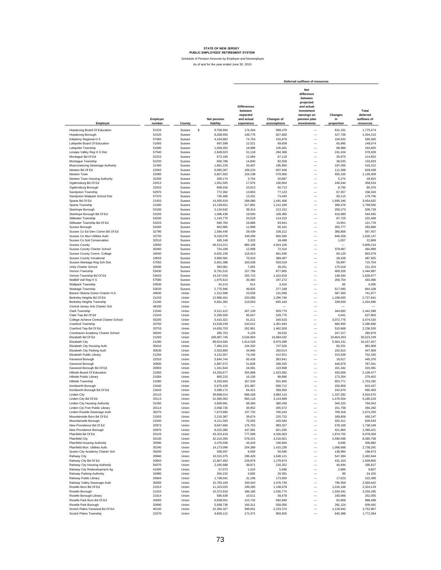Schedule of Pension Amounts by Employer and Nonemployer As of and for the year ended June 30, 2019

|                                                                 |                    |                  |                                 |                                                                       |                           | Deferred outflows of resources                                                                                      |                             |                                               |
|-----------------------------------------------------------------|--------------------|------------------|---------------------------------|-----------------------------------------------------------------------|---------------------------|---------------------------------------------------------------------------------------------------------------------|-----------------------------|-----------------------------------------------|
| Employer                                                        | Employer<br>number | County           | <b>Net pension</b><br>liability | <b>Differences</b><br>between<br>expected<br>and actual<br>experience | Changes of<br>assumptions | Net<br>difference<br>between<br>projected<br>and actual<br>investment<br>earnings on<br>pension plan<br>investments | Changes<br>in<br>proportion | Total<br>deferred<br>outflows of<br>resources |
| Hopatcong Board Of Education                                    | 51523              | Sussex           | \$<br>9,708,994                 | 174,264                                                               | 969,479                   |                                                                                                                     | 631,331                     | 1.775.074                                     |
| Hopatcong Borough                                               | 51520              | Sussex           | 8,288,956                       | 148,776                                                               | 827,683                   | -                                                                                                                   | 427,756                     | 1,404,215                                     |
| Kittatinny Regional H S                                         | 57560              | Sussex           | 4,164,882                       | 74,754                                                                | 415,879                   | $\overline{\phantom{0}}$                                                                                            | 104,932                     | 595,565                                       |
| Lafayette Board Of Education                                    | 51693              | Sussex           | 697,599                         | 12.521                                                                | 69,658                    | $\overline{\phantom{0}}$                                                                                            | 65,895                      | 148,074                                       |
| Lafayette Township                                              | 51690              | Sussex           | 1,058,355                       | 18,996                                                                | 105,681                   | $\overline{\phantom{0}}$                                                                                            | 68,988                      | 193,665                                       |
| Lenape Valley Reg H S Dist                                      | 57540              | Sussex           | 2,848,023                       | 51,118                                                                | 284,386                   | $\overline{\phantom{0}}$                                                                                            | 241,424                     | 576,928                                       |
| Montague Bd Of Ed                                               | 52223              | Sussex           | 672,165                         | 12,064                                                                | 67,118                    | $\overline{\phantom{0}}$                                                                                            | 35,670                      | 114,852                                       |
| Montague Township                                               | 52220              | Sussex           | 826,786                         | 14,840                                                                | 82,558                    | $\overline{\phantom{0}}$                                                                                            | 36,535                      | 133,933                                       |
| Musconetcong Sewerage Authority                                 | 31400              | Sussex           | 1,861,226                       | 33,407                                                                | 185,850                   | $\overline{\phantom{0}}$                                                                                            | 197,055                     | 416,312                                       |
| Newton Bd Of Ed<br>Newton Town                                  | 22063              | Sussex<br>Sussex | 6,085,367                       | 109,224                                                               | 607,646                   | $\overline{\phantom{0}}$<br>$\overline{\phantom{0}}$                                                                | 111,568<br>455,165          | 828,438                                       |
| Newton Town Housing Authority                                   | 22060<br>32250     | Sussex           | 5,807,562<br>209,174            | 104,238<br>3,754                                                      | 579,906<br>20,887         | $\overline{\phantom{0}}$                                                                                            | 5,274                       | 1,139,309<br>29,915                           |
| Ogdensburg Bd Of Ed                                             | 22013              | Sussex           | 1,001,505                       | 17,976                                                                | 100,004                   | $\overline{\phantom{0}}$                                                                                            | 240,544                     | 358,524                                       |
| Ogdensburg Borough                                              | 22010              | Sussex           | 608,016                         | 10,913                                                                | 60.713                    | $\overline{\phantom{0}}$                                                                                            | 8,750                       | 80,376                                        |
| Sandyston Township                                              | 52970              | Sussex           | 772,362                         | 13,863                                                                | 77,123                    | $\overline{\phantom{0}}$                                                                                            | 67,357                      | 158,343                                       |
| Sandyston Walpack School Dist                                   | 57570              | Sussex           | 735.480                         | 13,201                                                                | 73,440                    | $\equiv$                                                                                                            | 93,115                      | 179,756                                       |
| Sparta Bd Of Ed                                                 | 21933              | Sussex           | 14,935,918                      | 268,080                                                               | 1,491,406                 | $\overline{\phantom{0}}$                                                                                            | 1,695,346                   | 3,454,832                                     |
| Sparta Township                                                 | 21930              | Sussex           | 12,139,651                      | 217,891                                                               | 1,212,189                 | $\overline{\phantom{0}}$                                                                                            | 369,476                     | 1,799,556                                     |
| Stanhope Borough                                                | 53190              | Sussex           | 2,134,642                       | 38,314                                                                | 213,152                   | -                                                                                                                   | 258,273                     | 509,739                                       |
| Stanhope Borough Bd Of Ed<br>Stillwater Township                | 53193<br>53200     | Sussex<br>Sussex | 1,086,438<br>1,143,770          | 19,500<br>20,529                                                      | 108,485<br>114,210        | -<br>-                                                                                                              | 416,680<br>87,729           | 544,665<br>222,468                            |
| Stillwater Township Bd Of Ed                                    | 53203              | Sussex           | 940,783                         | 16,886                                                                | 93,941                    | $\overline{\phantom{0}}$                                                                                            | 10,951                      | 121.778                                       |
| Sussex Borough                                                  | 53260              | Sussex           | 662,885                         | 11,898                                                                | 66.191                    | $\overline{\phantom{0}}$                                                                                            | 205,777                     | 283.866                                       |
| Sussex Co Ed Serv Comm Bd Of Ed                                 | 32790              | Sussex           | 1,584,440                       | 28,439                                                                | 158,212                   |                                                                                                                     | 380,806                     | 567,457                                       |
| Sussex Co Mun Utilities Auth                                    | 32750              | Sussex           | 8,318,076                       | 149,299                                                               | 830,590                   | $\overline{\phantom{0}}$                                                                                            | 646,258                     | 1,626,147                                     |
| Sussex Co Soil Conservation                                     | 32510              | Sussex           | 185,148                         | 3,323                                                                 | 18,488                    | $\overline{\phantom{0}}$                                                                                            | 1,057                       | 22,868                                        |
| <b>Sussex County</b>                                            | 10050              | Sussex           | 49,313,221                      | 885,108                                                               | 4,924,106                 | $\overline{\phantom{0}}$                                                                                            |                             | 5,809,214                                     |
| Sussex County Charter School                                    | 35460              | Sussex           | 724.199                         | 12,998                                                                | 72,314                    | $\overline{\phantom{0}}$                                                                                            | 379,687                     | 464,999                                       |
| Sussex County Comm. College                                     | 34050<br>10053     | Sussex           | 6,625,159                       | 118,913                                                               | 661,546                   | $\overline{\phantom{0}}$<br>$\overline{\phantom{0}}$                                                                | 83,120                      | 863,579                                       |
| <b>Sussex County Vocational</b><br>Sussex-Wantage Reg Sch Dist  | 57550              | Sussex<br>Sussex | 3,900,581<br>5,601,388          | 70,010<br>100,538                                                     | 389,487<br>559,319        | <u>.</u>                                                                                                            | 28,428<br>55,897            | 487,925<br>715,754                            |
| Unity Charter School                                            | 35580              | Sussex           | 393,081                         | 7,055                                                                 | 39,251                    | $\overline{\phantom{0}}$                                                                                            | 175,018                     | 221,324                                       |
| Vernon Township                                                 | 53430              | Sussex           | 8,791,515                       | 157,796                                                               | 877,865                   | $\overline{\phantom{0}}$                                                                                            | 409,326                     | 1,444,987                                     |
| Vernon Township Bd Of Ed                                        | 53433              | Sussex           | 14,247,026                      | 255,715                                                               | 1,422,618                 | $\overline{\phantom{0}}$                                                                                            | 148,344                     | 1,826,677                                     |
| Wallkill Vall Reg H S                                           | 57580              | Sussex           | 1,975,613                       | 35,460                                                                | 197,272                   | $\overline{\phantom{0}}$                                                                                            | 200,754                     | 433,486                                       |
| Wallpack Township                                               | 53500              | Sussex           | 34,214                          | 614                                                                   | 3,416                     | $\overline{\phantom{0}}$                                                                                            | 65                          | 4,095                                         |
| Wantage Township                                                | 53520              | Sussex           | 2,775,946                       | 49,825                                                                | 277,188                   | $\overline{\phantom{0}}$                                                                                            | 517,095                     | 844,108                                       |
| Barack Obama Green Charter H.S.                                 | 49000              | Union            | 1,312,598                       | 23,559                                                                | 131,068                   | $\overline{\phantom{0}}$                                                                                            | 587,350                     | 741,977                                       |
| Berkeley Heights Bd Of Ed<br>Berkeley Heights Township          | 21243<br>21240     | Union<br>Union   | 12,986,461<br>6,661,392         | 233,090<br>119,563                                                    | 1,296,746<br>665,164      | $\overline{\phantom{0}}$<br>$\overline{\phantom{0}}$                                                                | 1,198,005<br>239,939        | 2,727,841<br>1,024,666                        |
| Central Jersey Arts Charter Sch                                 | 46100              | Union            |                                 |                                                                       |                           | $\overline{\phantom{0}}$                                                                                            |                             |                                               |
| Clark Township                                                  | 21540              | Union            | 9,311,412                       | 167,128                                                               | 929.779                   | $\overline{\phantom{0}}$                                                                                            | 344,692                     | 1,441,599                                     |
| Clark Twp Bd Of Ed                                              | 21543              | Union            | 5,295,500                       | 95.047                                                                | 528,775                   | $\overline{a}$                                                                                                      | 4,041                       | 627,863                                       |
| College Achieve Central Charter School                          | 55200              | Union            | 3,410,322                       | 61,211                                                                | 340,533                   |                                                                                                                     | 3,072,776                   | 3,474,520                                     |
| Cranford Township                                               | 20750              | Union            | 13,539,239                      | 243,012                                                               | 1,351,943                 | $\frac{1}{1}$                                                                                                       | 685,935                     | 2,280,890                                     |
| Cranford Twp Bd Of Ed                                           | 20753              | Union            | 14,650,703                      | 262,961                                                               | 1,462,926                 |                                                                                                                     | 510,668                     | 2,236,555                                     |
| Cresthaven Academy Charter School<br>Elizabeth Bd Of Ed         | 56500<br>21283     | Union<br>Union   | 285.753<br>169,087,745          | 5,129<br>3,034,904                                                    | 28.533<br>16,884,032      | $\overline{\phantom{0}}$<br>$\overline{\phantom{0}}$                                                                | 247.217<br>10,604,263       | 280,879<br>30,523,199                         |
| Elizabeth City                                                  | 21280              | Union            | 89,924,565                      | 1,614,028                                                             | 8,979,298                 | $\overline{\phantom{0}}$                                                                                            | 5,564,131                   | 16, 157, 457                                  |
| Elizabeth City Housing Auth                                     | 30410              | Union            | 7,484,214                       | 134,332                                                               | 747,326                   | $\overline{\phantom{0}}$                                                                                            | 82,251                      | 963,909                                       |
| Elizabeth City Parking Auth                                     | 30530              | Union            | 2.503.809                       | 44,940                                                                | 250,014                   | $\overline{\phantom{0}}$                                                                                            | 152,615                     | 447,569                                       |
| Elizabeth Public Library                                        | 21284              | Union            | 4.131.557                       | 74,156                                                                | 412,551                   | $\overline{\phantom{0}}$                                                                                            | 215,539                     | 702,246                                       |
| Fanwood Borough                                                 | 22310              | Union            | 3,644,744                       | 65,418                                                                | 363,941                   | $\overline{\phantom{0}}$                                                                                            | 16,017                      | 445,376                                       |
| Garwood Borough                                                 | 20900<br>20903     | Union<br>Union   | 2,887,572                       | 51,828                                                                | 288,335                   | $\overline{\phantom{0}}$<br>$\overline{\phantom{0}}$                                                                | 446,878                     | 787,041                                       |
| Garwood Borough Bd Of Ed<br>Hillside Board Of Education         | 21083              | Union            | 1,341,644<br>14,256,677         | 24,081<br>255,889                                                     | 133,968<br>1,423,582      | $\overline{\phantom{0}}$                                                                                            | 161,342<br>430,006          | 319,391<br>2,109,477                          |
| Hillside Public Library                                         | 21084              | Union            | 900,215                         | 16,158                                                                | 89,890                    | $\overline{\phantom{0}}$                                                                                            | 173,354                     | 279,402                                       |
| Hillside Township                                               | 21080              | Union            | 9,333,604                       | 167,526                                                               | 931,995                   | -                                                                                                                   | 653,771                     | 1,753,292                                     |
| Kenilworth Borough                                              | 21640              | Union            | 5,675,429                       | 101,867                                                               | 566,712                   |                                                                                                                     | 150,858                     | 819,437                                       |
| Kenilworth Borough Bd Of Ed                                     | 21643              | Union            | 3,589,172                       | 64,421                                                                | 358,392                   |                                                                                                                     | 242,670                     | 665,483                                       |
| Linden City                                                     | 20110              | Union            | 38,898,014                      | 698.168                                                               | 3,884,110                 |                                                                                                                     | 1,337,292                   | 5,919,570                                     |
| Linden City Bd Of Ed                                            | 20113              | Union            | 31,485,062                      | 565.116                                                               | 3,143,899                 |                                                                                                                     | 1,476,504                   | 5,185,519                                     |
| Linden City Housing Authority                                   | 31260<br>20114     | Union<br>Union   | 3.809.961<br>2.058.730          | 68.384<br>36.952                                                      | 380.439                   | -                                                                                                                   | 345.220                     | 794.043                                       |
| Linden Cty Free Public Library<br>Linden Roselle Sewerage Auth  | 30270              | Union            | 7,673,660                       | 137,732                                                               | 205,572<br>766,243        | $\overline{\phantom{0}}$                                                                                            | 151,758<br>769,318          | 394,282<br>1,673,293                          |
| Mountainside Boro Bd Of Ed                                      | 21503              | Union            | 2,210,387                       | 39,674                                                                | 220,715                   | $\overline{\phantom{0}}$                                                                                            | 189,858                     | 450,247                                       |
| Mountainside Borough                                            | 21500              | Union            | 4,211,563                       | 75,592                                                                | 420,540                   | $\overline{\phantom{0}}$                                                                                            | 332,411                     | 828,543                                       |
| New Providence Bd Of Ed                                         | 20973              | Union            | 9,847,684                       | 176,753                                                               | 983,327                   | $\overline{\phantom{0}}$                                                                                            | 578,169                     | 1,738,249                                     |
| New Providence Borough                                          | 20970              | Union            | 8,222,380                       | 147,581                                                               | 821,035                   | -                                                                                                                   | 421,805                     | 1,390,421                                     |
| Plainfield Bd Of Ed                                             | 20133              | Union            | 43,323,419                      | 777,599                                                               | 4,326,003                 | -                                                                                                                   | 1,874,702                   | 6,978,304                                     |
| <b>Plainfield City</b>                                          | 20130              | Union            | 32,216,356                      | 578,241                                                               | 3,216,921                 | -                                                                                                                   | 4,590,596                   | 8,385,758                                     |
| Plainfield Housing Authority<br>Plainfield Mun. Utilities Auth. | 30590<br>35240     | Union<br>Union   | 2,470,558<br>14,173,096         | 44,343<br>254,389                                                     | 246,694<br>1,415,236      | $\overline{\phantom{0}}$<br>—                                                                                       | 9,845<br>1,068,666          | 300.882<br>2,738,291                          |
| Queen City Academy Charter Sch                                  | 39200              | Union            | 506,597                         | 9,093                                                                 | 50,586                    | —                                                                                                                   | 136,994                     | 196,673                                       |
| Rahway City                                                     | 20840              | Union            | 16,515,375                      | 296,429                                                               | 1,649,121                 | $\overline{\phantom{0}}$                                                                                            | 547,394                     | 2,492,944                                     |
| Rahway City Bd Of Ed                                            | 20843              | Union            | 12.807.482                      | 229,878                                                               | 1,278,874                 | $\overline{\phantom{0}}$                                                                                            | 431,103                     | 1,939,855                                     |
| Rahway City Housing Authority                                   | 56070              | Union            | 2,165,688                       | 38,871                                                                | 216,252                   | $\overline{\phantom{0}}$                                                                                            | 40,494                      | 295,617                                       |
| Rahway City Redevelopment Ag                                    | 41000              | Union            | 57,073                          | 1,024                                                                 | 5,699                     | $\overline{\phantom{0}}$                                                                                            | 2,884                       | 9,607                                         |
| Rahway Parking Authority                                        | 34980              | Union            | 204,210                         | 3,665                                                                 | 20,391                    | $\overline{\phantom{0}}$                                                                                            | 99                          | 24,155                                        |
| Rahway Public Library                                           | 20844              | Union            | 1,738,041                       | 31,196                                                                | 173,550                   | $\overline{\phantom{0}}$                                                                                            | 17,623                      | 222,369                                       |
| Rahway Valley Sewerage Auth                                     | 30050              | Union            | 10,783,169                      | 193,544                                                               | 1,076,739                 | $\overline{\phantom{0}}$                                                                                            | 790,359                     | 2,060,642                                     |
| Roselle Boro Bd Of Ed<br>Roselle Borough                        | 21013<br>21010     | Union<br>Union   | 11,103,025<br>10,372,916        | 199,285<br>186,180                                                    | 1,108,678<br>1,035,774    | $\overline{\phantom{0}}$<br>$\overline{\phantom{0}}$                                                                | 1,016,166<br>1,034,341      | 2,324,129<br>2,256,295                        |
| Roselle Borough Library                                         | 21014              | Union            | 585,639                         | 10,511                                                                | 58,478                    | $\overline{\phantom{0}}$                                                                                            | 183,066                     | 252,055                                       |
| Roselle Park Boro Bd Of Ed                                      | 20693              | Union            | 6,838,501                       | 122,742                                                               | 682,849                   | -                                                                                                                   | 82,908                      | 888,499                                       |
| Roselle Park Borough                                            | 20690              | Union            | 5,588,736                       | 100,311                                                               | 558,056                   |                                                                                                                     | 281,124                     | 939,491                                       |
| Scotch Plains Fanwood Bd Of Ed                                  | 40140              | Union            | 22,266,327                      | 399,651                                                               | 2,223,374                 |                                                                                                                     | 1,129,942                   | 3,752,967                                     |
| Scotch Plains Township                                          | 22570              | Union            | 9,609,112                       | 172,471                                                               | 959,505                   |                                                                                                                     | 640,388                     | 1,772,364                                     |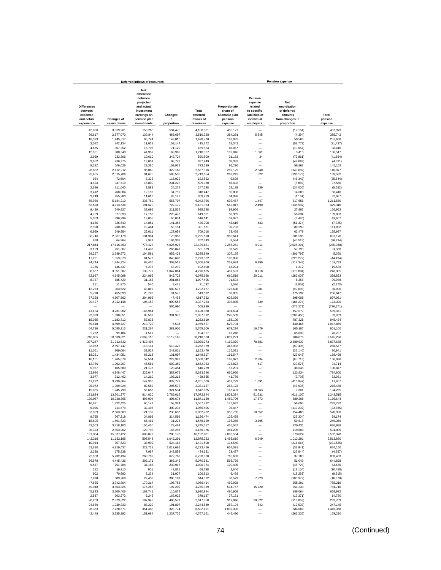|                                                                       |                                  | Deferred inflows of resources                                                                                       |                             |                                              |                                                                   |                                                                                           | <b>Pension expense</b>                                                                |                             |
|-----------------------------------------------------------------------|----------------------------------|---------------------------------------------------------------------------------------------------------------------|-----------------------------|----------------------------------------------|-------------------------------------------------------------------|-------------------------------------------------------------------------------------------|---------------------------------------------------------------------------------------|-----------------------------|
| <b>Differences</b><br>between<br>expected<br>and actual<br>experience | <b>Changes of</b><br>assumptions | Net<br>difference<br>between<br>projected<br>and actual<br>investment<br>earnings on<br>pension plan<br>investments | Changes<br>in<br>proportion | Total<br>deferred<br>inflows of<br>resources | Proportionate<br>share of<br>allocable plan<br>pension<br>expense | Pension<br>expense<br>related<br>to specific<br>liabilities of<br>individual<br>employers | <b>Net</b><br>amortization<br>of deferred<br>amounts<br>from changes in<br>proportion | Total<br>pension<br>expense |
| 42,890                                                                | 3,369,961                        | 153,260                                                                                                             | 534,470                     | 4,100,581                                    | 450,127                                                           |                                                                                           | (12, 154)                                                                             | 437,973                     |
| 36,617                                                                | 2,877,070                        | 130,844                                                                                                             | 465,697                     | 3,510,228                                    | 384,291                                                           | 5,845                                                                                     | (4, 394)                                                                              | 385,742                     |
| 18,399                                                                | 1,445,617                        | 65,744                                                                                                              | 149,010                     | 1,678,770                                    | 193,092                                                           |                                                                                           | 59,566                                                                                | 252,658                     |
| 3,082                                                                 | 242,134                          | 11,012                                                                                                              | 159,144                     | 415,372                                      | 32,342                                                            | -                                                                                         | (53, 779)                                                                             | (21, 437)                   |
| 4,675                                                                 | 367,352                          | 16,707                                                                                                              | 71,120                      | 459,854                                      | 49,067                                                            | $\overline{\phantom{a}}$                                                                  | (10, 657)                                                                             | 38,410                      |
| 12,581<br>2,969                                                       | 988,540<br>233,306               | 44,957<br>10,610                                                                                                    | 163,989<br>343,724          | 1,210,067<br>590,609                         | 132,040<br>31,163                                                 | 1,061<br>34                                                                               | 3,416<br>(72, 861)                                                                    | 136,517<br>(41, 664)        |
| 3,652                                                                 | 286,975                          | 13,051                                                                                                              | 93,771                      | 397,449                                      | 38,331                                                            | -                                                                                         | (42, 662)                                                                             | (4, 331)                    |
| 8,222                                                                 | 646,026                          | 29,380                                                                                                              | 109,971                     | 793,599                                      | 86,290                                                            |                                                                                           | 58,862                                                                                | 145,152                     |
| 26,882<br>25,655                                                      | 2,112,212<br>2,015,786           | 96,060<br>91,675                                                                                                    | 322,162                     | 2,557,316                                    | 282,129                                                           | 2,540<br>522                                                                              | (143, 692)                                                                            | 140,977                     |
| 924                                                                   | 72,604                           | 3,302                                                                                                               | 580,538<br>116,022          | 2,713,654<br>192,852                         | 269,249<br>9,698                                                  | -                                                                                         | (136, 179)<br>(45, 342)                                                               | 133,592<br>(35, 644)        |
| 4,424                                                                 | 347,619                          | 15,809                                                                                                              | 231,228                     | 599.080                                      | 46,432                                                            | Ē,                                                                                        | (8, 882)                                                                              | 37,550                      |
| 2.686                                                                 | 211,040                          | 9,598                                                                                                               | 24,274                      | 247,598                                      | 28,189                                                            | 239                                                                                       | (34, 020)                                                                             | (5, 592)                    |
| 3,412                                                                 | 268,084                          | 12,192                                                                                                              | 34,759                      | 318,447                                      | 35,808                                                            | $\overline{\phantom{a}}$                                                                  | 14,608                                                                                | 50,416                      |
| 3,249<br>65,980                                                       | 255,283<br>5,184,210             | 11,610<br>235,769                                                                                                   | 89,127<br>556,797           | 359,269<br>6,042,756                         | 34,098<br>692,457                                                 | 1,447                                                                                     | (1, 161)<br>517,656                                                                   | 32,937<br>1,211,560         |
| 53,628                                                                | 4,213,634                        | 191,629                                                                                                             | 722,172                     | 5,181,063                                    | 562,817                                                           | 2,490                                                                                     | (135, 997)                                                                            | 429,310                     |
| 9,430                                                                 | 740,927                          | 33,696                                                                                                              | 211,535                     | 995,588                                      | 98,966                                                            |                                                                                           | 27,987                                                                                | 126,953                     |
| 4,799<br>5,053                                                        | 377,099<br>396,999               | 17,150<br>18,055                                                                                                    | 220,473<br>96,034           | 619,521<br>516,141                           | 50,369<br>53,027                                                  | $\overline{\phantom{0}}$                                                                  | 58,634<br>(3, 420)                                                                    | 109,003<br>49,607           |
| 4,156                                                                 | 326,543                          | 14,851                                                                                                              | 141,358                     | 486,908                                      | 43,616                                                            | 433                                                                                       | (51, 374)                                                                             | (7, 325)                    |
| 2,928                                                                 | 230,085                          | 10,464                                                                                                              | 58.184                      | 301,661                                      | 30,733                                                            |                                                                                           | 80,299                                                                                | 111,032                     |
| 6,999                                                                 | 549,954                          | 25,011                                                                                                              | 127,054                     | 709,018                                      | 73,458                                                            |                                                                                           | 62,479                                                                                | 135,937                     |
| 36,746<br>818                                                         | 2.887.178<br>64,264              | 131,304<br>2,923                                                                                                    | 170,390<br>194,338          | 3,225,618<br>262,343                         | 385,641<br>8,584                                                  | $\overline{\phantom{0}}$                                                                  | 301,535<br>(45.518)                                                                   | 687.176<br>(36, 934)        |
| 217,844                                                               | 17,116,463                       | 778.428                                                                                                             | 4,026,926                   | 22.139.661                                   | 2,286,252                                                         | 4,011                                                                                     | (2,525,301)                                                                           | (235, 038)                  |
| 3,199                                                                 | 251,367                          | 11,432                                                                                                              | 265,841                     | 531,839                                      | 33,575                                                            | -                                                                                         | 57,793                                                                                | 91,368                      |
| 29,267                                                                | 2,299,572                        | 104,581                                                                                                             | 952.429                     | 3,385,849                                    | 307.155                                                           | $\overline{\phantom{0}}$                                                                  | (301, 795)                                                                            | 5,360                       |
| 17,231<br>24,744                                                      | 1,353,879<br>1,944,224           | 61,572<br>88,420                                                                                                    | 840,680<br>309,518          | 2,273,362<br>2,366,906                       | 180,838<br>259,691                                                | 6,390                                                                                     | (225, 272)<br>(114, 348)                                                              | (44, 434)<br>151,733        |
| 1,736                                                                 | 136,437                          | 6,205                                                                                                               | 48,230                      | 192,608                                      | 18,224                                                            |                                                                                           | 1,312                                                                                 | 19,536                      |
| 38,837                                                                | 3,051,507                        | 138,777                                                                                                             | 1,047,064                   | 4,276,185                                    | 407,591                                                           | 8,718                                                                                     | (170,004)                                                                             | 246,305                     |
| 62,937                                                                | 4,945,098                        | 224,895                                                                                                             | 842,728                     | 6,075,658                                    | 660,519                                                           | 20,011                                                                                    | (282,007)                                                                             | 398,523                     |
| 8,727<br>151                                                          | 685,729<br>11,876                | 31,186<br>540                                                                                                       | 281,853<br>8,465            | 1,007,495<br>21,032                          | 91,593<br>1,586                                                   | L.                                                                                        | 8,355<br>(3,859)                                                                      | 99,948<br>(2, 273)          |
| 12,263                                                                | 963,522                          | 43,819                                                                                                              | 682,573                     | 1,702,177                                    | 128,698                                                           | 1,081                                                                                     | (99, 689)                                                                             | 30,090                      |
| 5,798                                                                 | 455,599                          | 20,720                                                                                                              | 31,575                      | 513,692                                      | 60,855                                                            |                                                                                           | 175.792                                                                               | 236.647                     |
| 57,368<br>29,427                                                      | 4,507,560<br>2,312,148           | 204,996<br>105,153                                                                                                  | 47,458<br>890,555           | 4,817,382<br>3,337,283                       | 602,076<br>308,835                                                | Ē,<br>739                                                                                 | 395.005<br>(186, 274)                                                                 | 997.081<br>123,300          |
|                                                                       |                                  |                                                                                                                     | 505,990                     | 505,990                                      |                                                                   | -                                                                                         | (276, 271)                                                                            | (276, 271)                  |
| 41,134                                                                | 3,231,962                        | 146,984                                                                                                             |                             | 3,420,080                                    | 431,694                                                           | L.                                                                                        | 157,677                                                                               | 589,371                     |
| 23,393<br>15,065                                                      | 1,838,051<br>1,183,712           | 83,592<br>53,833                                                                                                    | 391,976                     | 2,337,012<br>1,252,610                       | 245,509<br>158,109                                                | ۰<br>$\overline{\phantom{0}}$                                                             | (206, 450)<br>787,325                                                                 | 39,059<br>945,434           |
| 59,810                                                                | 4,699,427                        | 213,722                                                                                                             | 6,598                       | 4,979,557                                    | 627,704                                                           | $\overline{\phantom{0}}$                                                                  | 440,165                                                                               | 1,067,869                   |
| 64,720                                                                | 5,085,213                        | 231,267                                                                                                             | 383,906                     | 5,765,106                                    | 679,234                                                           | 16,679                                                                                    | 105,187                                                                               | 801,100                     |
| 1,262                                                                 | 99,184                           | 4,511                                                                                                               |                             | 104,957                                      | 13,248                                                            | -                                                                                         | 65,039                                                                                | 78,287                      |
| 746,955<br>397,247                                                    | 58,689,821<br>31,212,532         | 2,669,116<br>1,419,494                                                                                              | 6,112,168                   | 68,218,060<br>33,029,273                     | 7,839,221<br>4,169,070                                            | 78,681                                                                                    | 706,075<br>2,589,937                                                                  | 8,545,296<br>6,837,688      |
| 33,062                                                                | 2,597,747                        | 118,141                                                                                                             | 513,429                     | 3,262,379                                    | 346,982                                                           | -                                                                                         | (80.405)                                                                              | 266,577                     |
| 11,061                                                                | 869,064                          | 39,524                                                                                                              | 242,821                     | 1.162.470                                    | 116,081                                                           |                                                                                           | (35.140)                                                                              | 80.941                      |
| 18,251<br>16,101                                                      | 1,434,051<br>1,265,079           | 65,218<br>57,534                                                                                                    | 131,097<br>229,328          | 1,648,617<br>1,568,042                       | 191,547<br>168,977                                                | 2,834                                                                                     | (22, 049)<br>(65, 715)                                                                | 169.498<br>106,096          |
| 12,756                                                                | 1,002,267                        | 45,581                                                                                                              | 602,359                     | 1,662,963                                    | 133,873                                                           | 417                                                                                       | (39, 576)                                                                             | 94,714                      |
| 5,927                                                                 | 465,680                          | 21,178                                                                                                              | 123,454                     | 616,239                                      | 62,201                                                            |                                                                                           | 38,646                                                                                | 100,847                     |
| 62,980                                                                | 4,948,447                        | 225,047                                                                                                             | 387,072                     | 5,623,546                                    | 660,966                                                           | -<br>-                                                                                    | 123,834                                                                               | 784,800                     |
| 3,977<br>41,232                                                       | 312,462<br>3,239,664             | 14,210<br>147,335                                                                                                   | 108,216<br>832,778          | 438,865<br>4,261,009                         | 41,736<br>432,723                                                 | 1,091                                                                                     | (9,705)<br>(415, 947)                                                                 | 32,031<br>17,867            |
| 25,072                                                                | 1,969,924                        | 89,589                                                                                                              | 296,572                     | 2,381,157                                    | 263,123                                                           |                                                                                           | (47, 635)                                                                             | 215,488                     |
| 15,855                                                                | 1,245,790                        | 56,656                                                                                                              | 324,534                     | 1,642,835                                    | 166,401                                                           | 20,563                                                                                    | 7,301                                                                                 | 194,265                     |
| 171,834<br>139,087                                                    | 13,501,377<br>10,928,365         | 614,020<br>497,004                                                                                                  | 2,785,613<br>306,674        | 17,072,844<br>11,871,130                     | 1,803,384<br>1,459,706                                            | 51,231<br>17,673                                                                          | (611, 100)<br>689,265                                                                 | 1,243,515<br>2,166,644      |
| 16.831                                                                | 1 322 425                        | 60.142                                                                                                              | 158.324                     | 1557722                                      | 176.637                                                           |                                                                                           | 56.095                                                                                | 232.732                     |
| 9,095                                                                 | 714,579                          | 32.498                                                                                                              | 300,233                     | 1,056,405                                    | 95.447                                                            |                                                                                           | (119, 232)                                                                            | (23, 785)                   |
| 33,899<br>9,765                                                       | 2,663,503<br>767,218             | 121,132<br>34,892                                                                                                   | 233.698<br>314,599          | 3,052,232<br>1,126,474                       | 355,765<br>102,478                                                | 10,652                                                                                    | 154,483<br>(23, 304)                                                                  | 520,900<br>79,174           |
| 18,605                                                                | 1,461,820                        | 66,481                                                                                                              | 31,223                      | 1,578,129                                    | 195,256                                                           | 3,295                                                                                     | 50,818                                                                                | 249,369                     |
| 43,503                                                                | 3.418.100                        | 155,450                                                                                                             | 128,464                     | 3,745,517                                    | 456,557                                                           |                                                                                           | 220,431                                                                               | 676,988                     |
| 36,323                                                                | 2,853,962                        | 129,793                                                                                                             | 146,298                     | 3,166,376                                    | 381,205                                                           | -                                                                                         | 119,800                                                                               | 501,005                     |
| 191,384<br>142,318                                                    | 15,037,422<br>11,182,195         | 683,877<br>508,548                                                                                                  | 280,178<br>1,042,291        | 16,192,861<br>12,875,352                     | 2,008,554<br>1,493,610                                            | 6,949                                                                                     | 573,824<br>1,013,291                                                                  | 2,582,378<br>2,513,850      |
| 10,914                                                                | 857,523                          | 38,999                                                                                                              | 524,162                     | 1,431,598                                    | 114,540                                                           | -                                                                                         | (216, 065)                                                                            | (101, 525)                  |
| 62,610                                                                | 4,919,437                        | 223,728                                                                                                             | 1,017,681                   | 6,223,456                                    | 657,091                                                           | —                                                                                         | (32, 941)                                                                             | 624,150                     |
| 2,238<br>72,958                                                       | 175,838<br>5.732.434             | 7,997<br>260,702                                                                                                    | 248,558<br>672,766          | 434,631<br>6,738,860                         | 23,487<br>765,683                                                 | -                                                                                         | (27, 844)<br>37,780                                                                   | (4, 357)<br>803,463         |
| 56,578                                                                | 4,445,436                        | 202,171                                                                                                             | 366.346                     | 5,070,531                                    | 593,779                                                           | -                                                                                         | 51,049                                                                                | 644,828                     |
| 9,567                                                                 | 751,704                          | 34,186                                                                                                              | 230,917                     | 1,026,374                                    | 100,405                                                           | -                                                                                         | (45, 729)                                                                             | 54,676                      |
| 252                                                                   | 19,810                           | 901                                                                                                                 | 47,835                      | 68,798                                       | 2,646                                                             | $\overline{\phantom{0}}$                                                                  | (13, 104)                                                                             | (10, 458)                   |
| 902<br>7,678                                                          | 70,880<br>603,269                | 3,224<br>27,436                                                                                                     | 31,907<br>306,189           | 106,913<br>944,572                           | 9,468<br>80,579                                                   | 7,823                                                                                     | (18, 283)<br>(105, 372)                                                               | (8, 815)<br>(16, 970)       |
| 47,635                                                                | 3,742,804                        | 170,217                                                                                                             | 105,758                     | 4,066,414                                    | 499,928                                                           |                                                                                           | 255,291                                                                               | 755,219                     |
| 49,048                                                                | 3,853,825                        | 175,266                                                                                                             | 197,200                     | 4,275,339                                    | 514,757                                                           | 15,720                                                                                    | 251,233                                                                               | 781,710                     |
| 45,823<br>2,587                                                       | 3,600,406<br>203,273             | 163,741<br>9,245                                                                                                    | 110,874<br>163,022          | 3,920,844<br>378,127                         | 480,908<br>27,151                                                 | $\overline{\phantom{0}}$                                                                  | 188,064<br>(12, 371)                                                                  | 668,972<br>14,780           |
| 30,209                                                                | 2,373,622                        | 107,948                                                                                                             | 405,579                     | 2,917,358                                    | 317,046                                                           | 29,522                                                                                    | (113, 859)                                                                            | 232,709                     |
| 24,689                                                                | 1,939,833                        | 88,220                                                                                                              | 191,807                     | 2,244,549                                    | 259,104                                                           | 543                                                                                       | (12, 502)                                                                             | 247,145                     |
| 98,363<br>42,449                                                      | 7,728,571<br>3,335,292           | 351,483<br>151,684                                                                                                  | 323,774<br>1,237,736        | 8,502,191<br>4,767,161                       | 1,032,308<br>445.496                                              |                                                                                           | 384,060<br>(266, 206)                                                                 | 1,416,368<br>179,290        |
|                                                                       |                                  |                                                                                                                     |                             |                                              |                                                                   |                                                                                           |                                                                                       |                             |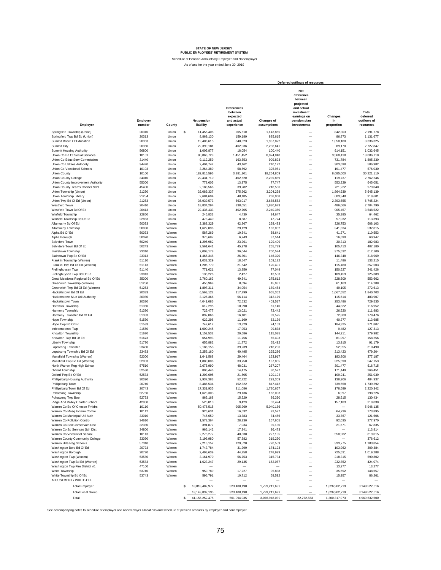Schedule of Pension Amounts by Employer and Nonemployer

As of and for the year ended June 30, 2019

|                                                               |                    |                  | Deferred outflows of resources |                                                                       |                                  |                                                                                                                            |                             |                                               |
|---------------------------------------------------------------|--------------------|------------------|--------------------------------|-----------------------------------------------------------------------|----------------------------------|----------------------------------------------------------------------------------------------------------------------------|-----------------------------|-----------------------------------------------|
| Employer                                                      | Employer<br>number | County           | Net pension<br>liability       | <b>Differences</b><br>between<br>expected<br>and actual<br>experience | <b>Changes of</b><br>assumptions | <b>Net</b><br>difference<br>between<br>projected<br>and actual<br>investment<br>earnings on<br>pension plan<br>investments | Changes<br>in<br>proportion | Total<br>deferred<br>outflows of<br>resources |
| Springfield Township (Union)                                  | 20310              | Union            | \$<br>11,455,408               | 205,610                                                               | 1,143,865                        |                                                                                                                            | 842,303                     | 2,191,778                                     |
| Springfield Twp Bd Ed (Union)                                 | 20313              | Union            | 8,869,130                      | 159,189                                                               | 885,615                          | $\qquad \qquad$                                                                                                            | 86,873                      | 1,131,677                                     |
| Summit Board Of Education                                     | 20363              | Union            | 19,406,615                     | 348,323                                                               | 1,937,822                        | $\overline{\phantom{0}}$                                                                                                   | 1,050,180                   | 3,336,325                                     |
| Summit City                                                   | 20360              | Union            | 22,399,181                     | 402,036                                                               | 2,236,641                        | $\overline{\phantom{0}}$                                                                                                   | 89,170                      | 2,727,847                                     |
| Summit Housing Authority                                      | 56800              | Union            | 1,005,877                      | 18,054                                                                | 100,440                          | $\overline{\phantom{0}}$                                                                                                   | 914,151                     | 1,032,645                                     |
| Union Co Bd Of Social Services                                | 10101              | Union            | 80,866,729                     | 1.451.452                                                             | 8,074,840                        |                                                                                                                            | 3.560.418                   | 13,086,710                                    |
| Union Co Educ Serv Commission                                 | 31440              | Union            | 9,112,259                      | 163,553                                                               | 909,893                          | $\overline{\phantom{0}}$                                                                                                   | 731,784                     | 1,805,230                                     |
| Union Co Utilities Authority                                  | 34420              | Union            | 2,404,742                      | 43,162                                                                | 240,122                          | $\overline{\phantom{0}}$                                                                                                   | 303,698                     | 586,982                                       |
| Union Co Vocational Schools<br>Union County                   | 10103<br>10100     | Union<br>Union   | 3,264,389<br>182,815,596       | 58,592<br>3,281,301                                                   | 325,961<br>18,254,809            |                                                                                                                            | 191,477<br>8.685.000        | 576,030<br>30,221,110                         |
| Union County College                                          | 34040              | Union            | 22,431,710                     | 402,620                                                               | 2,239,889                        | $\overline{\phantom{0}}$                                                                                                   | 119,737                     | 2,762,246                                     |
| Union County Improvement Authority                            | 55000              | Union            | 778,605                        | 13,975                                                                | 77,747                           | $\overline{\phantom{0}}$                                                                                                   | 553,329                     | 645,051                                       |
| Union County Teams Charter Schl                               | 45400              | Union            | 2,188,566                      | 39,282                                                                | 218,536                          | $\overline{\phantom{0}}$                                                                                                   | 721,222                     | 979,040                                       |
| Union Township (Union)                                        | 21250              | Union            | 32,089,337                     | 575,962                                                               | 3,204,238                        |                                                                                                                            | 1,864,939                   | 5,645,139                                     |
| Union Township Library                                        | 21254              | Union            | 2,684,604                      | 48,185                                                                | 268,068                          |                                                                                                                            | 603,348                     | 919,601                                       |
| Union Twp Bd Of Ed (Union)                                    | 21253              | Union            | 36,939,573                     | 663,017                                                               | 3,688,552                        | $\overline{\phantom{0}}$                                                                                                   | 2,393,655                   | 6,745,224                                     |
| Westfield Town                                                | 20410              | Union            | 18,834,294                     | 338,051                                                               | 1,880,673                        | $\qquad \qquad$                                                                                                            | 486,066                     | 2,704,790                                     |
| Westfield Town Bd Of Ed<br>Winfield Township                  | 20413<br>22850     | Union<br>Union   | 22,436,433<br>246,833          | 402,705<br>4,430                                                      | 2,240,360<br>24,647              | $\overline{\phantom{0}}$                                                                                                   | 905,457<br>35,385           | 3,548,522<br>64,462                           |
| Winfield Township Bd Of Ed                                    | 22853              | Union            | 478,440                        | 8,587                                                                 | 47,774                           | $\overline{\phantom{0}}$                                                                                                   | 57,032                      | 113,393                                       |
| Allamuchy Bd Of Ed                                            | 50033              | Warren           | 2,388,329                      | 42,867                                                                | 238,483                          | $\overline{\phantom{0}}$                                                                                                   | 326,753                     | 608,103                                       |
| Allamuchy Township                                            | 50030              | Warren           | 1,622,896                      | 29,129                                                                | 162,052                          |                                                                                                                            | 341,634                     | 532,815                                       |
| Alpha Bd Of Ed                                                | 50073              | Warren           | 587,269                        | 10,541                                                                | 58,641                           |                                                                                                                            | 41,371                      | 110,553                                       |
| Alpha Borough                                                 | 50070              | Warren           | 375,687                        | 6,743                                                                 | 37,514                           | $\overline{\phantom{0}}$                                                                                                   | 16,690                      | 60,947                                        |
| <b>Belvidere Town</b>                                         | 50240              | Warren           | 1,295,982                      | 23,261                                                                | 129,409                          |                                                                                                                            | 30,313                      | 182,983                                       |
| Belvidere Town Bd Of Ed                                       | 50243              | Warren           | 2,561,641                      | 45,978                                                                | 255,789                          |                                                                                                                            | 105,413                     | 407,180                                       |
| <b>Blairstown Township</b>                                    | 23310              | Warren           | 2.008.178                      | 36,044                                                                | 200,524                          | $\qquad \qquad$                                                                                                            | 375,532                     | 612,100                                       |
| Blairstown Twp Bd Of Ed                                       | 23313              | Warren           | 1,465,348                      | 26,301                                                                | 146,320                          | $\overline{\phantom{0}}$<br>$\overline{\phantom{0}}$                                                                       | 146,348                     | 318,969                                       |
| Franklin Township (Warren)<br>Franklin Twp Bd Of Ed (Warren)  | 51110<br>51113     | Warren<br>Warren | 1,033,329<br>1,205,770         | 18,547<br>21,642                                                      | 103,182<br>120,401               | $\overline{\phantom{0}}$                                                                                                   | 11,486<br>115,460           | 133,215<br>257,503                            |
| Frelinghuysen Twp                                             | 51140              | Warren           | 771,621                        | 13,850                                                                | 77,049                           |                                                                                                                            | 150,527                     | 241,426                                       |
| Frelinghuysen Twp Bd Of Ed                                    | 23813              | Warren           | 135.226                        | 2,427                                                                 | 13,503                           | $\overline{\phantom{0}}$                                                                                                   | 109,459                     | 125,389                                       |
| Great Meadows Regional Bd Of Ed                               | 35000              | Warren           | 2,760,163                      | 49,541                                                                | 275,612                          |                                                                                                                            | 228,509                     | 553,662                                       |
| Greenwich Township (Warren)                                   | 51250              | Warren           | 450,969                        | 8,094                                                                 | 45,031                           | $\overline{\phantom{0}}$                                                                                                   | 61.163                      | 114,288                                       |
| Greenwich Twp Bd Of Ed (Warren)                               | 51253              | Warren           | 1,897,311                      | 34,054                                                                | 189,454                          |                                                                                                                            | 49,105                      | 272,613                                       |
| Hackettstown Bd Of Ed                                         | 20383              | Warren           | 6,563,122                      | 117,799                                                               | 655,352                          | $\overline{\phantom{0}}$                                                                                                   | 1,067,552                   | 1,840,703                                     |
| Hackettstown Mun Util Authority                               | 30980              | Warren           | 3,126,366                      | 56,114                                                                | 312,179                          | $\qquad \qquad$<br>$\overline{\phantom{0}}$                                                                                | 115,614                     | 483,907                                       |
| Hackettstown Town<br>Hardwick Township                        | 20380<br>51360     | Warren<br>Warren | 4,041,086<br>612,295           | 72,532<br>10,990                                                      | 403,517<br>61,140                |                                                                                                                            | 253,486<br>44,822           | 729,535<br>116,952                            |
| Harmony Township                                              | 51380              | Warren           | 725,477                        | 13,021                                                                | 72,442                           |                                                                                                                            | 26,520                      | 111,983                                       |
| Harmony Township Bd Of Ed                                     | 51383              | Warren           | 897,066                        | 16,101                                                                | 89,575                           | $\overline{\phantom{0}}$                                                                                                   | 72,800                      | 178,476                                       |
| Hope Township                                                 | 51530              | Warren           | 622,298                        | 11,169                                                                | 62,139                           |                                                                                                                            | 40,377                      | 113,685                                       |
| Hope Twp Bd Of Ed                                             | 51533              | Warren           | 742,612                        | 13,329                                                                | 74,153                           | $\overline{\phantom{0}}$                                                                                                   | 184,325                     | 271,807                                       |
| Independence Twp                                              | 21550              | Warren           | 1,000,245                      | 17,953                                                                | 99,878                           | $\qquad \qquad$                                                                                                            | 9,482                       | 127,313                                       |
| Knowlton Township                                             | 51670              | Warren           | 1,152,532                      | 20,686                                                                | 115,085                          | $\overline{\phantom{0}}$                                                                                                   | 144,211                     | 279,982                                       |
| Knowlton Twp Bd Of Ed                                         | 51673<br>51770     | Warren<br>Warren | 654,993                        | 11,756                                                                | 65,403                           | $\overline{\phantom{0}}$<br>-                                                                                              | 81,097<br>13,915            | 158,256                                       |
| Liberty Township<br>Lopatcong Township                        | 23480              | Warren           | 655,882<br>2,186,158           | 11,772<br>39,239                                                      | 65,492<br>218,296                |                                                                                                                            | 52,955                      | 91,179<br>310,490                             |
| Lopatcong Township Bd Of Ed                                   | 23483              | Warren           | 2,256,160                      | 40,495                                                                | 225,286                          | $\overline{\phantom{0}}$                                                                                                   | 213,423                     | 479,204                                       |
| Mansfield Township (Warren)                                   | 52000              | Warren           | 1,641,568                      | 29,464                                                                | 163,917                          | $\overline{\phantom{0}}$                                                                                                   | 183,806                     | 377,187                                       |
| Mansfield Twp Bd Ed (Warren)                                  | 52003              | Warren           | 1,880,806                      | 33,758                                                                | 187,805                          | $\overline{\phantom{0}}$                                                                                                   | 325,590                     | 547,153                                       |
| North Warren Reg High School                                  | 57510              | Warren           | 2,675,990                      | 48,031                                                                | 267,207                          |                                                                                                                            | 301,477                     | 616,715                                       |
| Oxford Township                                               | 52530              | Warren           | 806,446                        | 14,475                                                                | 80,527                           | $\overline{\phantom{0}}$                                                                                                   | 171,449                     | 266,451                                       |
| Oxford Twp Bd Of Ed                                           | 52533              | Warren           | 1,203,695                      | 21,605                                                                | 120,193                          | $\overline{\phantom{0}}$                                                                                                   | 109,241                     | 251,039                                       |
| Phillipsburg Housing Authority<br>Phillipsburg Town           | 30390              | Warren           | 2,937,383                      | 52,722                                                                | 293,309                          | $\overline{\phantom{0}}$                                                                                                   | 138,906                     | 484,937<br>1.739.292                          |
| Phillipsburg Town Bd Of Ed                                    | 20740<br>20743     | Warren<br>Warren | 8,486,534<br>17,331,935        | 152,322<br>311,086                                                    | 847,412<br>1,730,657             | $\qquad \qquad$<br>$\overline{\phantom{0}}$                                                                                | 739,558<br>178,599          | 2,220,342                                     |
| Pohatcong Township                                            | 52750              | Warren           | 1,623,303                      | 29,136                                                                | 162,093                          |                                                                                                                            | 6,997                       | 198,226                                       |
| Pohatcong Twp Boe                                             | 52753              | Warren           | 865,168                        | 15,529                                                                | 86,390                           |                                                                                                                            | 28,515                      | 130,434                                       |
| Ridge And Valley Charter School                               | 42900              | Warren           | 525,010                        | 9,423                                                                 | 52.424                           |                                                                                                                            | 157,183                     | 219.030                                       |
| Warren Co Bd Of Chosen Frhldrs                                | 10110              | Warren           | 50,475,515                     | 905,969                                                               | 5,040,166                        | -                                                                                                                          |                             | 5,946,135                                     |
| Warren Co Mosq Exterm Comm                                    | 10112              | Warren           | 926,631                        | 16,632                                                                | 92,527                           | $\overline{\phantom{0}}$                                                                                                   | 64,736                      | 173,895                                       |
| Warren Co Municipal Util Auth                                 | 33010              | Warren           | 745,650                        | 13,383                                                                | 74,456                           | $\overline{\phantom{0}}$                                                                                                   | 33,767                      | 121,606                                       |
| Warren Co Pollution Control<br>Warren Co Soil Conservatn Dist | 34610<br>32380     | Warren<br>Warren | 1,578,364                      | 28,330                                                                | 157,605<br>39,130                | $\overline{\phantom{0}}$                                                                                                   | 92,035                      | 277,970                                       |
| Warren Co Sp Services Sch Dist                                | 34800              | Warren           | 391,877<br>966,142             | 7,034<br>17,341                                                       | 96,473                           | $\overline{\phantom{0}}$                                                                                                   | 21,671                      | 67,835<br>113,814                             |
| Warren Co Vocational School                                   | 10113              | Warren           | 2,275,277                      | 40,838                                                                | 227,195                          | $\overline{\phantom{0}}$                                                                                                   | 550,982                     | 819,015                                       |
| Warren County Community College                               | 33090              | Warren           | 3,196,980                      | 57,382                                                                | 319,230                          | $\overline{\phantom{0}}$                                                                                                   |                             | 376,612                                       |
| Warren Hills Reg Schools                                      | 57310              | Warren           | 7,216,152                      | 129,520                                                               | 720,559                          | $\qquad \qquad$                                                                                                            | 333,775                     | 1,183,854                                     |
| Washington Boro Bd Of Ed                                      | 20723              | Warren           | 1,743,784                      | 31,299                                                                | 174,123                          | $\overline{\phantom{0}}$                                                                                                   | 103,962                     | 309,384                                       |
| Washington Borough                                            | 20720              | Warren           | 2,493,639                      | 44,758                                                                | 248,999                          | $\qquad \qquad$                                                                                                            | 725,531                     | 1,019,288                                     |
| Washington Twp (Warren)                                       | 53580              | Warren           | 3,161,970                      | 56,753                                                                | 315,734                          | $\overline{\phantom{0}}$                                                                                                   | 218,315                     | 590,802                                       |
| Washington Twp Bd Ed (Warren)                                 | 53583              | Warren           | 1,623,247                      | 29,135                                                                | 162,087                          | $\qquad \qquad$                                                                                                            | 232,852                     | 424,074                                       |
| Washington Twp Fire District #1                               | 47100              | Warren           |                                |                                                                       |                                  | $\overline{\phantom{0}}$                                                                                                   | 13,277                      | 13,277                                        |
| White Township<br>White Township Bd Of Ed                     | 53740<br>53743     | Warren<br>Warren | 959,789<br>596,791             | 17,227<br>10,712                                                      | 95,838<br>59,592                 | $\overline{\phantom{0}}$                                                                                                   | 35,592<br>15,957            | 148,657<br>86,261                             |
| ADJUSTMENT / WRITE-OFF                                        |                    |                  |                                |                                                                       |                                  | $\overline{\phantom{0}}$                                                                                                   |                             |                                               |
| <b>Total Employer:</b>                                        |                    |                  | \$<br>18,018,482,972           | 323,408,198                                                           | 1,799,211,699                    | $\equiv$                                                                                                                   | 1,026,902,719               | 3,149,522,616                                 |
|                                                               |                    |                  |                                |                                                                       |                                  | $=$                                                                                                                        |                             |                                               |
| <b>Total Local Group:</b>                                     |                    |                  | 18, 143, 832, 135              | 323,408,198                                                           | 1,799,211,699                    |                                                                                                                            | 1,026,902,719               | 3,149,522,616                                 |
| Total                                                         |                    |                  | \$<br>41, 156, 252, 475        | 561,094,035                                                           | 3,076,948,039                    | 22,272,553                                                                                                                 | 1,300,317,973               | 4,960,632,600                                 |

See accompanying notes to schedule of employer and nonemployer allocations and schedule of pension amounts by employer and nonemployer.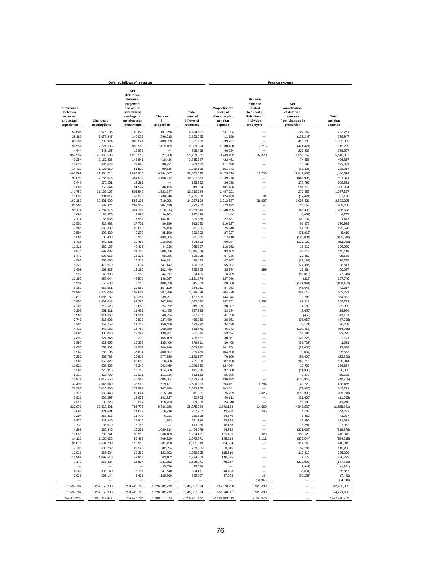|                                                                       |                                  | Deferred inflows of resources                                                                                       |                                                                              | <b>Pension expense</b> |                                                                   |                                                                                           |                                                                                       |                             |
|-----------------------------------------------------------------------|----------------------------------|---------------------------------------------------------------------------------------------------------------------|------------------------------------------------------------------------------|------------------------|-------------------------------------------------------------------|-------------------------------------------------------------------------------------------|---------------------------------------------------------------------------------------|-----------------------------|
| <b>Differences</b><br>between<br>expected<br>and actual<br>experience | <b>Changes of</b><br>assumptions | Net<br>difference<br>between<br>projected<br>and actual<br>investment<br>earnings on<br>pension plan<br>investments | Changes<br>inflows of<br>in<br>proportion<br>resources<br>180,828<br>197,258 |                        | Proportionate<br>share of<br>allocable plan<br>pension<br>expense | Pension<br>expense<br>related<br>to specific<br>liabilities of<br>individual<br>employers | <b>Net</b><br>amortization<br>of deferred<br>amounts<br>from changes in<br>proportion | Total<br>pension<br>expense |
| 50,605                                                                | 3,976,136                        |                                                                                                                     |                                                                              | 4,404,827              | 531,094                                                           |                                                                                           | 202,167                                                                               | 733,261                     |
| 39,180                                                                | 3,078,447                        | 140,003                                                                                                             | 596,015                                                                      | 3,853,645              | 411,189                                                           | -                                                                                         | (132, 242)                                                                            | 278,947                     |
| 85,730                                                                | 6,735,974                        | 306,341                                                                                                             | 403,693                                                                      | 7,531,738              | 899,727                                                           |                                                                                           | 410,135                                                                               | 1,309,862                   |
| 98,950                                                                | 7,774,685                        | 353,580                                                                                                             | 1,412,409                                                                    | 9,639,624              | 1,038,468                                                         | 2,215                                                                                     | (421, 474)                                                                            | 619,209                     |
| 4,444                                                                 | 349,137                          | 15,878                                                                                                              |                                                                              | 369,459                | 46,634                                                            |                                                                                           | 232,933                                                                               | 279,567                     |
| 357,234                                                               | 28,068,586                       | 1,276,513                                                                                                           | 27,268                                                                       | 29,729,601             | 3,749,132                                                         | 37,878                                                                                    | 1,359,357                                                                             | 5,146,367                   |
| 40,254<br>10,623                                                      | 3,162,836<br>834,678             | 143,841<br>37,960                                                                                                   | 418,416<br>80,221                                                            | 3,765,347<br>963,482   | 422,461<br>111,488                                                | -                                                                                         | 74,356<br>10,593                                                                      | 496,817<br>122,081          |
| 14,421                                                                | 1,133,059                        | 51,530                                                                                                              | 90,516                                                                       | 1,289,526              | 151,343                                                           |                                                                                           | (13, 326)                                                                             | 138,017                     |
| 807,599                                                               | 63,454,714                       | 2,885,815                                                                                                           | 10,854,507                                                                   | 78,002,635             | 8,475,670                                                         | 12,706                                                                                    | (7,041,858)                                                                           | 1,446,518                   |
| 99,093                                                                | 7,785,975                        | 354.093                                                                                                             | 2,158,212                                                                    | 10,397,373             | 1,039,976                                                         |                                                                                           | (448, 905)                                                                            | 591.071                     |
| 3,440                                                                 | 270,251                          | 12,291                                                                                                              |                                                                              | 285,982                | 36,098                                                            |                                                                                           | 172,793                                                                               | 208,891                     |
| 9,668<br>141,757                                                      | 759,644<br>11,138,107            | 34,547<br>506,543                                                                                                   | 46,125<br>1,523,847                                                          | 849,984<br>13,310,254  | 101,466<br>1,487,721                                              |                                                                                           | 281,918<br>279,856                                                                    | 383,384<br>1,767,577        |
| 11,859                                                                | 931,817                          | 42,378                                                                                                              | 738,946                                                                      | 1,725,000              | 124,463                                                           | 81                                                                                        | (87, 424)                                                                             | 37,120                      |
| 163,183                                                               | 12,821,609                       | 583,106                                                                                                             | 719,296                                                                      | 14,287,194             | 1,712,587                                                         | 21,997                                                                                    | 1,098,621                                                                             | 2,833,205                   |
| 83,202                                                                | 6,537,324                        | 297,307                                                                                                             | 304,419                                                                      | 7,222,252              | 873,193                                                           |                                                                                           | 36,057                                                                                | 909,250                     |
| 99,114                                                                | 7,787,615                        | 354,168                                                                                                             | 1,018,913                                                                    | 9,259,810              | 1,040,195                                                         |                                                                                           | 166,433                                                                               | 1,206,628                   |
| 1,090<br>2,114                                                        | 85,675<br>166,065                | 3,896<br>7,552                                                                                                      | 36,763<br>134,107                                                            | 127,424<br>309,838     | 11,444<br>22,181                                                  |                                                                                           | (6,657)<br>(20, 734)                                                                  | 4,787<br>1,447              |
| 10,551                                                                | 828,982                          | 37,701                                                                                                              | 36,296                                                                       | 913,530                | 110,727                                                           |                                                                                           | 66,272                                                                                | 176,999                     |
| 7,169                                                                 | 563,302                          | 25,618                                                                                                              | 75,436                                                                       | 671,525                | 75,240                                                            |                                                                                           | 54,330                                                                                | 129,570                     |
| 2,594                                                                 | 203,839                          | 9,270                                                                                                               | 85,189                                                                       | 300,892                | 27,227                                                            |                                                                                           | (21, 817)                                                                             | 5,410                       |
| 1,660                                                                 | 130,400                          | 5,930                                                                                                               | 433,885                                                                      | 571,875                | 17,418                                                            |                                                                                           | (143, 034)                                                                            | (125, 616)                  |
| 5,725                                                                 | 449,831                          | 20,458                                                                                                              | 218,608                                                                      | 694,622                | 60,084                                                            |                                                                                           | (112, 123)                                                                            | (52, 039)                   |
| 11,316                                                                | 889,137                          | 40,436                                                                                                              | 44,938                                                                       | 985,827                | 118,762                                                           |                                                                                           | 18,217                                                                                | 136,979                     |
| 8,871<br>6,473                                                        | 697,032<br>508,618               | 31,700<br>23,131                                                                                                    | 308,056<br>68,086                                                            | 1,045,659<br>606,308   | 93,103<br>67,936                                                  | $\overline{\phantom{0}}$<br>-                                                             | 52,016<br>27,652                                                                      | 145,119<br>95,588           |
| 4,565                                                                 | 358,665                          | 16,312                                                                                                              | 106,891                                                                      | 486,433                | 47,907                                                            | $\overline{\phantom{0}}$                                                                  | (21, 182)                                                                             | 26,725                      |
| 5,327                                                                 | 418,519                          | 19,034                                                                                                              | 347,142                                                                      | 790,022                | 55,902                                                            |                                                                                           | (27, 385)                                                                             | 28,517                      |
| 3,409                                                                 | 267,827                          | 12,180                                                                                                              | 102,449                                                                      | 385,865                | 35,774                                                            | 899                                                                                       | 13,364                                                                                | 50,037                      |
| 597                                                                   | 46,936                           | 2,135                                                                                                               | 44,817                                                                       | 94,485                 | 6,269                                                             |                                                                                           | (13, 815)                                                                             | (7, 546)                    |
| 12,193                                                                | 958,044                          | 43,570                                                                                                              | 148,067                                                                      | 1,161,874<br>645,999   | 127,966                                                           |                                                                                           | (217)                                                                                 | 127,749                     |
| 1,992<br>8,381                                                        | 156,530<br>658,551               | 7,119<br>29,950                                                                                                     | 480,358<br>157,129                                                           | 854,011                | 20,908<br>87,963                                                  |                                                                                           | (171, 341)<br>(45, 646)                                                               | (150, 433)<br>42,317        |
| 28,993                                                                | 2,278,039                        | 103,601                                                                                                             | 287,896                                                                      | 2,698,529              | 304,279                                                           |                                                                                           | 159,012                                                                               | 463,291                     |
| 13,811                                                                | 1,085,152                        | 49,351                                                                                                              | 39,291                                                                       | 1,187,605              | 144,944                                                           |                                                                                           | 19,688                                                                                | 164,632                     |
| 17,852                                                                | 1,402,648                        | 63,790                                                                                                              | 207,780                                                                      | 1,692,070              | 187,352                                                           | 1,562                                                                                     | 69,818                                                                                | 258,732                     |
| 2,705                                                                 | 212,526                          | 9,665                                                                                                               | 24,992                                                                       | 249,888                | 28,387                                                            |                                                                                           | 4,505                                                                                 | 32,892                      |
| 3,205<br>3,963                                                        | 251,811<br>311,369               | 11,452<br>14,161                                                                                                    | 61,455<br>48,294                                                             | 327,923<br>377,787     | 33,634<br>41,590                                                  |                                                                                           | (3,650)<br>(459)                                                                      | 29,984<br>41,131            |
| 2,749                                                                 | 215,998                          | 9,823                                                                                                               | 227,480                                                                      | 456,050                | 28,851                                                            |                                                                                           | (76, 059)                                                                             | (47, 208)                   |
| 3,281                                                                 | 257,758                          | 11,722                                                                                                              | 159,459                                                                      | 432,220                | 34,429                                                            |                                                                                           | (8, 171)                                                                              | 26,258                      |
| 4,419                                                                 | 347,182                          | 15,789                                                                                                              | 269,380                                                                      | 636,770                | 46,373                                                            |                                                                                           | (110, 458)                                                                            | (64, 085)                   |
| 5,091                                                                 | 400,040                          | 18,193                                                                                                              | 138,351                                                                      | 561,675                | 53,434                                                            |                                                                                           | 28,791                                                                                | 82,225                      |
| 2,893                                                                 | 227,346                          | 10,339                                                                                                              | 165,109                                                                      | 405,687                | 30,367                                                            | $\overline{\phantom{0}}$                                                                  | (28, 226)                                                                             | 2,141                       |
| 2,897<br>9,657                                                        | 227,655<br>758,808               | 10,353<br>34,509                                                                                                    | 135,406<br>200,996                                                           | 376,311<br>1,003,970   | 30,408<br>101,354                                                 |                                                                                           | (28, 737)<br>(83, 666)                                                                | 1,671<br>17,688             |
| 9,967                                                                 | 783,106                          | 35,614                                                                                                              | 400,802                                                                      | 1,229,489              | 104,600                                                           |                                                                                           | (9,037)                                                                               | 95,563                      |
| 7,252                                                                 | 569,783                          | 25,913                                                                                                              | 577,299                                                                      | 1,180,247              | 76,106                                                            |                                                                                           | (99, 406)                                                                             | (23, 300)                   |
| 8,309                                                                 | 652,822                          | 29,689                                                                                                              | 10,268                                                                       | 701,088                | 87,198                                                            |                                                                                           | 103,716                                                                               | 190,914                     |
| 11,821                                                                | 928,828                          | 42,242                                                                                                              | 263,469                                                                      | 1,246,360              | 124,064                                                           | $\overline{\phantom{0}}$                                                                  | 12,790                                                                                | 136,854                     |
| 3,563<br>5,317                                                        | 279,915<br>417,799               | 12,730<br>19,001                                                                                                    | 114,868<br>111,036                                                           | 411,076<br>553,153     | 37,388<br>55,806                                                  | $\overline{\phantom{0}}$                                                                  | (11, 333)<br>3,372                                                                    | 26,055<br>59,178            |
| 12,976                                                                | 1,019,556                        | 46,368                                                                                                              | 405,004                                                                      | 1,483,904              | 136,183                                                           |                                                                                           | (146, 948)                                                                            | (10, 765)                   |
| 37,490                                                                | 2,945,649                        | 133,963                                                                                                             | 579,121                                                                      | 3,696,223              | 393,451                                                           | 1,284                                                                                     | 43,720                                                                                | 438,455                     |
| 76,565                                                                | 6,015,860                        | 273,591                                                                                                             | 707,889                                                                      | 7,073,905              | 803,541                                                           |                                                                                           | (57, 830)                                                                             | 745,711                     |
| 7,171                                                                 | 563,443                          | 25.624                                                                                                              | 215,343                                                                      | 811,581                | 75,259                                                            | 2,825                                                                                     | (116, 300)                                                                            | (38, 216)                   |
| 3,822                                                                 | 300,297                          | 13,657                                                                                                              | 142,927                                                                      | 460,703                | 40.111                                                            |                                                                                           | (51,666)                                                                              | (11, 555)                   |
| 2,319<br>222,979                                                      | 182,229<br>17,519,891            | 8,287<br>796,776                                                                                                    | 116,753<br>9,736,288                                                         | 309,588<br>28,275,934  | 24,340<br>2,340,138                                               | 14,560                                                                                    | 16,908<br>(4,943,539)                                                                 | 41,248<br>(2, 588, 841)     |
| 4,093                                                                 | 321,631                          | 14,627                                                                                                              | 16,916                                                                       | 357,267                | 42,960                                                            | 245                                                                                       | 1,032                                                                                 | 44,237                      |
| 3,294                                                                 | 258,813                          | 11,770                                                                                                              | 6,931                                                                        | 280,808                | 34,570                                                            |                                                                                           | 6,457                                                                                 | 41,027                      |
| 6,973                                                                 | 547,845                          | 24,915                                                                                                              | 1,983                                                                        | 581,716                | 73,176                                                            |                                                                                           | 38,495                                                                                | 111,671                     |
| 1,731                                                                 | 136,019                          | 6,186                                                                                                               |                                                                              | 143,936                | 18,168                                                            |                                                                                           | 8,884                                                                                 | 27,052                      |
| 4,268<br>10,051                                                       | 335,345<br>789,741               | 15,251<br>35,916                                                                                                    | 1,099,214<br>368,463                                                         | 1,454,078<br>1,204,171 | 44,792<br>105,486                                                 | 329                                                                                       | (361,068)<br>138,128                                                                  | (316, 276)<br>243,943       |
| 14,123                                                                | 1,109,662                        | 50,466                                                                                                              | 899,620                                                                      | 2,073,871              | 148,218                                                           | 5,111                                                                                     | (337, 544)                                                                            | (184, 215)                  |
| 31,878                                                                | 2,504,703                        | 113,910                                                                                                             | 201,428                                                                      | 2,851,919              | 334,554                                                           |                                                                                           | 114,365                                                                               | 448,919                     |
| 7,703                                                                 | 605,262                          | 27,526                                                                                                              | 82,594                                                                       | 723,085                | 80,845                                                            |                                                                                           | 32,391                                                                                | 113,236                     |
| 11,016                                                                | 865,534                          | 39,363                                                                                                              | 123,892                                                                      | 1,039,805              | 115,610                                                           |                                                                                           | 119,610                                                                               | 235,220                     |
| 13,968                                                                | 1,097,510                        | 49,913                                                                                                              | 63,162                                                                       | 1,224,553              | 146,595                                                           |                                                                                           | 79,678                                                                                | 226,273                     |
| 7,171                                                                 | 563,424                          | 25,624<br>-                                                                                                         | 931,852<br>35,676                                                            | 1,528,071<br>35,676    | 75,257                                                            |                                                                                           | (223,007)<br>(1, 941)                                                                 | (147, 750)<br>(1, 941)      |
| 4,240                                                                 | 333,140                          | 15,151                                                                                                              | 41,640                                                                       | 394,171                | 44,498                                                            | -                                                                                         | (8,631)                                                                               | 35,867                      |
| 2,636                                                                 | 207,144                          | 9,421                                                                                                               | 135,866                                                                      | 355,067                | 27,668                                                            | 144                                                                                       | (35, 252)                                                                             | (7, 440)                    |
|                                                                       |                                  |                                                                                                                     |                                                                              |                        |                                                                   | (64, 946)                                                                                 |                                                                                       | (64, 946)                   |
| 79,597,702                                                            | 6,254,158,388                    | 284,428,765                                                                                                         | 1,026,902,719                                                                | 7,645,087,574          | 835,370,290                                                       | 6,923,099                                                                                 | $\overline{\phantom{a}}$                                                              | 842,293,389                 |
| 79,597,702                                                            | 6,254,158,388                    | 284,428,765                                                                                                         | 1,026,902,719                                                                | 7,645,087,574          | 967,548,587                                                       | 6,923,099                                                                                 |                                                                                       | 974,471,686                 |
| 244,370,597                                                           | 10,869,314,417                   | 284,428,765                                                                                                         | 1,300,317,973                                                                | 12,698,431,752         | 2,235,109,819                                                     | 7,160,976                                                                                 |                                                                                       | 2,242,270,795               |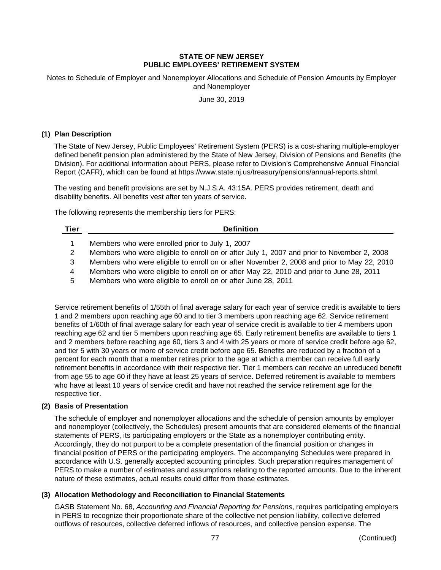Notes to Schedule of Employer and Nonemployer Allocations and Schedule of Pension Amounts by Employer and Nonemployer

June 30, 2019

### **(1) Plan Description**

The State of New Jersey, Public Employees' Retirement System (PERS) is a cost-sharing multiple-employer defined benefit pension plan administered by the State of New Jersey, Division of Pensions and Benefits (the Division). For additional information about PERS, please refer to Division's Comprehensive Annual Financial Report (CAFR), which can be found at https://www.state.nj.us/treasury/pensions/annual-reports.shtml.

The vesting and benefit provisions are set by N.J.S.A. 43:15A. PERS provides retirement, death and disability benefits. All benefits vest after ten years of service.

The following represents the membership tiers for PERS:

#### **Tier Definition**

- 1 Members who were enrolled prior to July 1, 2007
- 2 Members who were eligible to enroll on or after July 1, 2007 and prior to November 2, 2008
- 3 Members who were eligible to enroll on or after November 2, 2008 and prior to May 22, 2010
- 4 Members who were eligible to enroll on or after May 22, 2010 and prior to June 28, 2011
- 5 Members who were eligible to enroll on or after June 28, 2011

Service retirement benefits of 1/55th of final average salary for each year of service credit is available to tiers 1 and 2 members upon reaching age 60 and to tier 3 members upon reaching age 62. Service retirement benefits of 1/60th of final average salary for each year of service credit is available to tier 4 members upon reaching age 62 and tier 5 members upon reaching age 65. Early retirement benefits are available to tiers 1 and 2 members before reaching age 60, tiers 3 and 4 with 25 years or more of service credit before age 62, and tier 5 with 30 years or more of service credit before age 65. Benefits are reduced by a fraction of a percent for each month that a member retires prior to the age at which a member can receive full early retirement benefits in accordance with their respective tier. Tier 1 members can receive an unreduced benefit from age 55 to age 60 if they have at least 25 years of service. Deferred retirement is available to members who have at least 10 years of service credit and have not reached the service retirement age for the respective tier.

#### **(2) Basis of Presentation**

The schedule of employer and nonemployer allocations and the schedule of pension amounts by employer and nonemployer (collectively, the Schedules) present amounts that are considered elements of the financial statements of PERS, its participating employers or the State as a nonemployer contributing entity. Accordingly, they do not purport to be a complete presentation of the financial position or changes in financial position of PERS or the participating employers. The accompanying Schedules were prepared in accordance with U.S. generally accepted accounting principles. Such preparation requires management of PERS to make a number of estimates and assumptions relating to the reported amounts. Due to the inherent nature of these estimates, actual results could differ from those estimates.

#### **(3) Allocation Methodology and Reconciliation to Financial Statements**

GASB Statement No. 68, *Accounting and Financial Reporting for Pensions*, requires participating employers in PERS to recognize their proportionate share of the collective net pension liability, collective deferred outflows of resources, collective deferred inflows of resources, and collective pension expense. The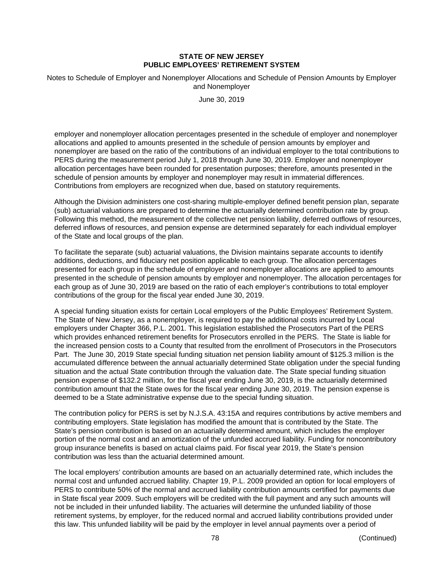Notes to Schedule of Employer and Nonemployer Allocations and Schedule of Pension Amounts by Employer and Nonemployer

June 30, 2019

employer and nonemployer allocation percentages presented in the schedule of employer and nonemployer allocations and applied to amounts presented in the schedule of pension amounts by employer and nonemployer are based on the ratio of the contributions of an individual employer to the total contributions to PERS during the measurement period July 1, 2018 through June 30, 2019. Employer and nonemployer allocation percentages have been rounded for presentation purposes; therefore, amounts presented in the schedule of pension amounts by employer and nonemployer may result in immaterial differences. Contributions from employers are recognized when due, based on statutory requirements.

Although the Division administers one cost-sharing multiple-employer defined benefit pension plan, separate (sub) actuarial valuations are prepared to determine the actuarially determined contribution rate by group. Following this method, the measurement of the collective net pension liability, deferred outflows of resources, deferred inflows of resources, and pension expense are determined separately for each individual employer of the State and local groups of the plan.

To facilitate the separate (sub) actuarial valuations, the Division maintains separate accounts to identify additions, deductions, and fiduciary net position applicable to each group. The allocation percentages presented for each group in the schedule of employer and nonemployer allocations are applied to amounts presented in the schedule of pension amounts by employer and nonemployer. The allocation percentages for each group as of June 30, 2019 are based on the ratio of each employer's contributions to total employer contributions of the group for the fiscal year ended June 30, 2019.

A special funding situation exists for certain Local employers of the Public Employees' Retirement System. The State of New Jersey, as a nonemployer, is required to pay the additional costs incurred by Local employers under Chapter 366, P.L. 2001. This legislation established the Prosecutors Part of the PERS which provides enhanced retirement benefits for Prosecutors enrolled in the PERS. The State is liable for the increased pension costs to a County that resulted from the enrollment of Prosecutors in the Prosecutors Part. The June 30, 2019 State special funding situation net pension liability amount of \$125.3 million is the accumulated difference between the annual actuarially determined State obligation under the special funding situation and the actual State contribution through the valuation date. The State special funding situation pension expense of \$132.2 million, for the fiscal year ending June 30, 2019, is the actuarially determined contribution amount that the State owes for the fiscal year ending June 30, 2019. The pension expense is deemed to be a State administrative expense due to the special funding situation.

The contribution policy for PERS is set by N.J.S.A. 43:15A and requires contributions by active members and contributing employers. State legislation has modified the amount that is contributed by the State. The State's pension contribution is based on an actuarially determined amount, which includes the employer portion of the normal cost and an amortization of the unfunded accrued liability. Funding for noncontributory group insurance benefits is based on actual claims paid. For fiscal year 2019, the State's pension contribution was less than the actuarial determined amount.

The local employers' contribution amounts are based on an actuarially determined rate, which includes the normal cost and unfunded accrued liability. Chapter 19, P.L. 2009 provided an option for local employers of PERS to contribute 50% of the normal and accrued liability contribution amounts certified for payments due in State fiscal year 2009. Such employers will be credited with the full payment and any such amounts will not be included in their unfunded liability. The actuaries will determine the unfunded liability of those retirement systems, by employer, for the reduced normal and accrued liability contributions provided under this law. This unfunded liability will be paid by the employer in level annual payments over a period of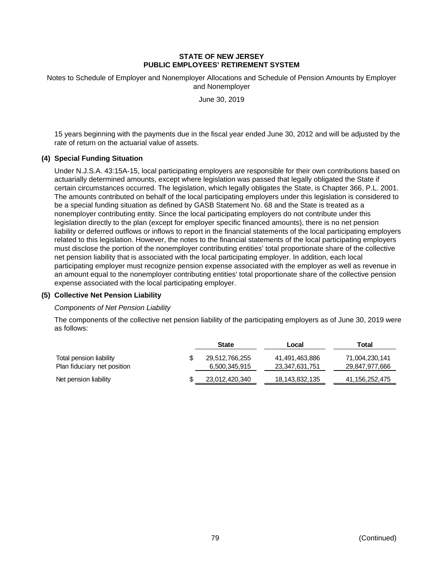Notes to Schedule of Employer and Nonemployer Allocations and Schedule of Pension Amounts by Employer and Nonemployer

June 30, 2019

15 years beginning with the payments due in the fiscal year ended June 30, 2012 and will be adjusted by the rate of return on the actuarial value of assets.

# **(4) Special Funding Situation**

Under N.J.S.A. 43:15A-15, local participating employers are responsible for their own contributions based on actuarially determined amounts, except where legislation was passed that legally obligated the State if certain circumstances occurred. The legislation, which legally obligates the State, is Chapter 366, P.L. 2001. The amounts contributed on behalf of the local participating employers under this legislation is considered to be a special funding situation as defined by GASB Statement No. 68 and the State is treated as a nonemployer contributing entity. Since the local participating employers do not contribute under this legislation directly to the plan (except for employer specific financed amounts), there is no net pension liability or deferred outflows or inflows to report in the financial statements of the local participating employers related to this legislation. However, the notes to the financial statements of the local participating employers must disclose the portion of the nonemployer contributing entities' total proportionate share of the collective net pension liability that is associated with the local participating employer. In addition, each local participating employer must recognize pension expense associated with the employer as well as revenue in an amount equal to the nonemployer contributing entities' total proportionate share of the collective pension expense associated with the local participating employer.

#### **(5) Collective Net Pension Liability**

#### *Components of Net Pension Liability*

The components of the collective net pension liability of the participating employers as of June 30, 2019 were as follows:

|                             | <b>State</b>   | Local          | Total          |
|-----------------------------|----------------|----------------|----------------|
| Total pension liability     | 29,512,766,255 | 41,491,463,886 | 71,004,230,141 |
| Plan fiduciary net position | 6,500,345,915  | 23,347,631,751 | 29,847,977,666 |
| Net pension liability       | 23,012,420,340 | 18,143,832,135 | 41,156,252,475 |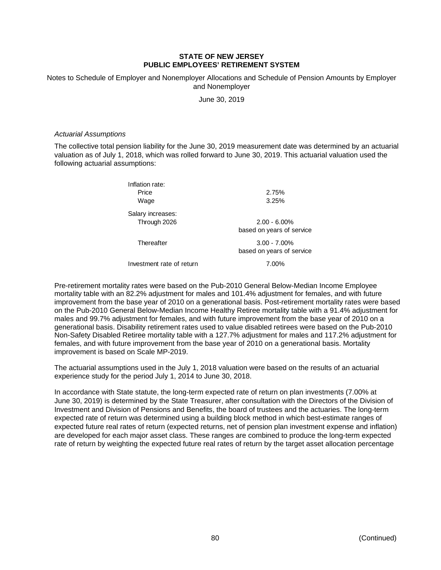Notes to Schedule of Employer and Nonemployer Allocations and Schedule of Pension Amounts by Employer and Nonemployer

June 30, 2019

#### *Actuarial Assumptions*

The collective total pension liability for the June 30, 2019 measurement date was determined by an actuarial valuation as of July 1, 2018, which was rolled forward to June 30, 2019. This actuarial valuation used the following actuarial assumptions:

| Inflation rate:<br>Price<br>Wage  | 2.75%<br>3.25%                               |
|-----------------------------------|----------------------------------------------|
| Salary increases:<br>Through 2026 | $2.00 - 6.00\%$<br>based on years of service |
| Thereafter                        | $3.00 - 7.00\%$<br>based on years of service |

Investment rate of return 7.00%

Pre-retirement mortality rates were based on the Pub-2010 General Below-Median Income Employee mortality table with an 82.2% adjustment for males and 101.4% adjustment for females, and with future improvement from the base year of 2010 on a generational basis. Post-retirement mortality rates were based on the Pub-2010 General Below-Median Income Healthy Retiree mortality table with a 91.4% adjustment for males and 99.7% adjustment for females, and with future improvement from the base year of 2010 on a generational basis. Disability retirement rates used to value disabled retirees were based on the Pub-2010 Non-Safety Disabled Retiree mortality table with a 127.7% adjustment for males and 117.2% adjustment for females, and with future improvement from the base year of 2010 on a generational basis. Mortality improvement is based on Scale MP-2019.

The actuarial assumptions used in the July 1, 2018 valuation were based on the results of an actuarial experience study for the period July 1, 2014 to June 30, 2018.

In accordance with State statute, the long-term expected rate of return on plan investments (7.00% at June 30, 2019) is determined by the State Treasurer, after consultation with the Directors of the Division of Investment and Division of Pensions and Benefits, the board of trustees and the actuaries. The long-term expected rate of return was determined using a building block method in which best-estimate ranges of expected future real rates of return (expected returns, net of pension plan investment expense and inflation) are developed for each major asset class. These ranges are combined to produce the long-term expected rate of return by weighting the expected future real rates of return by the target asset allocation percentage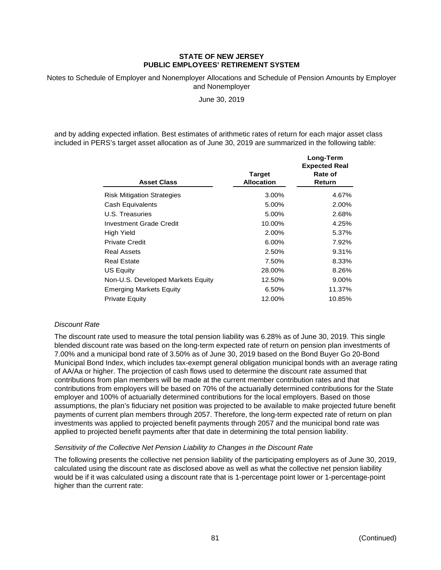Notes to Schedule of Employer and Nonemployer Allocations and Schedule of Pension Amounts by Employer and Nonemployer

June 30, 2019

and by adding expected inflation. Best estimates of arithmetic rates of return for each major asset class included in PERS's target asset allocation as of June 30, 2019 are summarized in the following table:

**Long-Term**

| <b>Asset Class</b>                | <b>Target</b><br><b>Allocation</b> | Lung-renn<br><b>Expected Real</b><br>Rate of<br>Return |
|-----------------------------------|------------------------------------|--------------------------------------------------------|
| <b>Risk Mitigation Strategies</b> | 3.00%                              | 4.67%                                                  |
| Cash Equivalents                  | 5.00%                              | 2.00%                                                  |
| U.S. Treasuries                   | 5.00%                              | 2.68%                                                  |
| Investment Grade Credit           | 10.00%                             | 4.25%                                                  |
| High Yield                        | 2.00%                              | 5.37%                                                  |
| <b>Private Credit</b>             | 6.00%                              | 7.92%                                                  |
| <b>Real Assets</b>                | 2.50%                              | 9.31%                                                  |
| Real Estate                       | 7.50%                              | 8.33%                                                  |
| <b>US Equity</b>                  | 28.00%                             | 8.26%                                                  |
| Non-U.S. Developed Markets Equity | 12.50%                             | 9.00%                                                  |
| <b>Emerging Markets Equity</b>    | 6.50%                              | 11.37%                                                 |
| <b>Private Equity</b>             | 12.00%                             | 10.85%                                                 |

# *Discount Rate*

The discount rate used to measure the total pension liability was 6.28% as of June 30, 2019. This single blended discount rate was based on the long-term expected rate of return on pension plan investments of 7.00% and a municipal bond rate of 3.50% as of June 30, 2019 based on the Bond Buyer Go 20-Bond Municipal Bond Index, which includes tax-exempt general obligation municipal bonds with an average rating of AA/Aa or higher. The projection of cash flows used to determine the discount rate assumed that contributions from plan members will be made at the current member contribution rates and that contributions from employers will be based on 70% of the actuarially determined contributions for the State employer and 100% of actuarially determined contributions for the local employers. Based on those assumptions, the plan's fiduciary net position was projected to be available to make projected future benefit payments of current plan members through 2057. Therefore, the long-term expected rate of return on plan investments was applied to projected benefit payments through 2057 and the municipal bond rate was applied to projected benefit payments after that date in determining the total pension liability.

#### *Sensitivity of the Collective Net Pension Liability to Changes in the Discount Rate*

The following presents the collective net pension liability of the participating employers as of June 30, 2019, calculated using the discount rate as disclosed above as well as what the collective net pension liability would be if it was calculated using a discount rate that is 1-percentage point lower or 1-percentage-point higher than the current rate: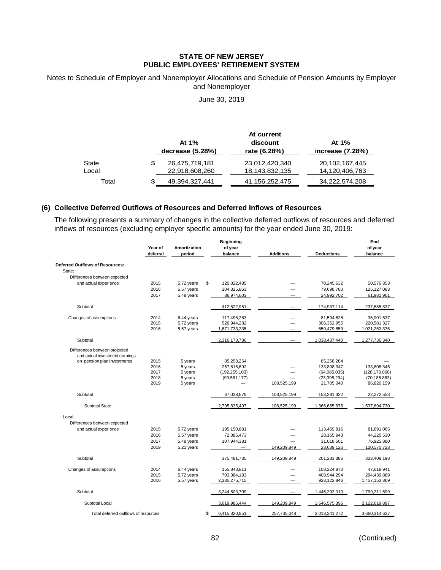#### Notes to Schedule of Employer and Nonemployer Allocations and Schedule of Pension Amounts by Employer and Nonemployer

June 30, 2019

|       |                      | At current        |                   |
|-------|----------------------|-------------------|-------------------|
|       | At 1%                | discount          | At 1%             |
|       | decrease $(5.28%)$   | rate (6.28%)      | increase (7.28%)  |
| State | \$<br>26,475,719,181 | 23,012,420,340    | 20, 102, 167, 445 |
| Local | 22,918,608,260       | 18, 143, 832, 135 | 14,120,406,763    |
| Total | 49, 394, 327, 441    | 41,156,252,475    | 34,222,574,208    |

#### **(6) Collective Deferred Outflows of Resources and Deferred Inflows of Resources**

The following presents a summary of changes in the collective deferred outflows of resources and deferred inflows of resources (excluding employer specific amounts) for the year ended June 30, 2019:

|                                                                 | Year of<br>deferral | Amortization<br>period | <b>Beginning</b><br>of year<br>balance | <b>Additions</b>         | <b>Deductions</b> | End<br>of year<br>balance |
|-----------------------------------------------------------------|---------------------|------------------------|----------------------------------------|--------------------------|-------------------|---------------------------|
|                                                                 |                     |                        |                                        |                          |                   |                           |
| Deferred Outflows of Resources:                                 |                     |                        |                                        |                          |                   |                           |
| State:                                                          |                     |                        |                                        |                          |                   |                           |
| Differences between expected                                    |                     |                        |                                        |                          |                   |                           |
| and actual experience                                           | 2015                | 5.72 years             | \$<br>120,822,485                      |                          | 70,245,632        | 50,576,853                |
|                                                                 | 2016                | 5.57 years             | 204,825,863                            |                          | 79,698,780        | 125,127,083               |
|                                                                 | 2017                | 5.48 years             | 86,974,603                             |                          | 24,992,702        | 61,981,901                |
| Subtotal                                                        |                     |                        | 412,622,951                            |                          | 174,937,114       | 237,685,837               |
| Changes of assumptions                                          | 2014                | 6.44 years             | 117,496,263                            |                          | 81,594,626        | 35,901,637                |
|                                                                 | 2015                | 5.72 years             | 526,944,282                            |                          | 306,362,955       | 220,581,327               |
|                                                                 | 2016                | 5.57 years             | 1,671,733,235                          |                          | 650,479,859       | 1,021,253,376             |
| Subtotal                                                        |                     |                        | 2,316,173,780                          |                          | 1,038,437,440     | 1,277,736,340             |
| Differences between projected<br>and actual investment earnings |                     |                        |                                        |                          |                   |                           |
| on pension plan investments                                     | 2015                | 5 years                | 85,258,264                             |                          | 85,258,264        |                           |
|                                                                 | 2016                | 5 years                | 267,616,692                            |                          | 133,808,347       | 133,808,345               |
|                                                                 | 2017                | 5 years                | (192, 255, 103)                        |                          | (64,085,035)      | (128, 170, 068)           |
|                                                                 | 2018                | 5 years                | (93,581,177)                           |                          | (23, 395, 294)    | (70, 185, 883)            |
|                                                                 | 2019                | 5 years                |                                        | 108,525,199              | 21,705,040        | 86,820,159                |
| Subtotal                                                        |                     |                        | 67,038,676                             | 108,525,199              | 153,291,322       | 22,272,553                |
| <b>Subtotal State</b>                                           |                     |                        | 2,795,835,407                          | 108,525,199              | 1,366,665,876     | 1,537,694,730             |
| Local:                                                          |                     |                        |                                        |                          |                   |                           |
| Differences between expected                                    |                     |                        |                                        |                          |                   |                           |
| and actual experience                                           | 2015                | 5.72 years             | 195,150,881                            |                          | 113,459,816       | 81,691,065                |
|                                                                 | 2016                | 5.57 years             | 72,386,473                             |                          | 28,165,943        | 44,220,530                |
|                                                                 | 2017                | 5.48 years             | 107,944,381                            |                          | 31,018,501        | 76,925,880                |
|                                                                 | 2019                | 5.21 years             |                                        | 149,209,849              | 28,639,126        | 120,570,723               |
| Subtotal                                                        |                     |                        | 375,481,735                            | 149,209,849              | 201,283,386       | 323,408,198               |
| Changes of assumptions                                          | 2014                | 6.44 years             | 155,843,811                            |                          | 108,224,870       | 47,618,941                |
|                                                                 | 2015                | 5.72 years             | 703,384,183                            | $\overline{\phantom{a}}$ | 408,944,294       | 294,439,889               |
|                                                                 | 2016                | 5.57 years             | 2,385,275,715                          |                          | 928,122,846       | 1,457,152,869             |
| Subtotal                                                        |                     |                        | 3,244,503,709                          |                          | 1,445,292,010     | 1,799,211,699             |
| Subtotal Local                                                  |                     |                        | 3,619,985,444                          | 149,209,849              | 1,646,575,396     | 2,122,619,897             |
| Total deferred outflows of resources                            |                     |                        | \$<br>6,415,820,851                    | 257,735,048              | 3,013,241,272     | 3,660,314,627             |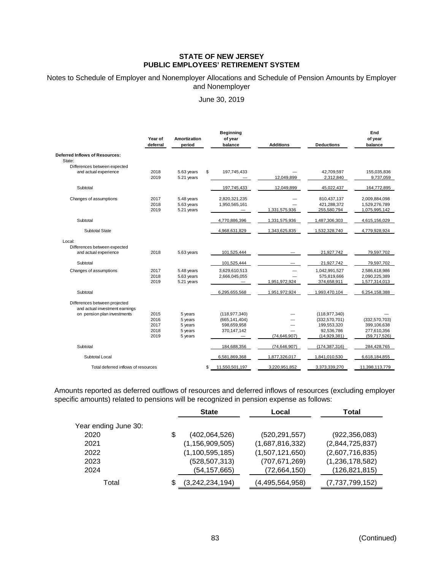#### Notes to Schedule of Employer and Nonemployer Allocations and Schedule of Pension Amounts by Employer and Nonemployer

June 30, 2019

|                                                                 | Year of<br>deferral  | Amortization<br>period                 | <b>Beginning</b><br>of year<br>balance | <b>Additions</b> | <b>Deductions</b>                         | End<br>of year<br>balance                       |
|-----------------------------------------------------------------|----------------------|----------------------------------------|----------------------------------------|------------------|-------------------------------------------|-------------------------------------------------|
| Deferred Inflows of Resources:<br>State:                        |                      |                                        |                                        |                  |                                           |                                                 |
| Differences between expected                                    |                      |                                        |                                        |                  |                                           |                                                 |
| and actual experience                                           | 2018<br>2019         | 5.63 years<br>5.21 years               | \$<br>197,745,433                      | 12,049,899       | 42,709,597<br>2,312,840                   | 155,035,836<br>9,737,059                        |
| Subtotal                                                        |                      |                                        | 197,745,433                            | 12,049,899       | 45,022,437                                | 164,772,895                                     |
| Changes of assumptions                                          | 2017<br>2018<br>2019 | 5.48 years<br>5.63 years<br>5.21 years | 2,820,321,235<br>1,950,565,161         | 1,331,575,936    | 810,437,137<br>421,288,372<br>255,580,794 | 2,009,884,098<br>1,529,276,789<br>1,075,995,142 |
|                                                                 |                      |                                        |                                        |                  |                                           |                                                 |
| Subtotal                                                        |                      |                                        | 4,770,886,396                          | 1,331,575,936    | 1,487,306,303                             | 4,615,156,029                                   |
| Subtotal State                                                  |                      |                                        | 4,968,631,829                          | 1,343,625,835    | 1,532,328,740                             | 4,779,928,924                                   |
| Local:                                                          |                      |                                        |                                        |                  |                                           |                                                 |
| Differences between expected                                    |                      |                                        |                                        |                  |                                           |                                                 |
| and actual experience                                           | 2018                 | 5.63 years                             | 101,525,444                            |                  | 21,927,742                                | 79,597,702                                      |
| Subtotal                                                        |                      |                                        | 101,525,444                            |                  | 21,927,742                                | 79,597,702                                      |
| Changes of assumptions                                          | 2017                 | 5.48 years                             | 3,629,610,513                          |                  | 1,042,991,527                             | 2,586,618,986                                   |
|                                                                 | 2018                 | 5.63 years                             | 2,666,045,055                          |                  | 575,819,666                               | 2,090,225,389                                   |
|                                                                 | 2019                 | 5.21 years                             |                                        | 1,951,972,924    | 374,658,911                               | 1,577,314,013                                   |
| Subtotal                                                        |                      |                                        | 6,295,655,568                          | 1,951,972,924    | 1,993,470,104                             | 6,254,158,388                                   |
| Differences between projected<br>and actual investment earnings |                      |                                        |                                        |                  |                                           |                                                 |
| on pension plan investments                                     | 2015                 | 5 years                                | (118, 977, 340)                        |                  | (118, 977, 340)                           |                                                 |
|                                                                 | 2016                 | 5 years                                | (665, 141, 404)                        |                  | (332,570,701)                             | (332,570,703)                                   |
|                                                                 | 2017                 | 5 years                                | 598,659,958                            |                  | 199,553,320                               | 399,106,638                                     |
|                                                                 | 2018                 | 5 years                                | 370,147,142                            |                  | 92,536,786                                | 277,610,356                                     |
|                                                                 | 2019                 | 5 years                                |                                        | (74, 646, 907)   | (14,929,381)                              | (59,717,526)                                    |
| Subtotal                                                        |                      |                                        | 184,688,356                            | (74, 646, 907)   | (174, 387, 316)                           | 284,428,765                                     |
| Subtotal Local                                                  |                      |                                        | 6,581,869,368                          | 1,877,326,017    | 1,841,010,530                             | 6,618,184,855                                   |
| Total deferred inflows of resources                             |                      |                                        | \$<br>11,550,501,197                   | 3,220,951,852    | 3,373,339,270                             | 11,398,113,779                                  |

Amounts reported as deferred outflows of resources and deferred inflows of resources (excluding employer specific amounts) related to pensions will be recognized in pension expense as follows:

|                      | <b>State</b>          | Local           | Total           |  |
|----------------------|-----------------------|-----------------|-----------------|--|
| Year ending June 30: |                       |                 |                 |  |
| 2020                 | \$<br>(402,064,526)   | (520, 291, 557) | (922, 356, 083) |  |
| 2021                 | (1, 156, 909, 505)    | (1,687,816,332) | (2,844,725,837) |  |
| 2022                 | (1, 100, 595, 185)    | (1,507,121,650) | (2,607,716,835) |  |
| 2023                 | (528, 507, 313)       | (707, 671, 269) | (1,236,178,582) |  |
| 2024                 | (54,157,665)          | (72,664,150)    | (126, 821, 815) |  |
| Total                | \$<br>(3,242,234,194) | (4,495,564,958) | (7,737,799,152) |  |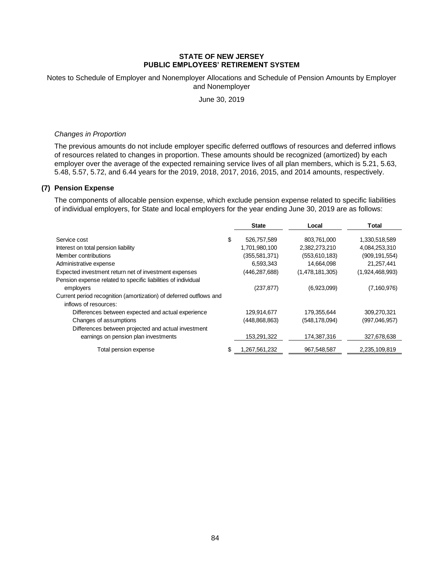Notes to Schedule of Employer and Nonemployer Allocations and Schedule of Pension Amounts by Employer and Nonemployer

June 30, 2019

#### *Changes in Proportion*

The previous amounts do not include employer specific deferred outflows of resources and deferred inflows of resources related to changes in proportion. These amounts should be recognized (amortized) by each employer over the average of the expected remaining service lives of all plan members, which is 5.21, 5.63, 5.48, 5.57, 5.72, and 6.44 years for the 2019, 2018, 2017, 2016, 2015, and 2014 amounts, respectively.

#### **(7) Pension Expense**

The components of allocable pension expense, which exclude pension expense related to specific liabilities of individual employers, for State and local employers for the year ending June 30, 2019 are as follows:

|                                                                    | <b>State</b>        | Local           | Total           |
|--------------------------------------------------------------------|---------------------|-----------------|-----------------|
| Service cost                                                       | \$<br>526,757,589   | 803,761,000     | 1,330,518,589   |
| Interest on total pension liability                                | 1,701,980,100       | 2,382,273,210   | 4,084,253,310   |
| Member contributions                                               | (355, 581, 371)     | (553, 610, 183) | (909, 191, 554) |
| Administrative expense                                             | 6,593,343           | 14,664,098      | 21,257,441      |
| Expected investment return net of investment expenses              | (446,287,688)       | (1,478,181,305) | (1,924,468,993) |
| Pension expense related to specific liabilities of individual      |                     |                 |                 |
| employers                                                          | (237, 877)          | (6,923,099)     | (7,160,976)     |
| Current period recognition (amortization) of deferred outflows and |                     |                 |                 |
| inflows of resources:                                              |                     |                 |                 |
| Differences between expected and actual experience                 | 129,914,677         | 179,355,644     | 309,270,321     |
| Changes of assumptions                                             | (448, 868, 863)     | (548, 178, 094) | (997,046,957)   |
| Differences between projected and actual investment                |                     |                 |                 |
| earnings on pension plan investments                               | 153,291,322         | 174,387,316     | 327,678,638     |
| Total pension expense                                              | \$<br>1,267,561,232 | 967.548.587     | 2,235,109,819   |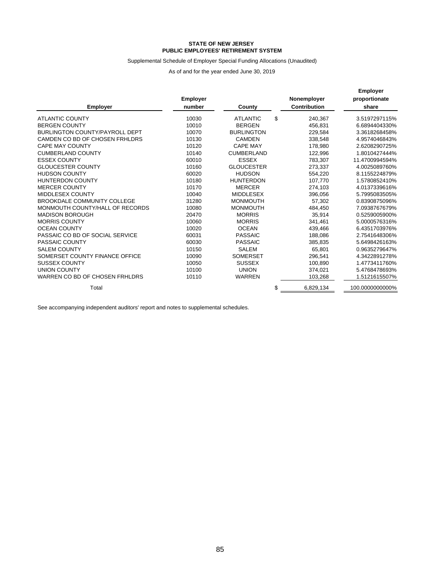#### Supplemental Schedule of Employer Special Funding Allocations (Unaudited)

As of and for the year ended June 30, 2019

| <b>Employer</b>                    | <b>Employer</b><br>number | County            | Nonemployer<br>Contribution | <b>Employer</b><br>proportionate<br>share |
|------------------------------------|---------------------------|-------------------|-----------------------------|-------------------------------------------|
| <b>ATLANTIC COUNTY</b>             | 10030                     | <b>ATLANTIC</b>   | \$<br>240,367               | 3.5197297115%                             |
| <b>BERGEN COUNTY</b>               | 10010                     | <b>BERGEN</b>     | 456,831                     | 6.6894404330%                             |
| BURLINGTON COUNTY/PAYROLL DEPT     | 10070                     | <b>BURLINGTON</b> | 229,584                     | 3.3618268458%                             |
| CAMDEN CO BD OF CHOSEN FRHLDRS     | 10130                     | <b>CAMDEN</b>     | 338,548                     | 4.9574046843%                             |
| <b>CAPE MAY COUNTY</b>             | 10120                     | <b>CAPE MAY</b>   | 178,980                     | 2.6208290725%                             |
| <b>CUMBERLAND COUNTY</b>           | 10140                     | <b>CUMBERLAND</b> | 122.996                     | 1.8010427444%                             |
| <b>ESSEX COUNTY</b>                | 60010                     | <b>ESSEX</b>      | 783,307                     | 11.4700994594%                            |
| <b>GLOUCESTER COUNTY</b>           | 10160                     | <b>GLOUCESTER</b> | 273,337                     | 4.0025089760%                             |
| <b>HUDSON COUNTY</b>               | 60020                     | <b>HUDSON</b>     | 554.220                     | 8.1155224879%                             |
| <b>HUNTERDON COUNTY</b>            | 10180                     | <b>HUNTERDON</b>  | 107,770                     | 1.5780852410%                             |
| <b>MERCER COUNTY</b>               | 10170                     | <b>MERCER</b>     | 274,103                     | 4.0137339616%                             |
| MIDDLESEX COUNTY                   | 10040                     | <b>MIDDLESEX</b>  | 396,056                     | 5.7995083505%                             |
| <b>BROOKDALE COMMUNITY COLLEGE</b> | 31280                     | <b>MONMOUTH</b>   | 57.302                      | 0.8390875096%                             |
| MONMOUTH COUNTY/HALL OF RECORDS    | 10080                     | <b>MONMOUTH</b>   | 484.450                     | 7.0938767679%                             |
| <b>MADISON BOROUGH</b>             | 20470                     | <b>MORRIS</b>     | 35.914                      | 0.5259005900%                             |
| <b>MORRIS COUNTY</b>               | 10060                     | <b>MORRIS</b>     | 341,461                     | 5.0000576316%                             |
| <b>OCEAN COUNTY</b>                | 10020                     | <b>OCEAN</b>      | 439,466                     | 6.4351703976%                             |
| PASSAIC CO BD OF SOCIAL SERVICE    | 60031                     | <b>PASSAIC</b>    | 188.086                     | 2.7541648306%                             |
| PASSAIC COUNTY                     | 60030                     | <b>PASSAIC</b>    | 385,835                     | 5.6498426163%                             |
| <b>SALEM COUNTY</b>                | 10150                     | <b>SALEM</b>      | 65,801                      | 0.9635279647%                             |
| SOMERSET COUNTY FINANCE OFFICE     | 10090                     | <b>SOMERSET</b>   | 296,541                     | 4.3422891278%                             |
| <b>SUSSEX COUNTY</b>               | 10050                     | <b>SUSSEX</b>     | 100.890                     | 1.4773411760%                             |
| <b>UNION COUNTY</b>                | 10100                     | <b>UNION</b>      | 374.021                     | 5.4768478693%                             |
| WARREN CO BD OF CHOSEN FRHLDRS     | 10110                     | <b>WARREN</b>     | 103,268                     | 1.5121615507%                             |
| Total                              |                           |                   | \$<br>6,829,134             | 100.0000000000%                           |

See accompanying independent auditors' report and notes to supplemental schedules.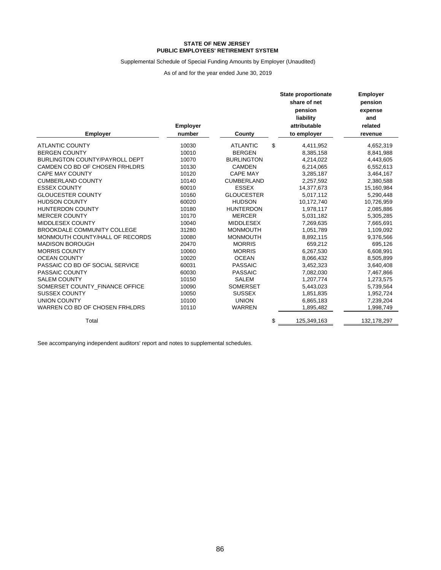#### **PUBLIC EMPLOYEES' RETIREMENT SYSTEM STATE OF NEW JERSEY**

#### Supplemental Schedule of Special Funding Amounts by Employer (Unaudited)

As of and for the year ended June 30, 2019

| <b>Employer</b>                       | <b>Employer</b><br>number | County            | <b>State proportionate</b><br>share of net<br>pension<br>liability<br>attributable<br>to employer | <b>Employer</b><br>pension<br>expense<br>and<br>related<br>revenue |
|---------------------------------------|---------------------------|-------------------|---------------------------------------------------------------------------------------------------|--------------------------------------------------------------------|
| <b>ATLANTIC COUNTY</b>                | 10030                     | <b>ATLANTIC</b>   | \$<br>4,411,952                                                                                   | 4,652,319                                                          |
| <b>BERGEN COUNTY</b>                  | 10010                     | <b>BERGEN</b>     | 8,385,158                                                                                         | 8,841,988                                                          |
| <b>BURLINGTON COUNTY/PAYROLL DEPT</b> | 10070                     | <b>BURLINGTON</b> | 4,214,022                                                                                         | 4,443,605                                                          |
| CAMDEN CO BD OF CHOSEN FRHLDRS        | 10130                     | <b>CAMDEN</b>     | 6,214,065                                                                                         | 6,552,613                                                          |
| <b>CAPE MAY COUNTY</b>                | 10120                     | <b>CAPE MAY</b>   | 3,285,187                                                                                         | 3,464,167                                                          |
| <b>CUMBERLAND COUNTY</b>              | 10140                     | <b>CUMBERLAND</b> | 2,257,592                                                                                         | 2,380,588                                                          |
| <b>ESSEX COUNTY</b>                   | 60010                     | <b>ESSEX</b>      | 14,377,673                                                                                        | 15,160,984                                                         |
| <b>GLOUCESTER COUNTY</b>              | 10160                     | <b>GLOUCESTER</b> | 5,017,112                                                                                         | 5,290,448                                                          |
| <b>HUDSON COUNTY</b>                  | 60020                     | <b>HUDSON</b>     | 10,172,740                                                                                        | 10,726,959                                                         |
| <b>HUNTERDON COUNTY</b>               | 10180                     | <b>HUNTERDON</b>  | 1,978,117                                                                                         | 2,085,886                                                          |
| <b>MERCER COUNTY</b>                  | 10170                     | <b>MERCER</b>     | 5,031,182                                                                                         | 5,305,285                                                          |
| <b>MIDDLESEX COUNTY</b>               | 10040                     | <b>MIDDLESEX</b>  | 7,269,635                                                                                         | 7,665,691                                                          |
| <b>BROOKDALE COMMUNITY COLLEGE</b>    | 31280                     | <b>MONMOUTH</b>   | 1,051,789                                                                                         | 1,109,092                                                          |
| MONMOUTH COUNTY/HALL OF RECORDS       | 10080                     | <b>MONMOUTH</b>   | 8,892,115                                                                                         | 9,376,566                                                          |
| <b>MADISON BOROUGH</b>                | 20470                     | <b>MORRIS</b>     | 659,212                                                                                           | 695,126                                                            |
| <b>MORRIS COUNTY</b>                  | 10060                     | <b>MORRIS</b>     | 6,267,530                                                                                         | 6,608,991                                                          |
| <b>OCEAN COUNTY</b>                   | 10020                     | <b>OCEAN</b>      | 8,066,432                                                                                         | 8,505,899                                                          |
| PASSAIC CO BD OF SOCIAL SERVICE       | 60031                     | <b>PASSAIC</b>    | 3,452,323                                                                                         | 3,640,408                                                          |
| PASSAIC COUNTY                        | 60030                     | <b>PASSAIC</b>    | 7,082,030                                                                                         | 7,467,866                                                          |
| <b>SALEM COUNTY</b>                   | 10150                     | <b>SALEM</b>      | 1,207,774                                                                                         | 1,273,575                                                          |
| SOMERSET COUNTY FINANCE OFFICE        | 10090                     | <b>SOMERSET</b>   | 5,443,023                                                                                         | 5,739,564                                                          |
| <b>SUSSEX COUNTY</b>                  | 10050                     | <b>SUSSEX</b>     | 1,851,835                                                                                         | 1,952,724                                                          |
| <b>UNION COUNTY</b>                   | 10100                     | <b>UNION</b>      | 6,865,183                                                                                         | 7,239,204                                                          |
| WARREN CO BD OF CHOSEN FRHLDRS        | 10110                     | <b>WARREN</b>     | 1,895,482                                                                                         | 1,998,749                                                          |
| Total                                 |                           |                   | \$<br>125,349,163                                                                                 | 132, 178, 297                                                      |

See accompanying independent auditors' report and notes to supplemental schedules.